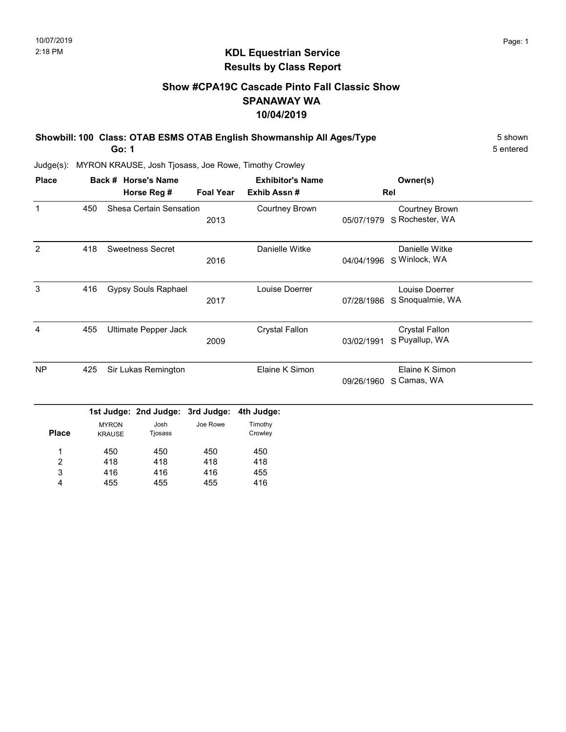# KDL Equestrian Service Results by Class Report

# Show #CPA19C Cascade Pinto Fall Classic Show SPANAWAY WA 10/04/2019

Showbill: 100 Class: OTAB ESMS OTAB English Showmanship All Ages/Type 5 Shown Go: 1

| <b>Place</b> |     |               | Back # Horse's Name        |                  | <b>Exhibitor's Name</b> |            | Owner(s)              |  |  |
|--------------|-----|---------------|----------------------------|------------------|-------------------------|------------|-----------------------|--|--|
|              |     |               | Horse Reg #                | <b>Foal Year</b> | Exhib Assn#             |            | Rel                   |  |  |
| $\mathbf{1}$ | 450 |               | Shesa Certain Sensation    |                  | <b>Courtney Brown</b>   |            | <b>Courtney Brown</b> |  |  |
|              |     |               |                            | 2013             |                         | 05/07/1979 | S Rochester, WA       |  |  |
| 2            | 418 |               | <b>Sweetness Secret</b>    |                  | Danielle Witke          |            | Danielle Witke        |  |  |
|              |     |               |                            | 2016             |                         | 04/04/1996 | S Winlock, WA         |  |  |
| 3            | 416 |               | <b>Gypsy Souls Raphael</b> |                  | Louise Doerrer          |            | Louise Doerrer        |  |  |
|              |     |               |                            | 2017             |                         | 07/28/1986 | S Snoqualmie, WA      |  |  |
| 4            | 455 |               | Ultimate Pepper Jack       |                  | <b>Crystal Fallon</b>   |            | <b>Crystal Fallon</b> |  |  |
|              |     |               |                            | 2009             |                         | 03/02/1991 | S Puyallup, WA        |  |  |
| <b>NP</b>    | 425 |               | Sir Lukas Remington        |                  | Elaine K Simon          |            | Elaine K Simon        |  |  |
|              |     |               |                            |                  |                         | 09/26/1960 | S Camas, WA           |  |  |
|              |     |               | 1st Judge: 2nd Judge:      | 3rd Judge:       | 4th Judge:              |            |                       |  |  |
|              |     | <b>MYRON</b>  | Josh                       | Joe Rowe         | Timothy                 |            |                       |  |  |
| <b>Place</b> |     | <b>KRAUSE</b> | Tjosass                    |                  | Crowley                 |            |                       |  |  |
| 1            |     | 450           | 450                        | 450              | 450                     |            |                       |  |  |
| 2            |     | 418           | 418                        | 418              | 418                     |            |                       |  |  |
| 3            |     | 416           | 416                        | 416              | 455                     |            |                       |  |  |
| 4            |     | 455           | 455                        | 455              | 416                     |            |                       |  |  |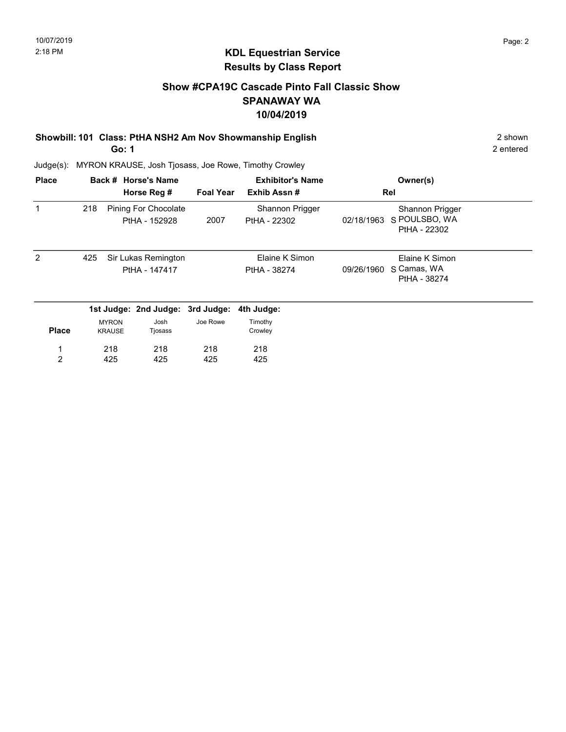# Show #CPA19C Cascade Pinto Fall Classic Show SPANAWAY WA 10/04/2019

# Showbill: 101 Class: PtHA NSH2 Am Nov Showmanship English 2 shown

Go: 1

Judge(s): MYRON KRAUSE, Josh Tjosass, Joe Rowe, Timothy Crowley

| <b>Place</b>  |     |                               | Back # Horse's Name<br>Horse Reg #    | <b>Foal Year</b> | <b>Exhibitor's Name</b><br>Exhib Assn# |            | Owner(s)<br>Rel                                  |  |
|---------------|-----|-------------------------------|---------------------------------------|------------------|----------------------------------------|------------|--------------------------------------------------|--|
|               | 218 |                               | Pining For Chocolate<br>PtHA - 152928 | 2007             | Shannon Prigger<br>PtHA - 22302        | 02/18/1963 | Shannon Prigger<br>S POULSBO, WA<br>PtHA - 22302 |  |
| $\mathcal{P}$ | 425 |                               | Sir Lukas Remington<br>PtHA - 147417  |                  | Elaine K Simon<br>PtHA - 38274         | 09/26/1960 | Elaine K Simon<br>S Camas, WA<br>PtHA - 38274    |  |
|               |     |                               | 1st Judge: 2nd Judge: 3rd Judge:      |                  | 4th Judge:                             |            |                                                  |  |
| <b>Place</b>  |     | <b>MYRON</b><br><b>KRAUSE</b> | Josh<br>Tjosass                       | Joe Rowe         | Timothy<br>Crowley                     |            |                                                  |  |
|               |     | 218                           | 218                                   | 218              | 218                                    |            |                                                  |  |
| 2             |     | 425                           | 425                                   | 425              | 425                                    |            |                                                  |  |

2 entered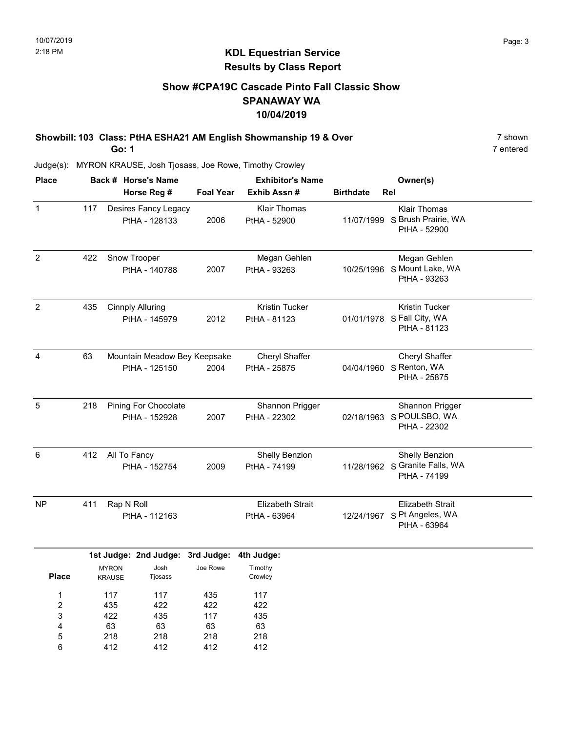# Show #CPA19C Cascade Pinto Fall Classic Show SPANAWAY WA 10/04/2019

Showbill: 103 Class: PtHA ESHA21 AM English Showmanship 19 & Over 7 Shown 7 shown

Go: 1

Judge(s): MYRON KRAUSE, Josh Tjosass, Joe Rowe, Timothy Crowley

| <b>Place</b>          |     |                                | Back # Horse's Name                           |                                | <b>Exhibitor's Name</b>                 |                  | Owner(s)                                                               |
|-----------------------|-----|--------------------------------|-----------------------------------------------|--------------------------------|-----------------------------------------|------------------|------------------------------------------------------------------------|
|                       |     |                                | Horse Reg #                                   | <b>Foal Year</b>               | Exhib Assn#                             | <b>Birthdate</b> | Rel                                                                    |
| $\mathbf{1}$          | 117 |                                | Desires Fancy Legacy<br>PtHA - 128133         | 2006                           | <b>Klair Thomas</b><br>PtHA - 52900     |                  | <b>Klair Thomas</b><br>11/07/1999 S Brush Prairie, WA<br>PtHA - 52900  |
| $\overline{2}$        | 422 |                                | Snow Trooper<br>PtHA - 140788                 | 2007                           | Megan Gehlen<br>PtHA - 93263            |                  | Megan Gehlen<br>10/25/1996 S Mount Lake, WA<br>PtHA - 93263            |
| $\overline{2}$        | 435 |                                | <b>Cinnply Alluring</b><br>PtHA - 145979      | 2012                           | Kristin Tucker<br>PtHA - 81123          |                  | Kristin Tucker<br>01/01/1978 S Fall City, WA<br>PtHA - 81123           |
| 4                     | 63  |                                | Mountain Meadow Bey Keepsake<br>PtHA - 125150 | 2004                           | Cheryl Shaffer<br>PtHA - 25875          |                  | Cheryl Shaffer<br>04/04/1960 S Renton, WA<br>PtHA - 25875              |
| 5                     | 218 |                                | Pining For Chocolate<br>PtHA - 152928         | 2007                           | Shannon Prigger<br>PtHA - 22302         |                  | Shannon Prigger<br>02/18/1963 S POULSBO, WA<br>PtHA - 22302            |
| 6                     | 412 | All To Fancy                   | PtHA - 152754                                 | 2009                           | Shelly Benzion<br>PtHA - 74199          |                  | Shelly Benzion<br>11/28/1962 S Granite Falls, WA<br>PtHA - 74199       |
| NP                    | 411 | Rap N Roll                     | PtHA - 112163                                 |                                | <b>Elizabeth Strait</b><br>PtHA - 63964 |                  | <b>Elizabeth Strait</b><br>12/24/1967 S Pt Angeles, WA<br>PtHA - 63964 |
|                       |     |                                | 1st Judge: 2nd Judge: 3rd Judge:              |                                | 4th Judge:                              |                  |                                                                        |
| <b>Place</b>          |     | <b>MYRON</b><br><b>KRAUSE</b>  | Josh<br>Tjosass                               | Joe Rowe                       | Timothy<br>Crowley                      |                  |                                                                        |
| 1<br>2<br>3<br>4<br>5 |     | 117<br>435<br>422<br>63<br>218 | 117<br>422<br>435<br>63<br>218                | 435<br>422<br>117<br>63<br>218 | 117<br>422<br>435<br>63<br>218          |                  |                                                                        |
| 6                     |     | 412                            | 412                                           | 412                            | 412                                     |                  |                                                                        |

7 entered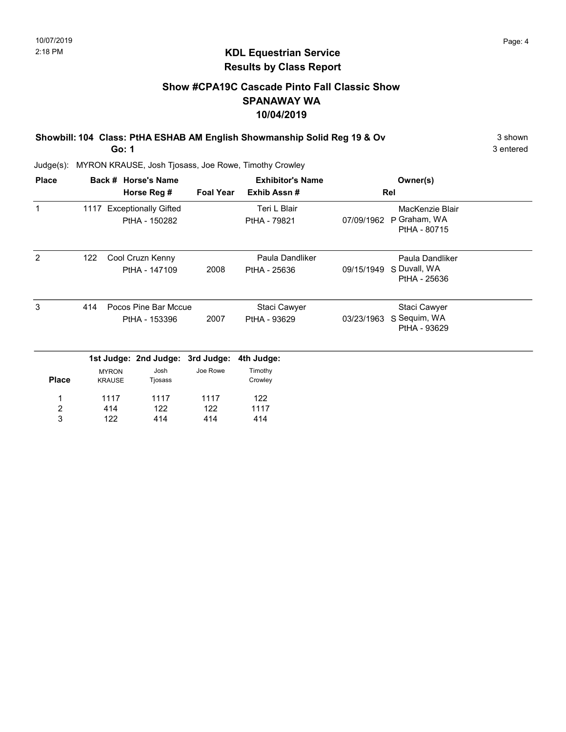# KDL Equestrian Service Results by Class Report

# Show #CPA19C Cascade Pinto Fall Classic Show SPANAWAY WA 10/04/2019

Showbill: 104 Class: PtHA ESHAB AM English Showmanship Solid Reg 19 & Ov 3 shown

Go: 1

| <b>Place</b>            |     |               | Back # Horse's Name              |                  | <b>Exhibitor's Name</b> |            | Owner(s)                     |  |
|-------------------------|-----|---------------|----------------------------------|------------------|-------------------------|------------|------------------------------|--|
|                         |     |               | Horse Reg #                      | <b>Foal Year</b> | Exhib Assn#             |            | Rel                          |  |
| 1                       |     |               | 1117 Exceptionally Gifted        |                  | Teri L Blair            |            | MacKenzie Blair              |  |
|                         |     |               | PtHA - 150282                    |                  | PtHA - 79821            | 07/09/1962 | P Graham, WA<br>PtHA - 80715 |  |
| 2                       | 122 |               | Cool Cruzn Kenny                 |                  | Paula Dandliker         |            | Paula Dandliker              |  |
|                         |     |               | PtHA - 147109                    | 2008             | PtHA - 25636            | 09/15/1949 | S Duvall, WA<br>PtHA - 25636 |  |
| 3                       | 414 |               | Pocos Pine Bar Mccue             |                  | Staci Cawyer            |            | Staci Cawyer                 |  |
|                         |     |               | PtHA - 153396                    | 2007             | PtHA - 93629            | 03/23/1963 | S Sequim, WA<br>PtHA - 93629 |  |
|                         |     |               | 1st Judge: 2nd Judge: 3rd Judge: |                  | 4th Judge:              |            |                              |  |
|                         |     | <b>MYRON</b>  | Josh                             | Joe Rowe         | Timothy                 |            |                              |  |
| <b>Place</b>            |     | <b>KRAUSE</b> | Tjosass                          |                  | Crowley                 |            |                              |  |
| 1                       |     | 1117          | 1117                             | 1117             | 122                     |            |                              |  |
| $\overline{\mathbf{c}}$ |     | 414           | 122                              | 122              | 1117                    |            |                              |  |
| 3                       |     | 122           | 414                              | 414              | 414                     |            |                              |  |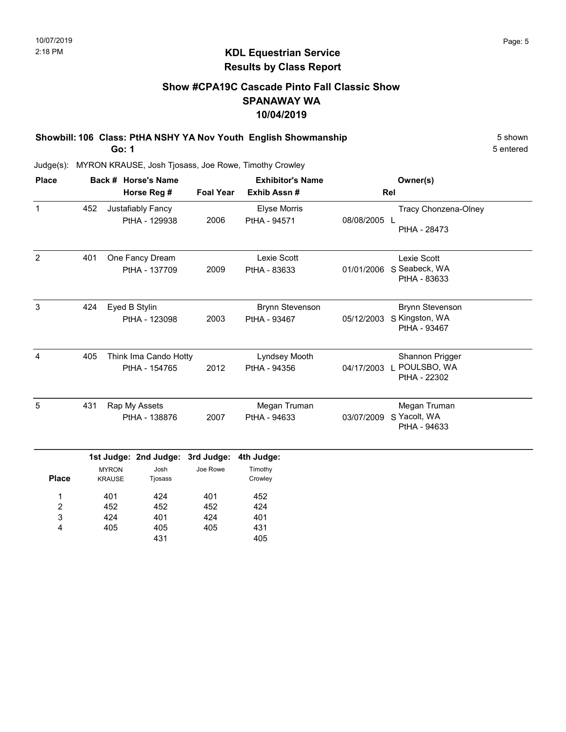# Show #CPA19C Cascade Pinto Fall Classic Show SPANAWAY WA 10/04/2019

Showbill: 106 Class: PtHA NSHY YA Nov Youth English Showmanship 5 Shown 5 shown Go: 1

5 entered

Judge(s): MYRON KRAUSE, Josh Tjosass, Joe Rowe, Timothy Crowley

405

4

405 431 405

431 405

| <b>Place</b>                      |     |                               | Back # Horse's Name                    |                                  | <b>Exhibitor's Name</b>                |              | Owner(s)                                                       |
|-----------------------------------|-----|-------------------------------|----------------------------------------|----------------------------------|----------------------------------------|--------------|----------------------------------------------------------------|
|                                   |     |                               | Horse Reg #                            | <b>Foal Year</b>                 | Exhib Assn#                            |              | Rel                                                            |
| $\mathbf{1}$                      | 452 |                               | Justafiably Fancy<br>PtHA - 129938     | 2006                             | Elyse Morris<br>PtHA - 94571           | 08/08/2005 L | Tracy Chonzena-Olney<br>PtHA - 28473                           |
| 2                                 | 401 |                               | One Fancy Dream<br>PtHA - 137709       | 2009                             | Lexie Scott<br>PtHA - 83633            | 01/01/2006   | Lexie Scott<br>S Seabeck, WA<br>PtHA - 83633                   |
| 3                                 | 424 | Eyed B Stylin                 | PtHA - 123098                          | 2003                             | <b>Brynn Stevenson</b><br>PtHA - 93467 | 05/12/2003   | <b>Brynn Stevenson</b><br>S Kingston, WA<br>PtHA - 93467       |
| 4                                 | 405 |                               | Think Ima Cando Hotty<br>PtHA - 154765 | 2012                             | Lyndsey Mooth<br>PtHA - 94356          | 04/17/2003   | Shannon Prigger<br>POULSBO, WA<br>$\mathbf{L}$<br>PtHA - 22302 |
| 5                                 | 431 | Rap My Assets                 | PtHA - 138876                          | 2007                             | Megan Truman<br>PtHA - 94633           | 03/07/2009   | Megan Truman<br>S Yacolt, WA<br>PtHA - 94633                   |
|                                   |     |                               |                                        | 1st Judge: 2nd Judge: 3rd Judge: | 4th Judge:                             |              |                                                                |
| <b>Place</b>                      |     | <b>MYRON</b><br><b>KRAUSE</b> | Josh<br>Tjosass                        | Joe Rowe                         | Timothy<br>Crowley                     |              |                                                                |
| 1<br>$\overline{\mathbf{c}}$<br>3 |     | 401<br>452<br>424             | 424<br>452<br>401                      | 401<br>452<br>424                | 452<br>424<br>401                      |              |                                                                |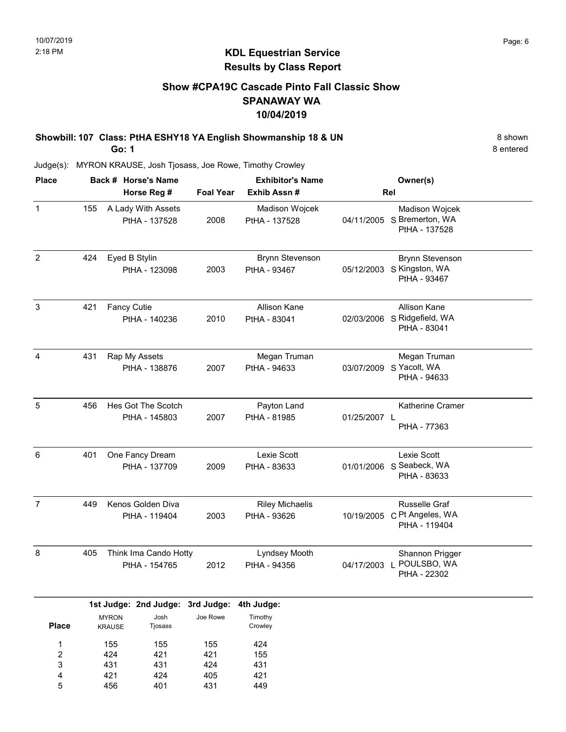# Show #CPA19C Cascade Pinto Fall Classic Show SPANAWAY WA 10/04/2019

Showbill: 107 Class: PtHA ESHY18 YA English Showmanship 18 & UN 8 shown 8 shown

Go: 1

Judge(s): MYRON KRAUSE, Josh Tjosass, Joe Rowe, Timothy Crowley

| <b>Place</b>   |     | Back # Horse's Name                              |                  | <b>Exhibitor's Name</b>                | Owner(s)                                                                |  |  |
|----------------|-----|--------------------------------------------------|------------------|----------------------------------------|-------------------------------------------------------------------------|--|--|
|                |     | Horse Reg #                                      | <b>Foal Year</b> | Exhib Assn #                           | Rel                                                                     |  |  |
| $\mathbf 1$    | 155 | A Lady With Assets<br>PtHA - 137528              | 2008             | Madison Wojcek<br>PtHA - 137528        | Madison Wojcek<br>04/11/2005 S Bremerton, WA<br>PtHA - 137528           |  |  |
| $\overline{2}$ | 424 | Eyed B Stylin<br>PtHA - 123098                   | 2003             | <b>Brynn Stevenson</b><br>PtHA - 93467 | <b>Brynn Stevenson</b><br>S Kingston, WA<br>05/12/2003<br>PtHA - 93467  |  |  |
| $\sqrt{3}$     | 421 | <b>Fancy Cutie</b><br>PtHA - 140236              | 2010             | <b>Allison Kane</b><br>PtHA - 83041    | Allison Kane<br>02/03/2006 S Ridgefield, WA<br>PtHA - 83041             |  |  |
| 4              | 431 | Rap My Assets<br>PtHA - 138876                   | 2007             | Megan Truman<br>PtHA - 94633           | Megan Truman<br>S Yacolt, WA<br>03/07/2009<br>PtHA - 94633              |  |  |
| 5              | 456 | Hes Got The Scotch<br>PtHA - 145803              | 2007             | Payton Land<br>PtHA - 81985            | Katherine Cramer<br>01/25/2007 L<br>PtHA - 77363                        |  |  |
| 6              | 401 | One Fancy Dream<br>PtHA - 137709                 | 2009             | Lexie Scott<br>PtHA - 83633            | Lexie Scott<br>S Seabeck, WA<br>01/01/2006<br>PtHA - 83633              |  |  |
| $\overline{7}$ | 449 | Kenos Golden Diva<br>PtHA - 119404               | 2003             | <b>Riley Michaelis</b><br>PtHA - 93626 | <b>Russelle Graf</b><br>C Pt Angeles, WA<br>10/19/2005<br>PtHA - 119404 |  |  |
| 8              | 405 | Think Ima Cando Hotty<br>PtHA - 154765           | 2012             | Lyndsey Mooth<br>PtHA - 94356          | Shannon Prigger<br>04/17/2003 L POULSBO, WA<br>PtHA - 22302             |  |  |
|                |     | 1st Judge: 2nd Judge: 3rd Judge:                 |                  | 4th Judge:                             |                                                                         |  |  |
| <b>Place</b>   |     | Josh<br><b>MYRON</b><br>Tjosass<br><b>KRAUSE</b> | Joe Rowe         | Timothy<br>Crowley                     |                                                                         |  |  |

8 entered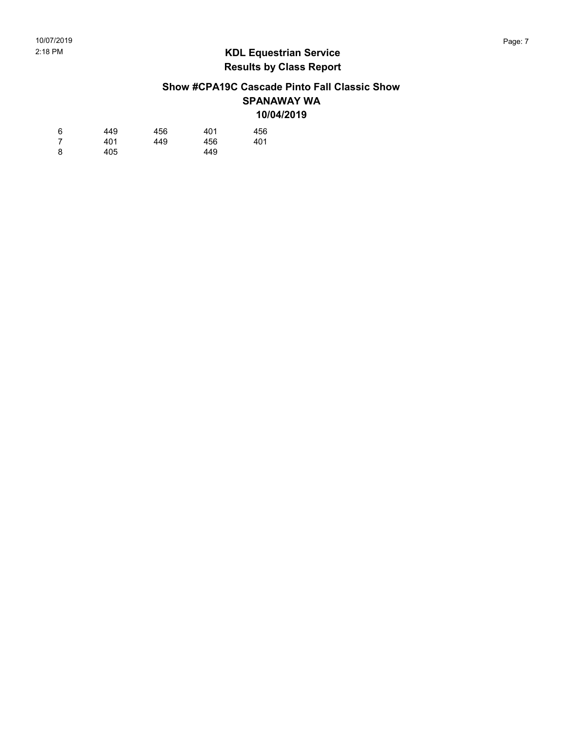# Show #CPA19C Cascade Pinto Fall Classic Show SPANAWAY WA 10/04/2019

| 6 | 449 | 456 | 401 | 456 |
|---|-----|-----|-----|-----|
| 7 | 401 | 449 | 456 | 401 |
| 8 | 405 |     | 449 |     |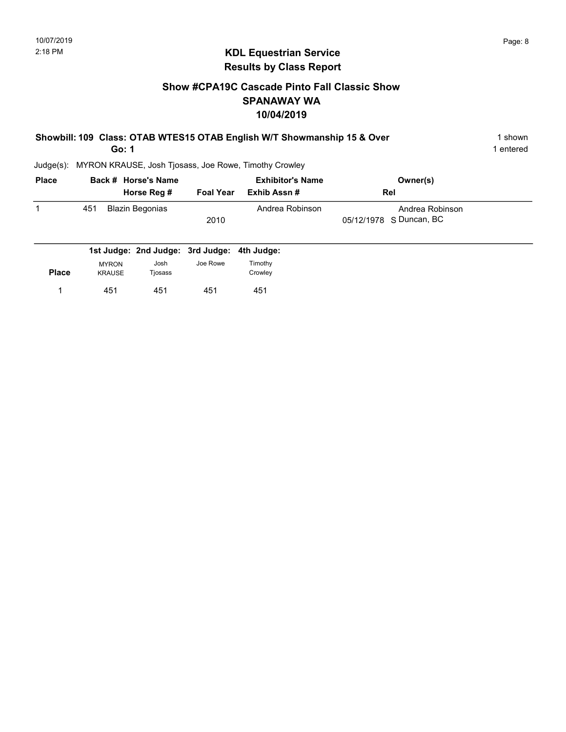# Show #CPA19C Cascade Pinto Fall Classic Show SPANAWAY WA 10/04/2019

| Showbill: 109 Class: OTAB WTES15 OTAB English W/T Showmanship 15 & Over | 1 shown   |
|-------------------------------------------------------------------------|-----------|
| Go: 1                                                                   | 1 entered |

| <b>Place</b> |     | Back # Horse's Name | <b>Exhibitor's Name</b> |                 | Owner(s)                |  |
|--------------|-----|---------------------|-------------------------|-----------------|-------------------------|--|
|              |     | Horse Reg #         | <b>Foal Year</b>        | Exhib Assn #    | Rel                     |  |
|              | 451 | Blazin Begonias     |                         | Andrea Robinson | Andrea Robinson         |  |
|              |     |                     | 2010                    |                 | 05/12/1978 S Duncan, BC |  |
|              |     |                     |                         |                 |                         |  |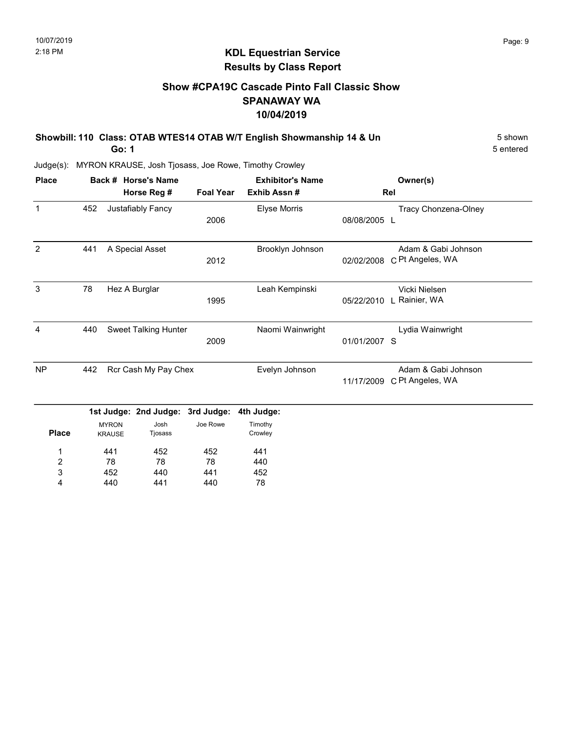# Show #CPA19C Cascade Pinto Fall Classic Show SPANAWAY WA 10/04/2019

Showbill: 110 Class: OTAB WTES14 OTAB W/T English Showmanship 14 & Un 5 Shown Go: 1

5 entered

| <b>Place</b>            |     |                               | Back # Horse's Name   |                  | <b>Exhibitor's Name</b> |              | Owner(s)                                |
|-------------------------|-----|-------------------------------|-----------------------|------------------|-------------------------|--------------|-----------------------------------------|
|                         |     |                               | Horse Reg #           | <b>Foal Year</b> | Exhib Assn#             |              | Rel                                     |
| $\mathbf{1}$            | 452 |                               | Justafiably Fancy     | 2006             | Elyse Morris            | 08/08/2005 L | Tracy Chonzena-Olney                    |
| 2                       | 441 |                               | A Special Asset       | 2012             | Brooklyn Johnson        | 02/02/2008   | Adam & Gabi Johnson<br>C Pt Angeles, WA |
| 3                       | 78  |                               | Hez A Burglar         | 1995             | Leah Kempinski          | 05/22/2010   | Vicki Nielsen<br>L Rainier, WA          |
| $\overline{4}$          | 440 |                               | Sweet Talking Hunter  | 2009             | Naomi Wainwright        | 01/01/2007 S | Lydia Wainwright                        |
| <b>NP</b>               | 442 |                               | Rcr Cash My Pay Chex  |                  | Evelyn Johnson          | 11/17/2009   | Adam & Gabi Johnson<br>C Pt Angeles, WA |
|                         |     |                               | 1st Judge: 2nd Judge: | 3rd Judge:       | 4th Judge:              |              |                                         |
| <b>Place</b>            |     | <b>MYRON</b><br><b>KRAUSE</b> | Josh<br>Tjosass       | Joe Rowe         | Timothy<br>Crowley      |              |                                         |
| 1                       |     | 441                           | 452                   | 452              | 441                     |              |                                         |
| $\overline{\mathbf{c}}$ |     | 78                            | 78                    | 78               | 440                     |              |                                         |
| 3                       |     | 452                           | 440                   | 441              | 452                     |              |                                         |
| 4                       |     | 440                           | 441                   | 440              | 78                      |              |                                         |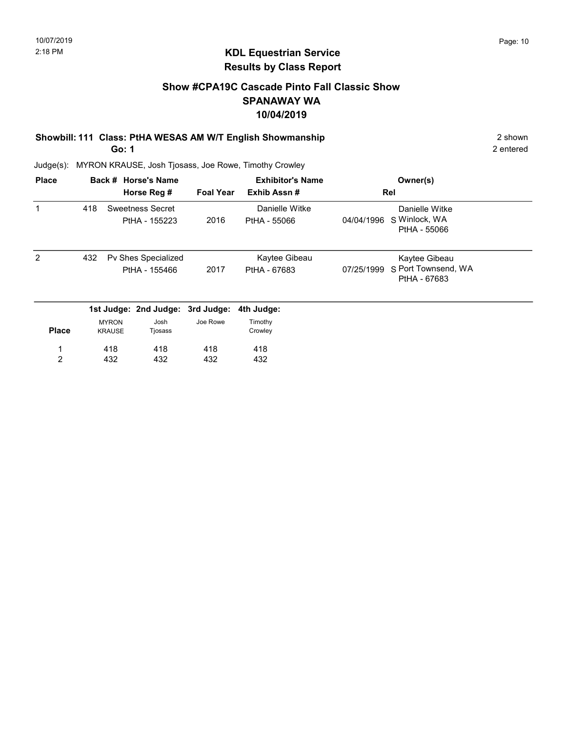# Show #CPA19C Cascade Pinto Fall Classic Show SPANAWAY WA 10/04/2019

# Showbill: 111 Class: PtHA WESAS AM W/T English Showmanship 2 shown

Go: 1

2 entered

| <b>Place</b> |     |                               | Back # Horse's Name                  |                  | <b>Exhibitor's Name</b>        |            | Owner(s)                                             |
|--------------|-----|-------------------------------|--------------------------------------|------------------|--------------------------------|------------|------------------------------------------------------|
|              |     |                               | Horse Reg #                          | <b>Foal Year</b> | Exhib Assn#                    |            | Rel                                                  |
| 1            | 418 |                               | Sweetness Secret<br>PtHA - 155223    | 2016             | Danielle Witke<br>PtHA - 55066 | 04/04/1996 | Danielle Witke<br>S Winlock, WA<br>PtHA - 55066      |
| 2            | 432 |                               | Pv Shes Specialized<br>PtHA - 155466 | 2017             | Kaytee Gibeau<br>PtHA - 67683  | 07/25/1999 | Kaytee Gibeau<br>S Port Townsend, WA<br>PtHA - 67683 |
|              |     |                               | 1st Judge: 2nd Judge:                | 3rd Judge:       | 4th Judge:                     |            |                                                      |
| <b>Place</b> |     | <b>MYRON</b><br><b>KRAUSE</b> | Josh<br>Tjosass                      | Joe Rowe         | Timothy<br>Crowley             |            |                                                      |
| 1            |     | 418                           | 418                                  | 418              | 418                            |            |                                                      |
| 2            |     | 432                           | 432                                  | 432              | 432                            |            |                                                      |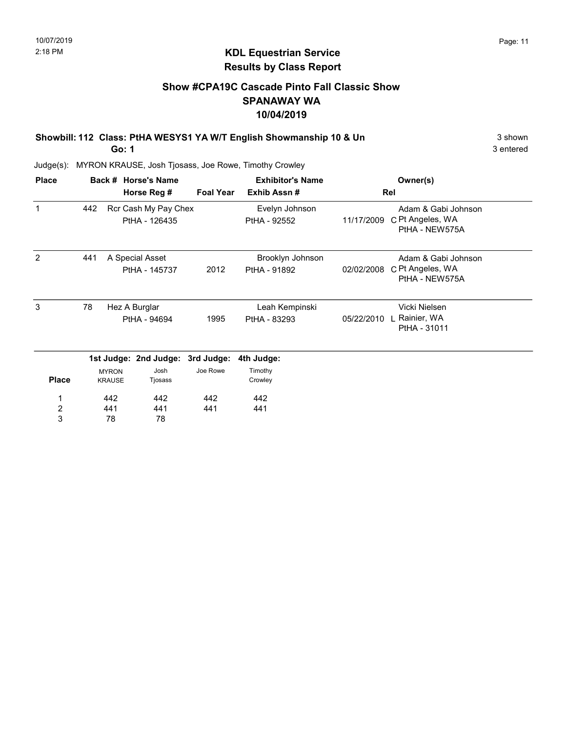# KDL Equestrian Service Results by Class Report

# Show #CPA19C Cascade Pinto Fall Classic Show SPANAWAY WA 10/04/2019

Showbill: 112 Class: PtHA WESYS1 YA W/T English Showmanship 10 & Un 3 shown 3 shown

Go: 1

| <b>Place</b>            |     |                               | Back # Horse's Name<br>Horse Reg #    | <b>Foal Year</b> | <b>Exhibitor's Name</b><br>Exhib Assn# |            | Owner(s)<br>Rel                                           |
|-------------------------|-----|-------------------------------|---------------------------------------|------------------|----------------------------------------|------------|-----------------------------------------------------------|
| 1                       | 442 |                               | Rcr Cash My Pay Chex<br>PtHA - 126435 |                  | Evelyn Johnson<br>PtHA - 92552         | 11/17/2009 | Adam & Gabi Johnson<br>C Pt Angeles, WA<br>PtHA - NEW575A |
| 2                       | 441 |                               | A Special Asset                       |                  | Brooklyn Johnson                       |            | Adam & Gabi Johnson                                       |
|                         |     |                               | PtHA - 145737                         | 2012             | PtHA - 91892                           | 02/02/2008 | C Pt Angeles, WA<br>PtHA - NEW575A                        |
| 3                       | 78  |                               | Hez A Burglar                         |                  | Leah Kempinski                         |            | Vicki Nielsen                                             |
|                         |     |                               | PtHA - 94694                          | 1995             | PtHA - 83293                           | 05/22/2010 | Rainier, WA<br>PtHA - 31011                               |
|                         |     |                               | 1st Judge: 2nd Judge:                 | 3rd Judge:       | 4th Judge:                             |            |                                                           |
| <b>Place</b>            |     | <b>MYRON</b><br><b>KRAUSE</b> | Josh<br>Tjosass                       | Joe Rowe         | Timothy<br>Crowley                     |            |                                                           |
|                         |     | 442                           | 442                                   | 442              | 442                                    |            |                                                           |
| $\overline{\mathbf{c}}$ |     | 441                           | 441                                   | 441              | 441                                    |            |                                                           |
| 3                       |     | 78                            | 78                                    |                  |                                        |            |                                                           |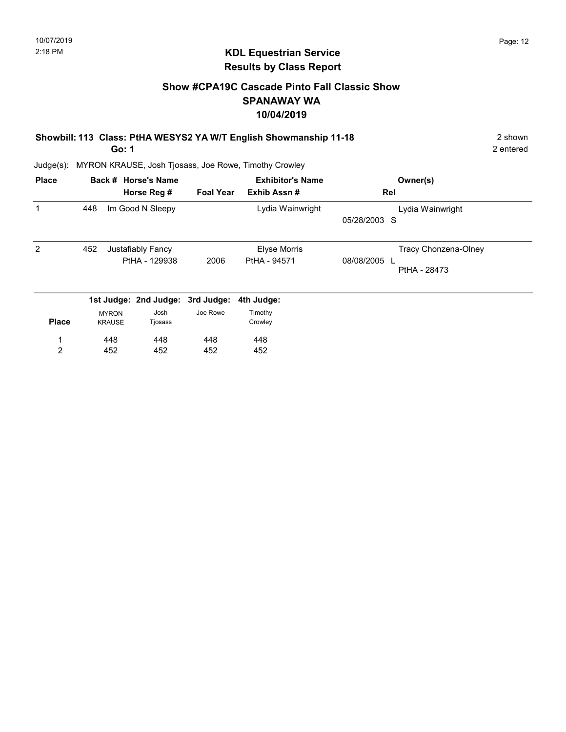# KDL Equestrian Service Results by Class Report

# Show #CPA19C Cascade Pinto Fall Classic Show SPANAWAY WA 10/04/2019

Showbill: 113 Class: PtHA WESYS2 YA W/T English Showmanship 11-18 2 Shown

Go: 1

452

2

Judge(s): MYRON KRAUSE, Josh Tjosass, Joe Rowe, Timothy Crowley

452

452

| <b>Place</b> |                               | Back # Horse's Name                |                  | <b>Exhibitor's Name</b>             | Owner(s)                                                 |
|--------------|-------------------------------|------------------------------------|------------------|-------------------------------------|----------------------------------------------------------|
|              |                               | Horse Reg #                        | <b>Foal Year</b> | Exhib Assn#                         | Rel                                                      |
|              | 448                           | Im Good N Sleepy                   |                  | Lydia Wainwright                    | Lydia Wainwright<br>05/28/2003 S                         |
| 2            | 452                           | Justafiably Fancy<br>PtHA - 129938 | 2006             | <b>Elyse Morris</b><br>PtHA - 94571 | Tracy Chonzena-Olney<br>08/08/2005<br>л.<br>PtHA - 28473 |
|              |                               | 1st Judge: 2nd Judge: 3rd Judge:   |                  | 4th Judge:                          |                                                          |
| <b>Place</b> | <b>MYRON</b><br><b>KRAUSE</b> | Josh<br>Tjosass                    | Joe Rowe         | Timothy<br>Crowley                  |                                                          |
|              | 448                           | 448                                | 448              | 448                                 |                                                          |

452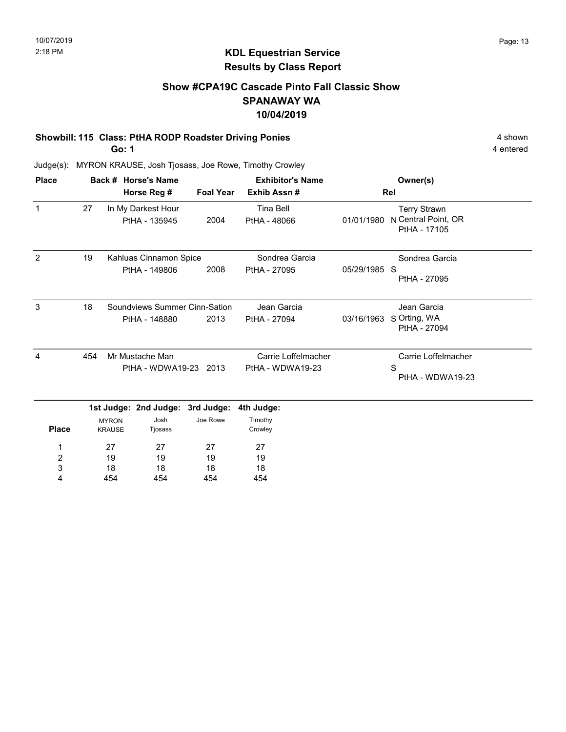# Show #CPA19C Cascade Pinto Fall Classic Show SPANAWAY WA 10/04/2019

#### Showbill: 115 Class: PtHA RODP Roadster Driving Ponies 4 shown

Go: 1

454

4

454

454

454

4 entered

| <b>Place</b>   |     | Back # Horse's Name                              |                               | <b>Exhibitor's Name</b>   |              | Owner(s)                                                   |
|----------------|-----|--------------------------------------------------|-------------------------------|---------------------------|--------------|------------------------------------------------------------|
|                |     | Horse Reg #                                      | <b>Foal Year</b>              | Exhib Assn#               |              | Rel                                                        |
| $\mathbf{1}$   | 27  | In My Darkest Hour<br>PtHA - 135945              | 2004                          | Tina Bell<br>PtHA - 48066 | 01/01/1980   | <b>Terry Strawn</b><br>N Central Point, OR<br>PtHA - 17105 |
| $\overline{2}$ | 19  | Kahluas Cinnamon Spice                           |                               | Sondrea Garcia            |              | Sondrea Garcia                                             |
|                |     | PtHA - 149806                                    | 2008                          | PtHA - 27095              | 05/29/1985 S | PtHA - 27095                                               |
| 3              | 18  |                                                  | Soundviews Summer Cinn-Sation | Jean Garcia               |              | Jean Garcia                                                |
|                |     | PtHA - 148880                                    | 2013                          | PtHA - 27094              | 03/16/1963   | S Orting, WA<br>PtHA - 27094                               |
| 4              | 454 | Mr Mustache Man                                  |                               | Carrie Loffelmacher       |              | Carrie Loffelmacher                                        |
|                |     |                                                  | PtHA - WDWA19-23 2013         | PtHA - WDWA19-23          |              | S<br>PtHA - WDWA19-23                                      |
|                |     | 1st Judge: 2nd Judge: 3rd Judge:                 |                               | 4th Judge:                |              |                                                            |
| <b>Place</b>   |     | Josh<br><b>MYRON</b><br><b>KRAUSE</b><br>Tjosass | Joe Rowe                      | Timothy<br>Crowley        |              |                                                            |
| 1              |     | 27<br>27                                         | 27                            | 27                        |              |                                                            |
| 2              |     | 19<br>19                                         | 19                            | 19                        |              |                                                            |
| 3              |     | 18<br>18                                         | 18                            | 18                        |              |                                                            |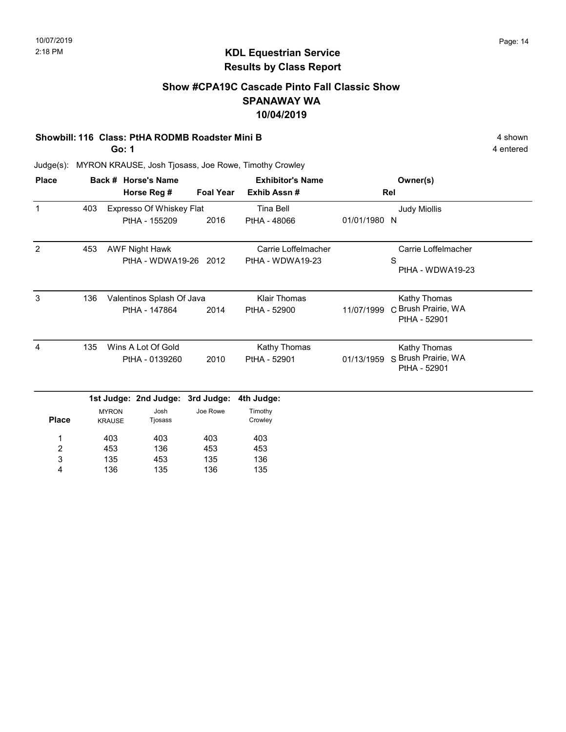# Show #CPA19C Cascade Pinto Fall Classic Show SPANAWAY WA 10/04/2019

#### Showbill: 116 Class: PtHA RODMB Roadster Mini B 4 shown

Go: 1

4 entered

| <b>Place</b> |     |                               | Back # Horse's Name              |                  | <b>Exhibitor's Name</b> |              | Owner(s)                            |
|--------------|-----|-------------------------------|----------------------------------|------------------|-------------------------|--------------|-------------------------------------|
|              |     |                               | Horse Reg #                      | <b>Foal Year</b> | Exhib Assn#             |              | Rel                                 |
| $\mathbf{1}$ | 403 |                               | Expresso Of Whiskey Flat         |                  | Tina Bell               |              | <b>Judy Miollis</b>                 |
|              |     |                               | PtHA - 155209                    | 2016             | PtHA - 48066            | 01/01/1980 N |                                     |
| 2            | 453 |                               | <b>AWF Night Hawk</b>            |                  | Carrie Loffelmacher     |              | Carrie Loffelmacher                 |
|              |     |                               | PtHA - WDWA19-26 2012            |                  | PtHA - WDWA19-23        |              | S<br>PtHA - WDWA19-23               |
| 3            | 136 |                               | Valentinos Splash Of Java        |                  | <b>Klair Thomas</b>     |              | Kathy Thomas                        |
|              |     |                               | PtHA - 147864                    | 2014             | PtHA - 52900            | 11/07/1999   | C Brush Prairie, WA<br>PtHA - 52901 |
| 4            | 135 |                               | Wins A Lot Of Gold               |                  | Kathy Thomas            |              | Kathy Thomas                        |
|              |     |                               | PtHA - 0139260                   | 2010             | PtHA - 52901            | 01/13/1959   | S Brush Prairie, WA<br>PtHA - 52901 |
|              |     |                               | 1st Judge: 2nd Judge: 3rd Judge: |                  | 4th Judge:              |              |                                     |
| <b>Place</b> |     | <b>MYRON</b><br><b>KRAUSE</b> | Josh<br>Tjosass                  | Joe Rowe         | Timothy<br>Crowley      |              |                                     |
| 1            |     | 403                           | 403                              | 403              | 403                     |              |                                     |
| 2            |     | 453                           | 136                              | 453              | 453                     |              |                                     |
| 3            |     | 135                           | 453                              | 135              | 136                     |              |                                     |
| 4            |     | 136                           | 135                              | 136              | 135                     |              |                                     |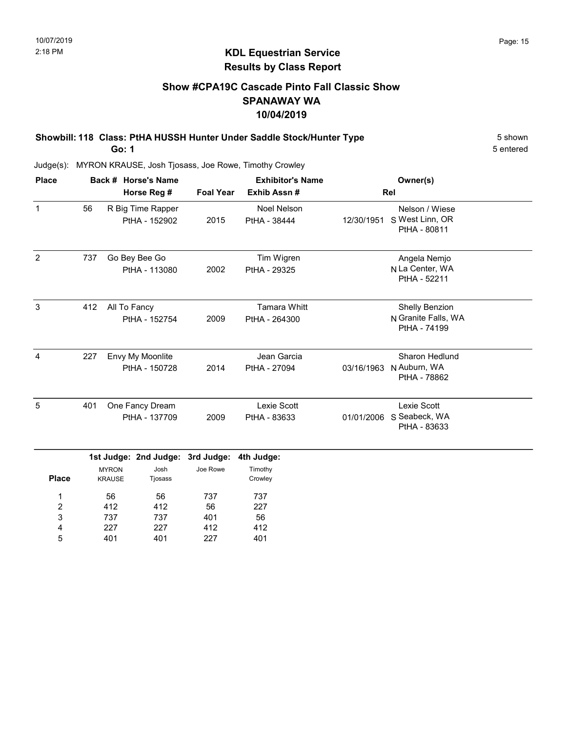# Show #CPA19C Cascade Pinto Fall Classic Show SPANAWAY WA 10/04/2019

Showbill: 118 Class: PtHA HUSSH Hunter Under Saddle Stock/Hunter Type 5 Shown Go: 1

5 entered

Judge(s): MYRON KRAUSE, Josh Tjosass, Joe Rowe, Timothy Crowley

| <b>Place</b>   |     |                               | Back # Horse's Name                      |                        | <b>Exhibitor's Name</b>              |            | Owner(s)                                              |
|----------------|-----|-------------------------------|------------------------------------------|------------------------|--------------------------------------|------------|-------------------------------------------------------|
|                |     |                               | Horse Reg #                              | <b>Foal Year</b>       | Exhib Assn#                          |            | Rel                                                   |
| $\mathbf{1}$   | 56  |                               | R Big Time Rapper<br>PtHA - 152902       | 2015                   | <b>Noel Nelson</b><br>PtHA - 38444   | 12/30/1951 | Nelson / Wiese<br>S West Linn, OR<br>PtHA - 80811     |
| $\overline{2}$ | 737 |                               | Go Bey Bee Go<br>PtHA - 113080           | 2002                   | Tim Wigren<br>PtHA - 29325           |            | Angela Nemjo<br>N La Center, WA<br>PtHA - 52211       |
| 3              | 412 | All To Fancy                  | PtHA - 152754                            | 2009                   | <b>Tamara Whitt</b><br>PtHA - 264300 |            | Shelly Benzion<br>N Granite Falls, WA<br>PtHA - 74199 |
| 4              | 227 |                               | Envy My Moonlite<br>PtHA - 150728        | 2014                   | Jean Garcia<br>PtHA - 27094          | 03/16/1963 | Sharon Hedlund<br>N Auburn, WA<br>PtHA - 78862        |
| 5              | 401 |                               | One Fancy Dream<br>PtHA - 137709         | 2009                   | Lexie Scott<br>PtHA - 83633          | 01/01/2006 | Lexie Scott<br>S Seabeck, WA<br>PtHA - 83633          |
| <b>Place</b>   |     | <b>MYRON</b><br><b>KRAUSE</b> | 1st Judge: 2nd Judge:<br>Josh<br>Tjosass | 3rd Judge:<br>Joe Rowe | 4th Judge:<br>Timothy<br>Crowley     |            |                                                       |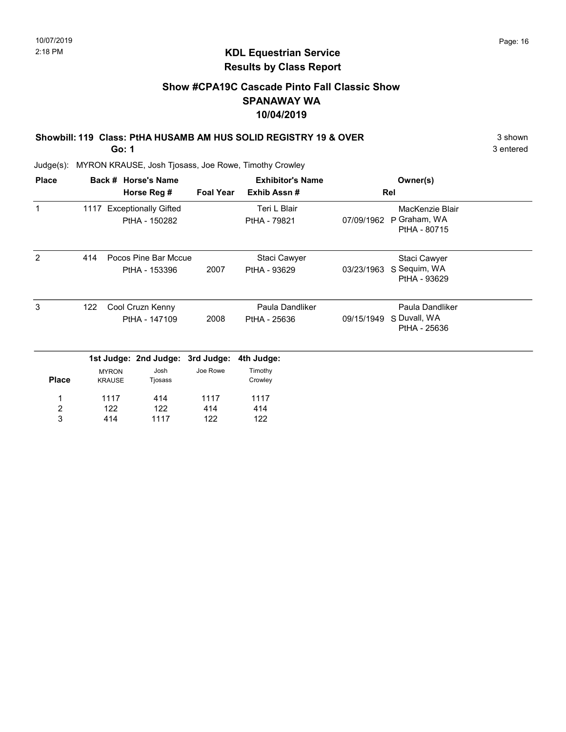# Show #CPA19C Cascade Pinto Fall Classic Show SPANAWAY WA 10/04/2019

### Showbill: 119 Class: PtHA HUSAMB AM HUS SOLID REGISTRY 19 & OVER 3 shown

Go: 1

3 entered

| <b>Place</b>            |     |                               | Back # Horse's Name                        |                  | <b>Exhibitor's Name</b>         |            | Owner(s)                                        |  |
|-------------------------|-----|-------------------------------|--------------------------------------------|------------------|---------------------------------|------------|-------------------------------------------------|--|
|                         |     |                               | Horse Reg #                                | <b>Foal Year</b> | Exhib Assn#                     |            | Rel                                             |  |
| $\mathbf 1$             |     |                               | 1117 Exceptionally Gifted<br>PtHA - 150282 |                  | Teri L Blair<br>PtHA - 79821    | 07/09/1962 | MacKenzie Blair<br>P Graham, WA<br>PtHA - 80715 |  |
| 2                       | 414 |                               | Pocos Pine Bar Mccue<br>PtHA - 153396      | 2007             | Staci Cawyer<br>PtHA - 93629    | 03/23/1963 | Staci Cawyer<br>S Sequim, WA<br>PtHA - 93629    |  |
| 3                       | 122 |                               | Cool Cruzn Kenny<br>PtHA - 147109          | 2008             | Paula Dandliker<br>PtHA - 25636 | 09/15/1949 | Paula Dandliker<br>S Duvall, WA<br>PtHA - 25636 |  |
|                         |     |                               | 1st Judge: 2nd Judge: 3rd Judge:           |                  | 4th Judge:                      |            |                                                 |  |
| <b>Place</b>            |     | <b>MYRON</b><br><b>KRAUSE</b> | Josh<br>Tjosass                            | Joe Rowe         | Timothy<br>Crowley              |            |                                                 |  |
| 1                       |     | 1117                          | 414                                        | 1117             | 1117                            |            |                                                 |  |
| $\overline{\mathbf{c}}$ |     | 122                           | 122                                        | 414              | 414                             |            |                                                 |  |
| 3                       |     | 414                           | 1117                                       | 122              | 122                             |            |                                                 |  |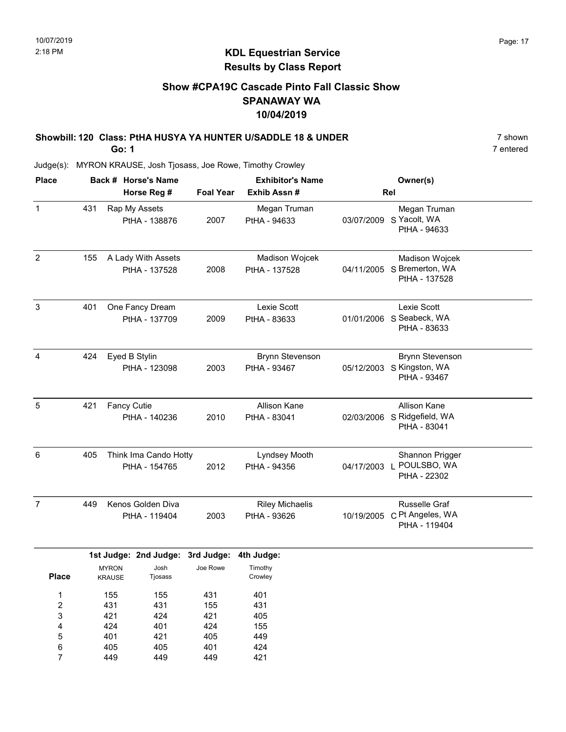# KDL Equestrian Service Results by Class Report

# Show #CPA19C Cascade Pinto Fall Classic Show SPANAWAY WA 10/04/2019

# Showbill: 120 Class: PtHA HUSYA YA HUNTER U/SADDLE 18 & UNDER 7 shown

Go: 1

449

7

449

449

421

| <b>Place</b>                                   |     |                                 | Back # Horse's Name                    |                                 | <b>Exhibitor's Name</b>                |              | Owner(s)                                                            |  |
|------------------------------------------------|-----|---------------------------------|----------------------------------------|---------------------------------|----------------------------------------|--------------|---------------------------------------------------------------------|--|
|                                                |     |                                 | Horse Reg #                            | <b>Foal Year</b>                | Exhib Assn#                            |              | Rel                                                                 |  |
| $\mathbf 1$                                    | 431 |                                 | Rap My Assets<br>PtHA - 138876         | 2007                            | Megan Truman<br>PtHA - 94633           | 03/07/2009   | Megan Truman<br>S Yacolt, WA<br>PtHA - 94633                        |  |
| $\overline{2}$                                 | 155 |                                 | A Lady With Assets<br>PtHA - 137528    | 2008                            | Madison Wojcek<br>PtHA - 137528        |              | Madison Wojcek<br>04/11/2005 S Bremerton, WA<br>PtHA - 137528       |  |
| 3                                              | 401 |                                 | One Fancy Dream<br>PtHA - 137709       | 2009                            | Lexie Scott<br>PtHA - 83633            |              | Lexie Scott<br>01/01/2006 S Seabeck, WA<br>PtHA - 83633             |  |
| 4                                              | 424 | Eyed B Stylin                   | PtHA - 123098                          | 2003                            | <b>Brynn Stevenson</b><br>PtHA - 93467 |              | <b>Brynn Stevenson</b><br>05/12/2003 S Kingston, WA<br>PtHA - 93467 |  |
| 5                                              | 421 | <b>Fancy Cutie</b>              | PtHA - 140236                          | 2010                            | Allison Kane<br>PtHA - 83041           |              | Allison Kane<br>02/03/2006 S Ridgefield, WA<br>PtHA - 83041         |  |
| $\,6\,$                                        | 405 |                                 | Think Ima Cando Hotty<br>PtHA - 154765 | 2012                            | Lyndsey Mooth<br>PtHA - 94356          | 04/17/2003 L | Shannon Prigger<br>POULSBO, WA<br>PtHA - 22302                      |  |
| $\overline{7}$                                 | 449 |                                 | Kenos Golden Diva<br>PtHA - 119404     | 2003                            | <b>Riley Michaelis</b><br>PtHA - 93626 | 10/19/2005   | Russelle Graf<br>C Pt Angeles, WA<br>PtHA - 119404                  |  |
|                                                |     |                                 | 1st Judge: 2nd Judge:                  | 3rd Judge:                      | 4th Judge:                             |              |                                                                     |  |
| <b>Place</b>                                   |     | <b>MYRON</b><br><b>KRAUSE</b>   | Josh<br>Tjosass                        | Joe Rowe                        | Timothy<br>Crowley                     |              |                                                                     |  |
| $\mathbf 1$<br>$\boldsymbol{2}$<br>3<br>4<br>5 |     | 155<br>431<br>421<br>424<br>401 | 155<br>431<br>424<br>401<br>421        | 431<br>155<br>421<br>424<br>405 | 401<br>431<br>405<br>155<br>449        |              |                                                                     |  |
| 6                                              |     | 405                             | 405                                    | 401                             | 424                                    |              |                                                                     |  |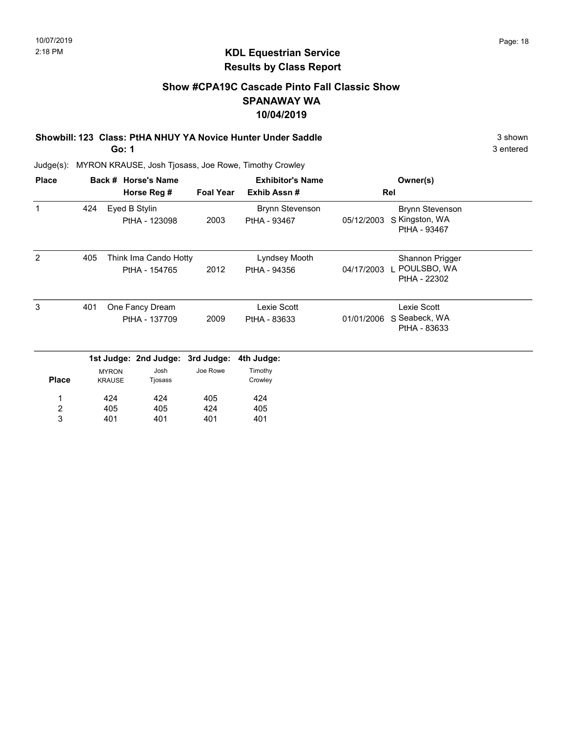# Show #CPA19C Cascade Pinto Fall Classic Show SPANAWAY WA 10/04/2019

#### Showbill: 123 Class: PtHA NHUY YA Novice Hunter Under Saddle 3 shown 3 shown Go: 1

3 entered

| <b>Place</b>            |     |                               | Back # Horse's Name                    |                  | <b>Exhibitor's Name</b>                |            | Owner(s)                                                 |  |
|-------------------------|-----|-------------------------------|----------------------------------------|------------------|----------------------------------------|------------|----------------------------------------------------------|--|
|                         |     |                               | Horse Reg #                            | <b>Foal Year</b> | Exhib Assn#                            |            | Rel                                                      |  |
| 1                       | 424 |                               | Eyed B Stylin<br>PtHA - 123098         | 2003             | <b>Brynn Stevenson</b><br>PtHA - 93467 | 05/12/2003 | <b>Brynn Stevenson</b><br>S Kingston, WA<br>PtHA - 93467 |  |
| 2                       | 405 |                               | Think Ima Cando Hotty<br>PtHA - 154765 | 2012             | Lyndsey Mooth<br>PtHA - 94356          | 04/17/2003 | Shannon Prigger<br>L POULSBO, WA<br>PtHA - 22302         |  |
| 3                       | 401 |                               | One Fancy Dream<br>PtHA - 137709       | 2009             | Lexie Scott<br>PtHA - 83633            | 01/01/2006 | Lexie Scott<br>S Seabeck, WA<br>PtHA - 83633             |  |
|                         |     |                               | 1st Judge: 2nd Judge: 3rd Judge:       |                  | 4th Judge:                             |            |                                                          |  |
| <b>Place</b>            |     | <b>MYRON</b><br><b>KRAUSE</b> | Josh<br>Tjosass                        | Joe Rowe         | Timothy<br>Crowley                     |            |                                                          |  |
| 1                       |     | 424                           | 424                                    | 405              | 424                                    |            |                                                          |  |
| $\overline{\mathbf{c}}$ |     | 405                           | 405                                    | 424              | 405                                    |            |                                                          |  |
| 3                       |     | 401                           | 401                                    | 401              | 401                                    |            |                                                          |  |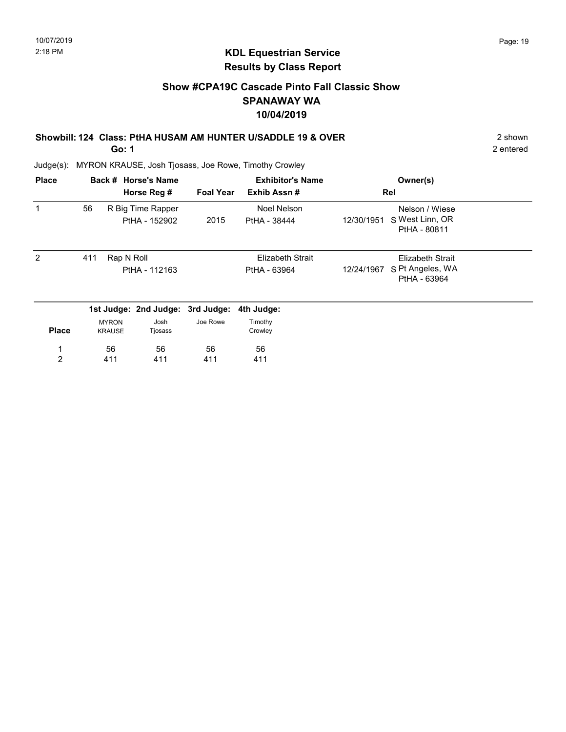# KDL Equestrian Service Results by Class Report

# Show #CPA19C Cascade Pinto Fall Classic Show SPANAWAY WA 10/04/2019

### Showbill: 124 Class: PtHA HUSAM AM HUNTER U/SADDLE 19 & OVER 2 shown

Go: 1

| <b>Place</b>   |     |                               | Back # Horse's Name<br>Horse Reg # | <b>Foal Year</b> | <b>Exhibitor's Name</b><br>Exhib Assn# | Owner(s)<br>Rel                                                           |
|----------------|-----|-------------------------------|------------------------------------|------------------|----------------------------------------|---------------------------------------------------------------------------|
| 1              | 56  |                               | R Big Time Rapper<br>PtHA - 152902 | 2015             | Noel Nelson<br>PtHA - 38444            | Nelson / Wiese<br>S West Linn, OR<br>12/30/1951<br>PtHA - 80811           |
| 2              | 411 | Rap N Roll                    | PtHA - 112163                      |                  | Elizabeth Strait<br>PtHA - 63964       | <b>Elizabeth Strait</b><br>S Pt Angeles, WA<br>12/24/1967<br>PtHA - 63964 |
|                |     |                               | 1st Judge: 2nd Judge: 3rd Judge:   |                  | 4th Judge:                             |                                                                           |
| <b>Place</b>   |     | <b>MYRON</b><br><b>KRAUSE</b> | Josh<br>Tjosass                    | Joe Rowe         | Timothy<br>Crowley                     |                                                                           |
|                |     | 56                            | 56                                 | 56               | 56                                     |                                                                           |
| $\overline{2}$ |     | 411                           | 411                                | 411              | 411                                    |                                                                           |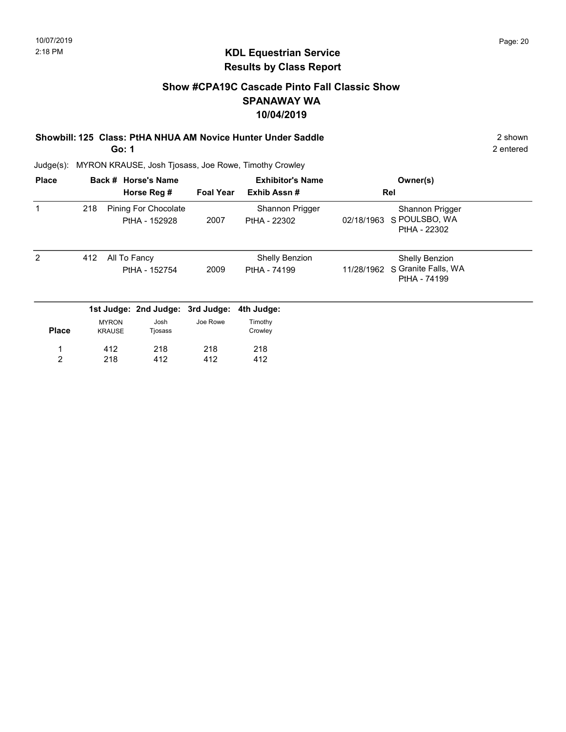# Show #CPA19C Cascade Pinto Fall Classic Show SPANAWAY WA 10/04/2019

Showbill: 125 Class: PtHA NHUA AM Novice Hunter Under Saddle 2 shown 2 shown Go: 1

2 entered

| <b>Place</b>  |     |                               | Back # Horse's Name                   |                  | <b>Exhibitor's Name</b>               |            | Owner(s)                                                     |  |
|---------------|-----|-------------------------------|---------------------------------------|------------------|---------------------------------------|------------|--------------------------------------------------------------|--|
|               |     |                               | Horse Reg #                           | <b>Foal Year</b> | Exhib Assn#                           |            | Rel                                                          |  |
|               | 218 |                               | Pining For Chocolate<br>PtHA - 152928 | 2007             | Shannon Prigger<br>PtHA - 22302       | 02/18/1963 | Shannon Prigger<br>S POULSBO, WA<br>PtHA - 22302             |  |
| $\mathcal{P}$ | 412 | All To Fancy                  | PtHA - 152754                         | 2009             | <b>Shelly Benzion</b><br>PtHA - 74199 | 11/28/1962 | <b>Shelly Benzion</b><br>S Granite Falls, WA<br>PtHA - 74199 |  |
|               |     |                               | 1st Judge: 2nd Judge: 3rd Judge:      |                  | 4th Judge:                            |            |                                                              |  |
| <b>Place</b>  |     | <b>MYRON</b><br><b>KRAUSE</b> | Josh<br>Tjosass                       | Joe Rowe         | Timothy<br>Crowley                    |            |                                                              |  |
|               |     | 412                           | 218                                   | 218              | 218                                   |            |                                                              |  |
| 2             |     | 218                           | 412                                   | 412              | 412                                   |            |                                                              |  |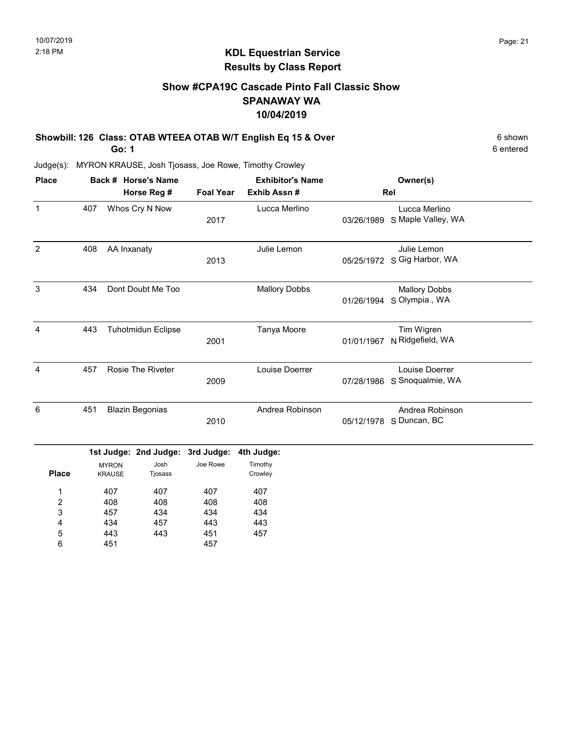# KDL Equestrian Service Results by Class Report

# Show #CPA19C Cascade Pinto Fall Classic Show SPANAWAY WA 10/04/2019

Showbill: 126 Class: OTAB WTEEA OTAB W/T English Eq 15 & Over 6 Shown 6 shown

Go: 1

| <b>Place</b> |     | Back # Horse's Name<br>Horse Reg # | <b>Foal Year</b> | <b>Exhibitor's Name</b><br>Exhib Assn# |            | Owner(s)<br>Rel                       |
|--------------|-----|------------------------------------|------------------|----------------------------------------|------------|---------------------------------------|
| $\mathbf{1}$ | 407 | Whos Cry N Now                     | 2017             | Lucca Merlino                          | 03/26/1989 | Lucca Merlino<br>S Maple Valley, WA   |
| 2            | 408 | AA Inxanaty                        | 2013             | Julie Lemon                            | 05/25/1972 | Julie Lemon<br>S Gig Harbor, WA       |
| 3            | 434 | Dont Doubt Me Too                  |                  | <b>Mallory Dobbs</b>                   | 01/26/1994 | <b>Mallory Dobbs</b><br>S Olympia, WA |
| 4            | 443 | <b>Tuhotmidun Eclipse</b>          | 2001             | Tanya Moore                            | 01/01/1967 | Tim Wigren<br>N Ridgefield, WA        |
| 4            | 457 | <b>Rosie The Riveter</b>           | 2009             | Louise Doerrer                         | 07/28/1986 | Louise Doerrer<br>S Snoqualmie, WA    |
| 6            | 451 | <b>Blazin Begonias</b>             | 2010             | Andrea Robinson                        | 05/12/1978 | Andrea Robinson<br>S Duncan, BC       |

|              |                               | 1st Judge: 2nd Judge: 3rd Judge: 4th Judge: |          |                    |
|--------------|-------------------------------|---------------------------------------------|----------|--------------------|
| <b>Place</b> | <b>MYRON</b><br><b>KRAUSE</b> | Josh<br>Tjosass                             | Joe Rowe | Timothy<br>Crowley |
| ◢            | 407                           | 407                                         | 407      | 407                |
| 2            | 408                           | 408                                         | 408      | 408                |
| 3            | 457                           | 434                                         | 434      | 434                |
| 4            | 434                           | 457                                         | 443      | 443                |
| 5            | 443                           | 443                                         | 451      | 457                |
| 6            | 451                           |                                             | 457      |                    |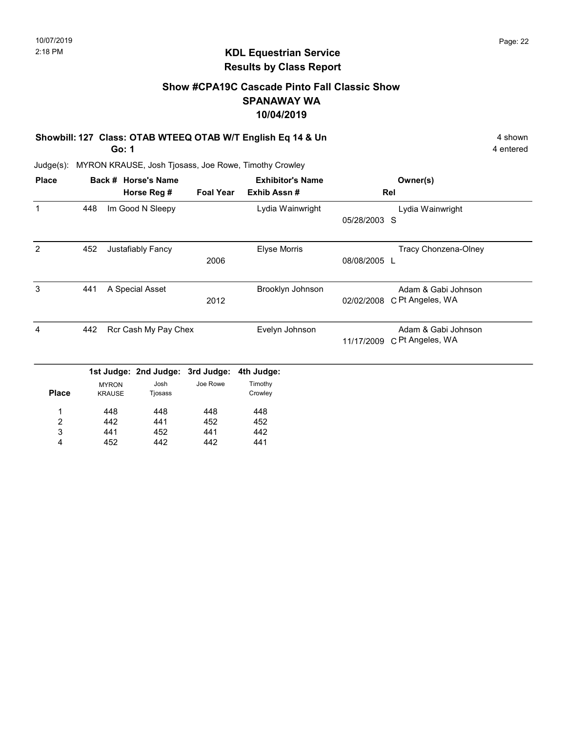### KDL Equestrian Service Results by Class Report

# Show #CPA19C Cascade Pinto Fall Classic Show SPANAWAY WA 10/04/2019

Showbill: 127 Class: OTAB WTEEQ OTAB W/T English Eq 14 & Un 4 shown 4 shown

Go: 1

| <b>Place</b>            |     |               | Back # Horse's Name   |                  | <b>Exhibitor's Name</b> |              | Owner(s)             |
|-------------------------|-----|---------------|-----------------------|------------------|-------------------------|--------------|----------------------|
|                         |     |               | Horse Reg #           | <b>Foal Year</b> | Exhib Assn#             |              | Rel                  |
| 1                       | 448 |               | Im Good N Sleepy      |                  | Lydia Wainwright        |              | Lydia Wainwright     |
|                         |     |               |                       |                  |                         | 05/28/2003   | S                    |
| 2                       | 452 |               | Justafiably Fancy     |                  | <b>Elyse Morris</b>     |              | Tracy Chonzena-Olney |
|                         |     |               |                       | 2006             |                         | 08/08/2005 L |                      |
| 3                       | 441 |               | A Special Asset       |                  | Brooklyn Johnson        |              | Adam & Gabi Johnson  |
|                         |     |               |                       | 2012             |                         | 02/02/2008   | C Pt Angeles, WA     |
| 4                       | 442 |               | Rcr Cash My Pay Chex  |                  | Evelyn Johnson          |              | Adam & Gabi Johnson  |
|                         |     |               |                       |                  |                         | 11/17/2009   | C Pt Angeles, WA     |
|                         |     |               | 1st Judge: 2nd Judge: | 3rd Judge:       | 4th Judge:              |              |                      |
|                         |     | <b>MYRON</b>  | Josh                  | Joe Rowe         | Timothy                 |              |                      |
| <b>Place</b>            |     | <b>KRAUSE</b> | Tjosass               |                  | Crowley                 |              |                      |
| 1                       |     | 448           | 448                   | 448              | 448                     |              |                      |
| $\overline{\mathbf{c}}$ |     | 442           | 441                   | 452              | 452                     |              |                      |
| 3                       |     | 441           | 452                   | 441              | 442                     |              |                      |
| 4                       |     | 452           | 442                   | 442              | 441                     |              |                      |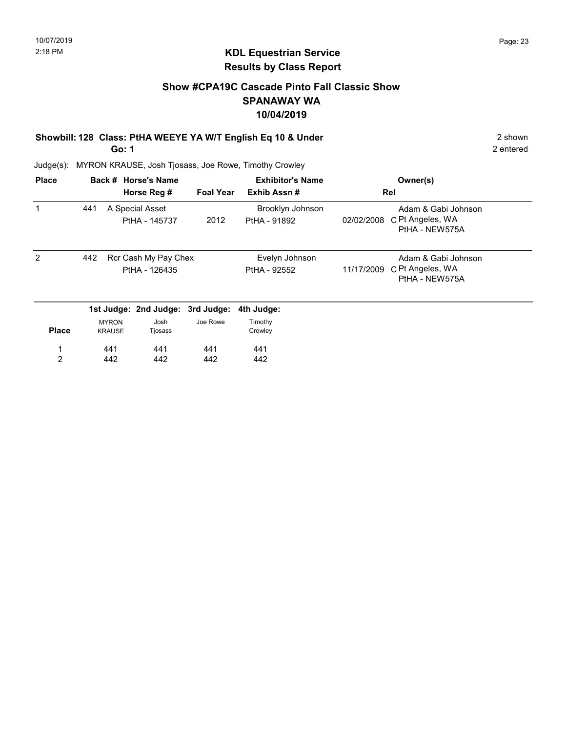# Show #CPA19C Cascade Pinto Fall Classic Show SPANAWAY WA 10/04/2019

# Showbill: 128 Class: PtHA WEEYE YA W/T English Eq 10 & Under 2 Shown 2 shown

Go: 1

2 entered

| <b>Place</b> |     |                               | Back # Horse's Name                   |                  | <b>Exhibitor's Name</b>          |            | Owner(s)                                                  |
|--------------|-----|-------------------------------|---------------------------------------|------------------|----------------------------------|------------|-----------------------------------------------------------|
|              |     |                               | Horse Reg #                           | <b>Foal Year</b> | Exhib Assn#                      |            | Rel                                                       |
|              | 441 |                               | A Special Asset<br>PtHA - 145737      | 2012             | Brooklyn Johnson<br>PtHA - 91892 | 02/02/2008 | Adam & Gabi Johnson<br>C Pt Angeles, WA<br>PtHA - NEW575A |
| 2            | 442 |                               | Rcr Cash My Pay Chex<br>PtHA - 126435 |                  | Evelyn Johnson<br>PtHA - 92552   | 11/17/2009 | Adam & Gabi Johnson<br>C Pt Angeles, WA<br>PtHA - NEW575A |
|              |     |                               | 1st Judge: 2nd Judge: 3rd Judge:      |                  | 4th Judge:                       |            |                                                           |
| <b>Place</b> |     | <b>MYRON</b><br><b>KRAUSE</b> | Josh<br>Tjosass                       | Joe Rowe         | Timothy<br>Crowley               |            |                                                           |
| 1            |     | 441                           | 441                                   | 441              | 441                              |            |                                                           |
| 2            |     | 442                           | 442                                   | 442              | 442                              |            |                                                           |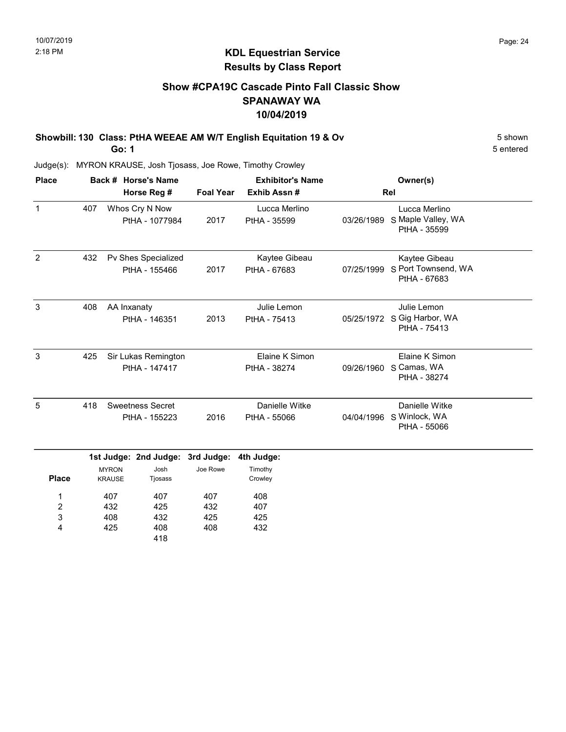# KDL Equestrian Service Results by Class Report

# Show #CPA19C Cascade Pinto Fall Classic Show SPANAWAY WA 10/04/2019

Showbill: 130 Class: PtHA WEEAE AM W/T English Equitation 19 & Ov 5 Shown

Go: 1

432 408 425

2  $\overline{3}$ 4

432 425 408 407 425 432

| <b>Place</b> |     | Back # Horse's Name                  |                                                     |                  | <b>Exhibitor's Name</b>          |            | Owner(s)                                                   |  |
|--------------|-----|--------------------------------------|-----------------------------------------------------|------------------|----------------------------------|------------|------------------------------------------------------------|--|
|              |     |                                      | Horse Reg #                                         | <b>Foal Year</b> | Exhib Assn#                      |            | Rel                                                        |  |
| $\mathbf{1}$ | 407 |                                      | Whos Cry N Now<br>PtHA - 1077984                    | 2017             | Lucca Merlino<br>PtHA - 35599    | 03/26/1989 | Lucca Merlino<br>S Maple Valley, WA<br>PtHA - 35599        |  |
| 2            | 432 |                                      | Pv Shes Specialized<br>PtHA - 155466                | 2017             | Kaytee Gibeau<br>PtHA - 67683    | 07/25/1999 | Kaytee Gibeau<br>S Port Townsend, WA<br>PtHA - 67683       |  |
| 3            | 408 | AA Inxanaty                          | PtHA - 146351                                       | 2013             | Julie Lemon<br>PtHA - 75413      |            | Julie Lemon<br>05/25/1972 S Gig Harbor, WA<br>PtHA - 75413 |  |
| 3            | 425 | Sir Lukas Remington<br>PtHA - 147417 |                                                     |                  | Elaine K Simon<br>PtHA - 38274   | 09/26/1960 | Elaine K Simon<br>S Camas, WA<br>PtHA - 38274              |  |
| 5            | 418 |                                      | <b>Sweetness Secret</b><br>PtHA - 155223            | 2016             | Danielle Witke<br>PtHA - 55066   |            | Danielle Witke<br>04/04/1996 S Winlock, WA<br>PtHA - 55066 |  |
| <b>Place</b> |     | <b>MYRON</b><br><b>KRAUSE</b>        | 1st Judge: 2nd Judge: 3rd Judge:<br>Josh<br>Tjosass | Joe Rowe         | 4th Judge:<br>Timothy<br>Crowley |            |                                                            |  |
| 1            |     | 407                                  | 407                                                 | 407              | 408                              |            |                                                            |  |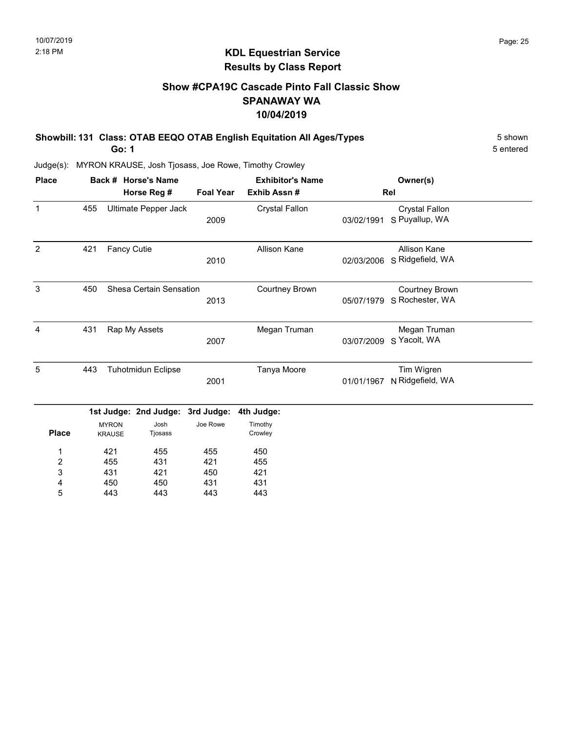# KDL Equestrian Service Results by Class Report

# Show #CPA19C Cascade Pinto Fall Classic Show SPANAWAY WA 10/04/2019

Showbill: 131 Class: OTAB EEQO OTAB English Equitation All Ages/Types 5 Shown

Go: 1

| <b>Place</b>            |     |                               | Back # Horse's Name     |                  | <b>Exhibitor's Name</b> |            | Owner(s)                                 |  |
|-------------------------|-----|-------------------------------|-------------------------|------------------|-------------------------|------------|------------------------------------------|--|
|                         |     |                               | Horse Reg #             | <b>Foal Year</b> | Exhib Assn#             |            | Rel                                      |  |
| $\mathbf{1}$            | 455 |                               | Ultimate Pepper Jack    | 2009             | <b>Crystal Fallon</b>   | 03/02/1991 | <b>Crystal Fallon</b><br>S Puyallup, WA  |  |
| $\overline{2}$          | 421 | <b>Fancy Cutie</b>            |                         | 2010             | Allison Kane            | 02/03/2006 | Allison Kane<br>S Ridgefield, WA         |  |
| 3                       | 450 |                               | Shesa Certain Sensation | 2013             | <b>Courtney Brown</b>   | 05/07/1979 | <b>Courtney Brown</b><br>S Rochester, WA |  |
| $\overline{4}$          | 431 |                               | Rap My Assets           | 2007             | Megan Truman            | 03/07/2009 | Megan Truman<br>S Yacolt, WA             |  |
| 5                       | 443 | <b>Tuhotmidun Eclipse</b>     |                         | 2001             | Tanya Moore             | 01/01/1967 | Tim Wigren<br>N Ridgefield, WA           |  |
|                         |     |                               | 1st Judge: 2nd Judge:   | 3rd Judge:       | 4th Judge:              |            |                                          |  |
| <b>Place</b>            |     | <b>MYRON</b><br><b>KRAUSE</b> | Josh<br>Tjosass         | Joe Rowe         | Timothy<br>Crowley      |            |                                          |  |
| 1                       |     | 421                           | 455                     | 455              | 450                     |            |                                          |  |
| $\overline{\mathbf{c}}$ |     | 455                           | 431                     | 421              | 455                     |            |                                          |  |
| 3                       |     | 431                           | 421                     | 450              | 421                     |            |                                          |  |
| 4                       |     | 450                           | 450                     | 431              | 431                     |            |                                          |  |
| 5                       |     | 443                           | 443                     | 443              | 443                     |            |                                          |  |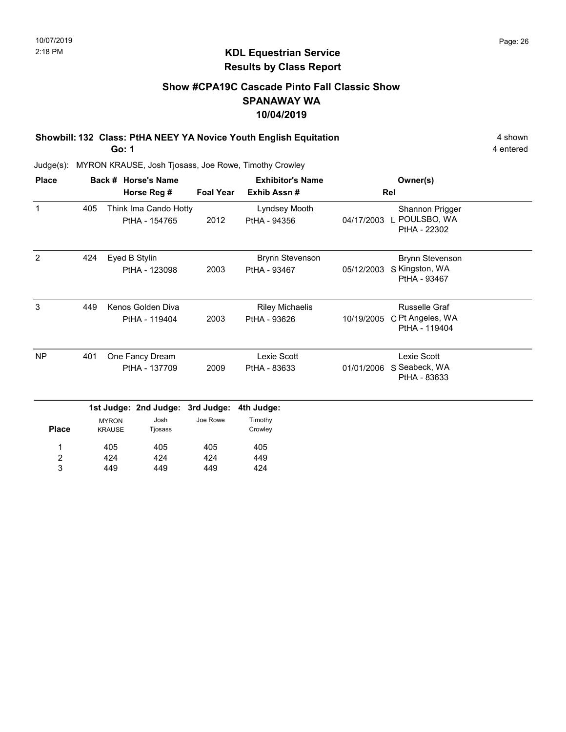# Show #CPA19C Cascade Pinto Fall Classic Show SPANAWAY WA 10/04/2019

Showbill: 132 Class: PtHA NEEY YA Novice Youth English Equitation 4 Shown 4 shown

Go: 1

4 entered

| <b>Place</b>   |     |                               | Back # Horse's Name                    |                  | <b>Exhibitor's Name</b>                |            | Owner(s)                                                  |  |
|----------------|-----|-------------------------------|----------------------------------------|------------------|----------------------------------------|------------|-----------------------------------------------------------|--|
|                |     |                               | Horse Reg #                            | <b>Foal Year</b> | Exhib Assn#                            |            | Rel                                                       |  |
| $\mathbf 1$    | 405 |                               | Think Ima Cando Hotty<br>PtHA - 154765 | 2012             | Lyndsey Mooth<br>PtHA - 94356          | 04/17/2003 | Shannon Prigger<br>L POULSBO, WA<br>PtHA - 22302          |  |
| $\overline{2}$ | 424 |                               | Eyed B Stylin<br>PtHA - 123098         | 2003             | <b>Brynn Stevenson</b><br>PtHA - 93467 | 05/12/2003 | <b>Brynn Stevenson</b><br>S Kingston, WA<br>PtHA - 93467  |  |
| 3              | 449 |                               | Kenos Golden Diva<br>PtHA - 119404     | 2003             | <b>Riley Michaelis</b><br>PtHA - 93626 | 10/19/2005 | <b>Russelle Graf</b><br>C Pt Angeles, WA<br>PtHA - 119404 |  |
| <b>NP</b>      | 401 |                               | One Fancy Dream<br>PtHA - 137709       | 2009             | Lexie Scott<br>PtHA - 83633            | 01/01/2006 | Lexie Scott<br>S Seabeck, WA<br>PtHA - 83633              |  |
|                |     |                               | 1st Judge: 2nd Judge:                  | 3rd Judge:       | 4th Judge:                             |            |                                                           |  |
| <b>Place</b>   |     | <b>MYRON</b><br><b>KRAUSE</b> | Josh<br>Tjosass                        | Joe Rowe         | Timothy<br>Crowley                     |            |                                                           |  |
| 1              |     | 405                           | 405                                    | 405              | 405                                    |            |                                                           |  |
| $\frac{2}{3}$  |     | 424<br>449                    | 424<br>449                             | 424<br>449       | 449<br>424                             |            |                                                           |  |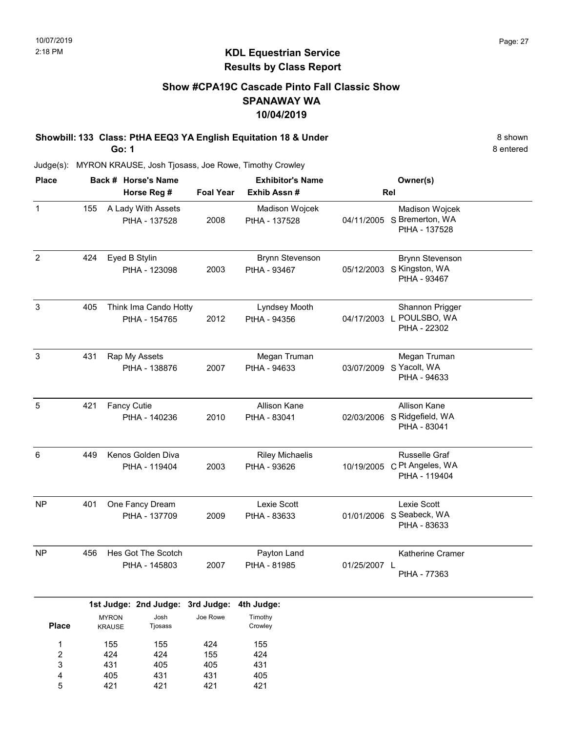# Show #CPA19C Cascade Pinto Fall Classic Show SPANAWAY WA 10/04/2019

Showbill: 133 Class: PtHA EEQ3 YA English Equitation 18 & Under 8 Shown 8 shown Go: 1

8 entered

Judge(s): MYRON KRAUSE, Josh Tjosass, Joe Rowe, Timothy Crowley

| <b>Place</b>   |     |                               | Back # Horse's Name                      |                  | <b>Exhibitor's Name</b>                |              | Owner(s)                                                            |
|----------------|-----|-------------------------------|------------------------------------------|------------------|----------------------------------------|--------------|---------------------------------------------------------------------|
|                |     |                               | Horse Reg #                              | <b>Foal Year</b> | Exhib Assn #                           |              | Rel                                                                 |
| $\mathbf 1$    | 155 |                               | A Lady With Assets<br>PtHA - 137528      | 2008             | Madison Wojcek<br>PtHA - 137528        |              | Madison Wojcek<br>04/11/2005 S Bremerton, WA<br>PtHA - 137528       |
| $\overline{2}$ | 424 |                               | Eyed B Stylin<br>PtHA - 123098           | 2003             | <b>Brynn Stevenson</b><br>PtHA - 93467 |              | <b>Brynn Stevenson</b><br>05/12/2003 S Kingston, WA<br>PtHA - 93467 |
| $\mathsf 3$    | 405 |                               | Think Ima Cando Hotty<br>PtHA - 154765   | 2012             | Lyndsey Mooth<br>PtHA - 94356          |              | Shannon Prigger<br>04/17/2003 L POULSBO, WA<br>PtHA - 22302         |
| $\mathbf{3}$   | 431 |                               | Rap My Assets<br>PtHA - 138876           | 2007             | Megan Truman<br>PtHA - 94633           |              | Megan Truman<br>03/07/2009 S Yacolt, WA<br>PtHA - 94633             |
| 5              | 421 | Fancy Cutie                   | PtHA - 140236                            | 2010             | Allison Kane<br>PtHA - 83041           |              | Allison Kane<br>02/03/2006 S Ridgefield, WA<br>PtHA - 83041         |
| 6              | 449 |                               | Kenos Golden Diva<br>PtHA - 119404       | 2003             | <b>Riley Michaelis</b><br>PtHA - 93626 |              | Russelle Graf<br>10/19/2005 C Pt Angeles, WA<br>PtHA - 119404       |
| NP             | 401 |                               | One Fancy Dream<br>PtHA - 137709         | 2009             | Lexie Scott<br>PtHA - 83633            |              | Lexie Scott<br>01/01/2006 S Seabeck, WA<br>PtHA - 83633             |
| NP             | 456 |                               | Hes Got The Scotch<br>PtHA - 145803      | 2007             | Payton Land<br>PtHA - 81985            | 01/25/2007 L | Katherine Cramer<br>PtHA - 77363                                    |
|                |     |                               | 1st Judge: 2nd Judge: 3rd Judge:<br>Josh | Joe Rowe         | 4th Judge:                             |              |                                                                     |
| <b>Place</b>   |     | <b>MYRON</b><br><b>KRAUSE</b> | Tjosass                                  |                  | Timothy<br>Crowley                     |              |                                                                     |
| $\mathbf{1}$   |     | 155                           | 155                                      | 424              | 155                                    |              |                                                                     |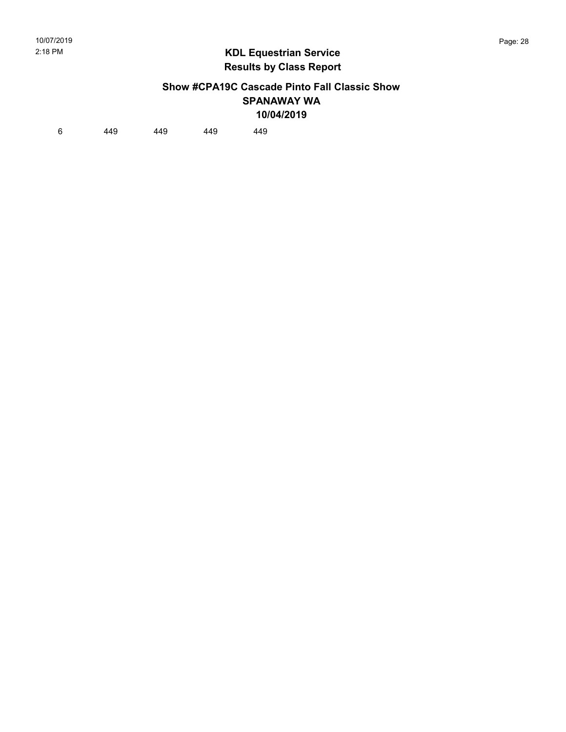#### Show #CPA19C Cascade Pinto Fall Classic Show SPANAWAY WA 10/04/2019

6 449 449 449 449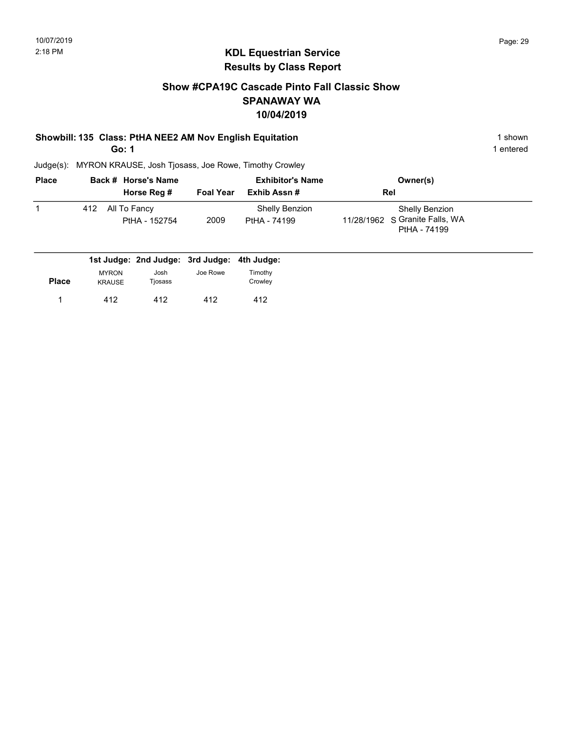# Show #CPA19C Cascade Pinto Fall Classic Show SPANAWAY WA 10/04/2019

## Showbill: 135 Class: PtHA NEE2 AM Nov English Equitation 1 Shown 1 shown

Go: 1

1 entered

| <b>Place</b> |     | Back # Horse's Name           |                  | <b>Exhibitor's Name</b>        | Owner(s)                                                         |
|--------------|-----|-------------------------------|------------------|--------------------------------|------------------------------------------------------------------|
|              |     | Horse Reg #                   | <b>Foal Year</b> | Exhib Assn #                   | Rel                                                              |
|              | 412 | All To Fancy<br>PtHA - 152754 | 2009             | Shelly Benzion<br>PtHA - 74199 | Shelly Benzion<br>11/28/1962 S Granite Falls, WA<br>PtHA - 74199 |

|              |                               |                 | 1st Judge: 2nd Judge: 3rd Judge: 4th Judge: |                    |
|--------------|-------------------------------|-----------------|---------------------------------------------|--------------------|
| <b>Place</b> | <b>MYRON</b><br><b>KRAUSE</b> | Josh<br>Tjosass | Joe Rowe                                    | Timothy<br>Crowley |
|              | 412                           | 412             | 412                                         | 412                |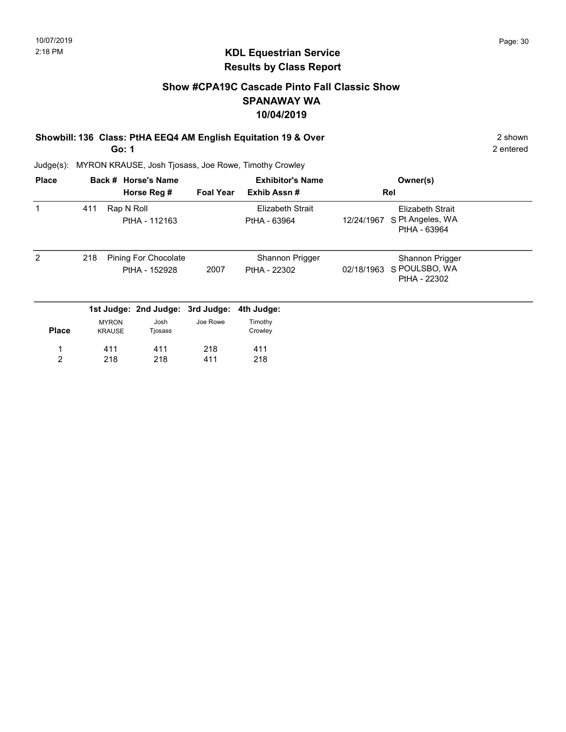# Show #CPA19C Cascade Pinto Fall Classic Show SPANAWAY WA 10/04/2019

#### Showbill: 136 Class: PtHA EEQ4 AM English Equitation 19 & Over 2 Shown 2 shown Go: 1

2 entered

| <b>Place</b>   |     |                               | Back # Horse's Name                   |                  | <b>Exhibitor's Name</b>          |            | Owner(s)                                                    |  |
|----------------|-----|-------------------------------|---------------------------------------|------------------|----------------------------------|------------|-------------------------------------------------------------|--|
|                |     |                               | Horse Reg #                           | <b>Foal Year</b> | Exhib Assn#                      |            | Rel                                                         |  |
|                | 411 | Rap N Roll                    | PtHA - 112163                         |                  | Elizabeth Strait<br>PtHA - 63964 | 12/24/1967 | <b>Elizabeth Strait</b><br>S Pt Angeles, WA<br>PtHA - 63964 |  |
| 2              | 218 |                               | Pining For Chocolate<br>PtHA - 152928 | 2007             | Shannon Prigger<br>PtHA - 22302  | 02/18/1963 | Shannon Prigger<br>S POULSBO, WA<br>PtHA - 22302            |  |
|                |     |                               | 1st Judge: 2nd Judge: 3rd Judge:      |                  | 4th Judge:                       |            |                                                             |  |
| <b>Place</b>   |     | <b>MYRON</b><br><b>KRAUSE</b> | Josh<br>Tjosass                       | Joe Rowe         | Timothy<br>Crowley               |            |                                                             |  |
|                |     | 411                           | 411                                   | 218              | 411                              |            |                                                             |  |
| $\overline{2}$ |     | 218                           | 218                                   | 411              | 218                              |            |                                                             |  |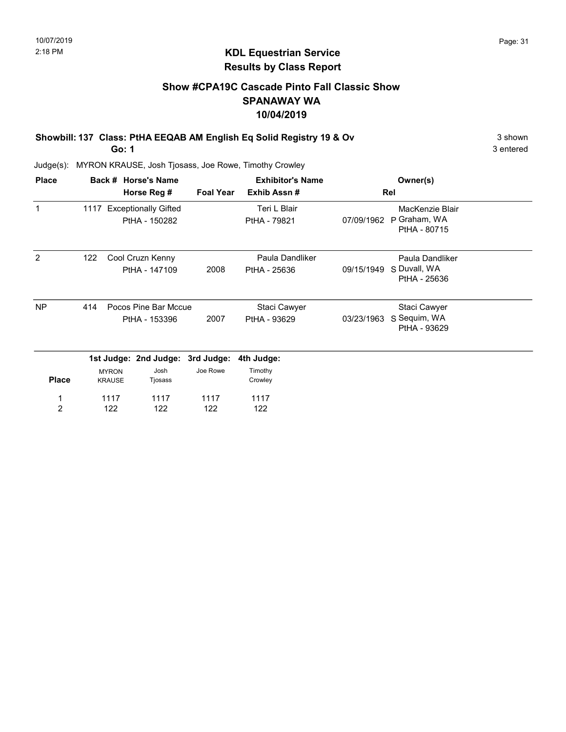# Show #CPA19C Cascade Pinto Fall Classic Show SPANAWAY WA 10/04/2019

Showbill: 137 Class: PtHA EEQAB AM English Eq Solid Registry 19 & Ov 3 shown 3 shown

Go: 1

3 entered

| <b>Place</b>   |     |                               | Back # Horse's Name                        |                  | <b>Exhibitor's Name</b>         |            | Owner(s)                                        |  |
|----------------|-----|-------------------------------|--------------------------------------------|------------------|---------------------------------|------------|-------------------------------------------------|--|
|                |     |                               | Horse Reg #                                | <b>Foal Year</b> | Exhib Assn#                     |            | Rel                                             |  |
| $\mathbf{1}$   |     |                               | 1117 Exceptionally Gifted<br>PtHA - 150282 |                  | Teri L Blair<br>PtHA - 79821    | 07/09/1962 | MacKenzie Blair<br>P Graham, WA<br>PtHA - 80715 |  |
| 2              | 122 |                               | Cool Cruzn Kenny<br>PtHA - 147109          | 2008             | Paula Dandliker<br>PtHA - 25636 | 09/15/1949 | Paula Dandliker<br>S Duvall, WA<br>PtHA - 25636 |  |
| <b>NP</b>      | 414 |                               | Pocos Pine Bar Mccue<br>PtHA - 153396      | 2007             | Staci Cawyer<br>PtHA - 93629    | 03/23/1963 | Staci Cawyer<br>S Sequim, WA<br>PtHA - 93629    |  |
|                |     |                               | 1st Judge: 2nd Judge: 3rd Judge:           |                  | 4th Judge:                      |            |                                                 |  |
| <b>Place</b>   |     | <b>MYRON</b><br><b>KRAUSE</b> | Josh<br>Tjosass                            | Joe Rowe         | Timothy<br>Crowley              |            |                                                 |  |
| 1              |     | 1117                          | 1117                                       | 1117             | 1117                            |            |                                                 |  |
| $\overline{c}$ |     | 122                           | 122                                        | 122              | 122                             |            |                                                 |  |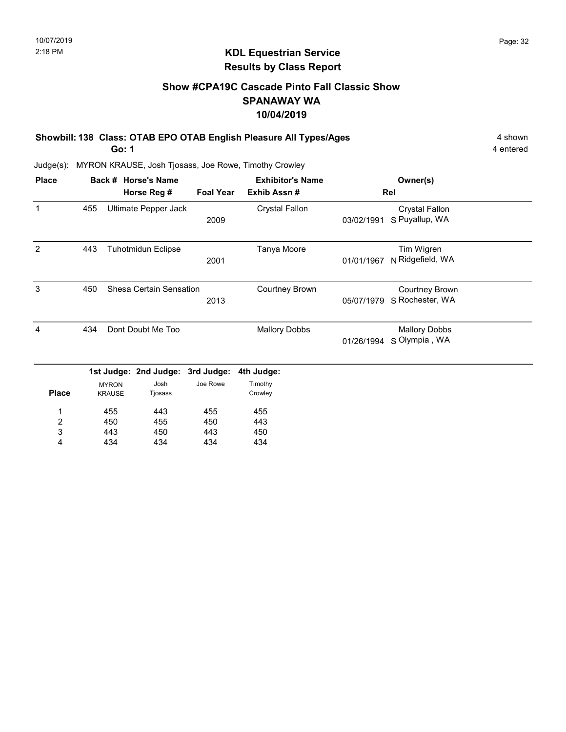# KDL Equestrian Service Results by Class Report

# Show #CPA19C Cascade Pinto Fall Classic Show SPANAWAY WA 10/04/2019

Showbill: 138 Class: OTAB EPO OTAB English Pleasure All Types/Ages 4 shown

Go: 1

434

4

434

434

434

| <b>Place</b>     |     |                               | Back # Horse's Name       |                  | <b>Exhibitor's Name</b> |            | Owner(s)                                 |  |
|------------------|-----|-------------------------------|---------------------------|------------------|-------------------------|------------|------------------------------------------|--|
|                  |     |                               | Horse Reg #               | <b>Foal Year</b> | Exhib Assn#             |            | Rel                                      |  |
| 1                | 455 |                               | Ultimate Pepper Jack      | 2009             | <b>Crystal Fallon</b>   | 03/02/1991 | <b>Crystal Fallon</b><br>S Puyallup, WA  |  |
| 2                | 443 |                               | <b>Tuhotmidun Eclipse</b> | 2001             | Tanya Moore             | 01/01/1967 | Tim Wigren<br>N Ridgefield, WA           |  |
| 3                | 450 |                               | Shesa Certain Sensation   | 2013             | <b>Courtney Brown</b>   | 05/07/1979 | <b>Courtney Brown</b><br>S Rochester, WA |  |
| 4                | 434 |                               | Dont Doubt Me Too         |                  | <b>Mallory Dobbs</b>    | 01/26/1994 | <b>Mallory Dobbs</b><br>S Olympia, WA    |  |
|                  |     |                               | 1st Judge: 2nd Judge:     | 3rd Judge:       | 4th Judge:              |            |                                          |  |
| <b>Place</b>     |     | <b>MYRON</b><br><b>KRAUSE</b> | Josh<br>Tjosass           | Joe Rowe         | Timothy<br>Crowley      |            |                                          |  |
| 1                |     | 455                           | 443                       | 455              | 455                     |            |                                          |  |
| $\boldsymbol{2}$ |     | 450                           | 455                       | 450              | 443                     |            |                                          |  |
| 3                |     | 443                           | 450                       | 443              | 450                     |            |                                          |  |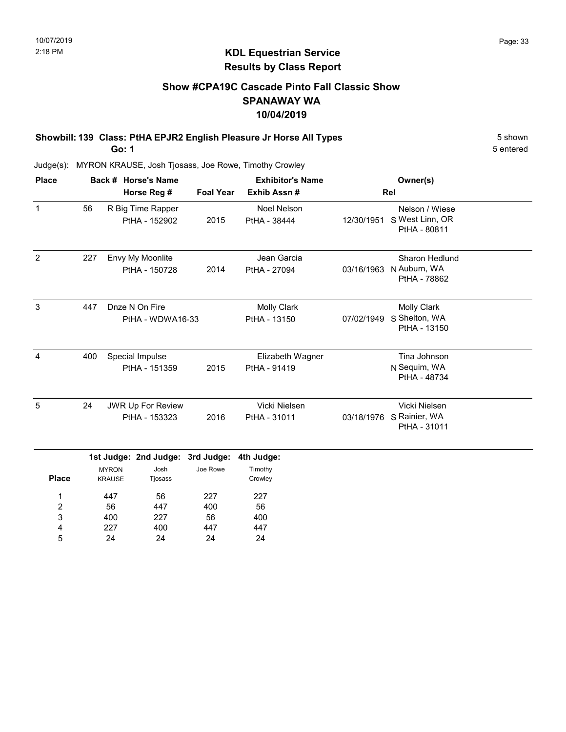# Show #CPA19C Cascade Pinto Fall Classic Show SPANAWAY WA 10/04/2019

Showbill: 139 Class: PtHA EPJR2 English Pleasure Jr Horse All Types 5 Shown Go: 1

5 entered

Judge(s): MYRON KRAUSE, Josh Tjosass, Joe Rowe, Timothy Crowley

400 227 24

3 4 5 227 400 24

56 447 24

400 447 24

| <b>Place</b>        |     |                                                  | Back # Horse's Name                       |                  | <b>Exhibitor's Name</b>            |            | Owner(s)                                                  |  |
|---------------------|-----|--------------------------------------------------|-------------------------------------------|------------------|------------------------------------|------------|-----------------------------------------------------------|--|
|                     |     |                                                  | Horse Reg #                               | <b>Foal Year</b> | Exhib Assn#                        |            | Rel                                                       |  |
| $\mathbf{1}$        | 56  |                                                  | R Big Time Rapper<br>PtHA - 152902        | 2015             | Noel Nelson<br>PtHA - 38444        | 12/30/1951 | Nelson / Wiese<br>S West Linn, OR<br>PtHA - 80811         |  |
| 2                   | 227 |                                                  | Envy My Moonlite<br>PtHA - 150728         | 2014             | Jean Garcia<br>PtHA - 27094        | 03/16/1963 | Sharon Hedlund<br>N Auburn, WA<br>PtHA - 78862            |  |
| 3                   | 447 |                                                  | Dnze N On Fire<br>PtHA - WDWA16-33        |                  | <b>Molly Clark</b><br>PtHA - 13150 | 07/02/1949 | <b>Molly Clark</b><br>S Shelton, WA<br>PtHA - 13150       |  |
| $\overline{4}$      | 400 | Special Impulse<br>PtHA - 151359                 |                                           | 2015             | Elizabeth Wagner<br>PtHA - 91419   |            | Tina Johnson<br>N Sequim, WA<br>PtHA - 48734              |  |
| 5                   | 24  |                                                  | <b>JWR Up For Review</b><br>PtHA - 153323 | 2016             | Vicki Nielsen<br>PtHA - 31011      |            | Vicki Nielsen<br>03/18/1976 S Rainier, WA<br>PtHA - 31011 |  |
|                     |     |                                                  | 1st Judge: 2nd Judge:                     | 3rd Judge:       | 4th Judge:                         |            |                                                           |  |
| <b>Place</b>        |     | Josh<br><b>MYRON</b><br><b>KRAUSE</b><br>Tjosass |                                           | Joe Rowe         | Timothy<br>Crowley                 |            |                                                           |  |
| 1<br>$\overline{2}$ |     | 447<br>56                                        | 56<br>447                                 | 227<br>400       | 227<br>56                          |            |                                                           |  |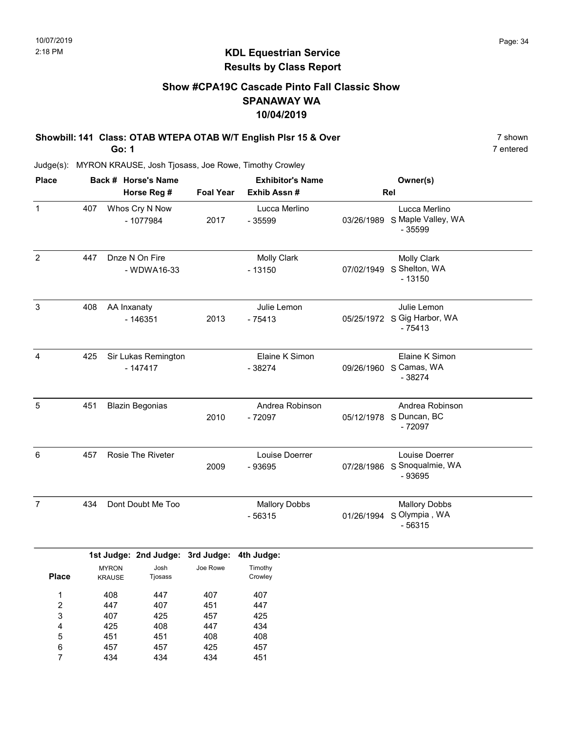# Show #CPA19C Cascade Pinto Fall Classic Show SPANAWAY WA 10/04/2019

Showbill: 141 Class: OTAB WTEPA OTAB W/T English Plsr 15 & Over 7 shown 7 shown Go: 1

Judge(s): MYRON KRAUSE, Josh Tjosass, Joe Rowe, Timothy Crowley

| <b>Place</b>   |     | Back # Horse's Name              |                  | <b>Exhibitor's Name</b><br>Exhib Assn # | Owner(s)<br>Rel |                                                           |  |
|----------------|-----|----------------------------------|------------------|-----------------------------------------|-----------------|-----------------------------------------------------------|--|
|                |     | Horse Reg #                      | <b>Foal Year</b> |                                         |                 |                                                           |  |
| $\mathbf{1}$   | 407 | Whos Cry N Now<br>- 1077984      | 2017             | Lucca Merlino<br>$-35599$               | 03/26/1989      | Lucca Merlino<br>S Maple Valley, WA<br>- 35599            |  |
| $\overline{2}$ | 447 | Dnze N On Fire<br>- WDWA16-33    |                  | <b>Molly Clark</b><br>$-13150$          | 07/02/1949      | <b>Molly Clark</b><br>S Shelton, WA<br>$-13150$           |  |
| 3              | 408 | AA Inxanaty<br>$-146351$         | 2013             | Julie Lemon<br>$-75413$                 |                 | Julie Lemon<br>05/25/1972 S Gig Harbor, WA<br>$-75413$    |  |
| 4              | 425 | Sir Lukas Remington<br>$-147417$ |                  | Elaine K Simon<br>$-38274$              |                 | Elaine K Simon<br>09/26/1960 S Camas, WA<br>$-38274$      |  |
| 5              | 451 | <b>Blazin Begonias</b>           | 2010             | Andrea Robinson<br>$-72097$             |                 | Andrea Robinson<br>05/12/1978 S Duncan, BC<br>$-72097$    |  |
| 6              | 457 | <b>Rosie The Riveter</b>         | 2009             | Louise Doerrer<br>- 93695               |                 | Louise Doerrer<br>07/28/1986 S Snoqualmie, WA<br>$-93695$ |  |
| $\overline{7}$ | 434 | Dont Doubt Me Too                |                  | <b>Mallory Dobbs</b><br>$-56315$        | 01/26/1994      | <b>Mallory Dobbs</b><br>S Olympia, WA<br>$-56315$         |  |

|              |               | 1st Judge: Znd Judge: 3rd Judge: |          | 4th Judge |
|--------------|---------------|----------------------------------|----------|-----------|
|              | <b>MYRON</b>  | Josh                             | Joe Rowe | Timothy   |
| <b>Place</b> | <b>KRAUSE</b> | Tjosass                          |          | Crowley   |
| 1            | 408           | 447                              | 407      | 407       |
| 2            | 447           | 407                              | 451      | 447       |
| 3            | 407           | 425                              | 457      | 425       |
| 4            | 425           | 408                              | 447      | 434       |
| 5            | 451           | 451                              | 408      | 408       |
| 6            | 457           | 457                              | 425      | 457       |
|              | 434           | 434                              | 434      | 451       |

7 entered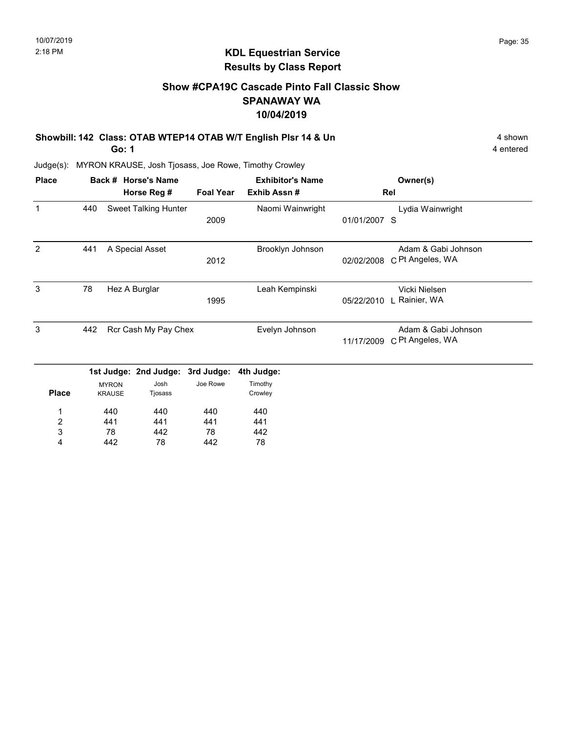# KDL Equestrian Service Results by Class Report

# Show #CPA19C Cascade Pinto Fall Classic Show SPANAWAY WA 10/04/2019

Showbill: 142 Class: OTAB WTEP14 OTAB W/T English Plsr 14 & Un 4 shown 4 shown

Go: 1

78 442

3 4 442 78

78 442 442 78

| <b>Place</b>   |     | Back # Horse's Name |                       |                  | <b>Exhibitor's Name</b> |              | Owner(s)            |
|----------------|-----|---------------------|-----------------------|------------------|-------------------------|--------------|---------------------|
|                |     |                     | Horse Reg #           | <b>Foal Year</b> | Exhib Assn#             |              | Rel                 |
| $\mathbf 1$    | 440 |                     | Sweet Talking Hunter  |                  | Naomi Wainwright        |              | Lydia Wainwright    |
|                |     |                     |                       | 2009             |                         | 01/01/2007 S |                     |
| 2              | 441 |                     | A Special Asset       |                  | Brooklyn Johnson        |              | Adam & Gabi Johnson |
|                |     |                     |                       | 2012             |                         | 02/02/2008   | C Pt Angeles, WA    |
| 3              | 78  |                     | Hez A Burglar         |                  | Leah Kempinski          |              | Vicki Nielsen       |
|                |     |                     |                       | 1995             |                         | 05/22/2010   | L Rainier, WA       |
| 3              | 442 |                     | Rcr Cash My Pay Chex  |                  | Evelyn Johnson          |              | Adam & Gabi Johnson |
|                |     |                     |                       |                  |                         | 11/17/2009   | C Pt Angeles, WA    |
|                |     |                     | 1st Judge: 2nd Judge: | 3rd Judge:       | 4th Judge:              |              |                     |
|                |     | <b>MYRON</b>        | Josh                  | Joe Rowe         | Timothy                 |              |                     |
| <b>Place</b>   |     | <b>KRAUSE</b>       | Tjosass               |                  | Crowley                 |              |                     |
| 1              |     | 440                 | 440                   | 440              | 440                     |              |                     |
| $\overline{2}$ |     | 441                 | 441                   | 441              | 441                     |              |                     |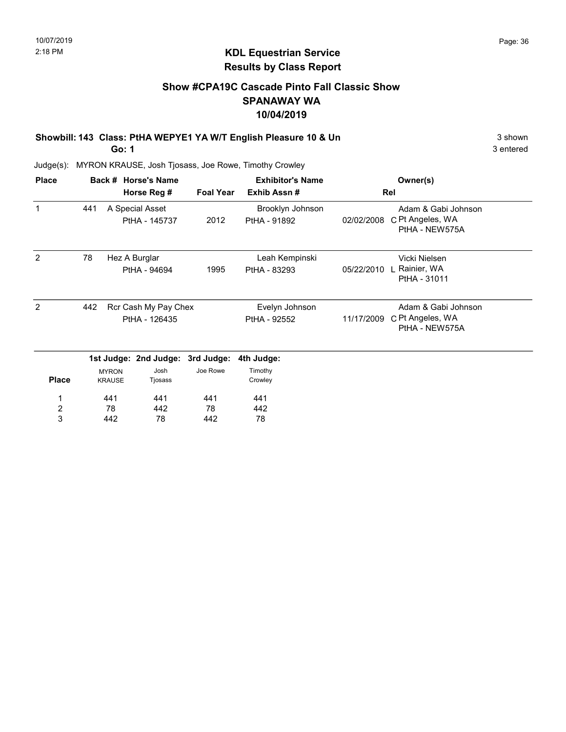# Show #CPA19C Cascade Pinto Fall Classic Show SPANAWAY WA 10/04/2019

### Showbill: 143 Class: PtHA WEPYE1 YA W/T English Pleasure 10 & Un 3 shown 3 shown

Go: 1

3 entered

| <b>Place</b>     |               |                               | Back # Horse's Name              |                  | <b>Exhibitor's Name</b>          | Owner(s)   |                                                           |
|------------------|---------------|-------------------------------|----------------------------------|------------------|----------------------------------|------------|-----------------------------------------------------------|
|                  |               |                               | Horse Reg #                      | <b>Foal Year</b> | Exhib Assn#                      |            | Rel                                                       |
| 1                | 441           |                               | A Special Asset<br>PtHA - 145737 | 2012             | Brooklyn Johnson<br>PtHA - 91892 | 02/02/2008 | Adam & Gabi Johnson<br>C Pt Angeles, WA<br>PtHA - NEW575A |
| 2                | 78            | Hez A Burglar                 |                                  |                  | Leah Kempinski                   |            | Vicki Nielsen                                             |
|                  |               |                               | PtHA - 94694                     | 1995             | PtHA - 83293                     | 05/22/2010 | ∣ Rainier, WA<br>PtHA - 31011                             |
| 2                | 442           | Rcr Cash My Pay Chex          |                                  |                  | Evelyn Johnson                   |            | Adam & Gabi Johnson                                       |
|                  | PtHA - 126435 |                               |                                  |                  | PtHA - 92552                     | 11/17/2009 | C Pt Angeles, WA<br>PtHA - NEW575A                        |
|                  |               |                               | 1st Judge: 2nd Judge:            | 3rd Judge:       | 4th Judge:                       |            |                                                           |
| <b>Place</b>     |               | <b>MYRON</b><br><b>KRAUSE</b> | Josh<br>Tjosass                  | Joe Rowe         | Timothy<br>Crowley               |            |                                                           |
| 1                |               | 441                           | 441                              | 441              | 441                              |            |                                                           |
| $\boldsymbol{2}$ |               | 78                            | 442                              | 78               | 442                              |            |                                                           |
| 3                |               | 442                           | 78                               | 442              | 78                               |            |                                                           |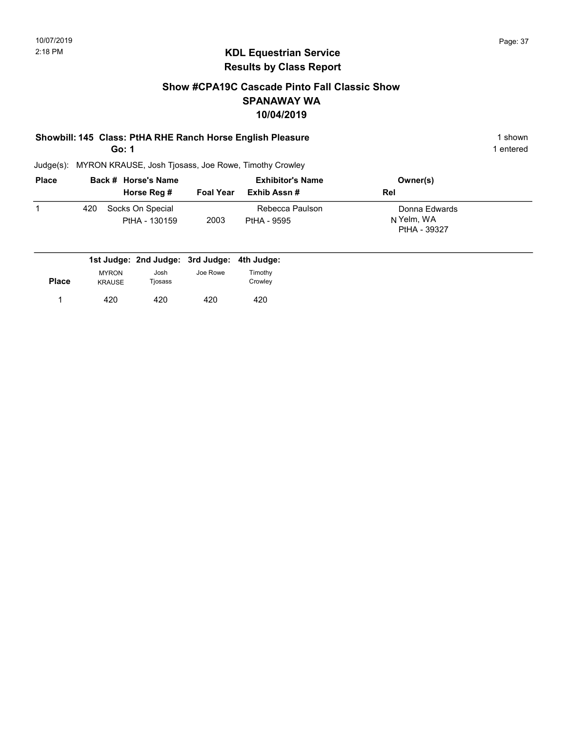#### Show #CPA19C Cascade Pinto Fall Classic Show SPANAWAY WA 10/04/2019

# Showbill: 145 Class: PtHA RHE Ranch Horse English Pleasure 1 Shown 1 shown

Go: 1

1 entered

| <b>Place</b> |     | Back # Horse's Name               |                  | <b>Exhibitor's Name</b>        | Owner(s)                                    |  |
|--------------|-----|-----------------------------------|------------------|--------------------------------|---------------------------------------------|--|
|              |     | Horse Reg #                       | <b>Foal Year</b> | Exhib Assn #                   | Rel                                         |  |
|              | 420 | Socks On Special<br>PtHA - 130159 | 2003             | Rebecca Paulson<br>PtHA - 9595 | Donna Edwards<br>N Yelm, WA<br>PtHA - 39327 |  |

|              |                               | 1st Judge: 2nd Judge: 3rd Judge: 4th Judge: |          |                    |
|--------------|-------------------------------|---------------------------------------------|----------|--------------------|
| <b>Place</b> | <b>MYRON</b><br><b>KRAUSE</b> | Josh<br>Tjosass                             | Joe Rowe | Timothy<br>Crowley |
|              | 420                           | 420                                         | 420      | 420                |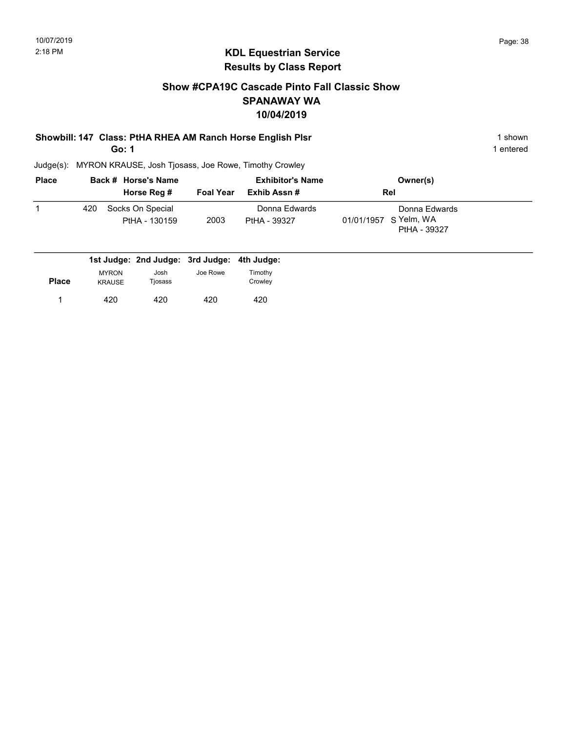#### Show #CPA19C Cascade Pinto Fall Classic Show SPANAWAY WA 10/04/2019

# Showbill: 147 Class: PtHA RHEA AM Ranch Horse English Plsr 1 Shown 1 shown

Go: 1

1 entered

| <b>Place</b> |     | Back # Horse's Name               |                  | <b>Exhibitor's Name</b>       | Owner(s)                                               |  |
|--------------|-----|-----------------------------------|------------------|-------------------------------|--------------------------------------------------------|--|
|              |     | Horse Reg #                       | <b>Foal Year</b> | Exhib Assn #                  | Rel                                                    |  |
|              | 420 | Socks On Special<br>PtHA - 130159 | 2003             | Donna Edwards<br>PtHA - 39327 | Donna Edwards<br>01/01/1957 S Yelm, WA<br>PtHA - 39327 |  |

|              |                               | 1st Judge: 2nd Judge: 3rd Judge: 4th Judge: |          |                    |
|--------------|-------------------------------|---------------------------------------------|----------|--------------------|
| <b>Place</b> | <b>MYRON</b><br><b>KRAUSE</b> | Josh<br>Tjosass                             | Joe Rowe | Timothy<br>Crowley |
|              | 420                           | 420                                         | 420      | 420                |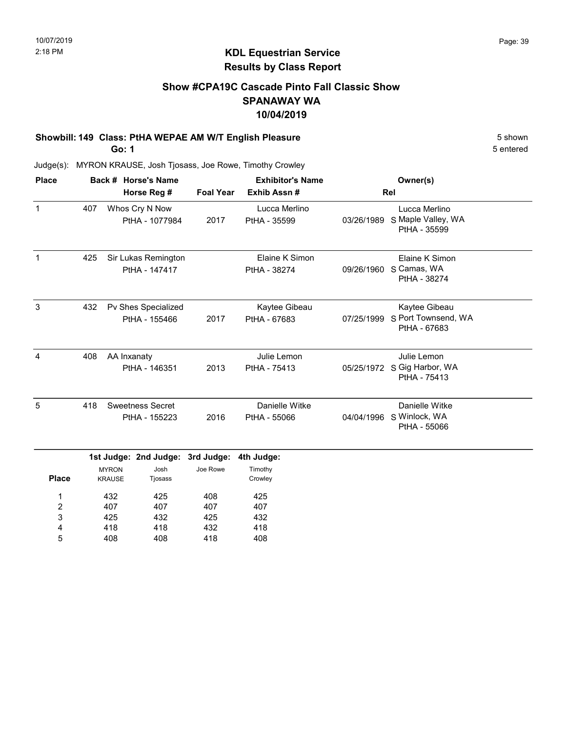#### Show #CPA19C Cascade Pinto Fall Classic Show SPANAWAY WA 10/04/2019

#### Showbill: 149 Class: PtHA WEPAE AM W/T English Pleasure 6 Shown 5 shown

Go: 1

5 entered

| <b>Place</b> |                                                 |                               | Back # Horse's Name                                 |                                | <b>Exhibitor's Name</b>          |                                                            | Owner(s)                                                 |  |
|--------------|-------------------------------------------------|-------------------------------|-----------------------------------------------------|--------------------------------|----------------------------------|------------------------------------------------------------|----------------------------------------------------------|--|
|              |                                                 |                               | Horse Reg #                                         | <b>Foal Year</b>               | Exhib Assn#                      |                                                            | Rel                                                      |  |
| $\mathbf{1}$ | 407                                             |                               | Whos Cry N Now<br>PtHA - 1077984                    | 2017                           | Lucca Merlino<br>PtHA - 35599    | 03/26/1989                                                 | Lucca Merlino<br>S Maple Valley, WA<br>PtHA - 35599      |  |
| $\mathbf 1$  | 425                                             |                               | Sir Lukas Remington<br>PtHA - 147417                |                                | Elaine K Simon<br>PtHA - 38274   |                                                            | Elaine K Simon<br>09/26/1960 S Camas, WA<br>PtHA - 38274 |  |
| 3            | 432                                             |                               | Pv Shes Specialized<br>PtHA - 155466                | 2017                           | Kaytee Gibeau<br>PtHA - 67683    | 07/25/1999                                                 | Kaytee Gibeau<br>S Port Townsend, WA<br>PtHA - 67683     |  |
| 4            | 408                                             | AA Inxanaty<br>PtHA - 146351  |                                                     | 2013                           | Julie Lemon<br>PtHA - 75413      | Julie Lemon<br>05/25/1972 S Gig Harbor, WA<br>PtHA - 75413 |                                                          |  |
| 5            | 418<br><b>Sweetness Secret</b><br>PtHA - 155223 |                               | 2016                                                | Danielle Witke<br>PtHA - 55066 |                                  | Danielle Witke<br>04/04/1996 S Winlock, WA<br>PtHA - 55066 |                                                          |  |
| <b>Place</b> |                                                 | <b>MYRON</b><br><b>KRAUSE</b> | 1st Judge: 2nd Judge: 3rd Judge:<br>Josh<br>Tjosass | Joe Rowe                       | 4th Judge:<br>Timothy<br>Crowley |                                                            |                                                          |  |
| 1            |                                                 | 432                           | 425                                                 | 408                            | 425                              |                                                            |                                                          |  |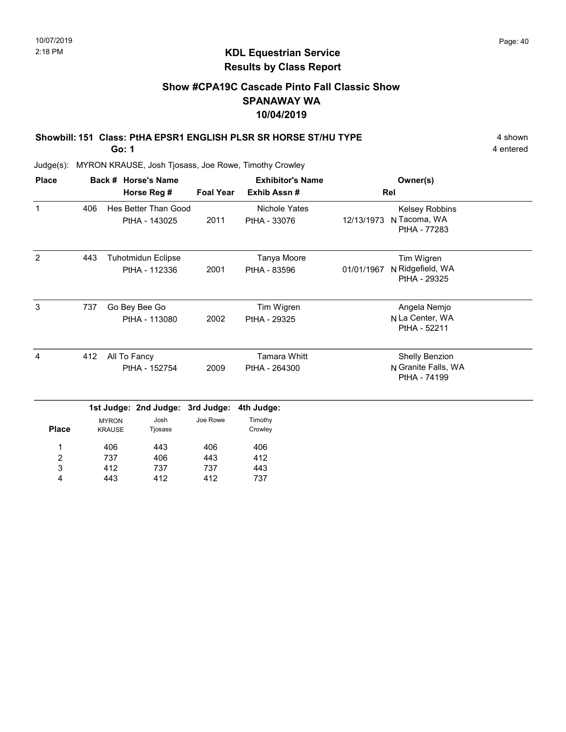#### Show #CPA19C Cascade Pinto Fall Classic Show SPANAWAY WA 10/04/2019

# Showbill: 151 Class: PtHA EPSR1 ENGLISH PLSR SR HORSE ST/HU TYPE 4 Shown

Go: 1

4 entered

| <b>Place</b>   |     |                               | Back # Horse's Name                        |                   | <b>Exhibitor's Name</b>              |            | Owner(s)                                              |  |
|----------------|-----|-------------------------------|--------------------------------------------|-------------------|--------------------------------------|------------|-------------------------------------------------------|--|
|                |     |                               | Horse Reg #                                | <b>Foal Year</b>  | Exhib Assn#                          | Rel        |                                                       |  |
| $\mathbf{1}$   | 406 |                               | Hes Better Than Good<br>PtHA - 143025      | 2011              | <b>Nichole Yates</b><br>PtHA - 33076 | 12/13/1973 | Kelsey Robbins<br>N Tacoma, WA<br>PtHA - 77283        |  |
| $\overline{2}$ | 443 |                               | <b>Tuhotmidun Eclipse</b><br>PtHA - 112336 | 2001              | Tanya Moore<br>PtHA - 83596          | 01/01/1967 | Tim Wigren<br>N Ridgefield, WA<br>PtHA - 29325        |  |
| $\mathbf{3}$   | 737 |                               | Go Bey Bee Go<br>PtHA - 113080             | 2002              | Tim Wigren<br>PtHA - 29325           |            | Angela Nemjo<br>N La Center, WA<br>PtHA - 52211       |  |
| 4              | 412 | All To Fancy<br>PtHA - 152754 |                                            | 2009              | <b>Tamara Whitt</b><br>PtHA - 264300 |            | Shelly Benzion<br>N Granite Falls, WA<br>PtHA - 74199 |  |
|                |     |                               | 1st Judge: 2nd Judge:                      | 3rd Judge:        | 4th Judge:                           |            |                                                       |  |
| <b>Place</b>   |     | <b>MYRON</b><br><b>KRAUSE</b> | Josh<br>Tjosass                            | Joe Rowe          | Timothy<br>Crowley                   |            |                                                       |  |
| 1<br>2<br>3    |     | 406<br>737<br>412             | 443<br>406<br>737                          | 406<br>443<br>737 | 406<br>412<br>443                    |            |                                                       |  |
| 4              |     | 443                           | 412                                        | 412               | 737                                  |            |                                                       |  |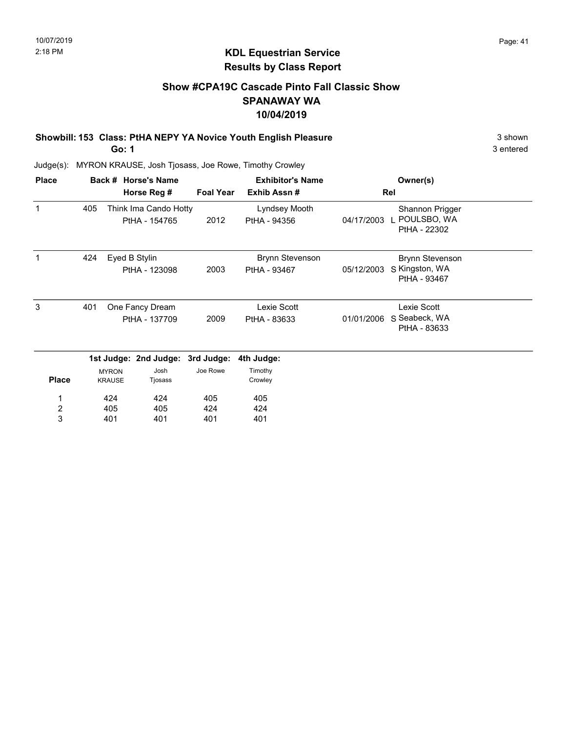#### Show #CPA19C Cascade Pinto Fall Classic Show SPANAWAY WA 10/04/2019

Showbill: 153 Class: PtHA NEPY YA Novice Youth English Pleasure 35 Shown 3 shown

Go: 1

3 entered

| <b>Place</b>        |     |                               | Back # Horse's Name                    |                  | <b>Exhibitor's Name</b>                |            | Owner(s)                                                 |  |  |
|---------------------|-----|-------------------------------|----------------------------------------|------------------|----------------------------------------|------------|----------------------------------------------------------|--|--|
|                     |     |                               | Horse Reg #                            | <b>Foal Year</b> | Exhib Assn#                            |            | Rel                                                      |  |  |
| 1                   | 405 |                               | Think Ima Cando Hotty<br>PtHA - 154765 | 2012             | Lyndsey Mooth<br>PtHA - 94356          | 04/17/2003 | Shannon Prigger<br>I POULSBO, WA<br>PtHA - 22302         |  |  |
| 1                   | 424 |                               | Eyed B Stylin<br>PtHA - 123098         | 2003             | <b>Brynn Stevenson</b><br>PtHA - 93467 | 05/12/2003 | <b>Brynn Stevenson</b><br>S Kingston, WA<br>PtHA - 93467 |  |  |
| 3                   | 401 |                               | One Fancy Dream<br>PtHA - 137709       | 2009             | Lexie Scott<br>PtHA - 83633            | 01/01/2006 | Lexie Scott<br>S Seabeck, WA<br>PtHA - 83633             |  |  |
|                     |     |                               | 1st Judge: 2nd Judge: 3rd Judge:       |                  | 4th Judge:                             |            |                                                          |  |  |
| <b>Place</b>        |     | <b>MYRON</b><br><b>KRAUSE</b> | Josh<br>Tjosass                        | Joe Rowe         | Timothy<br>Crowley                     |            |                                                          |  |  |
| 1                   |     | 424                           | 424                                    | 405              | 405                                    |            |                                                          |  |  |
| $\overline{c}$<br>3 |     | 405<br>401                    | 405<br>401                             | 424<br>401       | 424<br>401                             |            |                                                          |  |  |
|                     |     |                               |                                        |                  |                                        |            |                                                          |  |  |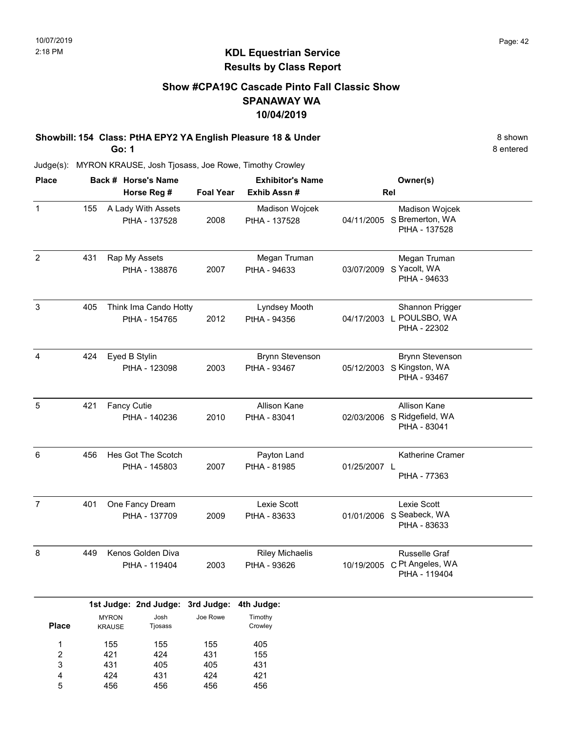#### Show #CPA19C Cascade Pinto Fall Classic Show SPANAWAY WA 10/04/2019

Showbill: 154 Class: PtHA EPY2 YA English Pleasure 18 & Under 8 Shown 8 shown Go: 1

8 entered

Judge(s): MYRON KRAUSE, Josh Tjosass, Joe Rowe, Timothy Crowley

431 424 456

3 4 5

405 431 456

405 424 456 431 421 456

| <b>Place</b>        |     |                                     | Back # Horse's Name                                 |                  | <b>Exhibitor's Name</b>                |              | Owner(s)                                                             |  |
|---------------------|-----|-------------------------------------|-----------------------------------------------------|------------------|----------------------------------------|--------------|----------------------------------------------------------------------|--|
|                     |     |                                     | Horse Reg #                                         | <b>Foal Year</b> | Exhib Assn#                            |              | Rel                                                                  |  |
| $\mathbf{1}$        | 155 |                                     | A Lady With Assets<br>PtHA - 137528                 | 2008             | Madison Wojcek<br>PtHA - 137528        |              | Madison Wojcek<br>04/11/2005 S Bremerton, WA<br>PtHA - 137528        |  |
| $\overline{c}$      | 431 |                                     | Rap My Assets<br>PtHA - 138876                      | 2007             | Megan Truman<br>PtHA - 94633           |              | Megan Truman<br>03/07/2009 S Yacolt, WA<br>PtHA - 94633              |  |
| $\mathbf{3}$        | 405 |                                     | Think Ima Cando Hotty<br>PtHA - 154765              | 2012             | Lyndsey Mooth<br>PtHA - 94356          |              | Shannon Prigger<br>04/17/2003 L POULSBO, WA<br>PtHA - 22302          |  |
| 4                   | 424 |                                     | Eyed B Stylin<br>PtHA - 123098                      | 2003             | <b>Brynn Stevenson</b><br>PtHA - 93467 |              | <b>Brynn Stevenson</b><br>05/12/2003 S Kingston, WA<br>PtHA - 93467  |  |
| 5                   | 421 | <b>Fancy Cutie</b><br>PtHA - 140236 |                                                     | 2010             | Allison Kane<br>PtHA - 83041           |              | Allison Kane<br>02/03/2006 S Ridgefield, WA<br>PtHA - 83041          |  |
| 6                   | 456 | Hes Got The Scotch<br>PtHA - 145803 |                                                     | 2007             | Payton Land<br>PtHA - 81985            | 01/25/2007 L | Katherine Cramer<br>PtHA - 77363                                     |  |
| $\overline{7}$      | 401 | One Fancy Dream<br>PtHA - 137709    |                                                     | 2009             | Lexie Scott<br>PtHA - 83633            |              | Lexie Scott<br>01/01/2006 S Seabeck, WA<br>PtHA - 83633              |  |
| 8                   | 449 | Kenos Golden Diva<br>PtHA - 119404  |                                                     | 2003             | <b>Riley Michaelis</b><br>PtHA - 93626 |              | <b>Russelle Graf</b><br>10/19/2005 C Pt Angeles, WA<br>PtHA - 119404 |  |
| <b>Place</b>        |     | <b>MYRON</b><br><b>KRAUSE</b>       | 1st Judge: 2nd Judge: 3rd Judge:<br>Josh<br>Tjosass | Joe Rowe         | 4th Judge:<br>Timothy<br>Crowley       |              |                                                                      |  |
| 1<br>$\overline{2}$ |     | 155<br>421                          | 155<br>424                                          | 155<br>431       | 405<br>155                             |              |                                                                      |  |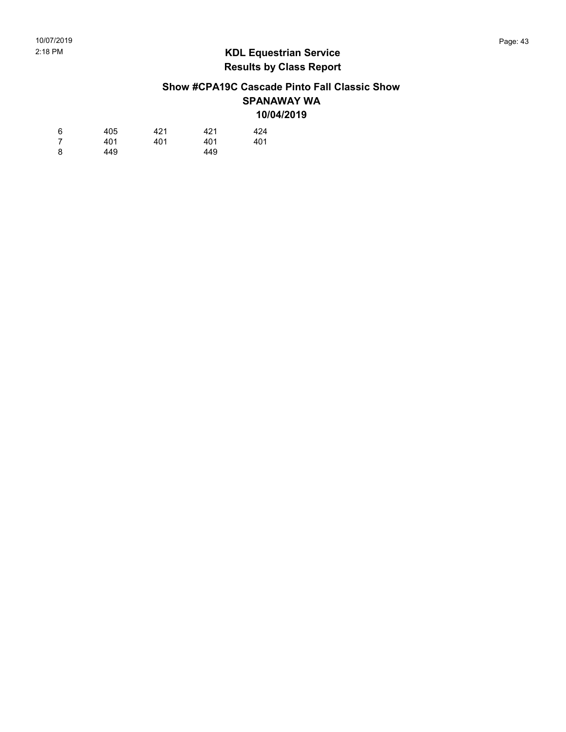#### Show #CPA19C Cascade Pinto Fall Classic Show SPANAWAY WA 10/04/2019

| 6 | 405 | 421 | 421 | 424 |
|---|-----|-----|-----|-----|
| 7 | 401 | 401 | 401 | 401 |
| 8 | 449 |     | 449 |     |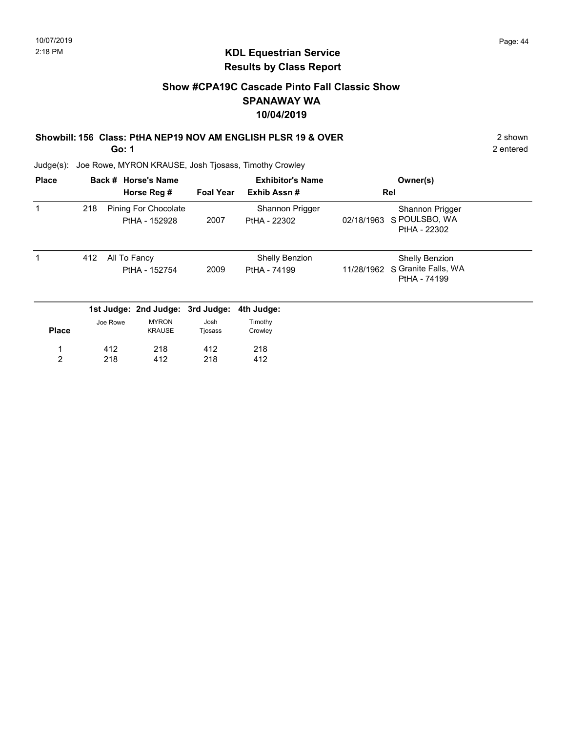2 entered

#### KDL Equestrian Service Results by Class Report

#### Show #CPA19C Cascade Pinto Fall Classic Show SPANAWAY WA 10/04/2019

#### Showbill: 156 Class: PtHA NEP19 NOV AM ENGLISH PLSR 19 & OVER 2 shown

Go: 1

Judge(s): Joe Rowe, MYRON KRAUSE, Josh Tjosass, Timothy Crowley

| <b>Place</b>   |     |                               | Back # Horse's Name                          |                  | <b>Exhibitor's Name</b>               |            | Owner(s)                                                     |  |
|----------------|-----|-------------------------------|----------------------------------------------|------------------|---------------------------------------|------------|--------------------------------------------------------------|--|
|                |     |                               | Horse Reg #                                  | <b>Foal Year</b> | Exhib Assn#                           |            | Rel                                                          |  |
|                | 218 |                               | <b>Pining For Chocolate</b><br>PtHA - 152928 | 2007             | Shannon Prigger<br>PtHA - 22302       | 02/18/1963 | Shannon Prigger<br>S POULSBO, WA<br>PtHA - 22302             |  |
|                | 412 | All To Fancy<br>PtHA - 152754 |                                              | 2009             | <b>Shelly Benzion</b><br>PtHA - 74199 | 11/28/1962 | <b>Shelly Benzion</b><br>S Granite Falls, WA<br>PtHA - 74199 |  |
|                |     |                               | 1st Judge: 2nd Judge: 3rd Judge:             |                  | 4th Judge:                            |            |                                                              |  |
| <b>Place</b>   |     | Joe Rowe                      | <b>MYRON</b><br><b>KRAUSE</b>                | Josh<br>Tjosass  | Timothy<br>Crowley                    |            |                                                              |  |
|                |     | 412                           | 218                                          | 412              | 218                                   |            |                                                              |  |
| $\overline{2}$ |     | 218                           | 412                                          | 218              | 412                                   |            |                                                              |  |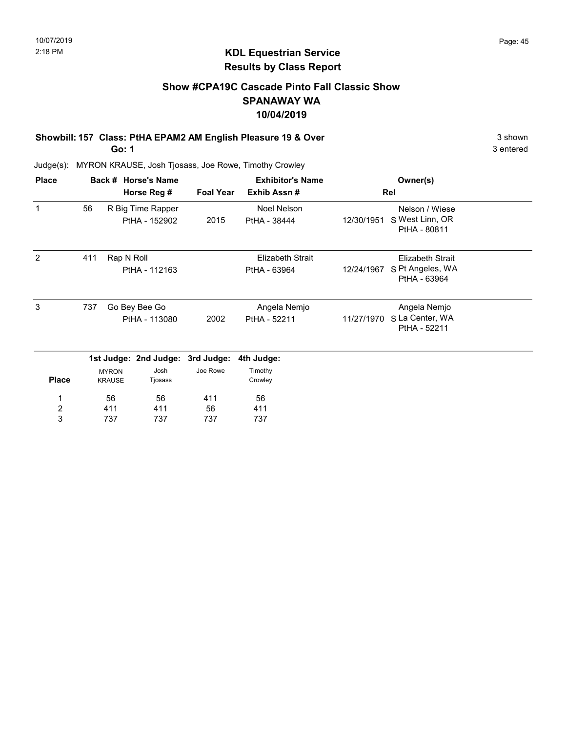#### Show #CPA19C Cascade Pinto Fall Classic Show SPANAWAY WA 10/04/2019

# Showbill: 157 Class: PtHA EPAM2 AM English Pleasure 19 & Over 3 shown 3 shown

Go: 1

3 entered

| <b>Place</b> |     |                               | Back # Horse's Name              |                  | <b>Exhibitor's Name</b> |            | Owner(s)                         |  |
|--------------|-----|-------------------------------|----------------------------------|------------------|-------------------------|------------|----------------------------------|--|
|              |     |                               | Horse Reg #                      | <b>Foal Year</b> | Exhib Assn#             |            | Rel                              |  |
| $\mathbf 1$  | 56  |                               | R Big Time Rapper                |                  | <b>Noel Nelson</b>      |            | Nelson / Wiese                   |  |
|              |     |                               | PtHA - 152902                    | 2015             | PtHA - 38444            | 12/30/1951 | S West Linn, OR<br>PtHA - 80811  |  |
| 2            | 411 | Rap N Roll                    |                                  |                  | <b>Elizabeth Strait</b> |            | <b>Elizabeth Strait</b>          |  |
|              |     |                               | PtHA - 112163                    |                  | PtHA - 63964            | 12/24/1967 | S Pt Angeles, WA<br>PtHA - 63964 |  |
| 3            | 737 |                               | Go Bey Bee Go                    |                  | Angela Nemjo            |            | Angela Nemjo                     |  |
|              |     | PtHA - 113080                 |                                  | 2002             | PtHA - 52211            | 11/27/1970 | S La Center, WA<br>PtHA - 52211  |  |
|              |     |                               | 1st Judge: 2nd Judge: 3rd Judge: |                  | 4th Judge:              |            |                                  |  |
| <b>Place</b> |     | <b>MYRON</b><br><b>KRAUSE</b> | Josh<br>Tjosass                  | Joe Rowe         | Timothy<br>Crowley      |            |                                  |  |
| 1            |     | 56                            | 56                               | 411              | 56                      |            |                                  |  |
| 2            |     | 411                           | 411                              | 56               | 411                     |            |                                  |  |
| 3            |     | 737                           | 737                              | 737              | 737                     |            |                                  |  |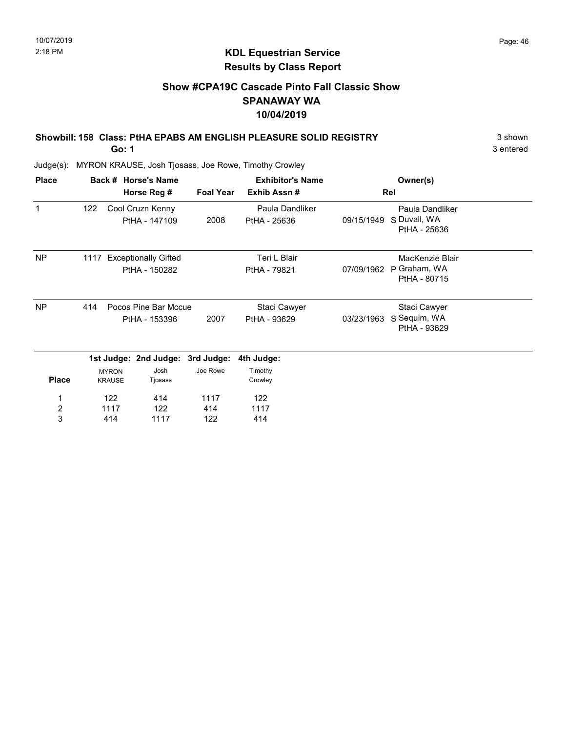3 entered

#### KDL Equestrian Service Results by Class Report

### Show #CPA19C Cascade Pinto Fall Classic Show SPANAWAY WA 10/04/2019

# Showbill: 158 Class: PtHA EPABS AM ENGLISH PLEASURE SOLID REGISTRY 3 Shown

Go: 1

| <b>Place</b>                 |     |                               | Back # Horse's Name                        |                  | <b>Exhibitor's Name</b>         |            | Owner(s)                                        |  |
|------------------------------|-----|-------------------------------|--------------------------------------------|------------------|---------------------------------|------------|-------------------------------------------------|--|
|                              |     |                               | Horse Reg #                                | <b>Foal Year</b> | Exhib Assn#                     |            | Rel                                             |  |
| 1                            | 122 |                               | Cool Cruzn Kenny<br>PtHA - 147109          | 2008             | Paula Dandliker<br>PtHA - 25636 | 09/15/1949 | Paula Dandliker<br>S Duvall, WA<br>PtHA - 25636 |  |
| <b>NP</b>                    |     |                               | 1117 Exceptionally Gifted<br>PtHA - 150282 |                  | Teri L Blair<br>PtHA - 79821    | 07/09/1962 | MacKenzie Blair<br>P Graham, WA<br>PtHA - 80715 |  |
| <b>NP</b>                    | 414 |                               | Pocos Pine Bar Mccue<br>PtHA - 153396      | 2007             | Staci Cawyer<br>PtHA - 93629    | 03/23/1963 | Staci Cawyer<br>S Sequim, WA<br>PtHA - 93629    |  |
|                              |     |                               | 1st Judge: 2nd Judge: 3rd Judge:           |                  | 4th Judge:                      |            |                                                 |  |
| <b>Place</b>                 |     | <b>MYRON</b><br><b>KRAUSE</b> | Josh<br>Tjosass                            | Joe Rowe         | Timothy<br>Crowley              |            |                                                 |  |
| 1                            |     | 122                           | 414                                        | 1117             | 122                             |            |                                                 |  |
| $\overline{\mathbf{c}}$<br>3 |     | 1117<br>414                   | 122<br>1117                                | 414<br>122       | 1117<br>414                     |            |                                                 |  |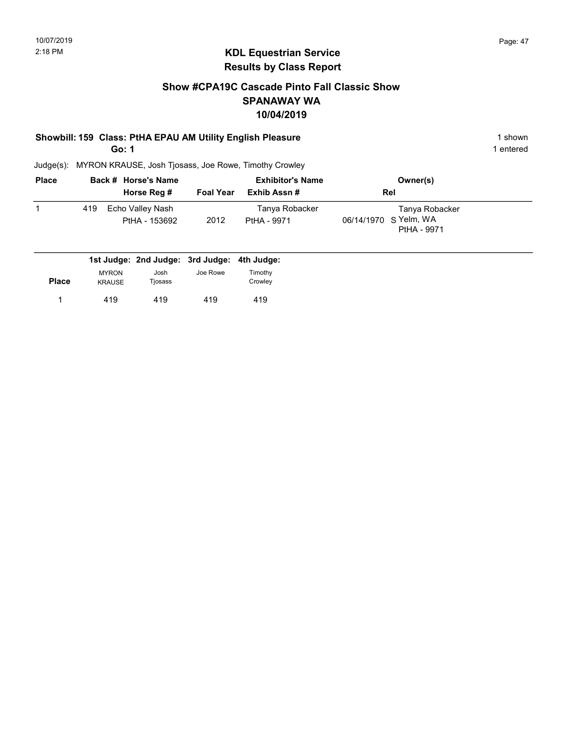#### Show #CPA19C Cascade Pinto Fall Classic Show SPANAWAY WA 10/04/2019

#### Showbill: 159 Class: PtHA EPAU AM Utility English Pleasure 1 Shown 1 shown

Go: 1

1 entered

| <b>Place</b> |     | Back # Horse's Name               |                  | <b>Exhibitor's Name</b>       | Owner(s)                                               |  |
|--------------|-----|-----------------------------------|------------------|-------------------------------|--------------------------------------------------------|--|
|              |     | Horse Reg #                       | <b>Foal Year</b> | Exhib Assn #                  | <b>Rel</b>                                             |  |
|              | 419 | Echo Valley Nash<br>PtHA - 153692 | 2012             | Tanya Robacker<br>PtHA - 9971 | Tanya Robacker<br>06/14/1970 S Yelm, WA<br>PtHA - 9971 |  |

|              |                               | 1st Judge: 2nd Judge: 3rd Judge: 4th Judge: |          |                    |
|--------------|-------------------------------|---------------------------------------------|----------|--------------------|
| <b>Place</b> | <b>MYRON</b><br><b>KRAUSE</b> | Josh<br>Tjosass                             | Joe Rowe | Fimothv<br>Crowley |
|              | 419                           | 419                                         | 419      | 419                |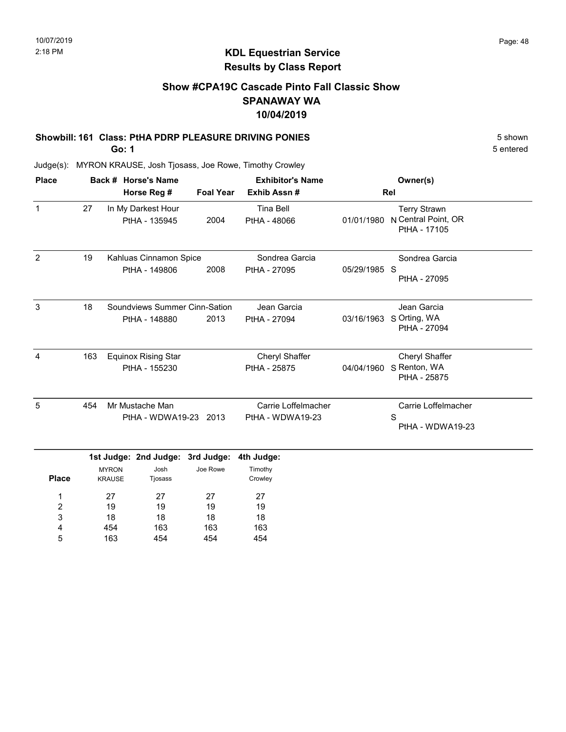5 entered

## KDL Equestrian Service Results by Class Report

#### Show #CPA19C Cascade Pinto Fall Classic Show SPANAWAY WA 10/04/2019

#### Showbill: 161 Class: PtHA PDRP PLEASURE DRIVING PONIES 5 Shown

Go: 1

| <b>Place</b> |     |                               | Back # Horse's Name                                 |                  | <b>Exhibitor's Name</b>                 |              | Owner(s)                                                   |  |  |
|--------------|-----|-------------------------------|-----------------------------------------------------|------------------|-----------------------------------------|--------------|------------------------------------------------------------|--|--|
|              |     |                               | Horse Reg #                                         | <b>Foal Year</b> | Exhib Assn#                             |              | Rel                                                        |  |  |
| $\mathbf{1}$ | 27  |                               | In My Darkest Hour<br>PtHA - 135945                 | 2004             | <b>Tina Bell</b><br>PtHA - 48066        | 01/01/1980   | <b>Terry Strawn</b><br>N Central Point, OR<br>PtHA - 17105 |  |  |
| 2            | 19  |                               | Kahluas Cinnamon Spice<br>PtHA - 149806             | 2008             | Sondrea Garcia<br>PtHA - 27095          | 05/29/1985 S | Sondrea Garcia<br>PtHA - 27095                             |  |  |
| 3            | 18  |                               | Soundviews Summer Cinn-Sation<br>PtHA - 148880      | 2013             | Jean Garcia<br>PtHA - 27094             | 03/16/1963   | Jean Garcia<br>S Orting, WA<br>PtHA - 27094                |  |  |
| 4            | 163 |                               | <b>Equinox Rising Star</b><br>PtHA - 155230         |                  | Cheryl Shaffer<br>PtHA - 25875          | 04/04/1960   | Cheryl Shaffer<br>S Renton, WA<br>PtHA - 25875             |  |  |
| 5            | 454 |                               | Mr Mustache Man<br>PtHA - WDWA19-23 2013            |                  | Carrie Loffelmacher<br>PtHA - WDWA19-23 |              | Carrie Loffelmacher<br>S<br>PtHA - WDWA19-23               |  |  |
| <b>Place</b> |     | <b>MYRON</b><br><b>KRAUSE</b> | 1st Judge: 2nd Judge: 3rd Judge:<br>Josh<br>Tjosass | Joe Rowe         | 4th Judge:<br>Timothy<br>Crowley        |              |                                                            |  |  |
| 1            |     | 27                            | 27                                                  | 27               | 27                                      |              |                                                            |  |  |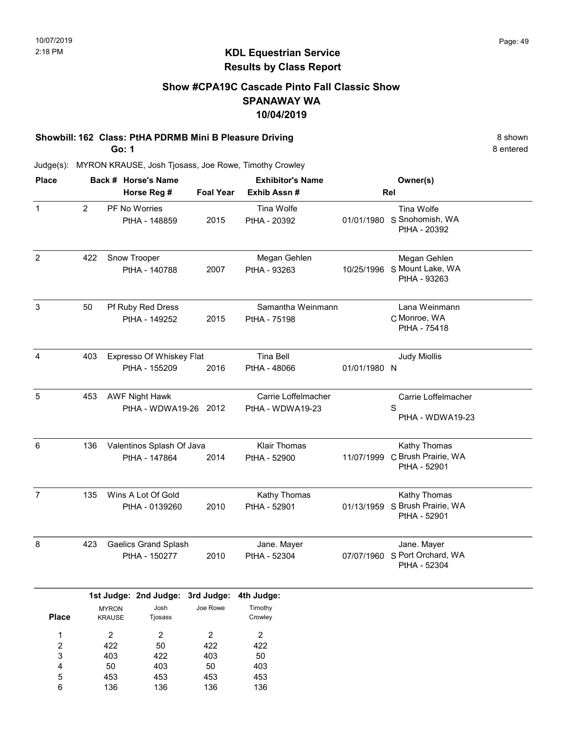#### Show #CPA19C Cascade Pinto Fall Classic Show SPANAWAY WA 10/04/2019

#### Showbill: 162 Class: PtHA PDRMB Mini B Pleasure Driving 8 Shown 8 Shown

Go: 1

8 entered

| <b>Place</b>                                                      |                |                                              | Back # Horse's Name                            |                                               | <b>Exhibitor's Name</b>                       |              | Owner(s)                                                 |  |
|-------------------------------------------------------------------|----------------|----------------------------------------------|------------------------------------------------|-----------------------------------------------|-----------------------------------------------|--------------|----------------------------------------------------------|--|
|                                                                   |                |                                              | Horse Reg #                                    | <b>Foal Year</b>                              | Exhib Assn#                                   |              | Rel                                                      |  |
| $\mathbf{1}$                                                      | $\overline{2}$ |                                              | PF No Worries<br>PtHA - 148859                 | 2015                                          | Tina Wolfe<br>PtHA - 20392                    |              | Tina Wolfe<br>01/01/1980 S Snohomish, WA<br>PtHA - 20392 |  |
| $\overline{2}$                                                    | 422            |                                              | Snow Trooper<br>PtHA - 140788                  | 2007                                          | Megan Gehlen<br>PtHA - 93263                  | 10/25/1996   | Megan Gehlen<br>S Mount Lake, WA<br>PtHA - 93263         |  |
| 3                                                                 | 50             |                                              | Pf Ruby Red Dress<br>PtHA - 149252             | 2015                                          | Samantha Weinmann<br>PtHA - 75198             |              | Lana Weinmann<br>C Monroe, WA<br>PtHA - 75418            |  |
| $\overline{4}$                                                    | 403            |                                              | Expresso Of Whiskey Flat<br>PtHA - 155209      | 2016                                          | <b>Tina Bell</b><br>PtHA - 48066              | 01/01/1980 N | <b>Judy Miollis</b>                                      |  |
| 5                                                                 | 453            |                                              | <b>AWF Night Hawk</b><br>PtHA - WDWA19-26 2012 |                                               | Carrie Loffelmacher<br>PtHA - WDWA19-23       |              | Carrie Loffelmacher<br>S<br>PtHA - WDWA19-23             |  |
| 6                                                                 | 136            |                                              | Valentinos Splash Of Java<br>PtHA - 147864     | 2014                                          | <b>Klair Thomas</b><br>PtHA - 52900           | 11/07/1999   | Kathy Thomas<br>C Brush Prairie, WA<br>PtHA - 52901      |  |
| $\overline{7}$                                                    | 135            |                                              | Wins A Lot Of Gold<br>PtHA - 0139260           | 2010                                          | Kathy Thomas<br>PtHA - 52901                  | 01/13/1959   | Kathy Thomas<br>S Brush Prairie, WA<br>PtHA - 52901      |  |
| 8                                                                 | 423            | <b>Gaelics Grand Splash</b><br>PtHA - 150277 |                                                |                                               | Jane. Mayer<br>PtHA - 52304                   | 07/07/1960   | Jane. Mayer<br>S Port Orchard, WA<br>PtHA - 52304        |  |
|                                                                   |                |                                              | 1st Judge: 2nd Judge: 3rd Judge:               |                                               | 4th Judge:                                    |              |                                                          |  |
| <b>Place</b>                                                      |                | <b>MYRON</b><br>KRAUSE                       | Josh<br>Tjosass                                | Joe Rowe                                      | Timothy<br>Crowley                            |              |                                                          |  |
| 1<br>$\overline{\mathbf{c}}$<br>3<br>$\overline{\mathbf{4}}$<br>5 |                | $\overline{2}$<br>422<br>403<br>50<br>453    | $\overline{c}$<br>50<br>422<br>403<br>453      | $\overline{2}$<br>422<br>403<br>$50\,$<br>453 | $\overline{a}$<br>422<br>$50\,$<br>403<br>453 |              |                                                          |  |
| $\,6$                                                             |                | 136                                          | 136                                            | 136                                           | 136                                           |              |                                                          |  |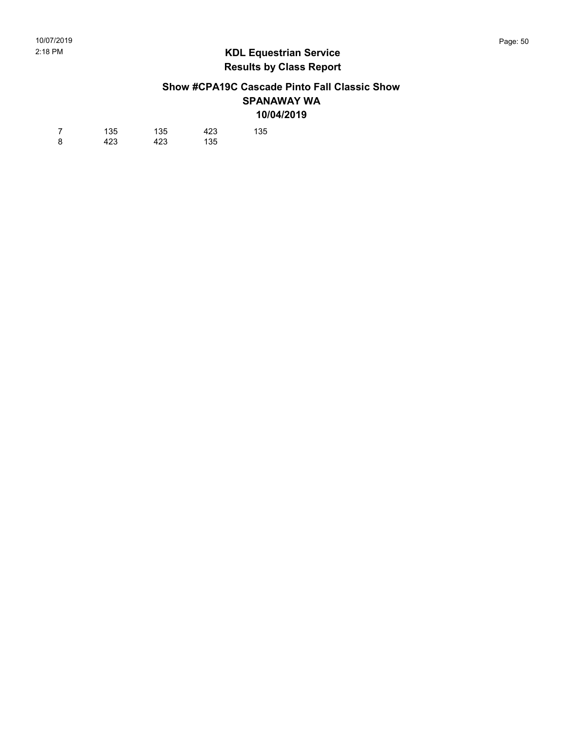#### Show #CPA19C Cascade Pinto Fall Classic Show SPANAWAY WA 10/04/2019

| 7 | 135 | 135 | 423 | 135 |
|---|-----|-----|-----|-----|
| 8 | 423 | 423 | 135 |     |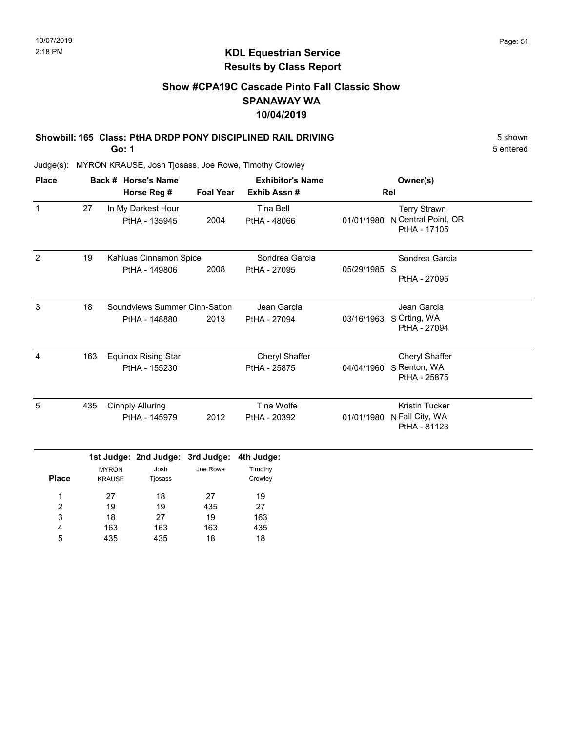5 entered

## KDL Equestrian Service Results by Class Report

#### Show #CPA19C Cascade Pinto Fall Classic Show SPANAWAY WA 10/04/2019

## Showbill: 165 Class: PtHA DRDP PONY DISCIPLINED RAIL DRIVING 5 Shown 5 Shown

Go: 1

| <b>Place</b>   |     |                               | Back # Horse's Name                 |                  | <b>Exhibitor's Name</b>          |              | Owner(s)                                                   |
|----------------|-----|-------------------------------|-------------------------------------|------------------|----------------------------------|--------------|------------------------------------------------------------|
|                |     |                               | Horse Reg #                         | <b>Foal Year</b> | Exhib Assn#                      |              | Rel                                                        |
| $\mathbf{1}$   | 27  |                               | In My Darkest Hour<br>PtHA - 135945 | 2004             | <b>Tina Bell</b><br>PtHA - 48066 | 01/01/1980   | <b>Terry Strawn</b><br>N Central Point, OR<br>PtHA - 17105 |
| 2              | 19  |                               | Kahluas Cinnamon Spice              |                  | Sondrea Garcia                   |              | Sondrea Garcia                                             |
|                |     |                               | PtHA - 149806                       | 2008             | PtHA - 27095                     | 05/29/1985 S | PtHA - 27095                                               |
| 3              | 18  |                               | Soundviews Summer Cinn-Sation       |                  | Jean Garcia                      |              | Jean Garcia                                                |
|                |     |                               | PtHA - 148880                       | 2013             | PtHA - 27094                     | 03/16/1963   | S Orting, WA<br>PtHA - 27094                               |
| $\overline{4}$ | 163 |                               | <b>Equinox Rising Star</b>          |                  | <b>Cheryl Shaffer</b>            |              | <b>Cheryl Shaffer</b>                                      |
|                |     |                               | PtHA - 155230                       |                  | PtHA - 25875                     | 04/04/1960   | S Renton, WA<br>PtHA - 25875                               |
| 5              | 435 |                               | <b>Cinnply Alluring</b>             |                  | Tina Wolfe                       |              | <b>Kristin Tucker</b>                                      |
|                |     |                               | PtHA - 145979                       | 2012             | PtHA - 20392                     | 01/01/1980   | N Fall City, WA<br>PtHA - 81123                            |
|                |     |                               | 1st Judge: 2nd Judge: 3rd Judge:    |                  | 4th Judge:                       |              |                                                            |
| <b>Place</b>   |     | <b>MYRON</b><br><b>KRAUSE</b> | Josh<br>Tjosass                     | Joe Rowe         | Timothy<br>Crowley               |              |                                                            |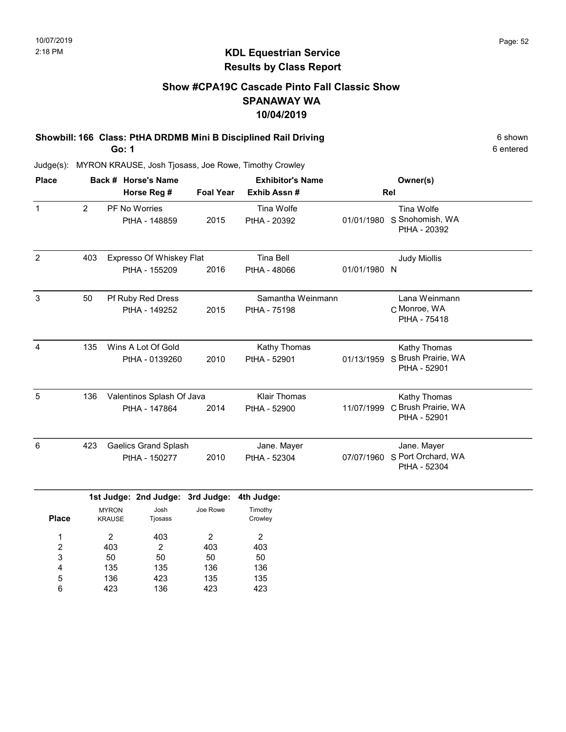#### Show #CPA19C Cascade Pinto Fall Classic Show SPANAWAY WA 10/04/2019

#### Showbill: 166 Class: PtHA DRDMB Mini B Disciplined Rail Driving 6 Shown 6 shown Go: 1

6 entered

| <b>Place</b>   |                | Back # Horse's Name<br>Horse Reg #         |                                           |                        | <b>Exhibitor's Name</b><br><b>Foal Year</b><br>Exhib Assn# |              | Owner(s)<br>Rel                                     |  |  |
|----------------|----------------|--------------------------------------------|-------------------------------------------|------------------------|------------------------------------------------------------|--------------|-----------------------------------------------------|--|--|
| $\mathbf{1}$   | $\overline{2}$ |                                            | PF No Worries<br>PtHA - 148859            | 2015                   | Tina Wolfe<br>PtHA - 20392                                 | 01/01/1980   | Tina Wolfe<br>S Snohomish, WA<br>PtHA - 20392       |  |  |
| $\overline{2}$ | 403            |                                            | Expresso Of Whiskey Flat<br>PtHA - 155209 | 2016                   | <b>Tina Bell</b><br>PtHA - 48066                           | 01/01/1980 N | <b>Judy Miollis</b>                                 |  |  |
| $\mathbf{3}$   | 50             |                                            | Pf Ruby Red Dress<br>PtHA - 149252        | 2015                   | Samantha Weinmann<br>PtHA - 75198                          |              | Lana Weinmann<br>C Monroe, WA<br>PtHA - 75418       |  |  |
| 4              | 135            |                                            | Wins A Lot Of Gold<br>PtHA - 0139260      | 2010                   | Kathy Thomas<br>PtHA - 52901                               | 01/13/1959   | Kathy Thomas<br>S Brush Prairie, WA<br>PtHA - 52901 |  |  |
| 5              | 136            | Valentinos Splash Of Java<br>PtHA - 147864 |                                           | 2014                   | <b>Klair Thomas</b><br>PtHA - 52900                        | 11/07/1999   | Kathy Thomas<br>C Brush Prairie, WA<br>PtHA - 52901 |  |  |
| 6              | 423            |                                            | Gaelics Grand Splash<br>PtHA - 150277     | 2010                   | Jane. Mayer<br>PtHA - 52304                                | 07/07/1960   | Jane. Mayer<br>S Port Orchard, WA<br>PtHA - 52304   |  |  |
| <b>Place</b>   |                | <b>MYRON</b><br><b>KRAUSE</b>              | 1st Judge: 2nd Judge:<br>Josh<br>Tjosass  | 3rd Judge:<br>Joe Rowe | 4th Judge:<br>Timothy<br>Crowley                           |              |                                                     |  |  |

| <b>Place</b> | <b>KRAUSE</b> | Tjosass |     | Crowley |
|--------------|---------------|---------|-----|---------|
| 1            | 2             | 403     | 2   | 2       |
| 2            | 403           | 2       | 403 | 403     |
| 3            | 50            | 50      | 50  | 50      |
| 4            | 135           | 135     | 136 | 136     |
| 5            | 136           | 423     | 135 | 135     |
| 6            | 423           | 136     | 423 | 423     |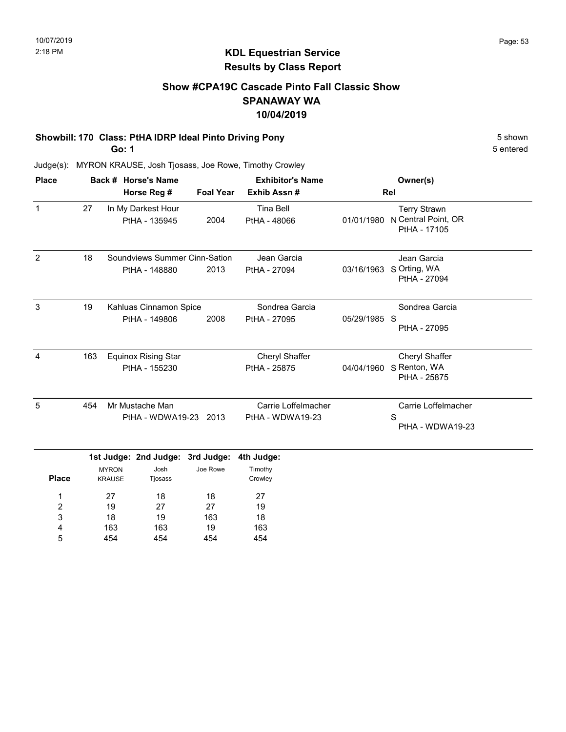#### Show #CPA19C Cascade Pinto Fall Classic Show SPANAWAY WA 10/04/2019

#### Showbill: 170 Class: PtHA IDRP Ideal Pinto Driving Pony 5 Shown 5 Shown

Go: 1

18 163 454

3 4 5

19 163 454 163 19 454

18 163 454 5 entered

| <b>Place</b>        |                                                    |                               | Back # Horse's Name                            |                  | <b>Exhibitor's Name</b>                 |              | Owner(s)                                                   |
|---------------------|----------------------------------------------------|-------------------------------|------------------------------------------------|------------------|-----------------------------------------|--------------|------------------------------------------------------------|
|                     |                                                    |                               | Horse Reg #                                    | <b>Foal Year</b> | Exhib Assn#                             |              | Rel                                                        |
| $\mathbf{1}$        | 27                                                 |                               | In My Darkest Hour<br>PtHA - 135945            | 2004             | <b>Tina Bell</b><br>PtHA - 48066        | 01/01/1980   | <b>Terry Strawn</b><br>N Central Point, OR<br>PtHA - 17105 |
| $\overline{2}$      | 18                                                 |                               | Soundviews Summer Cinn-Sation<br>PtHA - 148880 | 2013             | Jean Garcia<br>PtHA - 27094             | 03/16/1963   | Jean Garcia<br>S Orting, WA<br>PtHA - 27094                |
| 3                   | 19                                                 |                               | Kahluas Cinnamon Spice<br>PtHA - 149806        | 2008             | Sondrea Garcia<br>PtHA - 27095          | 05/29/1985 S | Sondrea Garcia<br>PtHA - 27095                             |
| $\overline{4}$      | 163<br><b>Equinox Rising Star</b><br>PtHA - 155230 |                               |                                                |                  | Cheryl Shaffer<br>PtHA - 25875          | 04/04/1960   | Cheryl Shaffer<br>S Renton, WA<br>PtHA - 25875             |
| 5                   | 454                                                |                               | Mr Mustache Man<br>PtHA - WDWA19-23 2013       |                  | Carrie Loffelmacher<br>PtHA - WDWA19-23 |              | Carrie Loffelmacher<br>S<br>PtHA - WDWA19-23               |
|                     |                                                    |                               | 1st Judge: 2nd Judge:                          | 3rd Judge:       | 4th Judge:                              |              |                                                            |
| <b>Place</b>        |                                                    | <b>MYRON</b><br><b>KRAUSE</b> | Josh<br>Tjosass                                | Joe Rowe         | Timothy<br>Crowley                      |              |                                                            |
| 1<br>$\overline{c}$ | 27<br>19                                           |                               | 18<br>27                                       | 18<br>27         | 27<br>19                                |              |                                                            |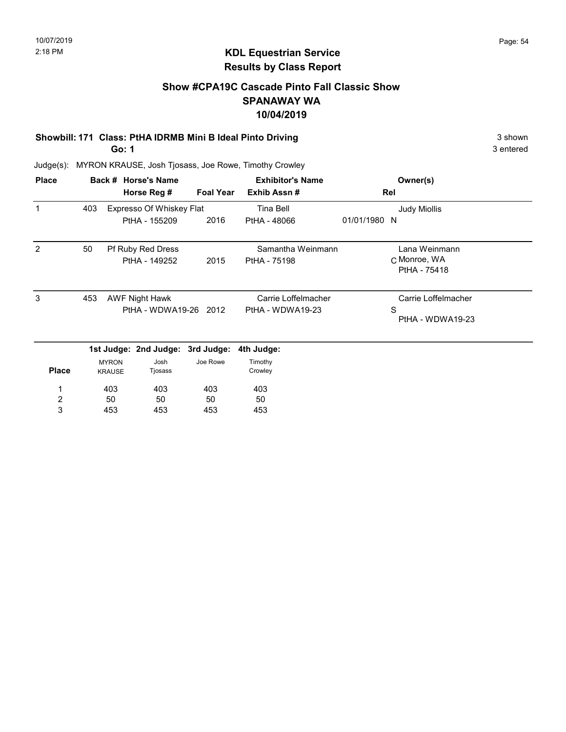3 entered

## KDL Equestrian Service Results by Class Report

#### Show #CPA19C Cascade Pinto Fall Classic Show SPANAWAY WA 10/04/2019

### Showbill: 171 Class: PtHA IDRMB Mini B Ideal Pinto Driving 3 Shown 3 shown

Go: 1

| <b>Place</b>            |     |                               | Back # Horse's Name                            |                  | <b>Exhibitor's Name</b>                 |              | Owner(s)                                     |
|-------------------------|-----|-------------------------------|------------------------------------------------|------------------|-----------------------------------------|--------------|----------------------------------------------|
|                         |     |                               | Horse Reg #                                    | <b>Foal Year</b> | Exhib Assn#                             |              | Rel                                          |
| 1                       | 403 |                               | Expresso Of Whiskey Flat                       |                  | Tina Bell                               |              | <b>Judy Miollis</b>                          |
|                         |     |                               | PtHA - 155209                                  | 2016             | PtHA - 48066                            | 01/01/1980 N |                                              |
| 2                       | 50  |                               | Pf Ruby Red Dress                              |                  | Samantha Weinmann                       |              | Lana Weinmann                                |
|                         |     |                               | PtHA - 149252                                  | 2015             | PtHA - 75198                            |              | C Monroe, WA<br>PtHA - 75418                 |
| 3                       | 453 |                               | <b>AWF Night Hawk</b><br>PtHA - WDWA19-26 2012 |                  | Carrie Loffelmacher<br>PtHA - WDWA19-23 |              | Carrie Loffelmacher<br>S<br>PtHA - WDWA19-23 |
|                         |     |                               | 1st Judge: 2nd Judge: 3rd Judge:               |                  | 4th Judge:                              |              |                                              |
| <b>Place</b>            |     | <b>MYRON</b><br><b>KRAUSE</b> | Josh<br>Tjosass                                | Joe Rowe         | Timothy<br>Crowley                      |              |                                              |
| 1                       |     | 403                           | 403                                            | 403              | 403                                     |              |                                              |
| $\overline{\mathbf{c}}$ |     | 50                            | 50                                             | 50               | 50                                      |              |                                              |
| 3                       |     | 453                           | 453                                            | 453              | 453                                     |              |                                              |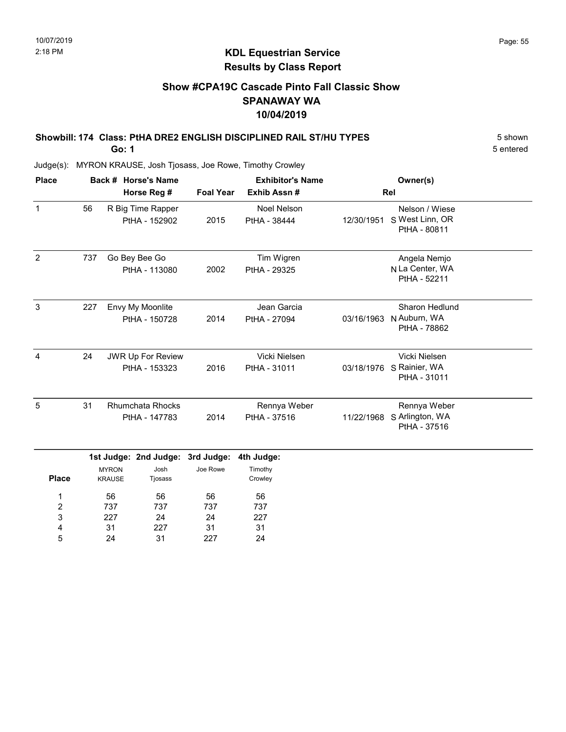### Show #CPA19C Cascade Pinto Fall Classic Show SPANAWAY WA 10/04/2019

#### Showbill: 174 Class: PtHA DRE2 ENGLISH DISCIPLINED RAIL ST/HU TYPES 5 Shown Go: 1

5 entered

Judge(s): MYRON KRAUSE, Josh Tjosass, Joe Rowe, Timothy Crowley

| <b>Place</b> |     |                                                                                                                                  | Back # Horse's Name                       |                  | <b>Exhibitor's Name</b>            |            | Owner(s)                                                   |  |
|--------------|-----|----------------------------------------------------------------------------------------------------------------------------------|-------------------------------------------|------------------|------------------------------------|------------|------------------------------------------------------------|--|
|              |     |                                                                                                                                  | Horse Reg #                               | <b>Foal Year</b> | Exhib Assn#                        | Rel        |                                                            |  |
| $\mathbf{1}$ | 56  |                                                                                                                                  | R Big Time Rapper<br>PtHA - 152902        | 2015             | <b>Noel Nelson</b><br>PtHA - 38444 | 12/30/1951 | Nelson / Wiese<br>S West Linn, OR<br>PtHA - 80811          |  |
| 2            | 737 |                                                                                                                                  | Go Bey Bee Go<br>PtHA - 113080            | 2002             | Tim Wigren<br>PtHA - 29325         |            | Angela Nemjo<br>N La Center, WA<br>PtHA - 52211            |  |
| 3            | 227 |                                                                                                                                  | Envy My Moonlite<br>PtHA - 150728         | 2014             | Jean Garcia<br>PtHA - 27094        | 03/16/1963 | Sharon Hedlund<br>N Auburn, WA<br>PtHA - 78862             |  |
| 4            | 24  |                                                                                                                                  | <b>JWR Up For Review</b><br>PtHA - 153323 | 2016             | Vicki Nielsen<br>PtHA - 31011      | 03/18/1976 | Vicki Nielsen<br>S Rainier, WA<br>PtHA - 31011             |  |
| 5            | 31  | <b>Rhumchata Rhocks</b><br>PtHA - 147783<br>1st Judge: 2nd Judge: 3rd Judge:<br>Josh<br><b>MYRON</b><br><b>KRAUSE</b><br>Tjosass |                                           | 2014             | Rennya Weber<br>PtHA - 37516       |            | Rennya Weber<br>11/22/1968 S Arlington, WA<br>PtHA - 37516 |  |
| <b>Place</b> |     |                                                                                                                                  |                                           | Joe Rowe         | 4th Judge:<br>Timothy<br>Crowley   |            |                                                            |  |
| 1            |     | 56                                                                                                                               | 56                                        | 56               | 56                                 |            |                                                            |  |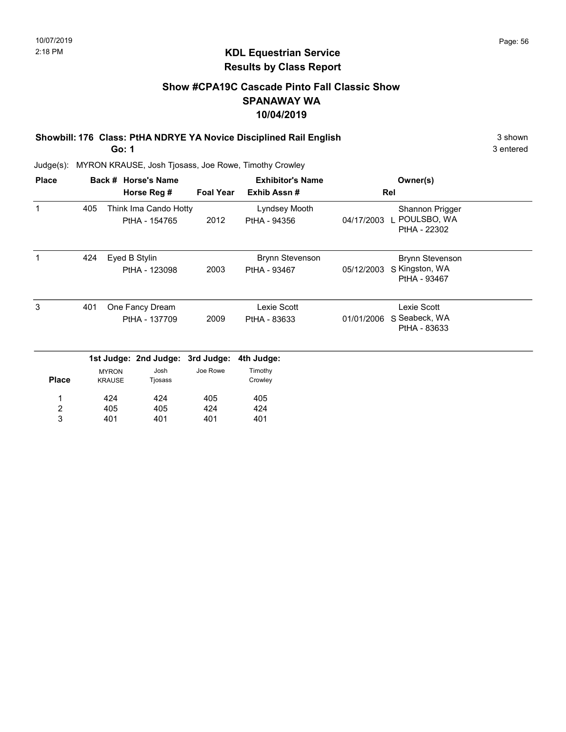3 entered

### KDL Equestrian Service Results by Class Report

#### Show #CPA19C Cascade Pinto Fall Classic Show SPANAWAY WA 10/04/2019

Showbill: 176 Class: PtHA NDRYE YA Novice Disciplined Rail English 3 shown 3 shown

Go: 1

| <b>Place</b>          |                                         |                               | Back # Horse's Name                    |                             | <b>Exhibitor's Name</b>                |                                              | Owner(s)                                                    |  |
|-----------------------|-----------------------------------------|-------------------------------|----------------------------------------|-----------------------------|----------------------------------------|----------------------------------------------|-------------------------------------------------------------|--|
|                       |                                         |                               | Horse Reg #                            | <b>Foal Year</b>            | Exhib Assn#                            |                                              | Rel                                                         |  |
| 1                     | 405                                     |                               | Think Ima Cando Hotty<br>PtHA - 154765 | 2012                        | Lyndsey Mooth<br>PtHA - 94356          |                                              | Shannon Prigger<br>04/17/2003 L POULSBO, WA<br>PtHA - 22302 |  |
| 1                     | 424                                     |                               | Eyed B Stylin<br>PtHA - 123098         | 2003                        | <b>Brynn Stevenson</b><br>PtHA - 93467 | 05/12/2003                                   | <b>Brynn Stevenson</b><br>S Kingston, WA<br>PtHA - 93467    |  |
| 3                     | 401<br>One Fancy Dream<br>PtHA - 137709 |                               | 2009                                   | Lexie Scott<br>PtHA - 83633 | 01/01/2006                             | Lexie Scott<br>S Seabeck, WA<br>PtHA - 83633 |                                                             |  |
|                       |                                         |                               | 1st Judge: 2nd Judge:                  | 3rd Judge:                  | 4th Judge:                             |                                              |                                                             |  |
| <b>Place</b>          |                                         | <b>MYRON</b><br><b>KRAUSE</b> | Josh<br>Tjosass                        | Joe Rowe                    | Timothy<br>Crowley                     |                                              |                                                             |  |
| 1                     |                                         | 424                           | 424                                    | 405                         | 405                                    |                                              |                                                             |  |
| $\boldsymbol{2}$<br>3 |                                         | 405<br>401                    | 405<br>401                             | 424<br>401                  | 424<br>401                             |                                              |                                                             |  |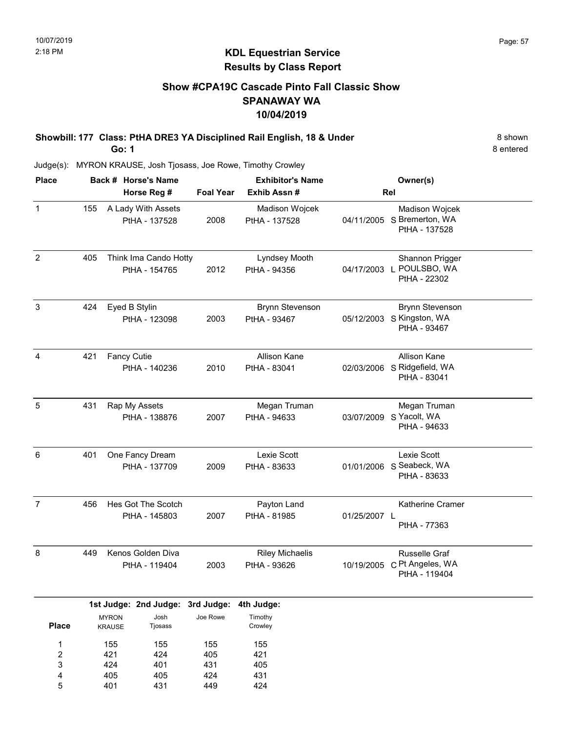#### Show #CPA19C Cascade Pinto Fall Classic Show SPANAWAY WA 10/04/2019

Showbill: 177 Class: PtHA DRE3 YA Disciplined Rail English, 18 & Under 8 Shown Go: 1

Judge(s): MYRON KRAUSE, Josh Tjosass, Joe Rowe, Timothy Crowley

| <b>Place</b>   |     | Back # Horse's Name<br>Horse Reg #          | <b>Foal Year</b> | <b>Exhibitor's Name</b><br>Exhib Assn # |              | Owner(s)<br>Rel                                                    |
|----------------|-----|---------------------------------------------|------------------|-----------------------------------------|--------------|--------------------------------------------------------------------|
| $\mathbf{1}$   | 155 | A Lady With Assets<br>PtHA - 137528         | 2008             | Madison Wojcek<br>PtHA - 137528         |              | Madison Wojcek<br>04/11/2005 S Bremerton, WA<br>PtHA - 137528      |
| $\overline{2}$ | 405 | Think Ima Cando Hotty<br>PtHA - 154765      | 2012             | Lyndsey Mooth<br>PtHA - 94356           |              | Shannon Prigger<br>04/17/2003 L POULSBO, WA<br>PtHA - 22302        |
| $\mathbf{3}$   | 424 | Eyed B Stylin<br>PtHA - 123098              | 2003             | <b>Brynn Stevenson</b><br>PtHA - 93467  | 05/12/2003   | <b>Brynn Stevenson</b><br>S Kingston, WA<br>PtHA - 93467           |
| $\overline{4}$ | 421 | <b>Fancy Cutie</b><br>PtHA - 140236         | 2010             | <b>Allison Kane</b><br>PtHA - 83041     |              | <b>Allison Kane</b><br>02/03/2006 S Ridgefield, WA<br>PtHA - 83041 |
| $\overline{5}$ | 431 | Rap My Assets<br>PtHA - 138876              | 2007             | Megan Truman<br>PtHA - 94633            | 03/07/2009   | Megan Truman<br>S Yacolt, WA<br>PtHA - 94633                       |
| 6              | 401 | One Fancy Dream<br>PtHA - 137709            | 2009             | Lexie Scott<br>PtHA - 83633             |              | Lexie Scott<br>01/01/2006 S Seabeck, WA<br>PtHA - 83633            |
| $\overline{7}$ | 456 | Hes Got The Scotch<br>PtHA - 145803         | 2007             | Payton Land<br>PtHA - 81985             | 01/25/2007 L | Katherine Cramer<br>PtHA - 77363                                   |
| $\bf 8$        | 449 | Kenos Golden Diva<br>PtHA - 119404          | 2003             | <b>Riley Michaelis</b><br>PtHA - 93626  |              | Russelle Graf<br>10/19/2005 C Pt Angeles, WA<br>PtHA - 119404      |
|                |     | 1st Judge: 2nd Judge: 3rd Judge: 4th Judge: |                  |                                         |              |                                                                    |

|              |               | ist Judge. Zhu Judge. Jiu Judge. Hin Judge. |          |         |
|--------------|---------------|---------------------------------------------|----------|---------|
|              | <b>MYRON</b>  | Josh                                        | Joe Rowe | Timothy |
| <b>Place</b> | <b>KRAUSE</b> | Tjosass                                     |          | Crowley |
|              |               |                                             |          |         |
| 1            | 155           | 155                                         | 155      | 155     |
| 2            | 421           | 424                                         | 405      | 421     |
| 3            | 424           | 401                                         | 431      | 405     |
| 4            | 405           | 405                                         | 424      | 431     |
| 5            | 401           | 431                                         | 449      | 424     |

8 entered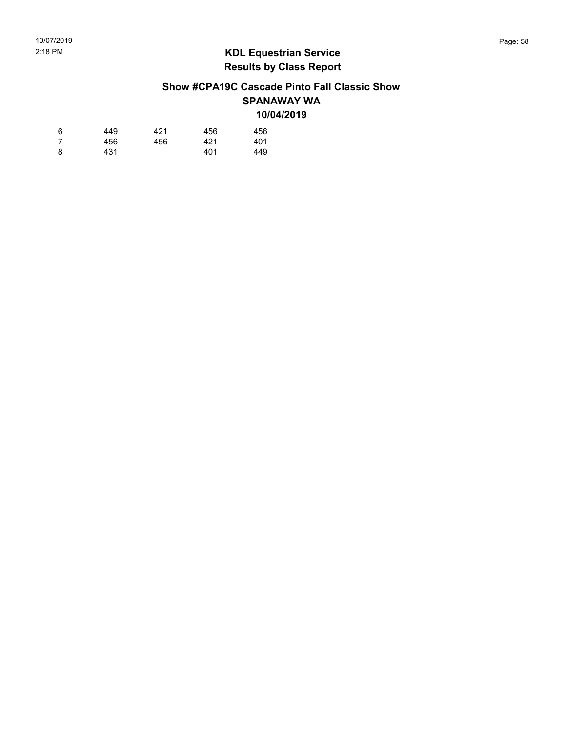#### Show #CPA19C Cascade Pinto Fall Classic Show SPANAWAY WA 10/04/2019

| 6 | 449 | 421 | 456 | 456 |
|---|-----|-----|-----|-----|
| 7 | 456 | 456 | 421 | 401 |
| 8 | 431 |     | 401 | 449 |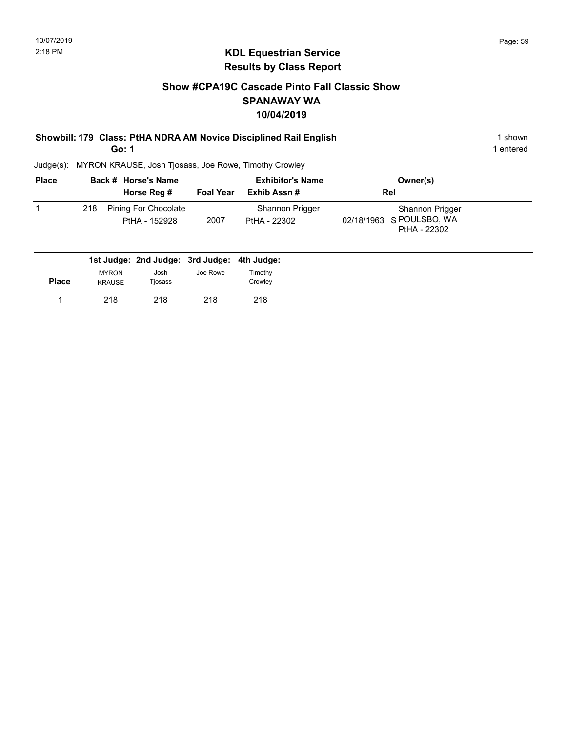#### Show #CPA19C Cascade Pinto Fall Classic Show SPANAWAY WA 10/04/2019

Showbill: 179 Class: PtHA NDRA AM Novice Disciplined Rail English 1 Shown 1 shown

Go: 1

Judge(s): MYRON KRAUSE, Josh Tjosass, Joe Rowe, Timothy Crowley

| <b>Place</b> | Back # Horse's Name<br>Horse Reg #           | <b>Foal Year</b> | <b>Exhibitor's Name</b><br>Exhib Assn# | Owner(s)<br><b>Rel</b>                                      |  |
|--------------|----------------------------------------------|------------------|----------------------------------------|-------------------------------------------------------------|--|
|              | Pining For Chocolate<br>218<br>PtHA - 152928 | 2007             | Shannon Prigger<br>PtHA - 22302        | Shannon Prigger<br>02/18/1963 S POULSBO, WA<br>PtHA - 22302 |  |
|              | 1st Judge: 2nd Judge: 3rd Judge: 4th Judge:  |                  |                                        |                                                             |  |

| <b>Place</b> | <b>MYRON</b><br><b>KRAUSE</b> | Josh<br>Tjosass | Joe Rowe | Timothy<br>Crowley |
|--------------|-------------------------------|-----------------|----------|--------------------|
|              | 218                           | 218             | 218      | 218                |

1 entered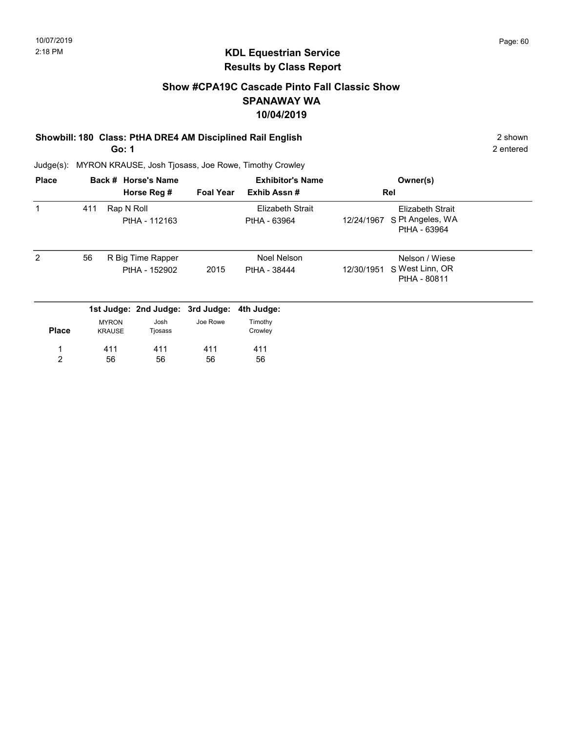#### Show #CPA19C Cascade Pinto Fall Classic Show SPANAWAY WA 10/04/2019

# Showbill: 180 Class: PtHA DRE4 AM Disciplined Rail English 2 Shown 2 shown

Go: 1

2 entered

| <b>Place</b>   |     |                               | Back # Horse's Name<br>Horse Reg # | <b>Foal Year</b> | <b>Exhibitor's Name</b><br>Exhib Assn#  |            | Owner(s)<br>Rel                                             |  |
|----------------|-----|-------------------------------|------------------------------------|------------------|-----------------------------------------|------------|-------------------------------------------------------------|--|
|                | 411 | Rap N Roll                    | PtHA - 112163                      |                  | <b>Elizabeth Strait</b><br>PtHA - 63964 | 12/24/1967 | <b>Elizabeth Strait</b><br>S Pt Angeles, WA<br>PtHA - 63964 |  |
| $\mathcal{P}$  | 56  |                               | R Big Time Rapper<br>PtHA - 152902 | 2015             | Noel Nelson<br>PtHA - 38444             | 12/30/1951 | Nelson / Wiese<br>S West Linn, OR<br>PtHA - 80811           |  |
|                |     |                               | 1st Judge: 2nd Judge: 3rd Judge:   |                  | 4th Judge:                              |            |                                                             |  |
| <b>Place</b>   |     | <b>MYRON</b><br><b>KRAUSE</b> | Josh<br>Tjosass                    | Joe Rowe         | Timothy<br>Crowley                      |            |                                                             |  |
| 1              |     | 411                           | 411                                | 411              | 411                                     |            |                                                             |  |
| $\overline{2}$ |     | 56                            | 56                                 | 56               | 56                                      |            |                                                             |  |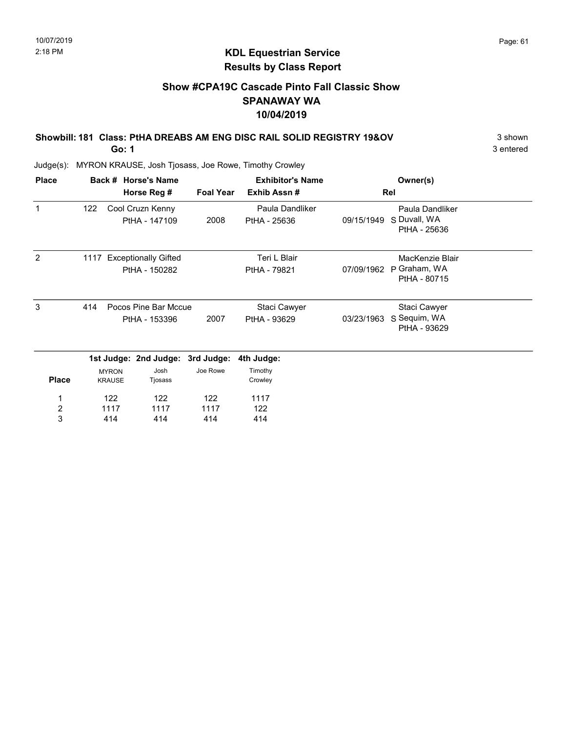#### Show #CPA19C Cascade Pinto Fall Classic Show SPANAWAY WA 10/04/2019

Showbill: 181 Class: PtHA DREABS AM ENG DISC RAIL SOLID REGISTRY 19&OV 3 shown Go: 1

3 entered

| <b>Place</b>          |     |                               | Back # Horse's Name                        |                  | <b>Exhibitor's Name</b>         |            | Owner(s)                                        |  |
|-----------------------|-----|-------------------------------|--------------------------------------------|------------------|---------------------------------|------------|-------------------------------------------------|--|
|                       |     |                               | Horse Reg #                                | <b>Foal Year</b> | Exhib Assn#                     |            | Rel                                             |  |
| 1                     | 122 |                               | Cool Cruzn Kenny<br>PtHA - 147109          | 2008             | Paula Dandliker<br>PtHA - 25636 | 09/15/1949 | Paula Dandliker<br>S Duvall, WA<br>PtHA - 25636 |  |
| 2                     |     |                               | 1117 Exceptionally Gifted<br>PtHA - 150282 |                  | Teri L Blair<br>PtHA - 79821    | 07/09/1962 | MacKenzie Blair<br>P Graham, WA<br>PtHA - 80715 |  |
| 3                     | 414 |                               | Pocos Pine Bar Mccue<br>PtHA - 153396      | 2007             | Staci Cawyer<br>PtHA - 93629    | 03/23/1963 | Staci Cawyer<br>S Sequim, WA<br>PtHA - 93629    |  |
|                       |     |                               | 1st Judge: 2nd Judge: 3rd Judge:           |                  | 4th Judge:                      |            |                                                 |  |
| <b>Place</b>          |     | <b>MYRON</b><br><b>KRAUSE</b> | Josh<br>Tjosass                            | Joe Rowe         | Timothy<br>Crowley              |            |                                                 |  |
| 1<br>$\boldsymbol{2}$ |     | 122<br>1117                   | 122<br>1117                                | 122<br>1117      | 1117<br>122                     |            |                                                 |  |
| 3                     |     | 414                           | 414                                        | 414              | 414                             |            |                                                 |  |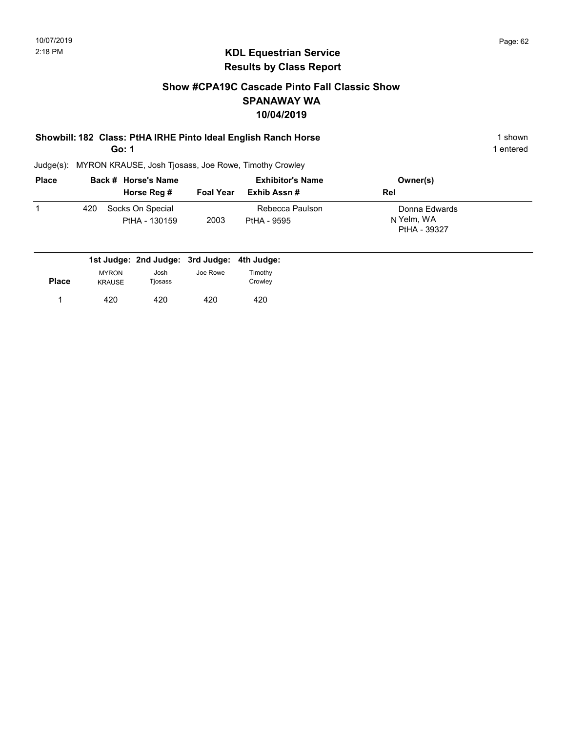#### Show #CPA19C Cascade Pinto Fall Classic Show SPANAWAY WA 10/04/2019

#### Showbill: 182 Class: PtHA IRHE Pinto Ideal English Ranch Horse 1 Shown 1 shown Go: 1

1 entered

| <b>Place</b> |     | Back # Horse's Name               |                  | <b>Exhibitor's Name</b>        | Owner(s)                                    |  |
|--------------|-----|-----------------------------------|------------------|--------------------------------|---------------------------------------------|--|
|              |     | Horse Reg #                       | <b>Foal Year</b> | Exhib Assn #                   | Rel                                         |  |
|              | 420 | Socks On Special<br>PtHA - 130159 | 2003             | Rebecca Paulson<br>PtHA - 9595 | Donna Edwards<br>N Yelm, WA<br>PtHA - 39327 |  |

|              |                               | 1st Judge: 2nd Judge: 3rd Judge: 4th Judge: |          |                    |
|--------------|-------------------------------|---------------------------------------------|----------|--------------------|
| <b>Place</b> | <b>MYRON</b><br><b>KRAUSE</b> | Josh<br>Tjosass                             | Joe Rowe | Timothv<br>Crowley |
|              | 420                           | 420                                         | 420      | 420                |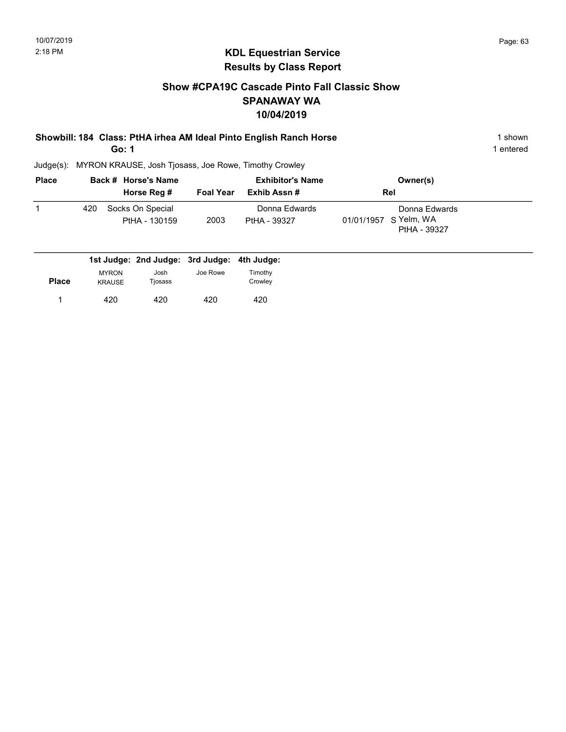#### Show #CPA19C Cascade Pinto Fall Classic Show SPANAWAY WA 10/04/2019

| Showbill: 184 Class: PtHA irhea AM Ideal Pinto English Ranch Horse | shown     |
|--------------------------------------------------------------------|-----------|
| Go: 1                                                              | 1 entered |

| <b>Place</b> |     | Back # Horse's Name               |                  | <b>Exhibitor's Name</b>       | Owner(s)                                               |  |
|--------------|-----|-----------------------------------|------------------|-------------------------------|--------------------------------------------------------|--|
|              |     | Horse Reg #                       | <b>Foal Year</b> | Exhib Assn #                  | Rel                                                    |  |
|              | 420 | Socks On Special<br>PtHA - 130159 | 2003             | Donna Edwards<br>PtHA - 39327 | Donna Edwards<br>01/01/1957 S Yelm, WA<br>PtHA - 39327 |  |

|              |                               | 1st Judge: 2nd Judge: 3rd Judge: 4th Judge: |          |                    |
|--------------|-------------------------------|---------------------------------------------|----------|--------------------|
| <b>Place</b> | <b>MYRON</b><br><b>KRAUSE</b> | Josh<br>Tjosass                             | Joe Rowe | Timothy<br>Crowley |
|              | 420                           | 420                                         | 420      | 420                |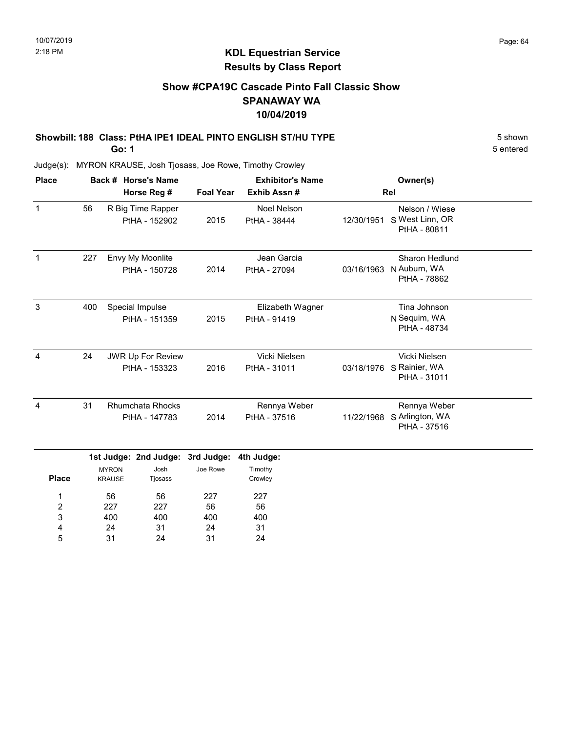### Show #CPA19C Cascade Pinto Fall Classic Show SPANAWAY WA 10/04/2019

## Showbill: 188 Class: PtHA IPE1 IDEAL PINTO ENGLISH ST/HU TYPE 5 Shown

Go: 1

400 24 31

3 4 5 400 31 24

400 24 31

400 31 24

5 entered

| <b>Place</b>        |     |                                           | Back # Horse's Name                      | <b>Exhibitor's Name</b> |                                    |            | Owner(s)                                                  |  |
|---------------------|-----|-------------------------------------------|------------------------------------------|-------------------------|------------------------------------|------------|-----------------------------------------------------------|--|
|                     |     |                                           | Horse Reg #                              | <b>Foal Year</b>        | Exhib Assn#                        |            | Rel                                                       |  |
| $\mathbf{1}$        | 56  |                                           | R Big Time Rapper<br>PtHA - 152902       | 2015                    | <b>Noel Nelson</b><br>PtHA - 38444 | 12/30/1951 | Nelson / Wiese<br>S West Linn, OR<br>PtHA - 80811         |  |
| $\mathbf{1}$        | 227 |                                           | Envy My Moonlite<br>PtHA - 150728        | 2014                    | Jean Garcia<br>PtHA - 27094        | 03/16/1963 | Sharon Hedlund<br>N Auburn, WA<br>PtHA - 78862            |  |
| $\mathbf{3}$        | 400 |                                           | Special Impulse<br>PtHA - 151359         | 2015                    | Elizabeth Wagner<br>PtHA - 91419   |            | Tina Johnson<br>N Sequim, WA<br>PtHA - 48734              |  |
| $\overline{4}$      | 24  | <b>JWR Up For Review</b><br>PtHA - 153323 |                                          | 2016                    | Vicki Nielsen<br>PtHA - 31011      |            | Vicki Nielsen<br>03/18/1976 S Rainier, WA<br>PtHA - 31011 |  |
| 4                   | 31  |                                           | <b>Rhumchata Rhocks</b><br>PtHA - 147783 | 2014                    | Rennya Weber<br>PtHA - 37516       | 11/22/1968 | Rennya Weber<br>S Arlington, WA<br>PtHA - 37516           |  |
|                     |     |                                           | 1st Judge: 2nd Judge: 3rd Judge:         |                         | 4th Judge:                         |            |                                                           |  |
| <b>Place</b>        |     | <b>MYRON</b><br><b>KRAUSE</b>             | Josh<br>Tjosass                          | Joe Rowe                | Timothy<br>Crowley                 |            |                                                           |  |
| 1<br>$\overline{2}$ |     | 56<br>227                                 | 56<br>227                                | 227<br>56               | 227<br>56                          |            |                                                           |  |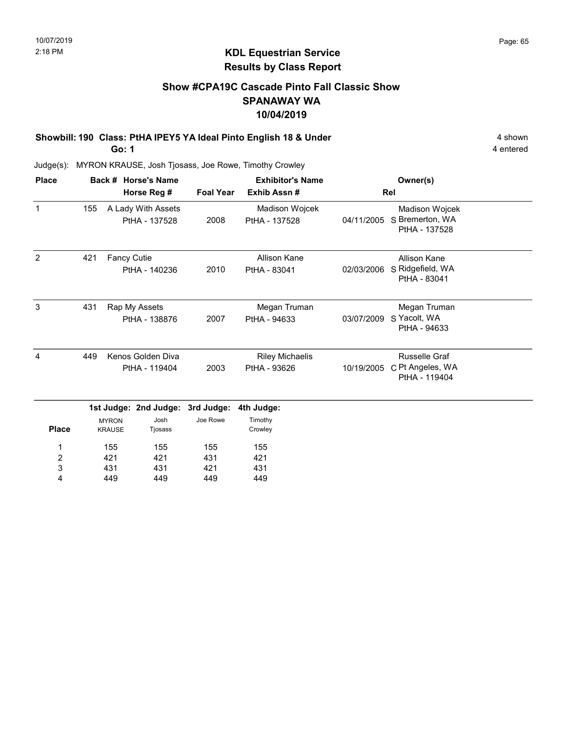#### Show #CPA19C Cascade Pinto Fall Classic Show SPANAWAY WA 10/04/2019

Showbill: 190 Class: PtHA IPEY5 YA Ideal Pinto English 18 & Under 4 shown 4 shown

Go: 1

4 entered

| <b>Place</b>   |     |                                                  | Back # Horse's Name                 |                   | <b>Exhibitor's Name</b>                | Owner(s)   |                                                    |  |
|----------------|-----|--------------------------------------------------|-------------------------------------|-------------------|----------------------------------------|------------|----------------------------------------------------|--|
|                |     |                                                  | Horse Reg #                         | <b>Foal Year</b>  | Exhib Assn#                            |            | Rel                                                |  |
| $\mathbf{1}$   | 155 |                                                  | A Lady With Assets<br>PtHA - 137528 | 2008              | Madison Wojcek<br>PtHA - 137528        | 04/11/2005 | Madison Wojcek<br>S Bremerton, WA<br>PtHA - 137528 |  |
| 2              | 421 | Fancy Cutie                                      | PtHA - 140236                       | 2010              | Allison Kane<br>PtHA - 83041           | 02/03/2006 | Allison Kane<br>S Ridgefield, WA<br>PtHA - 83041   |  |
| 3              | 431 |                                                  | Rap My Assets<br>PtHA - 138876      | 2007              | Megan Truman<br>PtHA - 94633           | 03/07/2009 | Megan Truman<br>S Yacolt, WA<br>PtHA - 94633       |  |
| $\overline{4}$ | 449 | Kenos Golden Diva<br>PtHA - 119404               |                                     | 2003              | <b>Riley Michaelis</b><br>PtHA - 93626 | 10/19/2005 | Russelle Graf<br>C Pt Angeles, WA<br>PtHA - 119404 |  |
|                |     |                                                  | 1st Judge: 2nd Judge:               | 3rd Judge:        | 4th Judge:                             |            |                                                    |  |
| <b>Place</b>   |     | Josh<br><b>MYRON</b><br><b>KRAUSE</b><br>Tjosass |                                     | Joe Rowe          | Timothy<br>Crowley                     |            |                                                    |  |
| 1<br>2<br>3    |     | 155<br>155<br>421<br>421<br>431<br>431           |                                     | 155<br>431<br>421 | 155<br>421<br>431                      |            |                                                    |  |
| 4              |     | 449                                              | 449                                 | 449               | 449                                    |            |                                                    |  |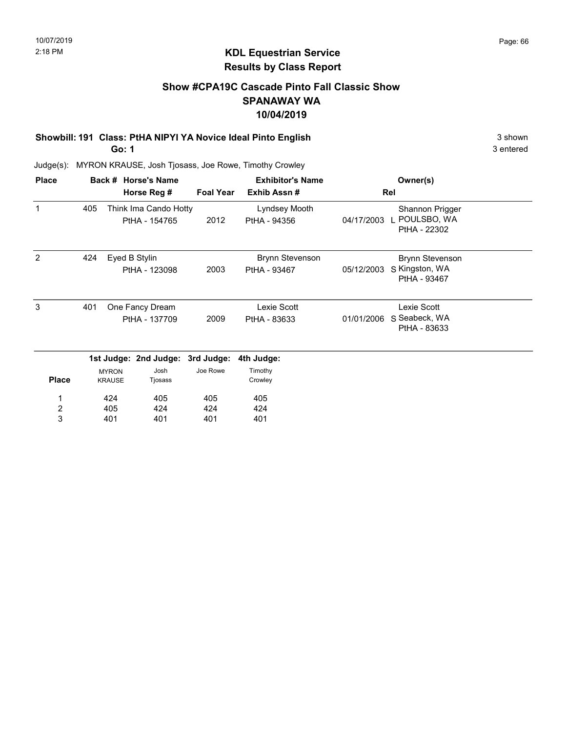#### Show #CPA19C Cascade Pinto Fall Classic Show SPANAWAY WA 10/04/2019

# Showbill: 191 Class: PtHA NIPYI YA Novice Ideal Pinto English 3 shown 3 shown

Go: 1

3 entered

| <b>Place</b>            |     |                               | Back # Horse's Name                    |                  | <b>Exhibitor's Name</b>       |            | Owner(s)                                       |  |
|-------------------------|-----|-------------------------------|----------------------------------------|------------------|-------------------------------|------------|------------------------------------------------|--|
|                         |     |                               | Horse Reg #                            | <b>Foal Year</b> | Exhib Assn#                   |            | Rel                                            |  |
| 1                       | 405 |                               | Think Ima Cando Hotty<br>PtHA - 154765 | 2012             | Lyndsey Mooth<br>PtHA - 94356 | 04/17/2003 | Shannon Prigger<br>POULSBO, WA<br>PtHA - 22302 |  |
| 2                       | 424 |                               | Eyed B Stylin                          |                  | <b>Brynn Stevenson</b>        |            | <b>Brynn Stevenson</b>                         |  |
|                         |     |                               | PtHA - 123098                          | 2003             | PtHA - 93467                  | 05/12/2003 | S Kingston, WA<br>PtHA - 93467                 |  |
| 3                       | 401 |                               | One Fancy Dream                        |                  | Lexie Scott                   |            | Lexie Scott                                    |  |
|                         |     |                               | PtHA - 137709                          | 2009             | PtHA - 83633                  | 01/01/2006 | S Seabeck, WA<br>PtHA - 83633                  |  |
|                         |     |                               | 1st Judge: 2nd Judge: 3rd Judge:       |                  | 4th Judge:                    |            |                                                |  |
| <b>Place</b>            |     | <b>MYRON</b><br><b>KRAUSE</b> | Josh<br>Tjosass                        | Joe Rowe         | Timothy<br>Crowley            |            |                                                |  |
| 1                       |     | 424                           | 405                                    | 405              | 405                           |            |                                                |  |
| $\overline{\mathbf{c}}$ |     | 405                           | 424                                    | 424              | 424                           |            |                                                |  |
| 3                       |     | 401                           | 401                                    | 401              | 401                           |            |                                                |  |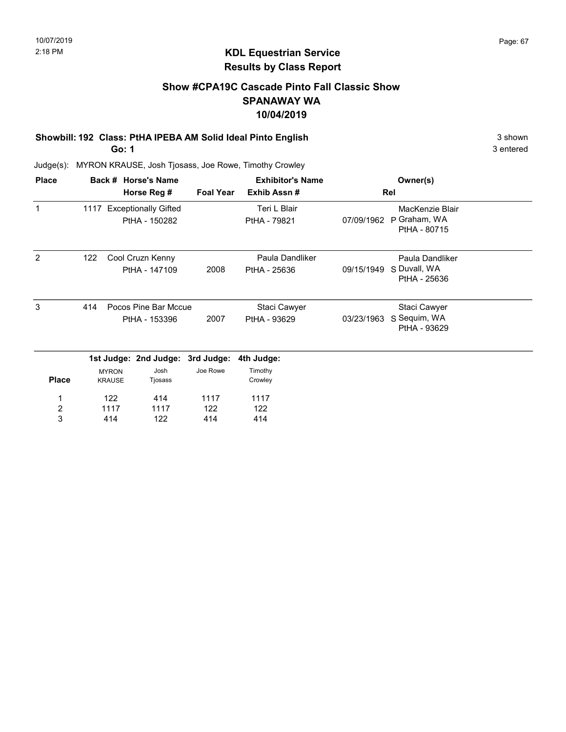#### Show #CPA19C Cascade Pinto Fall Classic Show SPANAWAY WA 10/04/2019

#### Showbill: 192 Class: PtHA IPEBA AM Solid Ideal Pinto English 3 shown 3 shown

Go: 1

3 entered

| <b>Place</b>            |     |                               | Back # Horse's Name       |                  | <b>Exhibitor's Name</b> |            | Owner(s)                     |  |
|-------------------------|-----|-------------------------------|---------------------------|------------------|-------------------------|------------|------------------------------|--|
|                         |     |                               | Horse Reg #               | <b>Foal Year</b> | Exhib Assn#             |            | Rel                          |  |
| $\mathbf{1}$            |     |                               | 1117 Exceptionally Gifted |                  | Teri L Blair            |            | MacKenzie Blair              |  |
|                         |     |                               | PtHA - 150282             |                  | PtHA - 79821            | 07/09/1962 | P Graham, WA<br>PtHA - 80715 |  |
| 2                       | 122 |                               | Cool Cruzn Kenny          |                  | Paula Dandliker         |            | Paula Dandliker              |  |
|                         |     |                               | PtHA - 147109             | 2008             | PtHA - 25636            | 09/15/1949 | S Duvall, WA<br>PtHA - 25636 |  |
| 3                       | 414 |                               | Pocos Pine Bar Mccue      |                  | Staci Cawyer            |            | Staci Cawyer                 |  |
|                         |     |                               | PtHA - 153396             | 2007             | PtHA - 93629            | 03/23/1963 | S Sequim, WA<br>PtHA - 93629 |  |
|                         |     |                               | 1st Judge: 2nd Judge:     | 3rd Judge:       | 4th Judge:              |            |                              |  |
| <b>Place</b>            |     | <b>MYRON</b><br><b>KRAUSE</b> | Josh<br>Tjosass           | Joe Rowe         | Timothy<br>Crowley      |            |                              |  |
| 1                       |     | 122                           | 414                       | 1117             | 1117                    |            |                              |  |
| $\overline{\mathbf{c}}$ |     | 1117                          | 1117                      | 122              | 122                     |            |                              |  |
| 3                       |     | 414                           | 122                       | 414              | 414                     |            |                              |  |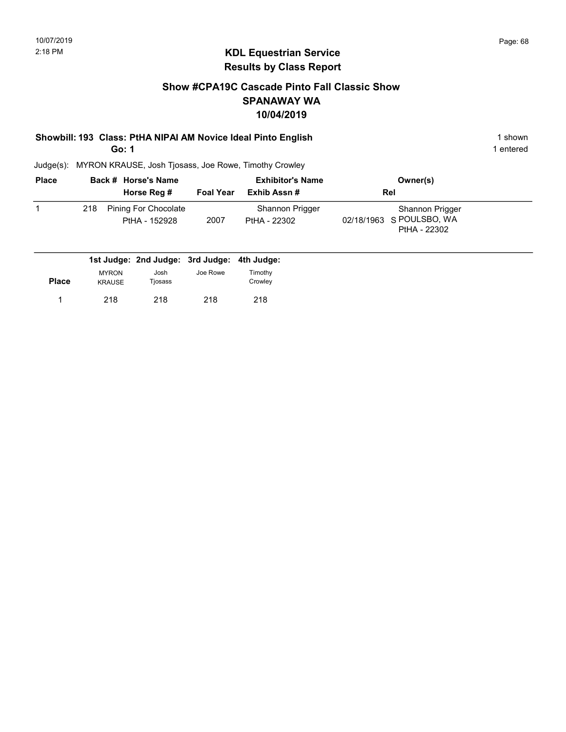#### Show #CPA19C Cascade Pinto Fall Classic Show SPANAWAY WA 10/04/2019

# Showbill: 193 Class: PtHA NIPAI AM Novice Ideal Pinto English 1 Shown 1 shown

Go: 1

1 entered

| <b>Place</b> | Back # Horse's Name<br>Horse Reg # |                                              | <b>Foal Year</b> | <b>Exhibitor's Name</b><br>Exhib Assn# | Owner(s)<br><b>Rel</b>                                      |  |  |
|--------------|------------------------------------|----------------------------------------------|------------------|----------------------------------------|-------------------------------------------------------------|--|--|
|              | 218                                | <b>Pining For Chocolate</b><br>PtHA - 152928 | 2007             | Shannon Prigger<br>PtHA - 22302        | Shannon Prigger<br>02/18/1963 S POULSBO, WA<br>PtHA - 22302 |  |  |

|              |                               | 1st Judge: 2nd Judge: 3rd Judge: 4th Judge: |          |                    |
|--------------|-------------------------------|---------------------------------------------|----------|--------------------|
| <b>Place</b> | <b>MYRON</b><br><b>KRAUSE</b> | Josh<br>Tiosass                             | Joe Rowe | Timothy<br>Crowlev |
|              | 218                           | 218                                         | 218      | 218                |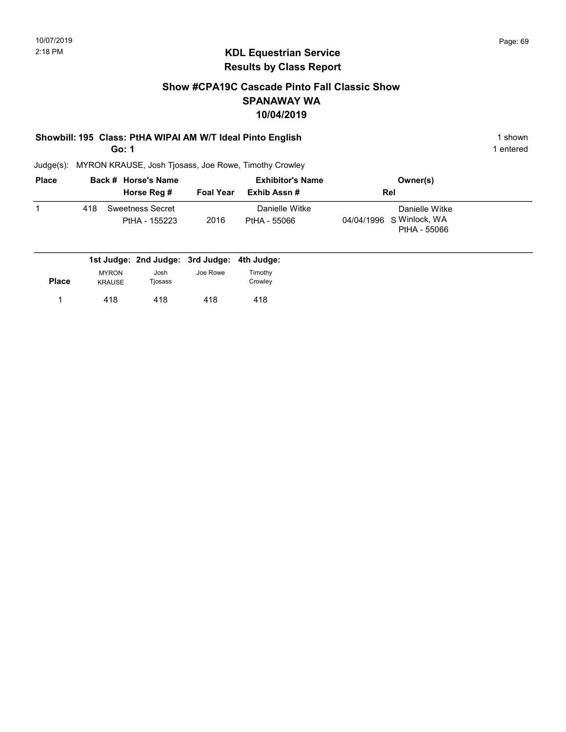#### Show #CPA19C Cascade Pinto Fall Classic Show SPANAWAY WA 10/04/2019

#### Showbill: 195 Class: PtHA WIPAI AM W/T Ideal Pinto English 1 Shown 1 shown

Go: 1

1 entered

| <b>Place</b> |     | Back # Horse's Name               |                  | <b>Exhibitor's Name</b>        | Owner(s)                                                   |  |
|--------------|-----|-----------------------------------|------------------|--------------------------------|------------------------------------------------------------|--|
|              |     | Horse Reg #                       | <b>Foal Year</b> | Exhib Assn #                   | Rel                                                        |  |
|              | 418 | Sweetness Secret<br>PtHA - 155223 | 2016             | Danielle Witke<br>PtHA - 55066 | Danielle Witke<br>04/04/1996 S Winlock, WA<br>PtHA - 55066 |  |

|              |                               | 1st Judge: 2nd Judge: 3rd Judge: 4th Judge: |          |                    |
|--------------|-------------------------------|---------------------------------------------|----------|--------------------|
| <b>Place</b> | <b>MYRON</b><br><b>KRAUSE</b> | Josh<br>Tjosass                             | Joe Rowe | Timothy<br>Crowley |
|              | 418                           | 418                                         | 418      | 418                |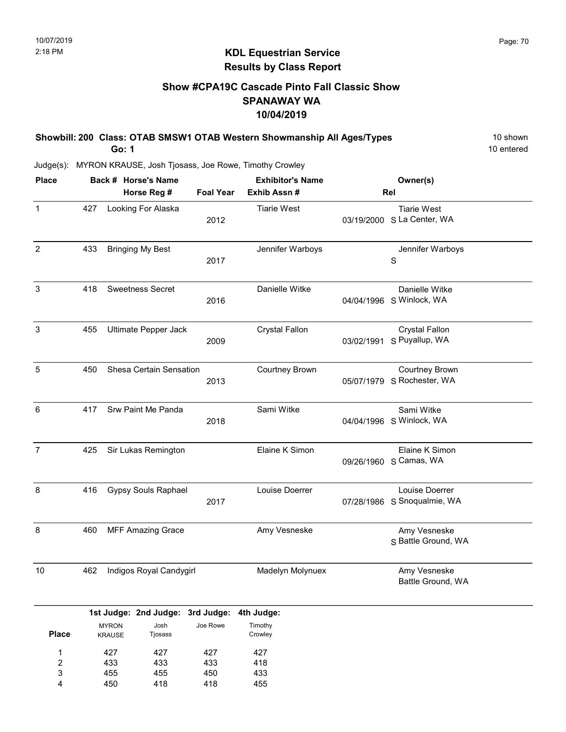#### KDL Equestrian Service Results by Class Report

#### Show #CPA19C Cascade Pinto Fall Classic Show SPANAWAY WA 10/04/2019

Showbill: 200 Class: OTAB SMSW1 OTAB Western Showmanship All Ages/Types 10 Shown Go: 1 Judge(s): MYRON KRAUSE, Josh Tjosass, Joe Rowe, Timothy Crowley 10 entered Back # Horse's Name Place Owner(s) Horse Reg # Exhib Assn # Foal Year Rel Exhibitor's Name 1 2012 **2012 CONVERTED MALL CONTENT OB** 03/19/2000 S La Center, WA Tiarie West Looking For Alaska Tiarie West 427 2 S Jennifer Warboys 2017 433 Bringing My Best **Grayting Community** Jennifer Warboys 3 2016 **March 2016** Company 194/04/1996 S Winlock, WA Danielle Witke Sweetness Secret **Danielle Witke** 418 3 2009 **Puyallup, WA** 03/02/1991 S Puyallup, WA Crystal Fallon Ultimate Pepper Jack Crystal Fallon 455 5 2013 **CONFERGATE: CONTENT CONTENTS OF S** Rochester, WA Courtney Brown Shesa Certain Sensation **Courtney Brown** 450 6 S 2018 Winlock, WA 04/04/1996 Sami Witke Srw Paint Me Panda Sami Witke 417 7 09/26/1960 S Camas, WA Elaine K Simon Sir Lukas Remington **Elaine K** Simon 425 8 S 2017 Snoqualmie, WA 07/28/1986 Louise Doerrer Gypsy Souls Raphael **Louise Doerrer** 416 8 S Battle Ground, WA Amy Vesneske 460 MFF Amazing Grace Amy Vesneske 10 10 Amy Vesneske and Your Madelyn Molynuex and Madelyn Molynuex Amy Vesneske Battle Ground, WA 1st Judge: 2nd Judge: 3rd Judge: 4th Judge: Place MYRON KRAUSE Josh Tjosass Joe Rowe Timothy Crowley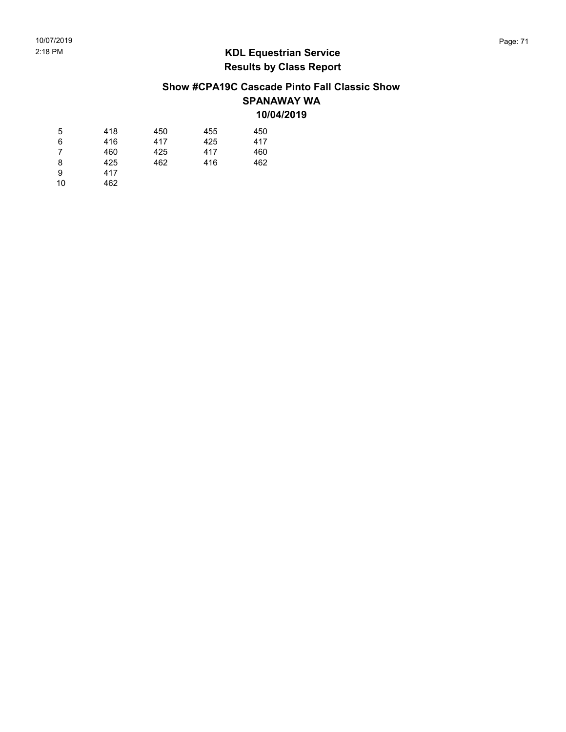#### Show #CPA19C Cascade Pinto Fall Classic Show SPANAWAY WA 10/04/2019

| 5  | 418 | 450 | 455 | 450 |
|----|-----|-----|-----|-----|
| 6  | 416 | 417 | 425 | 417 |
| 7  | 460 | 425 | 417 | 460 |
| 8  | 425 | 462 | 416 | 462 |
| 9  | 417 |     |     |     |
| 10 | 462 |     |     |     |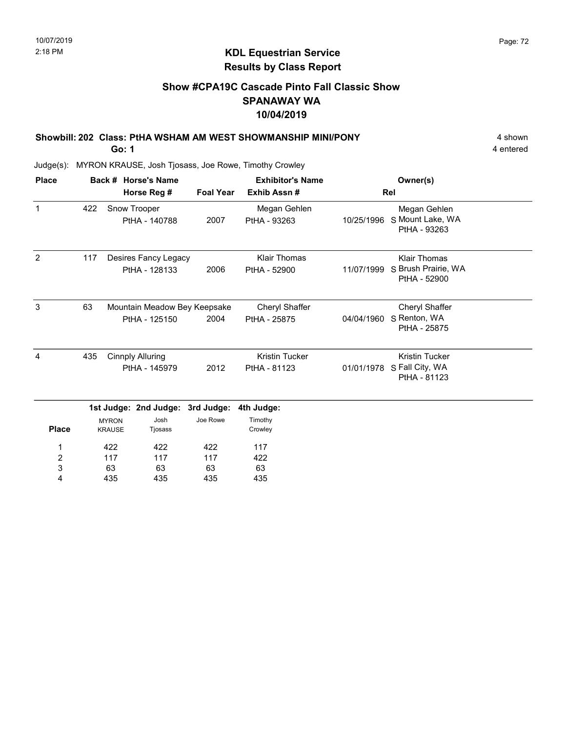#### Show #CPA19C Cascade Pinto Fall Classic Show SPANAWAY WA 10/04/2019

Showbill: 202 Class: PtHA WSHAM AM WEST SHOWMANSHIP MINI/PONY 4 shown

Go: 1

4 entered

| <b>Place</b>                      |     |                                                  | Back # Horse's Name                           |                  | <b>Exhibitor's Name</b>               |            | Owner(s)                                                   |  |
|-----------------------------------|-----|--------------------------------------------------|-----------------------------------------------|------------------|---------------------------------------|------------|------------------------------------------------------------|--|
|                                   |     |                                                  | Horse Reg #                                   | <b>Foal Year</b> | Exhib Assn#                           |            | Rel                                                        |  |
| $\mathbf{1}$                      | 422 |                                                  | Snow Trooper<br>PtHA - 140788                 | 2007             | Megan Gehlen<br>PtHA - 93263          | 10/25/1996 | Megan Gehlen<br>S Mount Lake, WA<br>PtHA - 93263           |  |
| $\overline{2}$                    | 117 |                                                  | Desires Fancy Legacy<br>PtHA - 128133         | 2006             | <b>Klair Thomas</b><br>PtHA - 52900   | 11/07/1999 | <b>Klair Thomas</b><br>S Brush Prairie, WA<br>PtHA - 52900 |  |
| 3                                 | 63  |                                                  | Mountain Meadow Bey Keepsake<br>PtHA - 125150 | 2004             | Cheryl Shaffer<br>PtHA - 25875        | 04/04/1960 | Cheryl Shaffer<br>S Renton, WA<br>PtHA - 25875             |  |
| 4                                 | 435 | <b>Cinnply Alluring</b><br>PtHA - 145979         |                                               | 2012             | <b>Kristin Tucker</b><br>PtHA - 81123 | 01/01/1978 | <b>Kristin Tucker</b><br>S Fall City, WA<br>PtHA - 81123   |  |
|                                   |     |                                                  | 1st Judge: 2nd Judge:                         | 3rd Judge:       | 4th Judge:                            |            |                                                            |  |
| <b>Place</b>                      |     | Josh<br><b>MYRON</b><br><b>KRAUSE</b><br>Tjosass |                                               | Joe Rowe         | Timothy<br>Crowley                    |            |                                                            |  |
| 1<br>$\overline{\mathbf{c}}$<br>3 |     | 422<br>422<br>117<br>117<br>63<br>63             |                                               | 422<br>117<br>63 | 117<br>422<br>63                      |            |                                                            |  |
| 4                                 |     | 435                                              | 435                                           | 435              | 435                                   |            |                                                            |  |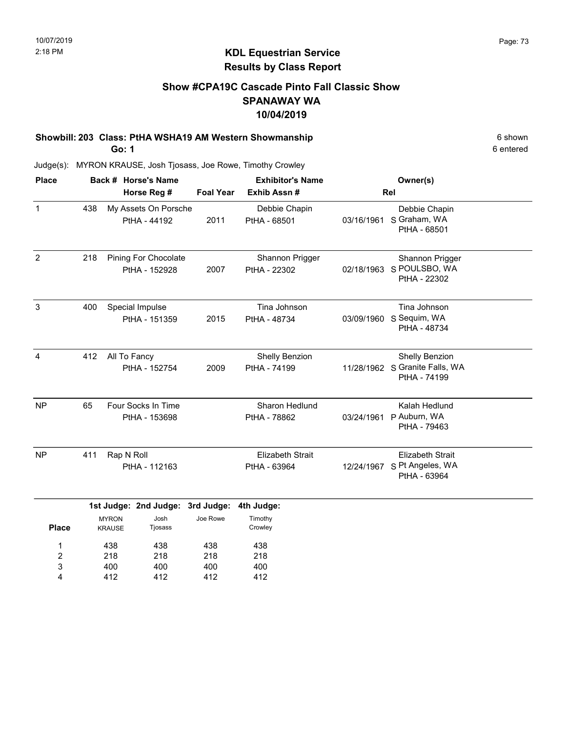### KDL Equestrian Service Results by Class Report

### Show #CPA19C Cascade Pinto Fall Classic Show SPANAWAY WA 10/04/2019

Showbill: 203 Class: PtHA WSHA19 AM Western Showmanship 6 Shown 6 shown

Go: 1

218 400 412

2 3 4

218 400 412

218 400 412 218 400 412

| <b>Place</b>   |     |                               | Back # Horse's Name                          |                  | <b>Exhibitor's Name</b>                 | Owner(s)   |                                                                  |  |
|----------------|-----|-------------------------------|----------------------------------------------|------------------|-----------------------------------------|------------|------------------------------------------------------------------|--|
|                |     |                               | Horse Reg #                                  | <b>Foal Year</b> | Exhib Assn#                             |            | Rel                                                              |  |
| $\mathbf{1}$   | 438 |                               | My Assets On Porsche<br>PtHA - 44192         | 2011             | Debbie Chapin<br>PtHA - 68501           | 03/16/1961 | Debbie Chapin<br>S Graham, WA<br>PtHA - 68501                    |  |
| $\overline{2}$ | 218 |                               | <b>Pining For Chocolate</b><br>PtHA - 152928 | 2007             | Shannon Prigger<br>PtHA - 22302         | 02/18/1963 | Shannon Prigger<br>S POULSBO, WA<br>PtHA - 22302                 |  |
| $\mathbf{3}$   | 400 |                               | Special Impulse<br>PtHA - 151359             | 2015             | Tina Johnson<br>PtHA - 48734            | 03/09/1960 | Tina Johnson<br>S Sequim, WA<br>PtHA - 48734                     |  |
| $\overline{4}$ | 412 | All To Fancy                  | PtHA - 152754                                | 2009             | Shelly Benzion<br>PtHA - 74199          |            | Shelly Benzion<br>11/28/1962 S Granite Falls, WA<br>PtHA - 74199 |  |
| <b>NP</b>      | 65  |                               | Four Socks In Time<br>PtHA - 153698          |                  | Sharon Hedlund<br>PtHA - 78862          | 03/24/1961 | Kalah Hedlund<br>P Auburn, WA<br>PtHA - 79463                    |  |
| <b>NP</b>      | 411 | Rap N Roll                    | PtHA - 112163                                |                  | <b>Elizabeth Strait</b><br>PtHA - 63964 | 12/24/1967 | <b>Elizabeth Strait</b><br>S Pt Angeles, WA<br>PtHA - 63964      |  |
|                |     |                               | 1st Judge: 2nd Judge: 3rd Judge:             |                  | 4th Judge:                              |            |                                                                  |  |
| <b>Place</b>   |     | <b>MYRON</b><br><b>KRAUSE</b> | Josh<br>Tjosass                              | Joe Rowe         | Timothy<br>Crowley                      |            |                                                                  |  |
| 1              |     | 438                           | 438                                          | 438              | 438                                     |            |                                                                  |  |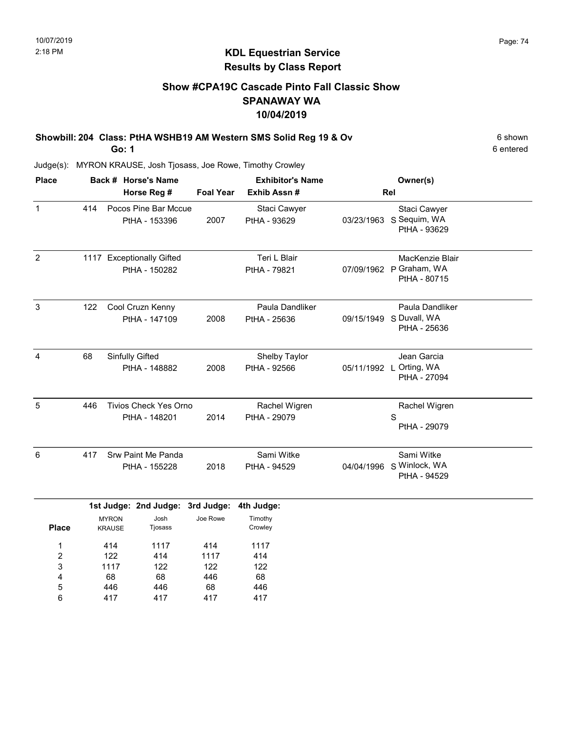### Show #CPA19C Cascade Pinto Fall Classic Show SPANAWAY WA 10/04/2019

Showbill: 204 Class: PtHA WSHB19 AM Western SMS Solid Reg 19 & Ov 6 shown 6 shown Go: 1

6 entered

Judge(s): MYRON KRAUSE, Josh Tjosass, Joe Rowe, Timothy Crowley

| <b>Place</b>   | Back # Horse's Name |                               |                                               |                  | <b>Exhibitor's Name</b>         | Owner(s)   |                                                            |  |
|----------------|---------------------|-------------------------------|-----------------------------------------------|------------------|---------------------------------|------------|------------------------------------------------------------|--|
|                |                     |                               | Horse Reg #                                   | <b>Foal Year</b> | Exhib Assn #                    |            | Rel                                                        |  |
| $\mathbf{1}$   | 414                 |                               | Pocos Pine Bar Mccue<br>PtHA - 153396         | 2007             | Staci Cawyer<br>PtHA - 93629    |            | Staci Cawyer<br>03/23/1963 S Sequim, WA<br>PtHA - 93629    |  |
| $\overline{2}$ |                     |                               | 1117 Exceptionally Gifted<br>PtHA - 150282    |                  | Teri L Blair<br>PtHA - 79821    |            | MacKenzie Blair<br>07/09/1962 P Graham, WA<br>PtHA - 80715 |  |
| 3              | 122                 |                               | Cool Cruzn Kenny<br>PtHA - 147109             | 2008             | Paula Dandliker<br>PtHA - 25636 | 09/15/1949 | Paula Dandliker<br>S Duvall, WA<br>PtHA - 25636            |  |
| $\overline{4}$ | 68                  |                               | Sinfully Gifted<br>PtHA - 148882              | 2008             | Shelby Taylor<br>PtHA - 92566   |            | Jean Garcia<br>05/11/1992 L Orting, WA<br>PtHA - 27094     |  |
| 5              | 446                 |                               | <b>Tivios Check Yes Orno</b><br>PtHA - 148201 | 2014             | Rachel Wigren<br>PtHA - 29079   |            | Rachel Wigren<br>S<br>PtHA - 29079                         |  |
| 6              | 417                 |                               | Srw Paint Me Panda<br>PtHA - 155228           | 2018             | Sami Witke<br>PtHA - 94529      |            | Sami Witke<br>04/04/1996 S Winlock, WA<br>PtHA - 94529     |  |
|                |                     |                               | 1st Judge: 2nd Judge: 3rd Judge:              |                  | 4th Judge:                      |            |                                                            |  |
| <b>Place</b>   |                     | <b>MYRON</b><br><b>KRAUSE</b> | Josh<br>Tjosass                               | Joe Rowe         | Timothy<br>Crowley              |            |                                                            |  |
| 1              |                     | 414                           | 1117                                          | 414              | 1117                            |            |                                                            |  |
| $\overline{2}$ |                     | 122                           | 414                                           | 1117             | 414                             |            |                                                            |  |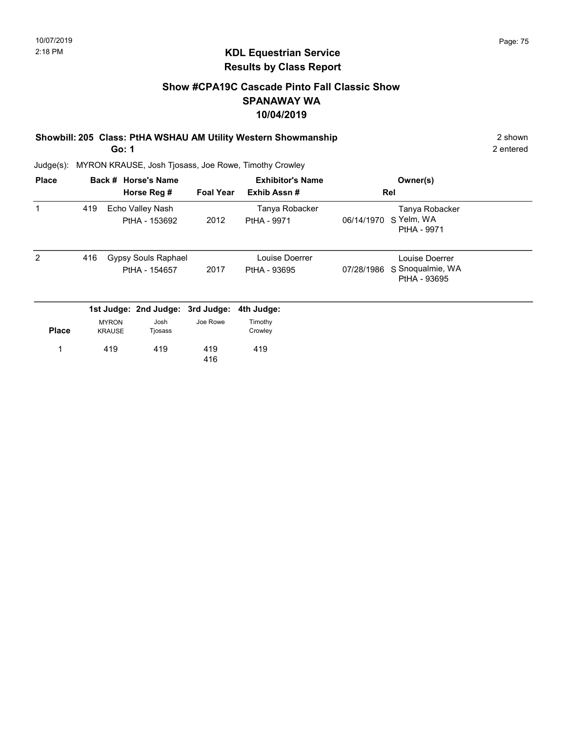### Show #CPA19C Cascade Pinto Fall Classic Show SPANAWAY WA 10/04/2019

Showbill: 205 Class: PtHA WSHAU AM Utility Western Showmanship 2 shown 2 shown

Go: 1

2 entered

| <b>Place</b> |     |                               | Back # Horse's Name<br>Horse Reg #   | <b>Foal Year</b> | <b>Exhibitor's Name</b><br>Exhib Assn# |            | Owner(s)<br>Rel                                    |  |
|--------------|-----|-------------------------------|--------------------------------------|------------------|----------------------------------------|------------|----------------------------------------------------|--|
| $\mathbf 1$  | 419 |                               | Echo Valley Nash<br>PtHA - 153692    | 2012             | Tanya Robacker<br>PtHA - 9971          | 06/14/1970 | Tanya Robacker<br>S Yelm, WA<br>PtHA - 9971        |  |
| 2            | 416 |                               | Gypsy Souls Raphael<br>PtHA - 154657 | 2017             | Louise Doerrer<br>PtHA - 93695         | 07/28/1986 | Louise Doerrer<br>S Snoqualmie, WA<br>PtHA - 93695 |  |
|              |     |                               | 1st Judge: 2nd Judge:                | 3rd Judge:       | 4th Judge:                             |            |                                                    |  |
| <b>Place</b> |     | <b>MYRON</b><br><b>KRAUSE</b> | Josh<br>Tjosass                      | Joe Rowe         | Timothy<br>Crowley                     |            |                                                    |  |
|              |     | 419                           | 419                                  | 419<br>416       | 419                                    |            |                                                    |  |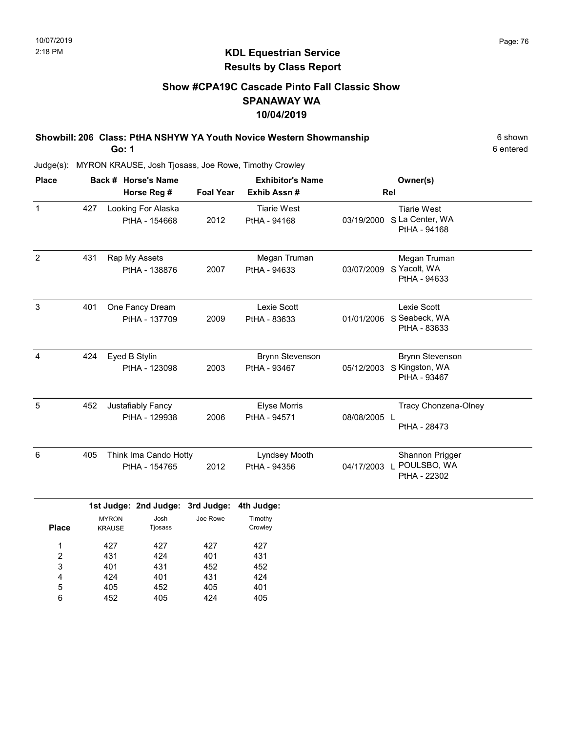## KDL Equestrian Service Results by Class Report

### Show #CPA19C Cascade Pinto Fall Classic Show SPANAWAY WA 10/04/2019

Showbill: 206 Class: PtHA NSHYW YA Youth Novice Western Showmanship 6 Shown 6 shown Go: 1

| <b>Place</b> |     | Back # Horse's Name<br>Horse Reg #          | <b>Foal Year</b> | <b>Exhibitor's Name</b><br>Exhib Assn# |              | Owner(s)<br>Rel                                          |  |
|--------------|-----|---------------------------------------------|------------------|----------------------------------------|--------------|----------------------------------------------------------|--|
| $\mathbf{1}$ | 427 | Looking For Alaska<br>PtHA - 154668         | 2012             | <b>Tiarie West</b><br>PtHA - 94168     | 03/19/2000   | <b>Tiarie West</b><br>S La Center, WA<br>PtHA - 94168    |  |
| 2            | 431 | Rap My Assets<br>PtHA - 138876              | 2007             | Megan Truman<br>PtHA - 94633           | 03/07/2009   | Megan Truman<br>S Yacolt, WA<br>PtHA - 94633             |  |
| 3            | 401 | One Fancy Dream<br>PtHA - 137709            | 2009             | Lexie Scott<br>PtHA - 83633            | 01/01/2006   | Lexie Scott<br>S Seabeck, WA<br>PtHA - 83633             |  |
| 4            | 424 | Eyed B Stylin<br>PtHA - 123098              | 2003             | <b>Brynn Stevenson</b><br>PtHA - 93467 | 05/12/2003   | <b>Brynn Stevenson</b><br>S Kingston, WA<br>PtHA - 93467 |  |
| 5            | 452 | Justafiably Fancy<br>PtHA - 129938          | 2006             | <b>Elyse Morris</b><br>PtHA - 94571    | 08/08/2005 L | Tracy Chonzena-Olney<br>PtHA - 28473                     |  |
| 6            | 405 | Think Ima Cando Hotty<br>PtHA - 154765      | 2012             | Lyndsey Mooth<br>PtHA - 94356          | 04/17/2003   | Shannon Prigger<br>POULSBO, WA<br>PtHA - 22302           |  |
|              |     | 1st Judge: 2nd Judge: 3rd Judge: 4th Judge: |                  |                                        |              |                                                          |  |

|              | <b>MYRON</b>  | Josh    | Joe Rowe | Timothy |
|--------------|---------------|---------|----------|---------|
| <b>Place</b> | <b>KRAUSE</b> | Tjosass |          | Crowley |
| 1            | 427           | 427     | 427      | 427     |
| 2            | 431           | 424     | 401      | 431     |
| 3            | 401           | 431     | 452      | 452     |
| 4            | 424           | 401     | 431      | 424     |
| 5            | 405           | 452     | 405      | 401     |
| 6            | 452           | 405     | 424      | 405     |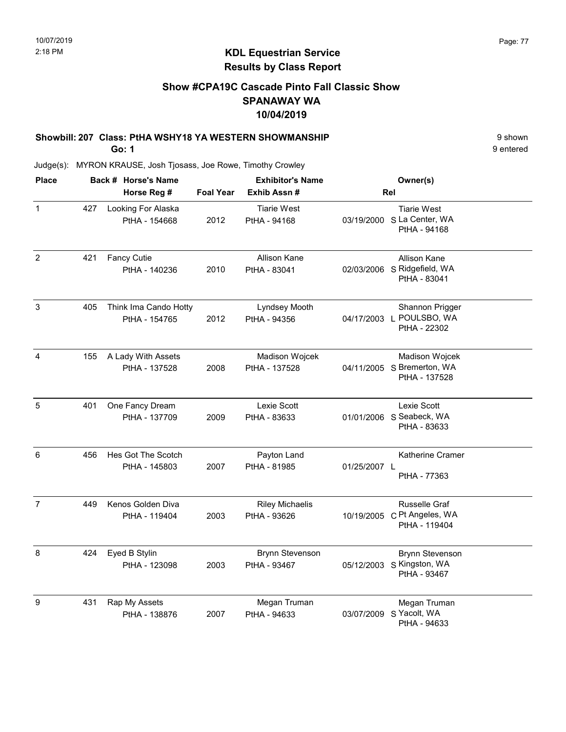### Show #CPA19C Cascade Pinto Fall Classic Show SPANAWAY WA 10/04/2019

# Showbill: 207 Class: PtHA WSHY18 YA WESTERN SHOWMANSHIP 9 Shown

Go: 1

9 entered

| <b>Place</b>   |     | Back # Horse's Name                    |                  | <b>Exhibitor's Name</b>                | Owner(s)                                                             |                        |
|----------------|-----|----------------------------------------|------------------|----------------------------------------|----------------------------------------------------------------------|------------------------|
|                |     | Horse Reg #                            | <b>Foal Year</b> | Exhib Assn#                            | Rel                                                                  |                        |
| $\mathbf{1}$   | 427 | Looking For Alaska<br>PtHA - 154668    | 2012             | <b>Tiarie West</b><br>PtHA - 94168     | <b>Tiarie West</b><br>03/19/2000 S La Center, WA<br>PtHA - 94168     |                        |
| $\overline{2}$ | 421 | <b>Fancy Cutie</b><br>PtHA - 140236    | 2010             | Allison Kane<br>PtHA - 83041           | Allison Kane<br>02/03/2006 S Ridgefield, WA<br>PtHA - 83041          |                        |
| 3              | 405 | Think Ima Cando Hotty<br>PtHA - 154765 | 2012             | Lyndsey Mooth<br>PtHA - 94356          | 04/17/2003 L POULSBO, WA<br>PtHA - 22302                             | Shannon Prigger        |
| 4              | 155 | A Lady With Assets<br>PtHA - 137528    | 2008             | Madison Wojcek<br>PtHA - 137528        | 04/11/2005 S Bremerton, WA<br>PtHA - 137528                          | Madison Wojcek         |
| 5              | 401 | One Fancy Dream<br>PtHA - 137709       | 2009             | Lexie Scott<br>PtHA - 83633            | Lexie Scott<br>01/01/2006 S Seabeck, WA<br>PtHA - 83633              |                        |
| 6              | 456 | Hes Got The Scotch<br>PtHA - 145803    | 2007             | Payton Land<br>PtHA - 81985            | 01/25/2007 L<br>PtHA - 77363                                         | Katherine Cramer       |
| $\overline{7}$ | 449 | Kenos Golden Diva<br>PtHA - 119404     | 2003             | <b>Riley Michaelis</b><br>PtHA - 93626 | <b>Russelle Graf</b><br>10/19/2005 C Pt Angeles, WA<br>PtHA - 119404 |                        |
| 8              | 424 | Eyed B Stylin<br>PtHA - 123098         | 2003             | <b>Brynn Stevenson</b><br>PtHA - 93467 | 05/12/2003 S Kingston, WA<br>PtHA - 93467                            | <b>Brynn Stevenson</b> |
| 9              | 431 | Rap My Assets<br>PtHA - 138876         | 2007             | Megan Truman<br>PtHA - 94633           | Megan Truman<br>S Yacolt, WA<br>03/07/2009<br>PtHA - 94633           |                        |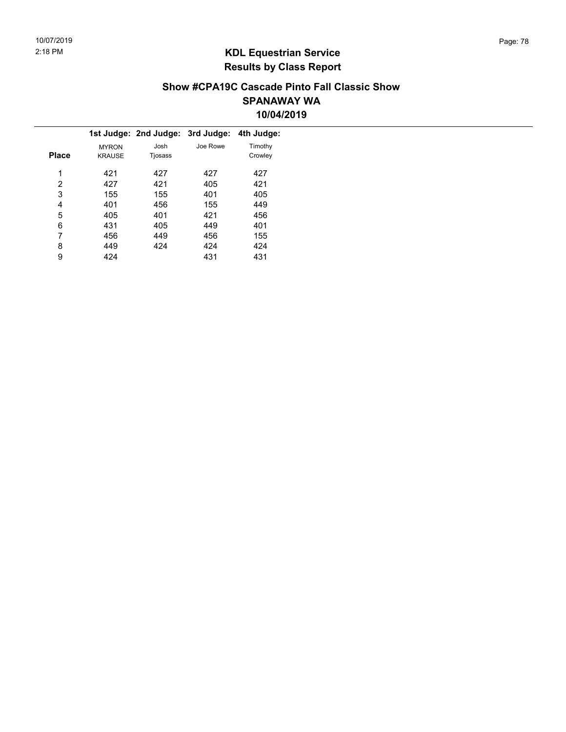### Show #CPA19C Cascade Pinto Fall Classic Show SPANAWAY WA 10/04/2019

|              |               | 1st Judge: 2nd Judge: 3rd Judge: 4th Judge: |          |         |  |
|--------------|---------------|---------------------------------------------|----------|---------|--|
|              | <b>MYRON</b>  | Josh                                        | Joe Rowe | Timothy |  |
| <b>Place</b> | <b>KRAUSE</b> | Tjosass                                     |          | Crowley |  |
| 1            | 421           | 427                                         | 427      | 427     |  |
| 2            | 427           | 421                                         | 405      | 421     |  |
| 3            | 155           | 155                                         | 401      | 405     |  |
| 4            | 401           | 456                                         | 155      | 449     |  |
| 5            | 405           | 401                                         | 421      | 456     |  |
| 6            | 431           | 405                                         | 449      | 401     |  |
| 7            | 456           | 449                                         | 456      | 155     |  |
| 8            | 449           | 424                                         | 424      | 424     |  |
| 9            | 424           |                                             | 431      | 431     |  |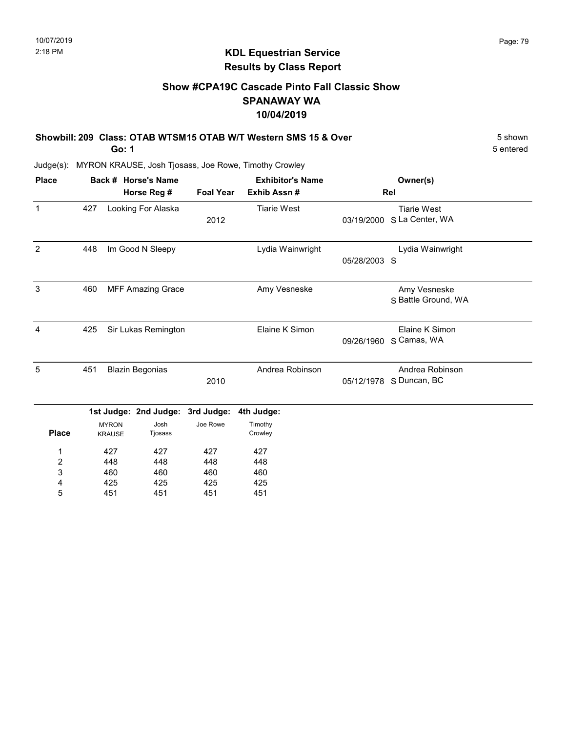### Show #CPA19C Cascade Pinto Fall Classic Show SPANAWAY WA 10/04/2019

| Showbill: 209 Class: OTAB WTSM15 OTAB W/T Western SMS 15 & Over |           |  |  |  |  |
|-----------------------------------------------------------------|-----------|--|--|--|--|
| Go: 1                                                           | 5 entered |  |  |  |  |

| <b>Place</b>     |     |                               | Back # Horse's Name              |                  | <b>Exhibitor's Name</b> |              | Owner(s)                                   |  |  |
|------------------|-----|-------------------------------|----------------------------------|------------------|-------------------------|--------------|--------------------------------------------|--|--|
|                  |     |                               | Horse Reg #                      | <b>Foal Year</b> | Exhib Assn#             |              | Rel                                        |  |  |
| $\mathbf{1}$     | 427 |                               | Looking For Alaska               | 2012             | <b>Tiarie West</b>      | 03/19/2000   | <b>Tiarie West</b><br>S La Center, WA      |  |  |
| $\overline{2}$   | 448 |                               | Im Good N Sleepy                 |                  | Lydia Wainwright        | 05/28/2003 S | Lydia Wainwright                           |  |  |
| $\mathbf{3}$     | 460 |                               | <b>MFF Amazing Grace</b>         |                  | Amy Vesneske            |              | Amy Vesneske<br>S Battle Ground, WA        |  |  |
| 4                | 425 |                               | Sir Lukas Remington              |                  | Elaine K Simon          | 09/26/1960   | Elaine K Simon<br>S Camas, WA              |  |  |
| 5                | 451 |                               | <b>Blazin Begonias</b>           | 2010             | Andrea Robinson         |              | Andrea Robinson<br>05/12/1978 S Duncan, BC |  |  |
|                  |     |                               | 1st Judge: 2nd Judge: 3rd Judge: |                  | 4th Judge:              |              |                                            |  |  |
| <b>Place</b>     |     | <b>MYRON</b><br><b>KRAUSE</b> | Josh<br>Tjosass                  | Joe Rowe         | Timothy<br>Crowley      |              |                                            |  |  |
| 1                |     | 427                           | 427                              | 427              | 427                     |              |                                            |  |  |
| $\boldsymbol{2}$ |     | 448                           | 448                              | 448              | 448                     |              |                                            |  |  |
| 3                |     | 460                           | 460                              | 460              | 460                     |              |                                            |  |  |
| 4                |     | 425                           | 425                              | 425              | 425                     |              |                                            |  |  |
| 5                |     | 451                           | 451                              | 451              | 451                     |              |                                            |  |  |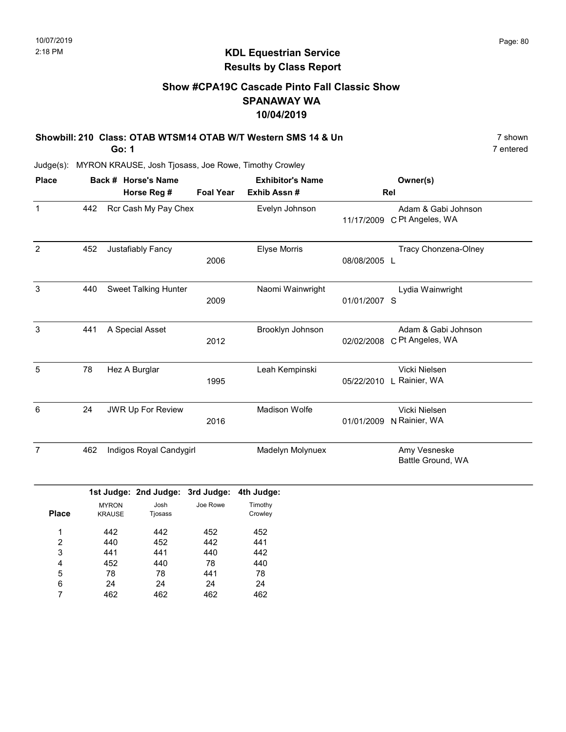### KDL Equestrian Service Results by Class Report

### Show #CPA19C Cascade Pinto Fall Classic Show SPANAWAY WA 10/04/2019

| Showbill: 210 Class: OTAB WTSM14 OTAB W/T Western SMS 14 & Un |           |  |  |  |  |
|---------------------------------------------------------------|-----------|--|--|--|--|
| Go: 1                                                         | 7 entered |  |  |  |  |

Judge(s): MYRON KRAUSE, Josh Tjosass, Joe Rowe, Timothy Crowley

24 462

6 7

24 462

24 462

| <b>Place</b>              |     |               | Back # Horse's Name<br>Horse Reg # | <b>Foal Year</b> | <b>Exhibitor's Name</b><br>Exhib Assn # |              | Owner(s)<br>Rel                                    |
|---------------------------|-----|---------------|------------------------------------|------------------|-----------------------------------------|--------------|----------------------------------------------------|
|                           |     |               |                                    |                  |                                         |              |                                                    |
| $\mathbf{1}$              | 442 |               | Rcr Cash My Pay Chex               |                  | Evelyn Johnson                          |              | Adam & Gabi Johnson<br>11/17/2009 C Pt Angeles, WA |
| $\overline{2}$            | 452 |               | Justafiably Fancy                  | 2006             | Elyse Morris                            | 08/08/2005 L | Tracy Chonzena-Olney                               |
| 3                         | 440 |               | <b>Sweet Talking Hunter</b>        | 2009             | Naomi Wainwright                        | 01/01/2007 S | Lydia Wainwright                                   |
| 3                         | 441 |               | A Special Asset                    | 2012             | Brooklyn Johnson                        | 02/02/2008   | Adam & Gabi Johnson<br>C Pt Angeles, WA            |
| 5                         | 78  |               | Hez A Burglar                      | 1995             | Leah Kempinski                          |              | Vicki Nielsen<br>05/22/2010 L Rainier, WA          |
| $\,6\,$                   | 24  |               | <b>JWR Up For Review</b>           | 2016             | Madison Wolfe                           | 01/01/2009   | Vicki Nielsen<br>N Rainier, WA                     |
| $\overline{7}$            | 462 |               | Indigos Royal Candygirl            |                  | Madelyn Molynuex                        |              | Amy Vesneske<br>Battle Ground, WA                  |
|                           |     |               | 1st Judge: 2nd Judge: 3rd Judge:   |                  | 4th Judge:                              |              |                                                    |
|                           |     | <b>MYRON</b>  | Josh                               | Joe Rowe         | Timothy                                 |              |                                                    |
| <b>Place</b>              |     | <b>KRAUSE</b> | Tjosass                            |                  | Crowley                                 |              |                                                    |
| 1                         |     | 442           | 442                                | 452              | 452                                     |              |                                                    |
| $\overline{c}$            |     | 440           | 452                                | 442              | 441                                     |              |                                                    |
| $\ensuremath{\mathsf{3}}$ |     | 441           | 441                                | 440              | 442                                     |              |                                                    |
| 4                         |     | 452           | 440                                | 78               | 440                                     |              |                                                    |
| 5                         |     | 78            | 78                                 | 441              | 78                                      |              |                                                    |

24 462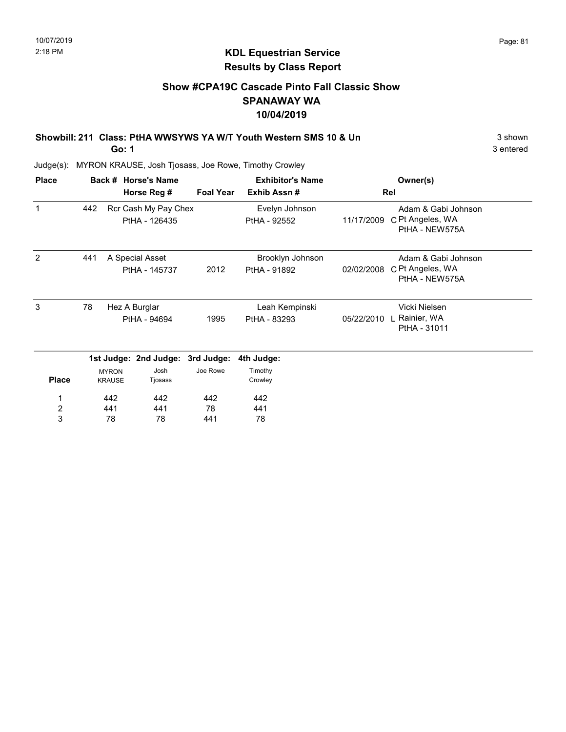### Show #CPA19C Cascade Pinto Fall Classic Show SPANAWAY WA 10/04/2019

Showbill: 211 Class: PtHA WWSYWS YA W/T Youth Western SMS 10 & Un 3 Shown 3 shown

Go: 1

3 entered

| <b>Place</b>            |     |                               | Back # Horse's Name                   |                  | <b>Exhibitor's Name</b>        | Owner(s)   |                                                           |  |
|-------------------------|-----|-------------------------------|---------------------------------------|------------------|--------------------------------|------------|-----------------------------------------------------------|--|
|                         |     |                               | Horse Reg #                           | <b>Foal Year</b> | Exhib Assn#                    |            | Rel                                                       |  |
| $\mathbf 1$             | 442 |                               | Rcr Cash My Pay Chex<br>PtHA - 126435 |                  | Evelyn Johnson<br>PtHA - 92552 | 11/17/2009 | Adam & Gabi Johnson<br>C Pt Angeles, WA<br>PtHA - NEW575A |  |
| 2                       | 441 | A Special Asset               |                                       |                  | Brooklyn Johnson               |            | Adam & Gabi Johnson                                       |  |
|                         |     |                               | PtHA - 145737                         | 2012             | PtHA - 91892                   | 02/02/2008 | C Pt Angeles, WA<br>PtHA - NEW575A                        |  |
| 3                       | 78  |                               | Hez A Burglar                         |                  | Leah Kempinski                 |            | Vicki Nielsen                                             |  |
|                         |     |                               | PtHA - 94694                          | 1995             | PtHA - 83293                   | 05/22/2010 | Rainier, WA<br>PtHA - 31011                               |  |
|                         |     |                               | 1st Judge: 2nd Judge: 3rd Judge:      |                  | 4th Judge:                     |            |                                                           |  |
| <b>Place</b>            |     | <b>MYRON</b><br><b>KRAUSE</b> | Josh<br>Tjosass                       | Joe Rowe         | Timothy<br>Crowley             |            |                                                           |  |
| 1                       |     | 442                           | 442                                   | 442              | 442                            |            |                                                           |  |
| $\overline{\mathbf{c}}$ |     | 441                           | 441                                   | 78               | 441                            |            |                                                           |  |
| $\mathbf{3}$            |     | 78                            | 78                                    | 441              | 78                             |            |                                                           |  |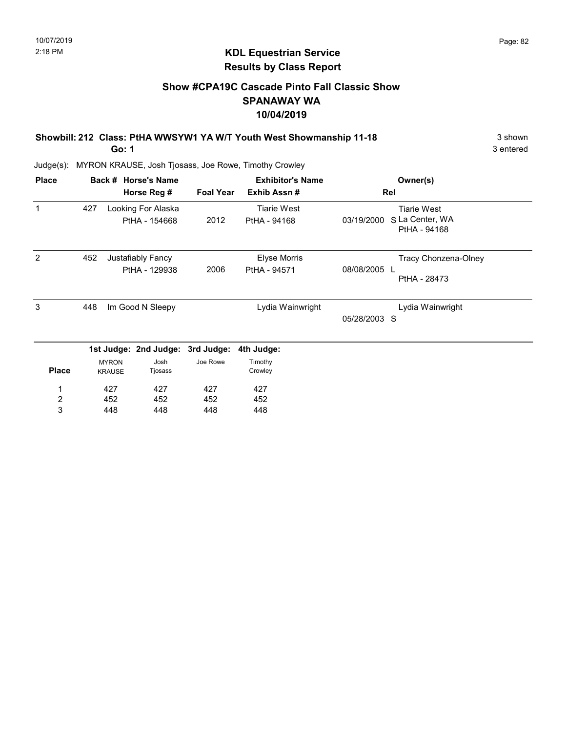### KDL Equestrian Service Results by Class Report

### Show #CPA19C Cascade Pinto Fall Classic Show SPANAWAY WA 10/04/2019

Showbill: 212 Class: PtHA WWSYW1 YA W/T Youth West Showmanship 11-18 3 Shown

Go: 1

| <b>Place</b>            |     |                               | Back # Horse's Name              |                  | <b>Exhibitor's Name</b> | Owner(s)                                      |
|-------------------------|-----|-------------------------------|----------------------------------|------------------|-------------------------|-----------------------------------------------|
|                         |     |                               | Horse Reg #                      | <b>Foal Year</b> | Exhib Assn#             | Rel                                           |
| 1                       | 427 |                               | Looking For Alaska               |                  | <b>Tiarie West</b>      | <b>Tiarie West</b>                            |
|                         |     |                               | PtHA - 154668                    | 2012             | PtHA - 94168            | S La Center, WA<br>03/19/2000<br>PtHA - 94168 |
| 2                       | 452 |                               | Justafiably Fancy                |                  | <b>Elyse Morris</b>     | Tracy Chonzena-Olney                          |
|                         |     |                               | PtHA - 129938                    | 2006             | PtHA - 94571            | 08/08/2005 L<br>PtHA - 28473                  |
| 3                       | 448 |                               | Im Good N Sleepy                 |                  | Lydia Wainwright        | Lydia Wainwright                              |
|                         |     |                               |                                  |                  |                         | 05/28/2003 S                                  |
|                         |     |                               | 1st Judge: 2nd Judge: 3rd Judge: |                  | 4th Judge:              |                                               |
| <b>Place</b>            |     | <b>MYRON</b><br><b>KRAUSE</b> | Josh<br>Tjosass                  | Joe Rowe         | Timothy<br>Crowley      |                                               |
|                         |     | 427                           | 427                              | 427              | 427                     |                                               |
| $\overline{\mathbf{c}}$ |     | 452                           | 452                              | 452              | 452                     |                                               |
| 3                       |     | 448                           | 448                              | 448              | 448                     |                                               |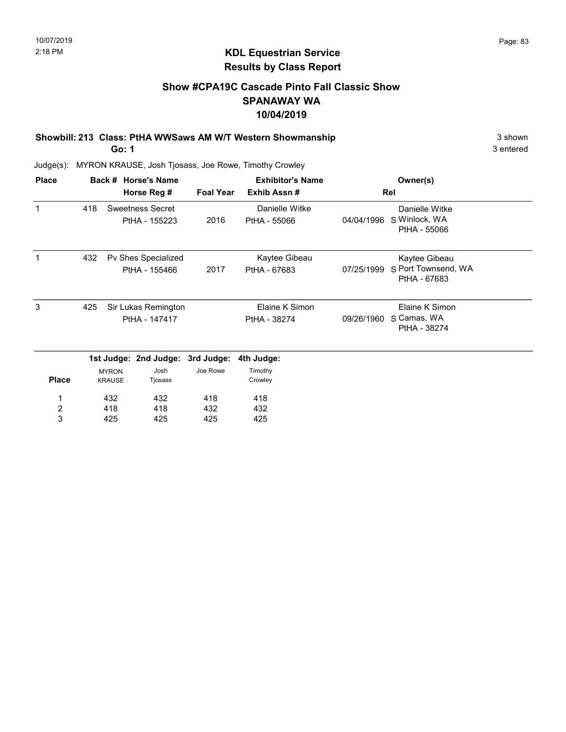### KDL Equestrian Service Results by Class Report

### Show #CPA19C Cascade Pinto Fall Classic Show SPANAWAY WA 10/04/2019

Showbill: 213 Class: PtHA WWSaws AM W/T Western Showmanship 3 shown 3 shown

Go: 1

| <b>Place</b>            |     |                               | Back # Horse's Name              |                  | <b>Exhibitor's Name</b> |            | Owner(s)                            |
|-------------------------|-----|-------------------------------|----------------------------------|------------------|-------------------------|------------|-------------------------------------|
|                         |     |                               | Horse Reg #                      | <b>Foal Year</b> | Exhib Assn#             |            | Rel                                 |
| $\mathbf 1$             | 418 |                               | Sweetness Secret                 |                  | Danielle Witke          |            | Danielle Witke                      |
|                         |     |                               | PtHA - 155223                    | 2016             | PtHA - 55066            | 04/04/1996 | S Winlock, WA<br>PtHA - 55066       |
|                         | 432 |                               | Pv Shes Specialized              |                  | Kaytee Gibeau           |            | Kaytee Gibeau                       |
|                         |     |                               | PtHA - 155466                    | 2017             | PtHA - 67683            | 07/25/1999 | S Port Townsend, WA<br>PtHA - 67683 |
| 3                       | 425 |                               | Sir Lukas Remington              |                  | Elaine K Simon          |            | Elaine K Simon                      |
|                         |     |                               | PtHA - 147417                    |                  | PtHA - 38274            | 09/26/1960 | S Camas, WA<br>PtHA - 38274         |
|                         |     |                               | 1st Judge: 2nd Judge: 3rd Judge: |                  | 4th Judge:              |            |                                     |
| <b>Place</b>            |     | <b>MYRON</b><br><b>KRAUSE</b> | Josh<br>Tjosass                  | Joe Rowe         | Timothy<br>Crowley      |            |                                     |
| 1                       |     | 432                           | 432                              | 418              | 418                     |            |                                     |
| $\overline{\mathbf{c}}$ |     | 418                           | 418                              | 432              | 432                     |            |                                     |
| 3                       |     | 425                           | 425                              | 425              | 425                     |            |                                     |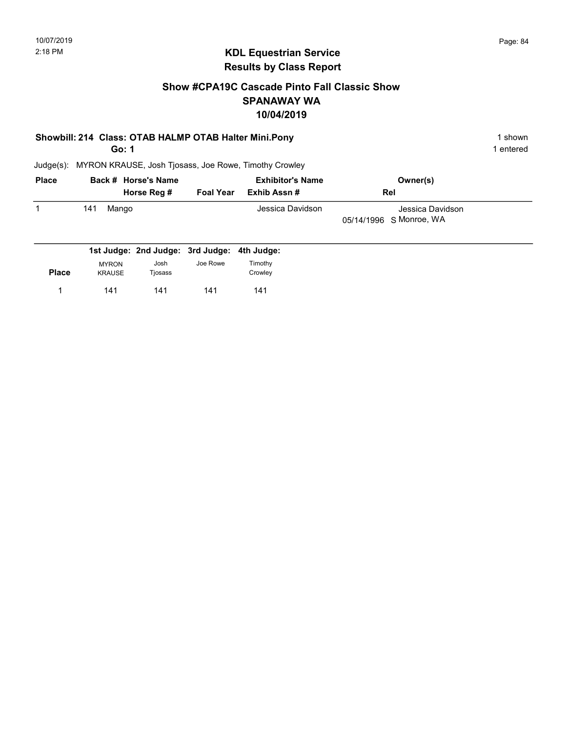### Show #CPA19C Cascade Pinto Fall Classic Show SPANAWAY WA 10/04/2019

### Showbill: 214 Class: OTAB HALMP OTAB Halter Mini.Pony 1 shown 1 shown

Go: 1

1 entered

| <b>Place</b> | Back # Horse's Name |                  | <b>Exhibitor's Name</b> | Owner(s)                |  |
|--------------|---------------------|------------------|-------------------------|-------------------------|--|
|              | Horse Reg #         | <b>Foal Year</b> | Exhib Assn #            | Rel                     |  |
|              | 141<br>Mango        |                  | Jessica Davidson        | Jessica Davidson        |  |
|              |                     |                  |                         | 05/14/1996 S Monroe, WA |  |
|              |                     |                  |                         |                         |  |

|              |               | 1st Judge: 2nd Judge: 3rd Judge: 4th Judge: |          |         |
|--------------|---------------|---------------------------------------------|----------|---------|
|              | <b>MYRON</b>  | Josh                                        | Joe Rowe | Timothy |
| <b>Place</b> | <b>KRAUSE</b> | Tjosass                                     |          | Crowley |
|              | 141           | 141                                         | 141      | 141     |
|              |               |                                             |          |         |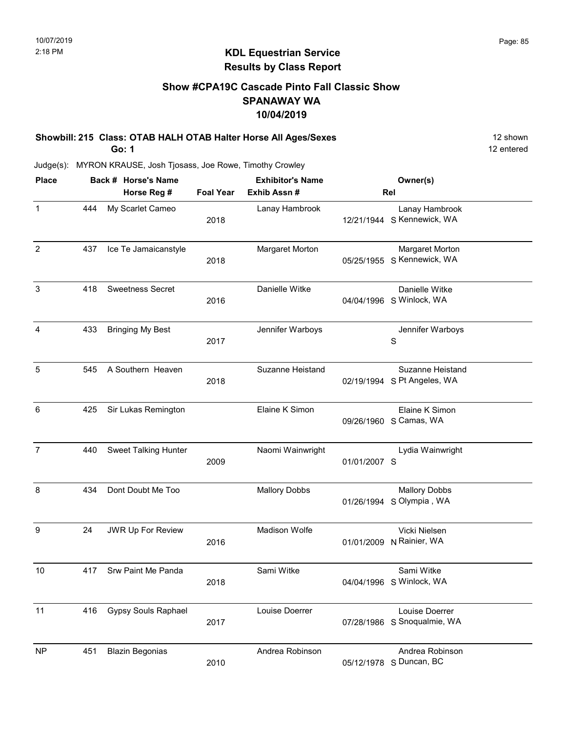### Show #CPA19C Cascade Pinto Fall Classic Show SPANAWAY WA 10/04/2019

Showbill: 215 Class: OTAB HALH OTAB Halter Horse All Ages/Sexes 12 Shown 12 shown Go: 1

12 entered

| <b>Place</b>   |     | Back # Horse's Name         | <b>Exhibitor's Name</b> |                         |              | Owner(s)                                               |  |
|----------------|-----|-----------------------------|-------------------------|-------------------------|--------------|--------------------------------------------------------|--|
|                |     | Horse Reg #                 | <b>Foal Year</b>        | Exhib Assn#             |              | Rel                                                    |  |
| $\mathbf{1}$   | 444 | My Scarlet Cameo            | 2018                    | Lanay Hambrook          |              | Lanay Hambrook<br>12/21/1944 S Kennewick, WA           |  |
| $\overline{c}$ | 437 | Ice Te Jamaicanstyle        | 2018                    | Margaret Morton         | 05/25/1955   | Margaret Morton<br>S Kennewick, WA                     |  |
| 3              | 418 | <b>Sweetness Secret</b>     | 2016                    | Danielle Witke          |              | Danielle Witke<br>04/04/1996 S Winlock, WA             |  |
| 4              | 433 | <b>Bringing My Best</b>     | 2017                    | Jennifer Warboys        |              | Jennifer Warboys<br>S                                  |  |
| 5              | 545 | A Southern Heaven           | 2018                    | <b>Suzanne Heistand</b> |              | <b>Suzanne Heistand</b><br>02/19/1994 S Pt Angeles, WA |  |
| 6              | 425 | Sir Lukas Remington         |                         | Elaine K Simon          |              | Elaine K Simon<br>09/26/1960 S Camas, WA               |  |
| $\overline{7}$ | 440 | <b>Sweet Talking Hunter</b> | 2009                    | Naomi Wainwright        | 01/01/2007 S | Lydia Wainwright                                       |  |
| 8              | 434 | Dont Doubt Me Too           |                         | <b>Mallory Dobbs</b>    | 01/26/1994   | <b>Mallory Dobbs</b><br>S Olympia, WA                  |  |
| 9              | 24  | JWR Up For Review           | 2016                    | Madison Wolfe           |              | Vicki Nielsen<br>01/01/2009 N Rainier, WA              |  |
| 10             | 417 | Srw Paint Me Panda          | 2018                    | Sami Witke              |              | Sami Witke<br>04/04/1996 S Winlock, WA                 |  |
| 11             | 416 | <b>Gypsy Souls Raphael</b>  | 2017                    | Louise Doerrer          |              | Louise Doerrer<br>07/28/1986 S Snoqualmie, WA          |  |
| <b>NP</b>      | 451 | <b>Blazin Begonias</b>      | 2010                    | Andrea Robinson         | 05/12/1978   | Andrea Robinson<br>S Duncan, BC                        |  |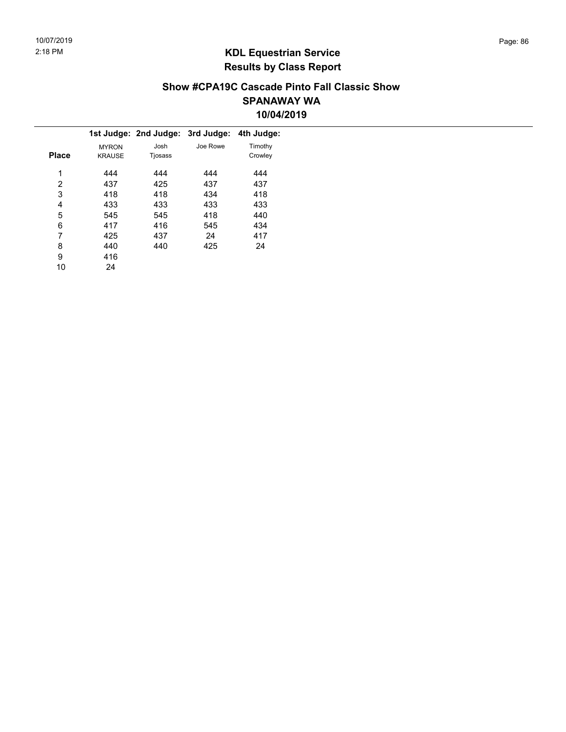### Show #CPA19C Cascade Pinto Fall Classic Show SPANAWAY WA 10/04/2019

|              |               | 1st Judge: 2nd Judge: 3rd Judge: |          | 4th Judge: |  |
|--------------|---------------|----------------------------------|----------|------------|--|
|              | <b>MYRON</b>  | Josh                             | Joe Rowe | Timothy    |  |
| <b>Place</b> | <b>KRAUSE</b> | Tjosass                          |          | Crowley    |  |
| 1            | 444           | 444                              | 444      | 444        |  |
| 2            | 437           | 425                              | 437      | 437        |  |
| 3            | 418           | 418                              | 434      | 418        |  |
| 4            | 433           | 433                              | 433      | 433        |  |
| 5            | 545           | 545                              | 418      | 440        |  |
| 6            | 417           | 416                              | 545      | 434        |  |
| 7            | 425           | 437                              | 24       | 417        |  |
| 8            | 440           | 440                              | 425      | 24         |  |
| 9            | 416           |                                  |          |            |  |
| 10           | 24            |                                  |          |            |  |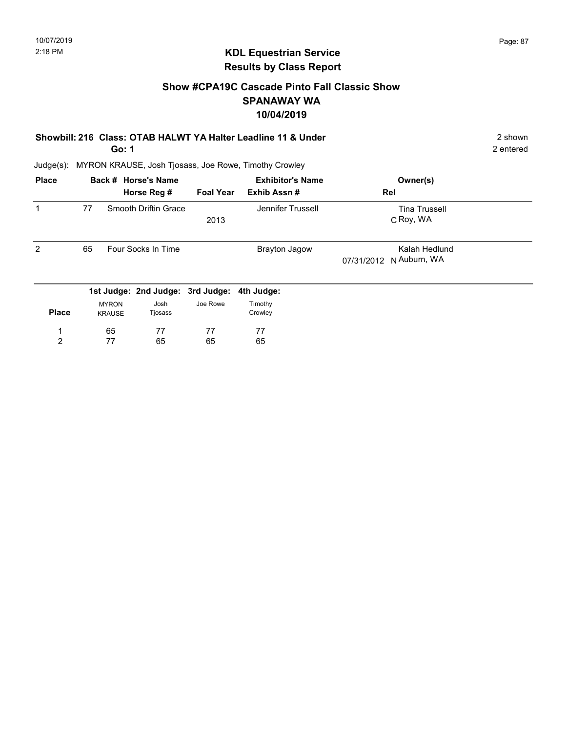### KDL Equestrian Service Results by Class Report

### Show #CPA19C Cascade Pinto Fall Classic Show SPANAWAY WA 10/04/2019

| Showbill: 216 Class: OTAB HALWT YA Halter Leadline 11 & Under | 2 shown                                                                                                                           |
|---------------------------------------------------------------|-----------------------------------------------------------------------------------------------------------------------------------|
| $\sim$ $\sim$ $\sim$                                          | $\bigcap$ $\bigcap$ $\bigcap$ $\bigcap$ $\bigcap$ $\bigcap$ $\bigcap$ $\bigcap$ $\bigcap$ $\bigcap$ $\bigcap$ $\bigcap$ $\bigcap$ |

Go: 1

| <b>Tina Trussell</b><br>C Roy, WA |
|-----------------------------------|
| Kalah Hedlund<br>N Auburn, WA     |
|                                   |
|                                   |
|                                   |
|                                   |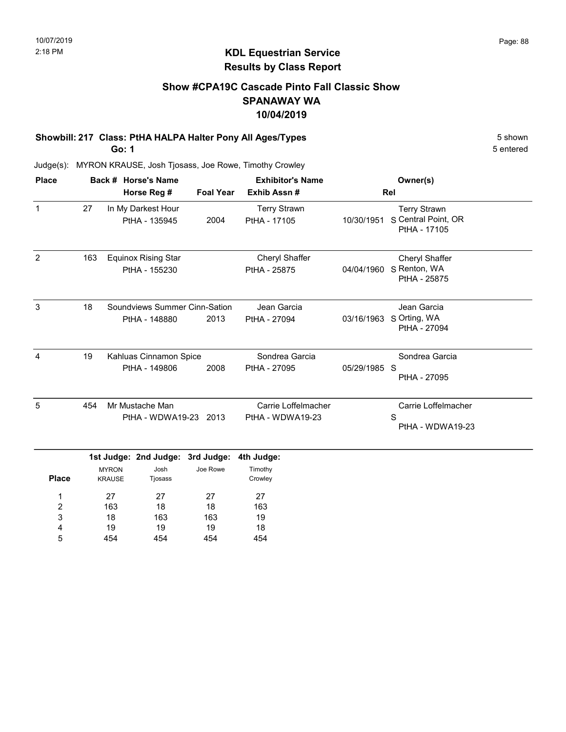### Show #CPA19C Cascade Pinto Fall Classic Show SPANAWAY WA 10/04/2019

# Showbill: 217 Class: PtHA HALPA Halter Pony All Ages/Types 5 Shown

Go: 1

18 19 454

3 4 5

163 19 454

163 19 454

19 18 454 5 entered

| <b>Place</b>        |             | Back # Horse's Name           |                                                |                  | <b>Exhibitor's Name</b>                 |              | Owner(s)                                                   |
|---------------------|-------------|-------------------------------|------------------------------------------------|------------------|-----------------------------------------|--------------|------------------------------------------------------------|
|                     | Horse Reg # |                               |                                                | <b>Foal Year</b> | Exhib Assn#                             |              | Rel                                                        |
| $\mathbf{1}$        | 27          |                               | In My Darkest Hour<br>PtHA - 135945            | 2004             | <b>Terry Strawn</b><br>PtHA - 17105     | 10/30/1951   | <b>Terry Strawn</b><br>S Central Point, OR<br>PtHA - 17105 |
| 2                   | 163         |                               | <b>Equinox Rising Star</b><br>PtHA - 155230    |                  | Cheryl Shaffer<br>PtHA - 25875          | 04/04/1960   | Cheryl Shaffer<br>S Renton, WA<br>PtHA - 25875             |
| 3                   | 18          |                               | Soundviews Summer Cinn-Sation<br>PtHA - 148880 | 2013             | Jean Garcia<br>PtHA - 27094             | 03/16/1963   | Jean Garcia<br>S Orting, WA<br>PtHA - 27094                |
| 4                   | 19          |                               | Kahluas Cinnamon Spice<br>PtHA - 149806        | 2008             | Sondrea Garcia<br>PtHA - 27095          | 05/29/1985 S | Sondrea Garcia<br>PtHA - 27095                             |
| 5                   | 454         |                               | Mr Mustache Man<br>PtHA - WDWA19-23 2013       |                  | Carrie Loffelmacher<br>PtHA - WDWA19-23 |              | Carrie Loffelmacher<br>S<br>PtHA - WDWA19-23               |
|                     |             |                               | 1st Judge: 2nd Judge: 3rd Judge:               |                  | 4th Judge:                              |              |                                                            |
| <b>Place</b>        |             | <b>MYRON</b><br><b>KRAUSE</b> | Josh<br>Tjosass                                | Joe Rowe         | Timothy<br>Crowley                      |              |                                                            |
| 1<br>$\overline{2}$ |             | 27<br>163                     | 27<br>18                                       | 27<br>18         | 27<br>163                               |              |                                                            |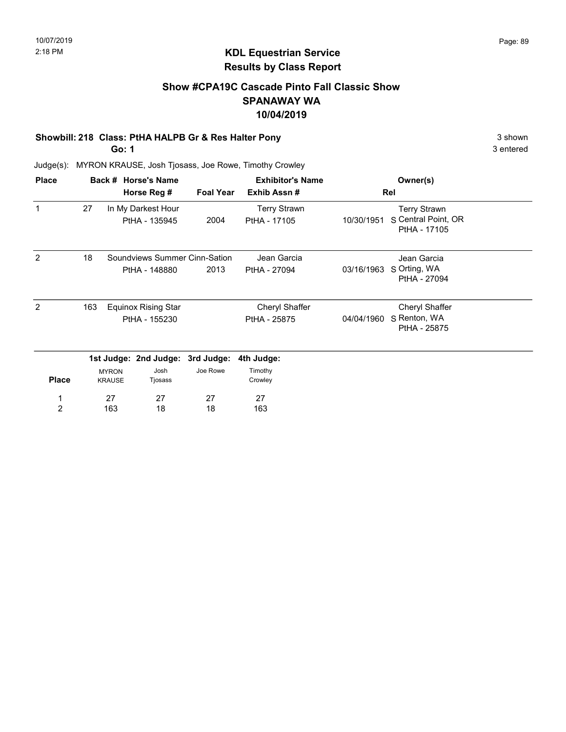### Show #CPA19C Cascade Pinto Fall Classic Show SPANAWAY WA 10/04/2019

### Showbill: 218 Class: PtHA HALPB Gr & Res Halter Pony 3 shown 3 shown

Go: 1

3 entered

| <b>Place</b>   |     |                               | Back # Horse's Name              |                  | <b>Exhibitor's Name</b> |            | Owner(s)                            |  |
|----------------|-----|-------------------------------|----------------------------------|------------------|-------------------------|------------|-------------------------------------|--|
|                |     |                               | Horse Reg #                      | <b>Foal Year</b> | Exhib Assn#             |            | Rel                                 |  |
| $\mathbf 1$    | 27  |                               | In My Darkest Hour               |                  | <b>Terry Strawn</b>     |            | <b>Terry Strawn</b>                 |  |
|                |     |                               | PtHA - 135945                    | 2004             | PtHA - 17105            | 10/30/1951 | S Central Point, OR<br>PtHA - 17105 |  |
| 2              | 18  |                               | Soundviews Summer Cinn-Sation    |                  | Jean Garcia             |            | Jean Garcia                         |  |
|                |     |                               | PtHA - 148880                    | 2013             | PtHA - 27094            | 03/16/1963 | S Orting, WA<br>PtHA - 27094        |  |
| 2              | 163 |                               | <b>Equinox Rising Star</b>       |                  | Cheryl Shaffer          |            | Cheryl Shaffer                      |  |
|                |     |                               | PtHA - 155230                    |                  | PtHA - 25875            | 04/04/1960 | S Renton, WA                        |  |
|                |     |                               |                                  |                  |                         |            | PtHA - 25875                        |  |
|                |     |                               | 1st Judge: 2nd Judge: 3rd Judge: |                  | 4th Judge:              |            |                                     |  |
| <b>Place</b>   |     | <b>MYRON</b><br><b>KRAUSE</b> | Josh<br>Tjosass                  | Joe Rowe         | Timothy<br>Crowley      |            |                                     |  |
| 1              |     | 27                            | 27                               | 27               | 27                      |            |                                     |  |
| $\overline{2}$ |     | 163                           | 18                               | 18               | 163                     |            |                                     |  |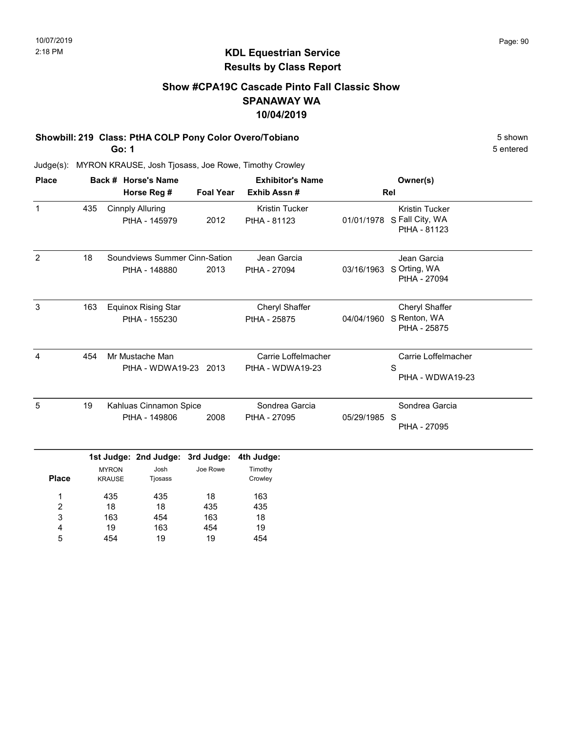### Show #CPA19C Cascade Pinto Fall Classic Show SPANAWAY WA 10/04/2019

# Showbill: 219 Class: PtHA COLP Pony Color Overo/Tobiano 5 shown

Go: 1

5 entered

| <b>Place</b> | Back # Horse's Name |                               |                                                     |          | <b>Exhibitor's Name</b>                 |              | Owner(s)                                                 |
|--------------|---------------------|-------------------------------|-----------------------------------------------------|----------|-----------------------------------------|--------------|----------------------------------------------------------|
|              |                     |                               | <b>Foal Year</b><br>Horse Reg #                     |          | Exhib Assn#                             |              | Rel                                                      |
| 1            | 435                 |                               | <b>Cinnply Alluring</b><br>PtHA - 145979            | 2012     | <b>Kristin Tucker</b><br>PtHA - 81123   | 01/01/1978   | <b>Kristin Tucker</b><br>S Fall City, WA<br>PtHA - 81123 |
| 2            | 18                  |                               | Soundviews Summer Cinn-Sation<br>PtHA - 148880      | 2013     | Jean Garcia<br>PtHA - 27094             | 03/16/1963   | Jean Garcia<br>S Orting, WA<br>PtHA - 27094              |
| 3            | 163                 |                               | <b>Equinox Rising Star</b><br>PtHA - 155230         |          | Cheryl Shaffer<br>PtHA - 25875          | 04/04/1960   | Cheryl Shaffer<br>S Renton, WA<br>PtHA - 25875           |
| 4            | 454                 |                               | Mr Mustache Man<br>PtHA - WDWA19-23 2013            |          | Carrie Loffelmacher<br>PtHA - WDWA19-23 |              | Carrie Loffelmacher<br>S<br>PtHA - WDWA19-23             |
| 5            | 19                  |                               | Kahluas Cinnamon Spice<br>PtHA - 149806             | 2008     | Sondrea Garcia<br>PtHA - 27095          | 05/29/1985 S | Sondrea Garcia<br>PtHA - 27095                           |
| <b>Place</b> |                     | <b>MYRON</b><br><b>KRAUSE</b> | 1st Judge: 2nd Judge: 3rd Judge:<br>Josh<br>Tjosass | Joe Rowe | 4th Judge:<br>Timothy<br>Crowley        |              |                                                          |
| 1            |                     | 435                           | 435                                                 | 18       | 163                                     |              |                                                          |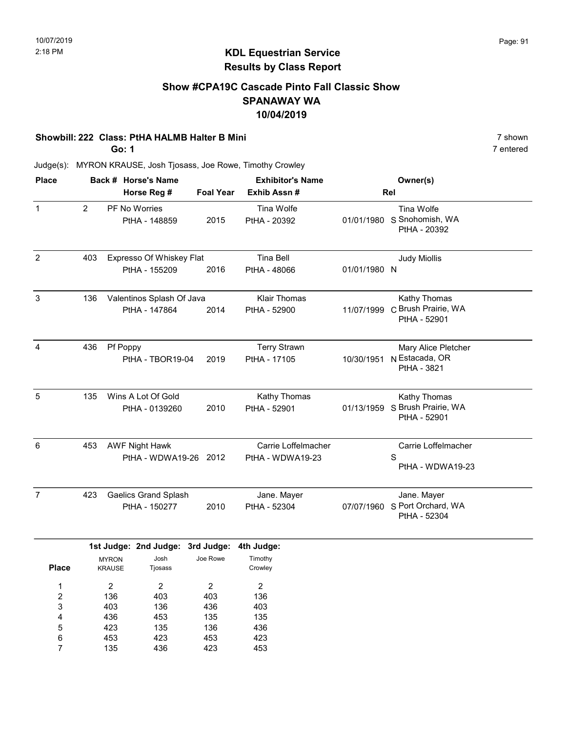### Show #CPA19C Cascade Pinto Fall Classic Show SPANAWAY WA 10/04/2019

## Showbill: 222 Class: PtHA HALMB Halter B Mini 7 shown

Go: 1

7 entered

| <b>Place</b>   |                |                               | Back # Horse's Name                            |                  | <b>Exhibitor's Name</b>                 |              | Owner(s)                                                 |
|----------------|----------------|-------------------------------|------------------------------------------------|------------------|-----------------------------------------|--------------|----------------------------------------------------------|
|                |                |                               | Horse Reg #                                    | <b>Foal Year</b> | Exhib Assn #                            |              | Rel                                                      |
| $\mathbf{1}$   | $\overline{2}$ |                               | PF No Worries<br>PtHA - 148859                 | 2015             | Tina Wolfe<br>PtHA - 20392              |              | Tina Wolfe<br>01/01/1980 S Snohomish, WA<br>PtHA - 20392 |
| $\overline{2}$ | 403            |                               | Expresso Of Whiskey Flat<br>PtHA - 155209      | 2016             | <b>Tina Bell</b><br>PtHA - 48066        | 01/01/1980 N | <b>Judy Miollis</b>                                      |
| $\mathbf{3}$   | 136            |                               | Valentinos Splash Of Java<br>PtHA - 147864     | 2014             | <b>Klair Thomas</b><br>PtHA - 52900     | 11/07/1999   | Kathy Thomas<br>C Brush Prairie, WA<br>PtHA - 52901      |
| $\overline{4}$ | 436            |                               | Pf Poppy<br>PtHA - TBOR19-04                   | 2019             | <b>Terry Strawn</b><br>PtHA - 17105     | 10/30/1951   | Mary Alice Pletcher<br>N Estacada, OR<br>PtHA - 3821     |
| 5              | 135            |                               | Wins A Lot Of Gold<br>PtHA - 0139260           | 2010             | Kathy Thomas<br>PtHA - 52901            | 01/13/1959   | Kathy Thomas<br>S Brush Prairie, WA<br>PtHA - 52901      |
| 6              | 453            |                               | <b>AWF Night Hawk</b><br>PtHA - WDWA19-26 2012 |                  | Carrie Loffelmacher<br>PtHA - WDWA19-23 |              | Carrie Loffelmacher<br>S<br>PtHA - WDWA19-23             |
| $\overline{7}$ | 423            |                               | <b>Gaelics Grand Splash</b><br>PtHA - 150277   | 2010             | Jane. Mayer<br>PtHA - 52304             | 07/07/1960   | Jane. Mayer<br>S Port Orchard, WA<br>PtHA - 52304        |
|                |                |                               | 1st Judge: 2nd Judge: 3rd Judge:               |                  | 4th Judge:                              |              |                                                          |
| <b>Place</b>   |                | <b>MYRON</b><br><b>KRAUSE</b> | Josh<br>Tjosass                                | Joe Rowe         | Timothy<br>Crowley                      |              |                                                          |
| 1              |                | 2                             | 2                                              | 2                | 2                                       |              |                                                          |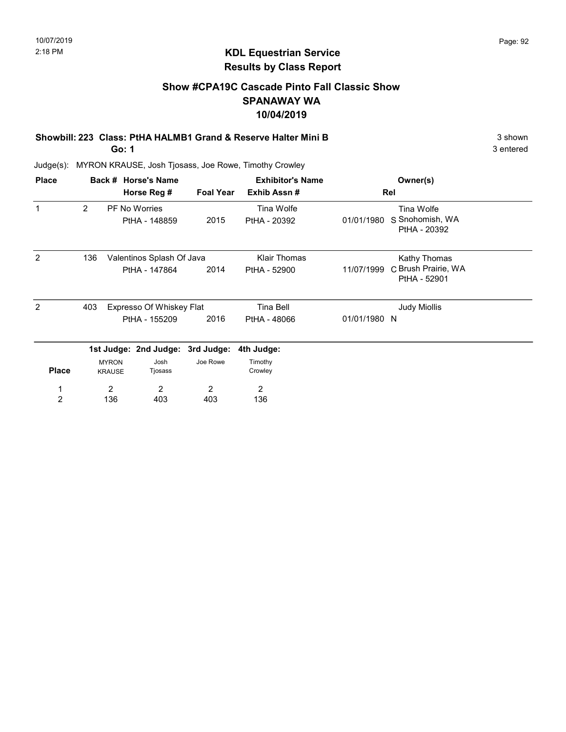### Show #CPA19C Cascade Pinto Fall Classic Show SPANAWAY WA 10/04/2019

#### Showbill: 223 Class: PtHA HALMB1 Grand & Reserve Halter Mini B 3 shown 3 shown Go: 1

3 entered

| <b>Place</b>   |                |                               | Back # Horse's Name              |                  | <b>Exhibitor's Name</b> |              | Owner(s)                            |  |
|----------------|----------------|-------------------------------|----------------------------------|------------------|-------------------------|--------------|-------------------------------------|--|
|                |                |                               | Horse Reg #                      | <b>Foal Year</b> | Exhib Assn#             |              | Rel                                 |  |
| 1              | $\overline{2}$ |                               | <b>PF No Worries</b>             |                  | Tina Wolfe              |              | Tina Wolfe                          |  |
|                |                |                               | PtHA - 148859                    | 2015             | PtHA - 20392            | 01/01/1980   | S Snohomish, WA<br>PtHA - 20392     |  |
| 2              | 136            |                               | Valentinos Splash Of Java        |                  | <b>Klair Thomas</b>     |              | Kathy Thomas                        |  |
|                |                |                               | PtHA - 147864                    | 2014             | PtHA - 52900            | 11/07/1999   | C Brush Prairie, WA<br>PtHA - 52901 |  |
| $\mathcal{P}$  | 403            | Expresso Of Whiskey Flat      |                                  |                  | Tina Bell               |              | <b>Judy Miollis</b>                 |  |
|                |                | PtHA - 155209                 |                                  | 2016             | PtHA - 48066            | 01/01/1980 N |                                     |  |
|                |                |                               | 1st Judge: 2nd Judge: 3rd Judge: |                  | 4th Judge:              |              |                                     |  |
| <b>Place</b>   |                | <b>MYRON</b><br><b>KRAUSE</b> | Josh<br>Tjosass                  | Joe Rowe         | Timothy<br>Crowley      |              |                                     |  |
|                |                | 2                             | 2                                | 2                | 2                       |              |                                     |  |
| $\overline{2}$ |                | 136                           | 403                              | 403              | 136                     |              |                                     |  |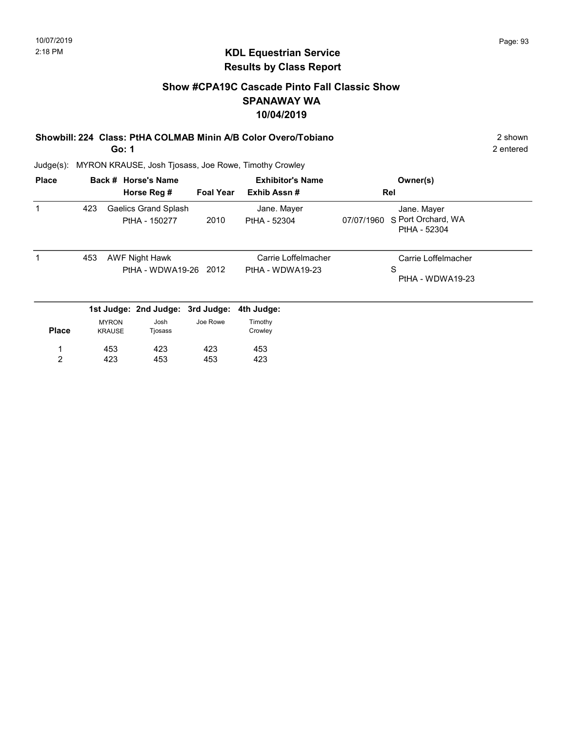### KDL Equestrian Service Results by Class Report

### Show #CPA19C Cascade Pinto Fall Classic Show SPANAWAY WA 10/04/2019

Showbill: 224 Class: PtHA COLMAB Minin A/B Color Overo/Tobiano 2 Shown 2 shown

Go: 1

| <b>Place</b> |     |                               | Back # Horse's Name                            |                  | <b>Exhibitor's Name</b>                 |            | Owner(s)                                          |
|--------------|-----|-------------------------------|------------------------------------------------|------------------|-----------------------------------------|------------|---------------------------------------------------|
|              |     |                               | Horse Reg #                                    | <b>Foal Year</b> | Exhib Assn#                             |            | Rel                                               |
|              | 423 |                               | <b>Gaelics Grand Splash</b><br>PtHA - 150277   | 2010             | Jane. Mayer<br>PtHA - 52304             | 07/07/1960 | Jane. Mayer<br>S Port Orchard, WA<br>PtHA - 52304 |
|              | 453 |                               | <b>AWF Night Hawk</b><br>PtHA - WDWA19-26 2012 |                  | Carrie Loffelmacher<br>PtHA - WDWA19-23 |            | Carrie Loffelmacher<br>S<br>PtHA - WDWA19-23      |
|              |     |                               | 1st Judge: 2nd Judge: 3rd Judge:               |                  | 4th Judge:                              |            |                                                   |
| <b>Place</b> |     | <b>MYRON</b><br><b>KRAUSE</b> | Josh<br>Tjosass                                | Joe Rowe         | Timothy<br>Crowley                      |            |                                                   |
| 1            |     | 453                           | 423                                            | 423              | 453                                     |            |                                                   |
| 2            |     | 423                           | 453                                            | 453              | 423                                     |            |                                                   |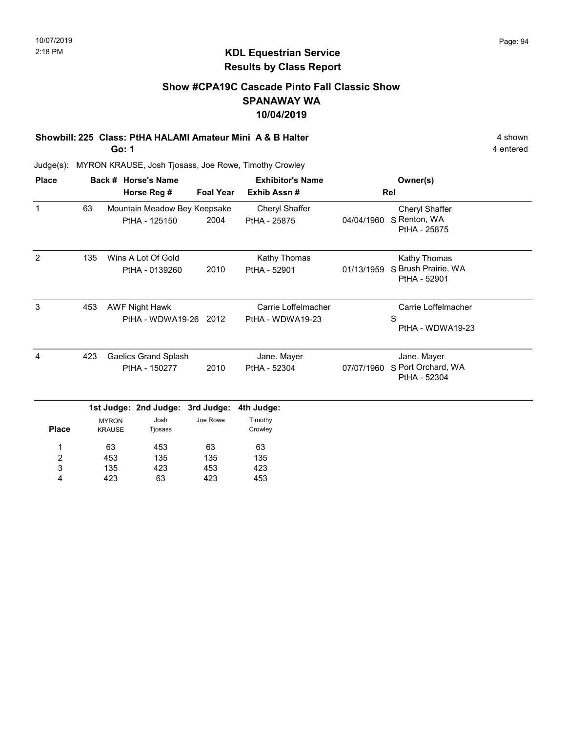### KDL Equestrian Service Results by Class Report

### Show #CPA19C Cascade Pinto Fall Classic Show SPANAWAY WA 10/04/2019

Showbill: 225 Class: PtHA HALAMI Amateur Mini A & B Halter 4 shown 4 shown Go: 1

| <b>Place</b>     |     |                               | Back # Horse's Name                            |                  | <b>Exhibitor's Name</b>                 |            | Owner(s)                                            |
|------------------|-----|-------------------------------|------------------------------------------------|------------------|-----------------------------------------|------------|-----------------------------------------------------|
|                  |     |                               | Horse Reg #                                    | <b>Foal Year</b> | Exhib Assn#                             |            | Rel                                                 |
| $\mathbf{1}$     | 63  |                               | Mountain Meadow Bey Keepsake<br>PtHA - 125150  | 2004             | Cheryl Shaffer<br>PtHA - 25875          | 04/04/1960 | Cheryl Shaffer<br>S Renton, WA<br>PtHA - 25875      |
| $\overline{2}$   | 135 |                               | Wins A Lot Of Gold<br>PtHA - 0139260           | 2010             | Kathy Thomas<br>PtHA - 52901            | 01/13/1959 | Kathy Thomas<br>S Brush Prairie, WA<br>PtHA - 52901 |
| 3                | 453 |                               | <b>AWF Night Hawk</b><br>PtHA - WDWA19-26 2012 |                  | Carrie Loffelmacher<br>PtHA - WDWA19-23 |            | Carrie Loffelmacher<br>S<br>PtHA - WDWA19-23        |
| 4                | 423 |                               | <b>Gaelics Grand Splash</b>                    |                  | Jane. Mayer                             |            | Jane. Mayer                                         |
|                  |     | PtHA - 150277<br>2010         |                                                |                  | PtHA - 52304                            | 07/07/1960 | S Port Orchard, WA<br>PtHA - 52304                  |
|                  |     |                               | 1st Judge: 2nd Judge:                          | 3rd Judge:       | 4th Judge:                              |            |                                                     |
| <b>Place</b>     |     | <b>MYRON</b><br><b>KRAUSE</b> | Josh<br>Tjosass                                | Joe Rowe         | Timothy<br>Crowley                      |            |                                                     |
| 1                |     | 63                            | 453                                            | 63               | 63                                      |            |                                                     |
| $\boldsymbol{2}$ |     | 453                           | 135                                            | 135              | 135                                     |            |                                                     |
| 3                |     | 135                           | 423                                            | 453              | 423                                     |            |                                                     |
| 4                |     | 423                           | 63                                             | 423              | 453                                     |            |                                                     |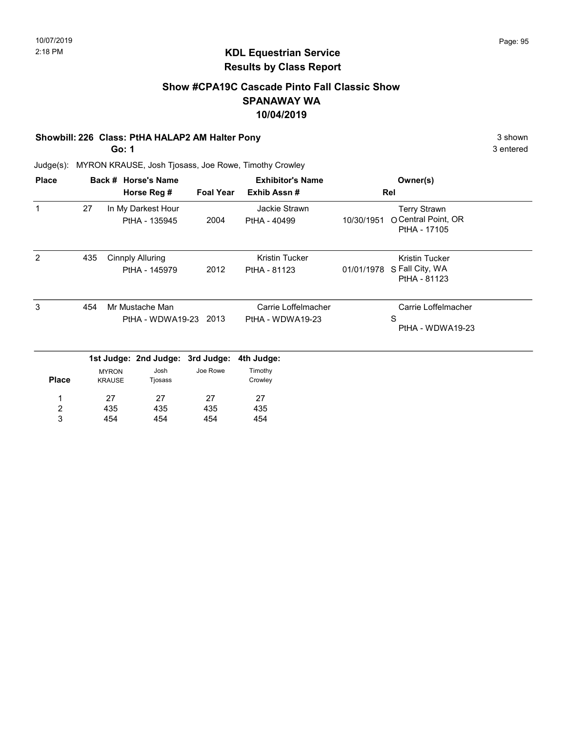### Show #CPA19C Cascade Pinto Fall Classic Show SPANAWAY WA 10/04/2019

### Showbill: 226 Class: PtHA HALAP2 AM Halter Pony 3 shown 3 shown

Go: 1

3 entered

| <b>Place</b>                 |     |                               | Back # Horse's Name                      |                  | <b>Exhibitor's Name</b>                 |            | Owner(s)                                                   |
|------------------------------|-----|-------------------------------|------------------------------------------|------------------|-----------------------------------------|------------|------------------------------------------------------------|
|                              |     |                               | Horse Reg #                              | <b>Foal Year</b> | Exhib Assn#                             |            | Rel                                                        |
| $\mathbf{1}$                 | 27  |                               | In My Darkest Hour<br>PtHA - 135945      | 2004             | Jackie Strawn<br>PtHA - 40499           | 10/30/1951 | <b>Terry Strawn</b><br>O Central Point, OR<br>PtHA - 17105 |
| $\overline{2}$               | 435 |                               | <b>Cinnply Alluring</b><br>PtHA - 145979 | 2012             | Kristin Tucker<br>PtHA - 81123          | 01/01/1978 | <b>Kristin Tucker</b><br>S Fall City, WA<br>PtHA - 81123   |
| 3                            | 454 |                               | Mr Mustache Man<br>PtHA - WDWA19-23 2013 |                  | Carrie Loffelmacher<br>PtHA - WDWA19-23 |            | Carrie Loffelmacher<br>S<br>PtHA - WDWA19-23               |
|                              |     |                               | 1st Judge: 2nd Judge: 3rd Judge:         |                  | 4th Judge:                              |            |                                                            |
| <b>Place</b>                 |     | <b>MYRON</b><br><b>KRAUSE</b> | Josh<br>Tjosass                          | Joe Rowe         | Timothy<br>Crowley                      |            |                                                            |
| 1                            |     | 27                            | 27                                       | 27               | 27                                      |            |                                                            |
| $\overline{\mathbf{c}}$<br>3 |     | 435<br>454                    | 435<br>454                               | 435<br>454       | 435<br>454                              |            |                                                            |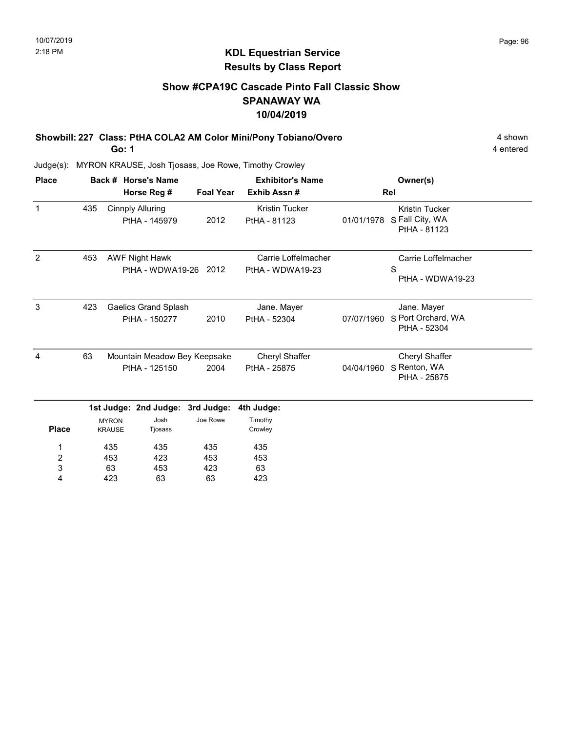### Show #CPA19C Cascade Pinto Fall Classic Show SPANAWAY WA 10/04/2019

Showbill: 227 Class: PtHA COLA2 AM Color Mini/Pony Tobiano/Overo 4 Shown 4 shown

Go: 1

4 entered

| <b>Place</b>   |     |                               | Back # Horse's Name                            |                  | <b>Exhibitor's Name</b>                 |            | Owner(s)                                                 |  |
|----------------|-----|-------------------------------|------------------------------------------------|------------------|-----------------------------------------|------------|----------------------------------------------------------|--|
|                |     |                               | Horse Reg #                                    | <b>Foal Year</b> | Exhib Assn#                             |            | Rel                                                      |  |
| $\mathbf{1}$   | 435 |                               | <b>Cinnply Alluring</b><br>PtHA - 145979       | 2012             | <b>Kristin Tucker</b><br>PtHA - 81123   | 01/01/1978 | <b>Kristin Tucker</b><br>S Fall City, WA<br>PtHA - 81123 |  |
| $\overline{2}$ | 453 |                               | <b>AWF Night Hawk</b><br>PtHA - WDWA19-26 2012 |                  | Carrie Loffelmacher<br>PtHA - WDWA19-23 |            | Carrie Loffelmacher<br>S<br>PtHA - WDWA19-23             |  |
| 3              | 423 |                               | <b>Gaelics Grand Splash</b><br>PtHA - 150277   | 2010             | Jane. Mayer<br>PtHA - 52304             | 07/07/1960 | Jane. Mayer<br>S Port Orchard, WA<br>PtHA - 52304        |  |
| 4              | 63  |                               | Mountain Meadow Bey Keepsake<br>PtHA - 125150  | 2004             | Cheryl Shaffer<br>PtHA - 25875          | 04/04/1960 | Cheryl Shaffer<br>S Renton, WA                           |  |
|                |     |                               |                                                |                  | PtHA - 25875                            |            |                                                          |  |
|                |     |                               | 1st Judge: 2nd Judge:                          | 3rd Judge:       | 4th Judge:                              |            |                                                          |  |
| <b>Place</b>   |     | <b>MYRON</b><br><b>KRAUSE</b> | Josh<br>Tjosass                                | Joe Rowe         | Timothy<br>Crowley                      |            |                                                          |  |
| 1              |     | 435                           | 435                                            | 435              | 435                                     |            |                                                          |  |
| 2              |     | 453                           | 423                                            | 453              | 453                                     |            |                                                          |  |
| 3              |     | 63                            | 453                                            | 423              | 63                                      |            |                                                          |  |
| 4              |     | 423                           | 63                                             | 63               | 423                                     |            |                                                          |  |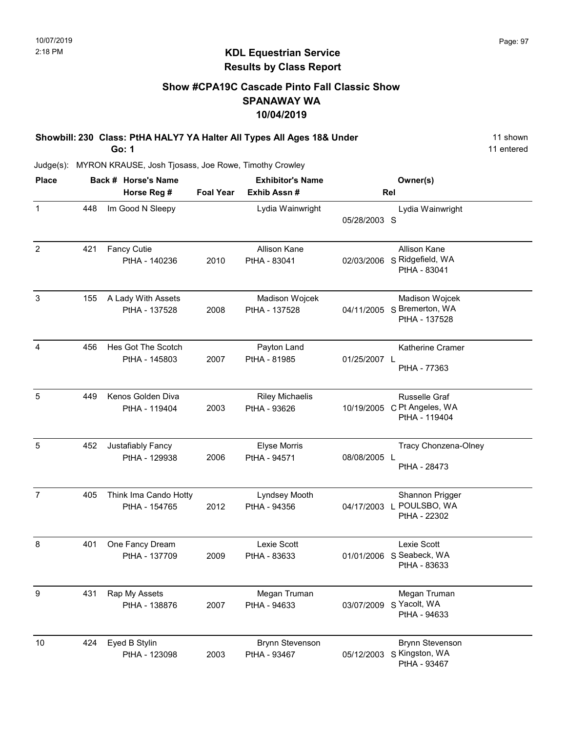### Show #CPA19C Cascade Pinto Fall Classic Show SPANAWAY WA 10/04/2019

Showbill: 230 Class: PtHA HALY7 YA Halter All Types All Ages 18& Under 11 Shown Go: 1

11 entered

| <b>Place</b>     |     | Back # Horse's Name                    |                  | <b>Exhibitor's Name</b>                |              | Owner(s)                                                      |
|------------------|-----|----------------------------------------|------------------|----------------------------------------|--------------|---------------------------------------------------------------|
|                  |     | Horse Reg #                            | <b>Foal Year</b> | Exhib Assn #                           |              | Rel                                                           |
| $\mathbf{1}$     | 448 | Im Good N Sleepy                       |                  | Lydia Wainwright                       | 05/28/2003 S | Lydia Wainwright                                              |
| $\overline{2}$   | 421 | <b>Fancy Cutie</b><br>PtHA - 140236    | 2010             | Allison Kane<br>PtHA - 83041           | 02/03/2006   | Allison Kane<br>S Ridgefield, WA<br>PtHA - 83041              |
| $\mathfrak{S}$   | 155 | A Lady With Assets<br>PtHA - 137528    | 2008             | Madison Wojcek<br>PtHA - 137528        |              | Madison Wojcek<br>04/11/2005 S Bremerton, WA<br>PtHA - 137528 |
| 4                | 456 | Hes Got The Scotch<br>PtHA - 145803    | 2007             | Payton Land<br>PtHA - 81985            | 01/25/2007 L | Katherine Cramer<br>PtHA - 77363                              |
| 5                | 449 | Kenos Golden Diva<br>PtHA - 119404     | 2003             | <b>Riley Michaelis</b><br>PtHA - 93626 | 10/19/2005   | Russelle Graf<br>C Pt Angeles, WA<br>PtHA - 119404            |
| 5                | 452 | Justafiably Fancy<br>PtHA - 129938     | 2006             | <b>Elyse Morris</b><br>PtHA - 94571    | 08/08/2005 L | Tracy Chonzena-Olney<br>PtHA - 28473                          |
| $\overline{7}$   | 405 | Think Ima Cando Hotty<br>PtHA - 154765 | 2012             | Lyndsey Mooth<br>PtHA - 94356          |              | Shannon Prigger<br>04/17/2003 L POULSBO, WA<br>PtHA - 22302   |
| 8                | 401 | One Fancy Dream<br>PtHA - 137709       | 2009             | Lexie Scott<br>PtHA - 83633            |              | Lexie Scott<br>01/01/2006 S Seabeck, WA<br>PtHA - 83633       |
| $\boldsymbol{9}$ | 431 | Rap My Assets<br>PtHA - 138876         | 2007             | Megan Truman<br>PtHA - 94633           | 03/07/2009   | Megan Truman<br>S Yacolt, WA<br>PtHA - 94633                  |
| 10               | 424 | Eyed B Stylin<br>PtHA - 123098         | 2003             | <b>Brynn Stevenson</b><br>PtHA - 93467 | 05/12/2003   | <b>Brynn Stevenson</b><br>S Kingston, WA<br>PtHA - 93467      |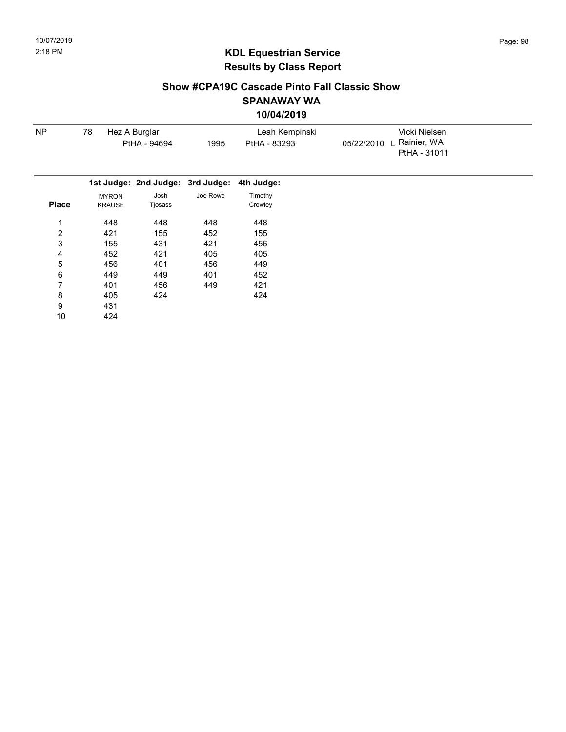### Show #CPA19C Cascade Pinto Fall Classic Show SPANAWAY WA 10/04/2019

| <b>NP</b>    | 78                            | Hez A Burglar                    |          | Leah Kempinski     | Vicki Nielsen                               |
|--------------|-------------------------------|----------------------------------|----------|--------------------|---------------------------------------------|
|              | PtHA - 94694                  |                                  | 1995     | PtHA - 83293       | L Rainier, WA<br>05/22/2010<br>PtHA - 31011 |
|              |                               | 1st Judge: 2nd Judge: 3rd Judge: |          | 4th Judge:         |                                             |
| <b>Place</b> | <b>MYRON</b><br><b>KRAUSE</b> | Josh<br>Tjosass                  | Joe Rowe | Timothy<br>Crowley |                                             |
| 1            | 448                           | 448                              | 448      | 448                |                                             |
| 2            | 421                           | 155                              | 452      | 155                |                                             |
| 3            | 155                           | 431                              | 421      | 456                |                                             |
| 4            | 452                           | 421                              | 405      | 405                |                                             |
| 5            | 456                           | 401                              | 456      | 449                |                                             |
| 6            | 449                           | 449                              | 401      | 452                |                                             |
| 7            | 401                           | 456                              | 449      | 421                |                                             |
| 8            | 405                           | 424                              |          | 424                |                                             |
| 9            | 431                           |                                  |          |                    |                                             |
| 10           | 424                           |                                  |          |                    |                                             |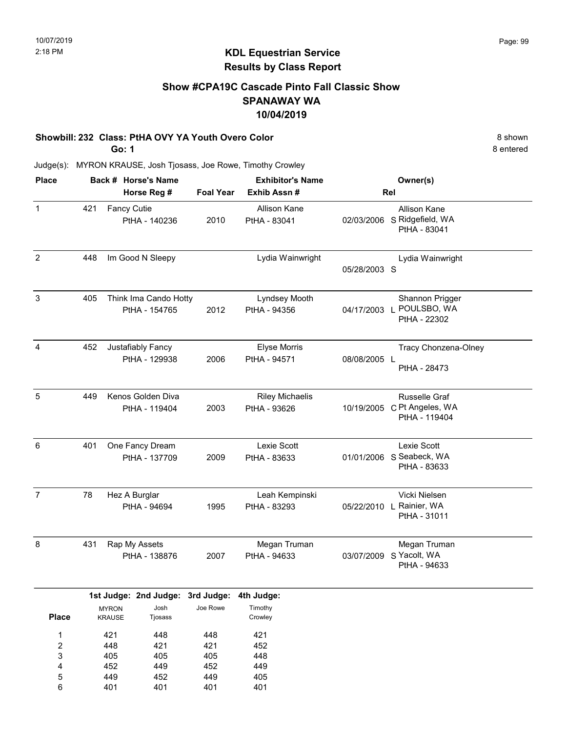### Show #CPA19C Cascade Pinto Fall Classic Show SPANAWAY WA 10/04/2019

### Showbill: 232 Class: PtHA OVY YA Youth Overo Color 8 shown

Go: 1

401

6

401

401

401

8 entered

| <b>Place</b>                                |     | Back # Horse's Name             |                                        |                                 | <b>Exhibitor's Name</b>                |              | Owner(s)                                                    |
|---------------------------------------------|-----|---------------------------------|----------------------------------------|---------------------------------|----------------------------------------|--------------|-------------------------------------------------------------|
|                                             |     |                                 | Horse Reg #                            | <b>Foal Year</b>                | Exhib Assn#                            |              | Rel                                                         |
| $\mathbf{1}$                                | 421 | <b>Fancy Cutie</b>              | PtHA - 140236                          | 2010                            | Allison Kane<br>PtHA - 83041           |              | Allison Kane<br>02/03/2006 S Ridgefield, WA<br>PtHA - 83041 |
| $\overline{2}$                              | 448 |                                 | Im Good N Sleepy                       |                                 | Lydia Wainwright                       | 05/28/2003 S | Lydia Wainwright                                            |
| 3                                           | 405 |                                 | Think Ima Cando Hotty<br>PtHA - 154765 | 2012                            | Lyndsey Mooth<br>PtHA - 94356          |              | Shannon Prigger<br>04/17/2003 L POULSBO, WA<br>PtHA - 22302 |
| $\overline{4}$                              | 452 |                                 | Justafiably Fancy<br>PtHA - 129938     | 2006                            | Elyse Morris<br>PtHA - 94571           | 08/08/2005 L | Tracy Chonzena-Olney<br>PtHA - 28473                        |
| 5                                           | 449 |                                 | Kenos Golden Diva<br>PtHA - 119404     | 2003                            | <b>Riley Michaelis</b><br>PtHA - 93626 | 10/19/2005   | <b>Russelle Graf</b><br>C Pt Angeles, WA<br>PtHA - 119404   |
| 6                                           | 401 |                                 | One Fancy Dream<br>PtHA - 137709       | 2009                            | Lexie Scott<br>PtHA - 83633            |              | Lexie Scott<br>01/01/2006 S Seabeck, WA<br>PtHA - 83633     |
| $\overline{7}$                              | 78  |                                 | Hez A Burglar<br>PtHA - 94694          | 1995                            | Leah Kempinski<br>PtHA - 83293         |              | Vicki Nielsen<br>05/22/2010 L Rainier, WA<br>PtHA - 31011   |
| 8                                           | 431 |                                 | Rap My Assets<br>PtHA - 138876         | 2007                            | Megan Truman<br>PtHA - 94633           | 03/07/2009   | Megan Truman<br>S Yacolt, WA<br>PtHA - 94633                |
|                                             |     |                                 | 1st Judge: 2nd Judge: 3rd Judge:       |                                 | 4th Judge:                             |              |                                                             |
| <b>Place</b>                                |     | <b>MYRON</b><br><b>KRAUSE</b>   | Josh<br>Tjosass                        | Joe Rowe                        | Timothy<br>Crowley                     |              |                                                             |
| 1<br>$\overline{\mathbf{c}}$<br>3<br>4<br>5 |     | 421<br>448<br>405<br>452<br>449 | 448<br>421<br>405<br>449<br>452        | 448<br>421<br>405<br>452<br>449 | 421<br>452<br>448<br>449<br>405        |              |                                                             |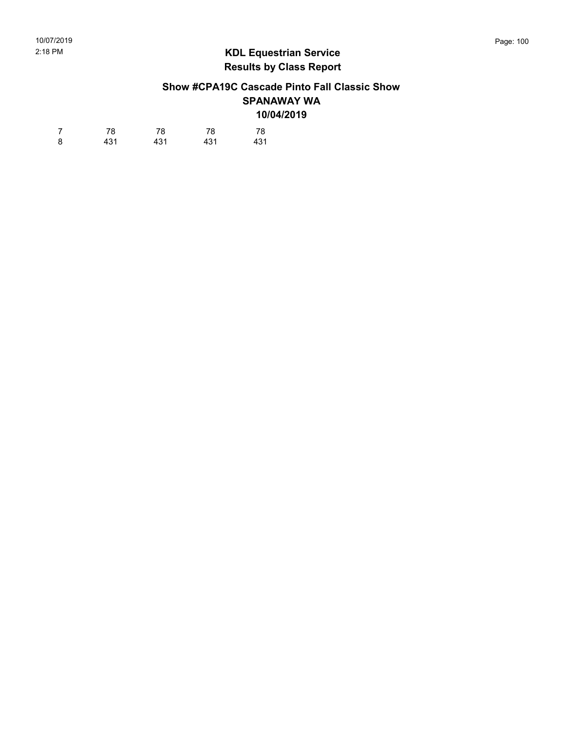### Show #CPA19C Cascade Pinto Fall Classic Show SPANAWAY WA 10/04/2019

| 7 | 78  | 78  | 78  | 78  |
|---|-----|-----|-----|-----|
| 8 | 431 | 431 | 431 | 431 |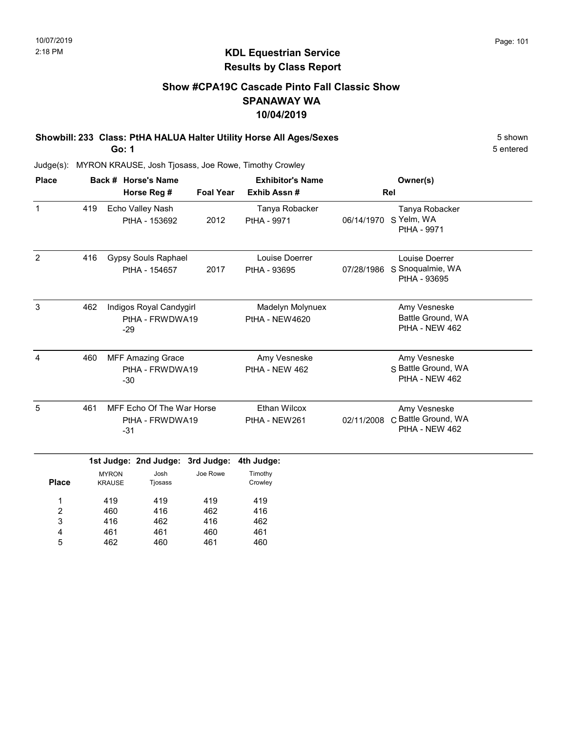### Show #CPA19C Cascade Pinto Fall Classic Show SPANAWAY WA 10/04/2019

Showbill: 233 Class: PtHA HALUA Halter Utility Horse All Ages/Sexes 5 shown Go: 1

Judge(s): MYRON KRAUSE, Josh Tjosass, Joe Rowe, Timothy Crowley

| <b>Place</b> |     | Back # Horse's Name                                   | <b>Exhibitor's Name</b> |                                           |                                                       | Owner(s)                                              |  |
|--------------|-----|-------------------------------------------------------|-------------------------|-------------------------------------------|-------------------------------------------------------|-------------------------------------------------------|--|
|              |     | Horse Reg #                                           | <b>Foal Year</b>        | Exhib Assn#                               |                                                       | Rel                                                   |  |
| 1            | 419 | Echo Valley Nash<br>PtHA - 153692                     | 2012                    | Tanya Robacker<br>PtHA - 9971             | 06/14/1970                                            | Tanya Robacker<br>S Yelm, WA<br>PtHA - 9971           |  |
| 2            | 416 | <b>Gypsy Souls Raphael</b><br>PtHA - 154657           | 2017                    | Louise Doerrer<br>PtHA - 93695            | 07/28/1986                                            | Louise Doerrer<br>S Snoqualmie, WA<br>PtHA - 93695    |  |
| 3            | 462 | Indigos Royal Candygirl<br>PtHA - FRWDWA19<br>$-29$   |                         | Madelyn Molynuex<br><b>PtHA - NEW4620</b> |                                                       | Amy Vesneske<br>Battle Ground, WA<br>PtHA - NEW 462   |  |
| 4            | 460 | <b>MFF Amazing Grace</b><br>PtHA - FRWDWA19<br>-30    |                         | Amy Vesneske<br>PtHA - NEW 462            | Amy Vesneske<br>S Battle Ground, WA<br>PtHA - NEW 462 |                                                       |  |
| 5            | 461 | MFF Echo Of The War Horse<br>PtHA - FRWDWA19<br>$-31$ |                         | Ethan Wilcox<br>PtHA - NEW261             | 02/11/2008                                            | Amy Vesneske<br>C Battle Ground, WA<br>PtHA - NEW 462 |  |

|              |               | 1st Judge: 2nd Judge: 3rd Judge: 4th Judge: |          |         |  |
|--------------|---------------|---------------------------------------------|----------|---------|--|
|              | <b>MYRON</b>  | Josh                                        | Joe Rowe | Timothy |  |
| <b>Place</b> | <b>KRAUSE</b> | Tjosass                                     |          | Crowley |  |
| 1            | 419           | 419                                         | 419      | 419     |  |
| 2            | 460           | 416                                         | 462      | 416     |  |
| 3            | 416           | 462                                         | 416      | 462     |  |
| 4            | 461           | 461                                         | 460      | 461     |  |
| 5            | 462           | 460                                         | 461      | 460     |  |

5 entered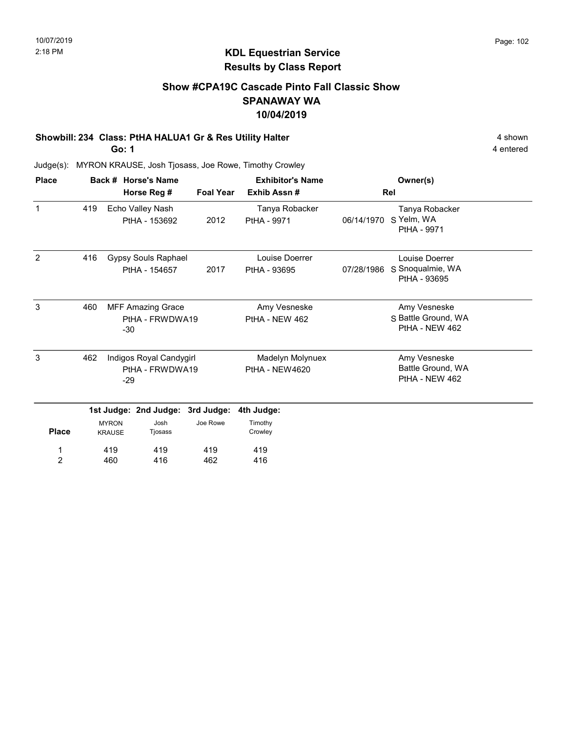### Show #CPA19C Cascade Pinto Fall Classic Show SPANAWAY WA 10/04/2019

### Showbill: 234 Class: PtHA HALUA1 Gr & Res Utility Halter 4 shown 4 shown

Go: 1

4 entered

| <b>Place</b> |     |                                                      | Back # Horse's Name                        |                  | <b>Exhibitor's Name</b>                   |            | Owner(s)                                              |  |
|--------------|-----|------------------------------------------------------|--------------------------------------------|------------------|-------------------------------------------|------------|-------------------------------------------------------|--|
|              |     |                                                      | Horse Reg #                                | <b>Foal Year</b> | Exhib Assn#                               |            | Rel                                                   |  |
| $\mathbf{1}$ | 419 |                                                      | Echo Valley Nash<br>PtHA - 153692          | 2012             | Tanya Robacker<br>PtHA - 9971             | 06/14/1970 | Tanya Robacker<br>S Yelm, WA<br>PtHA - 9971           |  |
| 2            | 416 |                                                      | Gypsy Souls Raphael<br>PtHA - 154657       | 2017             | Louise Doerrer<br>PtHA - 93695            | 07/28/1986 | Louise Doerrer<br>S Snoqualmie, WA<br>PtHA - 93695    |  |
| $\mathbf{3}$ | 460 | <b>MFF Amazing Grace</b><br>PtHA - FRWDWA19<br>$-30$ |                                            |                  | Amy Vesneske<br>PtHA - NEW 462            |            | Amy Vesneske<br>S Battle Ground, WA<br>PtHA - NEW 462 |  |
| 3            | 462 | $-29$                                                | Indigos Royal Candygirl<br>PtHA - FRWDWA19 |                  | Madelyn Molynuex<br><b>PtHA - NEW4620</b> |            | Amy Vesneske<br>Battle Ground, WA<br>PtHA - NEW 462   |  |
|              |     |                                                      | 1st Judge: 2nd Judge:                      | 3rd Judge:       | 4th Judge:                                |            |                                                       |  |
| <b>Place</b> |     | Josh<br><b>MYRON</b><br><b>KRAUSE</b><br>Tjosass     |                                            | Joe Rowe         | Timothy<br>Crowley                        |            |                                                       |  |
|              |     | 419<br>419                                           |                                            | 419              | 419                                       |            |                                                       |  |
| 2            |     | 460                                                  | 416                                        | 462              | 416                                       |            |                                                       |  |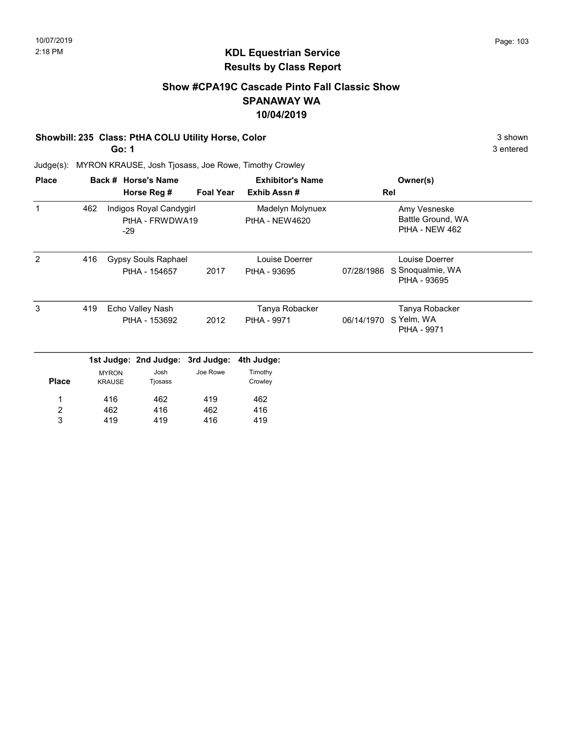### Show #CPA19C Cascade Pinto Fall Classic Show SPANAWAY WA 10/04/2019

### Showbill: 235 Class: PtHA COLU Utility Horse, Color 3 shown 3 shown

Go: 1

3 entered

| <b>Place</b>            |     |               | Back # Horse's Name                        |                  | <b>Exhibitor's Name</b>            |            | Owner(s)                                            |  |
|-------------------------|-----|---------------|--------------------------------------------|------------------|------------------------------------|------------|-----------------------------------------------------|--|
|                         |     |               | Horse Reg #                                | <b>Foal Year</b> | Exhib Assn#                        |            | Rel                                                 |  |
| 1                       | 462 | $-29$         | Indigos Royal Candygirl<br>PtHA - FRWDWA19 |                  | Madelyn Molynuex<br>PtHA - NEW4620 |            | Amy Vesneske<br>Battle Ground, WA<br>PtHA - NEW 462 |  |
| 2                       | 416 |               | Gypsy Souls Raphael                        |                  | Louise Doerrer                     |            | Louise Doerrer                                      |  |
|                         |     |               | PtHA - 154657                              | 2017             | PtHA - 93695                       | 07/28/1986 | S Snoqualmie, WA<br>PtHA - 93695                    |  |
| 3                       | 419 |               | Echo Valley Nash                           |                  | Tanya Robacker                     |            | Tanya Robacker                                      |  |
|                         |     |               | PtHA - 153692                              | 2012             | PtHA - 9971                        | 06/14/1970 | S Yelm, WA<br>PtHA - 9971                           |  |
|                         |     |               | 1st Judge: 2nd Judge: 3rd Judge:           |                  | 4th Judge:                         |            |                                                     |  |
|                         |     | <b>MYRON</b>  | Josh                                       | Joe Rowe         | Timothy                            |            |                                                     |  |
| <b>Place</b>            |     | <b>KRAUSE</b> | Tjosass                                    |                  | Crowley                            |            |                                                     |  |
| 1                       |     | 416           | 462                                        | 419              | 462                                |            |                                                     |  |
| $\overline{\mathbf{c}}$ |     | 462           | 416                                        | 462              | 416                                |            |                                                     |  |
| 3                       |     | 419           | 419                                        | 416              | 419                                |            |                                                     |  |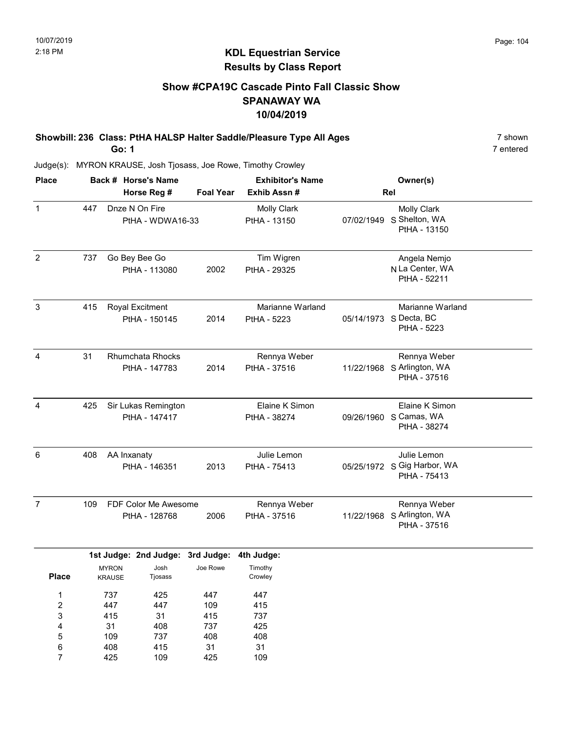### Show #CPA19C Cascade Pinto Fall Classic Show SPANAWAY WA 10/04/2019

Showbill: 236 Class: PtHA HALSP Halter Saddle/Pleasure Type All Ages 7 shown 7 shown Go: 1

7 entered

| <b>Place</b>            |     |                               | Back # Horse's Name                      |                  | <b>Exhibitor's Name</b>            |            | Owner(s)                                                   |  |
|-------------------------|-----|-------------------------------|------------------------------------------|------------------|------------------------------------|------------|------------------------------------------------------------|--|
|                         |     |                               | Horse Reg #                              | <b>Foal Year</b> | Exhib Assn#                        |            | Rel                                                        |  |
| $\mathbf{1}$            | 447 |                               | Dnze N On Fire<br>PtHA - WDWA16-33       |                  | <b>Molly Clark</b><br>PtHA - 13150 | 07/02/1949 | <b>Molly Clark</b><br>S Shelton, WA<br>PtHA - 13150        |  |
| $\overline{c}$          | 737 |                               | Go Bey Bee Go<br>PtHA - 113080           | 2002             | Tim Wigren<br>PtHA - 29325         |            | Angela Nemjo<br>N La Center, WA<br>PtHA - 52211            |  |
| 3                       | 415 |                               | Royal Excitment<br>PtHA - 150145         | 2014             | Marianne Warland<br>PtHA - 5223    |            | Marianne Warland<br>05/14/1973 S Decta, BC<br>PtHA - 5223  |  |
| $\overline{4}$          | 31  |                               | <b>Rhumchata Rhocks</b><br>PtHA - 147783 | 2014             | Rennya Weber<br>PtHA - 37516       |            | Rennya Weber<br>11/22/1968 S Arlington, WA<br>PtHA - 37516 |  |
| 4                       | 425 |                               | Sir Lukas Remington<br>PtHA - 147417     |                  | Elaine K Simon<br>PtHA - 38274     | 09/26/1960 | Elaine K Simon<br>S Camas, WA<br>PtHA - 38274              |  |
| 6                       | 408 | AA Inxanaty                   | PtHA - 146351                            | 2013             | Julie Lemon<br>PtHA - 75413        |            | Julie Lemon<br>05/25/1972 S Gig Harbor, WA<br>PtHA - 75413 |  |
| $\overline{7}$          | 109 |                               | FDF Color Me Awesome<br>PtHA - 128768    | 2006             | Rennya Weber<br>PtHA - 37516       | 11/22/1968 | Rennya Weber<br>S Arlington, WA<br>PtHA - 37516            |  |
|                         |     |                               | 1st Judge: 2nd Judge: 3rd Judge:         |                  | 4th Judge:                         |            |                                                            |  |
| <b>Place</b>            |     | <b>MYRON</b><br><b>KRAUSE</b> | Josh<br>Tjosass                          | Joe Rowe         | Timothy<br>Crowley                 |            |                                                            |  |
| $\mathbf{1}$            |     | 737                           | 425                                      | 447              | 447                                |            |                                                            |  |
| $\overline{\mathbf{c}}$ |     | 447                           | 447                                      | 109              | 415                                |            |                                                            |  |
| 3                       |     | 415                           | 31                                       | 415              | 737                                |            |                                                            |  |
| $\overline{\mathbf{r}}$ |     | 31                            | 408                                      | 737              | 425                                |            |                                                            |  |
| 5                       |     | 109                           | 737                                      | 408              | 408                                |            |                                                            |  |
| 6                       |     | 408                           | 415                                      | 31               | 31                                 |            |                                                            |  |
| $\overline{7}$          |     | 425                           | 109                                      | 425              | 109                                |            |                                                            |  |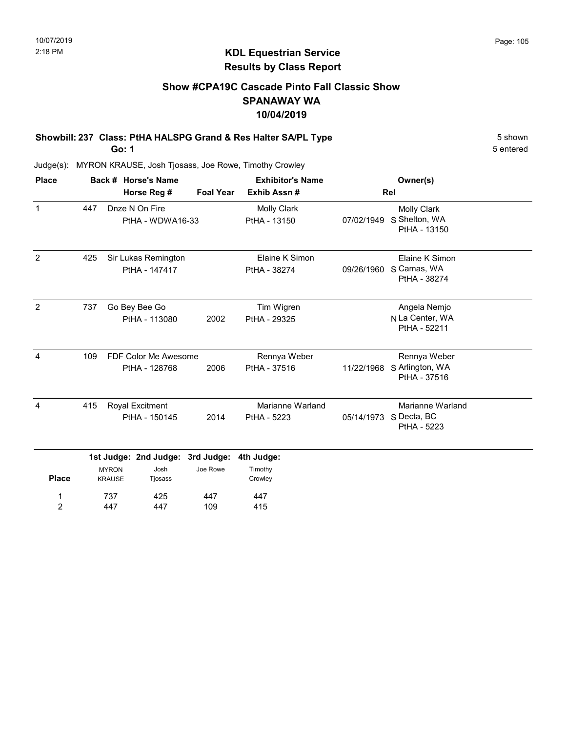### Show #CPA19C Cascade Pinto Fall Classic Show SPANAWAY WA 10/04/2019

Showbill: 237 Class: PtHA HALSPG Grand & Res Halter SA/PL Type 5 Shown 5 shown

Go: 1

5 entered

| <b>Place</b>        |     |                               | Back # Horse's Name                   |                  | <b>Exhibitor's Name</b>            |            | Owner(s)                                                  |  |
|---------------------|-----|-------------------------------|---------------------------------------|------------------|------------------------------------|------------|-----------------------------------------------------------|--|
|                     |     |                               | Horse Reg #                           | <b>Foal Year</b> | Exhib Assn#                        |            | Rel                                                       |  |
| $\mathbf{1}$        | 447 |                               | Dnze N On Fire<br>PtHA - WDWA16-33    |                  | <b>Molly Clark</b><br>PtHA - 13150 | 07/02/1949 | <b>Molly Clark</b><br>S Shelton, WA<br>PtHA - 13150       |  |
| $\overline{2}$      | 425 |                               | Sir Lukas Remington<br>PtHA - 147417  |                  | Elaine K Simon<br>PtHA - 38274     | 09/26/1960 | Elaine K Simon<br>S Camas, WA<br>PtHA - 38274             |  |
| 2                   | 737 |                               | Go Bey Bee Go<br>PtHA - 113080        | 2002             | Tim Wigren<br>PtHA - 29325         |            | Angela Nemjo<br>N La Center, WA<br>PtHA - 52211           |  |
| $\overline{4}$      | 109 |                               | FDF Color Me Awesome<br>PtHA - 128768 | 2006             | Rennya Weber<br>PtHA - 37516       | 11/22/1968 | Rennya Weber<br>S Arlington, WA<br>PtHA - 37516           |  |
| 4                   | 415 |                               | Royal Excitment<br>PtHA - 150145      | 2014             | Marianne Warland<br>PtHA - 5223    |            | Marianne Warland<br>05/14/1973 S Decta, BC<br>PtHA - 5223 |  |
|                     |     |                               | 1st Judge: 2nd Judge:                 | 3rd Judge:       | 4th Judge:                         |            |                                                           |  |
| <b>Place</b>        |     | <b>MYRON</b><br><b>KRAUSE</b> | Josh<br>Tjosass                       | Joe Rowe         | Timothy<br>Crowley                 |            |                                                           |  |
| 1<br>$\overline{c}$ |     | 737<br>447                    | 425<br>447                            | 447<br>109       | 447<br>415                         |            |                                                           |  |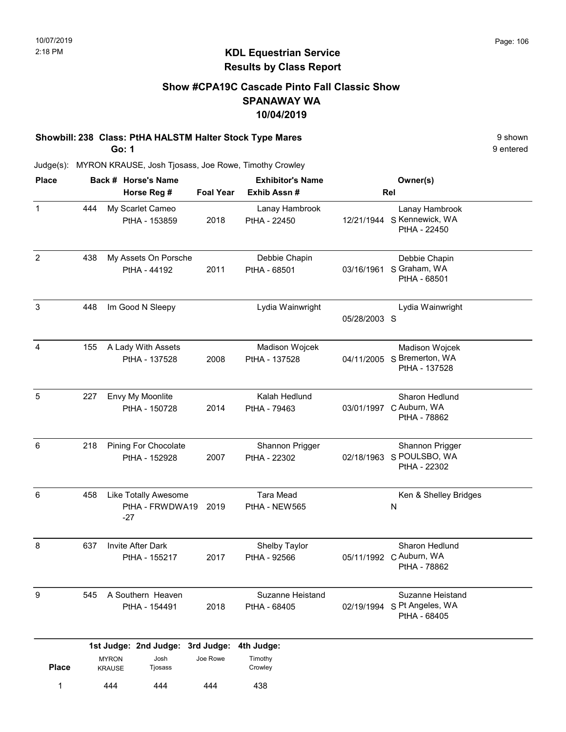### KDL Equestrian Service Results by Class Report

### Show #CPA19C Cascade Pinto Fall Classic Show SPANAWAY WA 10/04/2019

# Showbill: 238 Class: PtHA HALSTM Halter Stock Type Mares 9 Shown 9 shown

Go: 1

| <b>Place</b>   |     |                               | Back # Horse's Name                     |                  | <b>Exhibitor's Name</b>           |              | Owner(s)                                                        |
|----------------|-----|-------------------------------|-----------------------------------------|------------------|-----------------------------------|--------------|-----------------------------------------------------------------|
|                |     |                               | Horse Reg #                             | <b>Foal Year</b> | Exhib Assn#                       |              | Rel                                                             |
| 1              | 444 |                               | My Scarlet Cameo<br>PtHA - 153859       | 2018             | Lanay Hambrook<br>PtHA - 22450    |              | Lanay Hambrook<br>12/21/1944 S Kennewick, WA<br>PtHA - 22450    |
| $\overline{2}$ | 438 |                               | My Assets On Porsche<br>PtHA - 44192    | 2011             | Debbie Chapin<br>PtHA - 68501     | 03/16/1961   | Debbie Chapin<br>S Graham, WA<br>PtHA - 68501                   |
| $\sqrt{3}$     | 448 |                               | Im Good N Sleepy                        |                  | Lydia Wainwright                  | 05/28/2003 S | Lydia Wainwright                                                |
| 4              | 155 |                               | A Lady With Assets<br>PtHA - 137528     | 2008             | Madison Wojcek<br>PtHA - 137528   |              | Madison Wojcek<br>04/11/2005 S Bremerton, WA<br>PtHA - 137528   |
| 5              | 227 |                               | Envy My Moonlite<br>PtHA - 150728       | 2014             | Kalah Hedlund<br>PtHA - 79463     | 03/01/1997   | Sharon Hedlund<br>C Auburn, WA<br>PtHA - 78862                  |
| 6              | 218 |                               | Pining For Chocolate<br>PtHA - 152928   | 2007             | Shannon Prigger<br>PtHA - 22302   | 02/18/1963   | Shannon Prigger<br>S POULSBO, WA<br>PtHA - 22302                |
| 6              | 458 | $-27$                         | Like Totally Awesome<br>PtHA - FRWDWA19 | 2019             | <b>Tara Mead</b><br>PtHA - NEW565 |              | Ken & Shelley Bridges<br>N                                      |
| 8              | 637 |                               | Invite After Dark<br>PtHA - 155217      | 2017             | Shelby Taylor<br>PtHA - 92566     |              | Sharon Hedlund<br>05/11/1992 C Auburn, WA<br>PtHA - 78862       |
| 9              | 545 |                               | A Southern Heaven<br>PtHA - 154491      | 2018             | Suzanne Heistand<br>PtHA - 68405  |              | Suzanne Heistand<br>02/19/1994 S Pt Angeles, WA<br>PtHA - 68405 |
|                |     |                               | 1st Judge: 2nd Judge: 3rd Judge:        |                  | 4th Judge:                        |              |                                                                 |
| <b>Place</b>   |     | <b>MYRON</b><br><b>KRAUSE</b> | Josh<br>Tjosass                         | Joe Rowe         | Timothy<br>Crowley                |              |                                                                 |
| 1              |     | 444                           | 444                                     | 444              | 438                               |              |                                                                 |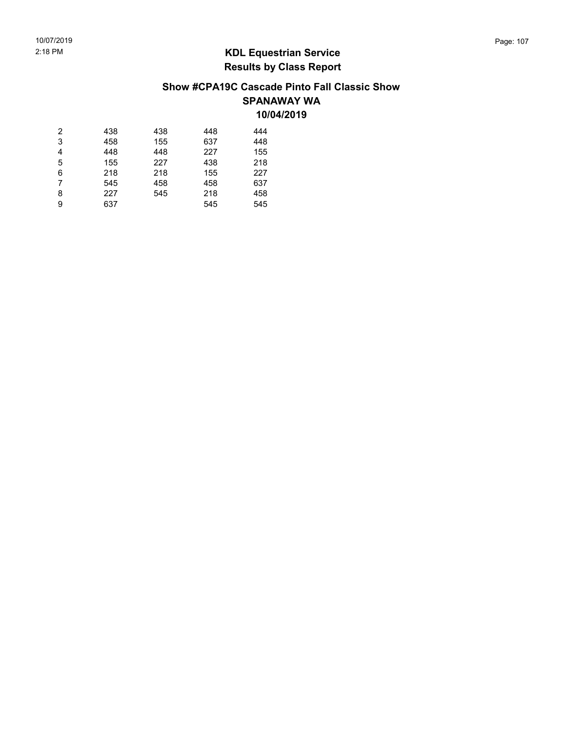### Show #CPA19C Cascade Pinto Fall Classic Show SPANAWAY WA 10/04/2019

| 2 | 438 | 438 | 448 | 444 |
|---|-----|-----|-----|-----|
| 3 | 458 | 155 | 637 | 448 |
| 4 | 448 | 448 | 227 | 155 |
| 5 | 155 | 227 | 438 | 218 |
| 6 | 218 | 218 | 155 | 227 |
| 7 | 545 | 458 | 458 | 637 |
| 8 | 227 | 545 | 218 | 458 |
| 9 | 637 |     | 545 | 545 |
|   |     |     |     |     |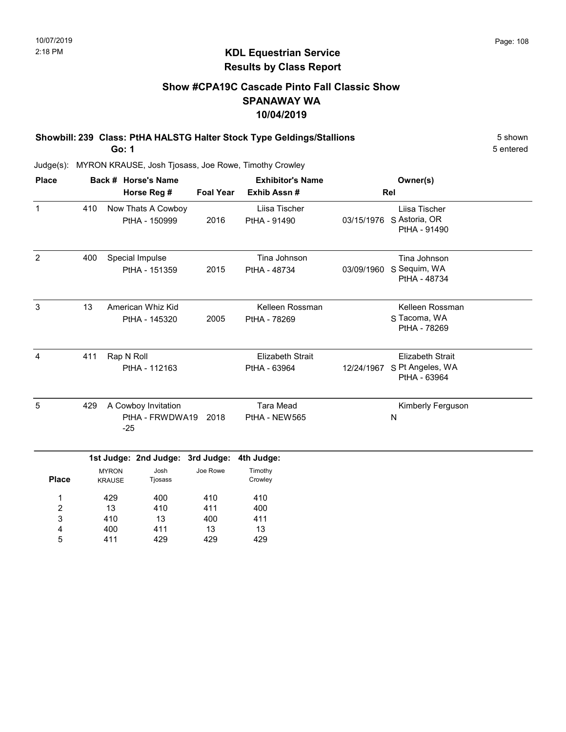### Show #CPA19C Cascade Pinto Fall Classic Show SPANAWAY WA 10/04/2019

Showbill: 239 Class: PtHA HALSTG Halter Stock Type Geldings/Stallions 5 Shown 5 shown Go: 1

5 entered

| <b>Place</b> |     | Back # Horse's Name                             |                  | <b>Exhibitor's Name</b>                 |            | Owner(s)                                                    |
|--------------|-----|-------------------------------------------------|------------------|-----------------------------------------|------------|-------------------------------------------------------------|
|              |     | Horse Reg #                                     | <b>Foal Year</b> | Exhib Assn#                             |            | Rel                                                         |
| $\mathbf 1$  | 410 | Now Thats A Cowboy<br>PtHA - 150999             | 2016             | Liisa Tischer<br>PtHA - 91490           | 03/15/1976 | Liisa Tischer<br>S Astoria, OR<br>PtHA - 91490              |
| 2            | 400 | Special Impulse<br>PtHA - 151359                | 2015             | Tina Johnson<br>PtHA - 48734            | 03/09/1960 | Tina Johnson<br>S Sequim, WA<br>PtHA - 48734                |
| 3            | 13  | American Whiz Kid<br>PtHA - 145320              | 2005             | Kelleen Rossman<br>PtHA - 78269         |            | Kelleen Rossman<br>S Tacoma, WA<br>PtHA - 78269             |
| 4            | 411 | Rap N Roll<br>PtHA - 112163                     |                  | <b>Elizabeth Strait</b><br>PtHA - 63964 | 12/24/1967 | <b>Elizabeth Strait</b><br>S Pt Angeles, WA<br>PtHA - 63964 |
| 5            | 429 | A Cowboy Invitation<br>PtHA - FRWDWA19<br>$-25$ | 2018             | <b>Tara Mead</b><br>PtHA - NEW565       |            | Kimberly Ferguson<br>N                                      |
|              |     | 1st Judge: 2nd Judge: 3rd Judge:                |                  | 4th Judge:                              |            |                                                             |

|              | . <b>. .</b> .                | . .             | . <u>.</u> . | $\sim$             |
|--------------|-------------------------------|-----------------|--------------|--------------------|
| <b>Place</b> | <b>MYRON</b><br><b>KRAUSE</b> | Josh<br>Tjosass | Joe Rowe     | Timothy<br>Crowley |
|              | 429                           | 400             | 410          | 410                |
| 2            | 13                            | 410             | 411          | 400                |
| 3            | 410                           | 13              | 400          | 411                |
| 4            | 400                           | 411             | 13           | 13                 |
| 5            | 411                           | 429             | 429          | 429                |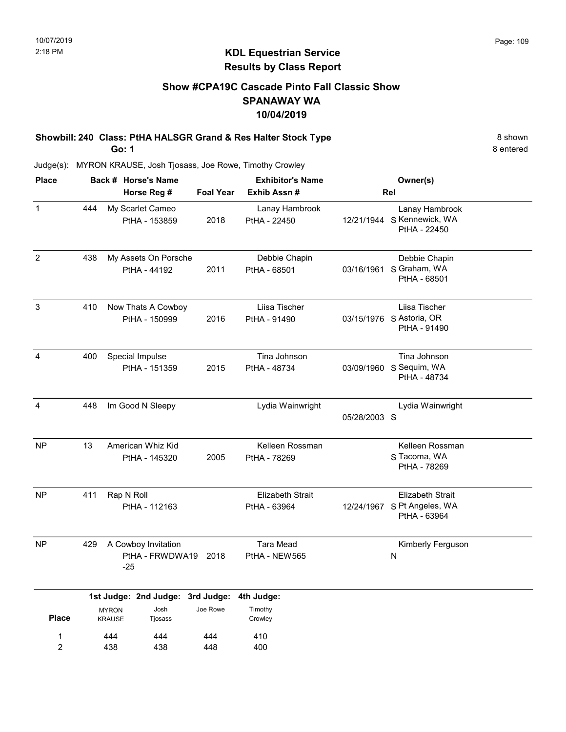# Show #CPA19C Cascade Pinto Fall Classic Show SPANAWAY WA 10/04/2019

Showbill: 240 Class: PtHA HALSGR Grand & Res Halter Stock Type 8 shown 8 shown Go: 1

8 entered

| <b>Place</b>        |     |                               | Back # Horse's Name                    |                  | <b>Exhibitor's Name</b>                 |              | Owner(s)                                                               |
|---------------------|-----|-------------------------------|----------------------------------------|------------------|-----------------------------------------|--------------|------------------------------------------------------------------------|
|                     |     |                               | Horse Reg #                            | <b>Foal Year</b> | Exhib Assn#                             |              | Rel                                                                    |
| $\mathbf 1$         | 444 |                               | My Scarlet Cameo<br>PtHA - 153859      | 2018             | Lanay Hambrook<br>PtHA - 22450          |              | Lanay Hambrook<br>12/21/1944 S Kennewick, WA<br>PtHA - 22450           |
| $\overline{2}$      | 438 |                               | My Assets On Porsche<br>PtHA - 44192   | 2011             | Debbie Chapin<br>PtHA - 68501           | 03/16/1961   | Debbie Chapin<br>S Graham, WA<br>PtHA - 68501                          |
| $\mathfrak{S}$      | 410 |                               | Now Thats A Cowboy<br>PtHA - 150999    | 2016             | Liisa Tischer<br>PtHA - 91490           |              | Liisa Tischer<br>03/15/1976 S Astoria, OR<br>PtHA - 91490              |
| $\overline{4}$      | 400 |                               | Special Impulse<br>PtHA - 151359       | 2015             | Tina Johnson<br>PtHA - 48734            |              | Tina Johnson<br>03/09/1960 S Sequim, WA<br>PtHA - 48734                |
| 4                   | 448 |                               | Im Good N Sleepy                       |                  | Lydia Wainwright                        | 05/28/2003 S | Lydia Wainwright                                                       |
| <b>NP</b>           | 13  |                               | American Whiz Kid<br>PtHA - 145320     | 2005             | Kelleen Rossman<br>PtHA - 78269         |              | Kelleen Rossman<br>S Tacoma, WA<br>PtHA - 78269                        |
| <b>NP</b>           | 411 | Rap N Roll                    | PtHA - 112163                          |                  | <b>Elizabeth Strait</b><br>PtHA - 63964 |              | <b>Elizabeth Strait</b><br>12/24/1967 S Pt Angeles, WA<br>PtHA - 63964 |
| <b>NP</b>           | 429 | $-25$                         | A Cowboy Invitation<br>PtHA - FRWDWA19 | 2018             | <b>Tara Mead</b><br>PtHA - NEW565       |              | Kimberly Ferguson<br>N                                                 |
|                     |     |                               | 1st Judge: 2nd Judge: 3rd Judge:       |                  | 4th Judge:                              |              |                                                                        |
| <b>Place</b>        |     | <b>MYRON</b><br><b>KRAUSE</b> | Josh<br>Tjosass                        | Joe Rowe         | Timothy<br>Crowley                      |              |                                                                        |
| 1<br>$\overline{2}$ |     | 444<br>438                    | 444<br>438                             | 444<br>448       | 410<br>400                              |              |                                                                        |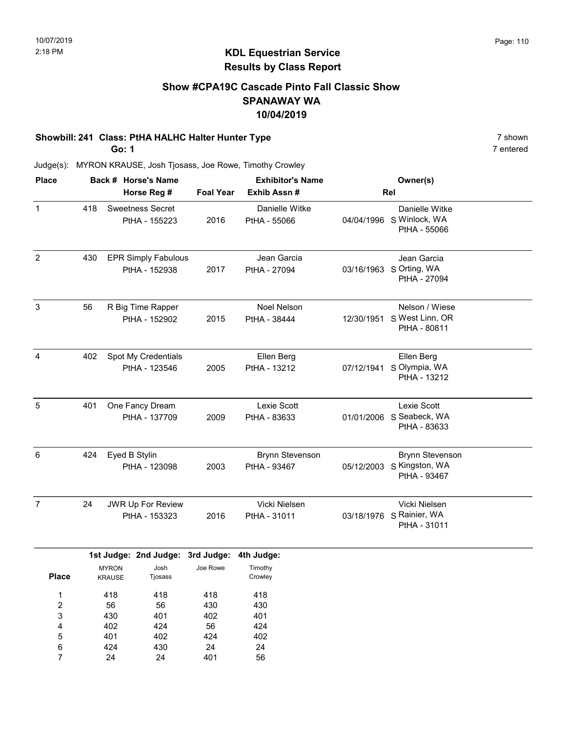### Show #CPA19C Cascade Pinto Fall Classic Show SPANAWAY WA 10/04/2019

#### Showbill: 241 Class: PtHA HALHC Halter Hunter Type 7 shown

Go: 1

24

7

24

401

56

7 entered

| <b>Place</b>                       |     |                                | Back # Horse's Name                         |                                | <b>Exhibitor's Name</b>                |            | Owner(s)                                                            |  |
|------------------------------------|-----|--------------------------------|---------------------------------------------|--------------------------------|----------------------------------------|------------|---------------------------------------------------------------------|--|
|                                    |     |                                | Horse Reg #                                 | <b>Foal Year</b>               | Exhib Assn #                           |            | Rel                                                                 |  |
| $\mathbf{1}$                       | 418 |                                | <b>Sweetness Secret</b><br>PtHA - 155223    | 2016                           | Danielle Witke<br>PtHA - 55066         |            | Danielle Witke<br>04/04/1996 S Winlock, WA<br>PtHA - 55066          |  |
| $\overline{2}$                     | 430 |                                | <b>EPR Simply Fabulous</b><br>PtHA - 152938 | 2017                           | Jean Garcia<br>PtHA - 27094            |            | Jean Garcia<br>03/16/1963 S Orting, WA<br>PtHA - 27094              |  |
| 3                                  | 56  |                                | R Big Time Rapper<br>PtHA - 152902          | 2015                           | Noel Nelson<br>PtHA - 38444            | 12/30/1951 | Nelson / Wiese<br>S West Linn, OR<br>PtHA - 80811                   |  |
| $\overline{4}$                     | 402 |                                | Spot My Credentials<br>PtHA - 123546        | 2005                           | Ellen Berg<br>PtHA - 13212             |            | Ellen Berg<br>07/12/1941 S Olympia, WA<br>PtHA - 13212              |  |
| $\sqrt{5}$                         | 401 |                                | One Fancy Dream<br>PtHA - 137709            | 2009                           | Lexie Scott<br>PtHA - 83633            |            | Lexie Scott<br>01/01/2006 S Seabeck, WA<br>PtHA - 83633             |  |
| 6                                  | 424 | Eyed B Stylin                  | PtHA - 123098                               | 2003                           | <b>Brynn Stevenson</b><br>PtHA - 93467 |            | <b>Brynn Stevenson</b><br>05/12/2003 S Kingston, WA<br>PtHA - 93467 |  |
| $\overline{7}$                     | 24  |                                | JWR Up For Review<br>PtHA - 153323          | 2016                           | Vicki Nielsen<br>PtHA - 31011          |            | Vicki Nielsen<br>03/18/1976 S Rainier, WA<br>PtHA - 31011           |  |
|                                    |     |                                | 1st Judge: 2nd Judge: 3rd Judge:            |                                | 4th Judge:                             |            |                                                                     |  |
| <b>Place</b>                       |     | <b>MYRON</b><br><b>KRAUSE</b>  | Josh<br>Tjosass                             | Joe Rowe                       | Timothy<br>Crowley                     |            |                                                                     |  |
| 1<br>$\overline{c}$<br>3<br>4<br>5 |     | 418<br>56<br>430<br>402<br>401 | 418<br>56<br>401<br>424<br>402              | 418<br>430<br>402<br>56<br>424 | 418<br>430<br>401<br>424<br>402        |            |                                                                     |  |
| 6                                  |     | 424                            | 430                                         | 24                             | 24                                     |            |                                                                     |  |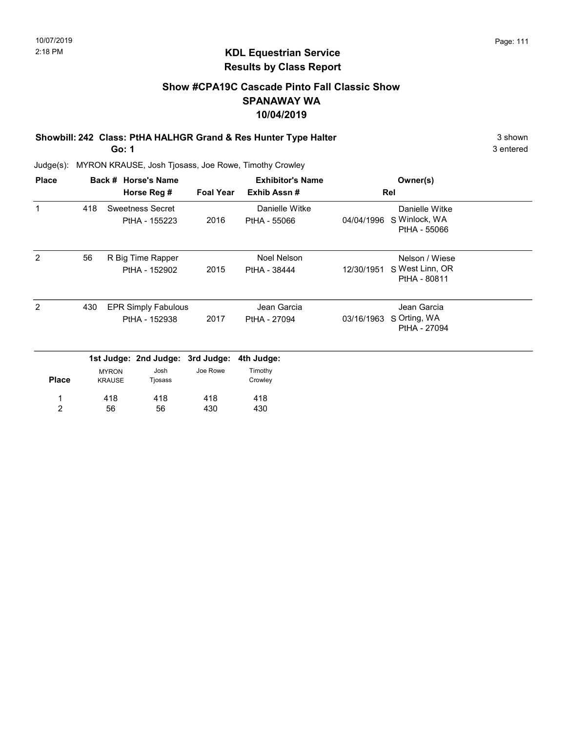# Show #CPA19C Cascade Pinto Fall Classic Show SPANAWAY WA 10/04/2019

Showbill: 242 Class: PtHA HALHGR Grand & Res Hunter Type Halter 3 Shown 3 shown

Go: 1

3 entered

| <b>Place</b>        |     |               | Back # Horse's Name                         |                        | <b>Exhibitor's Name</b>        |            | Owner(s)                                          |  |
|---------------------|-----|---------------|---------------------------------------------|------------------------|--------------------------------|------------|---------------------------------------------------|--|
|                     |     |               | Horse Reg #                                 | <b>Foal Year</b>       | Exhib Assn#                    |            | Rel                                               |  |
| 1                   | 418 |               | <b>Sweetness Secret</b><br>PtHA - 155223    | 2016                   | Danielle Witke<br>PtHA - 55066 | 04/04/1996 | Danielle Witke<br>S Winlock, WA<br>PtHA - 55066   |  |
| 2                   | 56  |               | R Big Time Rapper<br>PtHA - 152902          | 2015                   | Noel Nelson<br>PtHA - 38444    | 12/30/1951 | Nelson / Wiese<br>S West Linn, OR<br>PtHA - 80811 |  |
| 2                   | 430 |               | <b>EPR Simply Fabulous</b><br>PtHA - 152938 | 2017                   | Jean Garcia<br>PtHA - 27094    | 03/16/1963 | Jean Garcia<br>S Orting, WA<br>PtHA - 27094       |  |
|                     |     | <b>MYRON</b>  | 1st Judge: 2nd Judge:<br>Josh               | 3rd Judge:<br>Joe Rowe | 4th Judge:<br>Timothy          |            |                                                   |  |
| <b>Place</b>        |     | <b>KRAUSE</b> | Tjosass                                     |                        | Crowley                        |            |                                                   |  |
| 1<br>$\overline{2}$ |     | 418<br>56     | 418<br>56                                   | 418<br>430             | 418<br>430                     |            |                                                   |  |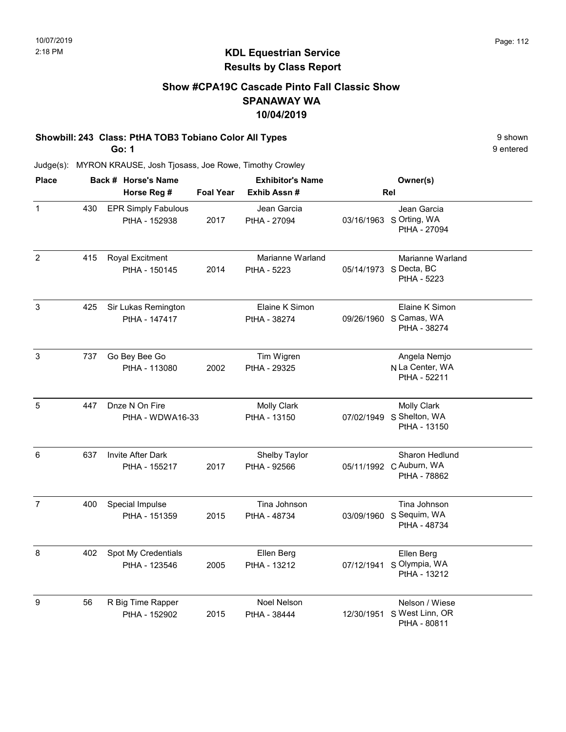### Show #CPA19C Cascade Pinto Fall Classic Show SPANAWAY WA 10/04/2019

#### Showbill: 243 Class: PtHA TOB3 Tobiano Color All Types 9 shown

Go: 1

9 entered

| <b>Place</b>   |     | Back # Horse's Name                         |                  | <b>Exhibitor's Name</b>            |            | Owner(s)                                                       |
|----------------|-----|---------------------------------------------|------------------|------------------------------------|------------|----------------------------------------------------------------|
|                |     | Horse Reg #                                 | <b>Foal Year</b> | Exhib Assn #                       |            | Rel                                                            |
| 1              | 430 | <b>EPR Simply Fabulous</b><br>PtHA - 152938 | 2017             | Jean Garcia<br>PtHA - 27094        |            | Jean Garcia<br>03/16/1963 S Orting, WA<br>PtHA - 27094         |
| $\overline{2}$ | 415 | Royal Excitment<br>PtHA - 150145            | 2014             | Marianne Warland<br>PtHA - 5223    |            | Marianne Warland<br>05/14/1973 S Decta, BC<br>PtHA - 5223      |
| 3              | 425 | Sir Lukas Remington<br>PtHA - 147417        |                  | Elaine K Simon<br>PtHA - 38274     |            | Elaine K Simon<br>09/26/1960 S Camas, WA<br>PtHA - 38274       |
| 3              | 737 | Go Bey Bee Go<br>PtHA - 113080              | 2002             | Tim Wigren<br>PtHA - 29325         |            | Angela Nemjo<br>N La Center, WA<br>PtHA - 52211                |
| 5              | 447 | Dnze N On Fire<br>PtHA - WDWA16-33          |                  | <b>Molly Clark</b><br>PtHA - 13150 |            | <b>Molly Clark</b><br>07/02/1949 S Shelton, WA<br>PtHA - 13150 |
| 6              | 637 | <b>Invite After Dark</b><br>PtHA - 155217   | 2017             | Shelby Taylor<br>PtHA - 92566      |            | Sharon Hedlund<br>05/11/1992 C Auburn, WA<br>PtHA - 78862      |
| $\overline{7}$ | 400 | Special Impulse<br>PtHA - 151359            | 2015             | Tina Johnson<br>PtHA - 48734       |            | Tina Johnson<br>03/09/1960 S Sequim, WA<br>PtHA - 48734        |
| 8              | 402 | Spot My Credentials<br>PtHA - 123546        | 2005             | Ellen Berg<br>PtHA - 13212         |            | Ellen Berg<br>07/12/1941 S Olympia, WA<br>PtHA - 13212         |
| 9              | 56  | R Big Time Rapper<br>PtHA - 152902          | 2015             | <b>Noel Nelson</b><br>PtHA - 38444 | 12/30/1951 | Nelson / Wiese<br>S West Linn, OR<br>PtHA - 80811              |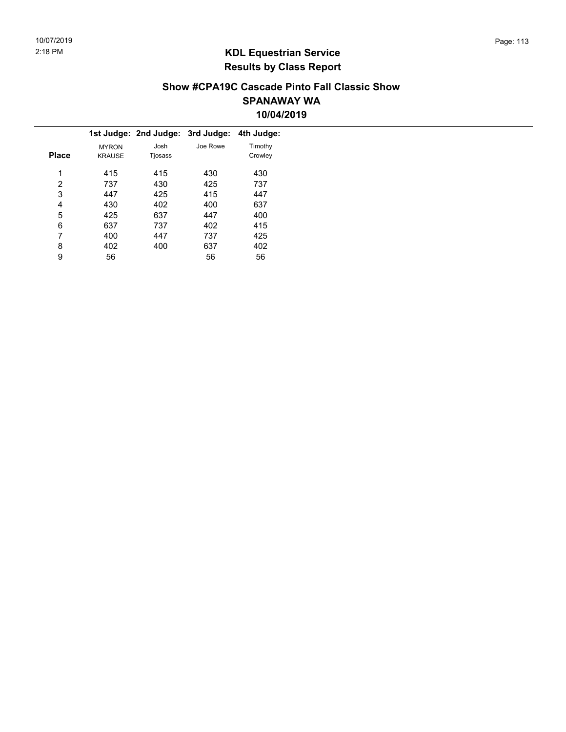#### Show #CPA19C Cascade Pinto Fall Classic Show SPANAWAY WA 10/04/2019

|              |               | 1st Judge: 2nd Judge: 3rd Judge: |          | 4th Judge: |
|--------------|---------------|----------------------------------|----------|------------|
|              | <b>MYRON</b>  | Josh                             | Joe Rowe | Timothy    |
| <b>Place</b> | <b>KRAUSE</b> | Tjosass                          |          | Crowley    |
| 1            | 415           | 415                              | 430      | 430        |
| 2            | 737           | 430                              | 425      | 737        |
| 3            | 447           | 425                              | 415      | 447        |
| 4            | 430           | 402                              | 400      | 637        |
| 5            | 425           | 637                              | 447      | 400        |
| 6            | 637           | 737                              | 402      | 415        |
| 7            | 400           | 447                              | 737      | 425        |
| 8            | 402           | 400                              | 637      | 402        |
| 9            | 56            |                                  | 56       | 56         |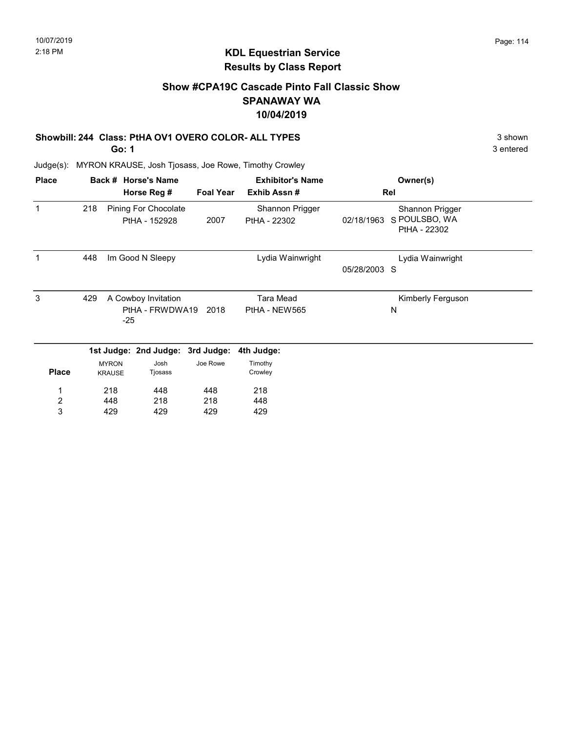## Show #CPA19C Cascade Pinto Fall Classic Show SPANAWAY WA 10/04/2019

#### Showbill: 244 Class: PtHA OV1 OVERO COLOR- ALL TYPES 3 shown

Go: 1

Judge(s): MYRON KRAUSE, Josh Tjosass, Joe Rowe, Timothy Crowley

| <b>Place</b>   |     |               | Back # Horse's Name   |                  | <b>Exhibitor's Name</b> |              | Owner(s)                      |
|----------------|-----|---------------|-----------------------|------------------|-------------------------|--------------|-------------------------------|
|                |     |               | Horse Reg #           | <b>Foal Year</b> | Exhib Assn#             |              | Rel                           |
| 1              | 218 |               | Pining For Chocolate  |                  | Shannon Prigger         |              | Shannon Prigger               |
|                |     |               | PtHA - 152928         | 2007             | PtHA - 22302            | 02/18/1963   | S POULSBO, WA<br>PtHA - 22302 |
|                | 448 |               | Im Good N Sleepy      |                  | Lydia Wainwright        |              | Lydia Wainwright              |
|                |     |               |                       |                  |                         | 05/28/2003 S |                               |
| 3              | 429 |               | A Cowboy Invitation   |                  | <b>Tara Mead</b>        |              | Kimberly Ferguson             |
|                |     | $-25$         | PtHA - FRWDWA19       | 2018             | PtHA - NEW565           |              | N                             |
|                |     |               | 1st Judge: 2nd Judge: | 3rd Judge:       | 4th Judge:              |              |                               |
|                |     | <b>MYRON</b>  | Josh                  | Joe Rowe         | Timothy                 |              |                               |
| <b>Place</b>   |     | <b>KRAUSE</b> | Tjosass               |                  | Crowley                 |              |                               |
|                |     | 218           | 448                   | 448              | 218                     |              |                               |
| $\overline{2}$ |     | 448           | 218                   | 218              | 448                     |              |                               |
| 3              |     | 429           | 429                   | 429              | 429                     |              |                               |

3 entered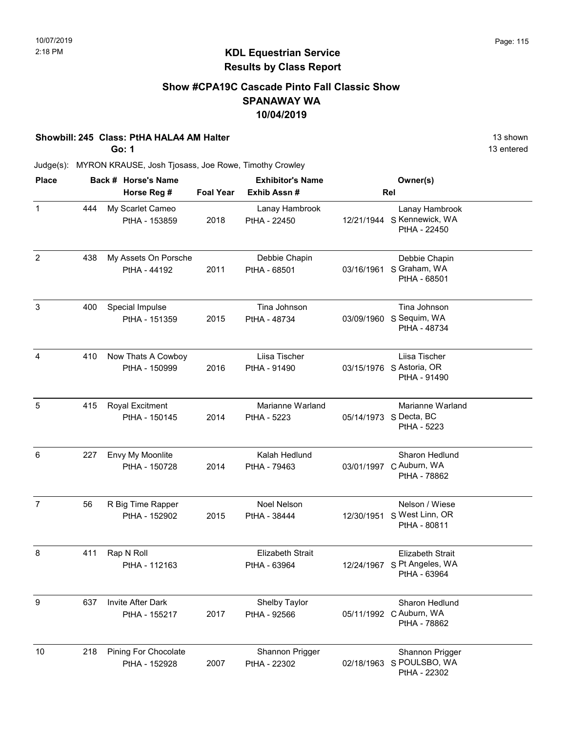### Show #CPA19C Cascade Pinto Fall Classic Show SPANAWAY WA 10/04/2019

#### Showbill: 245 Class: PtHA HALA4 AM Halter 13 shown

Go: 1

13 entered

| <b>Place</b>   |     |                                       | Back # Horse's Name |                  | <b>Exhibitor's Name</b>                 |            | Owner(s)                                                               |  |
|----------------|-----|---------------------------------------|---------------------|------------------|-----------------------------------------|------------|------------------------------------------------------------------------|--|
|                |     | Horse Reg #                           |                     | <b>Foal Year</b> | Exhib Assn#                             |            | Rel                                                                    |  |
| $\mathbf{1}$   | 444 | My Scarlet Cameo<br>PtHA - 153859     |                     | 2018             | Lanay Hambrook<br>PtHA - 22450          |            | Lanay Hambrook<br>12/21/1944 S Kennewick, WA<br>PtHA - 22450           |  |
| $\overline{2}$ | 438 | My Assets On Porsche<br>PtHA - 44192  |                     | 2011             | Debbie Chapin<br>PtHA - 68501           | 03/16/1961 | Debbie Chapin<br>S Graham, WA<br>PtHA - 68501                          |  |
| 3              | 400 | Special Impulse<br>PtHA - 151359      |                     | 2015             | Tina Johnson<br>PtHA - 48734            |            | Tina Johnson<br>03/09/1960 S Sequim, WA<br>PtHA - 48734                |  |
| 4              | 410 | Now Thats A Cowboy<br>PtHA - 150999   |                     | 2016             | Liisa Tischer<br>PtHA - 91490           |            | Liisa Tischer<br>03/15/1976 S Astoria, OR<br>PtHA - 91490              |  |
| 5              | 415 | Royal Excitment<br>PtHA - 150145      |                     | 2014             | Marianne Warland<br>PtHA - 5223         |            | <b>Marianne Warland</b><br>05/14/1973 S Decta, BC<br>PtHA - 5223       |  |
| 6              | 227 | Envy My Moonlite<br>PtHA - 150728     |                     | 2014             | Kalah Hedlund<br>PtHA - 79463           |            | Sharon Hedlund<br>03/01/1997 C Auburn, WA<br>PtHA - 78862              |  |
| $\overline{7}$ | 56  | R Big Time Rapper<br>PtHA - 152902    |                     | 2015             | Noel Nelson<br>PtHA - 38444             | 12/30/1951 | Nelson / Wiese<br>S West Linn, OR<br>PtHA - 80811                      |  |
| 8              | 411 | Rap N Roll<br>PtHA - 112163           |                     |                  | <b>Elizabeth Strait</b><br>PtHA - 63964 |            | <b>Elizabeth Strait</b><br>12/24/1967 S Pt Angeles, WA<br>PtHA - 63964 |  |
| 9              | 637 | Invite After Dark<br>PtHA - 155217    |                     | 2017             | Shelby Taylor<br>PtHA - 92566           |            | Sharon Hedlund<br>05/11/1992 C Auburn, WA<br>PtHA - 78862              |  |
| 10             | 218 | Pining For Chocolate<br>PtHA - 152928 |                     | 2007             | Shannon Prigger<br>PtHA - 22302         | 02/18/1963 | Shannon Prigger<br>S POULSBO, WA<br>PtHA - 22302                       |  |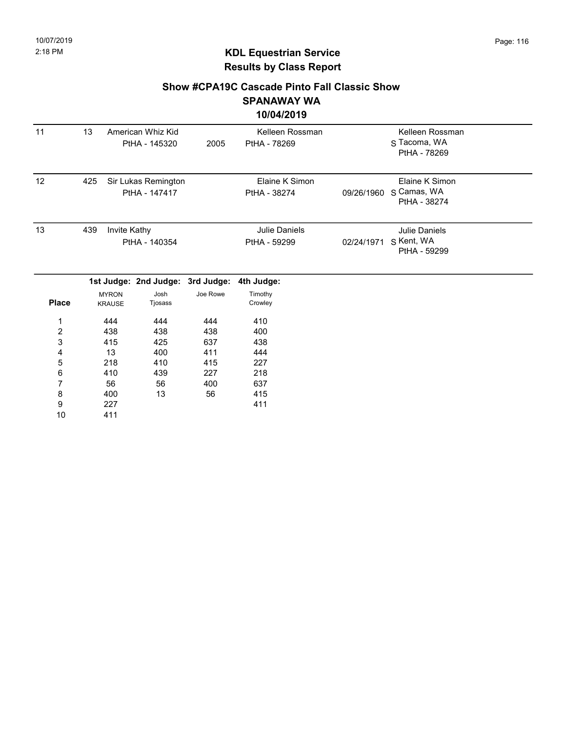#### Show #CPA19C Cascade Pinto Fall Classic Show SPANAWAY WA

#### 10/04/2019

| 11               | 13  |                               | American Whiz Kid<br>PtHA - 145320   | 2005     | Kelleen Rossman<br>PtHA - 78269      |            | Kelleen Rossman<br>S Tacoma, WA<br>PtHA - 78269    |  |
|------------------|-----|-------------------------------|--------------------------------------|----------|--------------------------------------|------------|----------------------------------------------------|--|
| 12               | 425 |                               | Sir Lukas Remington<br>PtHA - 147417 |          | Elaine K Simon<br>PtHA - 38274       | 09/26/1960 | Elaine K Simon<br>S Camas, WA<br>PtHA - 38274      |  |
| 13               | 439 | Invite Kathy                  | PtHA - 140354                        |          | <b>Julie Daniels</b><br>PtHA - 59299 | 02/24/1971 | <b>Julie Daniels</b><br>S Kent, WA<br>PtHA - 59299 |  |
|                  |     |                               | 1st Judge: 2nd Judge: 3rd Judge:     |          | 4th Judge:                           |            |                                                    |  |
| <b>Place</b>     |     | <b>MYRON</b><br><b>KRAUSE</b> | Josh<br>Tjosass                      | Joe Rowe | Timothy<br>Crowley                   |            |                                                    |  |
| 1                |     | 444                           | 444                                  | 444      | 410                                  |            |                                                    |  |
| $\boldsymbol{2}$ |     | 438                           | 438                                  | 438      | 400                                  |            |                                                    |  |
| 3                |     | 415                           | 425                                  | 637      | 438                                  |            |                                                    |  |
| 4                |     | 13                            | 400                                  | 411      | 444                                  |            |                                                    |  |
| 5                |     | 218                           | 410                                  | 415      | 227                                  |            |                                                    |  |
| 6                |     | 410                           | 439                                  | 227      | 218                                  |            |                                                    |  |
| 7                |     | 56                            | 56                                   | 400      | 637                                  |            |                                                    |  |
| 8                |     | 400                           | 13                                   | 56       | 415                                  |            |                                                    |  |
| 9                |     | 227                           |                                      |          | 411                                  |            |                                                    |  |
| 10               |     | 411                           |                                      |          |                                      |            |                                                    |  |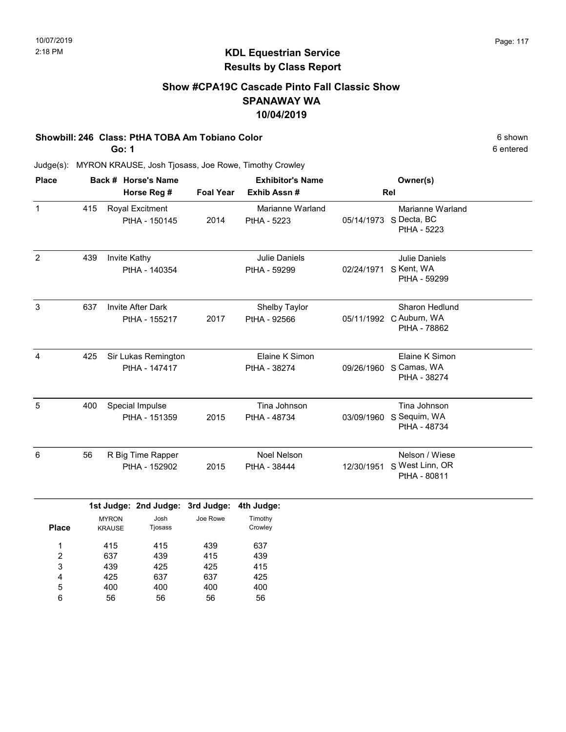### Show #CPA19C Cascade Pinto Fall Classic Show SPANAWAY WA 10/04/2019

#### Showbill: 246 Class: PtHA TOBA Am Tobiano Color 6 shown 6 shown 6 shown

Go: 1

6 entered

| <b>Place</b> |     | Back # Horse's Name                       |                  | <b>Exhibitor's Name</b>            |            | Owner(s)                                                         |  |
|--------------|-----|-------------------------------------------|------------------|------------------------------------|------------|------------------------------------------------------------------|--|
|              |     | Horse Reg #                               | <b>Foal Year</b> | Exhib Assn#                        |            | Rel                                                              |  |
| $\mathbf{1}$ | 415 | <b>Royal Excitment</b><br>PtHA - 150145   | 2014             | Marianne Warland<br>PtHA - 5223    |            | Marianne Warland<br>05/14/1973 S Decta, BC<br>PtHA - 5223        |  |
| 2            | 439 | Invite Kathy<br>PtHA - 140354             |                  | Julie Daniels<br>PtHA - 59299      | 02/24/1971 | <b>Julie Daniels</b><br>S Kent, WA<br>PtHA - 59299               |  |
| 3            | 637 | <b>Invite After Dark</b><br>PtHA - 155217 | 2017             | Shelby Taylor<br>PtHA - 92566      |            | <b>Sharon Hedlund</b><br>05/11/1992 C Auburn, WA<br>PtHA - 78862 |  |
| 4            | 425 | Sir Lukas Remington<br>PtHA - 147417      |                  | Elaine K Simon<br>PtHA - 38274     |            | Elaine K Simon<br>09/26/1960 S Camas, WA<br>PtHA - 38274         |  |
| 5            | 400 | Special Impulse<br>PtHA - 151359          | 2015             | Tina Johnson<br>PtHA - 48734       | 03/09/1960 | Tina Johnson<br>S Sequim, WA<br>PtHA - 48734                     |  |
| 6            | 56  | R Big Time Rapper<br>PtHA - 152902        | 2015             | <b>Noel Nelson</b><br>PtHA - 38444 | 12/30/1951 | Nelson / Wiese<br>S West Linn, OR<br>PtHA - 80811                |  |
|              |     | 1st Judge: 2nd Judge: 3rd Judge:          |                  | 4th Judge:                         |            |                                                                  |  |

|              |               | 1st Judge: 2nd Judge: 3rd Judge: 4th Judge |          |         |
|--------------|---------------|--------------------------------------------|----------|---------|
|              | <b>MYRON</b>  | Josh                                       | Joe Rowe | Timothy |
| <b>Place</b> | <b>KRAUSE</b> | Tjosass                                    |          | Crowley |
| 1            | 415           | 415                                        | 439      | 637     |
| 2            | 637           | 439                                        | 415      | 439     |
| 3            | 439           | 425                                        | 425      | 415     |
| 4            | 425           | 637                                        | 637      | 425     |
| 5            | 400           | 400                                        | 400      | 400     |
| 6            | 56            | 56                                         | 56       | 56      |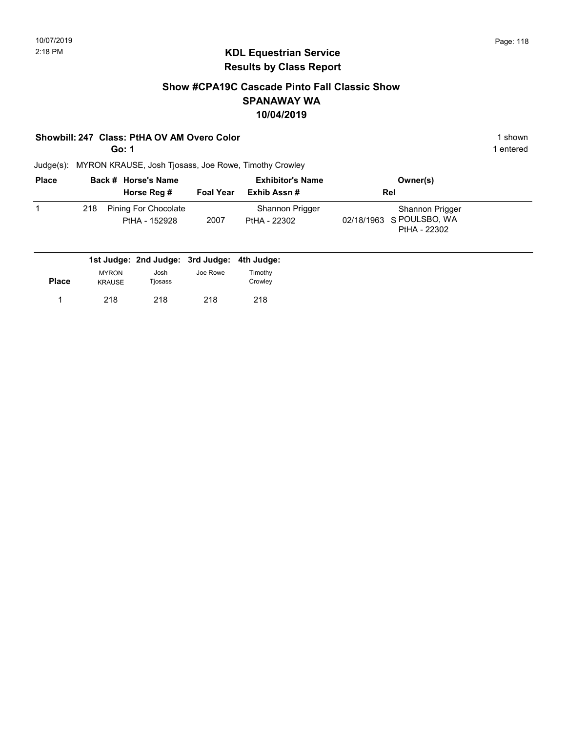### Show #CPA19C Cascade Pinto Fall Classic Show SPANAWAY WA 10/04/2019

#### Showbill: 247 Class: PtHA OV AM Overo Color 1 shown

Go: 1

1 entered

| <b>Place</b> |     | Back # Horse's Name<br>Horse Reg #          | <b>Foal Year</b> | <b>Exhibitor's Name</b><br>Exhib Assn# | Owner(s)<br>Rel                                             |  |
|--------------|-----|---------------------------------------------|------------------|----------------------------------------|-------------------------------------------------------------|--|
|              | 218 | Pining For Chocolate<br>PtHA - 152928       | 2007             | Shannon Prigger<br>PtHA - 22302        | Shannon Prigger<br>02/18/1963 S POULSBO, WA<br>PtHA - 22302 |  |
|              |     | 1st Judge: 2nd Judge: 3rd Judge: 4th Judge: |                  |                                        |                                                             |  |

|       |                               | $19199991$ and $999991$ and $999991$ |          | .                  |  |
|-------|-------------------------------|--------------------------------------|----------|--------------------|--|
| Place | <b>MYRON</b><br><b>KRAUSE</b> | Josh<br>Tjosass                      | Joe Rowe | Timothy<br>Crowley |  |
|       | 218                           | 218                                  | 218      | 218                |  |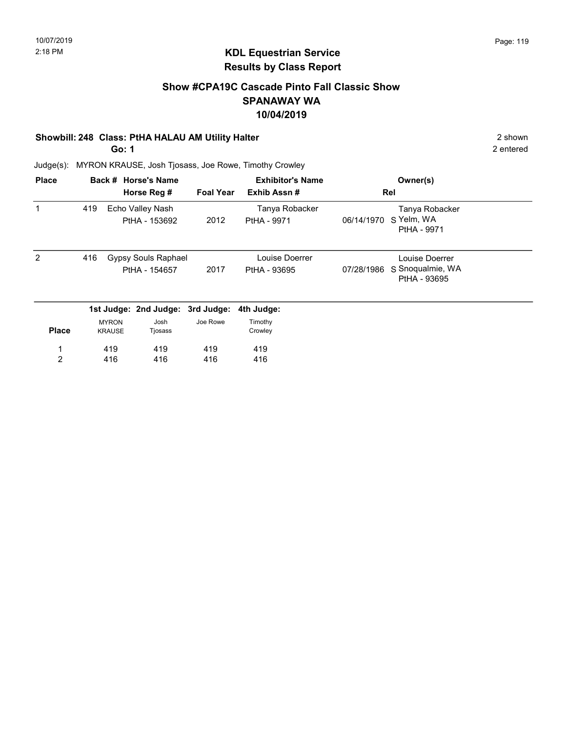### Show #CPA19C Cascade Pinto Fall Classic Show SPANAWAY WA 10/04/2019

#### Showbill: 248 Class: PtHA HALAU AM Utility Halter 2 Shown 2 shown

Go: 1

2 entered

| <b>Place</b>   |     |                                   | Back # Horse's Name              |                  | <b>Exhibitor's Name</b>       |            | Owner(s)                         |  |
|----------------|-----|-----------------------------------|----------------------------------|------------------|-------------------------------|------------|----------------------------------|--|
|                |     |                                   | Horse Reg #                      | <b>Foal Year</b> | Exhib Assn#                   |            | Rel                              |  |
|                | 419 | Echo Valley Nash<br>PtHA - 153692 |                                  | 2012             | Tanya Robacker<br>PtHA - 9971 | 06/14/1970 | Tanya Robacker<br>S Yelm, WA     |  |
|                |     |                                   |                                  |                  |                               |            | PtHA - 9971                      |  |
| 2              | 416 |                                   | Gypsy Souls Raphael              |                  | Louise Doerrer                |            | Louise Doerrer                   |  |
|                |     |                                   | PtHA - 154657                    | 2017             | PtHA - 93695                  | 07/28/1986 | S Snoqualmie, WA<br>PtHA - 93695 |  |
|                |     |                                   | 1st Judge: 2nd Judge: 3rd Judge: |                  | 4th Judge:                    |            |                                  |  |
|                |     | <b>MYRON</b>                      | Josh                             | Joe Rowe         | Timothy                       |            |                                  |  |
| <b>Place</b>   |     | <b>KRAUSE</b>                     | Tjosass                          |                  | Crowley                       |            |                                  |  |
| 1              |     | 419                               | 419                              | 419              | 419                           |            |                                  |  |
| $\overline{2}$ |     | 416                               | 416                              | 416              | 416                           |            |                                  |  |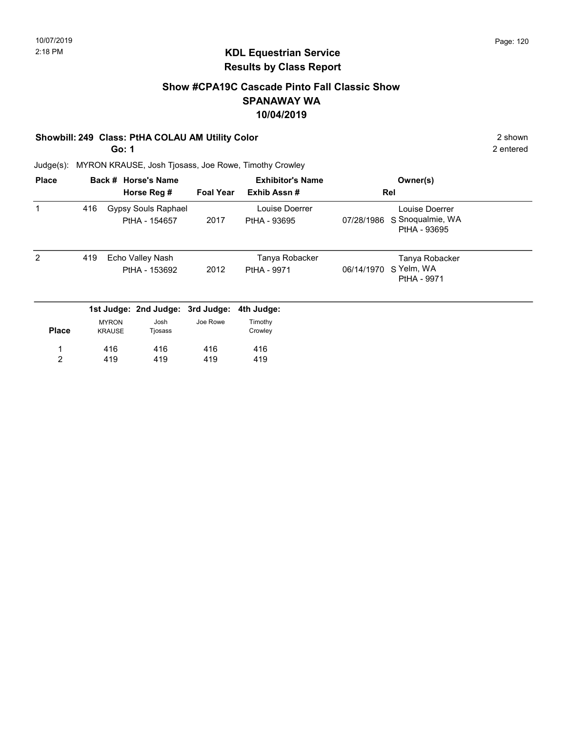### Show #CPA19C Cascade Pinto Fall Classic Show SPANAWAY WA 10/04/2019

#### Showbill: 249 Class: PtHA COLAU AM Utility Color 2 Shown 2 shown

Go: 1

2 entered

| <b>Place</b>   |     |                               | Back # Horse's Name              |                  | <b>Exhibitor's Name</b> |            | Owner(s)                         |  |
|----------------|-----|-------------------------------|----------------------------------|------------------|-------------------------|------------|----------------------------------|--|
|                |     |                               | Horse Reg #                      | <b>Foal Year</b> | Exhib Assn#             |            | Rel                              |  |
| 1              | 416 |                               | Gypsy Souls Raphael              |                  | Louise Doerrer          |            | Louise Doerrer                   |  |
|                |     |                               | PtHA - 154657                    | 2017             | PtHA - 93695            | 07/28/1986 | S Snoqualmie, WA<br>PtHA - 93695 |  |
| 2              | 419 | Echo Valley Nash              |                                  |                  | Tanya Robacker          |            | Tanya Robacker                   |  |
|                |     |                               | PtHA - 153692                    | 2012             | PtHA - 9971             | 06/14/1970 | S Yelm, WA<br>PtHA - 9971        |  |
|                |     |                               | 1st Judge: 2nd Judge: 3rd Judge: |                  | 4th Judge:              |            |                                  |  |
| <b>Place</b>   |     | <b>MYRON</b><br><b>KRAUSE</b> | Josh<br>Tjosass                  | Joe Rowe         | Timothy<br>Crowley      |            |                                  |  |
|                |     | 416                           | 416                              | 416              | 416                     |            |                                  |  |
| $\overline{2}$ |     | 419                           | 419                              | 419              | 419                     |            |                                  |  |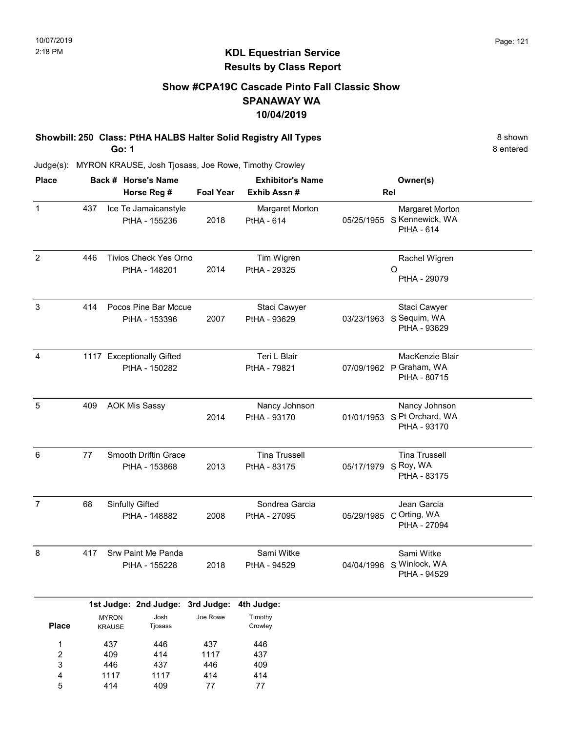# Show #CPA19C Cascade Pinto Fall Classic Show SPANAWAY WA 10/04/2019

Showbill: 250 Class: PtHA HALBS Halter Solid Registry All Types 8 shown Go: 1

8 entered

Judge(s): MYRON KRAUSE, Josh Tjosass, Joe Rowe, Timothy Crowley

414

5

409

77

77

| <b>Place</b>                           | Back # Horse's Name |                               |                                               |                           | <b>Exhibitor's Name</b>              |                      | Owner(s)                                                    |  |  |
|----------------------------------------|---------------------|-------------------------------|-----------------------------------------------|---------------------------|--------------------------------------|----------------------|-------------------------------------------------------------|--|--|
|                                        |                     |                               | Horse Reg #                                   | <b>Foal Year</b>          | Exhib Assn#                          |                      | Rel                                                         |  |  |
| $\mathbf 1$                            | 437                 |                               | Ice Te Jamaicanstyle<br>PtHA - 155236         | 2018                      | Margaret Morton<br>PtHA - 614        |                      | Margaret Morton<br>05/25/1955 S Kennewick, WA<br>PtHA - 614 |  |  |
| $\overline{2}$                         | 446                 |                               | <b>Tivios Check Yes Orno</b><br>PtHA - 148201 | 2014                      | Tim Wigren<br>PtHA - 29325           |                      | Rachel Wigren<br>O<br>PtHA - 29079                          |  |  |
| $\sqrt{3}$                             | 414                 |                               | Pocos Pine Bar Mccue<br>PtHA - 153396         | 2007                      | Staci Cawyer<br>PtHA - 93629         | 03/23/1963           | Staci Cawyer<br>S Sequim, WA<br>PtHA - 93629                |  |  |
| $\overline{4}$                         |                     |                               | 1117 Exceptionally Gifted<br>PtHA - 150282    |                           | Teri L Blair<br>PtHA - 79821         |                      | MacKenzie Blair<br>07/09/1962 P Graham, WA<br>PtHA - 80715  |  |  |
| 5                                      | 409                 |                               | <b>AOK Mis Sassy</b>                          | 2014                      | Nancy Johnson<br>PtHA - 93170        | 01/01/1953           | Nancy Johnson<br>S Pt Orchard, WA<br>PtHA - 93170           |  |  |
| 6                                      | 77                  |                               | Smooth Driftin Grace<br>PtHA - 153868         | 2013                      | <b>Tina Trussell</b><br>PtHA - 83175 | 05/17/1979 S Roy, WA | <b>Tina Trussell</b><br>PtHA - 83175                        |  |  |
| $\overline{7}$                         | 68                  |                               | Sinfully Gifted<br>PtHA - 148882              | 2008                      | Sondrea Garcia<br>PtHA - 27095       | 05/29/1985           | Jean Garcia<br>C Orting, WA<br>PtHA - 27094                 |  |  |
| 8                                      | 417                 |                               | Srw Paint Me Panda<br>PtHA - 155228           | 2018                      | Sami Witke<br>PtHA - 94529           |                      | Sami Witke<br>04/04/1996 S Winlock, WA<br>PtHA - 94529      |  |  |
|                                        |                     |                               | 1st Judge: 2nd Judge: 3rd Judge:              |                           | 4th Judge:                           |                      |                                                             |  |  |
| <b>Place</b>                           |                     | <b>MYRON</b><br><b>KRAUSE</b> | Josh<br>Tjosass                               | Joe Rowe                  | Timothy<br>Crowley                   |                      |                                                             |  |  |
| 1<br>$\overline{\mathbf{c}}$<br>3<br>4 |                     | 437<br>409<br>446<br>1117     | 446<br>414<br>437<br>1117                     | 437<br>1117<br>446<br>414 | 446<br>437<br>409<br>414             |                      |                                                             |  |  |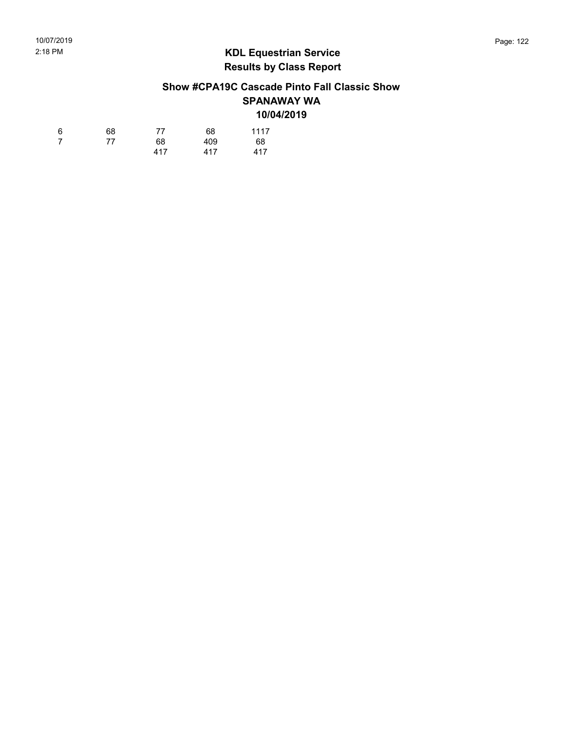### Show #CPA19C Cascade Pinto Fall Classic Show SPANAWAY WA 10/04/2019

| 6  | 68 | 77  | 68  | 1117 |
|----|----|-----|-----|------|
| -7 | 77 | 68  | 409 | 68   |
|    |    | 417 | 417 | 417  |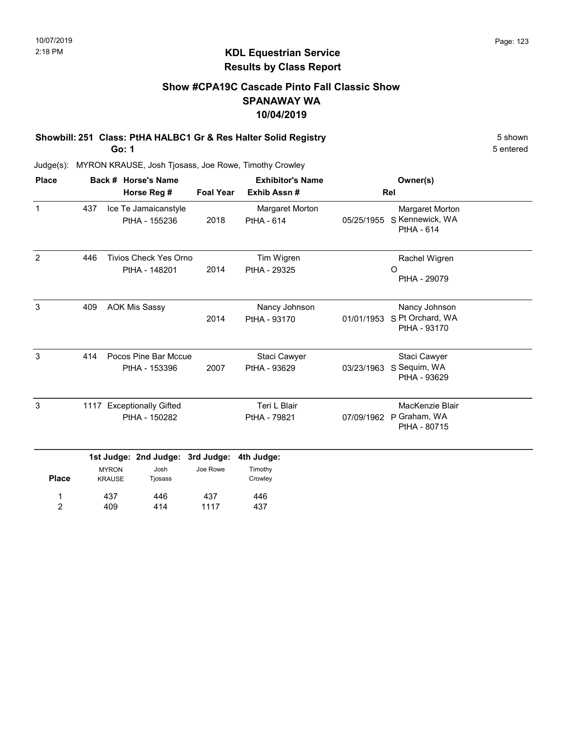# Show #CPA19C Cascade Pinto Fall Classic Show SPANAWAY WA 10/04/2019

Showbill: 251 Class: PtHA HALBC1 Gr & Res Halter Solid Registry 5 Shown 5 shown Go: 1

5 entered

Judge(s): MYRON KRAUSE, Josh Tjosass, Joe Rowe, Timothy Crowley

409

2

414

1117

437

| <b>Place</b>   | Back # Horse's Name<br>Horse Reg # |                               |                                               |                        | <b>Exhibitor's Name</b>              |            | Owner(s)                                                |  |
|----------------|------------------------------------|-------------------------------|-----------------------------------------------|------------------------|--------------------------------------|------------|---------------------------------------------------------|--|
|                |                                    |                               |                                               | <b>Foal Year</b>       | Exhib Assn#                          |            | Rel                                                     |  |
| $\mathbf{1}$   | 437                                |                               | Ice Te Jamaicanstyle<br>PtHA - 155236         | 2018                   | Margaret Morton<br><b>PtHA - 614</b> | 05/25/1955 | Margaret Morton<br>S Kennewick, WA<br><b>PtHA - 614</b> |  |
| $\overline{2}$ | 446                                |                               | <b>Tivios Check Yes Orno</b><br>PtHA - 148201 | 2014                   | Tim Wigren<br>PtHA - 29325           |            | Rachel Wigren<br>O<br>PtHA - 29079                      |  |
| 3              | 409                                |                               | <b>AOK Mis Sassy</b>                          | 2014                   | Nancy Johnson<br>PtHA - 93170        | 01/01/1953 | Nancy Johnson<br>S Pt Orchard, WA<br>PtHA - 93170       |  |
| 3              | 414                                |                               | Pocos Pine Bar Mccue<br>PtHA - 153396         | 2007                   | Staci Cawyer<br>PtHA - 93629         | 03/23/1963 | Staci Cawyer<br>S Sequim, WA<br>PtHA - 93629            |  |
| 3              |                                    |                               | 1117 Exceptionally Gifted<br>PtHA - 150282    |                        | Teri L Blair<br>PtHA - 79821         | 07/09/1962 | MacKenzie Blair<br>P Graham, WA<br>PtHA - 80715         |  |
| <b>Place</b>   |                                    | <b>MYRON</b><br><b>KRAUSE</b> | 1st Judge: 2nd Judge:<br>Josh<br>Tjosass      | 3rd Judge:<br>Joe Rowe | 4th Judge:<br>Timothy<br>Crowley     |            |                                                         |  |
| 1              |                                    | 437                           | 446                                           | 437                    | 446                                  |            |                                                         |  |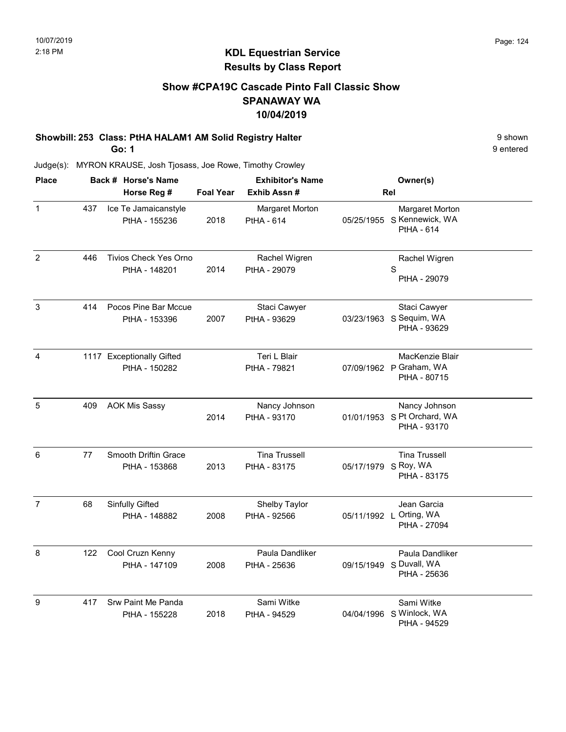## Show #CPA19C Cascade Pinto Fall Classic Show SPANAWAY WA 10/04/2019

# Showbill: 253 Class: PtHA HALAM1 AM Solid Registry Halter **9 Shown** 9 shown

Go: 1

9 entered

| <b>Place</b>   |     | Back # Horse's Name                           |                  | <b>Exhibitor's Name</b>              | Owner(s)                                                     |  |
|----------------|-----|-----------------------------------------------|------------------|--------------------------------------|--------------------------------------------------------------|--|
|                |     | Horse Reg #                                   | <b>Foal Year</b> | Exhib Assn #                         | Rel                                                          |  |
| 1              | 437 | Ice Te Jamaicanstyle<br>PtHA - 155236         | 2018             | Margaret Morton<br><b>PtHA - 614</b> | Margaret Morton<br>05/25/1955 S Kennewick, WA<br>PtHA - 614  |  |
| $\overline{2}$ | 446 | <b>Tivios Check Yes Orno</b><br>PtHA - 148201 | 2014             | Rachel Wigren<br>PtHA - 29079        | Rachel Wigren<br>S<br>PtHA - 29079                           |  |
| $\mathbf{3}$   | 414 | Pocos Pine Bar Mccue<br>PtHA - 153396         | 2007             | Staci Cawyer<br>PtHA - 93629         | Staci Cawyer<br>03/23/1963 S Sequim, WA<br>PtHA - 93629      |  |
| $\overline{4}$ |     | 1117 Exceptionally Gifted<br>PtHA - 150282    |                  | Teri L Blair<br>PtHA - 79821         | MacKenzie Blair<br>07/09/1962 P Graham, WA<br>PtHA - 80715   |  |
| 5              | 409 | <b>AOK Mis Sassy</b>                          | 2014             | Nancy Johnson<br>PtHA - 93170        | Nancy Johnson<br>01/01/1953 S Pt Orchard, WA<br>PtHA - 93170 |  |
| 6              | 77  | <b>Smooth Driftin Grace</b><br>PtHA - 153868  | 2013             | <b>Tina Trussell</b><br>PtHA - 83175 | <b>Tina Trussell</b><br>05/17/1979 S Roy, WA<br>PtHA - 83175 |  |
| $\overline{7}$ | 68  | Sinfully Gifted<br>PtHA - 148882              | 2008             | Shelby Taylor<br>PtHA - 92566        | Jean Garcia<br>05/11/1992 L Orting, WA<br>PtHA - 27094       |  |
| 8              | 122 | Cool Cruzn Kenny<br>PtHA - 147109             | 2008             | Paula Dandliker<br>PtHA - 25636      | Paula Dandliker<br>09/15/1949 S Duvall, WA<br>PtHA - 25636   |  |
| 9              | 417 | Srw Paint Me Panda<br>PtHA - 155228           | 2018             | Sami Witke<br>PtHA - 94529           | Sami Witke<br>04/04/1996 S Winlock, WA<br>PtHA - 94529       |  |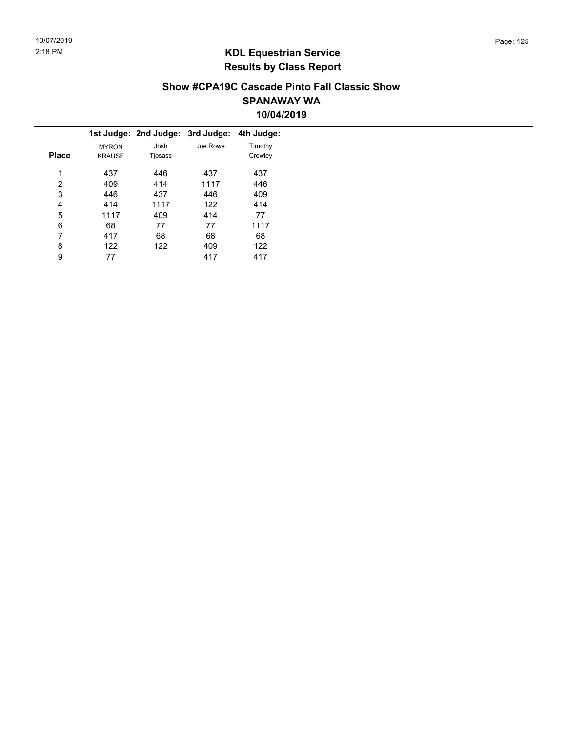#### Show #CPA19C Cascade Pinto Fall Classic Show SPANAWAY WA 10/04/2019

|              |               | 1st Judge: 2nd Judge: 3rd Judge: 4th Judge: |          |         |
|--------------|---------------|---------------------------------------------|----------|---------|
|              | <b>MYRON</b>  | Josh                                        | Joe Rowe | Timothy |
| <b>Place</b> | <b>KRAUSE</b> | Tjosass                                     |          | Crowley |
| 1            | 437           | 446                                         | 437      | 437     |
| 2            | 409           | 414                                         | 1117     | 446     |
| 3            | 446           | 437                                         | 446      | 409     |
| 4            | 414           | 1117                                        | 122      | 414     |
| 5            | 1117          | 409                                         | 414      | 77      |
| 6            | 68            | 77                                          | 77       | 1117    |
| 7            | 417           | 68                                          | 68       | 68      |
| 8            | 122           | 122                                         | 409      | 122     |
| 9            | 77            |                                             | 417      | 417     |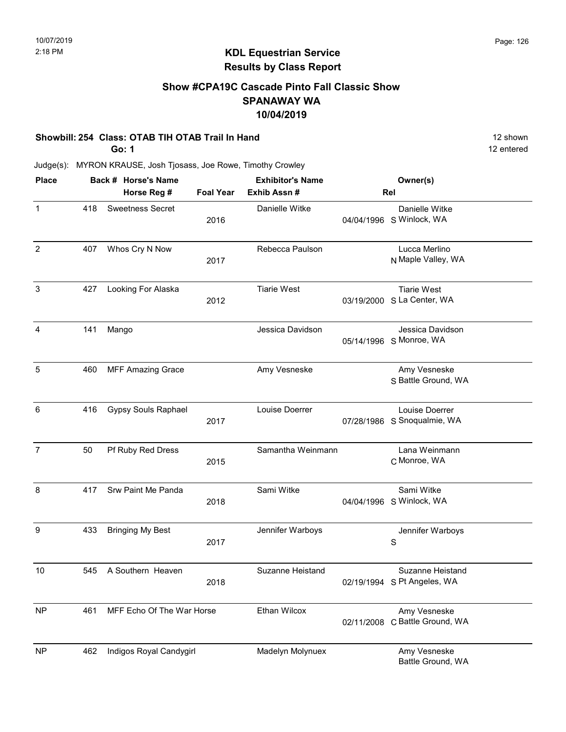### Show #CPA19C Cascade Pinto Fall Classic Show SPANAWAY WA 10/04/2019

#### Showbill: 254 Class: OTAB TIH OTAB Trail In Hand 12 Shown 12 shown

Go: 1

12 entered

| <b>Place</b>   |     | Back # Horse's Name        |                  | <b>Exhibitor's Name</b> |            | Owner(s)                                         |
|----------------|-----|----------------------------|------------------|-------------------------|------------|--------------------------------------------------|
|                |     | Horse Reg #                | <b>Foal Year</b> | Exhib Assn#             |            | Rel                                              |
| $\mathbf 1$    | 418 | <b>Sweetness Secret</b>    | 2016             | Danielle Witke          |            | Danielle Witke<br>04/04/1996 S Winlock, WA       |
| $\overline{c}$ | 407 | Whos Cry N Now             | 2017             | Rebecca Paulson         |            | Lucca Merlino<br>N Maple Valley, WA              |
| 3              | 427 | Looking For Alaska         | 2012             | <b>Tiarie West</b>      |            | <b>Tiarie West</b><br>03/19/2000 S La Center, WA |
| 4              | 141 | Mango                      |                  | Jessica Davidson        |            | Jessica Davidson<br>05/14/1996 S Monroe, WA      |
| 5              | 460 | <b>MFF Amazing Grace</b>   |                  | Amy Vesneske            |            | Amy Vesneske<br>S Battle Ground, WA              |
| 6              | 416 | <b>Gypsy Souls Raphael</b> | 2017             | Louise Doerrer          |            | Louise Doerrer<br>07/28/1986 S Snoqualmie, WA    |
| $\overline{7}$ | 50  | Pf Ruby Red Dress          | 2015             | Samantha Weinmann       |            | Lana Weinmann<br>C Monroe, WA                    |
| 8              | 417 | Srw Paint Me Panda         | 2018             | Sami Witke              | 04/04/1996 | Sami Witke<br>S Winlock, WA                      |
| 9              | 433 | <b>Bringing My Best</b>    | 2017             | Jennifer Warboys        |            | Jennifer Warboys<br>S                            |
| 10             | 545 | A Southern Heaven          | 2018             | Suzanne Heistand        |            | Suzanne Heistand<br>02/19/1994 S Pt Angeles, WA  |
| <b>NP</b>      | 461 | MFF Echo Of The War Horse  |                  | Ethan Wilcox            |            | Amy Vesneske<br>02/11/2008 C Battle Ground, WA   |
| <b>NP</b>      | 462 | Indigos Royal Candygirl    |                  | Madelyn Molynuex        |            | Amy Vesneske<br>Battle Ground, WA                |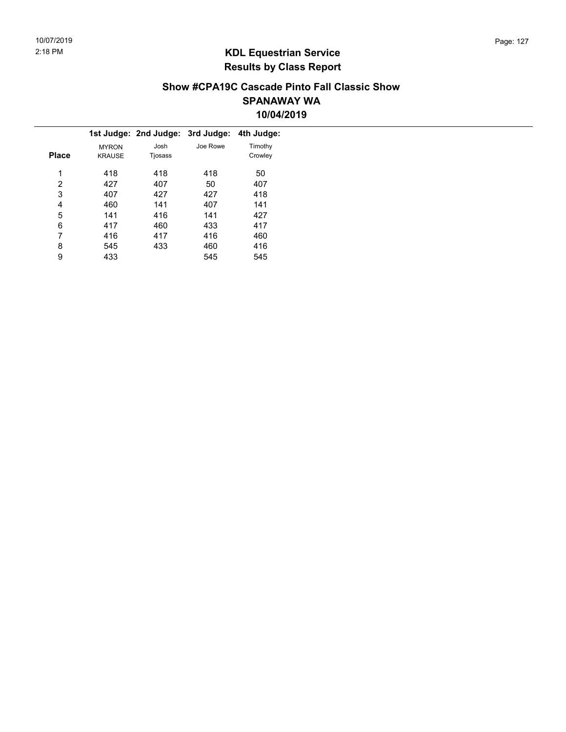#### Show #CPA19C Cascade Pinto Fall Classic Show SPANAWAY WA 10/04/2019

|              |               | 1st Judge: 2nd Judge: 3rd Judge: |          | 4th Judge: |  |
|--------------|---------------|----------------------------------|----------|------------|--|
|              | <b>MYRON</b>  | Josh                             | Joe Rowe | Timothy    |  |
| <b>Place</b> | <b>KRAUSE</b> | Tjosass                          |          | Crowley    |  |
| 1            | 418           | 418                              | 418      | 50         |  |
| 2            | 427           | 407                              | 50       | 407        |  |
| 3            | 407           | 427                              | 427      | 418        |  |
| 4            | 460           | 141                              | 407      | 141        |  |
| 5            | 141           | 416                              | 141      | 427        |  |
| 6            | 417           | 460                              | 433      | 417        |  |
| 7            | 416           | 417                              | 416      | 460        |  |
| 8            | 545           | 433                              | 460      | 416        |  |
| 9            | 433           |                                  | 545      | 545        |  |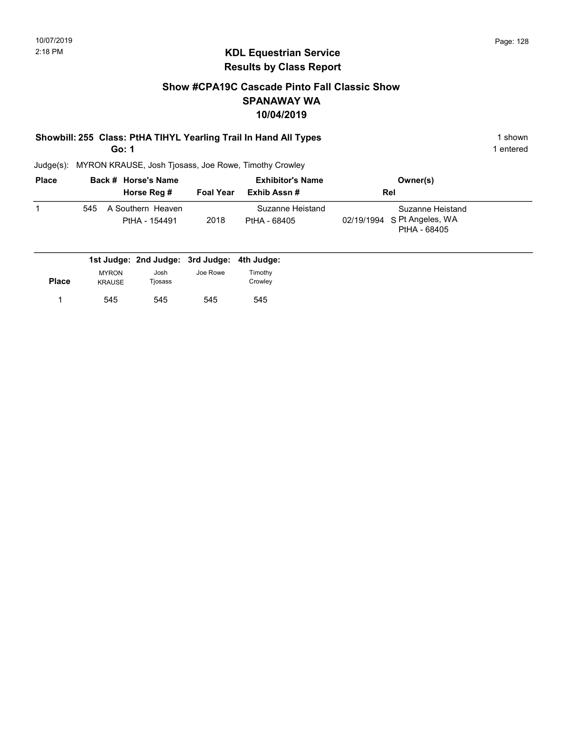## Show #CPA19C Cascade Pinto Fall Classic Show SPANAWAY WA 10/04/2019

# Showbill: 255 Class: PtHA TIHYL Yearling Trail In Hand All Types 1 shown 1 shown

Go: 1

1 entered

| <b>Place</b> |     | Back # Horse's Name                |                  | <b>Exhibitor's Name</b>          | Owner(s)                                                        |  |
|--------------|-----|------------------------------------|------------------|----------------------------------|-----------------------------------------------------------------|--|
|              |     | Horse Reg #                        | <b>Foal Year</b> | Exhib Assn #                     | <b>Rel</b>                                                      |  |
|              | 545 | A Southern Heaven<br>PtHA - 154491 | 2018             | Suzanne Heistand<br>PtHA - 68405 | Suzanne Heistand<br>02/19/1994 S Pt Angeles, WA<br>PtHA - 68405 |  |

|              |               | 1st Judge: 2nd Judge: 3rd Judge: 4th Judge: |          |         |
|--------------|---------------|---------------------------------------------|----------|---------|
|              | <b>MYRON</b>  | Josh                                        | Joe Rowe | Timothy |
| <b>Place</b> | <b>KRAUSE</b> | Tjosass                                     |          | Crowley |
|              | 545           | 545                                         | 545      | 545     |
|              |               |                                             |          |         |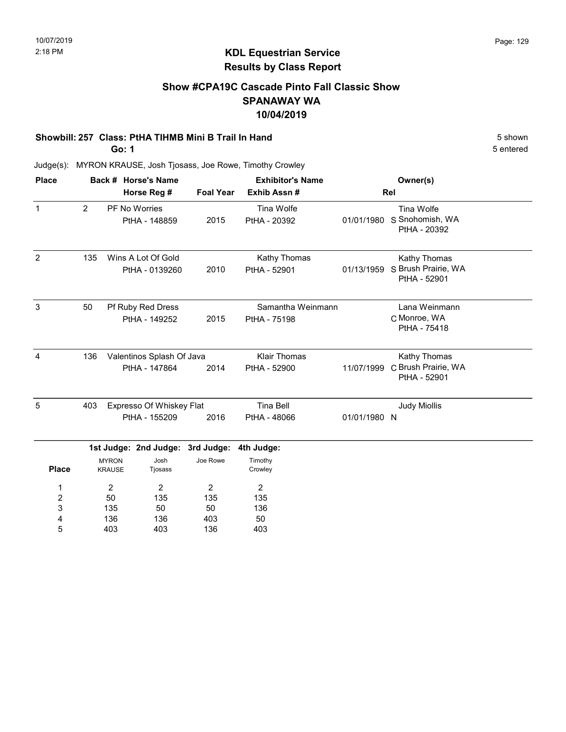### Show #CPA19C Cascade Pinto Fall Classic Show SPANAWAY WA 10/04/2019

#### Showbill: 257 Class: PtHA TIHMB Mini B Trail In Hand 5 Shown 5 shown

Go: 1

5 entered

| <b>Place</b>   |                  | Back # Horse's Name              |     |                          |                  | <b>Exhibitor's Name</b> |              | Owner(s)                            |  |
|----------------|------------------|----------------------------------|-----|--------------------------|------------------|-------------------------|--------------|-------------------------------------|--|
|                |                  |                                  |     | Horse Reg #              | <b>Foal Year</b> | Exhib Assn #            |              | Rel                                 |  |
| $\mathbf{1}$   |                  | 2                                |     | PF No Worries            |                  | Tina Wolfe              |              | Tina Wolfe                          |  |
|                |                  |                                  |     | PtHA - 148859            | 2015             | PtHA - 20392            | 01/01/1980   | S Snohomish, WA<br>PtHA - 20392     |  |
| $\overline{2}$ |                  | 135                              |     | Wins A Lot Of Gold       |                  | Kathy Thomas            |              | Kathy Thomas                        |  |
|                |                  |                                  |     | PtHA - 0139260           | 2010             | PtHA - 52901            | 01/13/1959   | S Brush Prairie, WA<br>PtHA - 52901 |  |
| 3              |                  | 50                               |     | Pf Ruby Red Dress        |                  | Samantha Weinmann       |              | Lana Weinmann                       |  |
|                |                  |                                  |     | PtHA - 149252            | 2015             | PtHA - 75198            |              | C Monroe, WA                        |  |
|                |                  |                                  |     |                          |                  |                         | PtHA - 75418 |                                     |  |
| 4              |                  | 136<br>Valentinos Splash Of Java |     |                          |                  | <b>Klair Thomas</b>     |              | Kathy Thomas                        |  |
|                |                  |                                  |     | PtHA - 147864            | 2014             | PtHA - 52900            | 11/07/1999   | C Brush Prairie, WA<br>PtHA - 52901 |  |
| 5              |                  | 403                              |     | Expresso Of Whiskey Flat |                  | <b>Tina Bell</b>        |              | <b>Judy Miollis</b>                 |  |
|                |                  |                                  |     | PtHA - 155209            | 2016             | PtHA - 48066            | 01/01/1980 N |                                     |  |
|                |                  |                                  |     | 1st Judge: 2nd Judge:    | 3rd Judge:       | 4th Judge:              |              |                                     |  |
|                | <b>Place</b>     | <b>MYRON</b><br><b>KRAUSE</b>    |     | Josh<br>Tjosass          | Joe Rowe         | Timothy<br>Crowley      |              |                                     |  |
|                | 1                |                                  | 2   | 2                        | 2                | 2                       |              |                                     |  |
|                | $\boldsymbol{2}$ |                                  | 50  | 135                      | 135              | 135                     |              |                                     |  |
|                | 3                |                                  | 135 | 50                       | 50               | 136                     |              |                                     |  |
|                | 4                |                                  | 136 | 136                      | 403              | 50                      |              |                                     |  |
|                | 5                |                                  | 403 | 403                      | 136              | 403                     |              |                                     |  |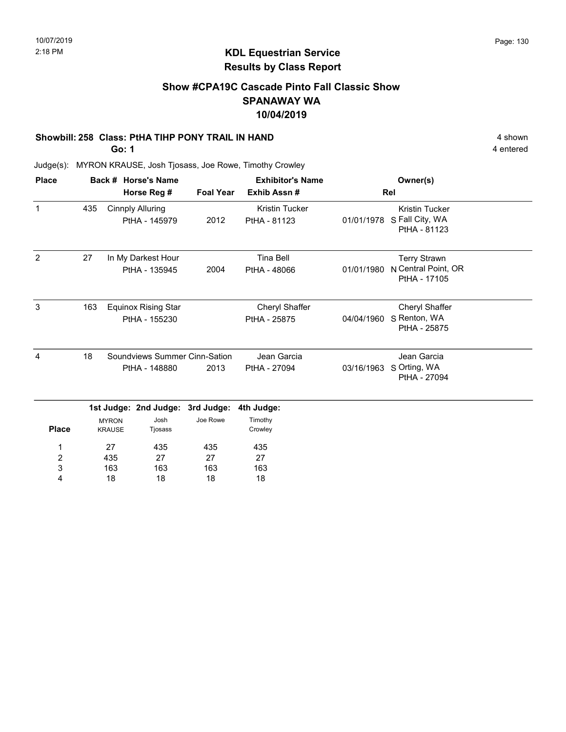# Show #CPA19C Cascade Pinto Fall Classic Show SPANAWAY WA 10/04/2019

#### Showbill: 258 Class: PtHA TIHP PONY TRAIL IN HAND 4 shown 4 shown

Go: 1

4 entered

| <b>Place</b>   |               |                               | Back # Horse's Name                         |                  | <b>Exhibitor's Name</b>                              |                              | Owner(s)                                                   |  |
|----------------|---------------|-------------------------------|---------------------------------------------|------------------|------------------------------------------------------|------------------------------|------------------------------------------------------------|--|
|                |               |                               | Horse Reg #                                 | <b>Foal Year</b> | Exhib Assn#<br><b>Kristin Tucker</b><br>PtHA - 81123 |                              | Rel                                                        |  |
| $\mathbf{1}$   | 435           |                               | <b>Cinnply Alluring</b><br>PtHA - 145979    | 2012             |                                                      | 01/01/1978                   | <b>Kristin Tucker</b><br>S Fall City, WA<br>PtHA - 81123   |  |
| $\overline{2}$ | 27            |                               | In My Darkest Hour<br>PtHA - 135945         | 2004             | <b>Tina Bell</b><br>PtHA - 48066                     | 01/01/1980                   | <b>Terry Strawn</b><br>N Central Point, OR<br>PtHA - 17105 |  |
| 3              | 163           |                               | <b>Equinox Rising Star</b><br>PtHA - 155230 |                  | Cheryl Shaffer<br>PtHA - 25875                       | 04/04/1960                   | Cheryl Shaffer<br>S Renton, WA<br>PtHA - 25875             |  |
| 4              | 18            |                               | Soundviews Summer Cinn-Sation               |                  | Jean Garcia                                          |                              | Jean Garcia                                                |  |
|                | PtHA - 148880 |                               | 2013                                        | PtHA - 27094     | 03/16/1963                                           | S Orting, WA<br>PtHA - 27094 |                                                            |  |
|                |               |                               | 1st Judge: 2nd Judge:                       | 3rd Judge:       | 4th Judge:                                           |                              |                                                            |  |
| <b>Place</b>   |               | <b>MYRON</b><br><b>KRAUSE</b> | Josh<br>Tjosass                             | Joe Rowe         | Timothy<br>Crowley                                   |                              |                                                            |  |
| 1              |               | 27                            | 435                                         | 435              | 435                                                  |                              |                                                            |  |
| 2              |               | 435                           | 27                                          | 27               | 27                                                   |                              |                                                            |  |
| 3              |               | 163                           | 163                                         | 163              | 163                                                  |                              |                                                            |  |
| 4              |               | 18                            | 18                                          | 18               | 18                                                   |                              |                                                            |  |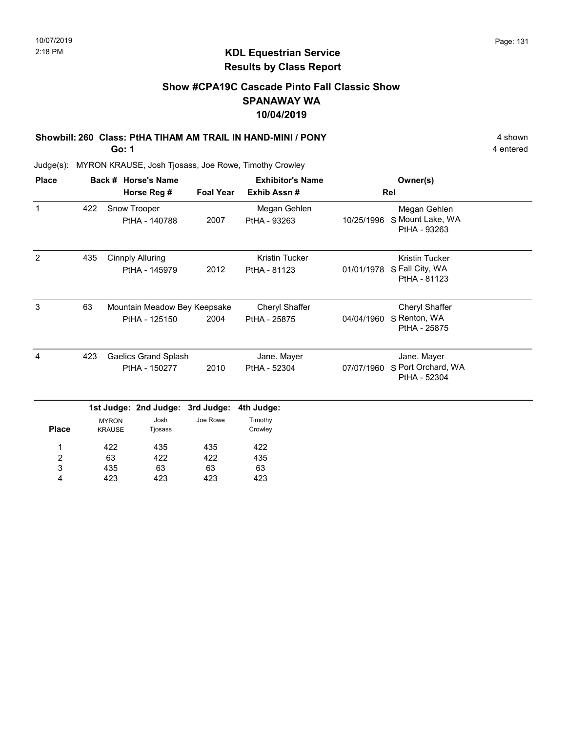# Show #CPA19C Cascade Pinto Fall Classic Show SPANAWAY WA 10/04/2019

# Showbill: 260 Class: PtHA TIHAM AM TRAIL IN HAND-MINI / PONY 4 shown 4 shown

Go: 1

4 entered

| <b>Place</b>       |               |                               | Back # Horse's Name                      |                                      | <b>Exhibitor's Name</b>               |                                                  | Owner(s)                                                 |  |
|--------------------|---------------|-------------------------------|------------------------------------------|--------------------------------------|---------------------------------------|--------------------------------------------------|----------------------------------------------------------|--|
|                    |               |                               | Horse Reg #                              | <b>Foal Year</b>                     | Exhib Assn#                           |                                                  | Rel                                                      |  |
| $\mathbf{1}$       | 422           |                               | Snow Trooper<br>PtHA - 140788            | Megan Gehlen<br>2007<br>PtHA - 93263 | 10/25/1996                            | Megan Gehlen<br>S Mount Lake, WA<br>PtHA - 93263 |                                                          |  |
| 2                  | 435           |                               | <b>Cinnply Alluring</b><br>PtHA - 145979 | 2012                                 | <b>Kristin Tucker</b><br>PtHA - 81123 | 01/01/1978                                       | <b>Kristin Tucker</b><br>S Fall City, WA<br>PtHA - 81123 |  |
| $\mathbf{3}$<br>63 |               | Mountain Meadow Bey Keepsake  |                                          |                                      | Cheryl Shaffer                        |                                                  | Cheryl Shaffer                                           |  |
|                    |               |                               | PtHA - 125150                            | 2004                                 | PtHA - 25875                          | 04/04/1960                                       | S Renton, WA<br>PtHA - 25875                             |  |
| 4                  | 423           |                               | <b>Gaelics Grand Splash</b>              |                                      | Jane. Mayer                           |                                                  | Jane. Mayer                                              |  |
|                    | PtHA - 150277 |                               | 2010                                     | PtHA - 52304                         | 07/07/1960                            | S Port Orchard, WA<br>PtHA - 52304               |                                                          |  |
|                    |               |                               | 1st Judge: 2nd Judge:                    | 3rd Judge:                           | 4th Judge:                            |                                                  |                                                          |  |
| <b>Place</b>       |               | <b>MYRON</b><br><b>KRAUSE</b> | Josh<br>Tjosass                          | Joe Rowe                             | Timothy<br>Crowley                    |                                                  |                                                          |  |
| 1                  |               | 422                           | 435                                      | 435                                  | 422                                   |                                                  |                                                          |  |
| 2                  |               | 63                            | 422                                      | 422                                  | 435                                   |                                                  |                                                          |  |
| 3                  |               | 435                           | 63                                       | 63                                   | 63                                    |                                                  |                                                          |  |
| 4                  |               | 423                           | 423                                      | 423                                  | 423                                   |                                                  |                                                          |  |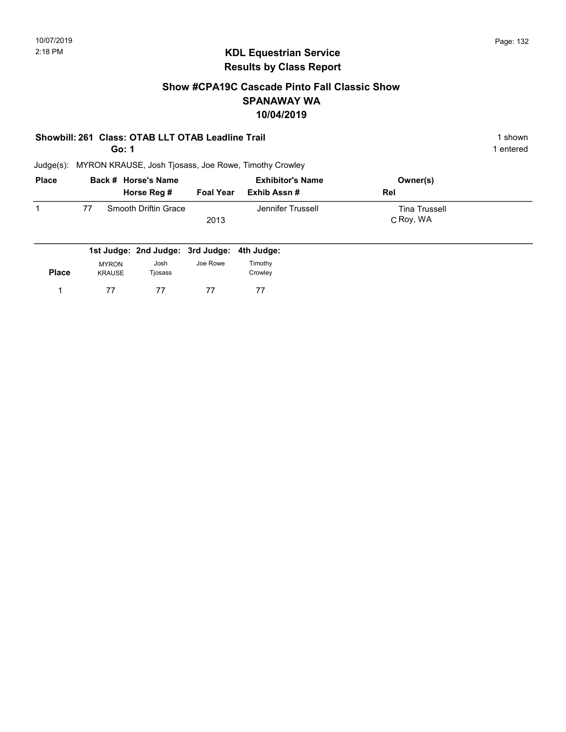### Show #CPA19C Cascade Pinto Fall Classic Show SPANAWAY WA 10/04/2019

#### Showbill: 261 Class: OTAB LLT OTAB Leadline Trail 1 shown 1 shown

Go: 1

1 entered

| <b>Place</b> |    | Back # Horse's Name  | <b>Exhibitor's Name</b> |                   | Owner(s)             |  |
|--------------|----|----------------------|-------------------------|-------------------|----------------------|--|
|              |    | Horse Reg #          | <b>Foal Year</b>        | Exhib Assn #      | Rel                  |  |
|              | 77 | Smooth Driftin Grace |                         | Jennifer Trussell | <b>Tina Trussell</b> |  |
|              |    |                      | 2013                    |                   | C Roy, WA            |  |
|              |    |                      |                         |                   |                      |  |

|              |                        | 1st Judge: 2nd Judge: 3rd Judge: 4th Judge: |          |                    |
|--------------|------------------------|---------------------------------------------|----------|--------------------|
| <b>Place</b> | <b>MYRON</b><br>KRAUSE | Josh<br>Tiosass                             | Joe Rowe | Timothy<br>Crowlev |
|              | 77                     | 77                                          | 77       | 77                 |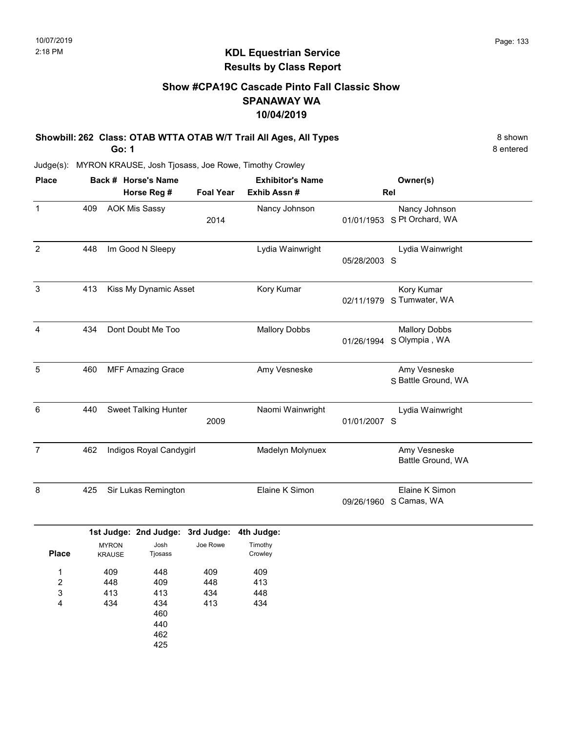8 entered

# KDL Equestrian Service Results by Class Report

# Show #CPA19C Cascade Pinto Fall Classic Show SPANAWAY WA 10/04/2019

Showbill: 262 Class: OTAB WTTA OTAB W/T Trail All Ages, All Types 8 Shown 8 shown Go: 1

Judge(s): MYRON KRAUSE, Josh Tjosass, Joe Rowe, Timothy Crowley

462 425

| <b>Place</b>     |     | Back # Horse's Name<br>Horse Reg # |                                  |                          | <b>Exhibitor's Name</b><br>Exhib Assn #<br><b>Foal Year</b> |                                   | Owner(s)<br>Rel                                  |
|------------------|-----|------------------------------------|----------------------------------|--------------------------|-------------------------------------------------------------|-----------------------------------|--------------------------------------------------|
| $\mathbf{1}$     | 409 |                                    | <b>AOK Mis Sassy</b>             | 2014                     | Nancy Johnson                                               |                                   | Nancy Johnson<br>01/01/1953 S Pt Orchard, WA     |
| $\overline{2}$   | 448 |                                    | Im Good N Sleepy                 |                          | Lydia Wainwright                                            | 05/28/2003 S                      | Lydia Wainwright                                 |
| $\sqrt{3}$       | 413 | Kiss My Dynamic Asset              |                                  |                          | Kory Kumar                                                  |                                   | Kory Kumar<br>02/11/1979 S Tumwater, WA          |
| $\overline{4}$   | 434 |                                    | Dont Doubt Me Too                |                          | <b>Mallory Dobbs</b>                                        |                                   | <b>Mallory Dobbs</b><br>01/26/1994 S Olympia, WA |
| 5                | 460 |                                    | <b>MFF Amazing Grace</b>         |                          | Amy Vesneske                                                |                                   | Amy Vesneske<br>S Battle Ground, WA              |
| 6                | 440 |                                    | <b>Sweet Talking Hunter</b>      | 2009                     | Naomi Wainwright                                            | 01/01/2007 S                      | Lydia Wainwright                                 |
| $\overline{7}$   | 462 | Indigos Royal Candygirl            |                                  | Madelyn Molynuex         |                                                             | Amy Vesneske<br>Battle Ground, WA |                                                  |
| $\bf 8$          | 425 |                                    | Sir Lukas Remington              |                          | Elaine K Simon                                              | 09/26/1960                        | Elaine K Simon<br>S Camas, WA                    |
|                  |     |                                    | 1st Judge: 2nd Judge: 3rd Judge: |                          | 4th Judge:                                                  |                                   |                                                  |
| <b>Place</b>     |     | <b>MYRON</b><br><b>KRAUSE</b>      | Josh<br>Tjosass                  | Joe Rowe                 | Timothy<br>Crowley                                          |                                   |                                                  |
| 1<br>2<br>3<br>4 |     | 409<br>448<br>413<br>434           | 448<br>409<br>413<br>434<br>460  | 409<br>448<br>434<br>413 | 409<br>413<br>448<br>434                                    |                                   |                                                  |
|                  |     |                                    | 440                              |                          |                                                             |                                   |                                                  |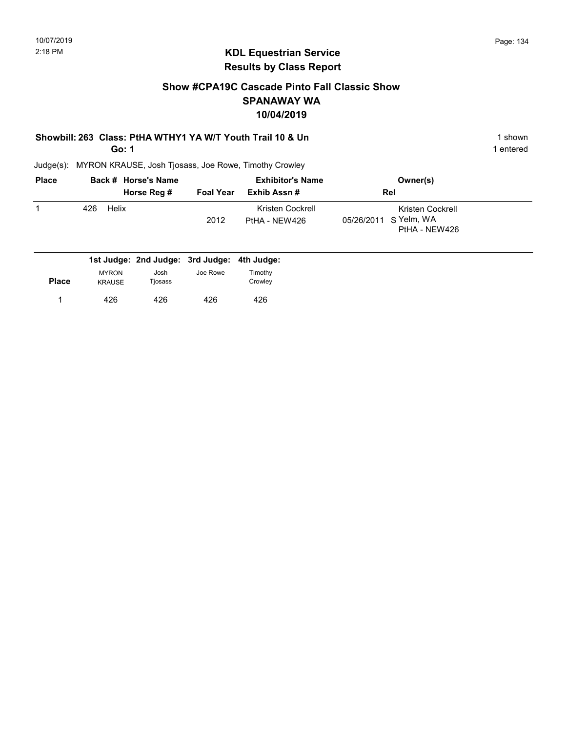### Show #CPA19C Cascade Pinto Fall Classic Show SPANAWAY WA 10/04/2019

#### Showbill: 263 Class: PtHA WTHY1 YA W/T Youth Trail 10 & Un 1 Shown 1 shown

Go: 1

1 entered

| <b>Place</b> | Back # Horse's Name                         | <b>Exhibitor's Name</b> |                                   | Owner(s)                                                   |  |
|--------------|---------------------------------------------|-------------------------|-----------------------------------|------------------------------------------------------------|--|
|              | Horse Reg #                                 | <b>Foal Year</b>        | Exhib Assn#                       | Rel                                                        |  |
|              | Helix<br>426                                | 2012                    | Kristen Cockrell<br>PtHA - NEW426 | Kristen Cockrell<br>05/26/2011 S Yelm, WA<br>PtHA - NEW426 |  |
|              | 1st Judge: 2nd Judge: 3rd Judge: 4th Judge: |                         |                                   |                                                            |  |

| <b>Place</b> | <b>MYRON</b><br><b>KRAUSE</b> | Josh<br>Tjosass | Joe Rowe | Timothy<br>Crowley |
|--------------|-------------------------------|-----------------|----------|--------------------|
|              | 426                           | 426             | 426      | 426                |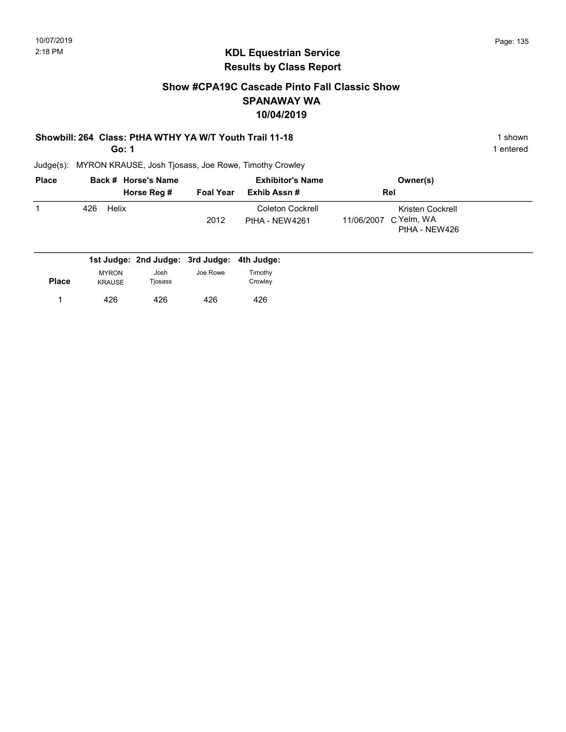## Show #CPA19C Cascade Pinto Fall Classic Show SPANAWAY WA 10/04/2019

#### Showbill: 264 Class: PtHA WTHY YA W/T Youth Trail 11-18 1 Shown 1 shown

Go: 1

Judge(s): MYRON KRAUSE, Josh Tjosass, Joe Rowe, Timothy Crowley

| <b>Place</b> | Back # Horse's Name                         |                  | <b>Exhibitor's Name</b>                   | Owner(s)                                                      |  |
|--------------|---------------------------------------------|------------------|-------------------------------------------|---------------------------------------------------------------|--|
|              | Horse Reg #                                 | <b>Foal Year</b> | Exhib Assn#                               | Rel                                                           |  |
|              | Helix<br>426                                | 2012             | <b>Coleton Cockrell</b><br>PtHA - NEW4261 | Kristen Cockrell<br>C Yelm, WA<br>11/06/2007<br>PtHA - NEW426 |  |
|              | 1st Judge: 2nd Judge: 3rd Judge: 4th Judge: |                  |                                           |                                                               |  |

| <b>Place</b> | <b>MYRON</b><br><b>KRAUSE</b> | Josh<br>Tjosass | Joe Rowe | Timothy<br>Crowley |
|--------------|-------------------------------|-----------------|----------|--------------------|
|              | 426                           | 426             | 426      | 426                |

1 entered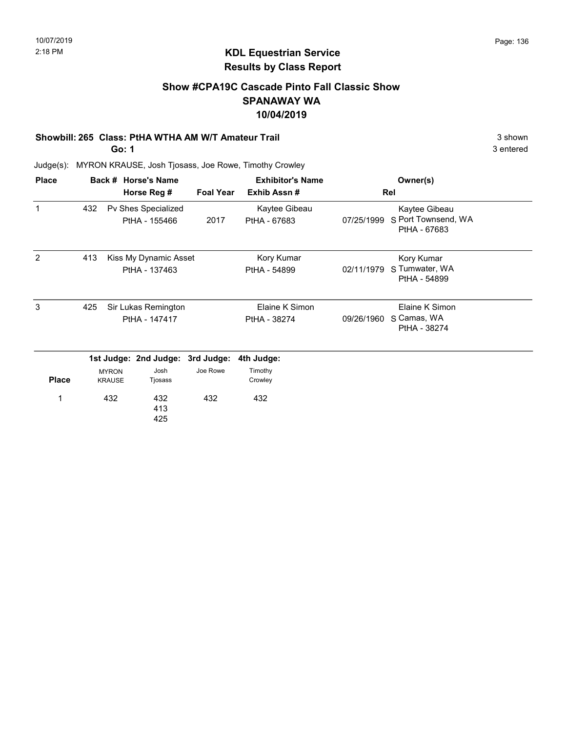### Show #CPA19C Cascade Pinto Fall Classic Show SPANAWAY WA 10/04/2019

#### Showbill: 265 Class: PtHA WTHA AM W/T Amateur Trail 3 shown 3 shown

Go: 1

3 entered

| <b>Place</b> |     |                                        | Back # Horse's Name                  |                  | <b>Exhibitor's Name</b>        |            | Owner(s)                                             |  |
|--------------|-----|----------------------------------------|--------------------------------------|------------------|--------------------------------|------------|------------------------------------------------------|--|
|              |     |                                        | Horse Reg #                          | <b>Foal Year</b> | Exhib Assn#                    | Rel        |                                                      |  |
| 1            | 432 |                                        | Pv Shes Specialized<br>PtHA - 155466 | 2017             | Kaytee Gibeau<br>PtHA - 67683  | 07/25/1999 | Kaytee Gibeau<br>S Port Townsend, WA<br>PtHA - 67683 |  |
| 2            | 413 | Kiss My Dynamic Asset<br>PtHA - 137463 |                                      |                  | Kory Kumar<br>PtHA - 54899     | 02/11/1979 | Kory Kumar<br>S Tumwater, WA<br>PtHA - 54899         |  |
| 3            | 425 |                                        | Sir Lukas Remington<br>PtHA - 147417 |                  | Elaine K Simon<br>PtHA - 38274 | 09/26/1960 | Elaine K Simon<br>S Camas, WA<br>PtHA - 38274        |  |
|              |     |                                        | 1st Judge: 2nd Judge:                | 3rd Judge:       | 4th Judge:                     |            |                                                      |  |
| <b>Place</b> |     | <b>MYRON</b><br><b>KRAUSE</b>          | Josh<br>Tjosass                      | Joe Rowe         | Timothy<br>Crowley             |            |                                                      |  |
| 1            |     | 432                                    | 432<br>413<br>425                    | 432              | 432                            |            |                                                      |  |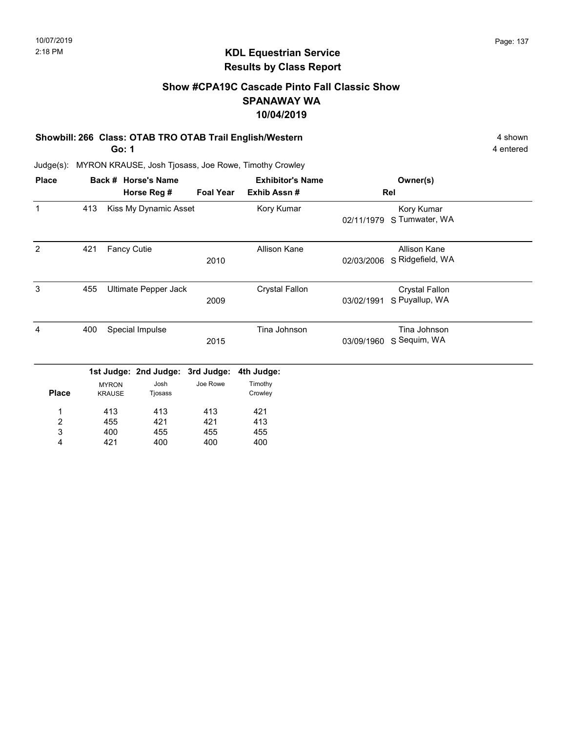## Show #CPA19C Cascade Pinto Fall Classic Show SPANAWAY WA 10/04/2019

#### Showbill: 266 Class: OTAB TRO OTAB Trail English/Western 4 shown 4 shown

Go: 1

4 entered

| <b>Place</b>     |     |                               | Back # Horse's Name              |                  | <b>Exhibitor's Name</b> |            | Owner(s)                                |  |  |
|------------------|-----|-------------------------------|----------------------------------|------------------|-------------------------|------------|-----------------------------------------|--|--|
|                  |     |                               | Horse Reg #                      | <b>Foal Year</b> | Exhib Assn #            |            | Rel                                     |  |  |
| 1                | 413 |                               | Kiss My Dynamic Asset            |                  | Kory Kumar              | 02/11/1979 | Kory Kumar<br>S Tumwater, WA            |  |  |
| 2                | 421 | <b>Fancy Cutie</b>            |                                  | 2010             | <b>Allison Kane</b>     | 02/03/2006 | Allison Kane<br>S Ridgefield, WA        |  |  |
| 3                | 455 |                               | Ultimate Pepper Jack             | 2009             | <b>Crystal Fallon</b>   | 03/02/1991 | <b>Crystal Fallon</b><br>S Puyallup, WA |  |  |
| 4                | 400 |                               | Special Impulse                  | 2015             | Tina Johnson            | 03/09/1960 | Tina Johnson<br>S Sequim, WA            |  |  |
|                  |     |                               | 1st Judge: 2nd Judge: 3rd Judge: |                  | 4th Judge:              |            |                                         |  |  |
| <b>Place</b>     |     | <b>MYRON</b><br><b>KRAUSE</b> | Josh<br>Tjosass                  | Joe Rowe         | Timothy<br>Crowley      |            |                                         |  |  |
| 1                |     | 413                           | 413                              | 413              | 421                     |            |                                         |  |  |
| $\boldsymbol{2}$ |     | 455                           | 421                              | 421              | 413                     |            |                                         |  |  |
| 3                |     | 400                           | 455                              | 455              | 455                     |            |                                         |  |  |
| 4                |     | 421                           | 400                              | 400              | 400                     |            |                                         |  |  |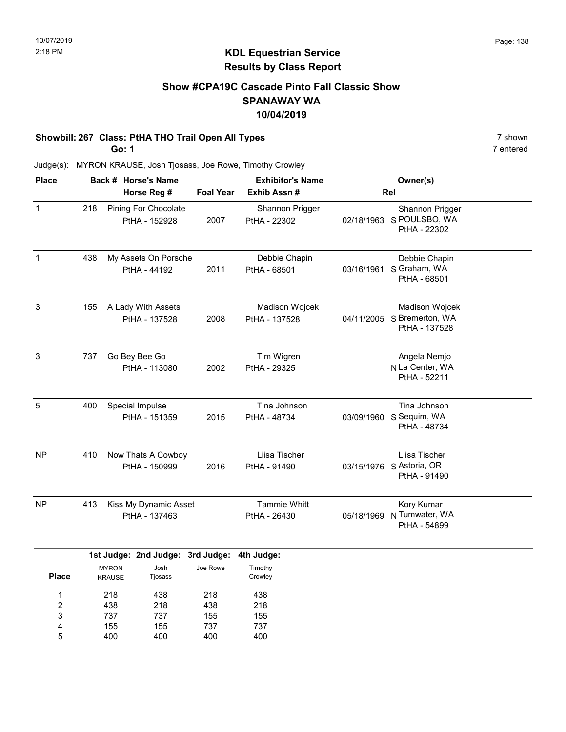## Show #CPA19C Cascade Pinto Fall Classic Show SPANAWAY WA 10/04/2019

#### Showbill: 267 Class: PtHA THO Trail Open All Types 7 shown

Go: 1

7 entered

| <b>Place</b>                           |     |                               | Back # Horse's Name                          |                          | <b>Exhibitor's Name</b>         |            | Owner(s)                                                      |
|----------------------------------------|-----|-------------------------------|----------------------------------------------|--------------------------|---------------------------------|------------|---------------------------------------------------------------|
|                                        |     |                               | Horse Reg #                                  | <b>Foal Year</b>         | Exhib Assn #                    |            | Rel                                                           |
| $\mathbf 1$                            | 218 |                               | <b>Pining For Chocolate</b><br>PtHA - 152928 | 2007                     | Shannon Prigger<br>PtHA - 22302 |            | Shannon Prigger<br>02/18/1963 S POULSBO, WA<br>PtHA - 22302   |
| $\mathbf{1}$                           | 438 |                               | My Assets On Porsche<br>PtHA - 44192         | 2011                     | Debbie Chapin<br>PtHA - 68501   | 03/16/1961 | Debbie Chapin<br>S Graham, WA<br>PtHA - 68501                 |
| $\mathbf{3}$                           | 155 |                               | A Lady With Assets<br>PtHA - 137528          | 2008                     | Madison Wojcek<br>PtHA - 137528 |            | Madison Wojcek<br>04/11/2005 S Bremerton, WA<br>PtHA - 137528 |
| $\ensuremath{\mathsf{3}}$              | 737 |                               | Go Bey Bee Go<br>PtHA - 113080               | 2002                     | Tim Wigren<br>PtHA - 29325      |            | Angela Nemjo<br>N La Center, WA<br>PtHA - 52211               |
| 5                                      | 400 |                               | Special Impulse<br>PtHA - 151359             | 2015                     | Tina Johnson<br>PtHA - 48734    | 03/09/1960 | Tina Johnson<br>S Sequim, WA<br>PtHA - 48734                  |
| <b>NP</b>                              | 410 |                               | Now Thats A Cowboy<br>PtHA - 150999          | 2016                     | Liisa Tischer<br>PtHA - 91490   |            | Liisa Tischer<br>03/15/1976 S Astoria, OR<br>PtHA - 91490     |
| <b>NP</b>                              | 413 |                               | Kiss My Dynamic Asset<br>PtHA - 137463       |                          | Tammie Whitt<br>PtHA - 26430    | 05/18/1969 | Kory Kumar<br>N Tumwater, WA<br>PtHA - 54899                  |
|                                        |     |                               | 1st Judge: 2nd Judge: 3rd Judge:             |                          | 4th Judge:                      |            |                                                               |
| <b>Place</b>                           |     | <b>MYRON</b><br><b>KRAUSE</b> | Josh<br>Tjosass                              | Joe Rowe                 | Timothy<br>Crowley              |            |                                                               |
| 1<br>$\overline{\mathbf{c}}$<br>3<br>4 |     | 218<br>438<br>737<br>155      | 438<br>218<br>737<br>155                     | 218<br>438<br>155<br>737 | 438<br>218<br>155<br>737        |            |                                                               |
| 5                                      |     | 400                           | 400                                          | 400                      | 400                             |            |                                                               |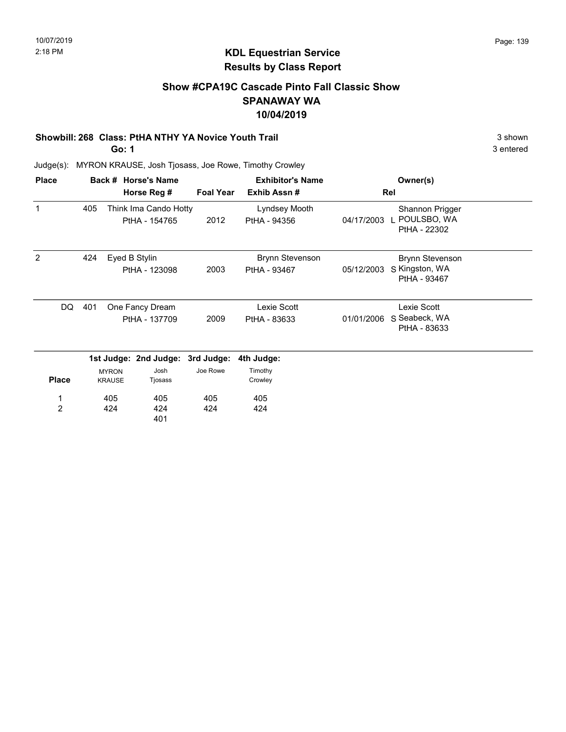# Show #CPA19C Cascade Pinto Fall Classic Show SPANAWAY WA 10/04/2019

#### Showbill: 268 Class: PtHA NTHY YA Novice Youth Trail 3 shown 3 shown

Go: 1

3 entered

| <b>Place</b>   |     |                               | Back # Horse's Name                    |                  | <b>Exhibitor's Name</b>       |            | Owner(s)                                         |  |
|----------------|-----|-------------------------------|----------------------------------------|------------------|-------------------------------|------------|--------------------------------------------------|--|
|                |     |                               | Horse Reg #                            | <b>Foal Year</b> | Exhib Assn#                   |            | Rel                                              |  |
| 1              | 405 |                               | Think Ima Cando Hotty<br>PtHA - 154765 | 2012             | Lyndsey Mooth<br>PtHA - 94356 | 04/17/2003 | Shannon Prigger<br>L POULSBO, WA<br>PtHA - 22302 |  |
| 2              | 424 | Eyed B Stylin                 |                                        |                  | <b>Brynn Stevenson</b>        |            | <b>Brynn Stevenson</b>                           |  |
|                |     |                               | PtHA - 123098                          | 2003             | PtHA - 93467                  | 05/12/2003 | S Kingston, WA<br>PtHA - 93467                   |  |
| DQ.            | 401 |                               | One Fancy Dream                        |                  | Lexie Scott                   |            | Lexie Scott                                      |  |
|                |     | PtHA - 137709                 |                                        | 2009             | PtHA - 83633                  | 01/01/2006 | S Seabeck, WA<br>PtHA - 83633                    |  |
|                |     |                               | 1st Judge: 2nd Judge: 3rd Judge:       |                  | 4th Judge:                    |            |                                                  |  |
| <b>Place</b>   |     | <b>MYRON</b><br><b>KRAUSE</b> | Josh<br>Tjosass                        | Joe Rowe         | Timothy<br>Crowley            |            |                                                  |  |
| 1              |     | 405                           | 405                                    | 405              | 405                           |            |                                                  |  |
| $\overline{2}$ |     | 424                           | 424<br>401                             | 424              | 424                           |            |                                                  |  |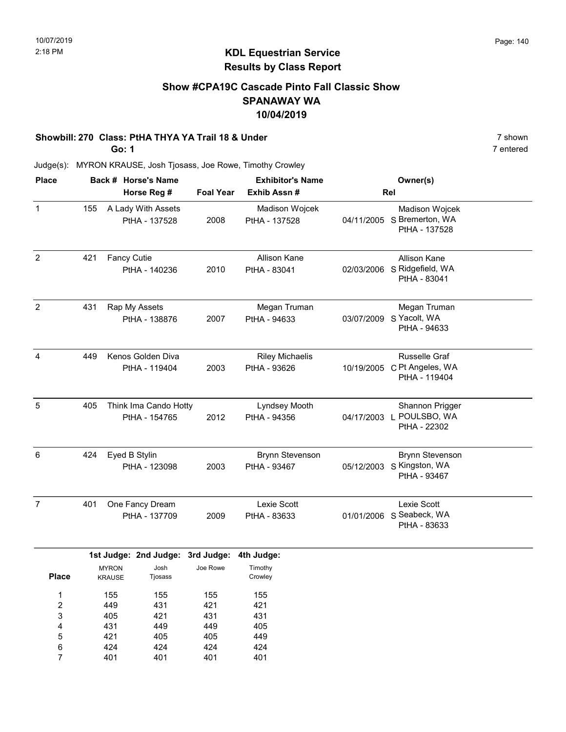### Show #CPA19C Cascade Pinto Fall Classic Show SPANAWAY WA 10/04/2019

#### Showbill: 270 Class: PtHA THYA YA Trail 18 & Under 7 Shown 7 shown

Go: 1

7 entered

| <b>Place</b>            |     |                               | Back # Horse's Name                    |                  | <b>Exhibitor's Name</b>                |              | Owner(s)                                                      |  |  |
|-------------------------|-----|-------------------------------|----------------------------------------|------------------|----------------------------------------|--------------|---------------------------------------------------------------|--|--|
|                         |     |                               | Horse Reg #                            | <b>Foal Year</b> | Exhib Assn #                           | Rel          |                                                               |  |  |
| $\mathbf 1$             | 155 |                               | A Lady With Assets<br>PtHA - 137528    | 2008             | Madison Wojcek<br>PtHA - 137528        |              | Madison Wojcek<br>04/11/2005 S Bremerton, WA<br>PtHA - 137528 |  |  |
| $\overline{c}$          | 421 | Fancy Cutie                   | PtHA - 140236                          | 2010             | <b>Allison Kane</b><br>PtHA - 83041    | 02/03/2006   | Allison Kane<br>S Ridgefield, WA<br>PtHA - 83041              |  |  |
| $\overline{2}$          | 431 | Rap My Assets                 | PtHA - 138876                          | 2007             | Megan Truman<br>PtHA - 94633           | 03/07/2009   | Megan Truman<br>S Yacolt, WA<br>PtHA - 94633                  |  |  |
| 4                       | 449 |                               | Kenos Golden Diva<br>PtHA - 119404     | 2003             | <b>Riley Michaelis</b><br>PtHA - 93626 |              | Russelle Graf<br>10/19/2005 C Pt Angeles, WA<br>PtHA - 119404 |  |  |
| 5                       | 405 |                               | Think Ima Cando Hotty<br>PtHA - 154765 | 2012             | Lyndsey Mooth<br>PtHA - 94356          | 04/17/2003 L | Shannon Prigger<br>POULSBO, WA<br>PtHA - 22302                |  |  |
| 6                       | 424 | Eyed B Stylin                 | PtHA - 123098                          | 2003             | <b>Brynn Stevenson</b><br>PtHA - 93467 | 05/12/2003   | <b>Brynn Stevenson</b><br>S Kingston, WA<br>PtHA - 93467      |  |  |
| $\overline{7}$          | 401 |                               | One Fancy Dream<br>PtHA - 137709       | 2009             | Lexie Scott<br>PtHA - 83633            |              | Lexie Scott<br>01/01/2006 S Seabeck, WA<br>PtHA - 83633       |  |  |
|                         |     |                               | 1st Judge: 2nd Judge: 3rd Judge:       |                  | 4th Judge:                             |              |                                                               |  |  |
| <b>Place</b>            |     | <b>MYRON</b><br><b>KRAUSE</b> | Josh<br>Tjosass                        | Joe Rowe         | Timothy<br>Crowley                     |              |                                                               |  |  |
| $\mathbf{1}$            |     | 155                           | 155                                    | 155              | 155                                    |              |                                                               |  |  |
| $\overline{\mathbf{c}}$ |     | 449                           | 431                                    | 421              | 421                                    |              |                                                               |  |  |
| 3                       |     | 405                           | 421                                    | 431              | 431                                    |              |                                                               |  |  |
| 4                       |     | 431                           | 449                                    | 449              | 405                                    |              |                                                               |  |  |
| 5                       |     | 421                           | 405                                    | 405              | 449                                    |              |                                                               |  |  |
| 6                       |     | 424                           | 424                                    | 424              | 424                                    |              |                                                               |  |  |
| $\overline{7}$          |     | 401                           | 401                                    | 401              | 401                                    |              |                                                               |  |  |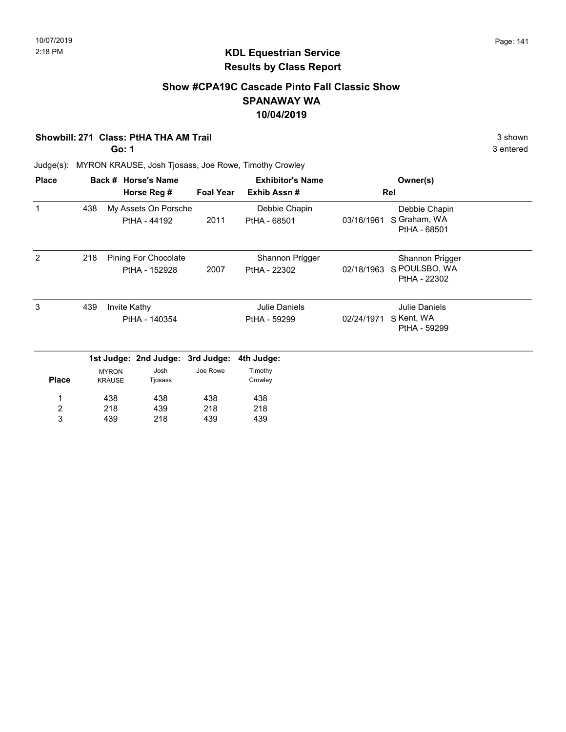## Show #CPA19C Cascade Pinto Fall Classic Show SPANAWAY WA 10/04/2019

#### Showbill: 271 Class: PtHA THA AM Trail 3 shown

Go: 1

3 entered

| <b>Place</b>            |     |                               | Back # Horse's Name                   |                  | <b>Exhibitor's Name</b>         |            | Owner(s)                                         |  |
|-------------------------|-----|-------------------------------|---------------------------------------|------------------|---------------------------------|------------|--------------------------------------------------|--|
|                         |     |                               | Horse Reg #                           | <b>Foal Year</b> | Exhib Assn#                     |            | Rel                                              |  |
| 1                       | 438 |                               | My Assets On Porsche<br>PtHA - 44192  | 2011             | Debbie Chapin<br>PtHA - 68501   | 03/16/1961 | Debbie Chapin<br>S Graham, WA<br>PtHA - 68501    |  |
| 2                       | 218 |                               | Pining For Chocolate<br>PtHA - 152928 | 2007             | Shannon Prigger<br>PtHA - 22302 | 02/18/1963 | Shannon Prigger<br>S POULSBO, WA<br>PtHA - 22302 |  |
| 3                       | 439 |                               | Invite Kathy<br>PtHA - 140354         |                  | Julie Daniels<br>PtHA - 59299   | 02/24/1971 | Julie Daniels<br>S Kent, WA<br>PtHA - 59299      |  |
|                         |     |                               | 1st Judge: 2nd Judge: 3rd Judge:      |                  | 4th Judge:                      |            |                                                  |  |
| <b>Place</b>            |     | <b>MYRON</b><br><b>KRAUSE</b> | Josh<br>Tjosass                       | Joe Rowe         | Timothy<br>Crowley              |            |                                                  |  |
|                         |     | 438                           | 438                                   | 438              | 438                             |            |                                                  |  |
| $\overline{\mathbf{c}}$ |     | 218                           | 439                                   | 218              | 218                             |            |                                                  |  |
| 3                       |     | 439                           | 218                                   | 439              | 439                             |            |                                                  |  |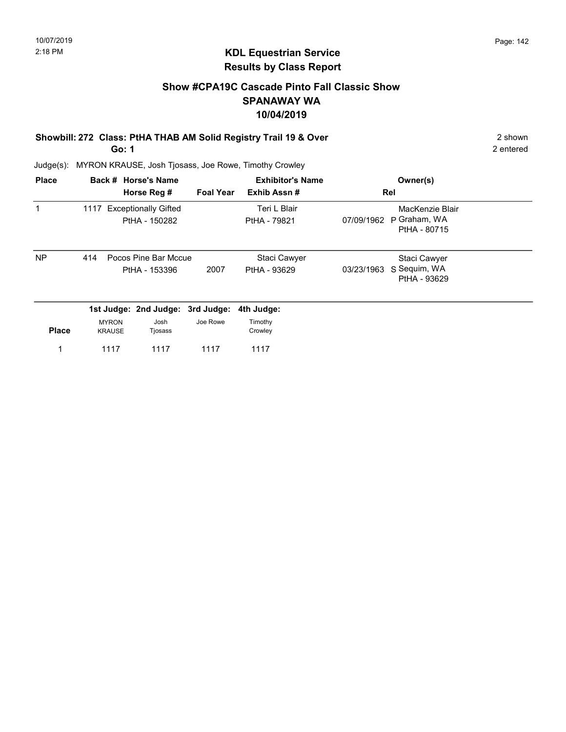## Show #CPA19C Cascade Pinto Fall Classic Show SPANAWAY WA 10/04/2019

Showbill: 272 Class: PtHA THAB AM Solid Registry Trail 19 & Over 2 Shown 2 shown Go: 1

2 entered

| <b>Place</b> |                               | Back # Horse's Name                          |                  | <b>Exhibitor's Name</b>      |            | Owner(s)                                        |  |
|--------------|-------------------------------|----------------------------------------------|------------------|------------------------------|------------|-------------------------------------------------|--|
|              |                               | Horse Reg #                                  | <b>Foal Year</b> | Exhib Assn#                  | Rel        |                                                 |  |
| 1            | 1117                          | <b>Exceptionally Gifted</b><br>PtHA - 150282 |                  | Teri L Blair<br>PtHA - 79821 | 07/09/1962 | MacKenzie Blair<br>P Graham, WA<br>PtHA - 80715 |  |
| <b>NP</b>    | 414                           | Pocos Pine Bar Mccue<br>PtHA - 153396        | 2007             | Staci Cawyer<br>PtHA - 93629 | 03/23/1963 | Staci Cawyer<br>S Sequim, WA<br>PtHA - 93629    |  |
|              |                               | 1st Judge: 2nd Judge: 3rd Judge:             |                  | 4th Judge:                   |            |                                                 |  |
| <b>Place</b> | <b>MYRON</b><br><b>KRAUSE</b> | Josh<br>Tjosass                              | Joe Rowe         | Timothy<br>Crowley           |            |                                                 |  |
|              | 1117                          | 1117                                         | 1117             | 1117                         |            |                                                 |  |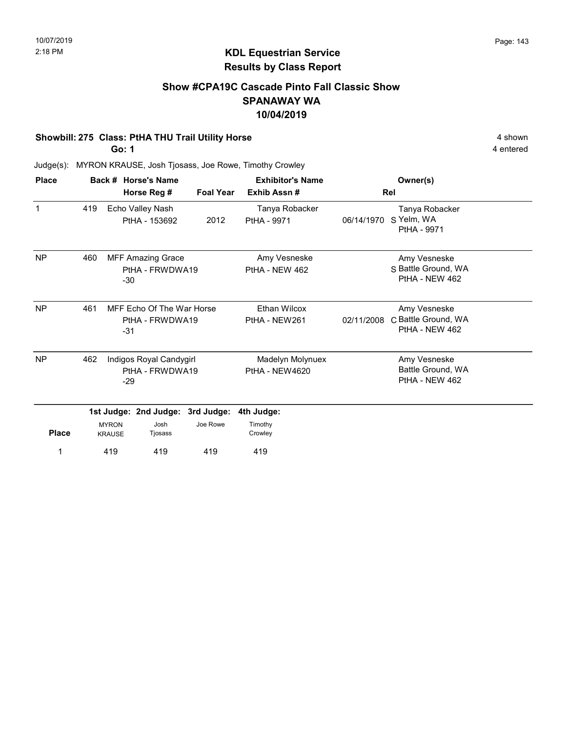### Show #CPA19C Cascade Pinto Fall Classic Show SPANAWAY WA 10/04/2019

#### Showbill: 275 Class: PtHA THU Trail Utility Horse 4 Shown 4 shown

Go: 1

4 entered

| <b>Place</b>   |                                                              |       | Back # Horse's Name                         |                  | <b>Exhibitor's Name</b>              |            | Owner(s)                                              |  |
|----------------|--------------------------------------------------------------|-------|---------------------------------------------|------------------|--------------------------------------|------------|-------------------------------------------------------|--|
|                |                                                              |       | Horse Reg #                                 | <b>Foal Year</b> | Exhib Assn#                          |            | Rel                                                   |  |
| 1              | 419                                                          |       | Echo Valley Nash<br>PtHA - 153692           | 2012             | Tanya Robacker<br>PtHA - 9971        | 06/14/1970 | Tanya Robacker<br>S Yelm, WA<br>PtHA - 9971           |  |
| NP             | 460                                                          | -30   | <b>MFF Amazing Grace</b><br>PtHA - FRWDWA19 |                  | Amy Vesneske<br>PtHA - NEW 462       |            | Amy Vesneske<br>S Battle Ground, WA<br>PtHA - NEW 462 |  |
| NP             | 461<br>MFF Echo Of The War Horse<br>PtHA - FRWDWA19<br>$-31$ |       |                                             |                  | <b>Ethan Wilcox</b><br>PtHA - NEW261 | 02/11/2008 | Amy Vesneske<br>C Battle Ground, WA<br>PtHA - NEW 462 |  |
| N <sub>P</sub> | 462                                                          | $-29$ | Indigos Royal Candygirl<br>PtHA - FRWDWA19  |                  | Madelyn Molynuex<br>PtHA - NEW4620   |            | Amy Vesneske<br>Battle Ground, WA<br>PtHA - NEW 462   |  |
|                |                                                              |       | 1st Judge: 2nd Judge:                       | 3rd Judge:       | 4th Judge:                           |            |                                                       |  |
| <b>Place</b>   | <b>MYRON</b><br><b>KRAUSE</b>                                |       | Josh<br>Tjosass                             | Joe Rowe         | Timothy<br>Crowley                   |            |                                                       |  |
| 1              |                                                              | 419   | 419                                         | 419              | 419                                  |            |                                                       |  |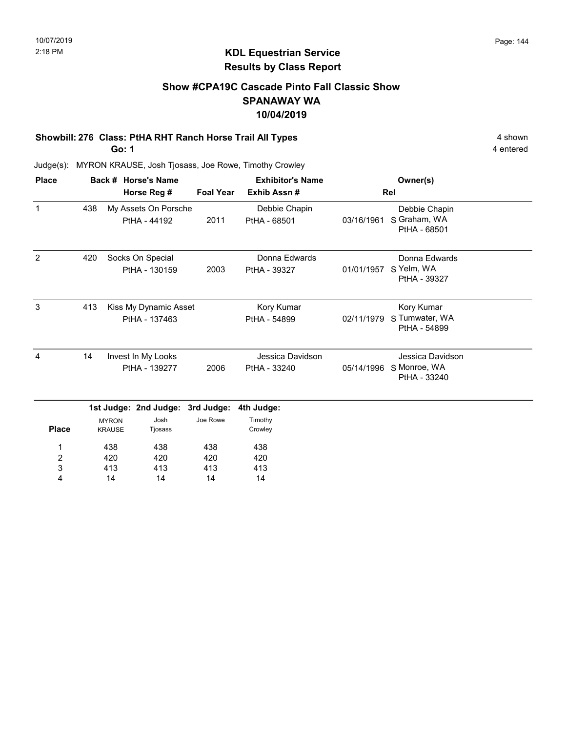## Show #CPA19C Cascade Pinto Fall Classic Show SPANAWAY WA 10/04/2019

# Showbill: 276 Class: PtHA RHT Ranch Horse Trail All Types 4 shown 4 shown

Go: 1

4 entered

| <b>Place</b>   |     |                               | Back # Horse's Name                    |                  | <b>Exhibitor's Name</b>          |            | Owner(s)                                         |  |
|----------------|-----|-------------------------------|----------------------------------------|------------------|----------------------------------|------------|--------------------------------------------------|--|
|                |     |                               | Horse Reg #                            | <b>Foal Year</b> | Exhib Assn#                      |            | Rel                                              |  |
| $\mathbf{1}$   | 438 |                               | My Assets On Porsche<br>PtHA - 44192   | 2011             | Debbie Chapin<br>PtHA - 68501    | 03/16/1961 | Debbie Chapin<br>S Graham, WA<br>PtHA - 68501    |  |
| $\overline{2}$ | 420 |                               | Socks On Special<br>PtHA - 130159      | 2003             | Donna Edwards<br>PtHA - 39327    | 01/01/1957 | Donna Edwards<br>S Yelm, WA<br>PtHA - 39327      |  |
| 3              | 413 |                               | Kiss My Dynamic Asset<br>PtHA - 137463 |                  | Kory Kumar<br>PtHA - 54899       | 02/11/1979 | Kory Kumar<br>S Tumwater, WA<br>PtHA - 54899     |  |
| $\overline{4}$ | 14  |                               | Invest In My Looks<br>PtHA - 139277    | 2006             | Jessica Davidson<br>PtHA - 33240 | 05/14/1996 | Jessica Davidson<br>S Monroe, WA<br>PtHA - 33240 |  |
|                |     |                               | 1st Judge: 2nd Judge:                  | 3rd Judge:       | 4th Judge:                       |            |                                                  |  |
| <b>Place</b>   |     | <b>MYRON</b><br><b>KRAUSE</b> | Josh<br>Tjosass                        | Joe Rowe         | Timothy<br>Crowley               |            |                                                  |  |
| 1              |     | 438                           | 438                                    | 438              | 438                              |            |                                                  |  |
| 2              |     | 420                           | 420                                    | 420              | 420                              |            |                                                  |  |
| 3<br>4         |     | 413<br>14                     | 413<br>14                              | 413<br>14        | 413<br>14                        |            |                                                  |  |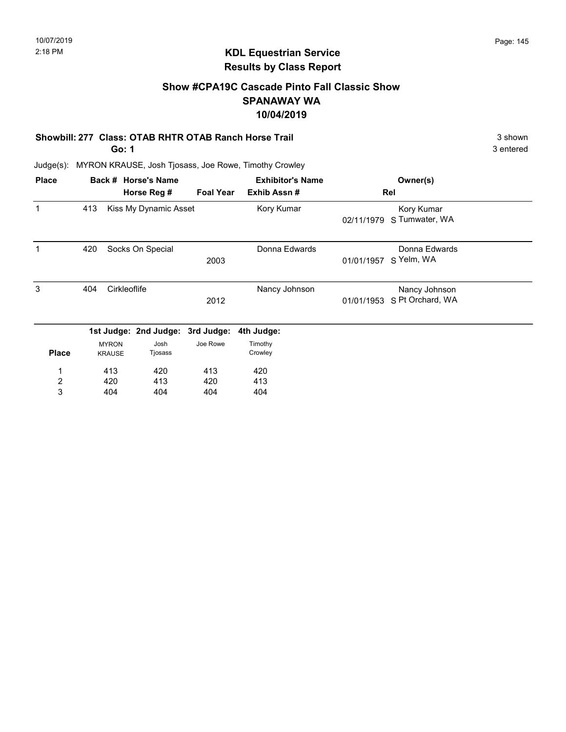# Show #CPA19C Cascade Pinto Fall Classic Show SPANAWAY WA 10/04/2019

#### Showbill: 277 Class: OTAB RHTR OTAB Ranch Horse Trail 3 shown 3 shown

Go: 1

Judge(s): MYRON KRAUSE, Josh Tjosass, Joe Rowe, Timothy Crowley

| <b>Place</b>     |     |                               | Back # Horse's Name<br>Horse Reg # | <b>Foal Year</b> | <b>Exhibitor's Name</b><br>Exhib Assn# |            | Owner(s)<br>Rel                   |  |
|------------------|-----|-------------------------------|------------------------------------|------------------|----------------------------------------|------------|-----------------------------------|--|
|                  | 413 |                               | Kiss My Dynamic Asset              |                  | Kory Kumar                             | 02/11/1979 | Kory Kumar<br>S Tumwater, WA      |  |
|                  | 420 |                               | Socks On Special                   | 2003             | Donna Edwards                          | 01/01/1957 | Donna Edwards<br>S Yelm, WA       |  |
| 3                | 404 | Cirkleoflife                  |                                    | 2012             | Nancy Johnson                          | 01/01/1953 | Nancy Johnson<br>S Pt Orchard, WA |  |
|                  |     |                               | 1st Judge: 2nd Judge:              | 3rd Judge:       | 4th Judge:                             |            |                                   |  |
| <b>Place</b>     |     | <b>MYRON</b><br><b>KRAUSE</b> | Josh<br>Tjosass                    | Joe Rowe         | Timothy<br>Crowley                     |            |                                   |  |
|                  |     | 413                           | 420                                | 413              | 420                                    |            |                                   |  |
| $\boldsymbol{2}$ |     | 420                           | 413                                | 420              | 413                                    |            |                                   |  |
| 3                |     | 404                           | 404                                | 404              | 404                                    |            |                                   |  |

3 entered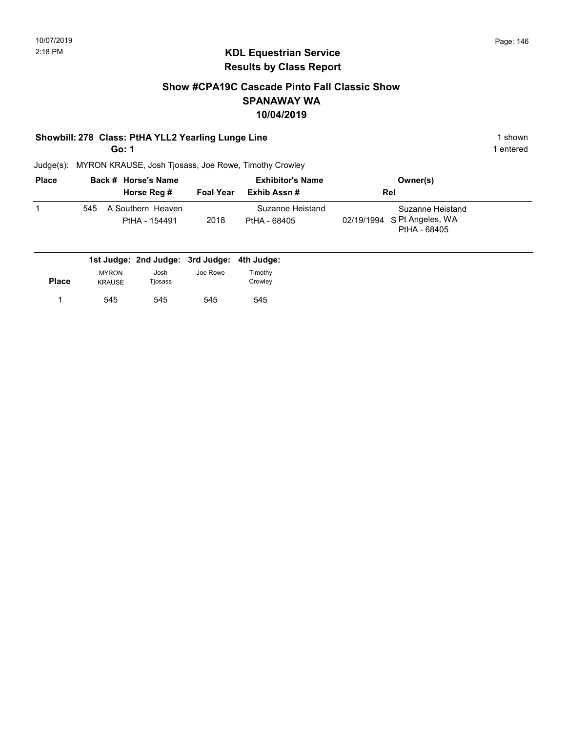### Show #CPA19C Cascade Pinto Fall Classic Show SPANAWAY WA 10/04/2019

#### Showbill: 278 Class: PtHA YLL2 Yearling Lunge Line 1 Shown 1 shown

Go: 1

1 entered

| <b>Place</b> |     | Back # Horse's Name                | <b>Exhibitor's Name</b> |                                  | Owner(s)                                                        |  |
|--------------|-----|------------------------------------|-------------------------|----------------------------------|-----------------------------------------------------------------|--|
|              |     | Horse Reg #                        | <b>Foal Year</b>        | Exhib Assn #                     | <b>Rel</b>                                                      |  |
|              | 545 | A Southern Heaven<br>PtHA - 154491 | 2018                    | Suzanne Heistand<br>PtHA - 68405 | Suzanne Heistand<br>02/19/1994 S Pt Angeles, WA<br>PtHA - 68405 |  |

|       |               | 1st Judge: 2nd Judge: 3rd Judge: 4th Judge: |          |         |
|-------|---------------|---------------------------------------------|----------|---------|
|       | <b>MYRON</b>  | Josh                                        | Joe Rowe | Timothv |
| Place | <b>KRAUSE</b> | Tiosass                                     |          | Crowlev |
|       | 545           | 545                                         | 545      | 545     |
|       |               |                                             |          |         |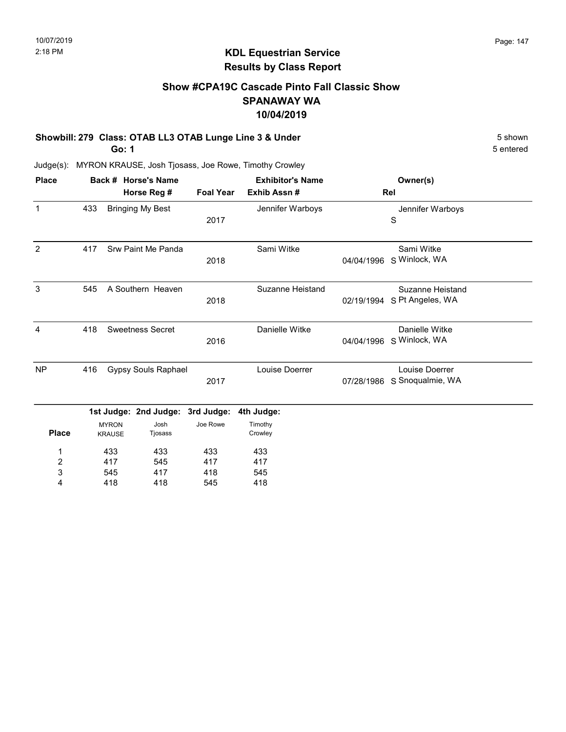# Show #CPA19C Cascade Pinto Fall Classic Show SPANAWAY WA 10/04/2019

#### Showbill: 279 Class: OTAB LL3 OTAB Lunge Line 3 & Under 5 Shown 5 shown

Go: 1

5 entered

| <b>Place</b>   |     |               | Back # Horse's Name        | <b>Exhibitor's Name</b> |                         |            | Owner(s)                    |  |
|----------------|-----|---------------|----------------------------|-------------------------|-------------------------|------------|-----------------------------|--|
|                |     |               | Horse Reg #                | <b>Foal Year</b>        | Exhib Assn#             |            | Rel                         |  |
| $\mathbf{1}$   | 433 |               | <b>Bringing My Best</b>    |                         | Jennifer Warboys        |            | Jennifer Warboys            |  |
|                |     |               |                            | 2017                    |                         |            | S                           |  |
| 2              | 417 |               | Srw Paint Me Panda         |                         | Sami Witke              |            | Sami Witke                  |  |
|                |     |               |                            | 2018                    |                         | 04/04/1996 | S Winlock, WA               |  |
| 3              | 545 |               | A Southern Heaven          |                         | <b>Suzanne Heistand</b> |            | Suzanne Heistand            |  |
|                |     |               |                            | 2018                    |                         |            | 02/19/1994 S Pt Angeles, WA |  |
| 4              | 418 |               | <b>Sweetness Secret</b>    |                         | Danielle Witke          |            | Danielle Witke              |  |
|                |     |               |                            | 2016                    |                         |            | 04/04/1996 S Winlock, WA    |  |
| <b>NP</b>      | 416 |               | <b>Gypsy Souls Raphael</b> |                         | Louise Doerrer          |            | Louise Doerrer              |  |
|                |     |               |                            | 2017                    |                         | 07/28/1986 | S Snoqualmie, WA            |  |
|                |     |               | 1st Judge: 2nd Judge:      | 3rd Judge:              | 4th Judge:              |            |                             |  |
|                |     | <b>MYRON</b>  | Josh                       | Joe Rowe                | Timothy                 |            |                             |  |
| <b>Place</b>   |     | <b>KRAUSE</b> | Tjosass                    |                         | Crowley                 |            |                             |  |
| 1              |     | 433           | 433                        | 433                     | 433                     |            |                             |  |
| $\overline{c}$ |     | 417           | 545                        | 417                     | 417                     |            |                             |  |
| 3              |     | 545           | 417                        | 418                     | 545                     |            |                             |  |
| 4              |     | 418           | 418                        | 545                     | 418                     |            |                             |  |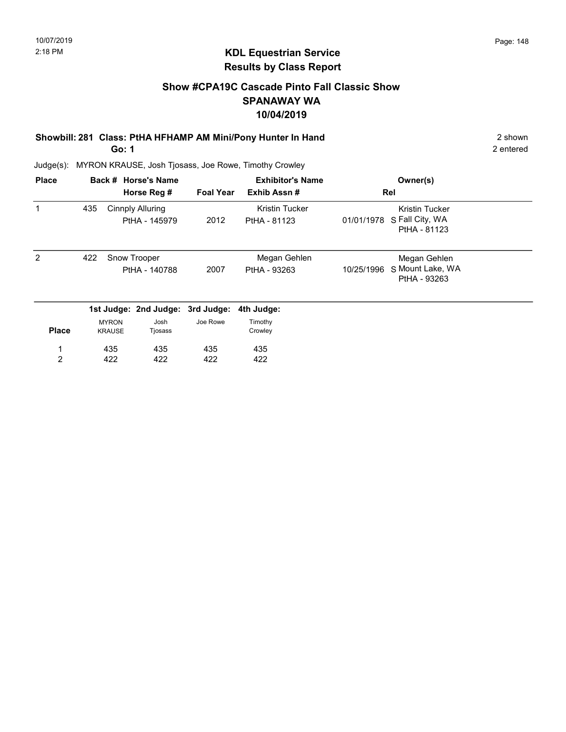# Show #CPA19C Cascade Pinto Fall Classic Show SPANAWAY WA 10/04/2019

#### Showbill: 281 Class: PtHA HFHAMP AM Mini/Pony Hunter In Hand 2 shown 2 shown Go: 1

2 entered

| <b>Place</b>   |     |                               | Back # Horse's Name<br>Horse Reg #       | <b>Foal Year</b> | <b>Exhibitor's Name</b><br>Exhib Assn# |            | Owner(s)<br>Rel                                   |  |
|----------------|-----|-------------------------------|------------------------------------------|------------------|----------------------------------------|------------|---------------------------------------------------|--|
|                | 435 |                               | <b>Cinnply Alluring</b><br>PtHA - 145979 | 2012             | <b>Kristin Tucker</b><br>PtHA - 81123  | 01/01/1978 | Kristin Tucker<br>S Fall City, WA<br>PtHA - 81123 |  |
| $\overline{2}$ | 422 |                               | Snow Trooper<br>PtHA - 140788            | 2007             | Megan Gehlen<br>PtHA - 93263           | 10/25/1996 | Megan Gehlen<br>S Mount Lake, WA<br>PtHA - 93263  |  |
|                |     |                               | 1st Judge: 2nd Judge: 3rd Judge:         |                  | 4th Judge:                             |            |                                                   |  |
| <b>Place</b>   |     | <b>MYRON</b><br><b>KRAUSE</b> | Josh<br>Tjosass                          | Joe Rowe         | Timothy<br>Crowley                     |            |                                                   |  |
| 1              |     | 435                           | 435                                      | 435              | 435                                    |            |                                                   |  |
| $\overline{2}$ |     | 422                           | 422                                      | 422              | 422                                    |            |                                                   |  |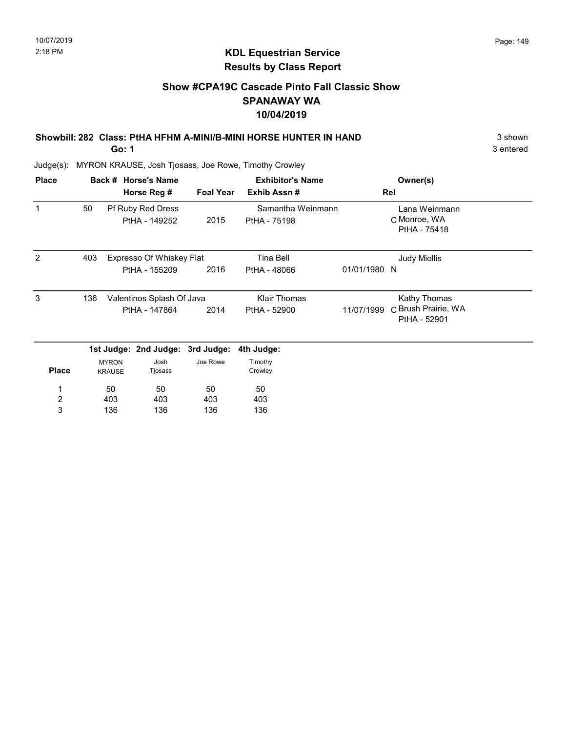# KDL Equestrian Service Results by Class Report

# Show #CPA19C Cascade Pinto Fall Classic Show SPANAWAY WA 10/04/2019

# Showbill: 282 Class: PtHA HFHM A-MINI/B-MINI HORSE HUNTER IN HAND 3 shown 3 shown

Go: 1

| <b>Place</b>   |     |                               | Back # Horse's Name              |                  | <b>Exhibitor's Name</b> |              | Owner(s)                            |  |
|----------------|-----|-------------------------------|----------------------------------|------------------|-------------------------|--------------|-------------------------------------|--|
|                |     |                               | Horse Reg #                      | <b>Foal Year</b> | Exhib Assn#             |              | Rel                                 |  |
| $\mathbf{1}$   | 50  |                               | Pf Ruby Red Dress                |                  | Samantha Weinmann       |              | Lana Weinmann                       |  |
|                |     |                               | PtHA - 149252                    | 2015             | PtHA - 75198            |              | C Monroe, WA<br>PtHA - 75418        |  |
| 2              | 403 |                               | Expresso Of Whiskey Flat         |                  | <b>Tina Bell</b>        |              | <b>Judy Miollis</b>                 |  |
|                |     |                               | PtHA - 155209                    | 2016             | PtHA - 48066            | 01/01/1980 N |                                     |  |
| 3              | 136 |                               | Valentinos Splash Of Java        |                  | <b>Klair Thomas</b>     |              | Kathy Thomas                        |  |
|                |     |                               | PtHA - 147864                    | 2014             | PtHA - 52900            | 11/07/1999   | C Brush Prairie, WA<br>PtHA - 52901 |  |
|                |     |                               | 1st Judge: 2nd Judge: 3rd Judge: |                  | 4th Judge:              |              |                                     |  |
| <b>Place</b>   |     | <b>MYRON</b><br><b>KRAUSE</b> | Josh<br>Tjosass                  | Joe Rowe         | Timothy<br>Crowley      |              |                                     |  |
|                |     | 50                            | 50                               | 50               | 50                      |              |                                     |  |
| $\overline{c}$ |     | 403                           | 403                              | 403              | 403                     |              |                                     |  |
| 3              |     | 136                           | 136                              | 136              | 136                     |              |                                     |  |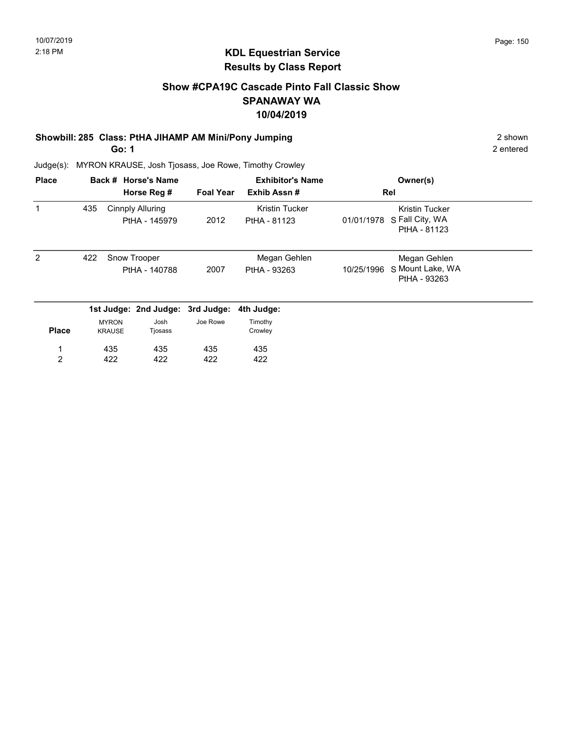# KDL Equestrian Service Results by Class Report

# Show #CPA19C Cascade Pinto Fall Classic Show SPANAWAY WA 10/04/2019

#### Showbill: 285 Class: PtHA JIHAMP AM Mini/Pony Jumping 2 shown

Go: 1

| <b>Place</b> |     |                               | Back # Horse's Name<br>Horse Reg # | <b>Foal Year</b> | <b>Exhibitor's Name</b><br>Exhib Assn# | Owner(s)<br>Rel                                                        |
|--------------|-----|-------------------------------|------------------------------------|------------------|----------------------------------------|------------------------------------------------------------------------|
| 1            | 435 |                               | Cinnply Alluring<br>PtHA - 145979  | 2012             | Kristin Tucker<br>PtHA - 81123         | <b>Kristin Tucker</b><br>S Fall City, WA<br>01/01/1978<br>PtHA - 81123 |
| 2            | 422 |                               | Snow Trooper<br>PtHA - 140788      | 2007             | Megan Gehlen<br>PtHA - 93263           | Megan Gehlen<br>S Mount Lake, WA<br>10/25/1996<br>PtHA - 93263         |
|              |     |                               | 1st Judge: 2nd Judge: 3rd Judge:   |                  | 4th Judge:                             |                                                                        |
| <b>Place</b> |     | <b>MYRON</b><br><b>KRAUSE</b> | Josh<br>Tjosass                    | Joe Rowe         | Timothy<br>Crowley                     |                                                                        |
|              |     | 435                           | 435                                | 435              | 435                                    |                                                                        |
| 2            |     | 422                           | 422                                | 422              | 422                                    |                                                                        |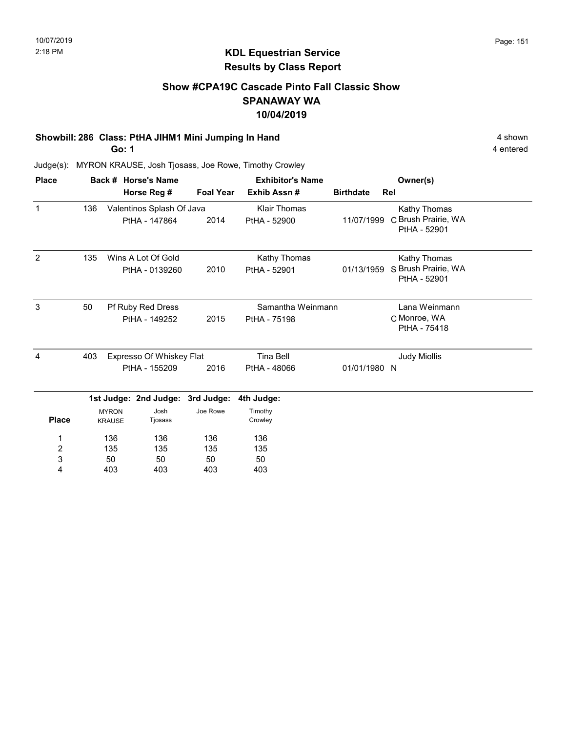# Show #CPA19C Cascade Pinto Fall Classic Show SPANAWAY WA 10/04/2019

#### Showbill: 286 Class: PtHA JIHM1 Mini Jumping In Hand 4 shown 4 shown

Go: 1

4 entered

| <b>Place</b>                      |                  |                               | Back # Horse's Name                        |                  | <b>Exhibitor's Name</b>             | Owner(s)         |                                                     |  |
|-----------------------------------|------------------|-------------------------------|--------------------------------------------|------------------|-------------------------------------|------------------|-----------------------------------------------------|--|
|                                   |                  |                               | Horse Reg #                                | <b>Foal Year</b> | Exhib Assn#                         | <b>Birthdate</b> | Rel                                                 |  |
| $\mathbf{1}$                      | 136              |                               | Valentinos Splash Of Java<br>PtHA - 147864 | 2014             | <b>Klair Thomas</b><br>PtHA - 52900 | 11/07/1999       | Kathy Thomas<br>C Brush Prairie, WA<br>PtHA - 52901 |  |
| 2                                 | 135              |                               | Wins A Lot Of Gold<br>PtHA - 0139260       | 2010             | Kathy Thomas<br>PtHA - 52901        | 01/13/1959       | Kathy Thomas<br>S Brush Prairie, WA<br>PtHA - 52901 |  |
| 3                                 | 50               |                               | Pf Ruby Red Dress<br>PtHA - 149252         | 2015             | Samantha Weinmann<br>PtHA - 75198   |                  | Lana Weinmann<br>C Monroe, WA<br>PtHA - 75418       |  |
| 4                                 | 403              |                               | Expresso Of Whiskey Flat<br>PtHA - 155209  | 2016             | <b>Tina Bell</b><br>PtHA - 48066    | 01/01/1980 N     | <b>Judy Miollis</b>                                 |  |
|                                   |                  |                               | 1st Judge: 2nd Judge: 3rd Judge:           |                  | 4th Judge:                          |                  |                                                     |  |
| <b>Place</b>                      |                  | <b>MYRON</b><br><b>KRAUSE</b> | Josh<br>Tjosass                            | Joe Rowe         | Timothy<br>Crowley                  |                  |                                                     |  |
| 1<br>$\overline{\mathbf{c}}$<br>3 | 136<br>135<br>50 |                               | 136<br>135<br>50                           | 136<br>135<br>50 | 136<br>135<br>50                    |                  |                                                     |  |
| 4                                 |                  | 403                           | 403                                        | 403              | 403                                 |                  |                                                     |  |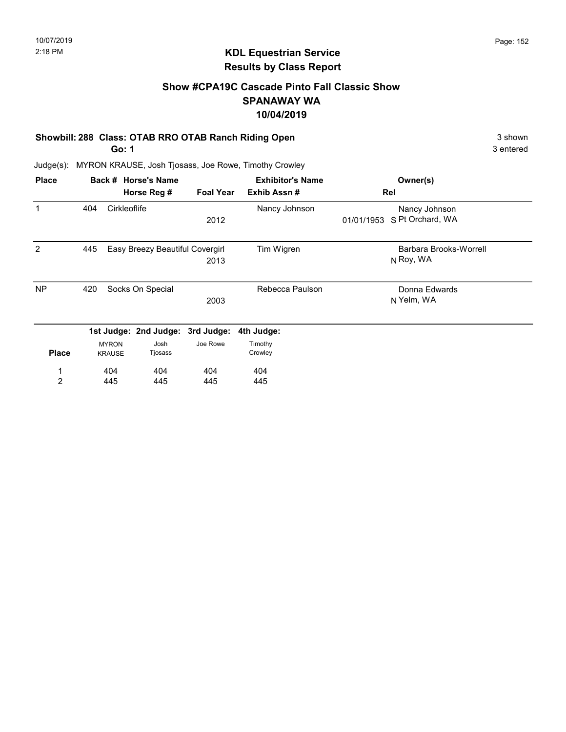# Show #CPA19C Cascade Pinto Fall Classic Show SPANAWAY WA 10/04/2019

#### Showbill: 288 Class: OTAB RRO OTAB Ranch Riding Open 3 shown 3 shown

Go: 1

3 entered

| <b>Place</b>   |     |               | Back # Horse's Name             |                  | <b>Exhibitor's Name</b> |            | Owner(s)               |
|----------------|-----|---------------|---------------------------------|------------------|-------------------------|------------|------------------------|
|                |     |               | Horse Reg #                     | <b>Foal Year</b> | Exhib Assn#             |            | Rel                    |
| $\mathbf 1$    | 404 | Cirkleoflife  |                                 |                  | Nancy Johnson           |            | Nancy Johnson          |
|                |     |               |                                 | 2012             |                         | 01/01/1953 | S Pt Orchard, WA       |
| 2              | 445 |               | Easy Breezy Beautiful Covergirl |                  | Tim Wigren              |            | Barbara Brooks-Worrell |
|                |     |               |                                 | 2013             |                         |            | N Roy, WA              |
| <b>NP</b>      | 420 |               | Socks On Special                |                  | Rebecca Paulson         |            | Donna Edwards          |
|                |     |               |                                 | 2003             |                         |            | N Yelm, WA             |
|                |     |               | 1st Judge: 2nd Judge:           | 3rd Judge:       | 4th Judge:              |            |                        |
|                |     | <b>MYRON</b>  | Josh                            | Joe Rowe         | Timothy                 |            |                        |
| <b>Place</b>   |     | <b>KRAUSE</b> | Tjosass                         |                  | Crowley                 |            |                        |
| 1              |     | 404           | 404                             | 404              | 404                     |            |                        |
| $\overline{2}$ |     | 445           | 445                             | 445              | 445                     |            |                        |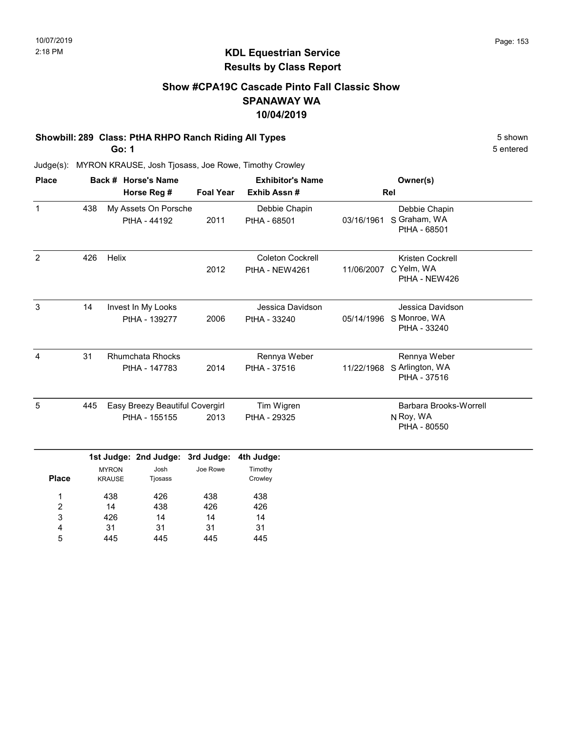# Show #CPA19C Cascade Pinto Fall Classic Show SPANAWAY WA 10/04/2019

#### Showbill: 289 Class: PtHA RHPO Ranch Riding All Types 5 Shown 5 shown

Go: 1

5 entered

|     |       |                               |                                                                                                                  |                                                                                                |            | Owner(s)                                                    |
|-----|-------|-------------------------------|------------------------------------------------------------------------------------------------------------------|------------------------------------------------------------------------------------------------|------------|-------------------------------------------------------------|
|     |       | Horse Reg #                   | <b>Foal Year</b>                                                                                                 | Exhib Assn#                                                                                    |            | Rel                                                         |
| 438 |       |                               | 2011                                                                                                             | Debbie Chapin<br>PtHA - 68501                                                                  | 03/16/1961 | Debbie Chapin<br>S Graham, WA<br>PtHA - 68501               |
| 426 | Helix |                               | 2012                                                                                                             | <b>Coleton Cockrell</b><br>PtHA - NEW4261                                                      | 11/06/2007 | Kristen Cockrell<br>C Yelm, WA<br>PtHA - NEW426             |
| 14  |       |                               | 2006                                                                                                             | Jessica Davidson<br>PtHA - 33240                                                               |            | Jessica Davidson<br>05/14/1996 S Monroe, WA<br>PtHA - 33240 |
| 31  |       |                               | 2014                                                                                                             | Rennya Weber<br>PtHA - 37516                                                                   |            | Rennya Weber<br>11/22/1968 S Arlington, WA<br>PtHA - 37516  |
| 445 |       |                               | 2013                                                                                                             | Tim Wigren<br>PtHA - 29325                                                                     |            | Barbara Brooks-Worrell<br>N Roy, WA<br>PtHA - 80550         |
|     |       | Josh<br>Tjosass               | Joe Rowe                                                                                                         | 4th Judge:<br>Timothy<br>Crowley                                                               |            |                                                             |
|     |       | <b>MYRON</b><br><b>KRAUSE</b> | PtHA - 44192<br>Invest In My Looks<br>PtHA - 139277<br><b>Rhumchata Rhocks</b><br>PtHA - 147783<br>PtHA - 155155 | My Assets On Porsche<br>Easy Breezy Beautiful Covergirl<br>1st Judge: 2nd Judge:<br>3rd Judge: |            |                                                             |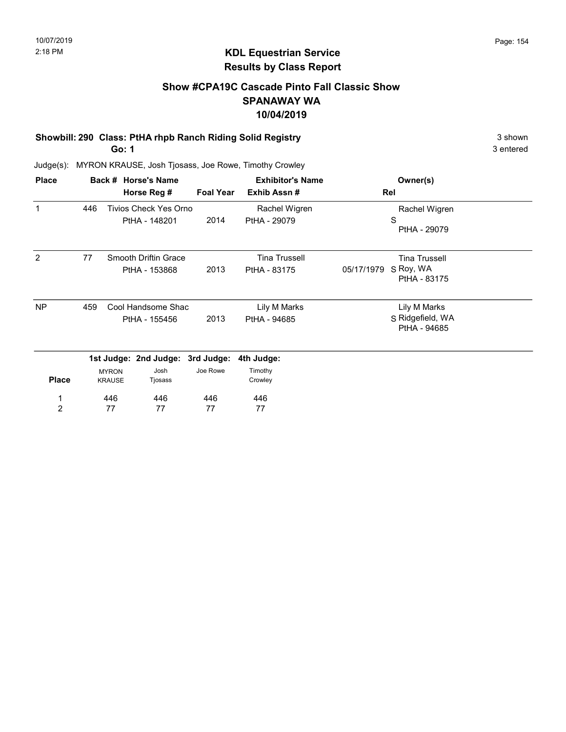# KDL Equestrian Service Results by Class Report

### Show #CPA19C Cascade Pinto Fall Classic Show SPANAWAY WA 10/04/2019

# Showbill: 290 Class: PtHA rhpb Ranch Riding Solid Registry **3 Shown** 3 shown

Go: 1

| <b>Place</b> |     |                               | Back # Horse's Name              |                  | <b>Exhibitor's Name</b> | Owner(s)                                |
|--------------|-----|-------------------------------|----------------------------------|------------------|-------------------------|-----------------------------------------|
|              |     |                               | Horse Reg #                      | <b>Foal Year</b> | Exhib Assn#             | Rel                                     |
| 1            | 446 |                               | Tivios Check Yes Orno            |                  | Rachel Wigren           | Rachel Wigren                           |
|              |     |                               | PtHA - 148201                    | 2014             | PtHA - 29079            | S<br>PtHA - 29079                       |
| 2            | 77  |                               | Smooth Driftin Grace             |                  | <b>Tina Trussell</b>    | <b>Tina Trussell</b>                    |
|              |     |                               | PtHA - 153868                    | 2013             | PtHA - 83175            | S Roy, WA<br>05/17/1979<br>PtHA - 83175 |
| <b>NP</b>    | 459 |                               | Cool Handsome Shac               |                  | Lily M Marks            | Lily M Marks                            |
|              |     | PtHA - 155456                 |                                  | 2013             | PtHA - 94685            | S Ridgefield, WA<br>PtHA - 94685        |
|              |     |                               | 1st Judge: 2nd Judge: 3rd Judge: |                  | 4th Judge:              |                                         |
| <b>Place</b> |     | <b>MYRON</b><br><b>KRAUSE</b> | Josh<br>Tjosass                  | Joe Rowe         | Timothy<br>Crowley      |                                         |
| 1            |     | 446                           | 446                              | 446              | 446                     |                                         |
| 2            |     | 77                            | 77                               | 77               | 77                      |                                         |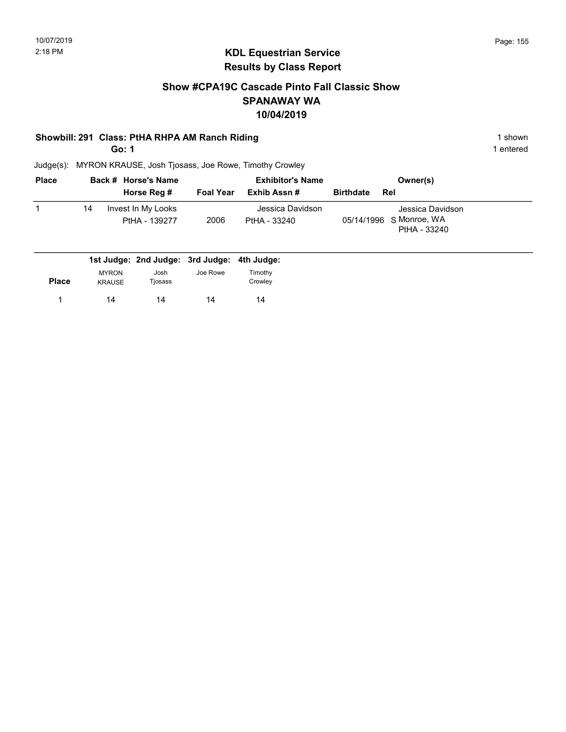### Show #CPA19C Cascade Pinto Fall Classic Show SPANAWAY WA 10/04/2019

#### Showbill: 291 Class: PtHA RHPA AM Ranch Riding 1 shown 1 shown

Go: 1

1 entered

| <b>Place</b> |    | Back # Horse's Name                 |                  | <b>Exhibitor's Name</b>          |                  | Owner(s)                                                    |
|--------------|----|-------------------------------------|------------------|----------------------------------|------------------|-------------------------------------------------------------|
|              |    | Horse Reg #                         | <b>Foal Year</b> | Exhib Assn #                     | <b>Birthdate</b> | Rel                                                         |
|              | 14 | Invest In My Looks<br>PtHA - 139277 | 2006             | Jessica Davidson<br>PtHA - 33240 |                  | Jessica Davidson<br>05/14/1996 S Monroe, WA<br>PtHA - 33240 |

|              |                               | 1st Judge: 2nd Judge: 3rd Judge: 4th Judge: |          |                    |
|--------------|-------------------------------|---------------------------------------------|----------|--------------------|
| <b>Place</b> | <b>MYRON</b><br><b>KRAUSE</b> | Josh<br>Tjosass                             | Joe Rowe | Timothy<br>Crowley |
|              | 14                            | 14                                          | 14       | 14                 |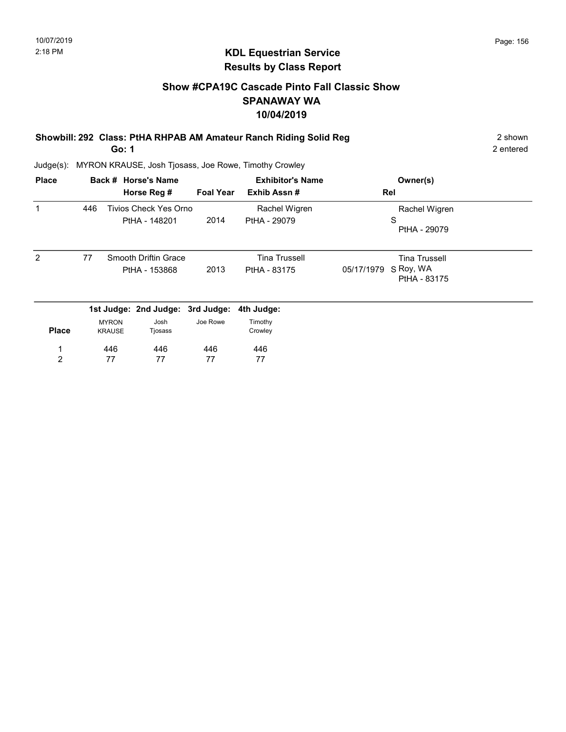# Show #CPA19C Cascade Pinto Fall Classic Show SPANAWAY WA 10/04/2019

Showbill: 292 Class: PtHA RHPAB AM Amateur Ranch Riding Solid Reg 2 shown

Go: 1

2 entered

| <b>Place</b> |     |                               | Back # Horse's Name              |                  | <b>Exhibitor's Name</b> | Owner(s)                                |
|--------------|-----|-------------------------------|----------------------------------|------------------|-------------------------|-----------------------------------------|
|              |     |                               | Horse Reg #                      | <b>Foal Year</b> | Exhib Assn#             | Rel                                     |
| 1            | 446 |                               | Tivios Check Yes Orno            |                  | Rachel Wigren           | Rachel Wigren                           |
|              |     |                               | PtHA - 148201                    | 2014             | PtHA - 29079            | S<br>PtHA - 29079                       |
| 2            | 77  |                               | <b>Smooth Driftin Grace</b>      |                  | <b>Tina Trussell</b>    | <b>Tina Trussell</b>                    |
|              |     |                               | PtHA - 153868                    | 2013             | PtHA - 83175            | S Roy, WA<br>05/17/1979<br>PtHA - 83175 |
|              |     |                               | 1st Judge: 2nd Judge: 3rd Judge: |                  | 4th Judge:              |                                         |
| <b>Place</b> |     | <b>MYRON</b><br><b>KRAUSE</b> | Josh<br>Tjosass                  | Joe Rowe         | Timothy<br>Crowley      |                                         |
| 1            |     | 446                           | 446                              | 446              | 446                     |                                         |
| 2            |     | 77                            | 77                               | 77               | 77                      |                                         |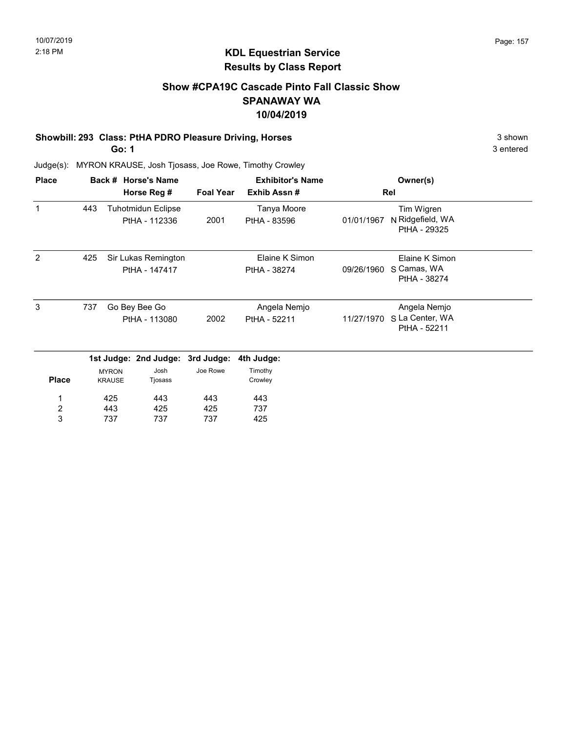## Show #CPA19C Cascade Pinto Fall Classic Show SPANAWAY WA 10/04/2019

#### Showbill: 293 Class: PtHA PDRO Pleasure Driving, Horses 3 Shown

Go: 1

3 entered

| <b>Place</b>            |     |                                | Back # Horse's Name                        |                  | <b>Exhibitor's Name</b>        |            | Owner(s)                                        |  |
|-------------------------|-----|--------------------------------|--------------------------------------------|------------------|--------------------------------|------------|-------------------------------------------------|--|
|                         |     |                                | Horse Reg #                                | <b>Foal Year</b> | Exhib Assn #                   |            | Rel                                             |  |
| $\mathbf{1}$            | 443 |                                | <b>Tuhotmidun Eclipse</b><br>PtHA - 112336 | 2001             | Tanya Moore<br>PtHA - 83596    | 01/01/1967 | Tim Wigren<br>N Ridgefield, WA<br>PtHA - 29325  |  |
| 2                       | 425 |                                | Sir Lukas Remington<br>PtHA - 147417       |                  | Elaine K Simon<br>PtHA - 38274 | 09/26/1960 | Elaine K Simon<br>S Camas, WA<br>PtHA - 38274   |  |
| 3                       | 737 | Go Bey Bee Go<br>PtHA - 113080 |                                            | 2002             | Angela Nemjo<br>PtHA - 52211   | 11/27/1970 | Angela Nemjo<br>S La Center, WA<br>PtHA - 52211 |  |
|                         |     |                                | 1st Judge: 2nd Judge: 3rd Judge:           |                  | 4th Judge:                     |            |                                                 |  |
| <b>Place</b>            |     | <b>MYRON</b><br><b>KRAUSE</b>  | Josh<br>Tjosass                            | Joe Rowe         | Timothy<br>Crowley             |            |                                                 |  |
| 1                       |     | 425                            | 443                                        | 443              | 443                            |            |                                                 |  |
| $\overline{\mathbf{c}}$ |     | 443                            | 425                                        | 425              | 737                            |            |                                                 |  |
| 3                       |     | 737                            | 737                                        | 737              | 425                            |            |                                                 |  |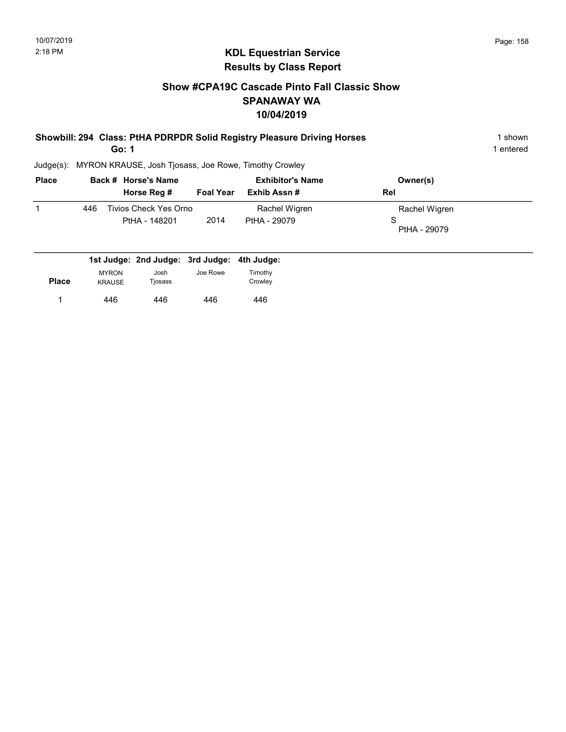# Show #CPA19C Cascade Pinto Fall Classic Show SPANAWAY WA 10/04/2019

| Showbill: 294 Class: PtHA PDRPDR Solid Registry Pleasure Driving Horses | shown   |
|-------------------------------------------------------------------------|---------|
| Go: 1                                                                   | entered |

| <b>Place</b> |     | Back # Horse's Name<br>Horse Reg #             | <b>Foal Year</b> | <b>Exhibitor's Name</b><br>Exhib Assn# | Owner(s)<br><b>Rel</b>             |
|--------------|-----|------------------------------------------------|------------------|----------------------------------------|------------------------------------|
|              | 446 | Tivios Check Yes Orno<br>PtHA - 148201         | 2014             | Rachel Wigren<br>PtHA - 29079          | Rachel Wigren<br>S<br>PtHA - 29079 |
|              |     | det broken Ond broken, Ond broken, 44h broken, |                  |                                        |                                    |

|              |               | 1st Judge: 2nd Judge: 3rd Judge: 4th Judge: |          |         |
|--------------|---------------|---------------------------------------------|----------|---------|
|              | <b>MYRON</b>  | Josh                                        | Joe Rowe | Timothy |
| <b>Place</b> | <b>KRAUSE</b> | Tiosass                                     |          | Crowlev |
|              | 446           | 446                                         | 446      | 446     |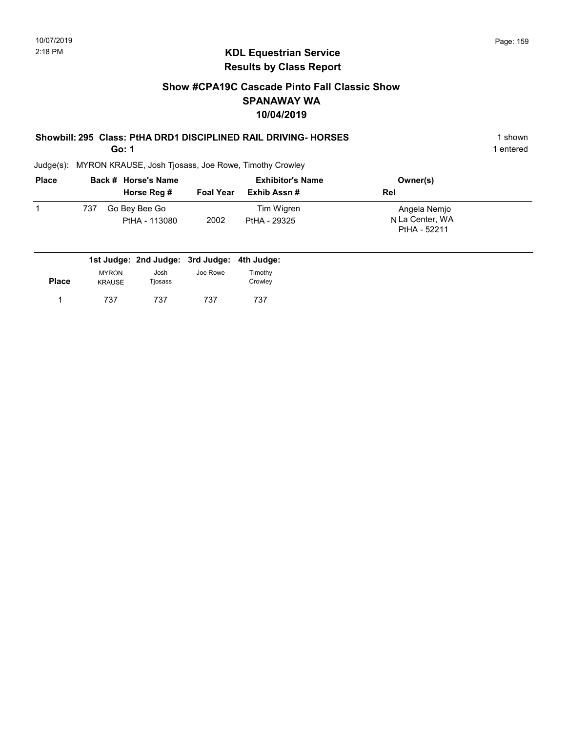# Show #CPA19C Cascade Pinto Fall Classic Show SPANAWAY WA 10/04/2019

# Showbill: 295 Class: PtHA DRD1 DISCIPLINED RAIL DRIVING- HORSES 1 shown

Go: 1

1 entered

| <b>Place</b> |     | Back # Horse's Name            | <b>Exhibitor's Name</b> |                            | Owner(s)                                        |
|--------------|-----|--------------------------------|-------------------------|----------------------------|-------------------------------------------------|
|              |     | Horse Reg #                    | <b>Foal Year</b>        | Exhib Assn#                | <b>Rel</b>                                      |
|              | 737 | Go Bey Bee Go<br>PtHA - 113080 | 2002                    | Tim Wigren<br>PtHA - 29325 | Angela Nemjo<br>N La Center, WA<br>PtHA - 52211 |

|              |               | 1st Judge: 2nd Judge: 3rd Judge: 4th Judge: |          |         |
|--------------|---------------|---------------------------------------------|----------|---------|
|              | <b>MYRON</b>  | Josh                                        | Joe Rowe | Timothy |
| <b>Place</b> | <b>KRAUSE</b> | Tjosass                                     |          | Crowley |
|              | 737           | 737                                         | 737      | 737     |
|              |               |                                             |          |         |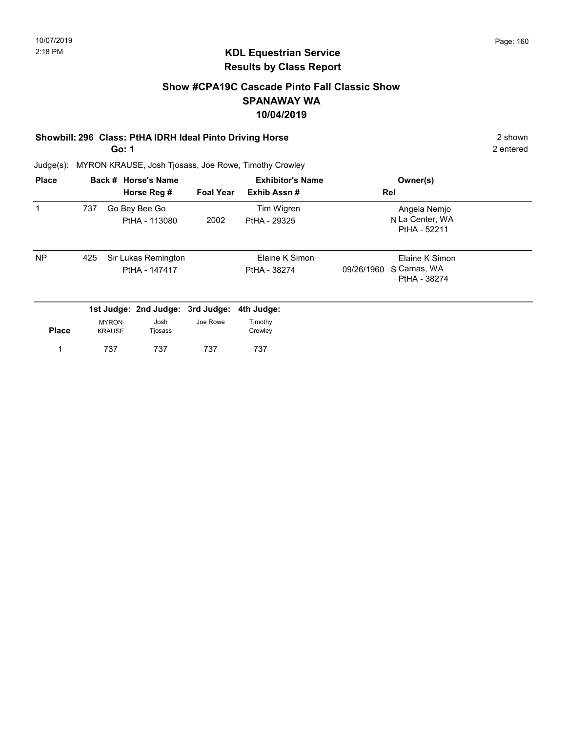### Show #CPA19C Cascade Pinto Fall Classic Show SPANAWAY WA 10/04/2019

#### Showbill: 296 Class: PtHA IDRH Ideal Pinto Driving Horse 2 Shown

Go: 1

2 entered

| <b>Place</b> |     |                               | Back # Horse's Name                  |                  | <b>Exhibitor's Name</b>        | Owner(s)                                                    |
|--------------|-----|-------------------------------|--------------------------------------|------------------|--------------------------------|-------------------------------------------------------------|
|              |     |                               | Horse Reg #                          | <b>Foal Year</b> | Exhib Assn#                    | Rel                                                         |
| 1            | 737 |                               | Go Bey Bee Go<br>PtHA - 113080       | 2002             | Tim Wigren<br>PtHA - 29325     | Angela Nemjo<br>N La Center, WA<br>PtHA - 52211             |
| <b>NP</b>    | 425 |                               | Sir Lukas Remington<br>PtHA - 147417 |                  | Elaine K Simon<br>PtHA - 38274 | Elaine K Simon<br>S Camas, WA<br>09/26/1960<br>PtHA - 38274 |
|              |     |                               | 1st Judge: 2nd Judge: 3rd Judge:     |                  | 4th Judge:                     |                                                             |
| <b>Place</b> |     | <b>MYRON</b><br><b>KRAUSE</b> | Josh<br>Tjosass                      | Joe Rowe         | Timothy<br>Crowley             |                                                             |
|              |     | 737                           | 737                                  | 737              | 737                            |                                                             |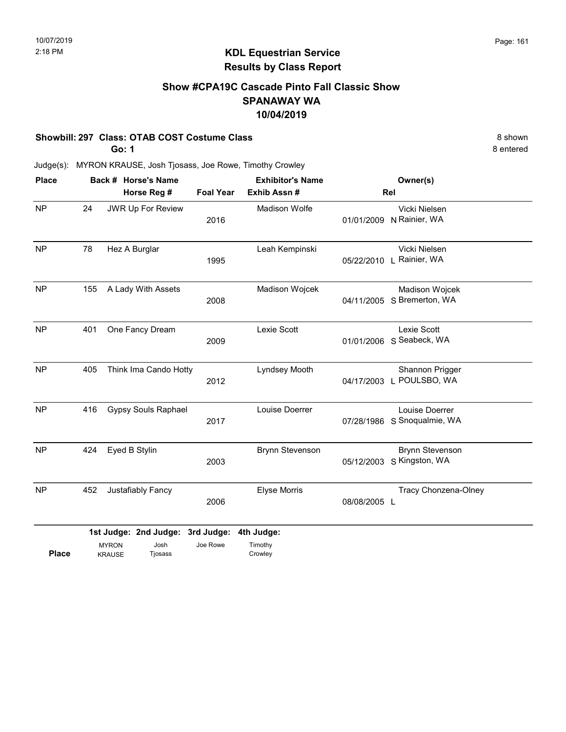## Show #CPA19C Cascade Pinto Fall Classic Show SPANAWAY WA 10/04/2019

#### Showbill: 297 Class: OTAB COST Costume Class 8 shown

Go: 1

8 entered

| <b>Place</b> | Back # Horse's Name |                               |                                                     |                  | <b>Exhibitor's Name</b>          |              | Owner(s)                                     |
|--------------|---------------------|-------------------------------|-----------------------------------------------------|------------------|----------------------------------|--------------|----------------------------------------------|
|              |                     |                               | Horse Reg #                                         | <b>Foal Year</b> | Exhib Assn #                     |              | Rel                                          |
| <b>NP</b>    | 24                  |                               | JWR Up For Review                                   | 2016             | <b>Madison Wolfe</b>             | 01/01/2009   | Vicki Nielsen<br>N Rainier, WA               |
| <b>NP</b>    | 78                  |                               | Hez A Burglar                                       | 1995             | Leah Kempinski                   | 05/22/2010   | Vicki Nielsen<br>L Rainier, WA               |
| <b>NP</b>    | 155                 |                               | A Lady With Assets                                  | 2008             | Madison Wojcek                   |              | Madison Wojcek<br>04/11/2005 S Bremerton, WA |
| <b>NP</b>    | 401                 |                               | One Fancy Dream                                     | 2009             | Lexie Scott                      | 01/01/2006   | Lexie Scott<br>S Seabeck, WA                 |
| <b>NP</b>    | 405                 |                               | Think Ima Cando Hotty                               | 2012             | Lyndsey Mooth                    | 04/17/2003   | Shannon Prigger<br>L POULSBO, WA             |
| <b>NP</b>    | 416                 |                               | <b>Gypsy Souls Raphael</b>                          | 2017             | Louise Doerrer                   | 07/28/1986   | Louise Doerrer<br>S Snoqualmie, WA           |
| <b>NP</b>    | 424                 | Eyed B Stylin                 |                                                     | 2003             | <b>Brynn Stevenson</b>           | 05/12/2003   | <b>Brynn Stevenson</b><br>S Kingston, WA     |
| <b>NP</b>    | 452                 |                               | Justafiably Fancy                                   | 2006             | <b>Elyse Morris</b>              | 08/08/2005 L | Tracy Chonzena-Olney                         |
| <b>Place</b> |                     | <b>MYRON</b><br><b>KRAUSE</b> | 1st Judge: 2nd Judge: 3rd Judge:<br>Josh<br>Tjosass | Joe Rowe         | 4th Judge:<br>Timothy<br>Crowley |              |                                              |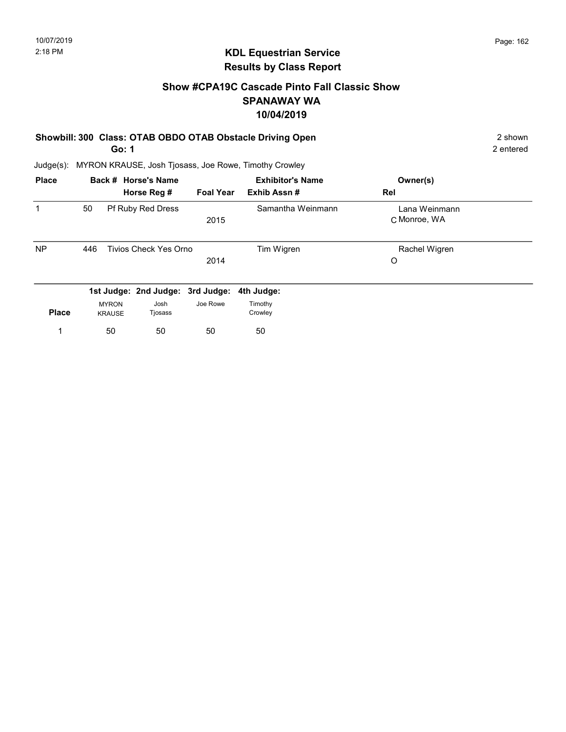# KDL Equestrian Service Results by Class Report

# Show #CPA19C Cascade Pinto Fall Classic Show SPANAWAY WA 10/04/2019

# Showbill: 300 Class: OTAB OBDO OTAB Obstacle Driving Open 2 shown 2 shown

Go: 1

| <b>Place</b> |     |                               | Back # Horse's Name<br>Horse Reg # | <b>Foal Year</b> | <b>Exhibitor's Name</b><br>Exhib Assn# | Owner(s)<br>Rel               |  |
|--------------|-----|-------------------------------|------------------------------------|------------------|----------------------------------------|-------------------------------|--|
|              | 50  |                               | Pf Ruby Red Dress                  | 2015             | Samantha Weinmann                      | Lana Weinmann<br>C Monroe, WA |  |
| <b>NP</b>    | 446 |                               | <b>Tivios Check Yes Orno</b>       | 2014             | Tim Wigren                             | Rachel Wigren<br>O            |  |
|              |     |                               | 1st Judge: 2nd Judge: 3rd Judge:   |                  | 4th Judge:                             |                               |  |
| <b>Place</b> |     | <b>MYRON</b><br><b>KRAUSE</b> | Josh<br>Tjosass                    | Joe Rowe         | Timothy<br>Crowley                     |                               |  |
|              |     | 50                            | 50                                 | 50               | 50                                     |                               |  |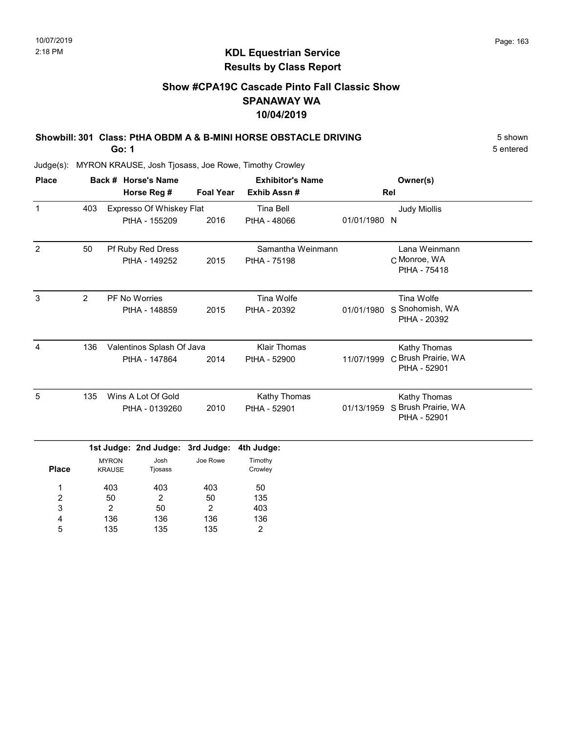# Show #CPA19C Cascade Pinto Fall Classic Show SPANAWAY WA 10/04/2019

| Showbill: 301 Class: PtHA OBDM A & B-MINI HORSE OBSTACLE DRIVING | 5 shown   |
|------------------------------------------------------------------|-----------|
| Go: 1                                                            | 5 entered |

Judge(s): MYRON KRAUSE, Josh Tjosass, Joe Rowe, Timothy Crowley

2 136 135

3 4 5

50 136 135

2 136 135 403 136 2

| <b>Place</b>   |                                  |                               | Back # Horse's Name              |                     | <b>Exhibitor's Name</b> |              | Owner(s)                            |  |
|----------------|----------------------------------|-------------------------------|----------------------------------|---------------------|-------------------------|--------------|-------------------------------------|--|
|                |                                  |                               | Horse Reg #                      | <b>Foal Year</b>    | Exhib Assn#             |              | Rel                                 |  |
| $\mathbf{1}$   | 403                              |                               | Expresso Of Whiskey Flat         |                     | <b>Tina Bell</b>        |              | <b>Judy Miollis</b>                 |  |
|                |                                  |                               | PtHA - 155209                    | 2016                | PtHA - 48066            | 01/01/1980 N |                                     |  |
| $\overline{2}$ | 50                               |                               | Pf Ruby Red Dress                |                     | Samantha Weinmann       |              | Lana Weinmann                       |  |
|                | PtHA - 149252                    |                               |                                  | 2015                | PtHA - 75198            |              | C Monroe, WA<br>PtHA - 75418        |  |
| 3              | $\overline{2}$                   |                               | PF No Worries                    |                     | Tina Wolfe              |              | Tina Wolfe                          |  |
|                |                                  |                               | PtHA - 148859                    | 2015                | PtHA - 20392            | 01/01/1980   | S Snohomish, WA<br>PtHA - 20392     |  |
| 4              | Valentinos Splash Of Java<br>136 |                               |                                  | <b>Klair Thomas</b> |                         | Kathy Thomas |                                     |  |
|                |                                  | PtHA - 147864                 |                                  | 2014                | PtHA - 52900            | 11/07/1999   | C Brush Prairie, WA<br>PtHA - 52901 |  |
| 5              | 135                              |                               | Wins A Lot Of Gold               |                     | Kathy Thomas            |              | Kathy Thomas                        |  |
|                |                                  |                               | PtHA - 0139260                   | 2010                | PtHA - 52901            | 01/13/1959   | S Brush Prairie, WA<br>PtHA - 52901 |  |
|                |                                  |                               | 1st Judge: 2nd Judge: 3rd Judge: |                     | 4th Judge:              |              |                                     |  |
| <b>Place</b>   |                                  | <b>MYRON</b><br><b>KRAUSE</b> | Josh<br>Tjosass                  | Joe Rowe            | Timothy<br>Crowley      |              |                                     |  |
| 1              |                                  | 403                           | 403                              | 403                 | 50                      |              |                                     |  |
| $\overline{2}$ |                                  | 50                            | $\overline{2}$                   | 50                  | 135                     |              |                                     |  |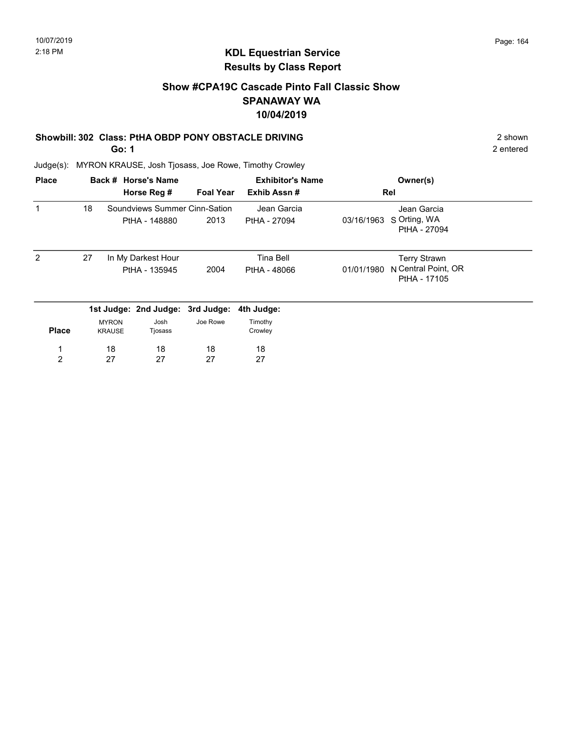# KDL Equestrian Service Results by Class Report

# Show #CPA19C Cascade Pinto Fall Classic Show SPANAWAY WA 10/04/2019

#### Showbill: 302 Class: PtHA OBDP PONY OBSTACLE DRIVING 2 Shown 2 shown

Go: 1

| <b>Place</b> |    |                               | Back # Horse's Name              |                  | <b>Exhibitor's Name</b> |            | Owner(s)                            |  |
|--------------|----|-------------------------------|----------------------------------|------------------|-------------------------|------------|-------------------------------------|--|
|              |    |                               | Horse Reg #                      | <b>Foal Year</b> | Exhib Assn#             |            | Rel                                 |  |
|              | 18 |                               | Soundviews Summer Cinn-Sation    |                  | Jean Garcia             |            | Jean Garcia                         |  |
|              |    |                               | PtHA - 148880                    | 2013             | PtHA - 27094            | 03/16/1963 | S Orting, WA<br>PtHA - 27094        |  |
| 2            | 27 |                               | In My Darkest Hour               |                  | Tina Bell               |            | <b>Terry Strawn</b>                 |  |
|              |    |                               | PtHA - 135945                    | 2004             | PtHA - 48066            | 01/01/1980 | N Central Point, OR<br>PtHA - 17105 |  |
|              |    |                               | 1st Judge: 2nd Judge: 3rd Judge: |                  | 4th Judge:              |            |                                     |  |
| <b>Place</b> |    | <b>MYRON</b><br><b>KRAUSE</b> | Josh<br>Tjosass                  | Joe Rowe         | Timothy<br>Crowley      |            |                                     |  |
|              |    | 18                            | 18                               | 18               | 18                      |            |                                     |  |
| 2            |    | 27                            | 27                               | 27               | 27                      |            |                                     |  |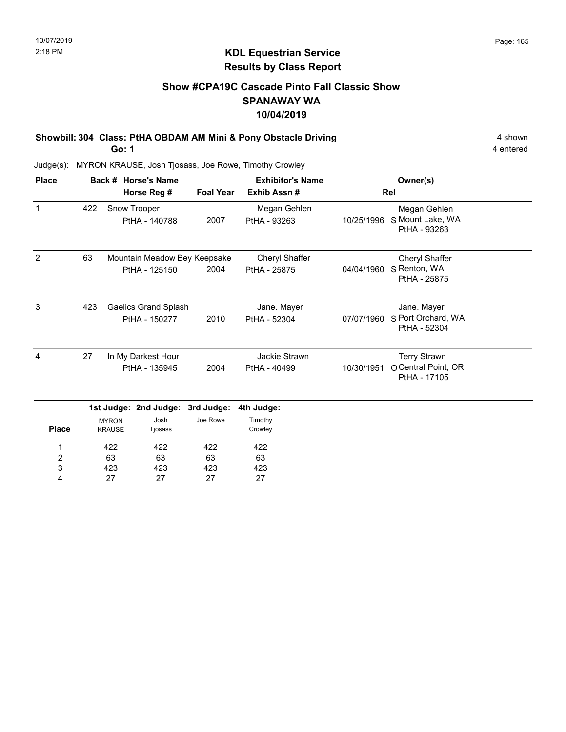# Show #CPA19C Cascade Pinto Fall Classic Show SPANAWAY WA 10/04/2019

Showbill: 304 Class: PtHA OBDAM AM Mini & Pony Obstacle Driving 4 Shown 4 shown Go: 1

4 entered

| <b>Place</b>   |     |                                     | Back # Horse's Name                           |                  | <b>Exhibitor's Name</b>        |            | Owner(s)                                                   |  |
|----------------|-----|-------------------------------------|-----------------------------------------------|------------------|--------------------------------|------------|------------------------------------------------------------|--|
|                |     |                                     | Horse Reg #                                   | <b>Foal Year</b> | Exhib Assn#                    |            | Rel                                                        |  |
| $\mathbf{1}$   | 422 |                                     | Snow Trooper<br>PtHA - 140788                 | 2007             | Megan Gehlen<br>PtHA - 93263   | 10/25/1996 | Megan Gehlen<br>S Mount Lake, WA<br>PtHA - 93263           |  |
| $\overline{2}$ | 63  |                                     | Mountain Meadow Bey Keepsake<br>PtHA - 125150 | 2004             | Cheryl Shaffer<br>PtHA - 25875 | 04/04/1960 | Cheryl Shaffer<br>S Renton, WA<br>PtHA - 25875             |  |
| 3              | 423 |                                     | Gaelics Grand Splash<br>PtHA - 150277         | 2010             | Jane. Mayer<br>PtHA - 52304    | 07/07/1960 | Jane. Mayer<br>S Port Orchard, WA<br>PtHA - 52304          |  |
| $\overline{4}$ | 27  | In My Darkest Hour<br>PtHA - 135945 |                                               | 2004             | Jackie Strawn<br>PtHA - 40499  | 10/30/1951 | <b>Terry Strawn</b><br>O Central Point, OR<br>PtHA - 17105 |  |
|                |     |                                     | 1st Judge: 2nd Judge:                         | 3rd Judge:       | 4th Judge:                     |            |                                                            |  |
| <b>Place</b>   |     | <b>MYRON</b><br><b>KRAUSE</b>       | Josh<br>Tjosass                               | Joe Rowe         | Timothy<br>Crowley             |            |                                                            |  |
| 1              |     | 422                                 | 422                                           | 422              | 422                            |            |                                                            |  |
| 2              |     | 63                                  | 63                                            | 63               | 63                             |            |                                                            |  |
| 3              |     | 423                                 | 423                                           | 423              | 423                            |            |                                                            |  |
| 4              |     | 27                                  | 27                                            | 27               | 27                             |            |                                                            |  |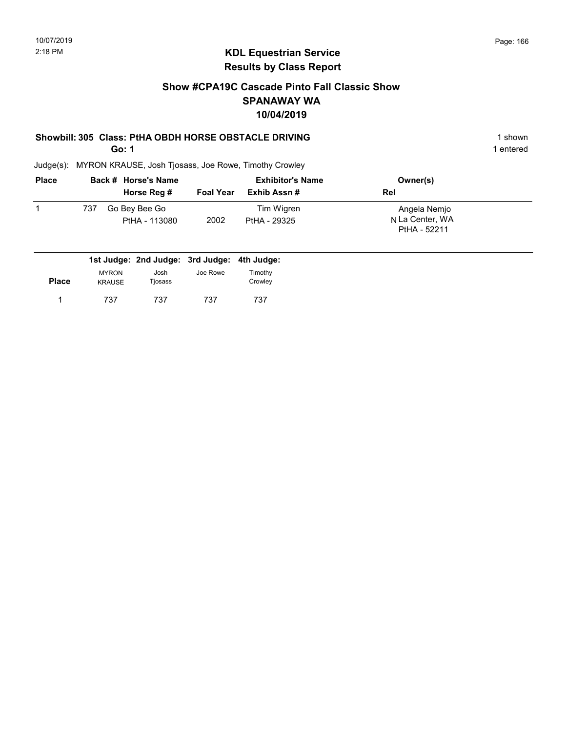### Show #CPA19C Cascade Pinto Fall Classic Show SPANAWAY WA 10/04/2019

#### Showbill: 305 Class: PtHA OBDH HORSE OBSTACLE DRIVING 1 Shown 1 shown

Go: 1

1 entered

| <b>Place</b> |     | Back # Horse's Name            |                  | <b>Exhibitor's Name</b>    | Owner(s)                                        |
|--------------|-----|--------------------------------|------------------|----------------------------|-------------------------------------------------|
|              |     | Horse Reg #                    | <b>Foal Year</b> | Exhib Assn #               | Rel                                             |
|              | 737 | Go Bey Bee Go<br>PtHA - 113080 | 2002             | Tim Wigren<br>PtHA - 29325 | Angela Nemjo<br>N La Center, WA<br>PtHA - 52211 |

|              |                               | 1st Judge: 2nd Judge: 3rd Judge: 4th Judge: |          |                    |
|--------------|-------------------------------|---------------------------------------------|----------|--------------------|
| <b>Place</b> | <b>MYRON</b><br><b>KRAUSE</b> | Josh<br>Tjosass                             | Joe Rowe | Timothy<br>Crowley |
|              | 737                           | 737                                         | 737      | 737                |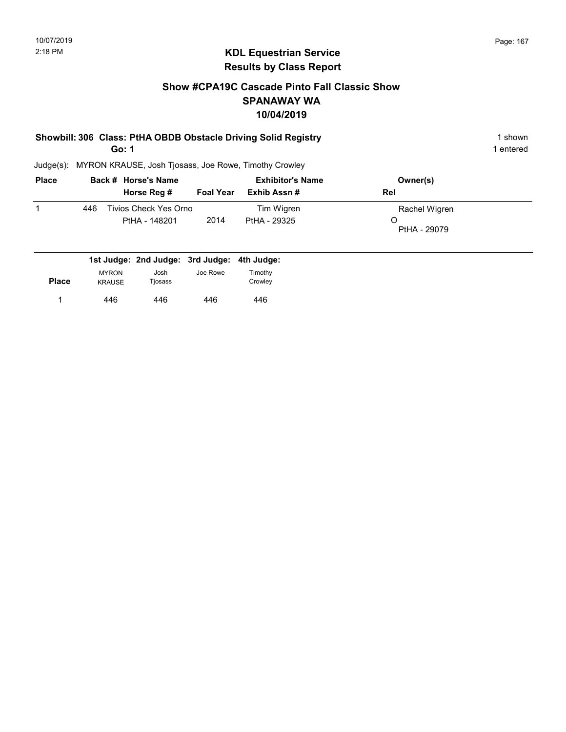# Show #CPA19C Cascade Pinto Fall Classic Show SPANAWAY WA 10/04/2019

#### Showbill: 306 Class: PtHA OBDB Obstacle Driving Solid Registry 1 Shown 1 shown Go: 1

1 entered

| <b>Place</b> |     | Back # Horse's Name                    | <b>Exhibitor's Name</b> |                            | Owner(s)                           |
|--------------|-----|----------------------------------------|-------------------------|----------------------------|------------------------------------|
|              |     | Horse Reg #                            | <b>Foal Year</b>        | Exhib Assn #               | Rel                                |
|              | 446 | Tivios Check Yes Orno<br>PtHA - 148201 | 2014                    | Tim Wigren<br>PtHA - 29325 | Rachel Wigren<br>O<br>PtHA - 29079 |

|              |                               |                 | 1st Judge: 2nd Judge: 3rd Judge: 4th Judge: |                    |
|--------------|-------------------------------|-----------------|---------------------------------------------|--------------------|
| <b>Place</b> | <b>MYRON</b><br><b>KRAUSE</b> | Josh<br>Tjosass | Joe Rowe                                    | Timothy<br>Crowley |
|              | 446                           | 446             | 446                                         | 446                |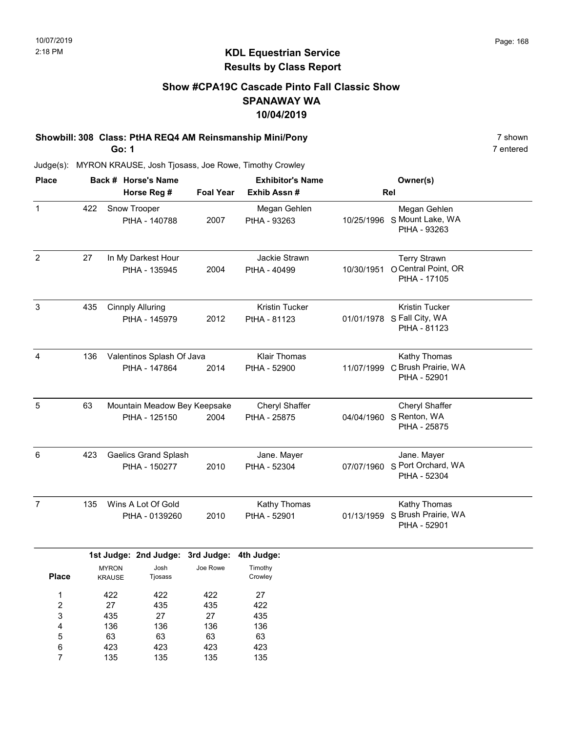# KDL Equestrian Service Results by Class Report

# Show #CPA19C Cascade Pinto Fall Classic Show SPANAWAY WA 10/04/2019

# Showbill: 308 Class: PtHA REQ4 AM Reinsmanship Mini/Pony 75 Shown 7 shown

Go: 1

135

7

135

135

135

| <b>Place</b>                         |     |                               | Back # Horse's Name                           |                               | <b>Exhibitor's Name</b>             | Owner(s)   |                                                                     |  |
|--------------------------------------|-----|-------------------------------|-----------------------------------------------|-------------------------------|-------------------------------------|------------|---------------------------------------------------------------------|--|
|                                      |     |                               | Horse Reg #                                   | <b>Foal Year</b>              | Exhib Assn #                        |            | Rel                                                                 |  |
| $\mathbf{1}$                         | 422 | Snow Trooper                  | PtHA - 140788                                 | 2007                          | Megan Gehlen<br>PtHA - 93263        |            | Megan Gehlen<br>10/25/1996 S Mount Lake, WA<br>PtHA - 93263         |  |
| $\overline{2}$                       | 27  |                               | In My Darkest Hour<br>PtHA - 135945           | 2004                          | Jackie Strawn<br>PtHA - 40499       | 10/30/1951 | <b>Terry Strawn</b><br>O Central Point, OR<br>PtHA - 17105          |  |
| $\mathbf{3}$                         | 435 |                               | <b>Cinnply Alluring</b><br>PtHA - 145979      | 2012                          | Kristin Tucker<br>PtHA - 81123      |            | <b>Kristin Tucker</b><br>01/01/1978 S Fall City, WA<br>PtHA - 81123 |  |
| 4                                    | 136 |                               | Valentinos Splash Of Java<br>PtHA - 147864    | 2014                          | <b>Klair Thomas</b><br>PtHA - 52900 |            | Kathy Thomas<br>11/07/1999 C Brush Prairie, WA<br>PtHA - 52901      |  |
| 5                                    | 63  |                               | Mountain Meadow Bey Keepsake<br>PtHA - 125150 | 2004                          | Cheryl Shaffer<br>PtHA - 25875      |            | Cheryl Shaffer<br>04/04/1960 S Renton, WA<br>PtHA - 25875           |  |
| $6\,$                                | 423 |                               | <b>Gaelics Grand Splash</b><br>PtHA - 150277  | 2010                          | Jane. Mayer<br>PtHA - 52304         | 07/07/1960 | Jane. Mayer<br>S Port Orchard, WA<br>PtHA - 52304                   |  |
| $\overline{7}$                       | 135 |                               | Wins A Lot Of Gold<br>PtHA - 0139260          | 2010                          | Kathy Thomas<br>PtHA - 52901        | 01/13/1959 | Kathy Thomas<br>S Brush Prairie, WA<br>PtHA - 52901                 |  |
|                                      |     |                               | 1st Judge: 2nd Judge: 3rd Judge:              |                               | 4th Judge:                          |            |                                                                     |  |
| <b>Place</b>                         |     | <b>MYRON</b><br><b>KRAUSE</b> | Josh<br>Tjosass                               | Joe Rowe                      | Timothy<br>Crowley                  |            |                                                                     |  |
| 1<br>$\boldsymbol{2}$<br>3<br>4<br>5 |     | 422<br>27<br>435<br>136<br>63 | 422<br>435<br>27<br>136<br>63                 | 422<br>435<br>27<br>136<br>63 | 27<br>422<br>435<br>136<br>63       |            |                                                                     |  |
| 6                                    |     | 423                           | 423                                           | 423                           | 423                                 |            |                                                                     |  |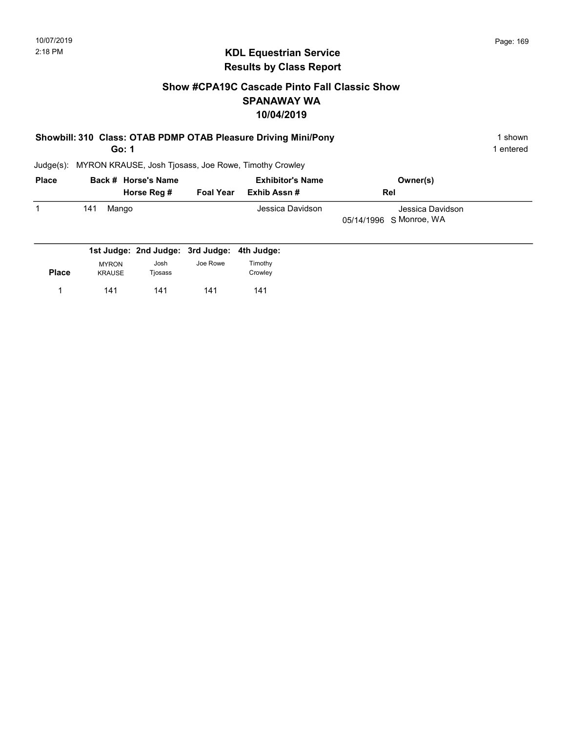# Show #CPA19C Cascade Pinto Fall Classic Show SPANAWAY WA 10/04/2019

|  | Showbill: 310 Class: OTAB PDMP OTAB Pleasure Driving Mini/Pony | 1 shown |
|--|----------------------------------------------------------------|---------|
|  |                                                                |         |

Go: 1

1 entered

| <b>Place</b> | Back # Horse's Name |                  | <b>Exhibitor's Name</b> | Owner(s)                                    |
|--------------|---------------------|------------------|-------------------------|---------------------------------------------|
|              | Horse Reg #         | <b>Foal Year</b> | Exhib Assn #            | Rel                                         |
|              | 141<br>Mango        |                  | Jessica Davidson        | Jessica Davidson<br>05/14/1996 S Monroe, WA |
|              |                     |                  |                         |                                             |

|              |               |         | 1st Judge: 2nd Judge: 3rd Judge: 4th Judge: |         |
|--------------|---------------|---------|---------------------------------------------|---------|
|              | <b>MYRON</b>  | Josh    | Joe Rowe                                    | Timothy |
| <b>Place</b> | <b>KRAUSE</b> | Tjosass |                                             | Crowley |
|              | 141           | 141     | 141                                         | 141     |
|              |               |         |                                             |         |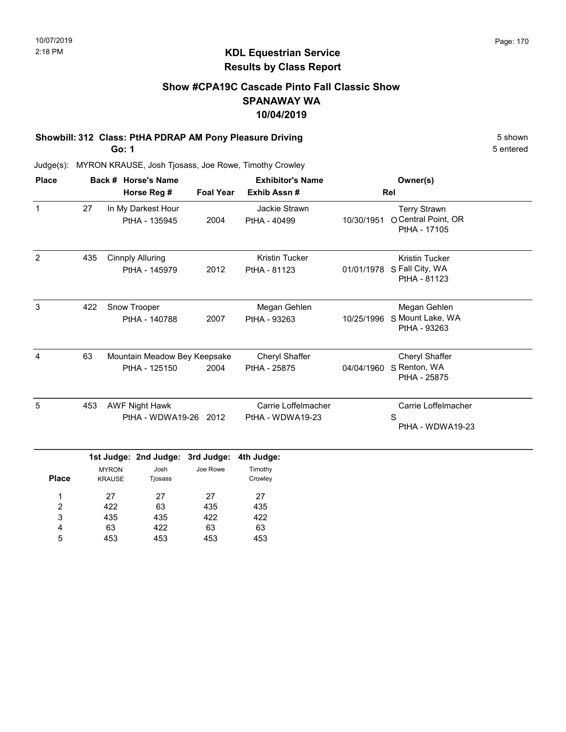# Show #CPA19C Cascade Pinto Fall Classic Show SPANAWAY WA 10/04/2019

# Showbill: 312 Class: PtHA PDRAP AM Pony Pleasure Driving 6 Shown 5 shown

Go: 1

435 63 453

3 4 5 435 422 453 422 63 453 422 63 453 5 entered

| <b>Place</b>        | Back # Horse's Name              |                               |                                                |                  | <b>Exhibitor's Name</b>                 |            | Owner(s)                                                   |  |
|---------------------|----------------------------------|-------------------------------|------------------------------------------------|------------------|-----------------------------------------|------------|------------------------------------------------------------|--|
|                     | Horse Reg #                      |                               |                                                | <b>Foal Year</b> | Exhib Assn#                             |            | Rel                                                        |  |
| $\mathbf{1}$        | 27                               |                               | In My Darkest Hour<br>PtHA - 135945            | 2004             | Jackie Strawn<br>PtHA - 40499           | 10/30/1951 | <b>Terry Strawn</b><br>O Central Point, OR<br>PtHA - 17105 |  |
| $\overline{2}$      | 435                              |                               | <b>Cinnply Alluring</b><br>PtHA - 145979       | 2012             | <b>Kristin Tucker</b><br>PtHA - 81123   | 01/01/1978 | <b>Kristin Tucker</b><br>S Fall City, WA<br>PtHA - 81123   |  |
| 3                   | 422                              |                               | Snow Trooper<br>PtHA - 140788                  | 2007             | Megan Gehlen<br>PtHA - 93263            | 10/25/1996 | Megan Gehlen<br>S Mount Lake, WA<br>PtHA - 93263           |  |
| 4                   | 63                               |                               | Mountain Meadow Bey Keepsake<br>PtHA - 125150  | 2004             | Cheryl Shaffer<br>PtHA - 25875          | 04/04/1960 | Cheryl Shaffer<br>S Renton, WA<br>PtHA - 25875             |  |
| 5                   | 453                              |                               | <b>AWF Night Hawk</b><br>PtHA - WDWA19-26 2012 |                  | Carrie Loffelmacher<br>PtHA - WDWA19-23 |            | Carrie Loffelmacher<br>S<br>PtHA - WDWA19-23               |  |
|                     | 1st Judge: 2nd Judge: 3rd Judge: |                               |                                                | 4th Judge:       |                                         |            |                                                            |  |
| <b>Place</b>        |                                  | <b>MYRON</b><br><b>KRAUSE</b> | Josh<br>Tjosass                                | Joe Rowe         | Timothy<br>Crowley                      |            |                                                            |  |
| 1<br>$\overline{2}$ |                                  | 27<br>422                     | 27<br>63                                       | 27<br>435        | 27<br>435                               |            |                                                            |  |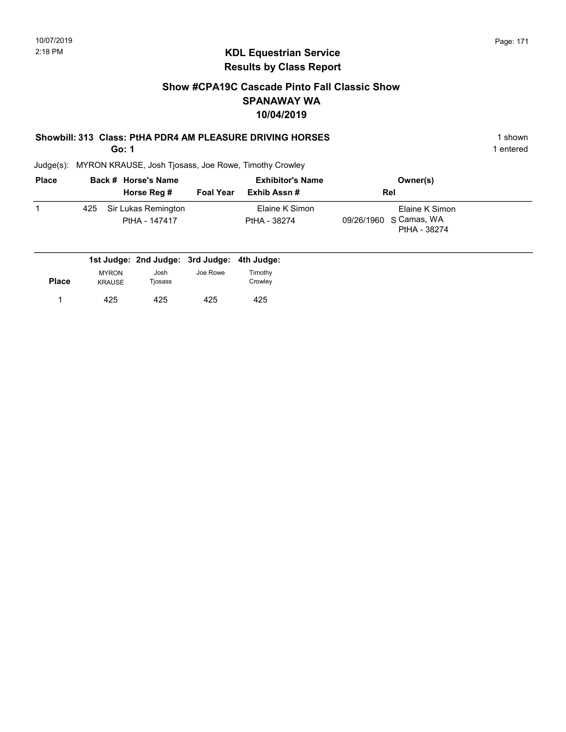# Show #CPA19C Cascade Pinto Fall Classic Show SPANAWAY WA 10/04/2019

#### Showbill: 313 Class: PtHA PDR4 AM PLEASURE DRIVING HORSES 1 shown

Go: 1

1 entered

| <b>Place</b> |     | Back # Horse's Name                  | <b>Exhibitor's Name</b> |                                | Owner(s)                                                 |  |
|--------------|-----|--------------------------------------|-------------------------|--------------------------------|----------------------------------------------------------|--|
|              |     | Horse Reg #                          | <b>Foal Year</b>        | Exhib Assn #                   | <b>Rel</b>                                               |  |
|              | 425 | Sir Lukas Remington<br>PtHA - 147417 |                         | Elaine K Simon<br>PtHA - 38274 | Elaine K Simon<br>09/26/1960 S Camas, WA<br>PtHA - 38274 |  |

|              |               | 1st Judge: 2nd Judge: 3rd Judge: 4th Judge: |          |         |
|--------------|---------------|---------------------------------------------|----------|---------|
|              | <b>MYRON</b>  | Josh                                        | Joe Rowe | Timothy |
| <b>Place</b> | <b>KRAUSE</b> | Tiosass                                     |          | Crowley |
|              | 425           | 425                                         | 425      | 425     |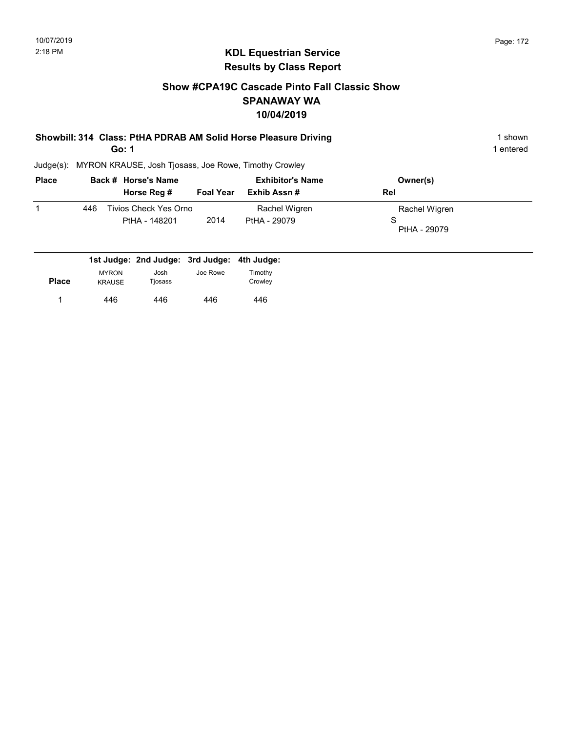# Show #CPA19C Cascade Pinto Fall Classic Show SPANAWAY WA 10/04/2019

#### Showbill: 314 Class: PtHA PDRAB AM Solid Horse Pleasure Driving 1 Shown 1 shown Go: 1

1 entered

| <b>Place</b> |     | Back # Horse's Name                    |                  | <b>Exhibitor's Name</b>       | Owner(s)                           |
|--------------|-----|----------------------------------------|------------------|-------------------------------|------------------------------------|
|              |     | Horse Reg #                            | <b>Foal Year</b> | Exhib Assn #                  | <b>Rel</b>                         |
|              | 446 | Tivios Check Yes Orno<br>PtHA - 148201 | 2014             | Rachel Wigren<br>PtHA - 29079 | Rachel Wigren<br>S<br>PtHA - 29079 |

|              |                               | 1st Judge: 2nd Judge: 3rd Judge: 4th Judge: |          |                    |
|--------------|-------------------------------|---------------------------------------------|----------|--------------------|
| <b>Place</b> | <b>MYRON</b><br><b>KRAUSE</b> | Josh<br>Tjosass                             | Joe Rowe | Timothy<br>Crowley |
|              | 446                           | 446                                         | 446      | 446                |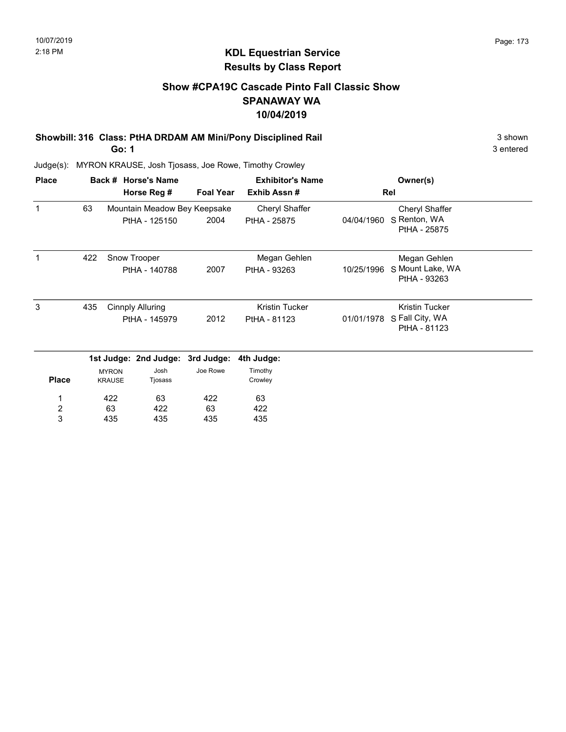# Show #CPA19C Cascade Pinto Fall Classic Show SPANAWAY WA 10/04/2019

Showbill: 316 Class: PtHA DRDAM AM Mini/Pony Disciplined Rail 3 Shown 3 shown

Go: 1

3 entered

| <b>Place</b>            |     |                               | Back # Horse's Name              |                  | <b>Exhibitor's Name</b> |            | Owner(s)                         |  |
|-------------------------|-----|-------------------------------|----------------------------------|------------------|-------------------------|------------|----------------------------------|--|
|                         |     |                               | Horse Reg #                      | <b>Foal Year</b> | Exhib Assn#             |            | Rel                              |  |
| 1                       | 63  |                               | Mountain Meadow Bey Keepsake     |                  | Cheryl Shaffer          |            | Cheryl Shaffer                   |  |
|                         |     |                               | PtHA - 125150                    | 2004             | PtHA - 25875            | 04/04/1960 | S Renton, WA<br>PtHA - 25875     |  |
|                         | 422 |                               | Snow Trooper                     |                  | Megan Gehlen            |            | Megan Gehlen                     |  |
|                         |     |                               | PtHA - 140788                    | 2007             | PtHA - 93263            | 10/25/1996 | S Mount Lake, WA<br>PtHA - 93263 |  |
| 3                       | 435 |                               | <b>Cinnply Alluring</b>          |                  | Kristin Tucker          |            | Kristin Tucker                   |  |
|                         |     |                               | PtHA - 145979                    | 2012             | PtHA - 81123            | 01/01/1978 | S Fall City, WA<br>PtHA - 81123  |  |
|                         |     |                               | 1st Judge: 2nd Judge: 3rd Judge: |                  | 4th Judge:              |            |                                  |  |
| <b>Place</b>            |     | <b>MYRON</b><br><b>KRAUSE</b> | Josh<br>Tjosass                  | Joe Rowe         | Timothy<br>Crowley      |            |                                  |  |
| 1                       |     | 422                           | 63                               | 422              | 63                      |            |                                  |  |
| $\overline{\mathbf{c}}$ |     | 63                            | 422                              | 63               | 422                     |            |                                  |  |
| 3                       |     | 435                           | 435                              | 435              | 435                     |            |                                  |  |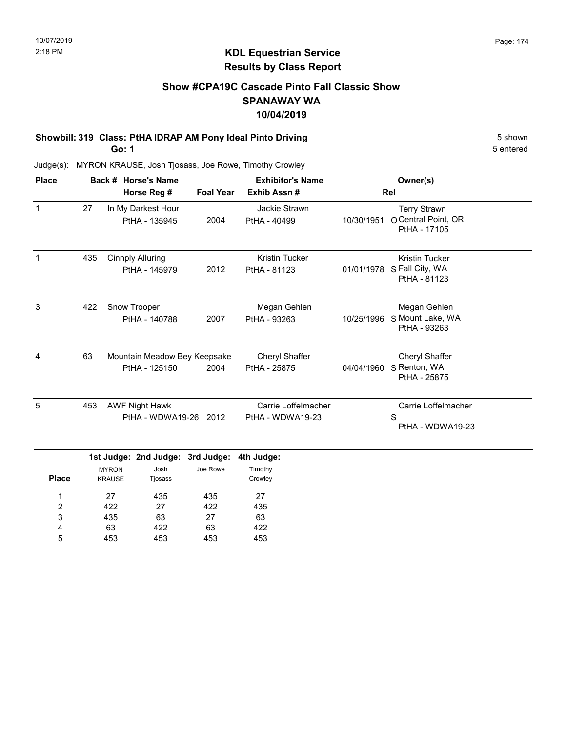# KDL Equestrian Service Results by Class Report

# Show #CPA19C Cascade Pinto Fall Classic Show SPANAWAY WA 10/04/2019

# Showbill: 319 Class: PtHA IDRAP AM Pony Ideal Pinto Driving 6 Shown 5 shown

Go: 1

| <b>Place</b> |     | Back # Horse's Name                                                                  |                  | <b>Exhibitor's Name</b>                 |            | Owner(s)                                                   |
|--------------|-----|--------------------------------------------------------------------------------------|------------------|-----------------------------------------|------------|------------------------------------------------------------|
|              |     | Horse Reg #                                                                          | <b>Foal Year</b> | Exhib Assn#                             |            | Rel                                                        |
| $\mathbf{1}$ | 27  | In My Darkest Hour<br>PtHA - 135945                                                  | 2004             | Jackie Strawn<br>PtHA - 40499           | 10/30/1951 | <b>Terry Strawn</b><br>O Central Point, OR<br>PtHA - 17105 |
| 1            | 435 | <b>Cinnply Alluring</b><br>PtHA - 145979                                             | 2012             | <b>Kristin Tucker</b><br>PtHA - 81123   | 01/01/1978 | <b>Kristin Tucker</b><br>S Fall City, WA<br>PtHA - 81123   |
| 3            | 422 | Snow Trooper<br>PtHA - 140788                                                        | 2007             | Megan Gehlen<br>PtHA - 93263            | 10/25/1996 | Megan Gehlen<br>S Mount Lake, WA<br>PtHA - 93263           |
| 4            | 63  | Mountain Meadow Bey Keepsake<br>PtHA - 125150                                        | 2004             | Cheryl Shaffer<br>PtHA - 25875          | 04/04/1960 | Cheryl Shaffer<br>S Renton, WA<br>PtHA - 25875             |
| 5            | 453 | <b>AWF Night Hawk</b><br>PtHA - WDWA19-26 2012                                       |                  | Carrie Loffelmacher<br>PtHA - WDWA19-23 |            | Carrie Loffelmacher<br>S<br>PtHA - WDWA19-23               |
| <b>Place</b> |     | 1st Judge: 2nd Judge: 3rd Judge:<br>Josh<br><b>MYRON</b><br><b>KRAUSE</b><br>Tjosass | Joe Rowe         | 4th Judge:<br>Timothy<br>Crowley        |            |                                                            |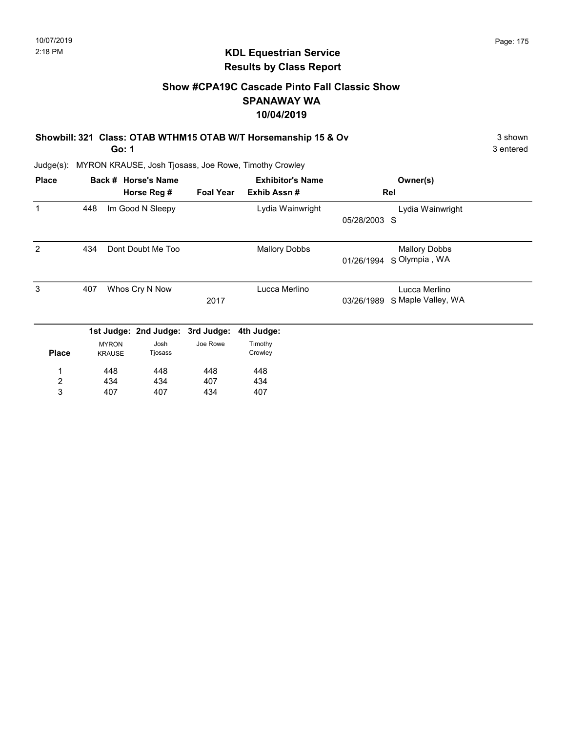# KDL Equestrian Service Results by Class Report

# Show #CPA19C Cascade Pinto Fall Classic Show SPANAWAY WA 10/04/2019

Showbill: 321 Class: OTAB WTHM15 OTAB W/T Horsemanship 15 & Ov 3 shown 3 shown Go: 1

| <b>Place</b>   |     |               | Back # Horse's Name              | <b>Exhibitor's Name</b> |                      |              |                      |  |
|----------------|-----|---------------|----------------------------------|-------------------------|----------------------|--------------|----------------------|--|
|                |     |               | Horse Reg #                      | <b>Foal Year</b>        | Exhib Assn#          |              | Rel                  |  |
| 1              | 448 |               | Im Good N Sleepy                 |                         | Lydia Wainwright     |              | Lydia Wainwright     |  |
|                |     |               |                                  |                         |                      | 05/28/2003 S |                      |  |
| 2              | 434 |               | Dont Doubt Me Too                |                         | <b>Mallory Dobbs</b> |              | <b>Mallory Dobbs</b> |  |
|                |     |               |                                  |                         |                      | 01/26/1994   | S Olympia, WA        |  |
| 3              | 407 |               | Whos Cry N Now                   |                         | Lucca Merlino        |              | Lucca Merlino        |  |
|                |     |               |                                  | 2017                    |                      | 03/26/1989   | S Maple Valley, WA   |  |
|                |     |               | 1st Judge: 2nd Judge: 3rd Judge: |                         | 4th Judge:           |              |                      |  |
|                |     | <b>MYRON</b>  | Josh                             | Joe Rowe                | Timothy              |              |                      |  |
| <b>Place</b>   |     | <b>KRAUSE</b> | Tjosass                          |                         | Crowley              |              |                      |  |
| 1              |     | 448           | 448                              | 448                     | 448                  |              |                      |  |
| $\overline{c}$ |     | 434           | 434                              | 407                     | 434                  |              |                      |  |
| 3              |     | 407           | 407                              | 434                     | 407                  |              |                      |  |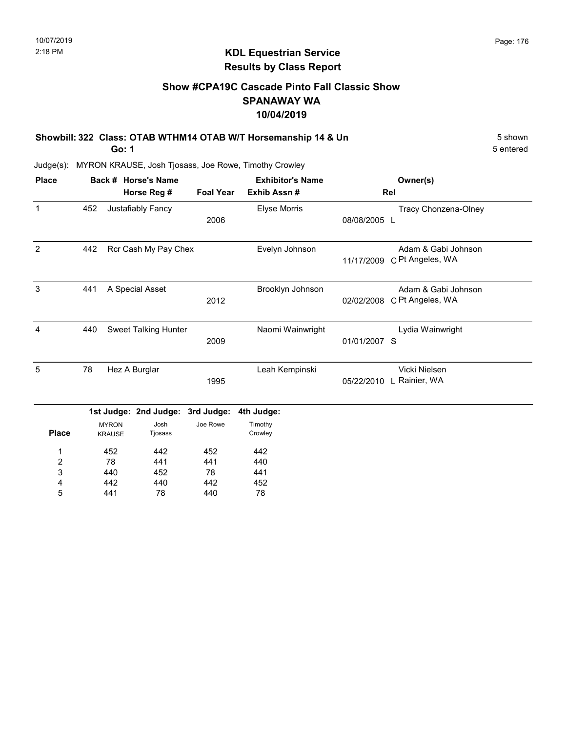# KDL Equestrian Service Results by Class Report

# Show #CPA19C Cascade Pinto Fall Classic Show SPANAWAY WA 10/04/2019

Showbill: 322 Class: OTAB WTHM14 OTAB W/T Horsemanship 14 & Un 5 Shown 5 shown Go: 1

| <b>Place</b>     |     |               | Back # Horse's Name         |                  | <b>Exhibitor's Name</b> |              | Owner(s)                 |
|------------------|-----|---------------|-----------------------------|------------------|-------------------------|--------------|--------------------------|
|                  |     |               | Horse Reg #                 | <b>Foal Year</b> | Exhib Assn#             |              | Rel                      |
| $\mathbf{1}$     | 452 |               | Justafiably Fancy           |                  | Elyse Morris            |              | Tracy Chonzena-Olney     |
|                  |     |               |                             | 2006             |                         | 08/08/2005 L |                          |
| $\overline{2}$   | 442 |               | Rcr Cash My Pay Chex        |                  | Evelyn Johnson          |              | Adam & Gabi Johnson      |
|                  |     |               |                             |                  |                         | 11/17/2009   | C Pt Angeles, WA         |
| 3                | 441 |               | A Special Asset             |                  | Brooklyn Johnson        |              | Adam & Gabi Johnson      |
|                  |     |               |                             | 2012             |                         | 02/02/2008   | C Pt Angeles, WA         |
| 4                | 440 |               | <b>Sweet Talking Hunter</b> |                  | Naomi Wainwright        |              | Lydia Wainwright         |
|                  |     |               |                             | 2009             |                         | 01/01/2007 S |                          |
| 5                | 78  |               | Hez A Burglar               |                  | Leah Kempinski          |              | Vicki Nielsen            |
|                  |     |               |                             | 1995             |                         |              | 05/22/2010 L Rainier, WA |
|                  |     |               | 1st Judge: 2nd Judge:       | 3rd Judge:       | 4th Judge:              |              |                          |
|                  |     | <b>MYRON</b>  | Josh                        | Joe Rowe         | Timothy                 |              |                          |
| <b>Place</b>     |     | <b>KRAUSE</b> | Tjosass                     |                  | Crowley                 |              |                          |
| 1                |     | 452           | 442                         | 452              | 442                     |              |                          |
| $\boldsymbol{2}$ |     | 78            | 441                         | 441              | 440                     |              |                          |
| 3                |     | 440           | 452                         | 78               | 441                     |              |                          |
| 4                |     | 442           | 440                         | 442              | 452                     |              |                          |
| 5                |     | 441           | 78                          | 440              | 78                      |              |                          |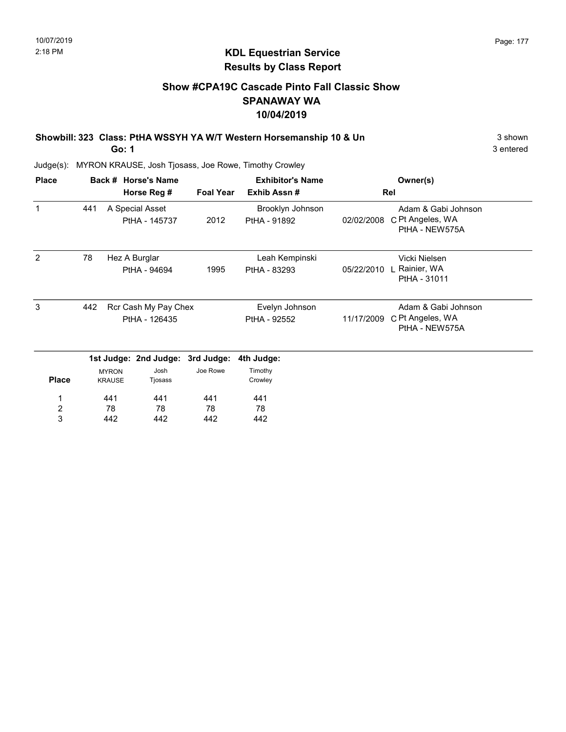# KDL Equestrian Service Results by Class Report

# Show #CPA19C Cascade Pinto Fall Classic Show SPANAWAY WA 10/04/2019

Showbill: 323 Class: PtHA WSSYH YA W/T Western Horsemanship 10 & Un 3 Shown 3 shown

Go: 1

| <b>Place</b>                 |     |                               | Back # Horse's Name              |                  | <b>Exhibitor's Name</b>          |            | Owner(s)                                                  |
|------------------------------|-----|-------------------------------|----------------------------------|------------------|----------------------------------|------------|-----------------------------------------------------------|
|                              |     |                               | Horse Reg #                      | <b>Foal Year</b> | Exhib Assn#                      |            | Rel                                                       |
| $\mathbf{1}$                 | 441 |                               | A Special Asset<br>PtHA - 145737 | 2012             | Brooklyn Johnson<br>PtHA - 91892 | 02/02/2008 | Adam & Gabi Johnson<br>C Pt Angeles, WA<br>PtHA - NEW575A |
| 2                            | 78  |                               | Hez A Burglar                    |                  | Leah Kempinski                   |            | Vicki Nielsen                                             |
|                              |     |                               | PtHA - 94694                     | 1995             | PtHA - 83293                     | 05/22/2010 | Rainier, WA<br>PtHA - 31011                               |
| 3                            | 442 |                               | Rcr Cash My Pay Chex             |                  | Evelyn Johnson                   |            | Adam & Gabi Johnson                                       |
|                              |     |                               | PtHA - 126435                    |                  | PtHA - 92552                     | 11/17/2009 | C Pt Angeles, WA<br>PtHA - NEW575A                        |
|                              |     |                               | 1st Judge: 2nd Judge: 3rd Judge: |                  | 4th Judge:                       |            |                                                           |
| <b>Place</b>                 |     | <b>MYRON</b><br><b>KRAUSE</b> | Josh<br>Tjosass                  | Joe Rowe         | Timothy<br>Crowley               |            |                                                           |
| 1                            |     | 441                           | 441                              | 441              | 441                              |            |                                                           |
| $\overline{\mathbf{c}}$<br>3 |     | 78<br>442                     | 78<br>442                        | 78<br>442        | 78<br>442                        |            |                                                           |
|                              |     |                               |                                  |                  |                                  |            |                                                           |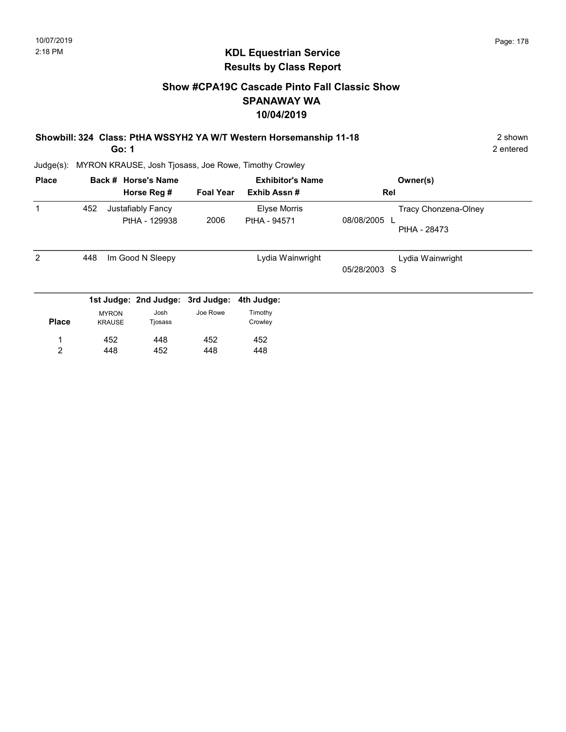# Show #CPA19C Cascade Pinto Fall Classic Show SPANAWAY WA 10/04/2019

| Showbill: 324 Class: PtHA WSSYH2 YA W/T Western Horsemanship 11-18 | 2 shown |
|--------------------------------------------------------------------|---------|
|                                                                    |         |

Go: 1

2 entered

| <b>Place</b> |     |                               | Back # Horse's Name                | <b>Exhibitor's Name</b> |                              | Owner(s)                                           |
|--------------|-----|-------------------------------|------------------------------------|-------------------------|------------------------------|----------------------------------------------------|
|              |     |                               | Horse Reg #                        | <b>Foal Year</b>        | Exhib Assn#                  | Rel                                                |
| 1            | 452 |                               | Justafiably Fancy<br>PtHA - 129938 | 2006                    | Elyse Morris<br>PtHA - 94571 | Tracy Chonzena-Olney<br>08/08/2005<br>PtHA - 28473 |
| 2            | 448 |                               | Im Good N Sleepy                   |                         | Lydia Wainwright             | Lydia Wainwright<br>05/28/2003 S                   |
|              |     |                               | 1st Judge: 2nd Judge: 3rd Judge:   |                         | 4th Judge:                   |                                                    |
| <b>Place</b> |     | <b>MYRON</b><br><b>KRAUSE</b> | Josh<br>Tjosass                    | Joe Rowe                | Timothy<br>Crowley           |                                                    |
|              |     | 452                           | 448                                | 452                     | 452                          |                                                    |
| 2            |     | 448                           | 452                                | 448                     | 448                          |                                                    |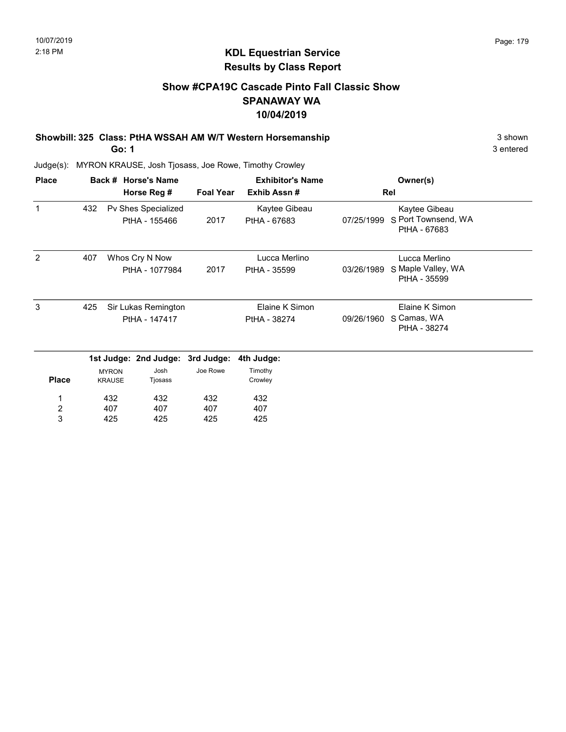# Show #CPA19C Cascade Pinto Fall Classic Show SPANAWAY WA 10/04/2019

Showbill: 325 Class: PtHA WSSAH AM W/T Western Horsemanship 3 Shown 3 shown

Go: 1

3 entered

| <b>Place</b>          |     | Back # Horse's Name           |                                      |                  | <b>Exhibitor's Name</b>        |            | Owner(s)                                             |
|-----------------------|-----|-------------------------------|--------------------------------------|------------------|--------------------------------|------------|------------------------------------------------------|
|                       |     |                               | Horse Reg #                          | <b>Foal Year</b> | Exhib Assn#                    |            | Rel                                                  |
| 1                     | 432 |                               | Pv Shes Specialized<br>PtHA - 155466 | 2017             | Kaytee Gibeau<br>PtHA - 67683  | 07/25/1999 | Kaytee Gibeau<br>S Port Townsend, WA<br>PtHA - 67683 |
| 2                     | 407 |                               | Whos Cry N Now<br>PtHA - 1077984     | 2017             | Lucca Merlino<br>PtHA - 35599  | 03/26/1989 | Lucca Merlino<br>S Maple Valley, WA<br>PtHA - 35599  |
| 3                     | 425 |                               | Sir Lukas Remington<br>PtHA - 147417 |                  | Elaine K Simon<br>PtHA - 38274 | 09/26/1960 | Elaine K Simon<br>S Camas, WA<br>PtHA - 38274        |
|                       |     |                               | 1st Judge: 2nd Judge: 3rd Judge:     |                  | 4th Judge:                     |            |                                                      |
| <b>Place</b>          |     | <b>MYRON</b><br><b>KRAUSE</b> | Josh<br>Tjosass                      | Joe Rowe         | Timothy<br>Crowley             |            |                                                      |
| 1                     |     | 432                           | 432                                  | 432              | 432                            |            |                                                      |
| $\boldsymbol{2}$<br>3 |     | 407                           | 407                                  | 407              | 407                            |            |                                                      |
|                       |     | 425                           | 425                                  | 425              | 425                            |            |                                                      |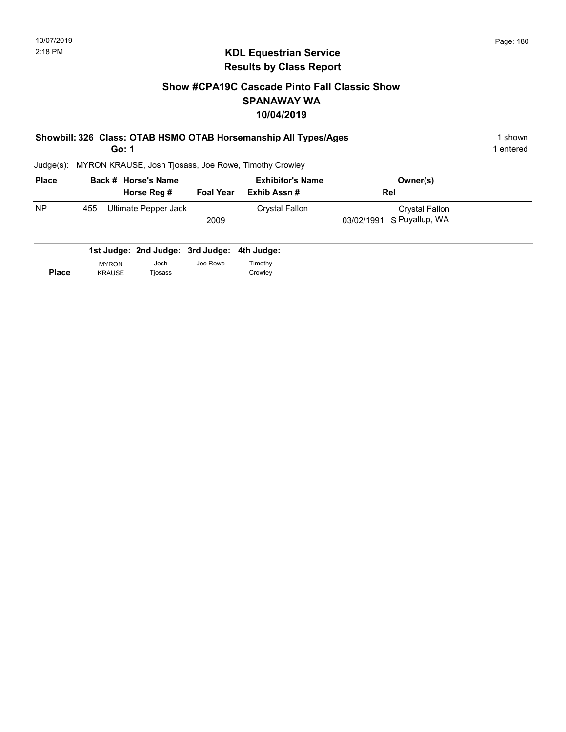# KDL Equestrian Service Results by Class Report

# Show #CPA19C Cascade Pinto Fall Classic Show SPANAWAY WA 10/04/2019

| Showbill: 326 Class: OTAB HSMO OTAB Horsemanship All Types/Ages | 1 shown   |
|-----------------------------------------------------------------|-----------|
| Go: 1                                                           | 1 entered |

| <b>Place</b> |     | Back # Horse's Name  |                  | <b>Exhibitor's Name</b> | Owner(s)                  |  |
|--------------|-----|----------------------|------------------|-------------------------|---------------------------|--|
|              |     | Horse Reg #          | <b>Foal Year</b> | Exhib Assn #            | Rel                       |  |
| <b>NP</b>    | 455 | Ultimate Pepper Jack |                  | Crystal Fallon          | Crystal Fallon            |  |
|              |     |                      | 2009             |                         | 03/02/1991 S Puyallup, WA |  |
|              |     |                      |                  |                         |                           |  |

|              |               | 1st Judge: 2nd Judge: 3rd Judge: 4th Judge: |          |         |
|--------------|---------------|---------------------------------------------|----------|---------|
|              | <b>MYRON</b>  | Josh                                        | Joe Rowe | Timothy |
| <b>Place</b> | <b>KRAUSE</b> | Tiosass                                     |          | Crowley |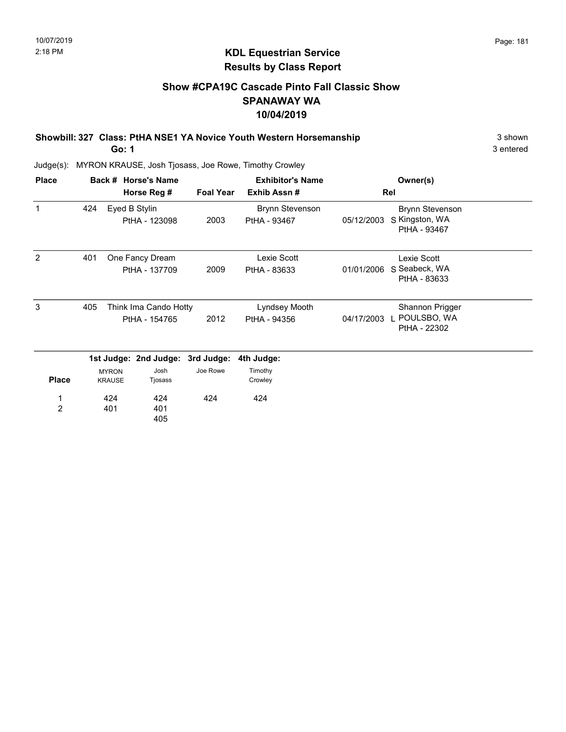### Show #CPA19C Cascade Pinto Fall Classic Show SPANAWAY WA 10/04/2019

Showbill: 327 Class: PtHA NSE1 YA Novice Youth Western Horsemanship 3 Shown 3 shown Go: 1

3 entered

| <b>Place</b>        |     |                               | Back # Horse's Name                    |                  | <b>Exhibitor's Name</b>                |            | Owner(s)                                                 |  |
|---------------------|-----|-------------------------------|----------------------------------------|------------------|----------------------------------------|------------|----------------------------------------------------------|--|
|                     |     |                               | Horse Reg #                            | <b>Foal Year</b> | Exhib Assn#                            |            | Rel                                                      |  |
| 1                   | 424 |                               | Eyed B Stylin<br>PtHA - 123098         | 2003             | <b>Brynn Stevenson</b><br>PtHA - 93467 | 05/12/2003 | <b>Brynn Stevenson</b><br>S Kingston, WA<br>PtHA - 93467 |  |
| 2                   | 401 |                               | One Fancy Dream<br>PtHA - 137709       | 2009             | Lexie Scott<br>PtHA - 83633            | 01/01/2006 | Lexie Scott<br>S Seabeck, WA<br>PtHA - 83633             |  |
| 3                   | 405 |                               | Think Ima Cando Hotty<br>PtHA - 154765 | 2012             | Lyndsey Mooth<br>PtHA - 94356          | 04/17/2003 | Shannon Prigger<br>POULSBO, WA<br>PtHA - 22302           |  |
|                     |     |                               | 1st Judge: 2nd Judge: 3rd Judge:       |                  | 4th Judge:                             |            |                                                          |  |
| <b>Place</b>        |     | <b>MYRON</b><br><b>KRAUSE</b> | Josh<br>Tjosass                        | Joe Rowe         | Timothy<br>Crowley                     |            |                                                          |  |
| 1<br>$\overline{2}$ |     | 424<br>401                    | 424<br>401<br>405                      | 424              | 424                                    |            |                                                          |  |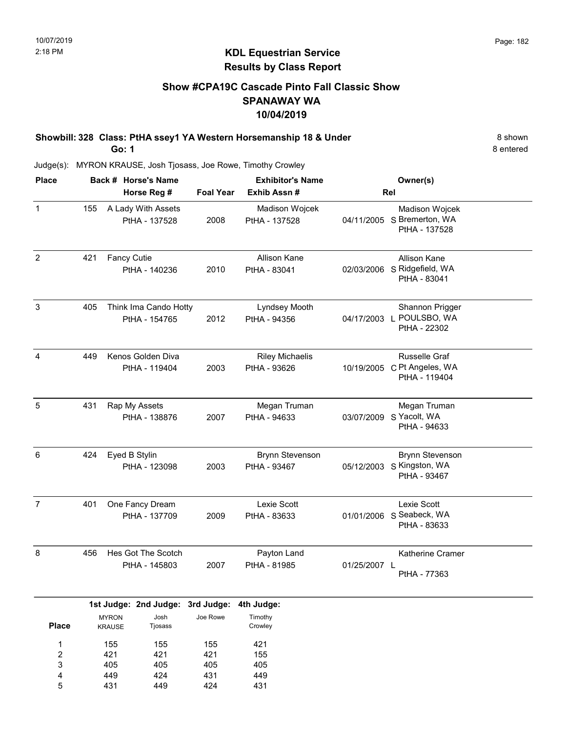### Show #CPA19C Cascade Pinto Fall Classic Show SPANAWAY WA 10/04/2019

Showbill: 328 Class: PtHA ssey1 YA Western Horsemanship 18 & Under 8 Shown 8 shown Go: 1

8 entered

Judge(s): MYRON KRAUSE, Josh Tjosass, Joe Rowe, Timothy Crowley

| <b>Place</b>   |     |                               | Back # Horse's Name                    |                  | <b>Exhibitor's Name</b>                |              | Owner(s)                                                            |
|----------------|-----|-------------------------------|----------------------------------------|------------------|----------------------------------------|--------------|---------------------------------------------------------------------|
|                |     |                               | Horse Reg #                            | <b>Foal Year</b> | Exhib Assn #                           |              | Rel                                                                 |
| $\mathbf{1}$   | 155 |                               | A Lady With Assets<br>PtHA - 137528    | 2008             | Madison Wojcek<br>PtHA - 137528        |              | Madison Wojcek<br>04/11/2005 S Bremerton, WA<br>PtHA - 137528       |
| $\sqrt{2}$     | 421 | <b>Fancy Cutie</b>            | PtHA - 140236                          | 2010             | Allison Kane<br>PtHA - 83041           |              | Allison Kane<br>02/03/2006 S Ridgefield, WA<br>PtHA - 83041         |
| $\mathsf 3$    | 405 |                               | Think Ima Cando Hotty<br>PtHA - 154765 | 2012             | Lyndsey Mooth<br>PtHA - 94356          |              | Shannon Prigger<br>04/17/2003 L POULSBO, WA<br>PtHA - 22302         |
| 4              | 449 |                               | Kenos Golden Diva<br>PtHA - 119404     | 2003             | <b>Riley Michaelis</b><br>PtHA - 93626 |              | Russelle Graf<br>10/19/2005 C Pt Angeles, WA<br>PtHA - 119404       |
| 5              | 431 |                               | Rap My Assets<br>PtHA - 138876         | 2007             | Megan Truman<br>PtHA - 94633           |              | Megan Truman<br>03/07/2009 S Yacolt, WA<br>PtHA - 94633             |
| 6              | 424 |                               | Eyed B Stylin<br>PtHA - 123098         | 2003             | <b>Brynn Stevenson</b><br>PtHA - 93467 |              | <b>Brynn Stevenson</b><br>05/12/2003 S Kingston, WA<br>PtHA - 93467 |
| $\overline{7}$ | 401 |                               | One Fancy Dream<br>PtHA - 137709       | 2009             | Lexie Scott<br>PtHA - 83633            |              | Lexie Scott<br>01/01/2006 S Seabeck, WA<br>PtHA - 83633             |
| 8              | 456 |                               | Hes Got The Scotch<br>PtHA - 145803    | 2007             | Payton Land<br>PtHA - 81985            | 01/25/2007 L | Katherine Cramer<br>PtHA - 77363                                    |
|                |     |                               | 1st Judge: 2nd Judge: 3rd Judge:       |                  | 4th Judge:                             |              |                                                                     |
| <b>Place</b>   |     | <b>MYRON</b><br><b>KRAUSE</b> | Josh<br>Tjosass                        | Joe Rowe         | Timothy<br>Crowley                     |              |                                                                     |
| 1              |     | 155                           | 155                                    | 155              | 421                                    |              |                                                                     |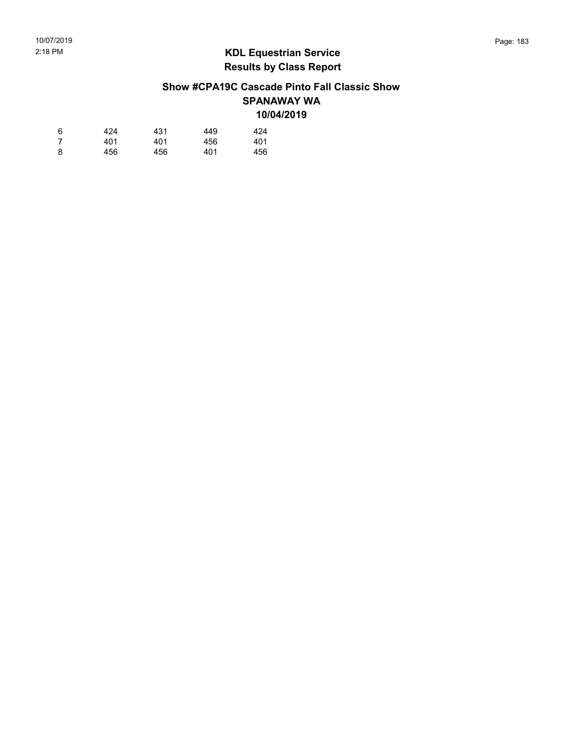### Show #CPA19C Cascade Pinto Fall Classic Show SPANAWAY WA 10/04/2019

| 6  | 424 | 431 | 449 | 424 |
|----|-----|-----|-----|-----|
| -7 | 401 | 401 | 456 | 401 |
| 8  | 456 | 456 | 401 | 456 |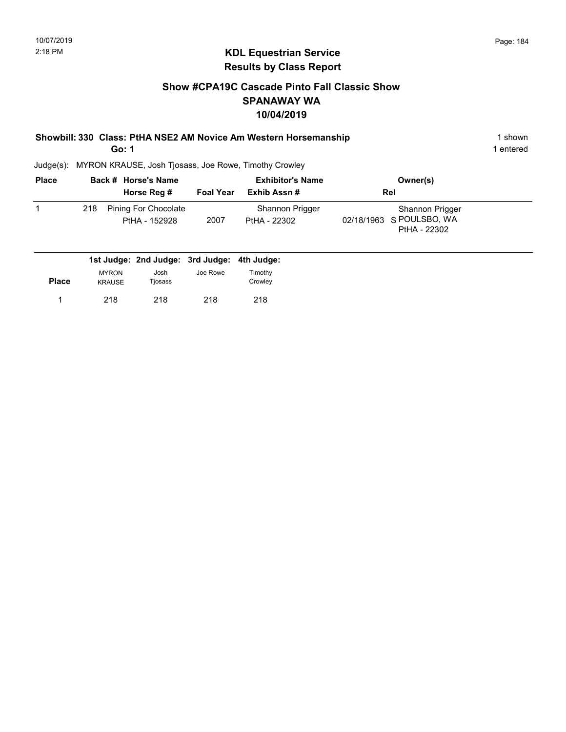### Show #CPA19C Cascade Pinto Fall Classic Show SPANAWAY WA 10/04/2019

| Showbill: 330 Class: PtHA NSE2 AM Novice Am Western Horsemanship | 1 shown   |
|------------------------------------------------------------------|-----------|
| Go: 1                                                            | 1 entered |

| <b>Place</b> |     | Back # Horse's Name<br>Horse Reg #           | <b>Foal Year</b> | <b>Exhibitor's Name</b><br>Exhib Assn# | Owner(s)<br><b>Rel</b>                                      |  |
|--------------|-----|----------------------------------------------|------------------|----------------------------------------|-------------------------------------------------------------|--|
|              | 218 | <b>Pining For Chocolate</b><br>PtHA - 152928 | 2007             | Shannon Prigger<br>PtHA - 22302        | Shannon Prigger<br>02/18/1963 S POULSBO, WA<br>PtHA - 22302 |  |

|              |                               | 1st Judge: 2nd Judge: 3rd Judge: 4th Judge: |          |                    |
|--------------|-------------------------------|---------------------------------------------|----------|--------------------|
| <b>Place</b> | <b>MYRON</b><br><b>KRAUSE</b> | Josh<br>Tjosass                             | Joe Rowe | Timothv<br>Crowley |
|              | 218                           | 218                                         | 218      | 218                |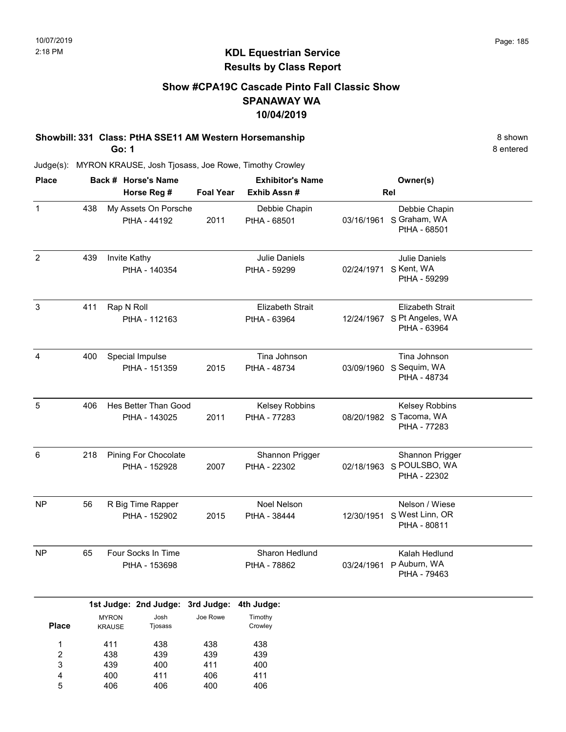### Show #CPA19C Cascade Pinto Fall Classic Show SPANAWAY WA 10/04/2019

# Showbill: 331 Class: PtHA SSE11 AM Western Horsemanship 8 shown

Go: 1

400 406

4 5 411 406 406 400 411 406 8 entered

| <b>Place</b>                                 |     |                               | Back # Horse's Name                          |                   | <b>Exhibitor's Name</b>                 |            | Owner(s)                                                        |
|----------------------------------------------|-----|-------------------------------|----------------------------------------------|-------------------|-----------------------------------------|------------|-----------------------------------------------------------------|
|                                              |     |                               | Horse Reg #                                  | <b>Foal Year</b>  | Exhib Assn#                             |            | <b>Rel</b>                                                      |
| $\mathbf 1$                                  | 438 |                               | My Assets On Porsche<br>PtHA - 44192         | 2011              | Debbie Chapin<br>PtHA - 68501           |            | Debbie Chapin<br>03/16/1961 S Graham, WA<br>PtHA - 68501        |
| $\overline{c}$                               | 439 | Invite Kathy                  | PtHA - 140354                                |                   | Julie Daniels<br>PtHA - 59299           | 02/24/1971 | Julie Daniels<br>S Kent, WA<br>PtHA - 59299                     |
| 3                                            | 411 | Rap N Roll                    | PtHA - 112163                                |                   | <b>Elizabeth Strait</b><br>PtHA - 63964 |            | Elizabeth Strait<br>12/24/1967 S Pt Angeles, WA<br>PtHA - 63964 |
| 4                                            | 400 |                               | Special Impulse<br>PtHA - 151359             | 2015              | Tina Johnson<br>PtHA - 48734            |            | Tina Johnson<br>03/09/1960 S Sequim, WA<br>PtHA - 48734         |
| 5                                            | 406 |                               | Hes Better Than Good<br>PtHA - 143025        | 2011              | Kelsey Robbins<br>PtHA - 77283          |            | Kelsey Robbins<br>08/20/1982 S Tacoma, WA<br>PtHA - 77283       |
| 6                                            | 218 |                               | <b>Pining For Chocolate</b><br>PtHA - 152928 | 2007              | Shannon Prigger<br>PtHA - 22302         | 02/18/1963 | Shannon Prigger<br>S POULSBO, WA<br>PtHA - 22302                |
| <b>NP</b>                                    | 56  |                               | R Big Time Rapper<br>PtHA - 152902           | 2015              | <b>Noel Nelson</b><br>PtHA - 38444      | 12/30/1951 | Nelson / Wiese<br>S West Linn, OR<br>PtHA - 80811               |
| <b>NP</b>                                    | 65  |                               | Four Socks In Time<br>PtHA - 153698          |                   | Sharon Hedlund<br>PtHA - 78862          | 03/24/1961 | Kalah Hedlund<br>P Auburn, WA<br>PtHA - 79463                   |
|                                              |     |                               | 1st Judge: 2nd Judge: 3rd Judge:             |                   | 4th Judge:                              |            |                                                                 |
| <b>Place</b>                                 |     | <b>MYRON</b><br><b>KRAUSE</b> | Josh<br>Tjosass                              | Joe Rowe          | Timothy<br>Crowley                      |            |                                                                 |
| $\mathbf{1}$<br>$\overline{\mathbf{c}}$<br>3 |     | 411<br>438<br>439             | 438<br>439<br>400                            | 438<br>439<br>411 | 438<br>439<br>400                       |            |                                                                 |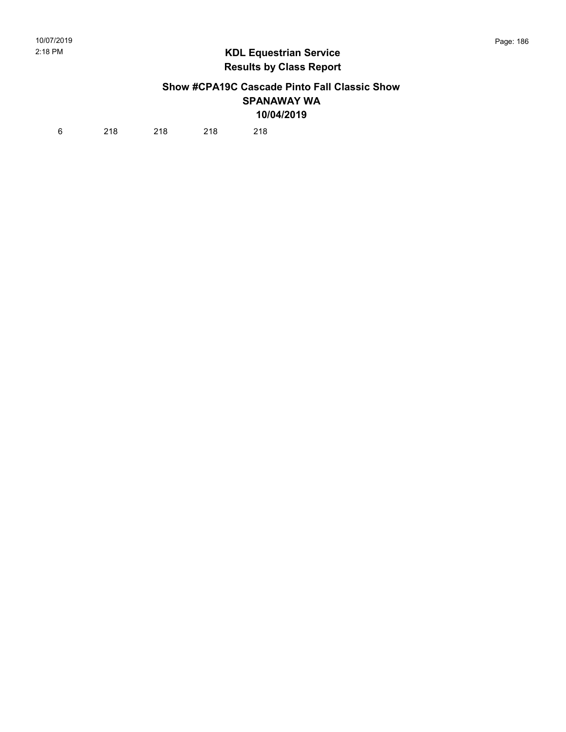### Show #CPA19C Cascade Pinto Fall Classic Show SPANAWAY WA 10/04/2019

6 218 218 218 218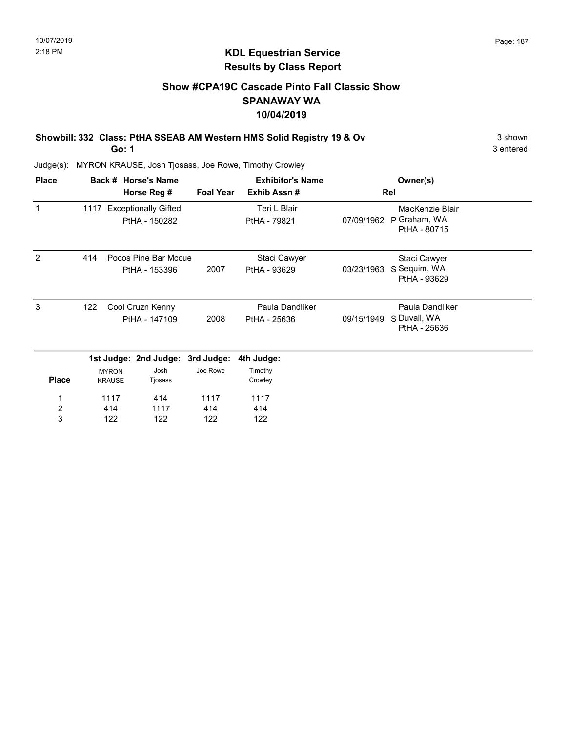### Show #CPA19C Cascade Pinto Fall Classic Show SPANAWAY WA 10/04/2019

Showbill: 332 Class: PtHA SSEAB AM Western HMS Solid Registry 19 & Ov 3 shown 3 shown

Go: 1

3 entered

| <b>Place</b> |     |                               | Back # Horse's Name                        |                  | <b>Exhibitor's Name</b>         |            | Owner(s)                                        |  |
|--------------|-----|-------------------------------|--------------------------------------------|------------------|---------------------------------|------------|-------------------------------------------------|--|
|              |     |                               | Horse Reg #                                | <b>Foal Year</b> | Exhib Assn#                     |            | Rel                                             |  |
| $\mathbf{1}$ |     |                               | 1117 Exceptionally Gifted<br>PtHA - 150282 |                  | Teri L Blair<br>PtHA - 79821    | 07/09/1962 | MacKenzie Blair<br>P Graham, WA<br>PtHA - 80715 |  |
| 2            | 414 |                               | Pocos Pine Bar Mccue<br>PtHA - 153396      | 2007             | Staci Cawyer<br>PtHA - 93629    | 03/23/1963 | Staci Cawyer<br>S Sequim, WA<br>PtHA - 93629    |  |
| 3            | 122 |                               | Cool Cruzn Kenny<br>PtHA - 147109          | 2008             | Paula Dandliker<br>PtHA - 25636 | 09/15/1949 | Paula Dandliker<br>S Duvall, WA<br>PtHA - 25636 |  |
|              |     |                               | 1st Judge: 2nd Judge: 3rd Judge:           |                  | 4th Judge:                      |            |                                                 |  |
| <b>Place</b> |     | <b>MYRON</b><br><b>KRAUSE</b> | Josh<br>Tjosass                            | Joe Rowe         | Timothy<br>Crowley              |            |                                                 |  |
| 1            |     | 1117                          | 414                                        | 1117             | 1117                            |            |                                                 |  |
| 2            |     | 414                           | 1117                                       | 414              | 414                             |            |                                                 |  |
| 3            |     | 122                           | 122                                        | 122              | 122                             |            |                                                 |  |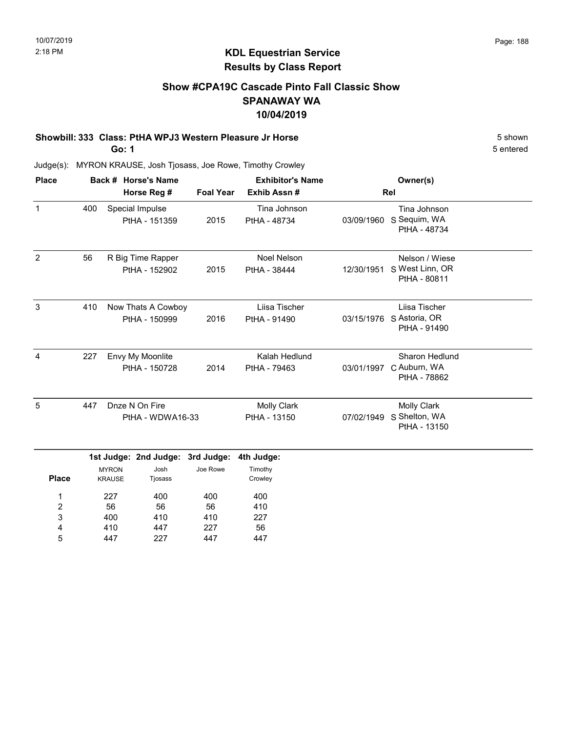### Show #CPA19C Cascade Pinto Fall Classic Show SPANAWAY WA 10/04/2019

## Showbill: 333 Class: PtHA WPJ3 Western Pleasure Jr Horse 5 Shown 5 shown

Go: 1

Judge(s): MYRON KRAUSE, Josh Tjosass, Joe Rowe, Timothy Crowley

| <b>Place</b>   |     | Back # Horse's Name                 |                  | <b>Exhibitor's Name</b>            | Owner(s)   |                                                     |  |
|----------------|-----|-------------------------------------|------------------|------------------------------------|------------|-----------------------------------------------------|--|
|                |     | Horse Reg #                         | <b>Foal Year</b> | Exhib Assn#                        | Rel        |                                                     |  |
| $\mathbf{1}$   | 400 | Special Impulse<br>PtHA - 151359    | 2015             | Tina Johnson<br>PtHA - 48734       | 03/09/1960 | Tina Johnson<br>S Sequim, WA<br>PtHA - 48734        |  |
| $\overline{2}$ | 56  | R Big Time Rapper<br>PtHA - 152902  | 2015             | <b>Noel Nelson</b><br>PtHA - 38444 | 12/30/1951 | Nelson / Wiese<br>S West Linn, OR<br>PtHA - 80811   |  |
| 3              | 410 | Now Thats A Cowboy<br>PtHA - 150999 | 2016             | Liisa Tischer<br>PtHA - 91490      | 03/15/1976 | Liisa Tischer<br>S Astoria, OR<br>PtHA - 91490      |  |
| 4              | 227 | Envy My Moonlite<br>PtHA - 150728   | 2014             | Kalah Hedlund<br>PtHA - 79463      | 03/01/1997 | Sharon Hedlund<br>C Auburn, WA<br>PtHA - 78862      |  |
| 5              | 447 | Dnze N On Fire<br>PtHA - WDWA16-33  |                  | <b>Molly Clark</b><br>PtHA - 13150 | 07/02/1949 | <b>Molly Clark</b><br>S Shelton, WA<br>PtHA - 13150 |  |

|              |                               | . .             | . .      |                    |
|--------------|-------------------------------|-----------------|----------|--------------------|
| <b>Place</b> | <b>MYRON</b><br><b>KRAUSE</b> | Josh<br>Tjosass | Joe Rowe | Timothy<br>Crowley |
| 1            | 227                           | 400             | 400      | 400                |
| 2            | 56                            | 56              | 56       | 410                |
| 3            | 400                           | 410             | 410      | 227                |
| 4            | 410                           | 447             | 227      | 56                 |
| 5            | 447                           | 227             | 447      | 447                |

5 entered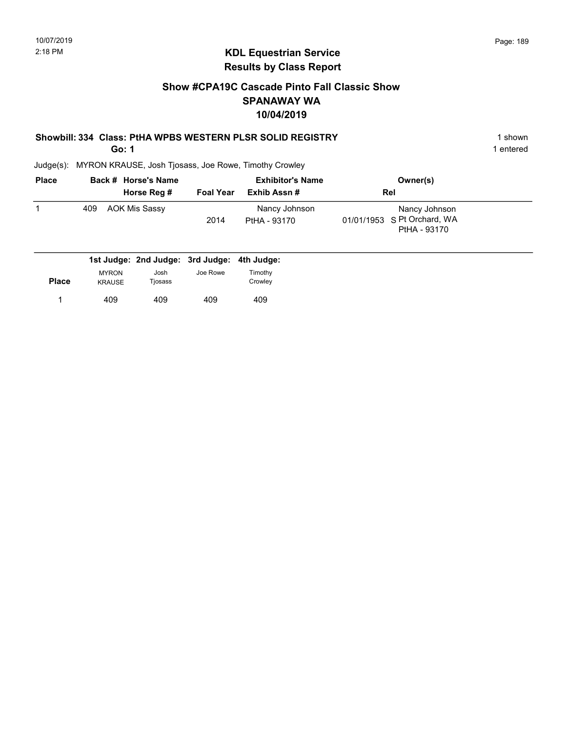### Show #CPA19C Cascade Pinto Fall Classic Show SPANAWAY WA 10/04/2019

## Showbill: 334 Class: PtHA WPBS WESTERN PLSR SOLID REGISTRY 1 shown 1 shown

Go: 1

Judge(s): MYRON KRAUSE, Josh Tjosass, Joe Rowe, Timothy Crowley

| <b>Place</b> | Back # Horse's Name<br>Horse Reg #          | <b>Foal Year</b> | <b>Exhibitor's Name</b><br>Exhib Assn # | Owner(s)<br>Rel                                              |  |
|--------------|---------------------------------------------|------------------|-----------------------------------------|--------------------------------------------------------------|--|
|              | AOK Mis Sassy<br>409                        | 2014             | Nancy Johnson<br>PtHA - 93170           | Nancy Johnson<br>01/01/1953 S Pt Orchard, WA<br>PtHA - 93170 |  |
|              | 1st Judge: 2nd Judge: 3rd Judge: 4th Judge: |                  |                                         |                                                              |  |

| <b>Place</b> | <b>MYRON</b><br><b>KRAUSE</b> | Josh<br>Tjosass | Joe Rowe | Timothy<br>Crowley |
|--------------|-------------------------------|-----------------|----------|--------------------|
|              | 409                           | 409             | 409      | 409                |

1 entered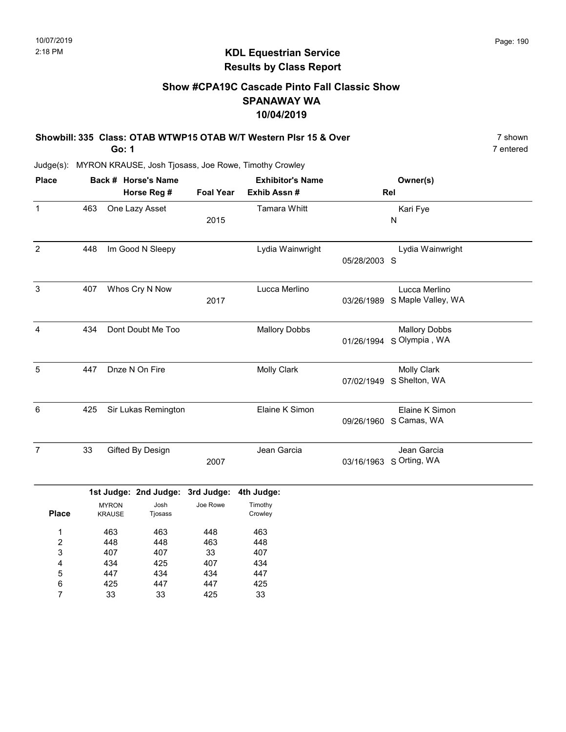### KDL Equestrian Service Results by Class Report

### Show #CPA19C Cascade Pinto Fall Classic Show SPANAWAY WA 10/04/2019

| Showbill: 335 Class: OTAB WTWP15 OTAB W/T Western Plsr 15 & Over | 7 shown   |
|------------------------------------------------------------------|-----------|
| Go: 1                                                            | 7 entered |

| <b>Place</b>            |     |               | Back # Horse's Name              |                  | <b>Exhibitor's Name</b> |              | Owner(s)                      |  |
|-------------------------|-----|---------------|----------------------------------|------------------|-------------------------|--------------|-------------------------------|--|
|                         |     |               | Horse Reg #                      | <b>Foal Year</b> | Exhib Assn #            |              | Rel                           |  |
| $\mathbf{1}$            | 463 |               | One Lazy Asset                   | 2015             | Tamara Whitt            |              | Kari Fye<br>N                 |  |
|                         |     |               |                                  |                  |                         |              |                               |  |
| $\overline{2}$          | 448 |               | Im Good N Sleepy                 |                  | Lydia Wainwright        |              | Lydia Wainwright              |  |
|                         |     |               |                                  |                  |                         | 05/28/2003 S |                               |  |
| $\mathbf{3}$            | 407 |               | Whos Cry N Now                   |                  | Lucca Merlino           |              | Lucca Merlino                 |  |
|                         |     |               |                                  | 2017             |                         |              | 03/26/1989 S Maple Valley, WA |  |
| $\overline{4}$          | 434 |               | Dont Doubt Me Too                |                  | <b>Mallory Dobbs</b>    |              | <b>Mallory Dobbs</b>          |  |
|                         |     |               |                                  |                  |                         |              | 01/26/1994 S Olympia, WA      |  |
| $\overline{5}$          | 447 |               | Dnze N On Fire                   |                  | <b>Molly Clark</b>      |              | <b>Molly Clark</b>            |  |
|                         |     |               |                                  |                  |                         | 07/02/1949   | S Shelton, WA                 |  |
| 6                       | 425 |               | Sir Lukas Remington              |                  | Elaine K Simon          |              | Elaine K Simon                |  |
|                         |     |               |                                  |                  |                         |              | 09/26/1960 S Camas, WA        |  |
| $\overline{7}$          | 33  |               | Gifted By Design                 |                  | Jean Garcia             |              | Jean Garcia                   |  |
|                         |     |               |                                  | 2007             |                         |              | 03/16/1963 S Orting, WA       |  |
|                         |     |               | 1st Judge: 2nd Judge: 3rd Judge: |                  | 4th Judge:              |              |                               |  |
|                         |     | <b>MYRON</b>  | Josh                             | Joe Rowe         | Timothy                 |              |                               |  |
| <b>Place</b>            |     | <b>KRAUSE</b> | Tjosass                          |                  | Crowley                 |              |                               |  |
| 1                       |     | 463           | 463                              | 448              | 463                     |              |                               |  |
| $\overline{\mathbf{c}}$ |     | 448           | 448                              | 463              | 448                     |              |                               |  |
| 3                       |     | 407           | 407                              | 33               | 407                     |              |                               |  |
| 4                       |     | 434           | 425                              | 407              | 434                     |              |                               |  |
| 5                       |     | 447           | 434                              | 434              | 447                     |              |                               |  |
| 6                       |     | 425           | 447                              | 447              | 425                     |              |                               |  |
| $\overline{7}$          |     | 33            | 33                               | 425              | 33                      |              |                               |  |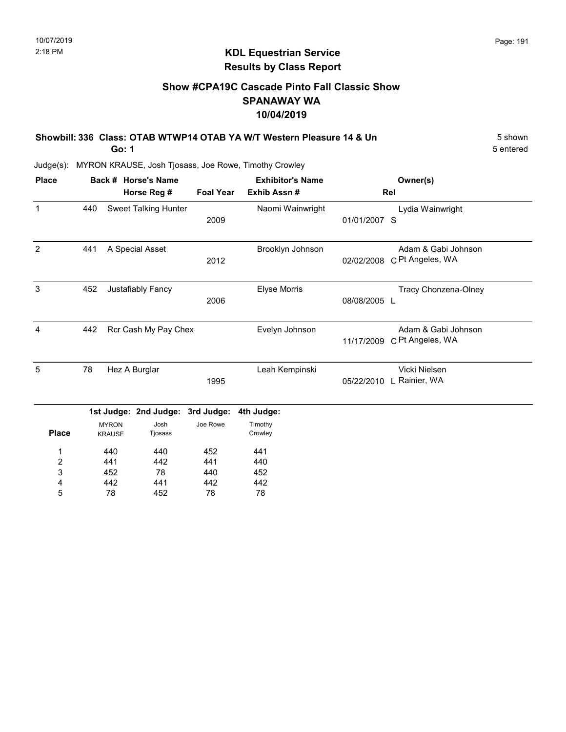### KDL Equestrian Service Results by Class Report

### Show #CPA19C Cascade Pinto Fall Classic Show SPANAWAY WA 10/04/2019

| Showbill: 336 Class: OTAB WTWP14 OTAB YA W/T Western Pleasure 14 & Un | 5 shown   |
|-----------------------------------------------------------------------|-----------|
| Go: 1                                                                 | 5 entered |

| <b>Place</b>            |     |                               | Back # Horse's Name         |                  | <b>Exhibitor's Name</b> |              | Owner(s)                                |
|-------------------------|-----|-------------------------------|-----------------------------|------------------|-------------------------|--------------|-----------------------------------------|
|                         |     |                               | Horse Reg #                 | <b>Foal Year</b> | Exhib Assn#             |              | Rel                                     |
| $\mathbf{1}$            | 440 |                               | <b>Sweet Talking Hunter</b> | 2009             | Naomi Wainwright        | 01/01/2007 S | Lydia Wainwright                        |
| 2                       | 441 |                               | A Special Asset             | 2012             | Brooklyn Johnson        | 02/02/2008   | Adam & Gabi Johnson<br>C Pt Angeles, WA |
| 3                       | 452 |                               | Justafiably Fancy           | 2006             | Elyse Morris            | 08/08/2005 L | Tracy Chonzena-Olney                    |
| $\overline{4}$          | 442 |                               | Rcr Cash My Pay Chex        |                  | Evelyn Johnson          | 11/17/2009   | Adam & Gabi Johnson<br>C Pt Angeles, WA |
| 5                       | 78  |                               | Hez A Burglar               | 1995             | Leah Kempinski          | 05/22/2010   | Vicki Nielsen<br>L Rainier, WA          |
|                         |     |                               | 1st Judge: 2nd Judge:       | 3rd Judge:       | 4th Judge:              |              |                                         |
| <b>Place</b>            |     | <b>MYRON</b><br><b>KRAUSE</b> | Josh<br>Tjosass             | Joe Rowe         | Timothy<br>Crowley      |              |                                         |
| 1                       |     | 440                           | 440                         | 452              | 441                     |              |                                         |
| $\overline{\mathbf{c}}$ |     | 441                           | 442                         | 441              | 440                     |              |                                         |
| 3                       |     | 452                           | 78                          | 440              | 452                     |              |                                         |
| 4                       |     | 442                           | 441                         | 442              | 442                     |              |                                         |
| 5                       |     | 78                            | 452                         | 78               | 78                      |              |                                         |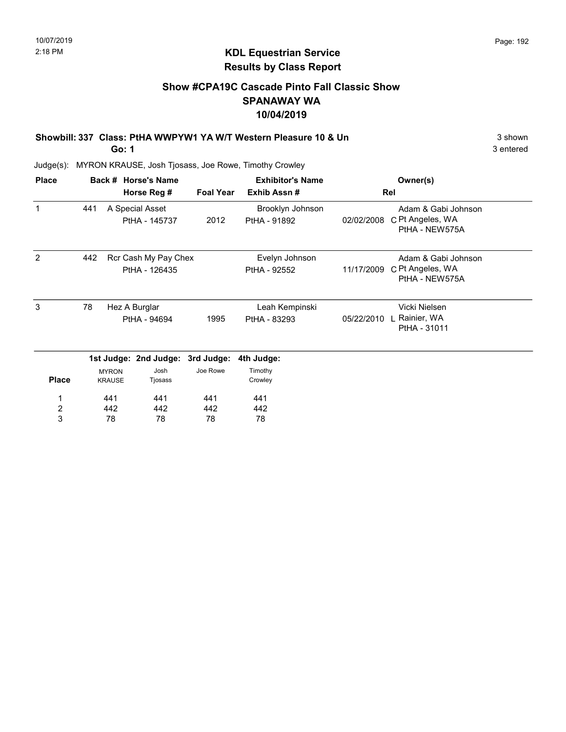### KDL Equestrian Service Results by Class Report

### Show #CPA19C Cascade Pinto Fall Classic Show SPANAWAY WA 10/04/2019

Showbill: 337 Class: PtHA WWPYW1 YA W/T Western Pleasure 10 & Un 3 Shown 3 shown

Go: 1

| <b>Place</b>   |     |                               | Back # Horse's Name<br>Horse Reg # | <b>Foal Year</b> | <b>Exhibitor's Name</b><br>Exhib Assn# |            | Owner(s)<br>Rel                                           |
|----------------|-----|-------------------------------|------------------------------------|------------------|----------------------------------------|------------|-----------------------------------------------------------|
|                |     |                               |                                    |                  |                                        |            |                                                           |
| 1              | 441 |                               | A Special Asset<br>PtHA - 145737   | 2012             | Brooklyn Johnson<br>PtHA - 91892       | 02/02/2008 | Adam & Gabi Johnson<br>C Pt Angeles, WA<br>PtHA - NEW575A |
| 2              | 442 |                               | Rcr Cash My Pay Chex               |                  | Evelyn Johnson                         |            | Adam & Gabi Johnson                                       |
|                |     |                               | PtHA - 126435                      |                  | PtHA - 92552                           | 11/17/2009 | C Pt Angeles, WA<br>PtHA - NEW575A                        |
| 3              | 78  |                               | Hez A Burglar                      |                  | Leah Kempinski                         |            | Vicki Nielsen                                             |
|                |     |                               | PtHA - 94694                       | 1995             | PtHA - 83293                           | 05/22/2010 | L Rainier, WA<br>PtHA - 31011                             |
|                |     |                               | 1st Judge: 2nd Judge:              | 3rd Judge:       | 4th Judge:                             |            |                                                           |
| <b>Place</b>   |     | <b>MYRON</b><br><b>KRAUSE</b> | Josh<br>Tjosass                    | Joe Rowe         | Timothy<br>Crowley                     |            |                                                           |
| 1              |     | 441                           | 441                                | 441              | 441                                    |            |                                                           |
| $\overline{2}$ |     | 442                           | 442                                | 442              | 442                                    |            |                                                           |
| 3              |     | 78                            | 78                                 | 78               | 78                                     |            |                                                           |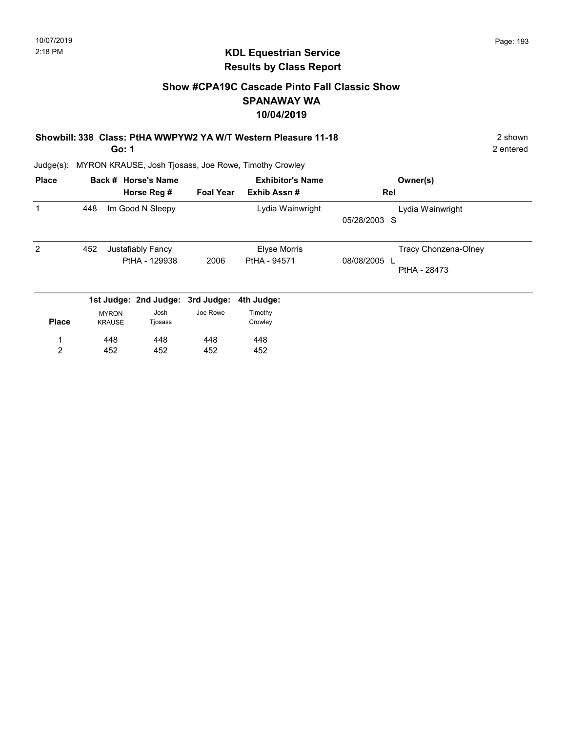### Show #CPA19C Cascade Pinto Fall Classic Show SPANAWAY WA 10/04/2019

Showbill: 338 Class: PtHA WWPYW2 YA W/T Western Pleasure 11-18 2 Shown

Go: 1

448 452

1 2

Judge(s): MYRON KRAUSE, Josh Tjosass, Joe Rowe, Timothy Crowley

448 452

448 452

| <b>Place</b> |     |                               | Back # Horse's Name              |                  | <b>Exhibitor's Name</b> | Owner(s)                   |
|--------------|-----|-------------------------------|----------------------------------|------------------|-------------------------|----------------------------|
|              |     |                               | Horse Reg #                      | <b>Foal Year</b> | Exhib Assn#             | Rel                        |
|              | 448 |                               | Im Good N Sleepy                 |                  | Lydia Wainwright        | Lydia Wainwright           |
|              |     |                               |                                  |                  |                         | 05/28/2003 S               |
| 2            | 452 |                               | Justafiably Fancy                |                  | <b>Elyse Morris</b>     | Tracy Chonzena-Olney       |
|              |     |                               | PtHA - 129938                    | 2006             | PtHA - 94571            | 08/08/2005<br>PtHA - 28473 |
|              |     |                               | 1st Judge: 2nd Judge: 3rd Judge: |                  | 4th Judge:              |                            |
| <b>Place</b> |     | <b>MYRON</b><br><b>KRAUSE</b> | Josh<br>Tjosass                  | Joe Rowe         | Timothy<br>Crowley      |                            |

448 452 2 entered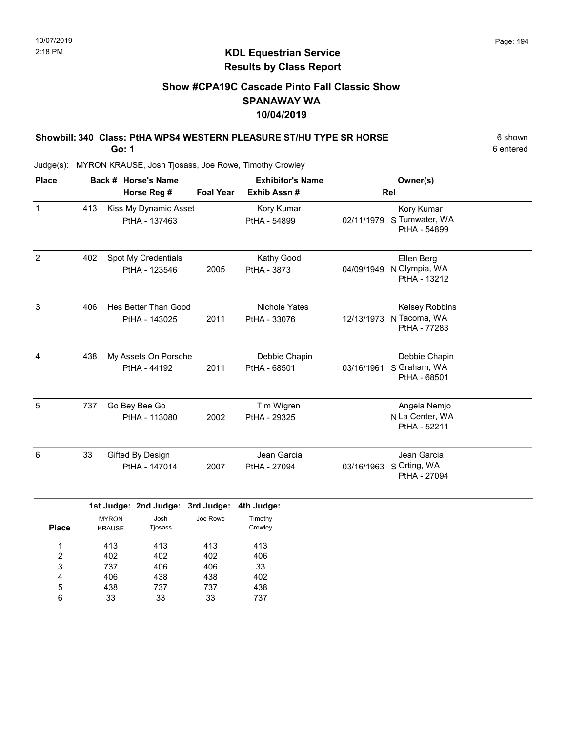### Show #CPA19C Cascade Pinto Fall Classic Show SPANAWAY WA 10/04/2019

#### Showbill: 340 Class: PtHA WPS4 WESTERN PLEASURE ST/HU TYPE SR HORSE 6 shown Go: 1

6 entered

| <b>Place</b>   |     | Back # Horse's Name                    |                  | <b>Exhibitor's Name</b>              |            | Owner(s)                                        |  |
|----------------|-----|----------------------------------------|------------------|--------------------------------------|------------|-------------------------------------------------|--|
|                |     | Horse Reg #                            | <b>Foal Year</b> | Exhib Assn#                          |            | Rel                                             |  |
| $\mathbf{1}$   | 413 | Kiss My Dynamic Asset<br>PtHA - 137463 |                  | Kory Kumar<br>PtHA - 54899           | 02/11/1979 | Kory Kumar<br>S Tumwater, WA<br>PtHA - 54899    |  |
| $\overline{2}$ | 402 | Spot My Credentials<br>PtHA - 123546   | 2005             | Kathy Good<br>PtHA - 3873            | 04/09/1949 | Ellen Berg<br>N Olympia, WA<br>PtHA - 13212     |  |
| 3              | 406 | Hes Better Than Good<br>PtHA - 143025  | 2011             | <b>Nichole Yates</b><br>PtHA - 33076 | 12/13/1973 | Kelsey Robbins<br>N Tacoma, WA<br>PtHA - 77283  |  |
| $\overline{4}$ | 438 | My Assets On Porsche<br>PtHA - 44192   | 2011             | Debbie Chapin<br>PtHA - 68501        | 03/16/1961 | Debbie Chapin<br>S Graham, WA<br>PtHA - 68501   |  |
| 5              | 737 | Go Bey Bee Go<br>PtHA - 113080         | 2002             | Tim Wigren<br>PtHA - 29325           |            | Angela Nemjo<br>N La Center, WA<br>PtHA - 52211 |  |
| 6              | 33  | Gifted By Design<br>PtHA - 147014      | 2007             | Jean Garcia<br>PtHA - 27094          | 03/16/1963 | Jean Garcia<br>S Orting, WA<br>PtHA - 27094     |  |
|                |     | 1st Judge: 2nd Judge: 3rd Judge:       |                  | 4th Judge:                           |            |                                                 |  |
|                |     | <b>MYRON</b><br>Josh                   | Joe Rowe         | Timothy                              |            |                                                 |  |

| <b>Place</b> | <b>KRAUSE</b> | Tjosass |     | Crowley |  |
|--------------|---------------|---------|-----|---------|--|
| 1            | 413           | 413     | 413 | 413     |  |
| 2            | 402           | 402     | 402 | 406     |  |
| 3            | 737           | 406     | 406 | 33      |  |
| 4            | 406           | 438     | 438 | 402     |  |
| 5            | 438           | 737     | 737 | 438     |  |
| 6            | 33            | 33      | 33  | 737     |  |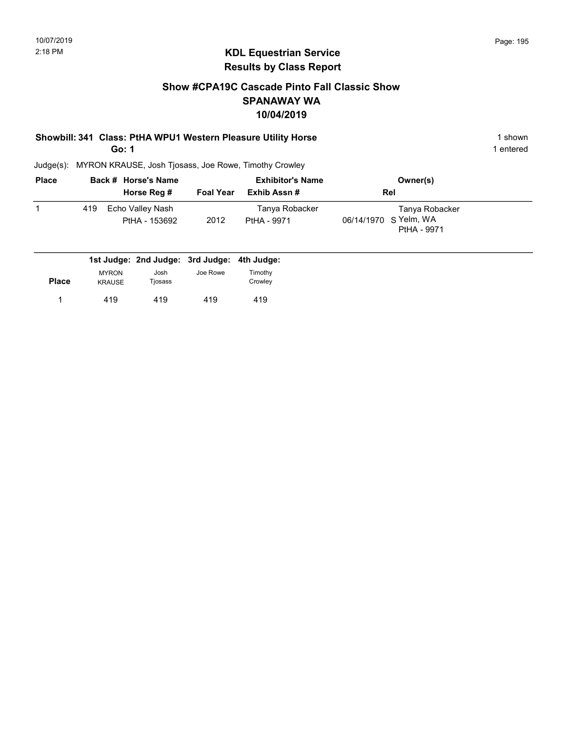### Show #CPA19C Cascade Pinto Fall Classic Show SPANAWAY WA 10/04/2019

# Showbill: 341 Class: PtHA WPU1 Western Pleasure Utility Horse 1 Shown 1 shown

Go: 1

1 entered

| <b>Place</b> |     | Back # Horse's Name               |                  | <b>Exhibitor's Name</b>       | Owner(s)                                               |  |
|--------------|-----|-----------------------------------|------------------|-------------------------------|--------------------------------------------------------|--|
|              |     | Horse Reg #                       | <b>Foal Year</b> | Exhib Assn#                   | Rel                                                    |  |
|              | 419 | Echo Valley Nash<br>PtHA - 153692 | 2012             | Tanya Robacker<br>PtHA - 9971 | Tanya Robacker<br>06/14/1970 S Yelm, WA<br>PtHA - 9971 |  |

|              |                               | 1st Judge: 2nd Judge: 3rd Judge: 4th Judge: |          |                    |
|--------------|-------------------------------|---------------------------------------------|----------|--------------------|
| <b>Place</b> | <b>MYRON</b><br><b>KRAUSE</b> | Josh<br>Tjosass                             | Joe Rowe | Timothv<br>Crowley |
|              | 419                           | 419                                         | 419      | 419                |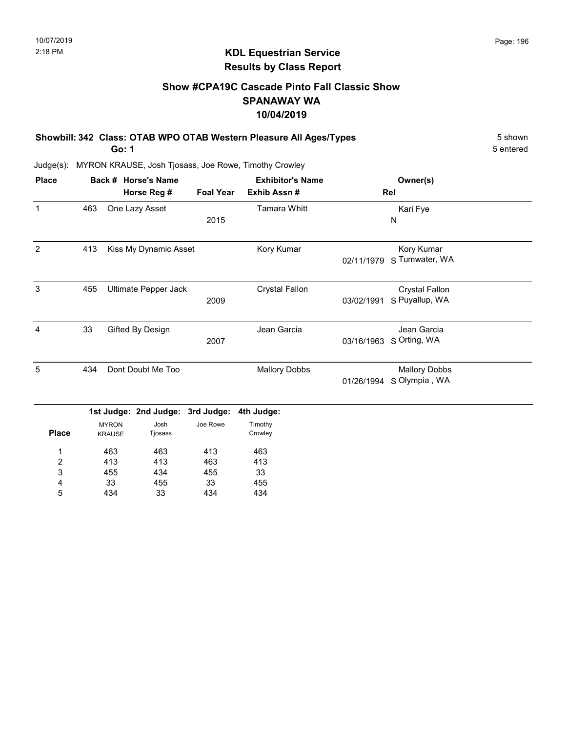### KDL Equestrian Service Results by Class Report

### Show #CPA19C Cascade Pinto Fall Classic Show SPANAWAY WA 10/04/2019

| Showbill: 342 Class: OTAB WPO OTAB Western Pleasure All Ages/Types | 5 shown   |
|--------------------------------------------------------------------|-----------|
| Go: 1                                                              | 5 entered |

| <b>Place</b>   |     |               | Back # Horse's Name   |                  | <b>Exhibitor's Name</b> |            | Owner(s)              |  |
|----------------|-----|---------------|-----------------------|------------------|-------------------------|------------|-----------------------|--|
|                |     |               | Horse Reg #           | <b>Foal Year</b> | Exhib Assn#             |            | Rel                   |  |
| $\mathbf{1}$   | 463 |               | One Lazy Asset        |                  | <b>Tamara Whitt</b>     |            | Kari Fye              |  |
|                |     |               |                       | 2015             |                         |            | N                     |  |
| $\overline{2}$ | 413 |               | Kiss My Dynamic Asset |                  | Kory Kumar              |            | Kory Kumar            |  |
|                |     |               |                       |                  |                         | 02/11/1979 | S Tumwater, WA        |  |
| 3              | 455 |               | Ultimate Pepper Jack  |                  | <b>Crystal Fallon</b>   |            | <b>Crystal Fallon</b> |  |
|                |     |               |                       | 2009             |                         | 03/02/1991 | S Puyallup, WA        |  |
| $\overline{4}$ | 33  |               | Gifted By Design      |                  | Jean Garcia             |            | Jean Garcia           |  |
|                |     |               |                       | 2007             |                         | 03/16/1963 | S Orting, WA          |  |
| 5              | 434 |               | Dont Doubt Me Too     |                  | <b>Mallory Dobbs</b>    |            | <b>Mallory Dobbs</b>  |  |
|                |     |               |                       |                  |                         | 01/26/1994 | S Olympia, WA         |  |
|                |     |               | 1st Judge: 2nd Judge: | 3rd Judge:       | 4th Judge:              |            |                       |  |
|                |     | <b>MYRON</b>  | Josh                  | Joe Rowe         | Timothy                 |            |                       |  |
| <b>Place</b>   |     | <b>KRAUSE</b> | Tjosass               |                  | Crowley                 |            |                       |  |
| 1              |     | 463           | 463                   | 413              | 463                     |            |                       |  |
| $\overline{c}$ |     | 413           | 413                   | 463              | 413                     |            |                       |  |
| 3              |     | 455           | 434                   | 455              | 33                      |            |                       |  |
| 4              |     | 33            | 455                   | 33               | 455                     |            |                       |  |
| 5              |     | 434           | 33                    | 434              | 434                     |            |                       |  |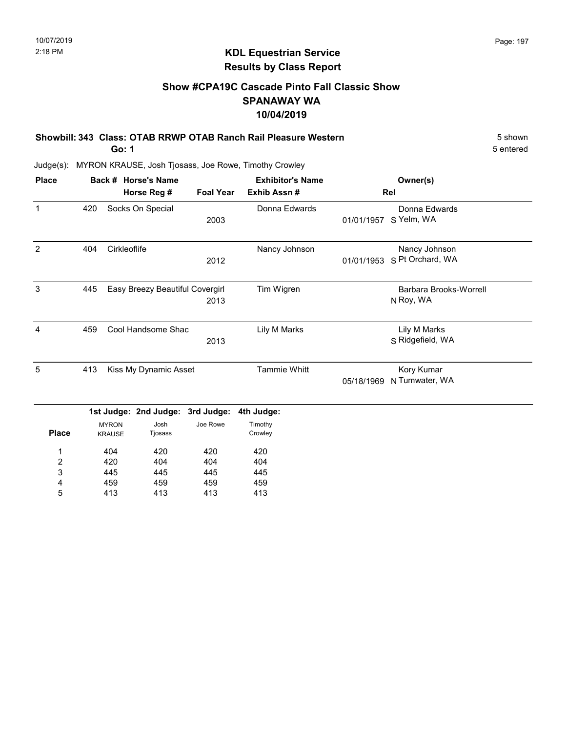### Show #CPA19C Cascade Pinto Fall Classic Show SPANAWAY WA 10/04/2019

Showbill: 343 Class: OTAB RRWP OTAB Ranch Rail Pleasure Western 5 Shown 5 shown Go: 1

5 entered

Judge(s): MYRON KRAUSE, Josh Tjosass, Joe Rowe, Timothy Crowley

413

5

413

413

413

| <b>Place</b>     |     |                               | Back # Horse's Name             |                  | <b>Exhibitor's Name</b> |            | Owner(s)                            |
|------------------|-----|-------------------------------|---------------------------------|------------------|-------------------------|------------|-------------------------------------|
|                  |     |                               | Horse Reg #                     | <b>Foal Year</b> | Exhib Assn #            |            | Rel                                 |
| $\mathbf{1}$     | 420 |                               | Socks On Special                | 2003             | Donna Edwards           | 01/01/1957 | Donna Edwards<br>S Yelm, WA         |
| 2                | 404 | Cirkleoflife                  |                                 | 2012             | Nancy Johnson           | 01/01/1953 | Nancy Johnson<br>S Pt Orchard, WA   |
| 3                | 445 |                               | Easy Breezy Beautiful Covergirl | 2013             | Tim Wigren              |            | Barbara Brooks-Worrell<br>N Roy, WA |
| 4                | 459 |                               | Cool Handsome Shac              | 2013             | Lily M Marks            |            | Lily M Marks<br>S Ridgefield, WA    |
| 5                | 413 |                               | Kiss My Dynamic Asset           |                  | <b>Tammie Whitt</b>     | 05/18/1969 | Kory Kumar<br>N Tumwater, WA        |
|                  |     |                               | 1st Judge: 2nd Judge:           | 3rd Judge:       | 4th Judge:              |            |                                     |
| <b>Place</b>     |     | <b>MYRON</b><br><b>KRAUSE</b> | Josh<br>Tjosass                 | Joe Rowe         | Timothy<br>Crowley      |            |                                     |
| 1                |     | 404                           | 420                             | 420              | 420                     |            |                                     |
| $\boldsymbol{2}$ |     | 420                           | 404                             | 404              | 404                     |            |                                     |
| 3                |     | 445                           | 445                             | 445              | 445                     |            |                                     |
| 4                |     | 459                           | 459                             | 459              | 459                     |            |                                     |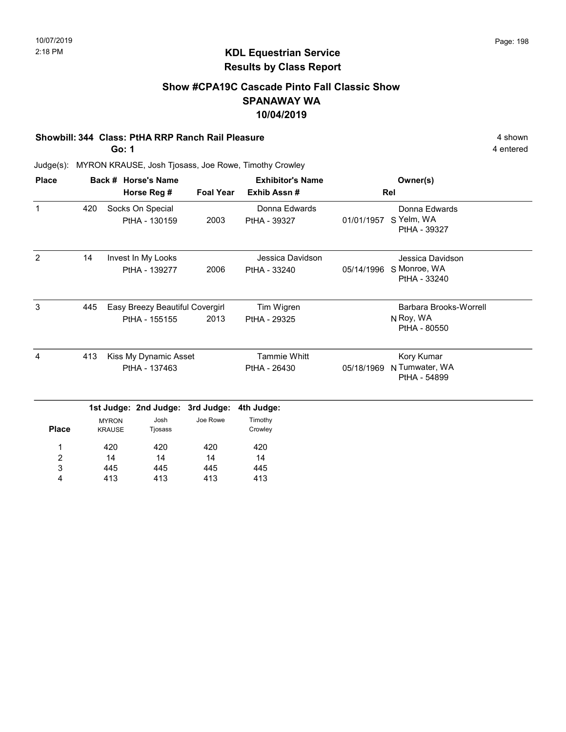### Show #CPA19C Cascade Pinto Fall Classic Show SPANAWAY WA 10/04/2019

#### Showbill: 344 Class: PtHA RRP Ranch Rail Pleasure 4 shown

Go: 1

4 entered

| <b>Place</b>   |     |                               | Back # Horse's Name                              |                  | <b>Exhibitor's Name</b>             |            | Owner(s)                                            |
|----------------|-----|-------------------------------|--------------------------------------------------|------------------|-------------------------------------|------------|-----------------------------------------------------|
|                |     |                               | Horse Reg #                                      | <b>Foal Year</b> | Exhib Assn #                        |            | Rel                                                 |
| $\mathbf{1}$   | 420 |                               | Socks On Special<br>PtHA - 130159                | 2003             | Donna Edwards<br>PtHA - 39327       | 01/01/1957 | Donna Edwards<br>S Yelm, WA<br>PtHA - 39327         |
| $\overline{2}$ | 14  |                               | Invest In My Looks<br>PtHA - 139277              | 2006             | Jessica Davidson<br>PtHA - 33240    | 05/14/1996 | Jessica Davidson<br>S Monroe, WA<br>PtHA - 33240    |
| $\mathbf{3}$   | 445 |                               | Easy Breezy Beautiful Covergirl<br>PtHA - 155155 | 2013             | Tim Wigren<br>PtHA - 29325          |            | Barbara Brooks-Worrell<br>N Roy, WA<br>PtHA - 80550 |
| 4              | 413 |                               | Kiss My Dynamic Asset<br>PtHA - 137463           |                  | <b>Tammie Whitt</b><br>PtHA - 26430 | 05/18/1969 | Kory Kumar<br>N Tumwater, WA<br>PtHA - 54899        |
|                |     |                               | 1st Judge: 2nd Judge:                            | 3rd Judge:       | 4th Judge:                          |            |                                                     |
| <b>Place</b>   |     | <b>MYRON</b><br><b>KRAUSE</b> | Josh<br>Tjosass                                  | Joe Rowe         | Timothy<br>Crowley                  |            |                                                     |
| 1<br>2         |     | 420<br>14                     | 420<br>14                                        | 420<br>14        | 420<br>14                           |            |                                                     |
| 3<br>4         |     | 445<br>413                    | 445<br>413                                       | 445<br>413       | 445<br>413                          |            |                                                     |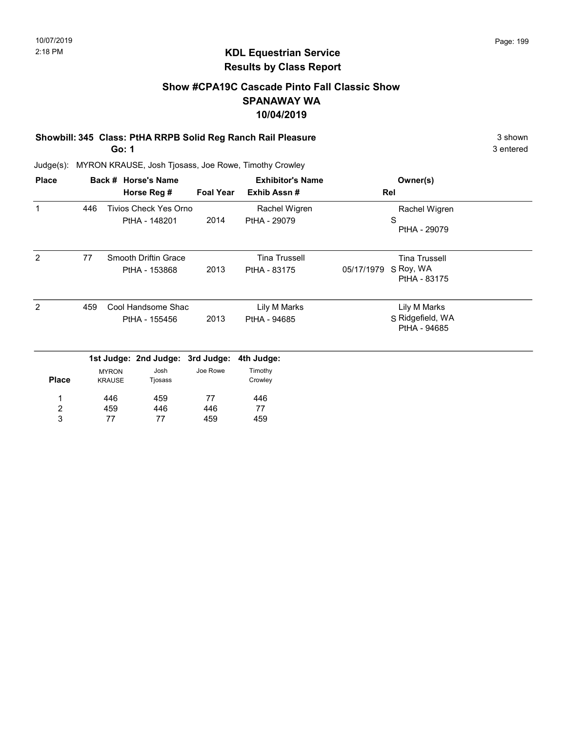### Show #CPA19C Cascade Pinto Fall Classic Show SPANAWAY WA 10/04/2019

# Showbill: 345 Class: PtHA RRPB Solid Reg Ranch Rail Pleasure 3 shown 3 shown

Go: 1

3 entered

| <b>Place</b>          |     |                               | Back # Horse's Name                           |                  | <b>Exhibitor's Name</b>              | Owner(s)                                                        |
|-----------------------|-----|-------------------------------|-----------------------------------------------|------------------|--------------------------------------|-----------------------------------------------------------------|
|                       |     |                               | Horse Reg #                                   | <b>Foal Year</b> | Exhib Assn#                          | Rel                                                             |
| $\mathbf{1}$          | 446 |                               | <b>Tivios Check Yes Orno</b><br>PtHA - 148201 | 2014             | Rachel Wigren<br>PtHA - 29079        | Rachel Wigren<br>S<br>PtHA - 29079                              |
| 2                     | 77  |                               | Smooth Driftin Grace<br>PtHA - 153868         | 2013             | <b>Tina Trussell</b><br>PtHA - 83175 | <b>Tina Trussell</b><br>S Roy, WA<br>05/17/1979<br>PtHA - 83175 |
| 2                     | 459 |                               | Cool Handsome Shac<br>PtHA - 155456           | 2013             | Lily M Marks<br>PtHA - 94685         | Lily M Marks<br>S Ridgefield, WA<br>PtHA - 94685                |
|                       |     |                               | 1st Judge: 2nd Judge: 3rd Judge:              |                  | 4th Judge:                           |                                                                 |
| <b>Place</b>          |     | <b>MYRON</b><br><b>KRAUSE</b> | Josh<br>Tjosass                               | Joe Rowe         | Timothy<br>Crowley                   |                                                                 |
| 1                     |     | 446                           | 459                                           | 77               | 446                                  |                                                                 |
| $\boldsymbol{2}$<br>3 |     | 459<br>77                     | 446<br>77                                     | 446<br>459       | 77<br>459                            |                                                                 |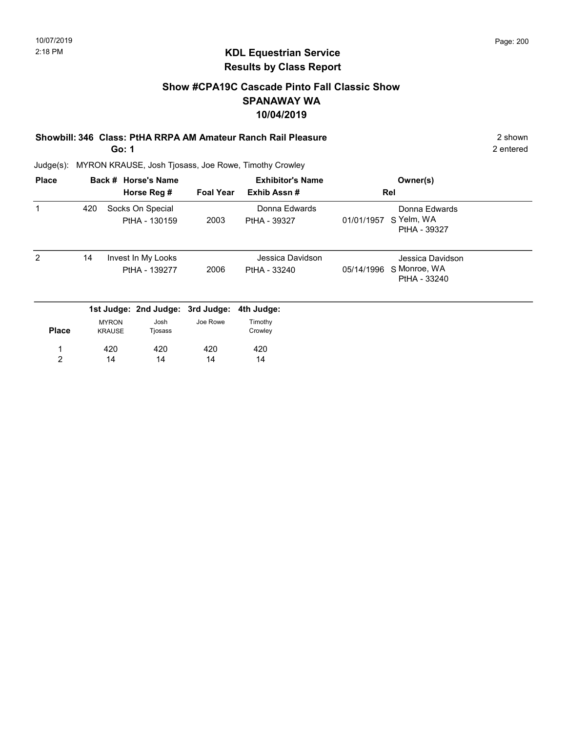### Show #CPA19C Cascade Pinto Fall Classic Show SPANAWAY WA 10/04/2019

#### Showbill: 346 Class: PtHA RRPA AM Amateur Ranch Rail Pleasure 2 Shown 2 shown Go: 1

2 entered

| <b>Place</b> |     |               | Back # Horse's Name              |                  | <b>Exhibitor's Name</b> |            | Owner(s)                     |  |
|--------------|-----|---------------|----------------------------------|------------------|-------------------------|------------|------------------------------|--|
|              |     |               | Horse Reg #                      | <b>Foal Year</b> | Exhib Assn#             |            | Rel                          |  |
|              | 420 |               | Socks On Special                 |                  | Donna Edwards           |            | Donna Edwards<br>S Yelm, WA  |  |
|              |     |               | PtHA - 130159                    | 2003             | PtHA - 39327            | 01/01/1957 | PtHA - 39327                 |  |
| 2            | 14  |               | Invest In My Looks               |                  | Jessica Davidson        |            | Jessica Davidson             |  |
|              |     |               | PtHA - 139277                    | 2006             | PtHA - 33240            | 05/14/1996 | S Monroe, WA<br>PtHA - 33240 |  |
|              |     |               | 1st Judge: 2nd Judge: 3rd Judge: |                  | 4th Judge:              |            |                              |  |
|              |     | <b>MYRON</b>  | Josh                             | Joe Rowe         | Timothy                 |            |                              |  |
| <b>Place</b> |     | <b>KRAUSE</b> | Tjosass                          |                  | Crowley                 |            |                              |  |
| 1            |     | 420           | 420                              | 420              | 420                     |            |                              |  |
| 2            |     | 14            | 14                               | 14               | 14                      |            |                              |  |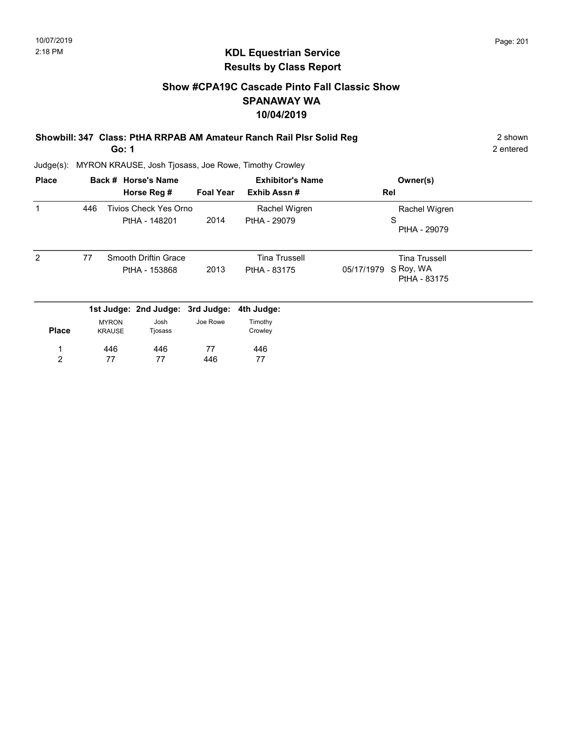### Show #CPA19C Cascade Pinto Fall Classic Show SPANAWAY WA 10/04/2019

Showbill: 347 Class: PtHA RRPAB AM Amateur Ranch Rail Plsr Solid Reg 2 shown

Go: 1

2 entered

| <b>Place</b> |     |                               | Back # Horse's Name                          |                  | <b>Exhibitor's Name</b>              | Owner(s)                                                        |
|--------------|-----|-------------------------------|----------------------------------------------|------------------|--------------------------------------|-----------------------------------------------------------------|
|              |     |                               | Horse Reg #                                  | <b>Foal Year</b> | Exhib Assn#                          | Rel                                                             |
| 1            | 446 |                               | Tivios Check Yes Orno<br>PtHA - 148201       | 2014             | Rachel Wigren<br>PtHA - 29079        | Rachel Wigren<br>S<br>PtHA - 29079                              |
| 2            | 77  |                               | <b>Smooth Driftin Grace</b><br>PtHA - 153868 | 2013             | <b>Tina Trussell</b><br>PtHA - 83175 | <b>Tina Trussell</b><br>S Roy, WA<br>05/17/1979<br>PtHA - 83175 |
|              |     |                               | 1st Judge: 2nd Judge: 3rd Judge:             |                  | 4th Judge:                           |                                                                 |
| <b>Place</b> |     | <b>MYRON</b><br><b>KRAUSE</b> | Josh<br>Tjosass                              | Joe Rowe         | Timothy<br>Crowley                   |                                                                 |
| 1            |     | 446                           | 446                                          | 77               | 446                                  |                                                                 |
| 2            |     | 77                            | 77                                           | 446              | 77                                   |                                                                 |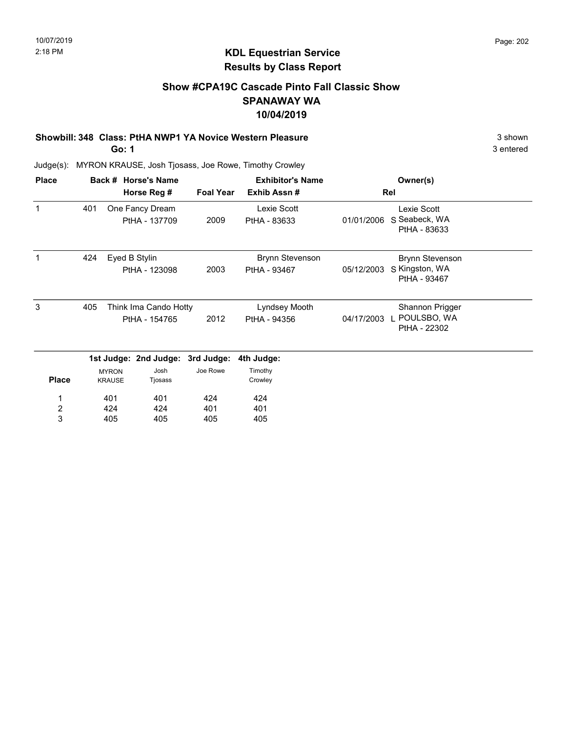### Show #CPA19C Cascade Pinto Fall Classic Show SPANAWAY WA 10/04/2019

### Showbill: 348 Class: PtHA NWP1 YA Novice Western Pleasure 3 shown

Go: 1

3 entered

| <b>Place</b> |     |                               | Back # Horse's Name                    |                  | <b>Exhibitor's Name</b>                |            | Owner(s)                                                 |  |
|--------------|-----|-------------------------------|----------------------------------------|------------------|----------------------------------------|------------|----------------------------------------------------------|--|
|              |     |                               | Horse Reg #                            | <b>Foal Year</b> | Exhib Assn#                            | Rel        |                                                          |  |
| $\mathbf 1$  | 401 |                               | One Fancy Dream<br>PtHA - 137709       | 2009             | Lexie Scott<br>PtHA - 83633            | 01/01/2006 | Lexie Scott<br>S Seabeck, WA<br>PtHA - 83633             |  |
| 1            | 424 |                               | Eyed B Stylin<br>PtHA - 123098         | 2003             | <b>Brynn Stevenson</b><br>PtHA - 93467 | 05/12/2003 | <b>Brynn Stevenson</b><br>S Kingston, WA<br>PtHA - 93467 |  |
| 3            | 405 |                               | Think Ima Cando Hotty<br>PtHA - 154765 | 2012             | Lyndsey Mooth<br>PtHA - 94356          | 04/17/2003 | Shannon Prigger<br>POULSBO, WA<br>PtHA - 22302           |  |
|              |     |                               | 1st Judge: 2nd Judge: 3rd Judge:       |                  | 4th Judge:                             |            |                                                          |  |
| <b>Place</b> |     | <b>MYRON</b><br><b>KRAUSE</b> | Josh<br>Tjosass                        | Joe Rowe         | Timothy<br>Crowley                     |            |                                                          |  |
|              |     | 401                           | 401                                    | 424              | 424                                    |            |                                                          |  |
| 2            |     | 424                           | 424                                    | 401              | 401                                    |            |                                                          |  |
| 3            |     | 405                           | 405                                    | 405              | 405                                    |            |                                                          |  |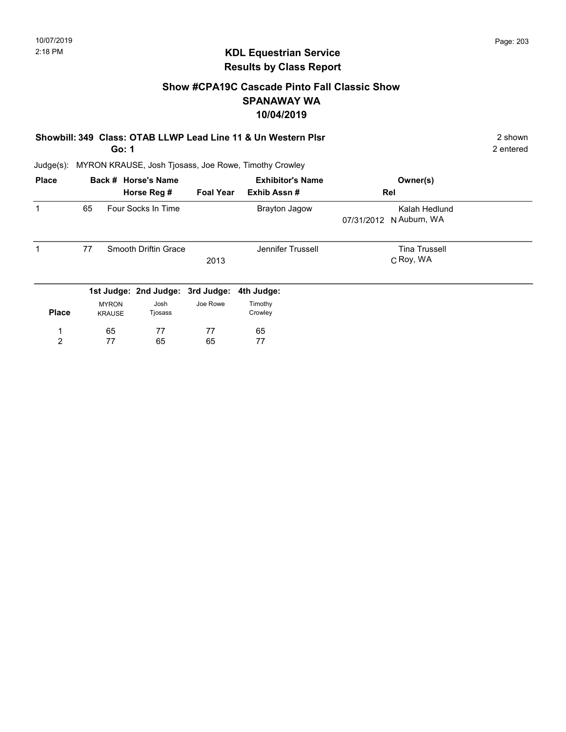### Show #CPA19C Cascade Pinto Fall Classic Show SPANAWAY WA 10/04/2019

Showbill: 349 Class: OTAB LLWP Lead Line 11 & Un Western Plsr 2 shown 2 shown Go: 1

2 entered

| <b>Place</b> |    |                               | Back # Horse's Name              |                  | <b>Exhibitor's Name</b> | Owner(s)                                 |
|--------------|----|-------------------------------|----------------------------------|------------------|-------------------------|------------------------------------------|
|              |    |                               | Horse Reg #                      | <b>Foal Year</b> | Exhib Assn#             | Rel                                      |
|              | 65 |                               | Four Socks In Time               |                  | <b>Brayton Jagow</b>    | Kalah Hedlund<br>07/31/2012 N Auburn, WA |
| 1            | 77 |                               | Smooth Driftin Grace             | 2013             | Jennifer Trussell       | <b>Tina Trussell</b><br>C Roy, WA        |
|              |    |                               | 1st Judge: 2nd Judge: 3rd Judge: |                  | 4th Judge:              |                                          |
| <b>Place</b> |    | <b>MYRON</b><br><b>KRAUSE</b> | Josh<br>Tjosass                  | Joe Rowe         | Timothy<br>Crowley      |                                          |
|              |    | 65                            | 77                               | 77               | 65                      |                                          |
| 2            |    | 77                            | 65                               | 65               | 77                      |                                          |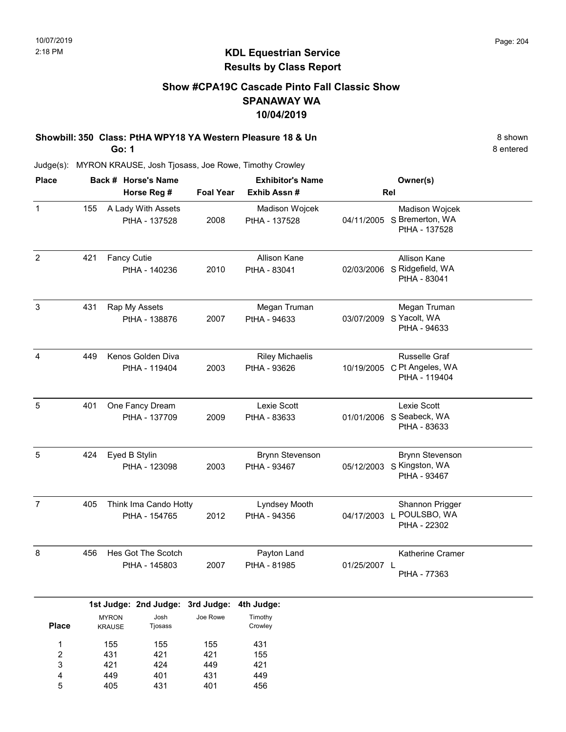### Show #CPA19C Cascade Pinto Fall Classic Show SPANAWAY WA 10/04/2019

Showbill: 350 Class: PtHA WPY18 YA Western Pleasure 18 & Un 8 shown 8 shown Go: 1

Judge(s): MYRON KRAUSE, Josh Tjosass, Joe Rowe, Timothy Crowley

| <b>Place</b>   |     | Back # Horse's Name<br>Horse Reg #     | <b>Foal Year</b> | <b>Exhibitor's Name</b><br>Exhib Assn# |              | Owner(s)<br>Rel                                                      |
|----------------|-----|----------------------------------------|------------------|----------------------------------------|--------------|----------------------------------------------------------------------|
| $\mathbf{1}$   | 155 | A Lady With Assets<br>PtHA - 137528    | 2008             | Madison Wojcek<br>PtHA - 137528        |              | Madison Wojcek<br>04/11/2005 S Bremerton, WA<br>PtHA - 137528        |
| $\overline{2}$ | 421 | <b>Fancy Cutie</b><br>PtHA - 140236    | 2010             | Allison Kane<br>PtHA - 83041           |              | Allison Kane<br>02/03/2006 S Ridgefield, WA<br>PtHA - 83041          |
| 3              | 431 | Rap My Assets<br>PtHA - 138876         | 2007             | Megan Truman<br>PtHA - 94633           |              | Megan Truman<br>03/07/2009 S Yacolt, WA<br>PtHA - 94633              |
| 4              | 449 | Kenos Golden Diva<br>PtHA - 119404     | 2003             | <b>Riley Michaelis</b><br>PtHA - 93626 |              | <b>Russelle Graf</b><br>10/19/2005 C Pt Angeles, WA<br>PtHA - 119404 |
| $\sqrt{5}$     | 401 | One Fancy Dream<br>PtHA - 137709       | 2009             | Lexie Scott<br>PtHA - 83633            |              | Lexie Scott<br>01/01/2006 S Seabeck, WA<br>PtHA - 83633              |
| 5              | 424 | Eyed B Stylin<br>PtHA - 123098         | 2003             | <b>Brynn Stevenson</b><br>PtHA - 93467 |              | <b>Brynn Stevenson</b><br>05/12/2003 S Kingston, WA<br>PtHA - 93467  |
| $\overline{7}$ | 405 | Think Ima Cando Hotty<br>PtHA - 154765 | 2012             | Lyndsey Mooth<br>PtHA - 94356          | 04/17/2003 L | Shannon Prigger<br>POULSBO, WA<br>PtHA - 22302                       |
| 8              | 456 | Hes Got The Scotch<br>PtHA - 145803    | 2007             | Payton Land<br>PtHA - 81985            | 01/25/2007 L | <b>Katherine Cramer</b><br>PtHA - 77363                              |

|              |               | 1st Judge: 2nd Judge: 3rd Judge: 4th Judge: |          |         |
|--------------|---------------|---------------------------------------------|----------|---------|
|              | <b>MYRON</b>  | Josh                                        | Joe Rowe | Timothy |
| <b>Place</b> | <b>KRAUSE</b> | Tjosass                                     |          | Crowley |
| 1            | 155           | 155                                         | 155      | 431     |
| 2            | 431           | 421                                         | 421      | 155     |
| 3            | 421           | 424                                         | 449      | 421     |
| 4            | 449           | 401                                         | 431      | 449     |
| 5            | 405           | 431                                         | 401      | 456     |

8 entered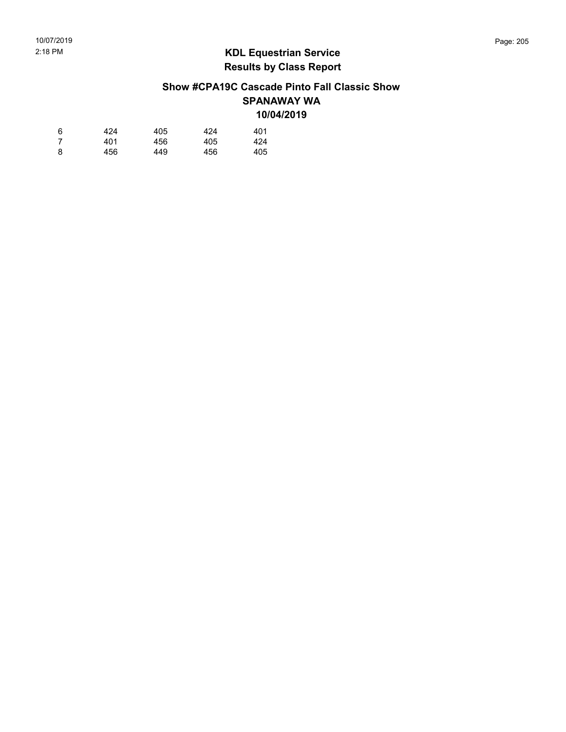### Show #CPA19C Cascade Pinto Fall Classic Show SPANAWAY WA 10/04/2019

| 6 | 424 | 405 | 424 | 401 |
|---|-----|-----|-----|-----|
| 7 | 401 | 456 | 405 | 424 |
| 8 | 456 | 449 | 456 | 405 |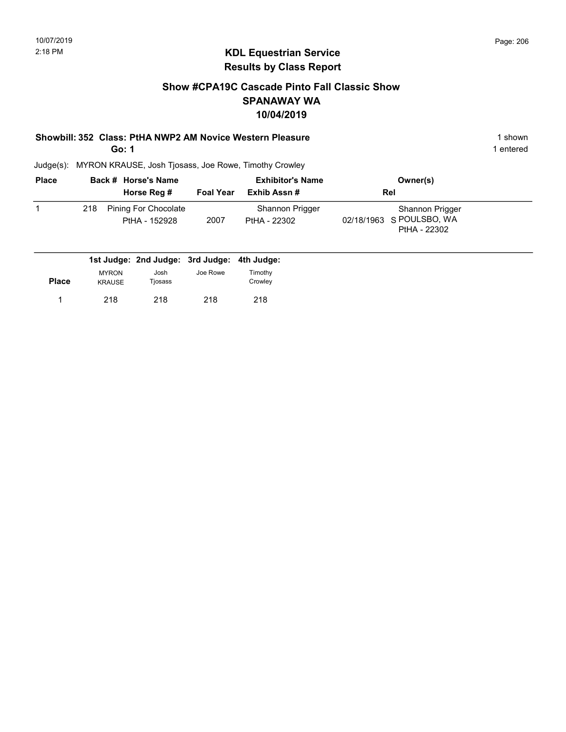### Show #CPA19C Cascade Pinto Fall Classic Show SPANAWAY WA 10/04/2019

### Showbill: 352 Class: PtHA NWP2 AM Novice Western Pleasure 1 Shown 1 shown

Go: 1

1 entered

| <b>Place</b> |     | Back # Horse's Name                   |           | <b>Exhibitor's Name</b>         | Owner(s)                                                    |  |
|--------------|-----|---------------------------------------|-----------|---------------------------------|-------------------------------------------------------------|--|
|              |     | Horse Reg #                           | Foal Year | Exhib Assn #                    | Rel                                                         |  |
|              | 218 | Pining For Chocolate<br>PtHA - 152928 | 2007      | Shannon Prigger<br>PtHA - 22302 | Shannon Prigger<br>02/18/1963 S POULSBO, WA<br>PtHA - 22302 |  |

|       |                               | 1st Judge: 2nd Judge: 3rd Judge: 4th Judge: |          |                    |
|-------|-------------------------------|---------------------------------------------|----------|--------------------|
| Place | <b>MYRON</b><br><b>KRAUSE</b> | Josh<br>Tiosass                             | Joe Rowe | Timothy<br>Crowley |
|       | 218                           | 218                                         | 218      | 218                |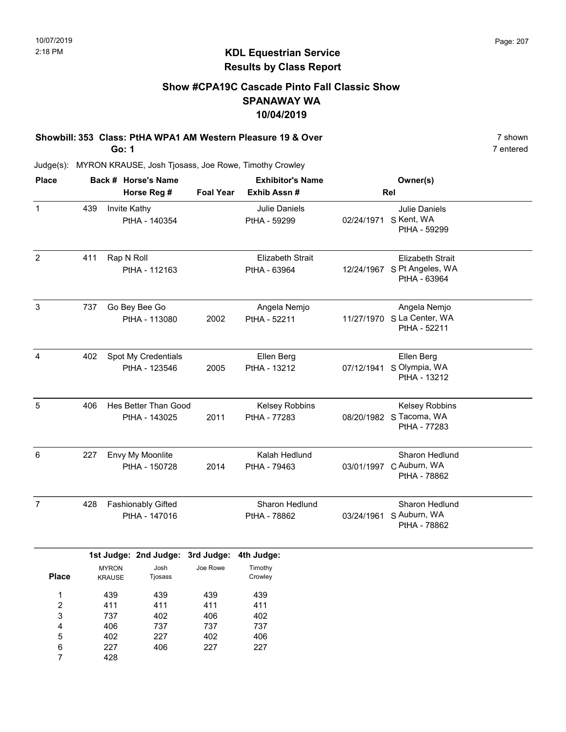### Show #CPA19C Cascade Pinto Fall Classic Show SPANAWAY WA 10/04/2019

Showbill: 353 Class: PtHA WPA1 AM Western Pleasure 19 & Over 7 shown 7 shown Go: 1

428

7

Judge(s): MYRON KRAUSE, Josh Tjosass, Joe Rowe, Timothy Crowley

| <b>Place</b>                                   |                                               |                                       | Back # Horse's Name                  |                                 | <b>Exhibitor's Name</b>                       |            | Owner(s)                                                               |  |
|------------------------------------------------|-----------------------------------------------|---------------------------------------|--------------------------------------|---------------------------------|-----------------------------------------------|------------|------------------------------------------------------------------------|--|
|                                                |                                               |                                       | Horse Reg #                          | <b>Foal Year</b>                | Exhib Assn #<br>Julie Daniels<br>PtHA - 59299 |            | Rel                                                                    |  |
| $\mathbf{1}$                                   | 439                                           | Invite Kathy                          | PtHA - 140354                        |                                 |                                               |            | <b>Julie Daniels</b><br>02/24/1971 S Kent, WA<br>PtHA - 59299          |  |
| $\overline{2}$                                 | 411                                           | Rap N Roll                            | PtHA - 112163                        |                                 | <b>Elizabeth Strait</b><br>PtHA - 63964       |            | <b>Elizabeth Strait</b><br>12/24/1967 S Pt Angeles, WA<br>PtHA - 63964 |  |
| $\ensuremath{\mathsf{3}}$                      | 737                                           |                                       | Go Bey Bee Go<br>PtHA - 113080       | 2002                            | Angela Nemjo<br>PtHA - 52211                  |            | Angela Nemjo<br>11/27/1970 S La Center, WA<br>PtHA - 52211             |  |
| 4                                              | 402                                           |                                       | Spot My Credentials<br>PtHA - 123546 | 2005                            | Ellen Berg<br>PtHA - 13212                    |            | Ellen Berg<br>07/12/1941 S Olympia, WA<br>PtHA - 13212                 |  |
| 5                                              | 406                                           | Hes Better Than Good<br>PtHA - 143025 |                                      | 2011                            | Kelsey Robbins<br>PtHA - 77283                |            | Kelsey Robbins<br>08/20/1982 S Tacoma, WA<br>PtHA - 77283              |  |
| 6                                              | 227                                           |                                       | Envy My Moonlite<br>PtHA - 150728    | 2014                            | Kalah Hedlund<br>PtHA - 79463                 |            | Sharon Hedlund<br>03/01/1997 C Auburn, WA<br>PtHA - 78862              |  |
| $\overline{7}$                                 | 428                                           |                                       | Fashionably Gifted<br>PtHA - 147016  |                                 | Sharon Hedlund<br>PtHA - 78862                | 03/24/1961 | Sharon Hedlund<br>S Auburn, WA<br>PtHA - 78862                         |  |
|                                                |                                               |                                       | 1st Judge: 2nd Judge: 3rd Judge:     |                                 | 4th Judge:                                    |            |                                                                        |  |
|                                                | <b>MYRON</b><br><b>Place</b><br><b>KRAUSE</b> |                                       | Josh<br>Tjosass                      | Joe Rowe                        | Timothy<br>Crowley                            |            |                                                                        |  |
| $\mathbf 1$<br>$\boldsymbol{2}$<br>3<br>4<br>5 | 439<br>411<br>737<br>406<br>402               |                                       | 439<br>411<br>402<br>737<br>227      | 439<br>411<br>406<br>737<br>402 | 439<br>411<br>402<br>737<br>406               |            |                                                                        |  |
| 6                                              |                                               | 227                                   | 406                                  | 227                             | 227                                           |            |                                                                        |  |

7 entered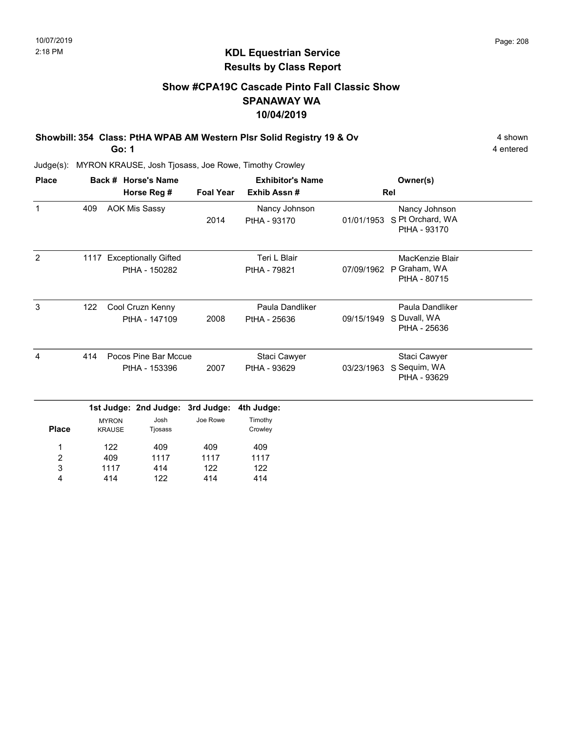### KDL Equestrian Service Results by Class Report

### Show #CPA19C Cascade Pinto Fall Classic Show SPANAWAY WA 10/04/2019

Showbill: 354 Class: PtHA WPAB AM Western Plsr Solid Registry 19 & Ov 4 shown 4 shown Go: 1

| <b>Place</b>   |     |                                       | Back # Horse's Name                        |                  | <b>Exhibitor's Name</b>         |            | Owner(s)                                          |  |
|----------------|-----|---------------------------------------|--------------------------------------------|------------------|---------------------------------|------------|---------------------------------------------------|--|
|                |     |                                       | Horse Reg #                                | <b>Foal Year</b> | Exhib Assn#                     |            | Rel                                               |  |
| $\mathbf{1}$   | 409 |                                       | <b>AOK Mis Sassy</b>                       | 2014             | Nancy Johnson<br>PtHA - 93170   | 01/01/1953 | Nancy Johnson<br>S Pt Orchard, WA<br>PtHA - 93170 |  |
| $\overline{2}$ |     |                                       | 1117 Exceptionally Gifted<br>PtHA - 150282 |                  | Teri L Blair<br>PtHA - 79821    | 07/09/1962 | MacKenzie Blair<br>P Graham, WA<br>PtHA - 80715   |  |
| 3              | 122 |                                       | Cool Cruzn Kenny<br>PtHA - 147109          | 2008             | Paula Dandliker<br>PtHA - 25636 | 09/15/1949 | Paula Dandliker<br>S Duvall, WA<br>PtHA - 25636   |  |
| 4              | 414 | Pocos Pine Bar Mccue<br>PtHA - 153396 |                                            | 2007             | Staci Cawyer<br>PtHA - 93629    | 03/23/1963 | Staci Cawyer<br>S Sequim, WA<br>PtHA - 93629      |  |
|                |     |                                       | 1st Judge: 2nd Judge:                      | 3rd Judge:       | 4th Judge:                      |            |                                                   |  |
| <b>Place</b>   |     | <b>MYRON</b><br><b>KRAUSE</b>         | Josh<br>Tjosass                            | Joe Rowe         | Timothy<br>Crowley              |            |                                                   |  |
| 1              |     | 122                                   | 409                                        | 409              | 409                             |            |                                                   |  |
| 2              |     | 409                                   | 1117                                       | 1117             | 1117                            |            |                                                   |  |
| 3              |     | 1117                                  | 414                                        | 122              | 122                             |            |                                                   |  |
| 4              |     | 414                                   | 122                                        | 414              | 414                             |            |                                                   |  |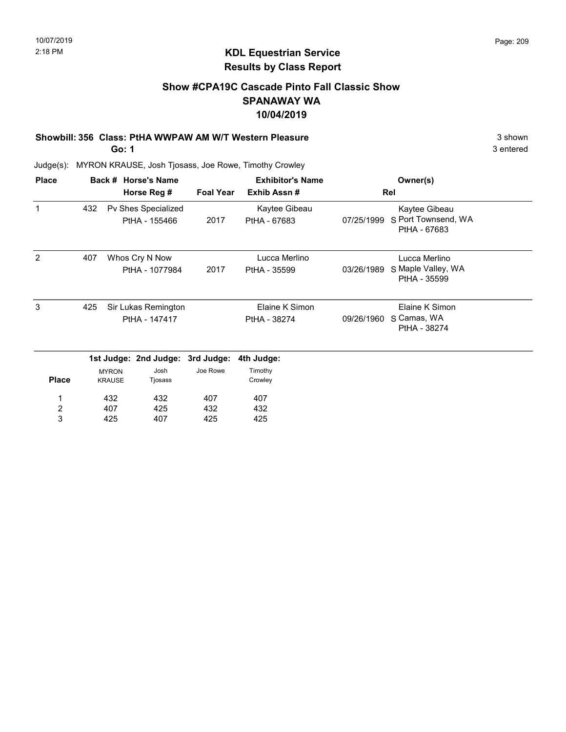### Show #CPA19C Cascade Pinto Fall Classic Show SPANAWAY WA 10/04/2019

#### Showbill: 356 Class: PtHA WWPAW AM W/T Western Pleasure 3 shown 3 shown

Go: 1

3 entered

| <b>Place</b>            |     |                               | Back # Horse's Name                  |                  | <b>Exhibitor's Name</b>        |            | Owner(s)                                             |
|-------------------------|-----|-------------------------------|--------------------------------------|------------------|--------------------------------|------------|------------------------------------------------------|
|                         |     |                               | Horse Reg #                          | <b>Foal Year</b> | Exhib Assn#                    |            | Rel                                                  |
| 1                       | 432 |                               | Pv Shes Specialized<br>PtHA - 155466 | 2017             | Kaytee Gibeau<br>PtHA - 67683  | 07/25/1999 | Kaytee Gibeau<br>S Port Townsend, WA<br>PtHA - 67683 |
| 2                       | 407 |                               | Whos Cry N Now<br>PtHA - 1077984     | 2017             | Lucca Merlino<br>PtHA - 35599  | 03/26/1989 | Lucca Merlino<br>S Maple Valley, WA<br>PtHA - 35599  |
| 3                       | 425 |                               | Sir Lukas Remington<br>PtHA - 147417 |                  | Elaine K Simon<br>PtHA - 38274 | 09/26/1960 | Elaine K Simon<br>S Camas, WA<br>PtHA - 38274        |
|                         |     |                               | 1st Judge: 2nd Judge: 3rd Judge:     |                  | 4th Judge:                     |            |                                                      |
| <b>Place</b>            |     | <b>MYRON</b><br><b>KRAUSE</b> | Josh<br>Tjosass                      | Joe Rowe         | Timothy<br>Crowley             |            |                                                      |
| 1                       |     | 432                           | 432                                  | 407              | 407                            |            |                                                      |
| $\overline{\mathbf{c}}$ |     | 407                           | 425                                  | 432              | 432                            |            |                                                      |
| 3                       |     | 425                           | 407                                  | 425              | 425                            |            |                                                      |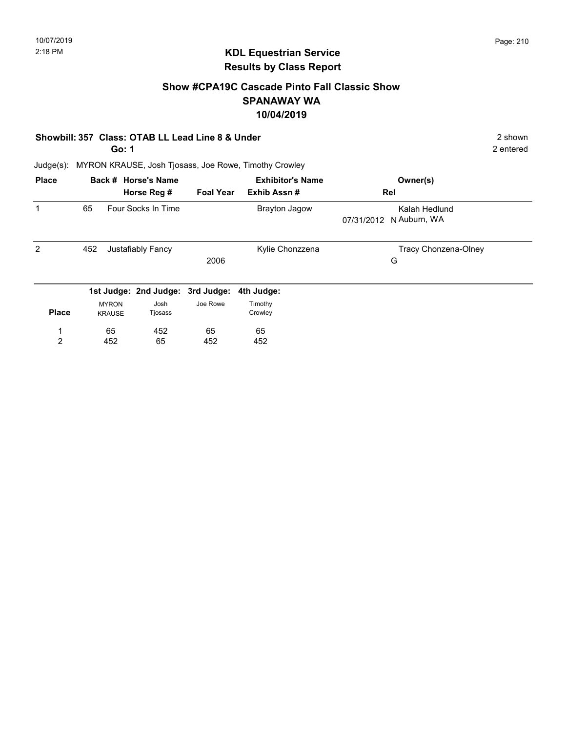### Show #CPA19C Cascade Pinto Fall Classic Show SPANAWAY WA 10/04/2019

#### Showbill: 357 Class: OTAB LL Lead Line 8 & Under 2 shown 2 shown

Go: 1

2 entered

| <b>Place</b>        |                               | Back # Horse's Name<br>Horse Reg # | <b>Foal Year</b> | <b>Exhibitor's Name</b><br>Exhib Assn# | Owner(s)<br>Rel                          |
|---------------------|-------------------------------|------------------------------------|------------------|----------------------------------------|------------------------------------------|
| 1                   | 65                            | Four Socks In Time                 |                  | <b>Brayton Jagow</b>                   | Kalah Hedlund<br>07/31/2012 N Auburn, WA |
| $\overline{2}$      | 452                           | Justafiably Fancy                  | 2006             | Kylie Chonzzena                        | Tracy Chonzena-Olney<br>G                |
|                     |                               | 1st Judge: 2nd Judge: 3rd Judge:   |                  | 4th Judge:                             |                                          |
| <b>Place</b>        | <b>MYRON</b><br><b>KRAUSE</b> | Josh<br>Tjosass                    | Joe Rowe         | Timothy<br>Crowley                     |                                          |
| 4<br>$\overline{2}$ | 65<br>452                     | 452<br>65                          | 65<br>452        | 65<br>452                              |                                          |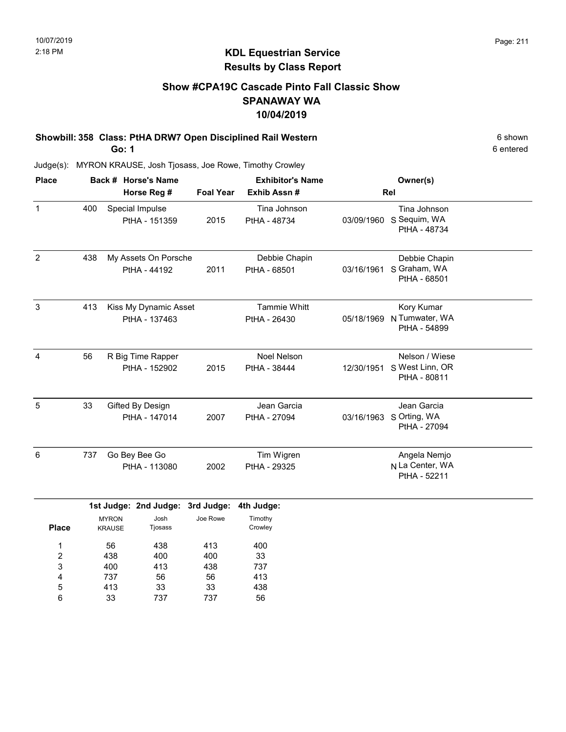### Show #CPA19C Cascade Pinto Fall Classic Show SPANAWAY WA 10/04/2019

#### Showbill: 358 Class: PtHA DRW7 Open Disciplined Rail Western 6 6 Shown 6 shown Go: 1

Judge(s): MYRON KRAUSE, Josh Tjosass, Joe Rowe, Timothy Crowley

| <b>Place</b>   |     | Back # Horse's Name                    |                  | <b>Exhibitor's Name</b>             |            | Owner(s)                                               |  |
|----------------|-----|----------------------------------------|------------------|-------------------------------------|------------|--------------------------------------------------------|--|
|                |     | Horse Reg #                            | <b>Foal Year</b> | Exhib Assn#                         | Rel        |                                                        |  |
| $\mathbf 1$    | 400 | Special Impulse<br>PtHA - 151359       | 2015             | Tina Johnson<br>PtHA - 48734        | 03/09/1960 | Tina Johnson<br>S Sequim, WA<br>PtHA - 48734           |  |
| $\overline{2}$ | 438 | My Assets On Porsche<br>PtHA - 44192   | 2011             | Debbie Chapin<br>PtHA - 68501       | 03/16/1961 | Debbie Chapin<br>S Graham, WA<br>PtHA - 68501          |  |
| 3              | 413 | Kiss My Dynamic Asset<br>PtHA - 137463 |                  | <b>Tammie Whitt</b><br>PtHA - 26430 | 05/18/1969 | Kory Kumar<br>N Tumwater, WA<br>PtHA - 54899           |  |
| 4              | 56  | R Big Time Rapper<br>PtHA - 152902     | 2015             | <b>Noel Nelson</b><br>PtHA - 38444  | 12/30/1951 | Nelson / Wiese<br>S West Linn, OR<br>PtHA - 80811      |  |
| 5              | 33  | Gifted By Design<br>PtHA - 147014      | 2007             | Jean Garcia<br>PtHA - 27094         |            | Jean Garcia<br>03/16/1963 S Orting, WA<br>PtHA - 27094 |  |
| 6              | 737 | Go Bey Bee Go<br>PtHA - 113080         | 2002             | Tim Wigren<br>PtHA - 29325          |            | Angela Nemjo<br>N La Center, WA<br>PtHA - 52211        |  |

|              |               | 1st Judge: 2nd Judge: 3rd Judge: 4th Judge: |          |         |
|--------------|---------------|---------------------------------------------|----------|---------|
|              | <b>MYRON</b>  | Josh                                        | Joe Rowe | Timothy |
| <b>Place</b> | <b>KRAUSE</b> | Tjosass                                     |          | Crowley |
|              | 56            | 438                                         | 413      | 400     |
| 2            | 438           | 400                                         | 400      | 33      |
| 3            | 400           | 413                                         | 438      | 737     |
| 4            | 737           | 56                                          | 56       | 413     |
| 5            | 413           | 33                                          | 33       | 438     |
| 6            | 33            | 737                                         | 737      | 56      |

6 entered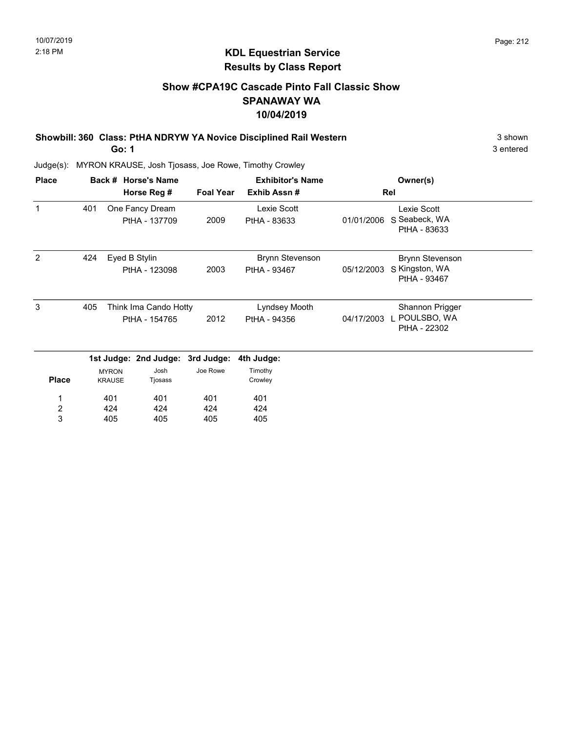### Show #CPA19C Cascade Pinto Fall Classic Show SPANAWAY WA 10/04/2019

Showbill: 360 Class: PtHA NDRYW YA Novice Disciplined Rail Western 3 Shown 3 shown

Go: 1

3 entered

| <b>Place</b>     |     |                               | Back # Horse's Name              |                  | <b>Exhibitor's Name</b> |            | Owner(s)                       |  |
|------------------|-----|-------------------------------|----------------------------------|------------------|-------------------------|------------|--------------------------------|--|
|                  |     |                               | Horse Reg #                      | <b>Foal Year</b> | Exhib Assn#             |            | Rel                            |  |
| 1                | 401 |                               | One Fancy Dream                  |                  | Lexie Scott             |            | Lexie Scott                    |  |
|                  |     |                               | PtHA - 137709                    | 2009             | PtHA - 83633            | 01/01/2006 | S Seabeck, WA<br>PtHA - 83633  |  |
| 2                | 424 |                               | Eyed B Stylin                    |                  | <b>Brynn Stevenson</b>  |            | <b>Brynn Stevenson</b>         |  |
|                  |     |                               | PtHA - 123098                    | 2003             | PtHA - 93467            | 05/12/2003 | S Kingston, WA<br>PtHA - 93467 |  |
| 3                | 405 |                               | Think Ima Cando Hotty            |                  | Lyndsey Mooth           |            | Shannon Prigger                |  |
|                  |     | PtHA - 154765                 |                                  | 2012             | PtHA - 94356            | 04/17/2003 | POULSBO, WA<br>PtHA - 22302    |  |
|                  |     |                               | 1st Judge: 2nd Judge: 3rd Judge: |                  | 4th Judge:              |            |                                |  |
| <b>Place</b>     |     | <b>MYRON</b><br><b>KRAUSE</b> | Josh<br>Tjosass                  | Joe Rowe         | Timothy<br>Crowley      |            |                                |  |
| 1                |     | 401                           | 401                              | 401              | 401                     |            |                                |  |
| $\boldsymbol{2}$ |     | 424                           | 424                              | 424              | 424                     |            |                                |  |
| 3                |     | 405                           | 405                              | 405              | 405                     |            |                                |  |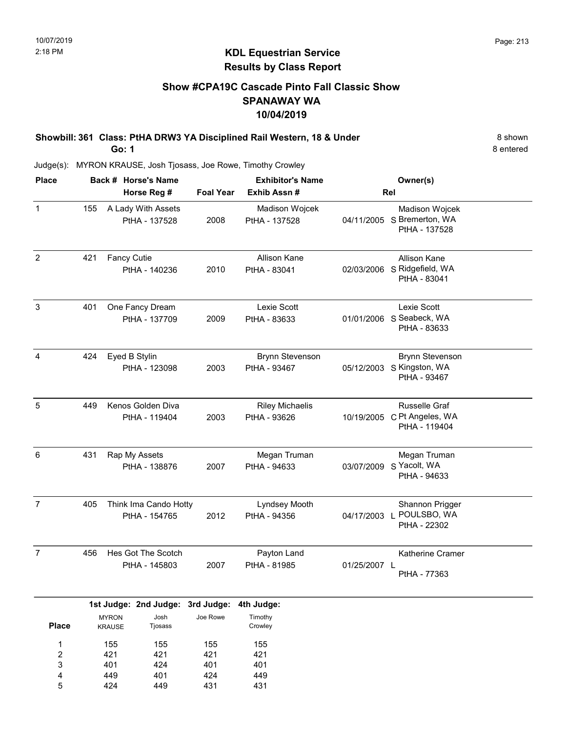### Show #CPA19C Cascade Pinto Fall Classic Show SPANAWAY WA 10/04/2019

Showbill: 361 Class: PtHA DRW3 YA Disciplined Rail Western, 18 & Under 8 Shown Go: 1

8 entered

Judge(s): MYRON KRAUSE, Josh Tjosass, Joe Rowe, Timothy Crowley

401 449 424

3 4 5

424 401 449

401 424 431

401 449 431

| <b>Place</b>        |     |                                        | Back # Horse's Name                                 |                  | <b>Exhibitor's Name</b>                |              | Owner(s)                                                            |  |
|---------------------|-----|----------------------------------------|-----------------------------------------------------|------------------|----------------------------------------|--------------|---------------------------------------------------------------------|--|
|                     |     |                                        | Horse Reg #                                         | <b>Foal Year</b> | Exhib Assn #                           |              | Rel                                                                 |  |
| $\mathbf{1}$        | 155 |                                        | A Lady With Assets<br>PtHA - 137528                 | 2008             | Madison Wojcek<br>PtHA - 137528        |              | Madison Wojcek<br>04/11/2005 S Bremerton, WA<br>PtHA - 137528       |  |
| $\overline{2}$      | 421 | <b>Fancy Cutie</b>                     | PtHA - 140236                                       | 2010             | Allison Kane<br>PtHA - 83041           | 02/03/2006   | Allison Kane<br>S Ridgefield, WA<br>PtHA - 83041                    |  |
| 3                   | 401 |                                        | One Fancy Dream<br>PtHA - 137709                    | 2009             | Lexie Scott<br>PtHA - 83633            |              | Lexie Scott<br>01/01/2006 S Seabeck, WA<br>PtHA - 83633             |  |
| 4                   | 424 |                                        | Eyed B Stylin<br>PtHA - 123098                      | 2003             | <b>Brynn Stevenson</b><br>PtHA - 93467 |              | <b>Brynn Stevenson</b><br>05/12/2003 S Kingston, WA<br>PtHA - 93467 |  |
| 5                   | 449 | Kenos Golden Diva<br>PtHA - 119404     |                                                     | 2003             | <b>Riley Michaelis</b><br>PtHA - 93626 |              | Russelle Graf<br>10/19/2005 C Pt Angeles, WA<br>PtHA - 119404       |  |
| 6                   | 431 |                                        | Rap My Assets<br>PtHA - 138876                      | 2007             | Megan Truman<br>PtHA - 94633           | 03/07/2009   | Megan Truman<br>S Yacolt, WA<br>PtHA - 94633                        |  |
| $\overline{7}$      | 405 | Think Ima Cando Hotty<br>PtHA - 154765 |                                                     | 2012             | Lyndsey Mooth<br>PtHA - 94356          | 04/17/2003 L | Shannon Prigger<br>POULSBO, WA<br>PtHA - 22302                      |  |
| $\overline{7}$      | 456 |                                        | Hes Got The Scotch<br>PtHA - 145803                 | 2007             | Payton Land<br>PtHA - 81985            | 01/25/2007 L | Katherine Cramer<br>PtHA - 77363                                    |  |
| <b>Place</b>        |     | <b>MYRON</b><br><b>KRAUSE</b>          | 1st Judge: 2nd Judge: 3rd Judge:<br>Josh<br>Tjosass | Joe Rowe         | 4th Judge:<br>Timothy<br>Crowley       |              |                                                                     |  |
| 1<br>$\overline{c}$ |     | 155<br>421                             | 155<br>421                                          | 155<br>421       | 155<br>421                             |              |                                                                     |  |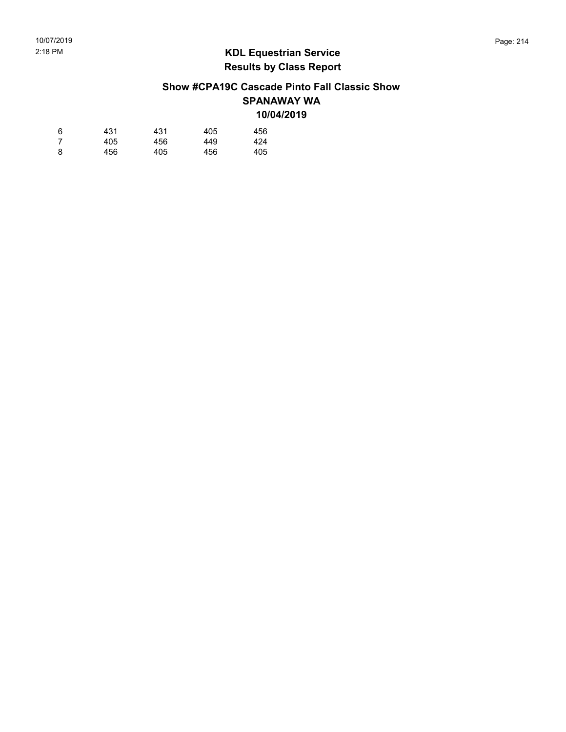### Show #CPA19C Cascade Pinto Fall Classic Show SPANAWAY WA 10/04/2019

| 6 | 431 | 431 | 405 | 456 |
|---|-----|-----|-----|-----|
| 7 | 405 | 456 | 449 | 424 |
| 8 | 456 | 405 | 456 | 405 |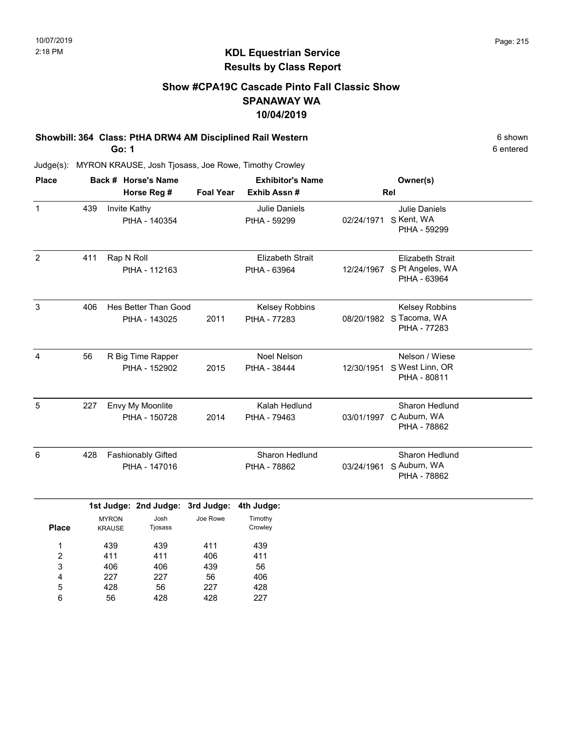### Show #CPA19C Cascade Pinto Fall Classic Show SPANAWAY WA 10/04/2019

# Showbill: 364 Class: PtHA DRW4 AM Disciplined Rail Western 6 6 Shown 6 shown

Go: 1

6 entered

| <b>Place</b>        |                                                   |                                                  | Back # Horse's Name                   |                                | <b>Exhibitor's Name</b>                 |                                                       | Owner(s)                                                    |  |  |
|---------------------|---------------------------------------------------|--------------------------------------------------|---------------------------------------|--------------------------------|-----------------------------------------|-------------------------------------------------------|-------------------------------------------------------------|--|--|
|                     | Horse Reg #                                       |                                                  |                                       | <b>Foal Year</b>               | Exhib Assn#                             |                                                       | Rel                                                         |  |  |
| $\mathbf{1}$        | 439                                               | Invite Kathy                                     | PtHA - 140354                         |                                | <b>Julie Daniels</b><br>PtHA - 59299    | 02/24/1971                                            | <b>Julie Daniels</b><br>S Kent, WA<br>PtHA - 59299          |  |  |
| $\overline{2}$      | 411                                               | Rap N Roll                                       | PtHA - 112163                         |                                | <b>Elizabeth Strait</b><br>PtHA - 63964 | 12/24/1967                                            | <b>Elizabeth Strait</b><br>S Pt Angeles, WA<br>PtHA - 63964 |  |  |
| $\mathbf{3}$        | 406                                               |                                                  | Hes Better Than Good<br>PtHA - 143025 | 2011                           | Kelsey Robbins<br>PtHA - 77283          |                                                       | Kelsey Robbins<br>08/20/1982 S Tacoma, WA<br>PtHA - 77283   |  |  |
| 4                   | 56                                                | R Big Time Rapper<br>PtHA - 152902               |                                       | 2015                           | Noel Nelson<br>PtHA - 38444             | 12/30/1951                                            | Nelson / Wiese<br>S West Linn, OR<br>PtHA - 80811           |  |  |
| $\sqrt{5}$          | 227                                               |                                                  | Envy My Moonlite<br>PtHA - 150728     | 2014                           | Kalah Hedlund<br>PtHA - 79463           | 03/01/1997                                            | Sharon Hedlund<br>C Auburn, WA<br>PtHA - 78862              |  |  |
| 6                   | 428<br><b>Fashionably Gifted</b><br>PtHA - 147016 |                                                  |                                       | Sharon Hedlund<br>PtHA - 78862 | 03/24/1961                              | <b>Sharon Hedlund</b><br>S Auburn, WA<br>PtHA - 78862 |                                                             |  |  |
|                     | 1st Judge: 2nd Judge:                             |                                                  |                                       | 3rd Judge:                     | 4th Judge:                              |                                                       |                                                             |  |  |
| <b>Place</b>        |                                                   | Josh<br><b>MYRON</b><br><b>KRAUSE</b><br>Tjosass |                                       | Joe Rowe                       | Timothy<br>Crowley                      |                                                       |                                                             |  |  |
| 1<br>$\overline{c}$ | 439<br>411                                        |                                                  | 439<br>411                            | 411<br>406                     | 439<br>411                              |                                                       |                                                             |  |  |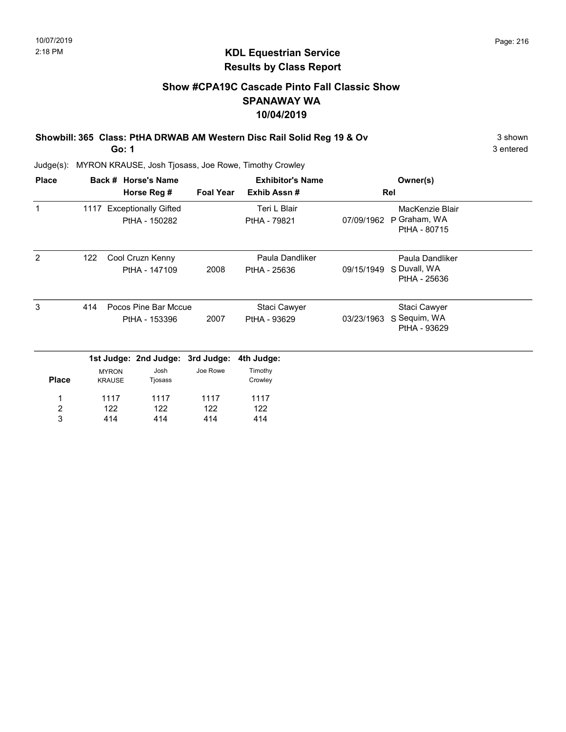### Show #CPA19C Cascade Pinto Fall Classic Show SPANAWAY WA 10/04/2019

Showbill: 365 Class: PtHA DRWAB AM Western Disc Rail Solid Reg 19 & Ov 3 shown 3 shown

Go: 1

3 entered

| <b>Place</b>     |                             |                               | Back # Horse's Name              |                  | <b>Exhibitor's Name</b> |                              | Owner(s)                     |  |
|------------------|-----------------------------|-------------------------------|----------------------------------|------------------|-------------------------|------------------------------|------------------------------|--|
|                  |                             |                               | Horse Reg #                      | <b>Foal Year</b> | Exhib Assn#             |                              | Rel                          |  |
| 1                |                             |                               | 1117 Exceptionally Gifted        |                  | Teri L Blair            |                              | MacKenzie Blair              |  |
|                  |                             |                               | PtHA - 150282                    |                  | PtHA - 79821            | 07/09/1962                   | P Graham, WA<br>PtHA - 80715 |  |
| 2                | 122                         |                               | Cool Cruzn Kenny                 |                  | Paula Dandliker         |                              | Paula Dandliker              |  |
|                  |                             |                               | PtHA - 147109                    | 2008             | PtHA - 25636            | 09/15/1949                   | S Duvall, WA<br>PtHA - 25636 |  |
| 3                | Pocos Pine Bar Mccue<br>414 |                               |                                  |                  | Staci Cawyer            |                              | Staci Cawyer                 |  |
|                  | PtHA - 153396               |                               | 2007                             | PtHA - 93629     | 03/23/1963              | S Sequim, WA<br>PtHA - 93629 |                              |  |
|                  |                             |                               | 1st Judge: 2nd Judge: 3rd Judge: |                  | 4th Judge:              |                              |                              |  |
| <b>Place</b>     |                             | <b>MYRON</b><br><b>KRAUSE</b> | Josh<br>Tjosass                  | Joe Rowe         | Timothy<br>Crowley      |                              |                              |  |
| 1                |                             | 1117                          | 1117                             | 1117             | 1117                    |                              |                              |  |
| $\boldsymbol{2}$ |                             | 122                           | 122                              | 122              | 122                     |                              |                              |  |
| 3                |                             | 414                           | 414                              | 414              | 414                     |                              |                              |  |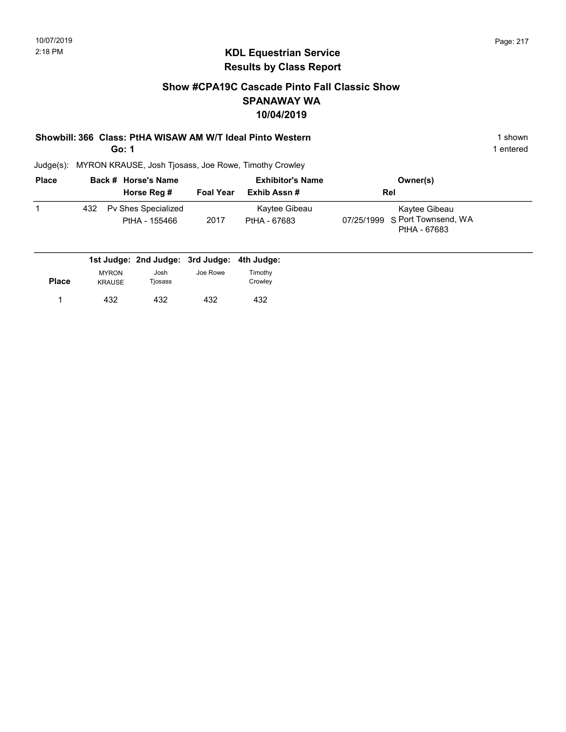#### Show #CPA19C Cascade Pinto Fall Classic Show SPANAWAY WA 10/04/2019

#### Showbill: 366 Class: PtHA WISAW AM W/T Ideal Pinto Western 1 Shown 1 shown

Go: 1

1 entered

| <b>Place</b> |     | Back # Horse's Name                  | <b>Exhibitor's Name</b> |                               | Owner(s)                                                        |
|--------------|-----|--------------------------------------|-------------------------|-------------------------------|-----------------------------------------------------------------|
|              |     | Horse Reg #                          | <b>Foal Year</b>        | Exhib Assn #                  | Rel                                                             |
|              | 432 | Pv Shes Specialized<br>PtHA - 155466 | 2017                    | Kaytee Gibeau<br>PtHA - 67683 | Kaytee Gibeau<br>07/25/1999 S Port Townsend, WA<br>PtHA - 67683 |

|       |                               | 1st Judge: 2nd Judge: 3rd Judge: 4th Judge: |          |                    |
|-------|-------------------------------|---------------------------------------------|----------|--------------------|
| Place | <b>MYRON</b><br><b>KRAUSE</b> | Josh<br>Tjosass                             | Joe Rowe | Timothy<br>Crowley |
|       | 432                           | 432                                         | 432      | 432                |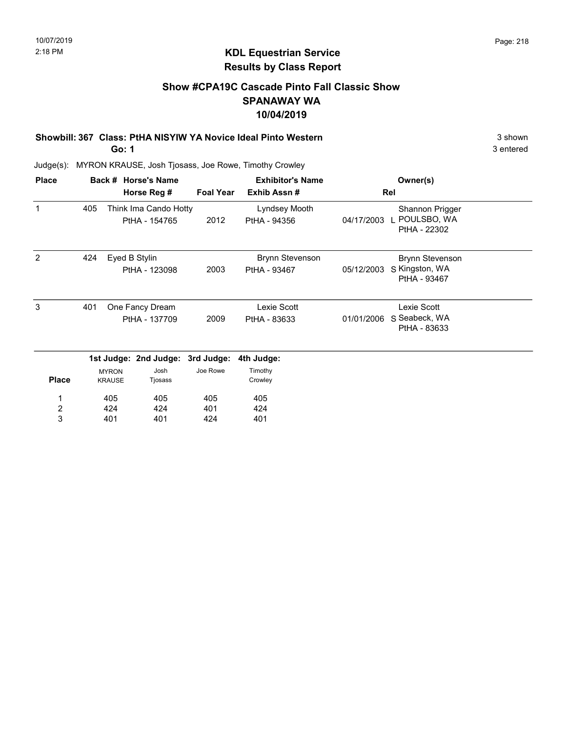#### Show #CPA19C Cascade Pinto Fall Classic Show SPANAWAY WA 10/04/2019

Showbill: 367 Class: PtHA NISYIW YA Novice Ideal Pinto Western 3 Shown 3 shown

Go: 1

3 entered

| <b>Place</b>          |     |                                  | Back # Horse's Name                    |                  | <b>Exhibitor's Name</b>                |            | Owner(s)                                          |  |
|-----------------------|-----|----------------------------------|----------------------------------------|------------------|----------------------------------------|------------|---------------------------------------------------|--|
|                       |     |                                  | Horse Reg #                            | <b>Foal Year</b> | Exhib Assn#                            |            | Rel                                               |  |
| 1                     | 405 |                                  | Think Ima Cando Hotty<br>PtHA - 154765 | 2012             | Lyndsey Mooth<br>PtHA - 94356          | 04/17/2003 | Shannon Prigger<br>POULSBO, WA<br>PtHA - 22302    |  |
| 2                     | 424 |                                  | Eyed B Stylin<br>PtHA - 123098         | 2003             | <b>Brynn Stevenson</b><br>PtHA - 93467 | 05/12/2003 | Brynn Stevenson<br>S Kingston, WA<br>PtHA - 93467 |  |
| 3                     | 401 | One Fancy Dream<br>PtHA - 137709 |                                        | 2009             | Lexie Scott<br>PtHA - 83633            | 01/01/2006 | Lexie Scott<br>S Seabeck, WA<br>PtHA - 83633      |  |
|                       |     |                                  | 1st Judge: 2nd Judge: 3rd Judge:       |                  | 4th Judge:                             |            |                                                   |  |
| <b>Place</b>          |     | <b>MYRON</b><br><b>KRAUSE</b>    | Josh<br>Tjosass                        | Joe Rowe         | Timothy<br>Crowley                     |            |                                                   |  |
| 1                     |     | 405                              | 405                                    | 405              | 405                                    |            |                                                   |  |
| $\boldsymbol{2}$<br>3 |     | 424<br>401                       | 424<br>401                             | 401<br>424       | 424<br>401                             |            |                                                   |  |
|                       |     |                                  |                                        |                  |                                        |            |                                                   |  |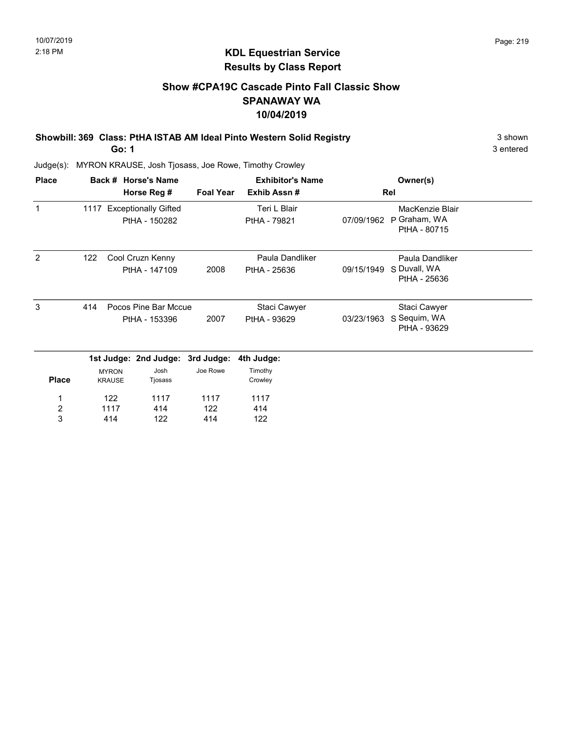#### Show #CPA19C Cascade Pinto Fall Classic Show SPANAWAY WA 10/04/2019

Showbill: 369 Class: PtHA ISTAB AM Ideal Pinto Western Solid Registry 3 Shown 3 shown

Go: 1

3 entered

| <b>Place</b>     |     |                               | Back # Horse's Name              |                  | <b>Exhibitor's Name</b> |            | Owner(s)                     |  |
|------------------|-----|-------------------------------|----------------------------------|------------------|-------------------------|------------|------------------------------|--|
|                  |     |                               | Horse Reg #                      | <b>Foal Year</b> | Exhib Assn#             |            | Rel                          |  |
| 1                |     |                               | 1117 Exceptionally Gifted        |                  | Teri L Blair            |            | MacKenzie Blair              |  |
|                  |     |                               | PtHA - 150282                    |                  | PtHA - 79821            | 07/09/1962 | P Graham, WA<br>PtHA - 80715 |  |
| 2                | 122 |                               | Cool Cruzn Kenny                 |                  | Paula Dandliker         |            | Paula Dandliker              |  |
|                  |     |                               | PtHA - 147109                    | 2008             | PtHA - 25636            | 09/15/1949 | S Duvall, WA<br>PtHA - 25636 |  |
| 3                | 414 |                               | Pocos Pine Bar Mccue             |                  | Staci Cawyer            |            | Staci Cawyer                 |  |
|                  |     | PtHA - 153396                 |                                  | 2007             | PtHA - 93629            | 03/23/1963 | S Sequim, WA<br>PtHA - 93629 |  |
|                  |     |                               | 1st Judge: 2nd Judge: 3rd Judge: |                  | 4th Judge:              |            |                              |  |
| <b>Place</b>     |     | <b>MYRON</b><br><b>KRAUSE</b> | Josh<br>Tjosass                  | Joe Rowe         | Timothy<br>Crowley      |            |                              |  |
| 1                |     | 122                           | 1117                             | 1117             | 1117                    |            |                              |  |
| $\boldsymbol{2}$ |     | 1117                          | 414                              | 122              | 414                     |            |                              |  |
| 3                |     | 414                           | 122                              | 414              | 122                     |            |                              |  |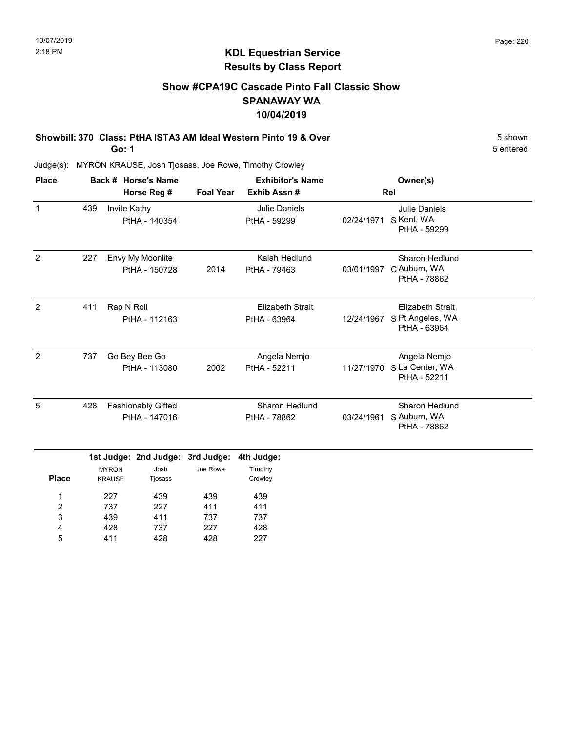5 entered

# KDL Equestrian Service Results by Class Report

### Show #CPA19C Cascade Pinto Fall Classic Show SPANAWAY WA 10/04/2019

# Showbill: 370 Class: PtHA ISTA3 AM Ideal Western Pinto 19 & Over 5 Shown 5 shown

Go: 1

439 428 411

3 4 5 411 737 428 737 227 428 737 428 227

| <b>Place</b>        |             |                                            | Back # Horse's Name               |                  | <b>Exhibitor's Name</b>                 |            | Owner(s)                                                    |  |
|---------------------|-------------|--------------------------------------------|-----------------------------------|------------------|-----------------------------------------|------------|-------------------------------------------------------------|--|
|                     | Horse Reg # |                                            |                                   | <b>Foal Year</b> | Exhib Assn#                             | Rel        |                                                             |  |
| $\mathbf{1}$        | 439         | Invite Kathy                               | PtHA - 140354                     |                  | <b>Julie Daniels</b><br>PtHA - 59299    | 02/24/1971 | <b>Julie Daniels</b><br>S Kent, WA<br>PtHA - 59299          |  |
| 2                   | 227         |                                            | Envy My Moonlite<br>PtHA - 150728 | 2014             | Kalah Hedlund<br>PtHA - 79463           | 03/01/1997 | Sharon Hedlund<br>C Auburn, WA<br>PtHA - 78862              |  |
| $\overline{2}$      | 411         | Rap N Roll<br>PtHA - 112163                |                                   |                  | <b>Elizabeth Strait</b><br>PtHA - 63964 | 12/24/1967 | <b>Elizabeth Strait</b><br>S Pt Angeles, WA<br>PtHA - 63964 |  |
| 2                   | 737         | Go Bey Bee Go<br>PtHA - 113080             |                                   | 2002             | Angela Nemjo<br>PtHA - 52211            | 11/27/1970 | Angela Nemjo<br>S La Center, WA<br>PtHA - 52211             |  |
| 5                   | 428         | <b>Fashionably Gifted</b><br>PtHA - 147016 |                                   |                  | Sharon Hedlund<br>PtHA - 78862          | 03/24/1961 | Sharon Hedlund<br>S Auburn, WA<br>PtHA - 78862              |  |
|                     |             | 1st Judge: 2nd Judge:                      |                                   | 3rd Judge:       | 4th Judge:                              |            |                                                             |  |
| <b>Place</b>        |             | <b>MYRON</b><br><b>KRAUSE</b>              | Josh<br>Tjosass                   | Joe Rowe         | Timothy<br>Crowley                      |            |                                                             |  |
| 1<br>$\overline{c}$ | 227<br>737  |                                            | 439<br>227                        | 439<br>411       | 439<br>411                              |            |                                                             |  |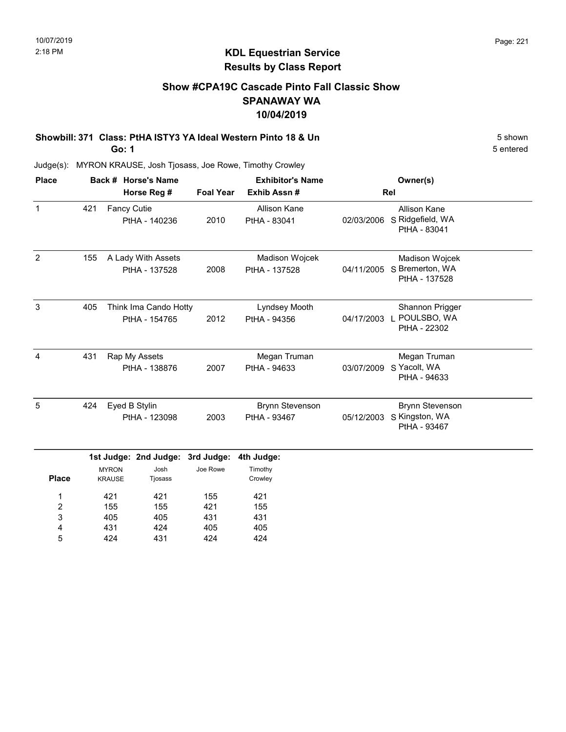#### Show #CPA19C Cascade Pinto Fall Classic Show SPANAWAY WA 10/04/2019

Showbill: 371 Class: PtHA ISTY3 YA Ideal Western Pinto 18 & Un 5 Shown 5 shown Go: 1

5 entered

Judge(s): MYRON KRAUSE, Josh Tjosass, Joe Rowe, Timothy Crowley

405 431 424

3 4 5 405 424 431

431 405 424

431 405 424

| <b>Place</b>        |             |                                                  | Back # Horse's Name                    |                  | <b>Exhibitor's Name</b>                |            |                                                          |  |
|---------------------|-------------|--------------------------------------------------|----------------------------------------|------------------|----------------------------------------|------------|----------------------------------------------------------|--|
|                     | Horse Reg # |                                                  |                                        | <b>Foal Year</b> | Exhib Assn#                            | Rel        |                                                          |  |
| $\mathbf{1}$        | 421         | <b>Fancy Cutie</b>                               | PtHA - 140236                          | 2010             | Allison Kane<br>PtHA - 83041           | 02/03/2006 | <b>Allison Kane</b><br>S Ridgefield, WA<br>PtHA - 83041  |  |
| $\overline{2}$      | 155         |                                                  | A Lady With Assets<br>PtHA - 137528    | 2008             | Madison Wojcek<br>PtHA - 137528        | 04/11/2005 | Madison Wojcek<br>S Bremerton, WA<br>PtHA - 137528       |  |
| 3                   | 405         |                                                  | Think Ima Cando Hotty<br>PtHA - 154765 | 2012             | Lyndsey Mooth<br>PtHA - 94356          | 04/17/2003 | Shannon Prigger<br>L POULSBO, WA<br>PtHA - 22302         |  |
| 4                   | 431         | Rap My Assets<br>PtHA - 138876                   |                                        | 2007             | Megan Truman<br>PtHA - 94633           | 03/07/2009 | Megan Truman<br>S Yacolt, WA<br>PtHA - 94633             |  |
| 5                   | 424         | Eyed B Stylin<br>PtHA - 123098                   |                                        | 2003             | <b>Brynn Stevenson</b><br>PtHA - 93467 | 05/12/2003 | <b>Brynn Stevenson</b><br>S Kingston, WA<br>PtHA - 93467 |  |
|                     |             |                                                  | 1st Judge: 2nd Judge: 3rd Judge:       |                  | 4th Judge:                             |            |                                                          |  |
| <b>Place</b>        |             | Josh<br><b>MYRON</b><br><b>KRAUSE</b><br>Tjosass |                                        | Joe Rowe         | Timothy<br>Crowley                     |            |                                                          |  |
| 1<br>$\overline{2}$ |             | 421<br>421<br>155<br>155                         |                                        | 155<br>421       | 421<br>155                             |            |                                                          |  |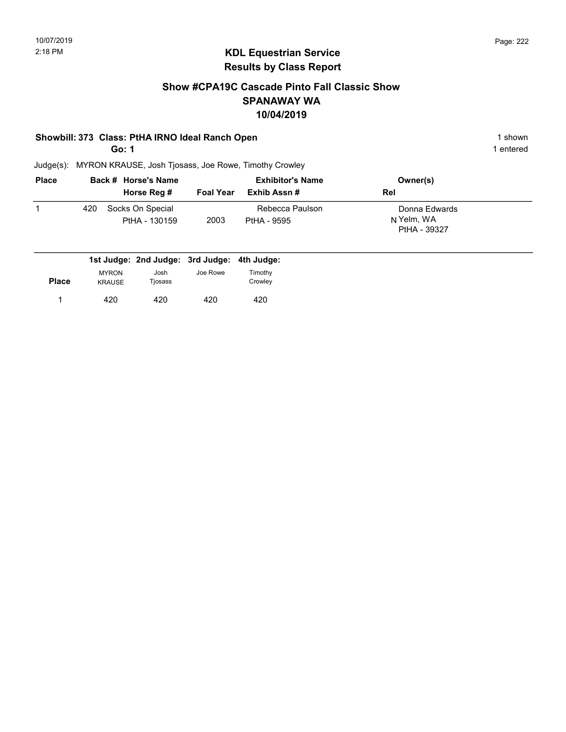#### Show #CPA19C Cascade Pinto Fall Classic Show SPANAWAY WA 10/04/2019

#### Showbill: 373 Class: PtHA IRNO Ideal Ranch Open 1 shown 1 shown

Go: 1

1 entered

| <b>Place</b> |     | Back # Horse's Name               |                  | <b>Exhibitor's Name</b>        | Owner(s)                                    |
|--------------|-----|-----------------------------------|------------------|--------------------------------|---------------------------------------------|
|              |     | Horse Reg #                       | <b>Foal Year</b> | Exhib Assn #                   | <b>Rel</b>                                  |
|              | 420 | Socks On Special<br>PtHA - 130159 | 2003             | Rebecca Paulson<br>PtHA - 9595 | Donna Edwards<br>N Yelm, WA<br>PtHA - 39327 |

|              |                               | 1st Judge: 2nd Judge: 3rd Judge: 4th Judge: |          |                    |
|--------------|-------------------------------|---------------------------------------------|----------|--------------------|
| <b>Place</b> | <b>MYRON</b><br><b>KRAUSE</b> | Josh<br>Tjosass                             | Joe Rowe | Timothy<br>Crowley |
|              | 420                           | 420                                         | 420      | 420                |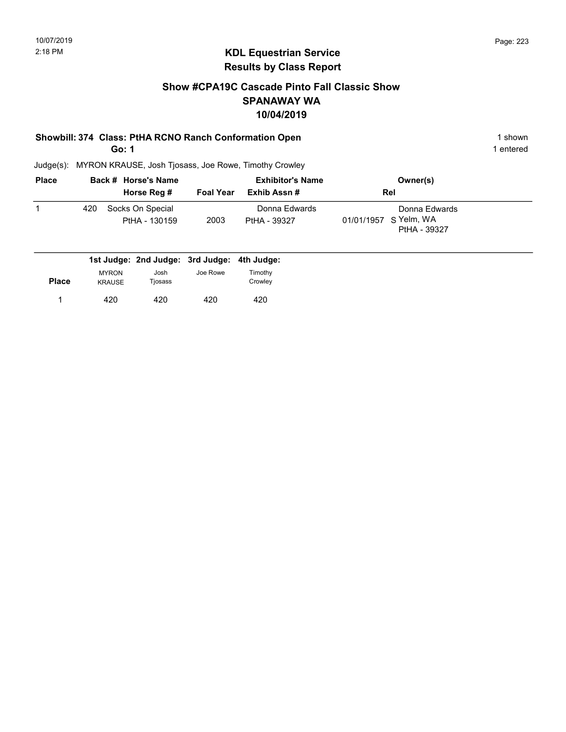#### Show #CPA19C Cascade Pinto Fall Classic Show SPANAWAY WA 10/04/2019

#### Showbill: 374 Class: PtHA RCNO Ranch Conformation Open 1 shown 1 shown

Go: 1

1 entered

| <b>Place</b> |     | Back # Horse's Name               |                  | <b>Exhibitor's Name</b>       | Owner(s)                                               |  |
|--------------|-----|-----------------------------------|------------------|-------------------------------|--------------------------------------------------------|--|
|              |     | Horse Reg #                       | <b>Foal Year</b> | Exhib Assn #                  | Rel                                                    |  |
|              | 420 | Socks On Special<br>PtHA - 130159 | 2003             | Donna Edwards<br>PtHA - 39327 | Donna Edwards<br>01/01/1957 S Yelm, WA<br>PtHA - 39327 |  |

| <b>MYRON</b>  | Josh    | Joe Rowe | Timothy                                     |
|---------------|---------|----------|---------------------------------------------|
| <b>KRAUSE</b> | Tjosass |          | Crowley                                     |
| 420           | 420     | 420      | 420                                         |
|               |         |          | 1st Judge: 2nd Judge: 3rd Judge: 4th Judge: |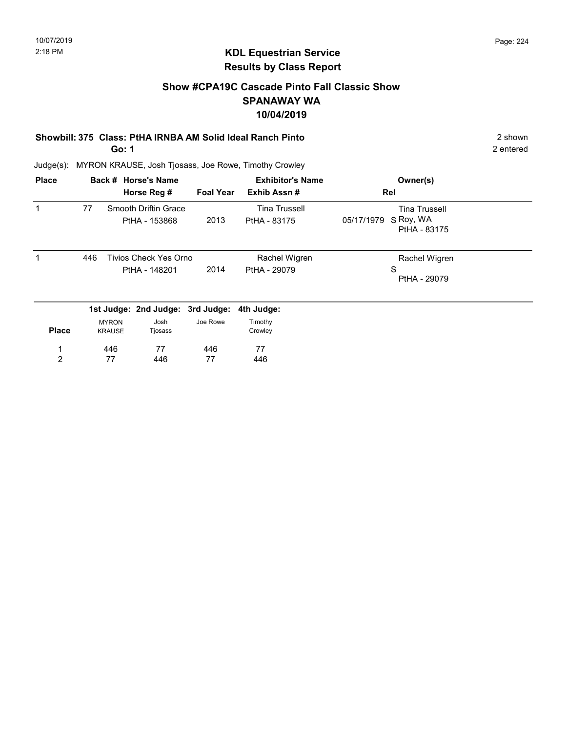#### Show #CPA19C Cascade Pinto Fall Classic Show SPANAWAY WA 10/04/2019

# Showbill: 375 Class: PtHA IRNBA AM Solid Ideal Ranch Pinto 2 Shown 2 shown

Go: 1

Judge(s): MYRON KRAUSE, Josh Tjosass, Joe Rowe, Timothy Crowley

| <b>Place</b> |     |                               | Back # Horse's Name                    |                  | <b>Exhibitor's Name</b>              | Owner(s)                                                        |  |
|--------------|-----|-------------------------------|----------------------------------------|------------------|--------------------------------------|-----------------------------------------------------------------|--|
|              |     |                               | Horse Reg #                            | <b>Foal Year</b> | Exhib Assn#                          | Rel                                                             |  |
|              | 77  |                               | Smooth Driftin Grace<br>PtHA - 153868  | 2013             | <b>Tina Trussell</b><br>PtHA - 83175 | <b>Tina Trussell</b><br>S Roy, WA<br>05/17/1979<br>PtHA - 83175 |  |
|              | 446 |                               | Tivios Check Yes Orno<br>PtHA - 148201 | 2014             | Rachel Wigren<br>PtHA - 29079        | Rachel Wigren<br>S<br>PtHA - 29079                              |  |
|              |     |                               | 1st Judge: 2nd Judge: 3rd Judge:       |                  | 4th Judge:                           |                                                                 |  |
| <b>Place</b> |     | <b>MYRON</b><br><b>KRAUSE</b> | Josh<br>Tjosass                        | Joe Rowe         | Timothy<br>Crowley                   |                                                                 |  |
| 1            |     | 446                           | 77                                     | 446              | 77                                   |                                                                 |  |
| 2            |     | 77                            | 446                                    | 77               | 446                                  |                                                                 |  |

2 entered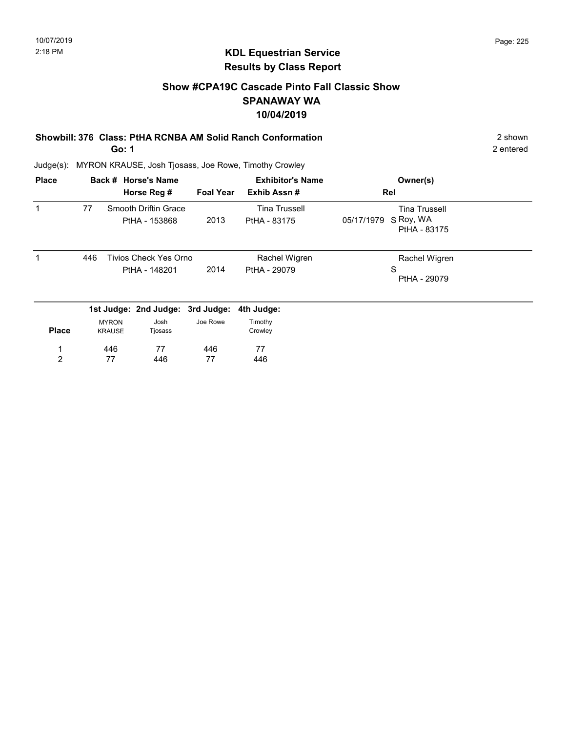#### Show #CPA19C Cascade Pinto Fall Classic Show SPANAWAY WA 10/04/2019

#### Showbill: 376 Class: PtHA RCNBA AM Solid Ranch Conformation 2 Shown 2 shown Go: 1

2 entered

| <b>Place</b>   |     |                               | Back # Horse's Name         |                  | <b>Exhibitor's Name</b> | Owner(s)                                |  |
|----------------|-----|-------------------------------|-----------------------------|------------------|-------------------------|-----------------------------------------|--|
|                |     |                               | Horse Reg #                 | <b>Foal Year</b> | Exhib Assn#             | Rel                                     |  |
|                | 77  |                               | <b>Smooth Driftin Grace</b> |                  | <b>Tina Trussell</b>    | <b>Tina Trussell</b>                    |  |
|                |     |                               | PtHA - 153868               | 2013             | PtHA - 83175            | S Roy, WA<br>05/17/1979<br>PtHA - 83175 |  |
| 1              | 446 |                               | Tivios Check Yes Orno       |                  | Rachel Wigren           | Rachel Wigren                           |  |
|                |     |                               | PtHA - 148201               | 2014             | PtHA - 29079            | S<br>PtHA - 29079                       |  |
|                |     |                               | 1st Judge: 2nd Judge:       | 3rd Judge:       | 4th Judge:              |                                         |  |
| <b>Place</b>   |     | <b>MYRON</b><br><b>KRAUSE</b> | Josh<br>Tjosass             | Joe Rowe         | Timothy<br>Crowley      |                                         |  |
| 1              |     | 446                           | 77                          | 446              | 77                      |                                         |  |
| $\overline{2}$ |     | 77                            | 446                         | 77               | 446                     |                                         |  |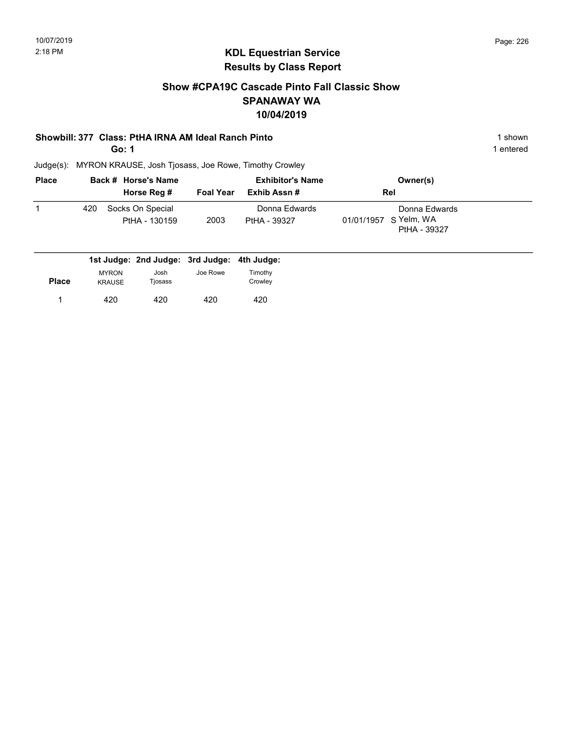#### Show #CPA19C Cascade Pinto Fall Classic Show SPANAWAY WA 10/04/2019

#### Showbill: 377 Class: PtHA IRNA AM Ideal Ranch Pinto 1 shown 1 shown

Go: 1

1 entered

| <b>Place</b> |     | Back # Horse's Name               |                  | <b>Exhibitor's Name</b>       | Owner(s)                                               |  |
|--------------|-----|-----------------------------------|------------------|-------------------------------|--------------------------------------------------------|--|
|              |     | Horse Reg #                       | <b>Foal Year</b> | Exhib Assn #                  | <b>Rel</b>                                             |  |
|              | 420 | Socks On Special<br>PtHA - 130159 | 2003             | Donna Edwards<br>PtHA - 39327 | Donna Edwards<br>01/01/1957 S Yelm, WA<br>PtHA - 39327 |  |

| <b>MYRON</b> | Josh          | Joe Rowe | Timothy                                     |
|--------------|---------------|----------|---------------------------------------------|
|              |               |          | Crowley                                     |
| 420          | 420           | 420      | 420                                         |
|              | <b>KRAUSE</b> | Tjosass  | 1st Judge: 2nd Judge: 3rd Judge: 4th Judge: |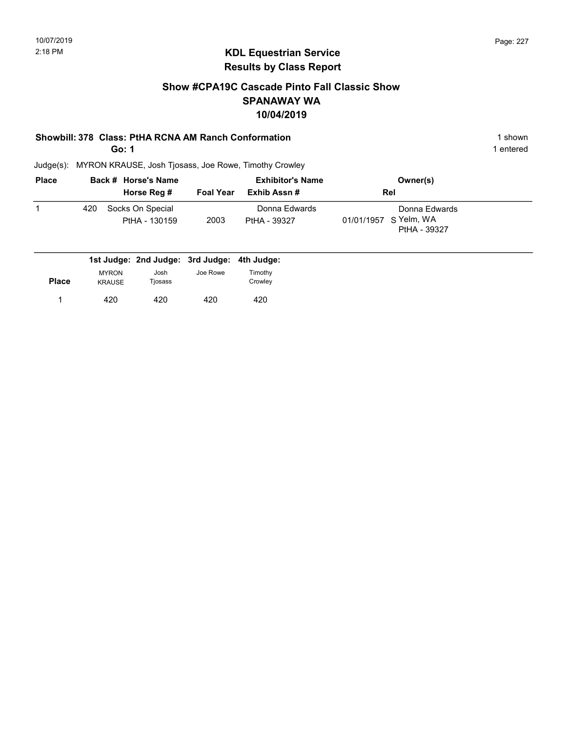#### Show #CPA19C Cascade Pinto Fall Classic Show SPANAWAY WA 10/04/2019

#### Showbill: 378 Class: PtHA RCNA AM Ranch Conformation 1 Shown 1 shown

Go: 1

1 entered

| <b>Place</b> |     | Back # Horse's Name               |                  | <b>Exhibitor's Name</b>       | Owner(s)                                               |  |
|--------------|-----|-----------------------------------|------------------|-------------------------------|--------------------------------------------------------|--|
|              |     | Horse Reg #                       | <b>Foal Year</b> | Exhib Assn #                  | <b>Rel</b>                                             |  |
|              | 420 | Socks On Special<br>PtHA - 130159 | 2003             | Donna Edwards<br>PtHA - 39327 | Donna Edwards<br>01/01/1957 S Yelm, WA<br>PtHA - 39327 |  |

|              |                               | 1st Judge: 2nd Judge: 3rd Judge: 4th Judge: |          |                           |
|--------------|-------------------------------|---------------------------------------------|----------|---------------------------|
| <b>Place</b> | <b>MYRON</b><br><b>KRAUSE</b> | Josh<br>Tjosass                             | Joe Rowe | <b>Fimothy</b><br>Crowley |
|              | 420                           | 420                                         | 420      | 420                       |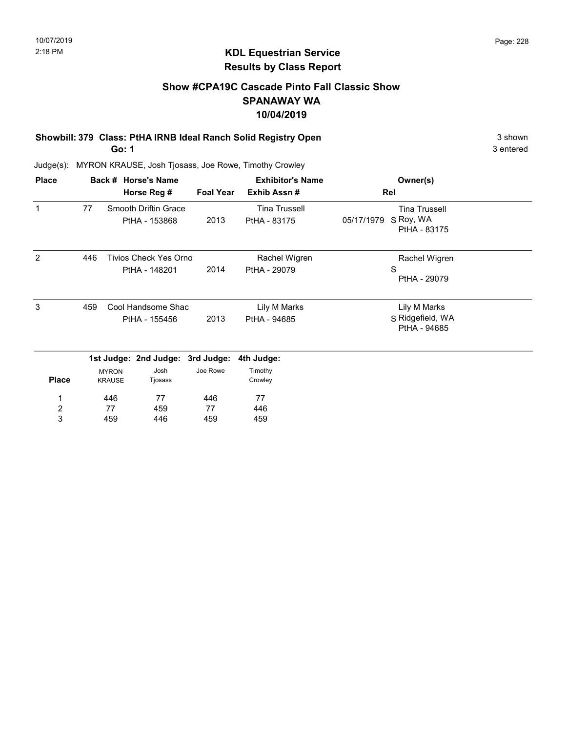#### Show #CPA19C Cascade Pinto Fall Classic Show SPANAWAY WA 10/04/2019

Showbill: 379 Class: PtHA IRNB Ideal Ranch Solid Registry Open 3 shown 3 shown Go: 1

3 entered

| <b>Place</b>            |     |                               | Back # Horse's Name                           |                  | <b>Exhibitor's Name</b>              | Owner(s)                                                        |  |
|-------------------------|-----|-------------------------------|-----------------------------------------------|------------------|--------------------------------------|-----------------------------------------------------------------|--|
|                         |     |                               | Horse Reg #                                   | <b>Foal Year</b> | Exhib Assn#                          | Rel                                                             |  |
| 1                       | 77  |                               | Smooth Driftin Grace<br>PtHA - 153868         | 2013             | <b>Tina Trussell</b><br>PtHA - 83175 | <b>Tina Trussell</b><br>S Roy, WA<br>05/17/1979<br>PtHA - 83175 |  |
| 2                       | 446 |                               | <b>Tivios Check Yes Orno</b><br>PtHA - 148201 | 2014             | Rachel Wigren<br>PtHA - 29079        | Rachel Wigren<br>S<br>PtHA - 29079                              |  |
| 3                       | 459 |                               | Cool Handsome Shac<br>PtHA - 155456           | 2013             | Lily M Marks<br>PtHA - 94685         | Lily M Marks<br>S Ridgefield, WA<br>PtHA - 94685                |  |
|                         |     |                               | 1st Judge: 2nd Judge: 3rd Judge:              |                  | 4th Judge:                           |                                                                 |  |
| <b>Place</b>            |     | <b>MYRON</b><br><b>KRAUSE</b> | Josh<br>Tjosass                               | Joe Rowe         | Timothy<br>Crowley                   |                                                                 |  |
|                         |     | 446                           | 77                                            | 446              | 77                                   |                                                                 |  |
| $\overline{\mathbf{c}}$ |     | 77                            | 459                                           | 77               | 446                                  |                                                                 |  |
| 3                       |     | 459                           | 446                                           | 459              | 459                                  |                                                                 |  |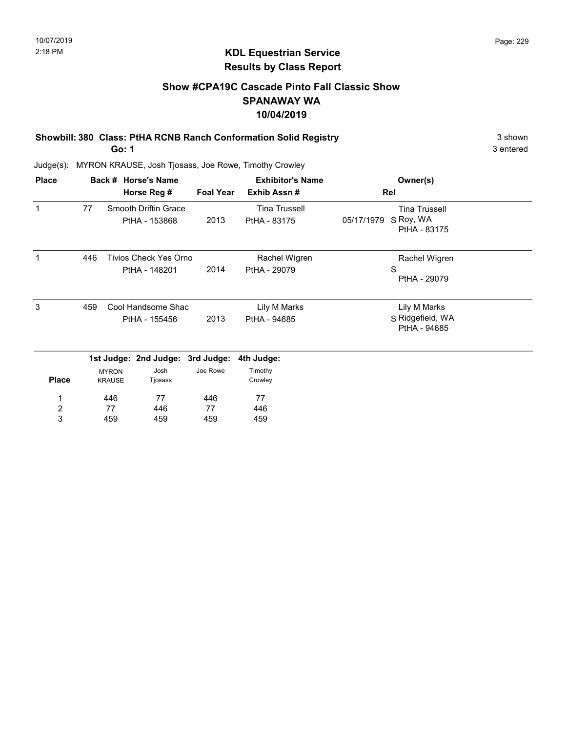#### Show #CPA19C Cascade Pinto Fall Classic Show SPANAWAY WA 10/04/2019

Showbill: 380 Class: PtHA RCNB Ranch Conformation Solid Registry 3 Shown 3 shown Go: 1

3 entered

| <b>Place</b>   |     |                               | Back # Horse's Name                           |                  | <b>Exhibitor's Name</b>              | Owner(s)                                                        |  |
|----------------|-----|-------------------------------|-----------------------------------------------|------------------|--------------------------------------|-----------------------------------------------------------------|--|
|                |     |                               | Horse Reg #                                   | <b>Foal Year</b> | Exhib Assn#                          | Rel                                                             |  |
| 1              | 77  |                               | Smooth Driftin Grace<br>PtHA - 153868         | 2013             | <b>Tina Trussell</b><br>PtHA - 83175 | <b>Tina Trussell</b><br>S Roy, WA<br>05/17/1979<br>PtHA - 83175 |  |
|                | 446 |                               | <b>Tivios Check Yes Orno</b><br>PtHA - 148201 | 2014             | Rachel Wigren<br>PtHA - 29079        | Rachel Wigren<br>S<br>PtHA - 29079                              |  |
| 3              | 459 |                               | Cool Handsome Shac<br>PtHA - 155456           | 2013             | Lily M Marks<br>PtHA - 94685         | Lily M Marks<br>S Ridgefield, WA<br>PtHA - 94685                |  |
|                |     |                               | 1st Judge: 2nd Judge: 3rd Judge:              |                  | 4th Judge:                           |                                                                 |  |
| <b>Place</b>   |     | <b>MYRON</b><br><b>KRAUSE</b> | Josh<br>Tjosass                               | Joe Rowe         | Timothy<br>Crowley                   |                                                                 |  |
|                |     | 446                           | 77                                            | 446              | 77                                   |                                                                 |  |
| $\overline{c}$ |     | 77                            | 446                                           | 77               | 446                                  |                                                                 |  |
| 3              |     | 459                           | 459                                           | 459              | 459                                  |                                                                 |  |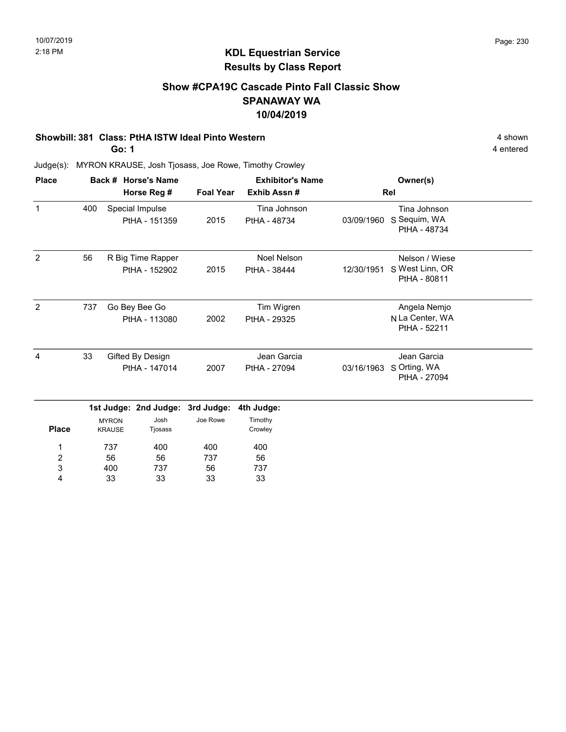#### Show #CPA19C Cascade Pinto Fall Classic Show SPANAWAY WA 10/04/2019

#### Showbill: 381 Class: PtHA ISTW Ideal Pinto Western 4 shown

Go: 1

4 entered

| <b>Place</b>   |     |                               | Back # Horse's Name                |                  | <b>Exhibitor's Name</b>            |            | Owner(s)                                          |  |
|----------------|-----|-------------------------------|------------------------------------|------------------|------------------------------------|------------|---------------------------------------------------|--|
|                |     |                               | Horse Reg #                        | <b>Foal Year</b> | Exhib Assn#                        |            | Rel                                               |  |
| $\mathbf{1}$   | 400 |                               | Special Impulse<br>PtHA - 151359   | 2015             | Tina Johnson<br>PtHA - 48734       | 03/09/1960 | Tina Johnson<br>S Sequim, WA<br>PtHA - 48734      |  |
| $\overline{2}$ | 56  |                               | R Big Time Rapper<br>PtHA - 152902 | 2015             | <b>Noel Nelson</b><br>PtHA - 38444 | 12/30/1951 | Nelson / Wiese<br>S West Linn, OR<br>PtHA - 80811 |  |
| $\overline{2}$ | 737 |                               | Go Bey Bee Go<br>PtHA - 113080     | 2002             | Tim Wigren<br>PtHA - 29325         |            | Angela Nemjo<br>N La Center, WA<br>PtHA - 52211   |  |
| $\overline{4}$ | 33  |                               | Gifted By Design<br>PtHA - 147014  | 2007             | Jean Garcia<br>PtHA - 27094        | 03/16/1963 | Jean Garcia<br>S Orting, WA<br>PtHA - 27094       |  |
|                |     |                               | 1st Judge: 2nd Judge:              | 3rd Judge:       | 4th Judge:                         |            |                                                   |  |
| <b>Place</b>   |     | <b>MYRON</b><br><b>KRAUSE</b> | Josh<br>Tjosass                    | Joe Rowe         | Timothy<br>Crowley                 |            |                                                   |  |
| 1<br>2<br>3    |     | 737<br>56<br>400              | 400<br>56<br>737                   | 400<br>737<br>56 | 400<br>56<br>737                   |            |                                                   |  |
| 4              |     | 33                            | 33                                 | 33               | 33                                 |            |                                                   |  |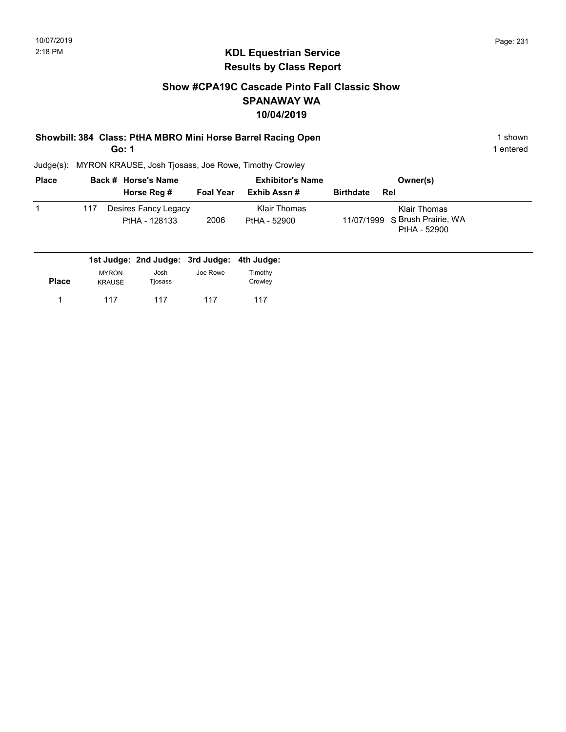#### Show #CPA19C Cascade Pinto Fall Classic Show SPANAWAY WA 10/04/2019

#### Showbill: 384 Class: PtHA MBRO Mini Horse Barrel Racing Open 1 shown 1 shown Go: 1

1 entered

| <b>Place</b> |     | Back # Horse's Name                   |           | <b>Exhibitor's Name</b>      |                  | Owner(s)                                                              |
|--------------|-----|---------------------------------------|-----------|------------------------------|------------------|-----------------------------------------------------------------------|
|              |     | Horse Reg #                           | Foal Year | Exhib Assn #                 | <b>Birthdate</b> | Rel                                                                   |
|              | 117 | Desires Fancy Legacy<br>PtHA - 128133 | 2006      | Klair Thomas<br>PtHA - 52900 |                  | <b>Klair Thomas</b><br>11/07/1999 S Brush Prairie, WA<br>PtHA - 52900 |

|              |                               | 1st Judge: 2nd Judge: 3rd Judge: 4th Judge: |          |                    |
|--------------|-------------------------------|---------------------------------------------|----------|--------------------|
| <b>Place</b> | <b>MYRON</b><br><b>KRAUSE</b> | Josh<br>Tjosass                             | Joe Rowe | Timothy<br>Crowley |
|              | 117                           | 117                                         | 117      | 117                |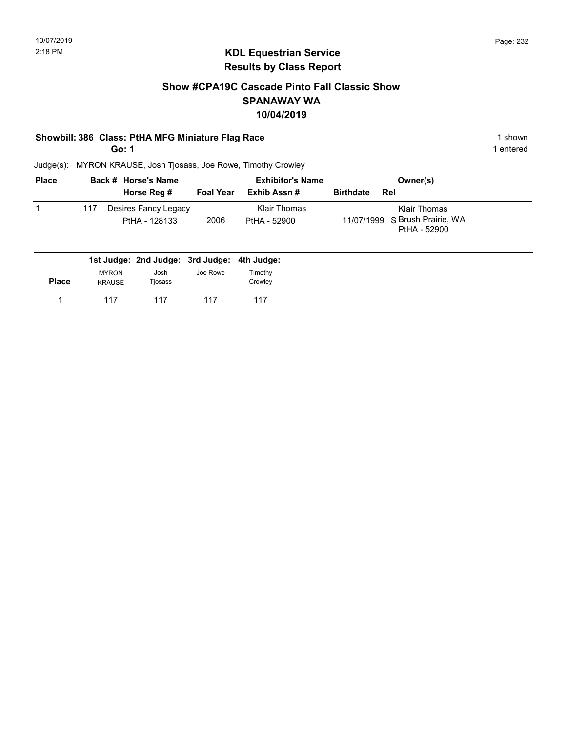#### Show #CPA19C Cascade Pinto Fall Classic Show SPANAWAY WA 10/04/2019

#### Showbill: 386 Class: PtHA MFG Miniature Flag Race 1 shown

Go: 1

1 entered

| <b>Place</b> |     | Back # Horse's Name                         |                  | <b>Exhibitor's Name</b>      | Owner(s)                                                       |
|--------------|-----|---------------------------------------------|------------------|------------------------------|----------------------------------------------------------------|
|              |     | Horse Reg #                                 | <b>Foal Year</b> | Exhib Assn #                 | <b>Birthdate</b><br>Rel                                        |
|              | 117 | Desires Fancy Legacy<br>PtHA - 128133       | 2006             | Klair Thomas<br>PtHA - 52900 | Klair Thomas<br>11/07/1999 S Brush Prairie, WA<br>PtHA - 52900 |
|              |     | 1st Judge: 2nd Judge: 3rd Judge: 4th Judge: |                  |                              |                                                                |

|              | .                             | .               | .        | .                  |
|--------------|-------------------------------|-----------------|----------|--------------------|
| <b>Place</b> | <b>MYRON</b><br><b>KRAUSE</b> | Josh<br>Tjosass | Joe Rowe | Timothy<br>Crowley |
|              | 117                           | 117             | 117      | 117                |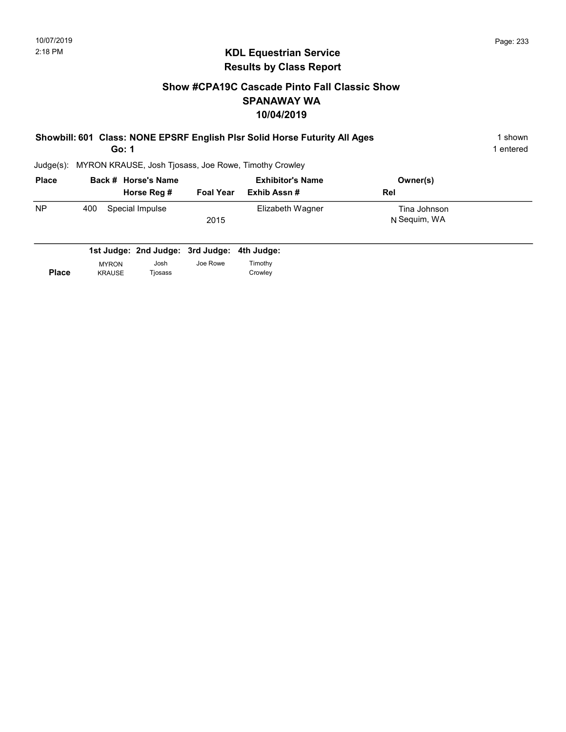#### Show #CPA19C Cascade Pinto Fall Classic Show SPANAWAY WA 10/04/2019

| Showbill: 601 Class: NONE EPSRF English Plsr Solid Horse Futurity All Ages | 1 shown   |
|----------------------------------------------------------------------------|-----------|
| Go: 1                                                                      | l entered |
| Judge(s): MYRON KRAUSE, Josh Tiosass, Joe Rowe, Timothy Crowley            |           |

| <b>Place</b> | Back # Horse's Name<br>Horse Reg # | <b>Foal Year</b> | <b>Exhibitor's Name</b><br>Exhib Assn # | Owner(s)<br>Rel              |
|--------------|------------------------------------|------------------|-----------------------------------------|------------------------------|
| <b>NP</b>    | Special Impulse<br>400             | 2015             | Elizabeth Wagner                        | Tina Johnson<br>N Sequim, WA |

|              |               | 1st Judge: 2nd Judge: 3rd Judge: 4th Judge: |          |         |
|--------------|---------------|---------------------------------------------|----------|---------|
|              | <b>MYRON</b>  | Josh                                        | Joe Rowe | Timothy |
| <b>Place</b> | <b>KRAUSE</b> | Tiosass                                     |          | Crowley |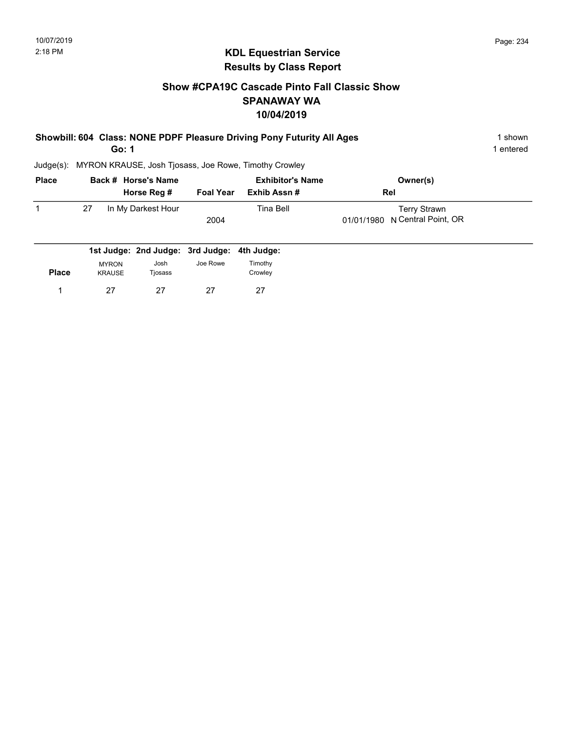#### Show #CPA19C Cascade Pinto Fall Classic Show SPANAWAY WA 10/04/2019

| Showbill: 604 Class: NONE PDPF Pleasure Driving Pony Futurity All Ages | 1 shown   |
|------------------------------------------------------------------------|-----------|
| Go: 1                                                                  | 1 entered |

1 entered

| <b>Place</b> | Back # Horse's Name |                    | <b>Exhibitor's Name</b> |              | Owner(s)                       |
|--------------|---------------------|--------------------|-------------------------|--------------|--------------------------------|
|              |                     | Horse Reg #        | <b>Foal Year</b>        | Exhib Assn # | Rel                            |
|              | 27                  | In My Darkest Hour |                         | Tina Bell    | Terry Strawn                   |
|              |                     |                    | 2004                    |              | 01/01/1980 N Central Point, OR |
|              |                     |                    |                         |              |                                |

|              |               | 1st Judge: 2nd Judge: 3rd Judge: 4th Judge: |          |         |
|--------------|---------------|---------------------------------------------|----------|---------|
|              | <b>MYRON</b>  | Josh                                        | Joe Rowe | Timothy |
| <b>Place</b> | <b>KRAUSE</b> | Tjosass                                     |          | Crowley |
|              | 27            | 27                                          | 27       | 27      |
|              |               |                                             |          |         |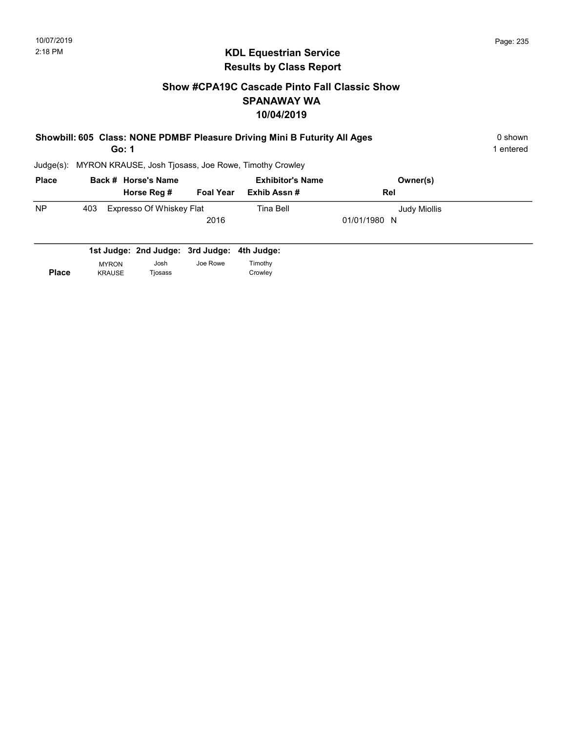#### Show #CPA19C Cascade Pinto Fall Classic Show SPANAWAY WA 10/04/2019

| Showbill: 605 Class: NONE PDMBF Pleasure Driving Mini B Futurity All Ages<br>Go: 1 |               |                                  |                  | 0 shown<br>1 entered                                  |              |  |
|------------------------------------------------------------------------------------|---------------|----------------------------------|------------------|-------------------------------------------------------|--------------|--|
| $Judge(s)$ :                                                                       |               |                                  |                  | MYRON KRAUSE, Josh Tjosass, Joe Rowe, Timothy Crowley |              |  |
| <b>Place</b>                                                                       |               | Back # Horse's Name              |                  | <b>Exhibitor's Name</b>                               | Owner(s)     |  |
|                                                                                    |               | Horse Reg #                      | <b>Foal Year</b> | Exhib Assn#                                           | Rel          |  |
| <b>NP</b>                                                                          | 403           | Expresso Of Whiskey Flat         |                  | Tina Bell                                             | Judy Miollis |  |
|                                                                                    |               |                                  | 2016             |                                                       | 01/01/1980 N |  |
|                                                                                    |               |                                  |                  |                                                       |              |  |
|                                                                                    |               | 1st Judge: 2nd Judge: 3rd Judge: |                  | 4th Judge:                                            |              |  |
|                                                                                    | <b>MYRON</b>  | Josh                             | Joe Rowe         | Timothy                                               |              |  |
| <b>Place</b>                                                                       | <b>KRAUSE</b> | Tjosass                          |                  | Crowley                                               |              |  |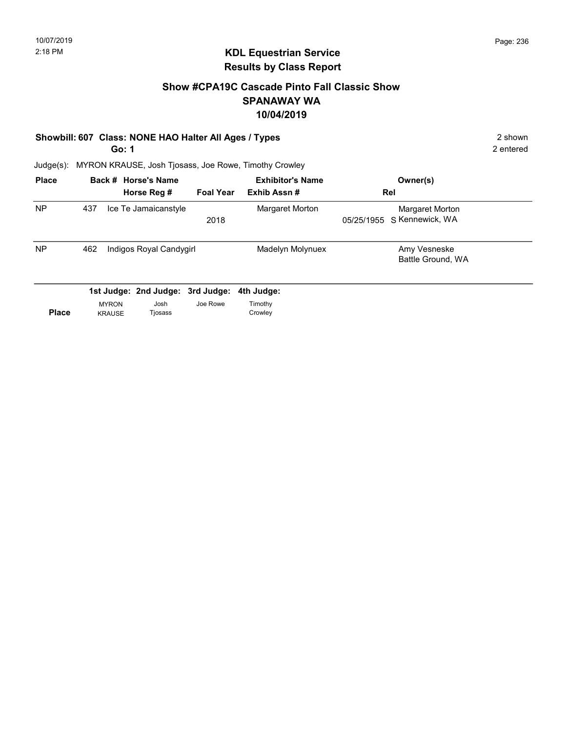2 entered

### KDL Equestrian Service Results by Class Report

#### Show #CPA19C Cascade Pinto Fall Classic Show SPANAWAY WA 10/04/2019

#### Showbill: 607 Class: NONE HAO Halter All Ages / Types 2 shown

Go: 1

| <b>Place</b> |                                | Back # Horse's Name<br>Horse Reg # | <b>Foal Year</b> | <b>Exhibitor's Name</b><br>Exhib Assn# | Owner(s)<br>Rel                               |  |
|--------------|--------------------------------|------------------------------------|------------------|----------------------------------------|-----------------------------------------------|--|
| <b>NP</b>    | 437                            | Ice Te Jamaicanstyle               | 2018             | Margaret Morton                        | Margaret Morton<br>05/25/1955 S Kennewick, WA |  |
| <b>NP</b>    | 462<br>Indigos Royal Candygirl |                                    |                  | Madelyn Molynuex                       | Amy Vesneske<br>Battle Ground, WA             |  |
|              |                                | 1st Judge: 2nd Judge: 3rd Judge:   |                  | 4th Judge:                             |                                               |  |
| <b>Place</b> | <b>MYRON</b><br><b>KRAUSE</b>  | Josh<br>Tjosass                    | Joe Rowe         | Timothy<br>Crowley                     |                                               |  |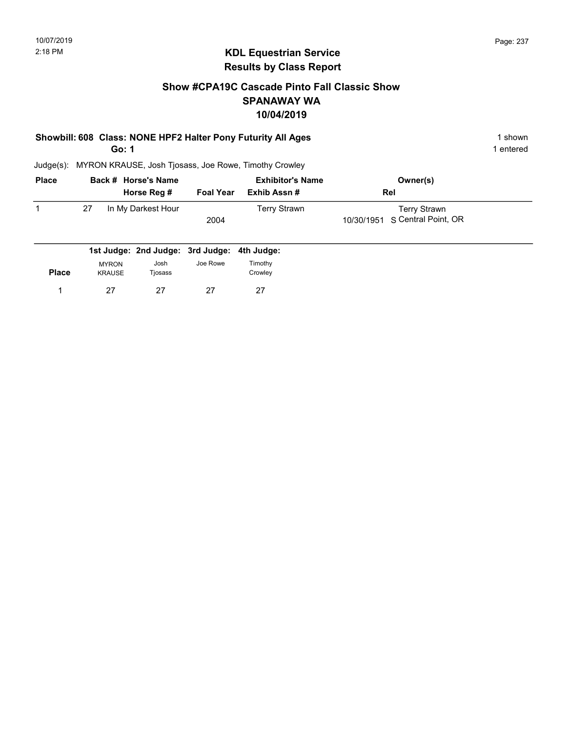#### Show #CPA19C Cascade Pinto Fall Classic Show SPANAWAY WA 10/04/2019

# Showbill: 608 Class: NONE HPF2 Halter Pony Futurity All Ages 1 shown 1 shown

Go: 1

1 entered

| <b>Place</b> |    | Back # Horse's Name |                  | <b>Exhibitor's Name</b> | Owner(s)                       |  |
|--------------|----|---------------------|------------------|-------------------------|--------------------------------|--|
|              |    | Horse Reg #         | <b>Foal Year</b> | Exhib Assn #            | Rel                            |  |
|              | 27 | In My Darkest Hour  |                  | Terry Strawn            | Terry Strawn                   |  |
|              |    |                     | 2004             |                         | 10/30/1951 S Central Point, OR |  |
|              |    |                     |                  |                         |                                |  |

|              |                               | 1st Judge: 2nd Judge: 3rd Judge: 4th Judge: |          |                    |
|--------------|-------------------------------|---------------------------------------------|----------|--------------------|
| <b>Place</b> | <b>MYRON</b><br><b>KRAUSE</b> | Josh<br>Tjosass                             | Joe Rowe | Timothy<br>Crowley |
|              | 27                            | 27                                          | 27       | 27                 |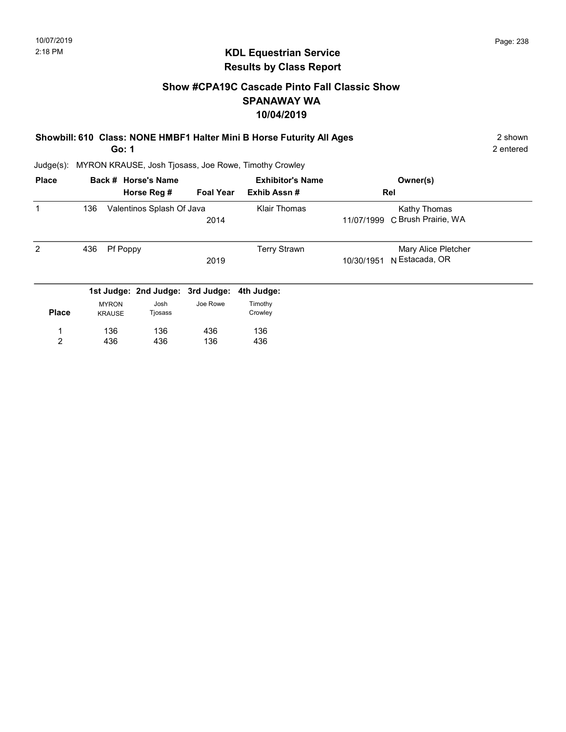2 entered

#### KDL Equestrian Service Results by Class Report

#### Show #CPA19C Cascade Pinto Fall Classic Show SPANAWAY WA 10/04/2019

## Showbill: 610 Class: NONE HMBF1 Halter Mini B Horse Futurity All Ages 2 shown

Go: 1

| <b>Place</b>   |     |                               | Back # Horse's Name<br>Horse Reg # | <b>Foal Year</b> | <b>Exhibitor's Name</b><br>Exhib Assn# | Owner(s)<br>Rel                                     |
|----------------|-----|-------------------------------|------------------------------------|------------------|----------------------------------------|-----------------------------------------------------|
|                | 136 |                               | Valentinos Splash Of Java          | 2014             | Klair Thomas                           | Kathy Thomas<br>C Brush Prairie, WA<br>11/07/1999   |
| 2              | 436 | Pf Poppy                      |                                    | 2019             | <b>Terry Strawn</b>                    | Mary Alice Pletcher<br>N Estacada, OR<br>10/30/1951 |
|                |     |                               | 1st Judge: 2nd Judge: 3rd Judge:   |                  | 4th Judge:                             |                                                     |
| <b>Place</b>   |     | <b>MYRON</b><br><b>KRAUSE</b> | Josh<br>Tjosass                    | Joe Rowe         | Timothy<br>Crowley                     |                                                     |
| $\overline{2}$ |     | 136<br>436                    | 136<br>436                         | 436<br>136       | 136<br>436                             |                                                     |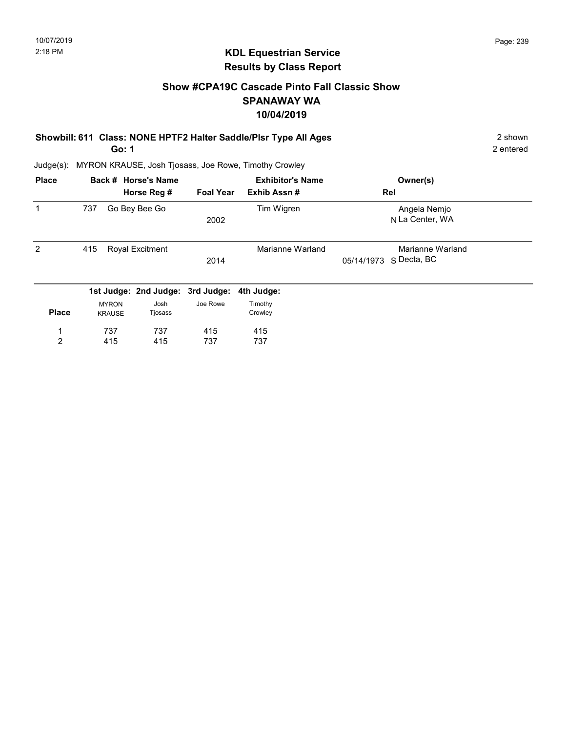#### Show #CPA19C Cascade Pinto Fall Classic Show SPANAWAY WA 10/04/2019

| Showbill: 611 Class: NONE HPTF2 Halter Saddle/Plsr Type All Ages | 2 shown   |
|------------------------------------------------------------------|-----------|
| Go: 1                                                            | 2 entered |

| <b>Place</b> |                               | Back # Horse's Name              |                  | <b>Exhibitor's Name</b> | Owner(s)                                      |
|--------------|-------------------------------|----------------------------------|------------------|-------------------------|-----------------------------------------------|
|              |                               | Horse Reg #                      | <b>Foal Year</b> | Exhib Assn#             | Rel                                           |
| $\mathbf 1$  | 737                           | Go Bey Bee Go                    | 2002             | Tim Wigren              | Angela Nemjo<br>N La Center, WA               |
| 2            | 415                           | <b>Royal Excitment</b>           | 2014             | Marianne Warland        | Marianne Warland<br>S Decta, BC<br>05/14/1973 |
|              |                               | 1st Judge: 2nd Judge: 3rd Judge: |                  | 4th Judge:              |                                               |
| <b>Place</b> | <b>MYRON</b><br><b>KRAUSE</b> | Josh<br>Tjosass                  | Joe Rowe         | Timothy<br>Crowley      |                                               |
| 1            | 737                           | 737                              | 415              | 415                     |                                               |
| 2            | 415                           | 415                              | 737              | 737                     |                                               |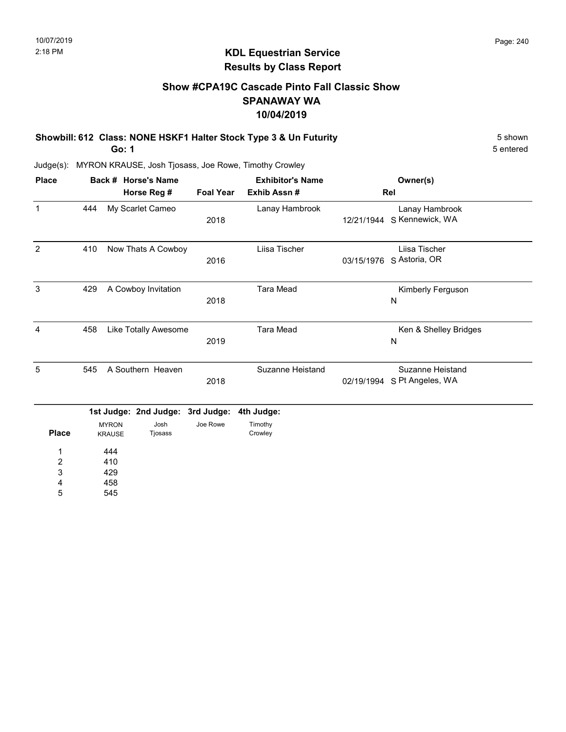5 entered

# KDL Equestrian Service Results by Class Report

#### Show #CPA19C Cascade Pinto Fall Classic Show SPANAWAY WA 10/04/2019

Showbill: 612 Class: NONE HSKF1 Halter Stock Type 3 & Un Futurity 5 Shown 5 shown

Go: 1

Judge(s): MYRON KRAUSE, Josh Tjosass, Joe Rowe, Timothy Crowley

| <b>Place</b>   |     |                               | Back # Horse's Name   |                  | <b>Exhibitor's Name</b> |            | Owner(s)                                    |
|----------------|-----|-------------------------------|-----------------------|------------------|-------------------------|------------|---------------------------------------------|
|                |     |                               | Horse Reg #           | <b>Foal Year</b> | Exhib Assn#             |            | Rel                                         |
| $\mathbf{1}$   | 444 |                               | My Scarlet Cameo      | 2018             | Lanay Hambrook          | 12/21/1944 | Lanay Hambrook<br>S Kennewick, WA           |
| $\overline{2}$ | 410 |                               | Now Thats A Cowboy    | 2016             | Liisa Tischer           | 03/15/1976 | Liisa Tischer<br>S Astoria, OR              |
| 3              | 429 |                               | A Cowboy Invitation   | 2018             | <b>Tara Mead</b>        |            | Kimberly Ferguson<br>N                      |
| 4              | 458 |                               | Like Totally Awesome  | 2019             | <b>Tara Mead</b>        |            | Ken & Shelley Bridges<br>N                  |
| 5              | 545 |                               | A Southern Heaven     | 2018             | Suzanne Heistand        | 02/19/1994 | <b>Suzanne Heistand</b><br>S Pt Angeles, WA |
|                |     |                               | 1st Judge: 2nd Judge: | 3rd Judge:       | 4th Judge:              |            |                                             |
| <b>Place</b>   |     | <b>MYRON</b><br><b>KRAUSE</b> | Josh<br>Tjosass       | Joe Rowe         | Timothy<br>Crowley      |            |                                             |
| 1              |     | 444                           |                       |                  |                         |            |                                             |
| $\overline{c}$ |     | 410                           |                       |                  |                         |            |                                             |
| 3              |     | 429                           |                       |                  |                         |            |                                             |
| 4              |     | 458                           |                       |                  |                         |            |                                             |

545 4 5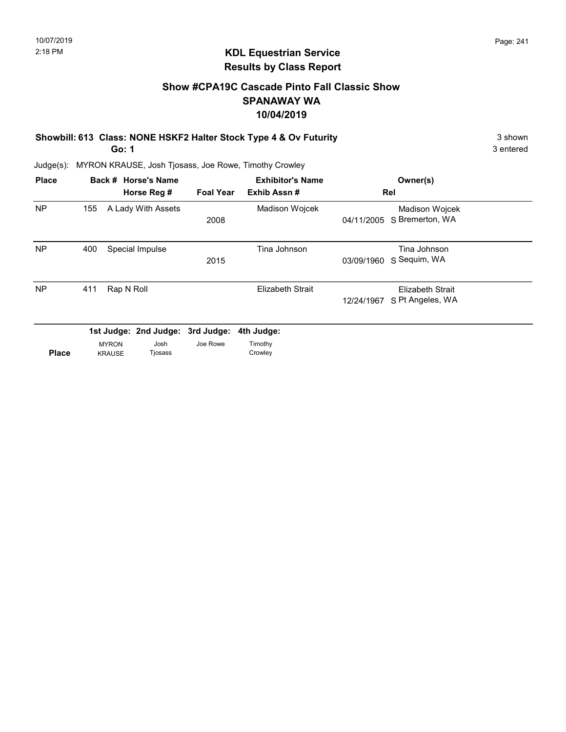#### Show #CPA19C Cascade Pinto Fall Classic Show SPANAWAY WA 10/04/2019

Showbill: 613 Class: NONE HSKF2 Halter Stock Type 4 & Ov Futurity 3 Shown 3 shown

Go: 1

3 entered

| <b>Place</b> |     |                               | Back # Horse's Name<br>Horse Reg #                  | <b>Foal Year</b> | <b>Exhibitor's Name</b><br>Exhib Assn# |            | Owner(s)<br>Rel                      |  |
|--------------|-----|-------------------------------|-----------------------------------------------------|------------------|----------------------------------------|------------|--------------------------------------|--|
| <b>NP</b>    | 155 |                               | A Lady With Assets                                  | 2008             | Madison Wojcek                         | 04/11/2005 | Madison Wojcek<br>S Bremerton, WA    |  |
| <b>NP</b>    | 400 |                               | Special Impulse                                     | 2015             | Tina Johnson                           | 03/09/1960 | Tina Johnson<br>S Sequim, WA         |  |
| <b>NP</b>    | 411 | Rap N Roll                    |                                                     |                  | <b>Elizabeth Strait</b>                | 12/24/1967 | Elizabeth Strait<br>S Pt Angeles, WA |  |
| <b>Place</b> |     | <b>MYRON</b><br><b>KRAUSE</b> | 1st Judge: 2nd Judge: 3rd Judge:<br>Josh<br>Tjosass | Joe Rowe         | 4th Judge:<br>Timothy<br>Crowley       |            |                                      |  |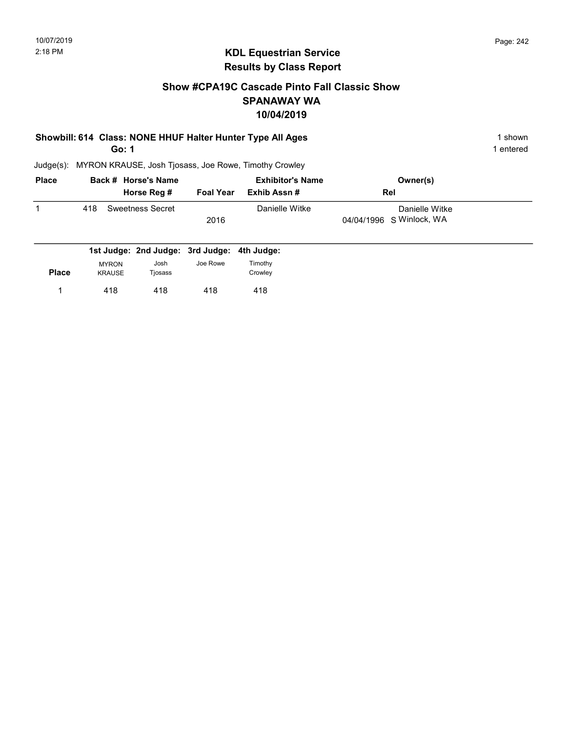#### Show #CPA19C Cascade Pinto Fall Classic Show SPANAWAY WA 10/04/2019

# Showbill: 614 Class: NONE HHUF Halter Hunter Type All Ages 1 shown 1 shown

Go: 1

1 entered

| <b>Place</b> | Back # Horse's Name     | <b>Exhibitor's Name</b> |                | Owner(s)                 |  |
|--------------|-------------------------|-------------------------|----------------|--------------------------|--|
|              | Horse Reg #             | <b>Foal Year</b>        | Exhib Assn #   | <b>Rel</b>               |  |
|              | Sweetness Secret<br>418 |                         | Danielle Witke | Danielle Witke           |  |
|              |                         | 2016                    |                | 04/04/1996 S Winlock, WA |  |
|              |                         |                         |                |                          |  |

|              |                               | 1st Judge: 2nd Judge: 3rd Judge: 4th Judge: |          |                    |
|--------------|-------------------------------|---------------------------------------------|----------|--------------------|
| <b>Place</b> | <b>MYRON</b><br><b>KRAUSE</b> | Josh<br>Tjosass                             | Joe Rowe | Timothy<br>Crowley |
|              | 418                           | 418                                         | 418      | 418                |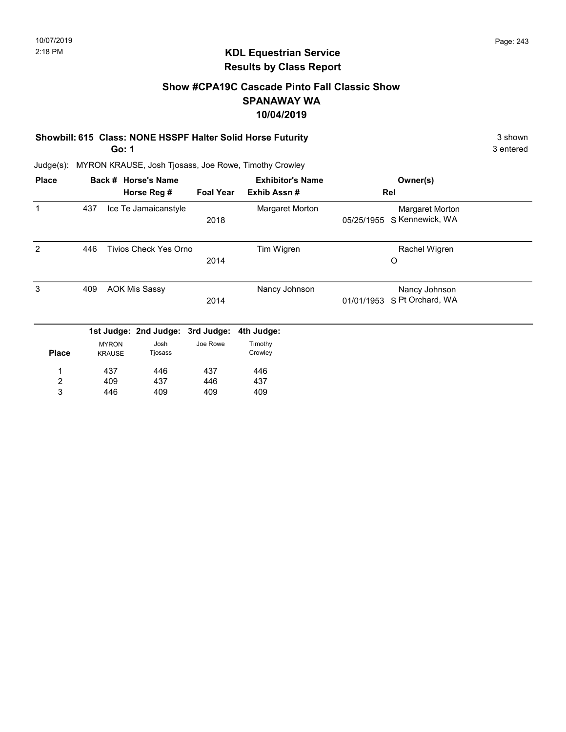3 entered

#### KDL Equestrian Service Results by Class Report

#### Show #CPA19C Cascade Pinto Fall Classic Show SPANAWAY WA 10/04/2019

#### Showbill: 615 Class: NONE HSSPF Halter Solid Horse Futurity 3 shown 3 shown

Go: 1

| <b>Place</b>   |     |               | Back # Horse's Name              |                  | <b>Exhibitor's Name</b> |            | Owner(s)         |  |
|----------------|-----|---------------|----------------------------------|------------------|-------------------------|------------|------------------|--|
|                |     |               | Horse Reg #                      | <b>Foal Year</b> | Exhib Assn#             |            | Rel              |  |
| 1              | 437 |               | Ice Te Jamaicanstyle             |                  | Margaret Morton         |            | Margaret Morton  |  |
|                |     |               |                                  | 2018             |                         | 05/25/1955 | S Kennewick, WA  |  |
| 2              | 446 |               | <b>Tivios Check Yes Orno</b>     |                  | Tim Wigren              |            | Rachel Wigren    |  |
|                |     |               |                                  | 2014             |                         |            | O                |  |
| 3              | 409 |               | <b>AOK Mis Sassy</b>             |                  | Nancy Johnson           |            | Nancy Johnson    |  |
|                |     |               |                                  | 2014             |                         | 01/01/1953 | S Pt Orchard, WA |  |
|                |     |               | 1st Judge: 2nd Judge: 3rd Judge: |                  | 4th Judge:              |            |                  |  |
|                |     | <b>MYRON</b>  | Josh                             | Joe Rowe         | Timothy                 |            |                  |  |
| <b>Place</b>   |     | <b>KRAUSE</b> | Tjosass                          |                  | Crowley                 |            |                  |  |
| 1              |     | 437           | 446                              | 437              | 446                     |            |                  |  |
| $\overline{c}$ |     | 409           | 437                              | 446              | 437                     |            |                  |  |
| 3              |     | 446           | 409                              | 409              | 409                     |            |                  |  |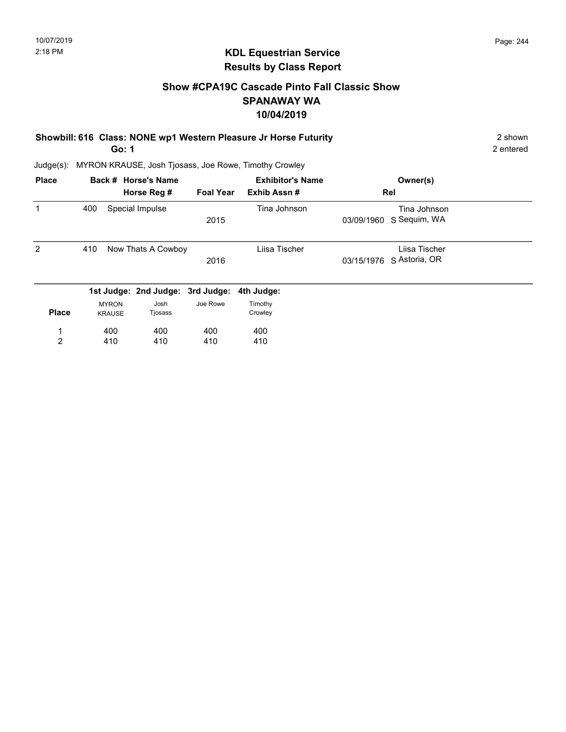#### Show #CPA19C Cascade Pinto Fall Classic Show SPANAWAY WA 10/04/2019

#### Showbill: 616 Class: NONE wp1 Western Pleasure Jr Horse Futurity 2 Shown 2 shown Go: 1

2 entered

| <b>Place</b>   |                               | Back # Horse's Name              |                  | <b>Exhibitor's Name</b> | Owner(s)                                   |  |
|----------------|-------------------------------|----------------------------------|------------------|-------------------------|--------------------------------------------|--|
|                |                               | Horse Reg #                      | <b>Foal Year</b> | Exhib Assn#             | Rel                                        |  |
| 1              | 400                           | Special Impulse                  | 2015             | Tina Johnson            | Tina Johnson<br>S Sequim, WA<br>03/09/1960 |  |
| 2              | 410                           | Now Thats A Cowboy               | 2016             | Liisa Tischer           | Liisa Tischer<br>03/15/1976 S Astoria, OR  |  |
|                |                               | 1st Judge: 2nd Judge: 3rd Judge: |                  | 4th Judge:              |                                            |  |
| <b>Place</b>   | <b>MYRON</b><br><b>KRAUSE</b> | Josh<br>Tjosass                  | Joe Rowe         | Timothy<br>Crowley      |                                            |  |
| 1              | 400                           | 400                              | 400              | 400                     |                                            |  |
| $\overline{2}$ | 410                           | 410                              | 410              | 410                     |                                            |  |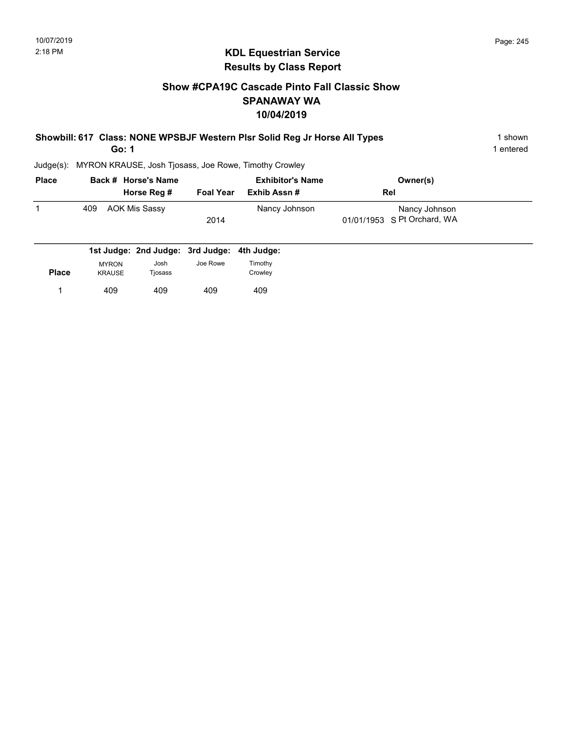#### Show #CPA19C Cascade Pinto Fall Classic Show SPANAWAY WA 10/04/2019

| Showbill: 617 Class: NONE WPSBJF Western Plsr Solid Reg Jr Horse All Types | 1 shown   |
|----------------------------------------------------------------------------|-----------|
| Go: 1                                                                      | 1 entered |

| <b>Place</b> | Back # Horse's Name  |                  | <b>Exhibitor's Name</b> | Owner(s)                    |  |
|--------------|----------------------|------------------|-------------------------|-----------------------------|--|
|              | Horse Reg #          | <b>Foal Year</b> | Exhib Assn #            | Rel                         |  |
|              | AOK Mis Sassy<br>409 |                  | Nancy Johnson           | Nancy Johnson               |  |
|              |                      | 2014             |                         | 01/01/1953 S Pt Orchard, WA |  |
|              |                      |                  |                         |                             |  |

|              |                               | 1st Judge: 2nd Judge: 3rd Judge: 4th Judge: |          |                    |  |
|--------------|-------------------------------|---------------------------------------------|----------|--------------------|--|
| <b>Place</b> | <b>MYRON</b><br><b>KRAUSE</b> | Josh<br>Tjosass                             | Joe Rowe | Timothy<br>Crowley |  |
|              | 409                           | 409                                         | 409      | 409                |  |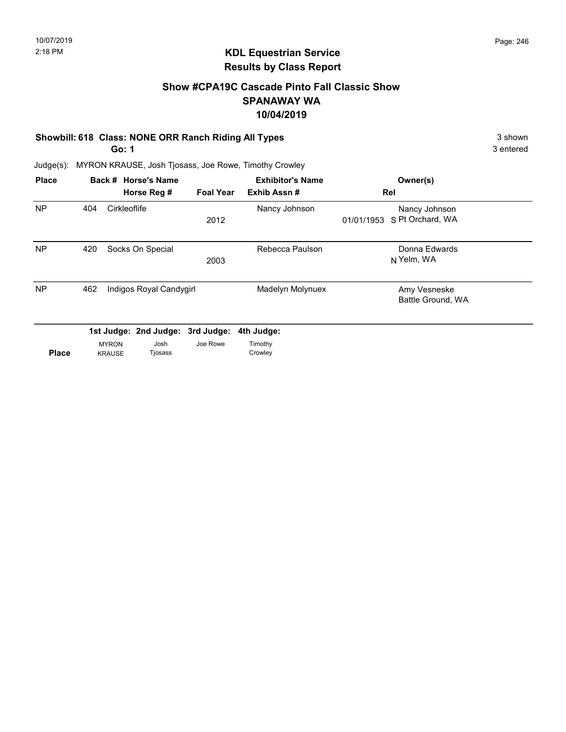#### Show #CPA19C Cascade Pinto Fall Classic Show SPANAWAY WA 10/04/2019

#### Showbill: 618 Class: NONE ORR Ranch Riding All Types 3 shown 3 shown

Go: 1

3 entered

| <b>Place</b> |     |                               | Back # Horse's Name<br>Horse Reg # | <b>Foal Year</b>                             | <b>Exhibitor's Name</b><br>Exhib Assn# |            | Owner(s)<br>Rel                   |  |
|--------------|-----|-------------------------------|------------------------------------|----------------------------------------------|----------------------------------------|------------|-----------------------------------|--|
| <b>NP</b>    | 404 | Cirkleoflife                  |                                    | 2012                                         | Nancy Johnson                          | 01/01/1953 | Nancy Johnson<br>S Pt Orchard, WA |  |
| <b>NP</b>    | 420 |                               | Socks On Special                   | 2003                                         | Rebecca Paulson                        |            | Donna Edwards<br>N Yelm, WA       |  |
| <b>NP</b>    | 462 |                               | Indigos Royal Candygirl            |                                              | Madelyn Molynuex                       |            | Amy Vesneske<br>Battle Ground, WA |  |
| <b>Place</b> |     | <b>MYRON</b><br><b>KRAUSE</b> | Josh<br>Tjosass                    | 1st Judge: 2nd Judge: 3rd Judge:<br>Joe Rowe | 4th Judge:<br>Timothy<br>Crowley       |            |                                   |  |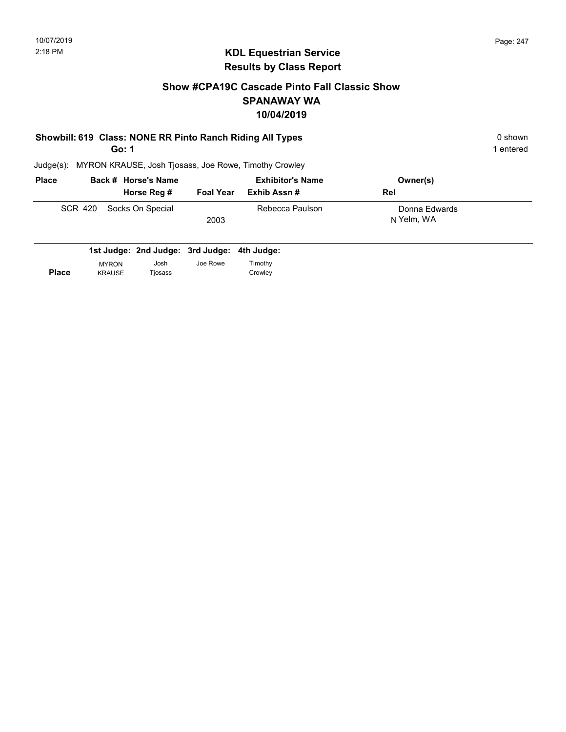1 entered

#### KDL Equestrian Service Results by Class Report

#### Show #CPA19C Cascade Pinto Fall Classic Show SPANAWAY WA 10/04/2019

#### Showbill: 619 Class: NONE RR Pinto Ranch Riding All Types 0 shown 0 shown

Go: 1

| <b>Place</b> |  | Back # Horse's Name      |                  | <b>Exhibitor's Name</b> | Owner(s)                    |
|--------------|--|--------------------------|------------------|-------------------------|-----------------------------|
|              |  | Horse Reg #              | <b>Foal Year</b> | Exhib Assn #            | <b>Rel</b>                  |
|              |  | SCR 420 Socks On Special | 2003             | Rebecca Paulson         | Donna Edwards<br>N Yelm, WA |

|              |               | 1st Judge: 2nd Judge: 3rd Judge: 4th Judge: |          |         |
|--------------|---------------|---------------------------------------------|----------|---------|
|              | <b>MYRON</b>  | Josh                                        | Joe Rowe | Timothy |
| <b>Place</b> | <b>KRAUSE</b> | Tiosass                                     |          | Crowley |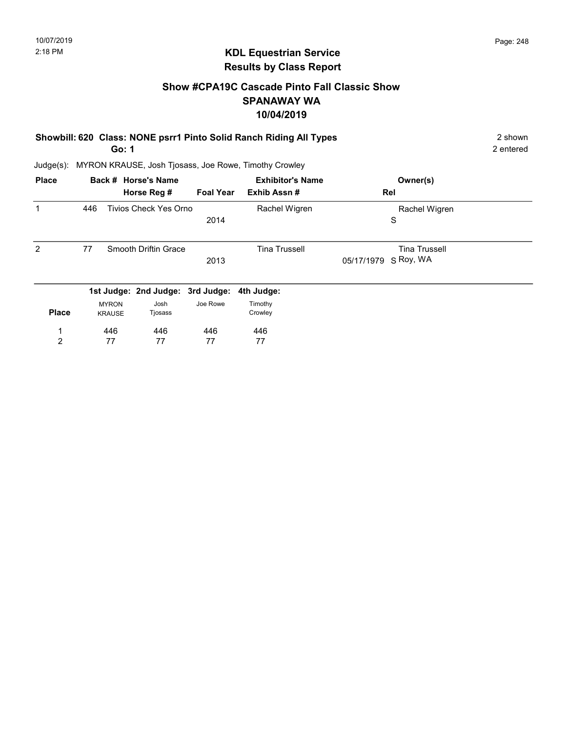#### Show #CPA19C Cascade Pinto Fall Classic Show SPANAWAY WA 10/04/2019

| Showbill: 620 Class: NONE psrr1 Pinto Solid Ranch Riding All Types | 2 shown   |
|--------------------------------------------------------------------|-----------|
| Go: 1                                                              | 2 entered |

| <b>Place</b> |     |                               | Back # Horse's Name              |                  | <b>Exhibitor's Name</b> | Owner(s)                |  |
|--------------|-----|-------------------------------|----------------------------------|------------------|-------------------------|-------------------------|--|
|              |     |                               | Horse Reg #                      | <b>Foal Year</b> | Exhib Assn#             | Rel                     |  |
|              | 446 |                               | <b>Tivios Check Yes Orno</b>     |                  | Rachel Wigren           | Rachel Wigren           |  |
|              |     |                               |                                  | 2014             |                         | S                       |  |
| 2            | 77  |                               | Smooth Driftin Grace             |                  | <b>Tina Trussell</b>    | <b>Tina Trussell</b>    |  |
|              |     |                               |                                  | 2013             |                         | S Roy, WA<br>05/17/1979 |  |
|              |     |                               | 1st Judge: 2nd Judge: 3rd Judge: |                  | 4th Judge:              |                         |  |
| <b>Place</b> |     | <b>MYRON</b><br><b>KRAUSE</b> | Josh<br>Tjosass                  | Joe Rowe         | Timothy<br>Crowley      |                         |  |
| 1            |     | 446                           | 446                              | 446              | 446                     |                         |  |
| 2            |     | 77                            | 77                               | 77               | 77                      |                         |  |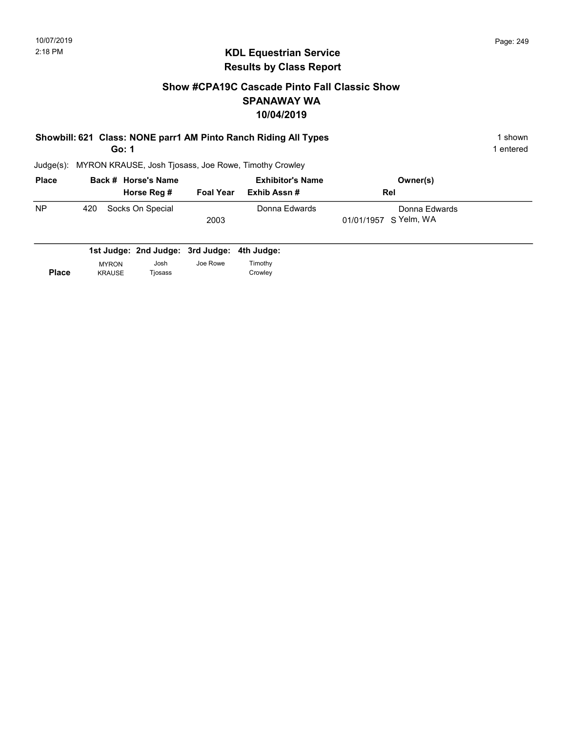#### Show #CPA19C Cascade Pinto Fall Classic Show SPANAWAY WA 10/04/2019

#### Showbill: 621 Class: NONE parr1 AM Pinto Ranch Riding All Types 1 Shown 1 shown Go: 1

1 entered

| <b>Place</b> | Back # Horse's Name     |                  | <b>Exhibitor's Name</b> | Owner(s)              |  |
|--------------|-------------------------|------------------|-------------------------|-----------------------|--|
|              | Horse Reg #             | <b>Foal Year</b> | Exhib Assn #            | <b>Rel</b>            |  |
| <b>NP</b>    | Socks On Special<br>420 |                  | Donna Edwards           | Donna Edwards         |  |
|              |                         | 2003             |                         | 01/01/1957 S Yelm, WA |  |
|              |                         |                  |                         |                       |  |

|              |               | 1st Judge: 2nd Judge: 3rd Judge: 4th Judge: |          |         |
|--------------|---------------|---------------------------------------------|----------|---------|
|              | <b>MYRON</b>  | Josh                                        | Joe Rowe | Timothy |
| <b>Place</b> | <b>KRAUSE</b> | Tiosass                                     |          | Crowley |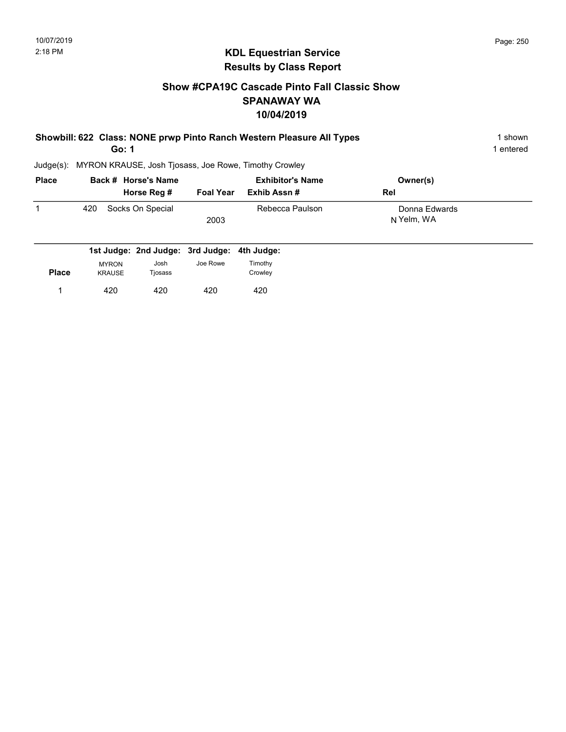#### Show #CPA19C Cascade Pinto Fall Classic Show SPANAWAY WA 10/04/2019

| Showbill: 622 Class: NONE prwp Pinto Ranch Western Pleasure All Types | 1 shown   |
|-----------------------------------------------------------------------|-----------|
| Go: 1                                                                 | 1 entered |

| <b>Place</b> |     | Back # Horse's Name |                  | <b>Exhibitor's Name</b> | Owner(s)                    |  |
|--------------|-----|---------------------|------------------|-------------------------|-----------------------------|--|
|              |     | Horse Reg #         | <b>Foal Year</b> | Exhib Assn #            | <b>Rel</b>                  |  |
|              | 420 | Socks On Special    | 2003             | Rebecca Paulson         | Donna Edwards<br>N Yelm, WA |  |
|              |     |                     |                  |                         |                             |  |

|              |               | 1st Judge: 2nd Judge: 3rd Judge: 4th Judge: |          |         |
|--------------|---------------|---------------------------------------------|----------|---------|
|              | <b>MYRON</b>  | Josh                                        | Joe Rowe | Timothy |
| <b>Place</b> | <b>KRAUSE</b> | Tjosass                                     |          | Crowley |
|              | 420           | 420                                         | 420      | 420     |
|              |               |                                             |          |         |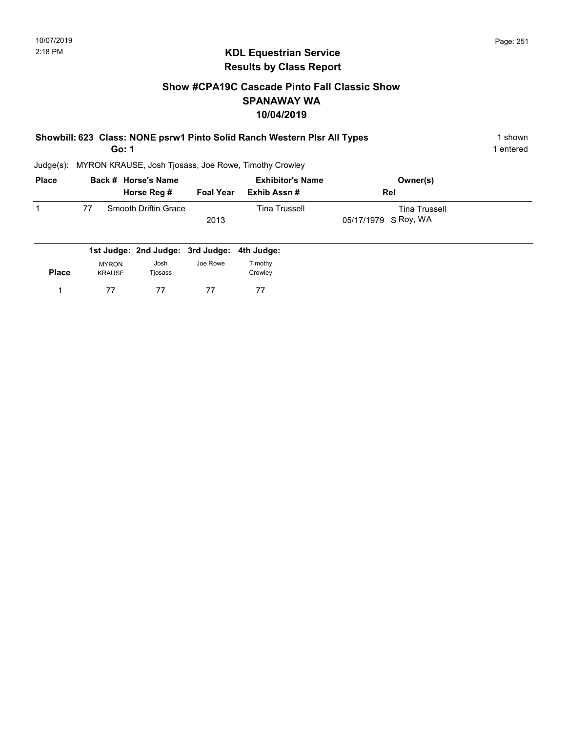#### Show #CPA19C Cascade Pinto Fall Classic Show SPANAWAY WA 10/04/2019

| Showbill: 623 Class: NONE psrw1 Pinto Solid Ranch Western Plsr All Types | 1 shown   |
|--------------------------------------------------------------------------|-----------|
| Go: 1                                                                    | 1 entered |

| <b>Place</b> |    | Back # Horse's Name  |                  | <b>Exhibitor's Name</b> | Owner(s)             |  |
|--------------|----|----------------------|------------------|-------------------------|----------------------|--|
|              |    | Horse Reg #          | <b>Foal Year</b> | Exhib Assn #            | <b>Rel</b>           |  |
|              | 77 | Smooth Driftin Grace |                  | <b>Tina Trussell</b>    | <b>Tina Trussell</b> |  |
|              |    |                      | 2013             |                         | 05/17/1979 S Roy, WA |  |
|              |    |                      |                  |                         |                      |  |

|              |                               | 1st Judge: 2nd Judge: 3rd Judge: 4th Judge: |          |                    |
|--------------|-------------------------------|---------------------------------------------|----------|--------------------|
| <b>Place</b> | <b>MYRON</b><br><b>KRAUSE</b> | Josh<br>Tjosass                             | Joe Rowe | Timothy<br>Crowley |
|              | 77                            | 77                                          | 77       |                    |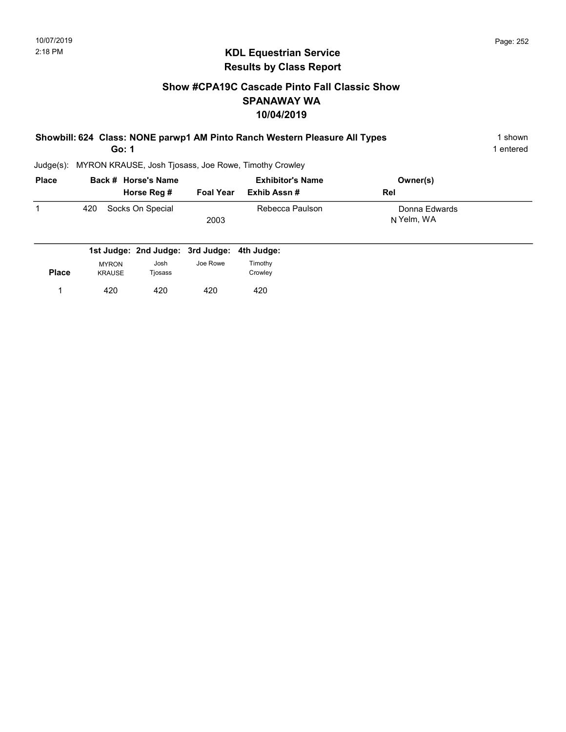#### Show #CPA19C Cascade Pinto Fall Classic Show SPANAWAY WA 10/04/2019

| Showbill: 624 Class: NONE parwp1 AM Pinto Ranch Western Pleasure All Types | l shown |
|----------------------------------------------------------------------------|---------|
| Go: 1                                                                      | entered |
| Judge(s): MYRON KRAUSE, Josh Tjosass, Joe Rowe, Timothy Crowley            |         |

| <b>Place</b> |     | Back # Horse's Name<br>Horse Reg # | Foal Year | <b>Exhibitor's Name</b><br>Exhib Assn # | Owner(s)<br>Rel             |
|--------------|-----|------------------------------------|-----------|-----------------------------------------|-----------------------------|
|              | 420 | Socks On Special                   | 2003      | Rebecca Paulson                         | Donna Edwards<br>N Yelm, WA |

|              |                               | 1st Judge: 2nd Judge: 3rd Judge: 4th Judge: |          |                    |
|--------------|-------------------------------|---------------------------------------------|----------|--------------------|
| <b>Place</b> | <b>MYRON</b><br><b>KRAUSE</b> | Josh<br>Tjosass                             | Joe Rowe | Timothy<br>Crowley |
|              | 420                           | 420                                         | 420      | 420                |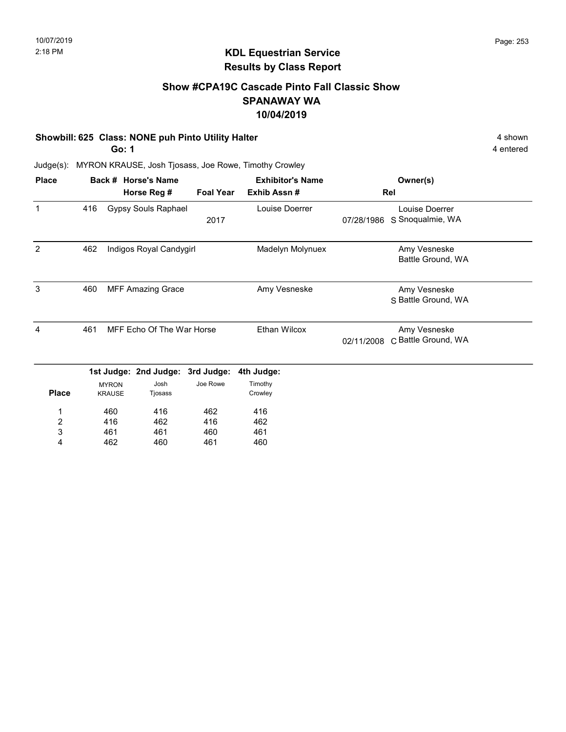#### Show #CPA19C Cascade Pinto Fall Classic Show SPANAWAY WA 10/04/2019

#### Showbill: 625 Class: NONE puh Pinto Utility Halter 4 shown

Go: 1

462

4

460

461

4 entered

Judge(s): MYRON KRAUSE, Josh Tjosass, Joe Rowe, Timothy Crowley

| <b>Place</b>            |     |                               | Back # Horse's Name              |                  | <b>Exhibitor's Name</b> |            | Owner(s)                            |
|-------------------------|-----|-------------------------------|----------------------------------|------------------|-------------------------|------------|-------------------------------------|
|                         |     |                               | Horse Reg #                      | <b>Foal Year</b> | Exhib Assn#             |            | Rel                                 |
| 1                       | 416 |                               | <b>Gypsy Souls Raphael</b>       | 2017             | Louise Doerrer          | 07/28/1986 | Louise Doerrer<br>S Snoqualmie, WA  |
| 2                       | 462 |                               | Indigos Royal Candygirl          |                  | Madelyn Molynuex        |            | Amy Vesneske<br>Battle Ground, WA   |
| 3                       | 460 |                               | <b>MFF Amazing Grace</b>         |                  | Amy Vesneske            |            | Amy Vesneske<br>S Battle Ground, WA |
| 4                       | 461 | MFF Echo Of The War Horse     |                                  |                  | <b>Ethan Wilcox</b>     | 02/11/2008 | Amy Vesneske<br>C Battle Ground, WA |
|                         |     |                               | 1st Judge: 2nd Judge: 3rd Judge: |                  | 4th Judge:              |            |                                     |
| <b>Place</b>            |     | <b>MYRON</b><br><b>KRAUSE</b> | Josh<br>Tjosass                  | Joe Rowe         | Timothy<br>Crowley      |            |                                     |
| 1                       |     | 460                           | 416                              | 462              | 416                     |            |                                     |
| $\overline{\mathbf{c}}$ |     | 416                           | 462                              | 416              | 462                     |            |                                     |
| 3                       |     | 461                           | 461                              | 460              | 461                     |            |                                     |

460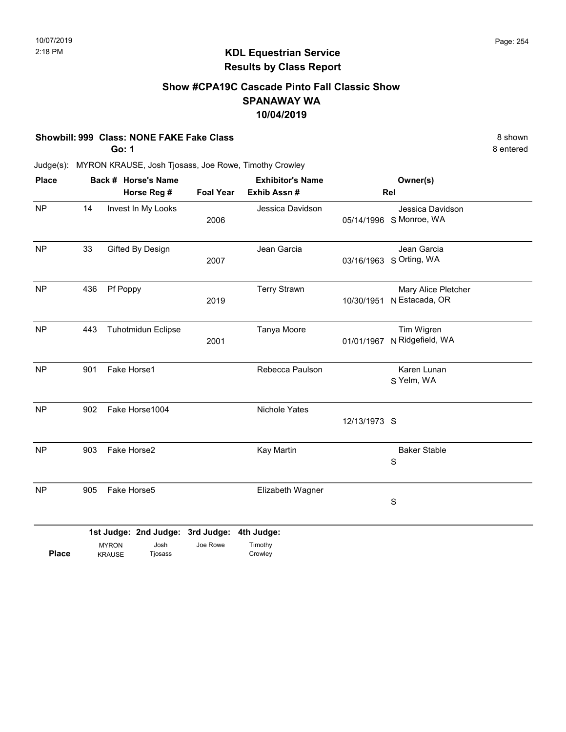#### Show #CPA19C Cascade Pinto Fall Classic Show SPANAWAY WA 10/04/2019

#### Showbill: 999 Class: NONE FAKE Fake Class 8 shown

Go: 1

8 entered

Judge(s): MYRON KRAUSE, Josh Tjosass, Joe Rowe, Timothy Crowley

| <b>Place</b> | Back # Horse's Name |                               |                                                     |          | <b>Exhibitor's Name</b><br>Exhib Assn # |              | Owner(s)                                    |
|--------------|---------------------|-------------------------------|-----------------------------------------------------|----------|-----------------------------------------|--------------|---------------------------------------------|
|              | Horse Reg #         |                               | <b>Foal Year</b>                                    |          |                                         | Rel          |                                             |
| <b>NP</b>    | 14                  | Invest In My Looks            |                                                     | 2006     | Jessica Davidson                        |              | Jessica Davidson<br>05/14/1996 S Monroe, WA |
| <b>NP</b>    | 33                  |                               | Gifted By Design                                    | 2007     | Jean Garcia                             | 03/16/1963   | Jean Garcia<br>S Orting, WA                 |
| NP           | 436                 | Pf Poppy                      |                                                     | 2019     | <b>Terry Strawn</b>                     | 10/30/1951   | Mary Alice Pletcher<br>N Estacada, OR       |
| <b>NP</b>    | 443                 |                               | <b>Tuhotmidun Eclipse</b>                           | 2001     | Tanya Moore                             | 01/01/1967   | Tim Wigren<br>N Ridgefield, WA              |
| <b>NP</b>    | 901                 | Fake Horse1                   |                                                     |          | Rebecca Paulson                         |              | Karen Lunan<br>S Yelm, WA                   |
| <b>NP</b>    | 902                 | Fake Horse1004                |                                                     |          | Nichole Yates                           | 12/13/1973 S |                                             |
| <b>NP</b>    | 903                 | Fake Horse2                   |                                                     |          | Kay Martin                              |              | <b>Baker Stable</b><br>S                    |
| <b>NP</b>    | 905                 | Fake Horse5                   |                                                     |          | Elizabeth Wagner                        |              | S                                           |
| <b>Place</b> |                     | <b>MYRON</b><br><b>KRAUSE</b> | 1st Judge: 2nd Judge: 3rd Judge:<br>Josh<br>Tjosass | Joe Rowe | 4th Judge:<br>Timothy<br>Crowley        |              |                                             |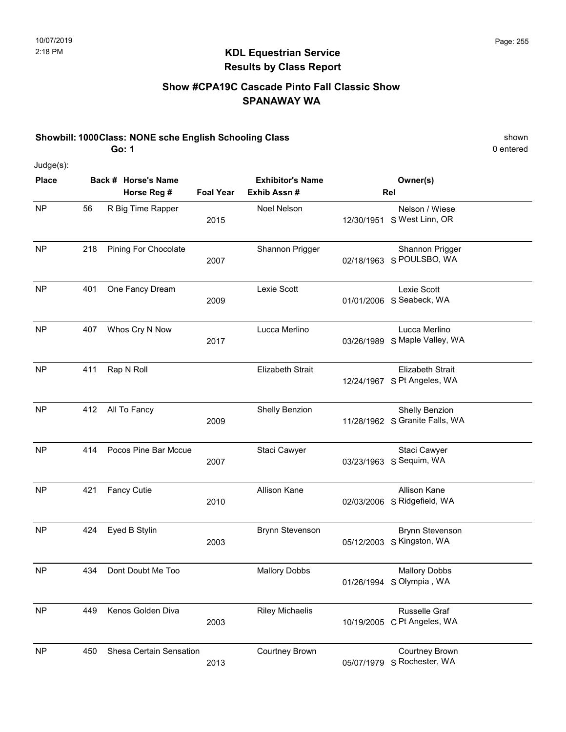#### Show #CPA19C Cascade Pinto Fall Classic Show SPANAWAY WA

#### Showbill: 1000Class: NONE sche English Schooling Class shown shown shown

Go: 1

0 entered

Judge(s):

| <b>Place</b> |     | Back # Horse's Name         |                  | <b>Exhibitor's Name</b> |            | Owner(s)                                               |
|--------------|-----|-----------------------------|------------------|-------------------------|------------|--------------------------------------------------------|
|              |     | Horse Reg #                 | <b>Foal Year</b> | Exhib Assn#             |            | Rel                                                    |
| <b>NP</b>    | 56  | R Big Time Rapper           | 2015             | Noel Nelson             | 12/30/1951 | Nelson / Wiese<br>S West Linn, OR                      |
| <b>NP</b>    | 218 | <b>Pining For Chocolate</b> | 2007             | Shannon Prigger         | 02/18/1963 | Shannon Prigger<br>S POULSBO, WA                       |
| <b>NP</b>    | 401 | One Fancy Dream             | 2009             | Lexie Scott             |            | Lexie Scott<br>01/01/2006 S Seabeck, WA                |
| <b>NP</b>    | 407 | Whos Cry N Now              | 2017             | Lucca Merlino           | 03/26/1989 | Lucca Merlino<br>S Maple Valley, WA                    |
| <b>NP</b>    | 411 | Rap N Roll                  |                  | <b>Elizabeth Strait</b> |            | <b>Elizabeth Strait</b><br>12/24/1967 S Pt Angeles, WA |
| <b>NP</b>    | 412 | All To Fancy                | 2009             | Shelly Benzion          |            | Shelly Benzion<br>11/28/1962 S Granite Falls, WA       |
| <b>NP</b>    | 414 | Pocos Pine Bar Mccue        | 2007             | Staci Cawyer            |            | Staci Cawyer<br>03/23/1963 S Sequim, WA                |
| <b>NP</b>    | 421 | <b>Fancy Cutie</b>          | 2010             | Allison Kane            | 02/03/2006 | Allison Kane<br>S Ridgefield, WA                       |
| <b>NP</b>    | 424 | Eyed B Stylin               | 2003             | <b>Brynn Stevenson</b>  |            | <b>Brynn Stevenson</b><br>05/12/2003 S Kingston, WA    |
| <b>NP</b>    | 434 | Dont Doubt Me Too           |                  | <b>Mallory Dobbs</b>    |            | <b>Mallory Dobbs</b><br>01/26/1994 S Olympia, WA       |
| <b>NP</b>    | 449 | Kenos Golden Diva           | 2003             | <b>Riley Michaelis</b>  | 10/19/2005 | Russelle Graf<br>C Pt Angeles, WA                      |
| <b>NP</b>    | 450 | Shesa Certain Sensation     | 2013             | Courtney Brown          | 05/07/1979 | <b>Courtney Brown</b><br>S Rochester, WA               |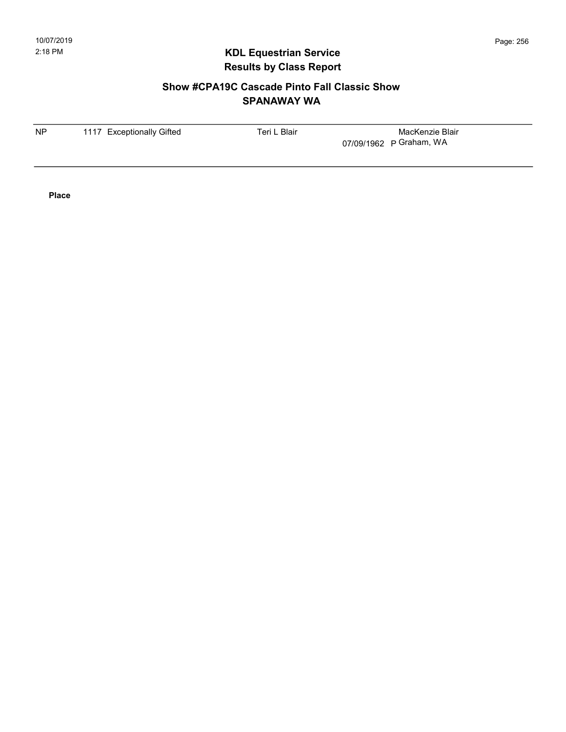#### Show #CPA19C Cascade Pinto Fall Classic Show SPANAWAY WA

| <b>NP</b><br>1117 Exceptionally Gifted | Teri L Blair | MacKenzie Blair         |
|----------------------------------------|--------------|-------------------------|
|                                        |              | 07/09/1962 P Graham, WA |
|                                        |              |                         |
|                                        |              |                         |

Place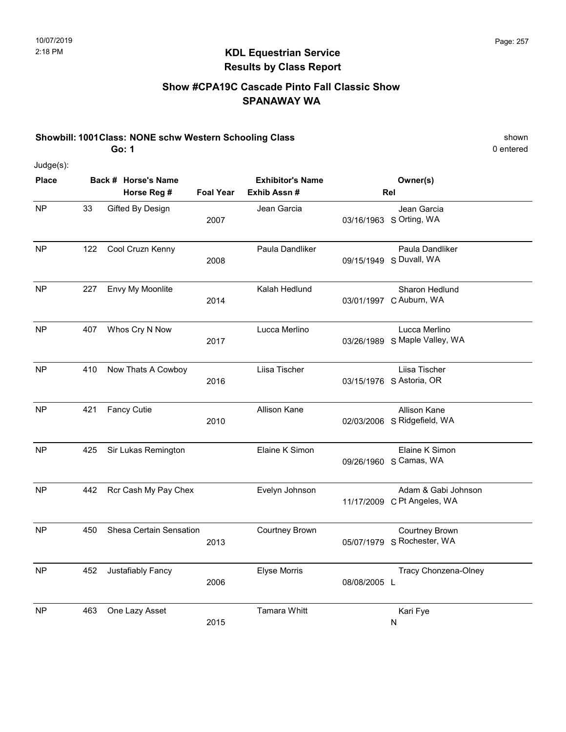#### Show #CPA19C Cascade Pinto Fall Classic Show SPANAWAY WA

#### Showbill: 1001Class: NONE schw Western Schooling Class shown shown Go: 1

0 entered

Judge(s):

| <b>Place</b> | Back # Horse's Name |                         |                  | <b>Exhibitor's Name</b> | Owner(s)     |                                                     |  |
|--------------|---------------------|-------------------------|------------------|-------------------------|--------------|-----------------------------------------------------|--|
|              |                     | Horse Reg #             | <b>Foal Year</b> | Exhib Assn#             |              | Rel                                                 |  |
| <b>NP</b>    | 33                  | Gifted By Design        | 2007             | Jean Garcia             |              | Jean Garcia<br>03/16/1963 S Orting, WA              |  |
| <b>NP</b>    | 122                 | Cool Cruzn Kenny        | 2008             | Paula Dandliker         |              | Paula Dandliker<br>09/15/1949 S Duvall, WA          |  |
| NP           | 227                 | Envy My Moonlite        | 2014             | Kalah Hedlund           |              | Sharon Hedlund<br>03/01/1997 C Auburn, WA           |  |
| <b>NP</b>    | 407                 | Whos Cry N Now          | 2017             | Lucca Merlino           | 03/26/1989   | Lucca Merlino<br>S Maple Valley, WA                 |  |
| <b>NP</b>    | 410                 | Now Thats A Cowboy      | 2016             | Liisa Tischer           |              | Liisa Tischer<br>03/15/1976 S Astoria, OR           |  |
| <b>NP</b>    | 421                 | <b>Fancy Cutie</b>      | 2010             | <b>Allison Kane</b>     |              | Allison Kane<br>02/03/2006 S Ridgefield, WA         |  |
| <b>NP</b>    | 425                 | Sir Lukas Remington     |                  | Elaine K Simon          |              | Elaine K Simon<br>09/26/1960 S Camas, WA            |  |
| <b>NP</b>    | 442                 | Rcr Cash My Pay Chex    |                  | Evelyn Johnson          |              | Adam & Gabi Johnson<br>11/17/2009 C Pt Angeles, WA  |  |
| <b>NP</b>    | 450                 | Shesa Certain Sensation | 2013             | Courtney Brown          |              | <b>Courtney Brown</b><br>05/07/1979 S Rochester, WA |  |
| <b>NP</b>    | 452                 | Justafiably Fancy       | 2006             | <b>Elyse Morris</b>     | 08/08/2005 L | Tracy Chonzena-Olney                                |  |
| <b>NP</b>    | 463                 | One Lazy Asset          | 2015             | <b>Tamara Whitt</b>     |              | Kari Fye<br>N                                       |  |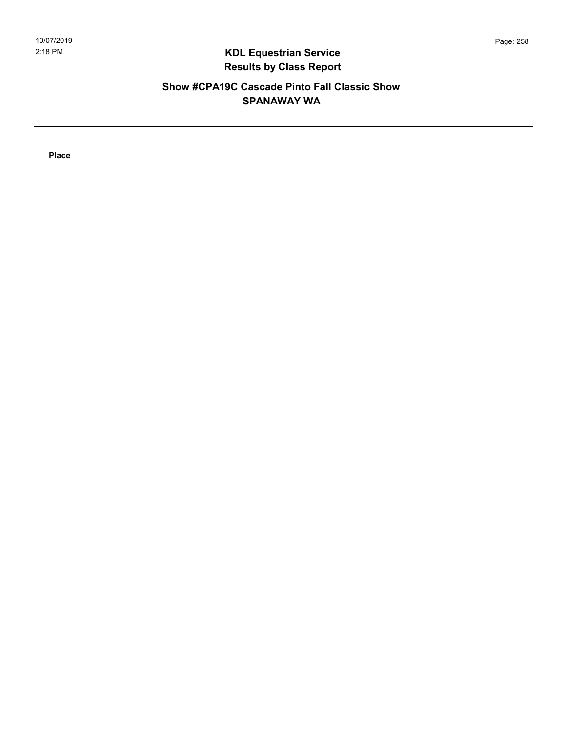#### Show #CPA19C Cascade Pinto Fall Classic Show SPANAWAY WA

Place